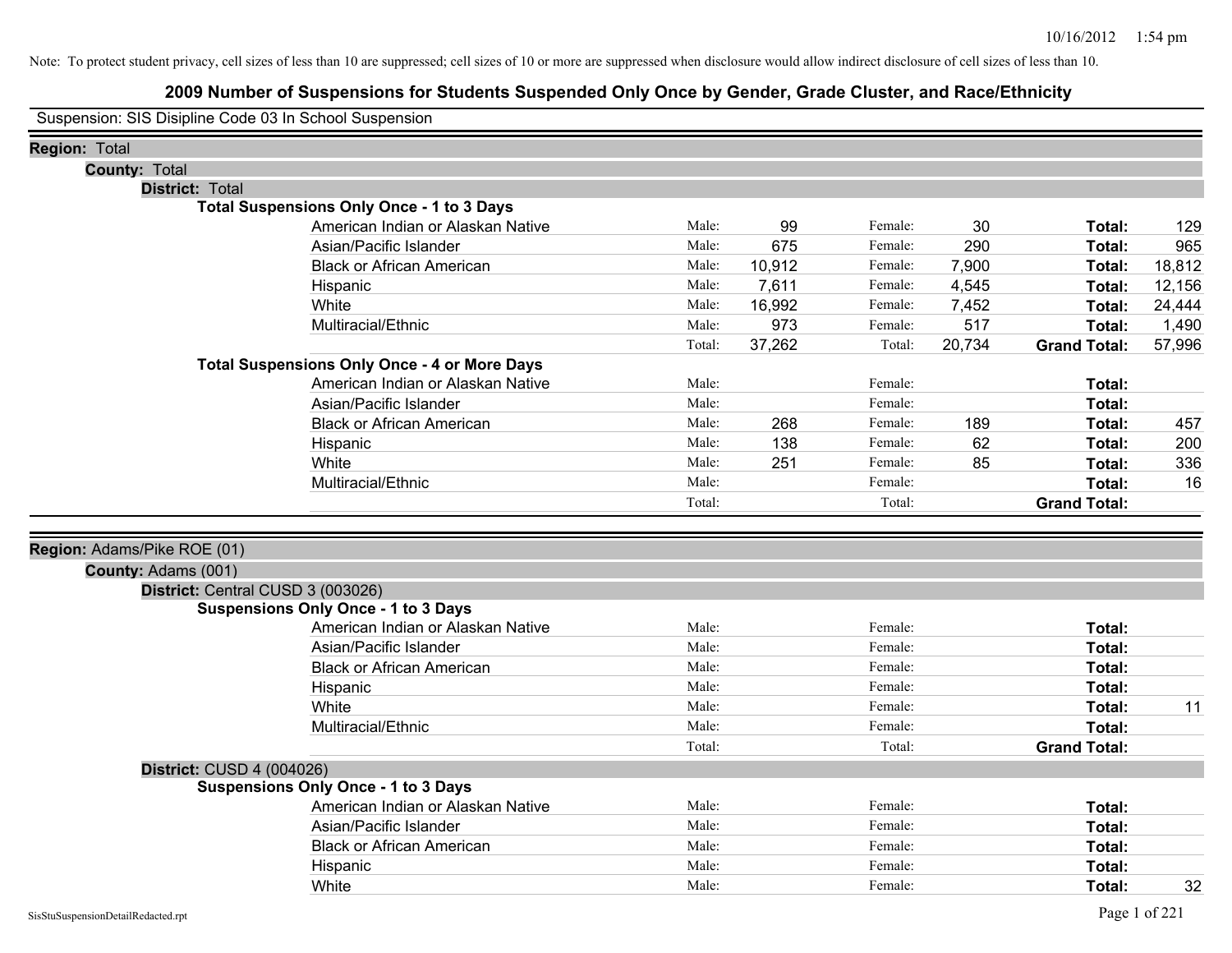# **2009 Number of Suspensions for Students Suspended Only Once by Gender, Grade Cluster, and Race/Ethnicity**

Suspension: SIS Disipline Code 03 In School Suspension

| Region: Total               |                                                     |        |        |         |        |                     |        |
|-----------------------------|-----------------------------------------------------|--------|--------|---------|--------|---------------------|--------|
| <b>County: Total</b>        |                                                     |        |        |         |        |                     |        |
| <b>District: Total</b>      |                                                     |        |        |         |        |                     |        |
|                             | <b>Total Suspensions Only Once - 1 to 3 Days</b>    |        |        |         |        |                     |        |
|                             | American Indian or Alaskan Native                   | Male:  | 99     | Female: | 30     | Total:              | 129    |
|                             | Asian/Pacific Islander                              | Male:  | 675    | Female: | 290    | Total:              | 965    |
|                             | <b>Black or African American</b>                    | Male:  | 10,912 | Female: | 7,900  | Total:              | 18,812 |
|                             | Hispanic                                            | Male:  | 7,611  | Female: | 4,545  | Total:              | 12,156 |
|                             | White                                               | Male:  | 16,992 | Female: | 7,452  | Total:              | 24,444 |
|                             | Multiracial/Ethnic                                  | Male:  | 973    | Female: | 517    | Total:              | 1,490  |
|                             |                                                     | Total: | 37,262 | Total:  | 20,734 | <b>Grand Total:</b> | 57,996 |
|                             | <b>Total Suspensions Only Once - 4 or More Days</b> |        |        |         |        |                     |        |
|                             | American Indian or Alaskan Native                   | Male:  |        | Female: |        | Total:              |        |
|                             | Asian/Pacific Islander                              | Male:  |        | Female: |        | Total:              |        |
|                             | <b>Black or African American</b>                    | Male:  | 268    | Female: | 189    | Total:              | 457    |
|                             | Hispanic                                            | Male:  | 138    | Female: | 62     | Total:              | 200    |
|                             | White                                               | Male:  | 251    | Female: | 85     | Total:              | 336    |
|                             | Multiracial/Ethnic                                  | Male:  |        | Female: |        | Total:              | 16     |
|                             |                                                     | Total: |        | Total:  |        | <b>Grand Total:</b> |        |
|                             |                                                     |        |        |         |        |                     |        |
| Region: Adams/Pike ROE (01) |                                                     |        |        |         |        |                     |        |
| County: Adams (001)         |                                                     |        |        |         |        |                     |        |
|                             | District: Central CUSD 3 (003026)                   |        |        |         |        |                     |        |
|                             | <b>Suspensions Only Once - 1 to 3 Days</b>          |        |        |         |        |                     |        |
|                             | American Indian or Alaskan Native                   | Male:  |        | Female: |        | Total:              |        |
|                             | Asian/Pacific Islander                              | Male:  |        | Female: |        | Total:              |        |
|                             | <b>Black or African American</b>                    | Male:  |        | Female: |        | Total:              |        |
|                             | Hispanic                                            | Male:  |        | Female: |        | Total:              |        |
|                             | White                                               | Male:  |        | Female: |        | Total:              | 11     |
|                             | Multiracial/Ethnic                                  | Male:  |        | Female: |        | Total:              |        |
|                             |                                                     | Total: |        | Total:  |        | <b>Grand Total:</b> |        |
|                             | District: CUSD 4 (004026)                           |        |        |         |        |                     |        |
|                             | <b>Suspensions Only Once - 1 to 3 Days</b>          |        |        |         |        |                     |        |
|                             | American Indian or Alaskan Native                   | Male:  |        | Female: |        | Total:              |        |
|                             | Asian/Pacific Islander                              | Male:  |        | Female: |        | Total:              |        |
|                             | <b>Black or African American</b>                    | Male:  |        | Female: |        | Total:              |        |
|                             | Hispanic                                            | Male:  |        | Female: |        | Total:              |        |
|                             | White                                               | Male:  |        | Female: |        | Total:              | 32     |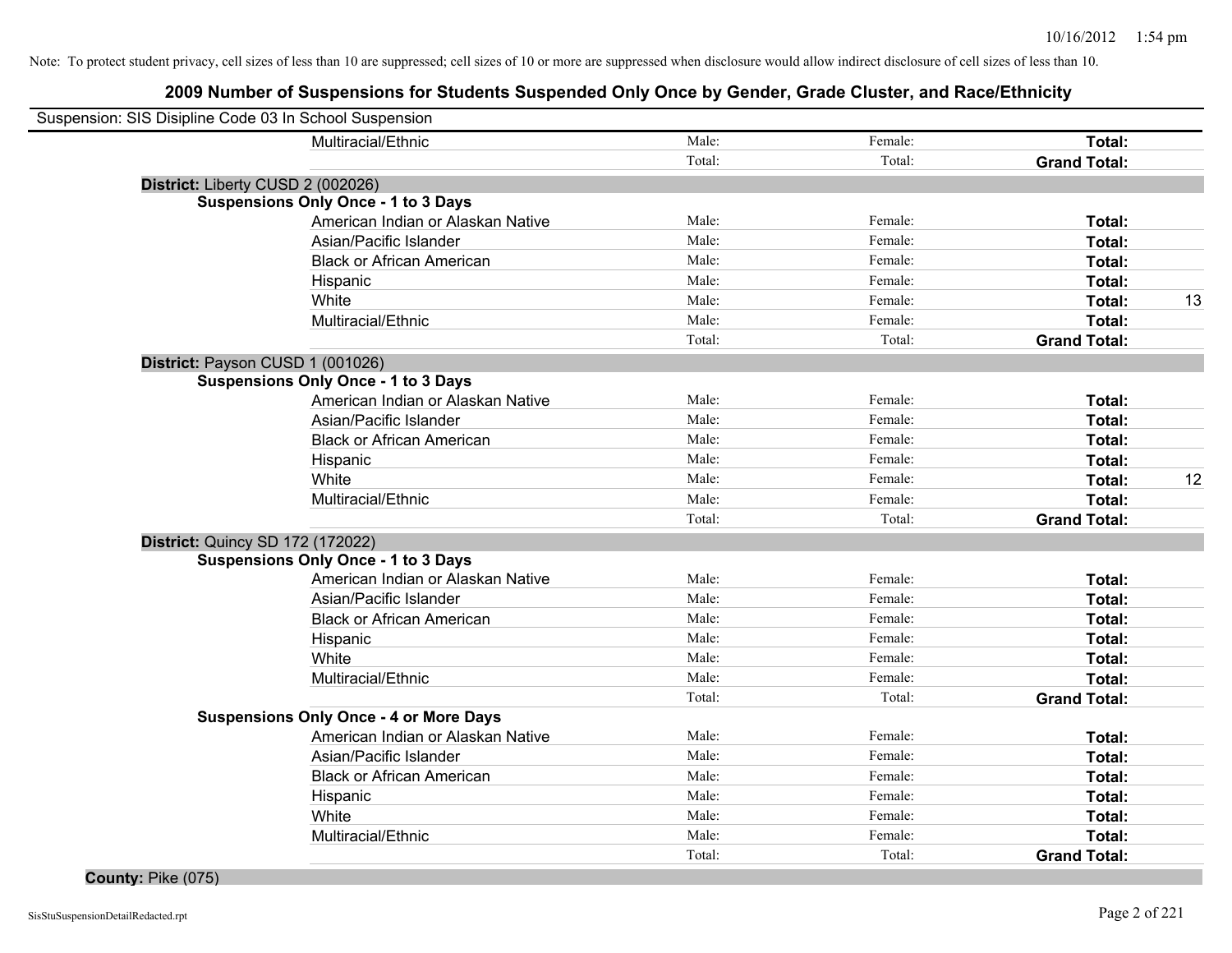# **2009 Number of Suspensions for Students Suspended Only Once by Gender, Grade Cluster, and Race/Ethnicity**

| Suspension: SIS Disipline Code 03 In School Suspension |                                               |        |         |                     |    |
|--------------------------------------------------------|-----------------------------------------------|--------|---------|---------------------|----|
|                                                        | Multiracial/Ethnic                            | Male:  | Female: | Total:              |    |
|                                                        |                                               | Total: | Total:  | <b>Grand Total:</b> |    |
|                                                        | District: Liberty CUSD 2 (002026)             |        |         |                     |    |
|                                                        | <b>Suspensions Only Once - 1 to 3 Days</b>    |        |         |                     |    |
|                                                        | American Indian or Alaskan Native             | Male:  | Female: | Total:              |    |
|                                                        | Asian/Pacific Islander                        | Male:  | Female: | Total:              |    |
|                                                        | <b>Black or African American</b>              | Male:  | Female: | Total:              |    |
|                                                        | Hispanic                                      | Male:  | Female: | Total:              |    |
|                                                        | White                                         | Male:  | Female: | Total:              | 13 |
|                                                        | Multiracial/Ethnic                            | Male:  | Female: | Total:              |    |
|                                                        |                                               | Total: | Total:  | <b>Grand Total:</b> |    |
|                                                        | District: Payson CUSD 1 (001026)              |        |         |                     |    |
|                                                        | <b>Suspensions Only Once - 1 to 3 Days</b>    |        |         |                     |    |
|                                                        | American Indian or Alaskan Native             | Male:  | Female: | Total:              |    |
|                                                        | Asian/Pacific Islander                        | Male:  | Female: | Total:              |    |
|                                                        | <b>Black or African American</b>              | Male:  | Female: | Total:              |    |
|                                                        | Hispanic                                      | Male:  | Female: | Total:              |    |
|                                                        | White                                         | Male:  | Female: | Total:              | 12 |
|                                                        | Multiracial/Ethnic                            | Male:  | Female: | Total:              |    |
|                                                        |                                               | Total: | Total:  | <b>Grand Total:</b> |    |
|                                                        | <b>District: Quincy SD 172 (172022)</b>       |        |         |                     |    |
|                                                        | <b>Suspensions Only Once - 1 to 3 Days</b>    |        |         |                     |    |
|                                                        | American Indian or Alaskan Native             | Male:  | Female: | Total:              |    |
|                                                        | Asian/Pacific Islander                        | Male:  | Female: | Total:              |    |
|                                                        | <b>Black or African American</b>              | Male:  | Female: | Total:              |    |
|                                                        | Hispanic                                      | Male:  | Female: | Total:              |    |
|                                                        | White                                         | Male:  | Female: | Total:              |    |
|                                                        | Multiracial/Ethnic                            | Male:  | Female: | Total:              |    |
|                                                        |                                               | Total: | Total:  | <b>Grand Total:</b> |    |
|                                                        | <b>Suspensions Only Once - 4 or More Days</b> |        |         |                     |    |
|                                                        | American Indian or Alaskan Native             | Male:  | Female: | Total:              |    |
|                                                        | Asian/Pacific Islander                        | Male:  | Female: | Total:              |    |
|                                                        | <b>Black or African American</b>              | Male:  | Female: | Total:              |    |
|                                                        | Hispanic                                      | Male:  | Female: | Total:              |    |
|                                                        | White                                         | Male:  | Female: | Total:              |    |
|                                                        | Multiracial/Ethnic                            | Male:  | Female: | Total:              |    |
|                                                        |                                               | Total: | Total:  | <b>Grand Total:</b> |    |
|                                                        |                                               |        |         |                     |    |

**County:** Pike (075)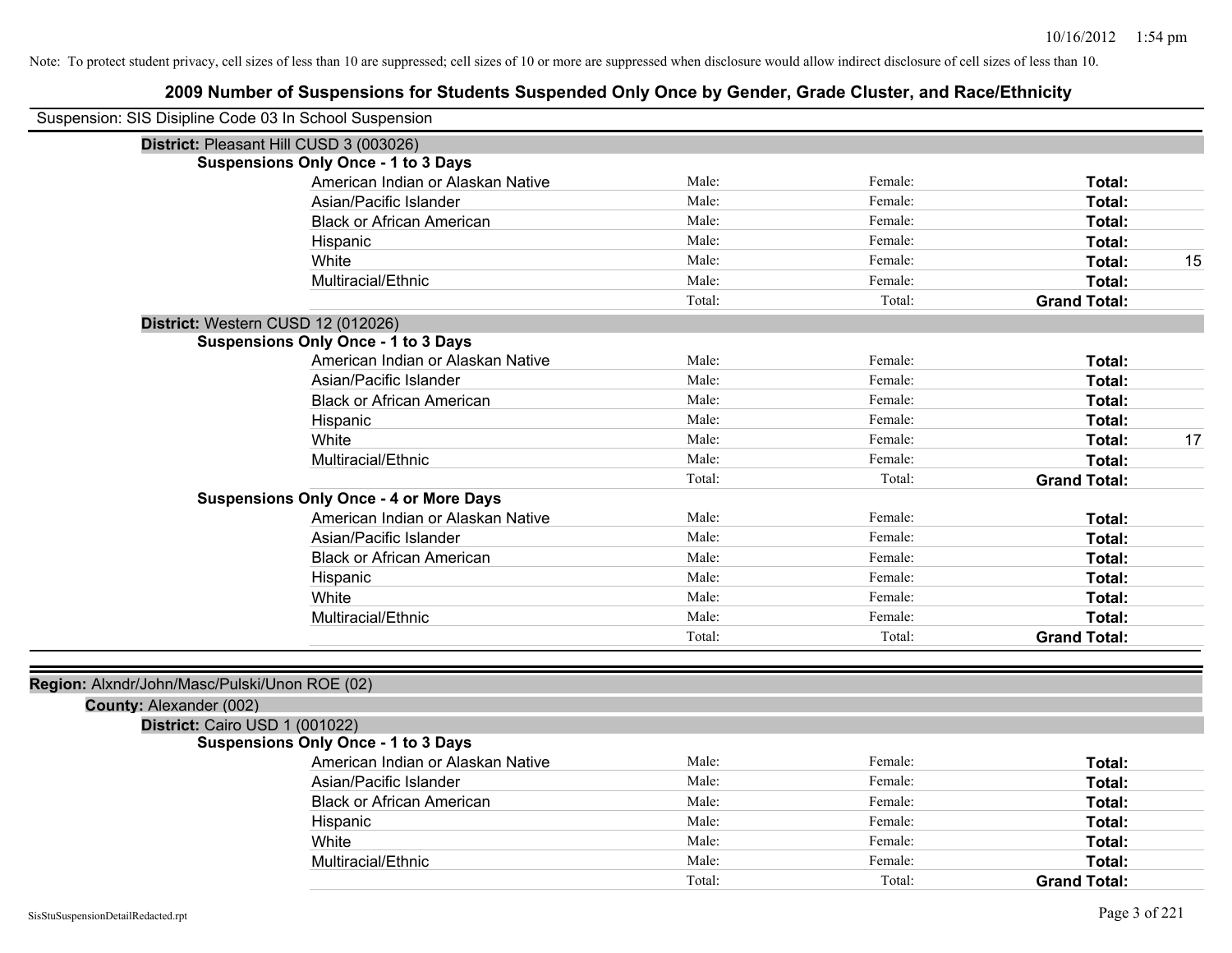| Suspension: SIS Disipline Code 03 In School Suspension                   |        |         |                     |    |
|--------------------------------------------------------------------------|--------|---------|---------------------|----|
| District: Pleasant Hill CUSD 3 (003026)                                  |        |         |                     |    |
| <b>Suspensions Only Once - 1 to 3 Days</b>                               |        |         |                     |    |
| American Indian or Alaskan Native                                        | Male:  | Female: | Total:              |    |
| Asian/Pacific Islander                                                   | Male:  | Female: | Total:              |    |
| <b>Black or African American</b>                                         | Male:  | Female: | Total:              |    |
| Hispanic                                                                 | Male:  | Female: | Total:              |    |
| White                                                                    | Male:  | Female: | Total:              | 15 |
| Multiracial/Ethnic                                                       | Male:  | Female: | Total:              |    |
|                                                                          | Total: | Total:  | <b>Grand Total:</b> |    |
| District: Western CUSD 12 (012026)                                       |        |         |                     |    |
| <b>Suspensions Only Once - 1 to 3 Days</b>                               |        |         |                     |    |
| American Indian or Alaskan Native                                        | Male:  | Female: | Total:              |    |
| Asian/Pacific Islander                                                   | Male:  | Female: | Total:              |    |
| <b>Black or African American</b>                                         | Male:  | Female: | Total:              |    |
| Hispanic                                                                 | Male:  | Female: | Total:              |    |
| White                                                                    | Male:  | Female: | Total:              | 17 |
| Multiracial/Ethnic                                                       | Male:  | Female: | Total:              |    |
|                                                                          | Total: | Total:  | <b>Grand Total:</b> |    |
| <b>Suspensions Only Once - 4 or More Days</b>                            |        |         |                     |    |
| American Indian or Alaskan Native                                        | Male:  | Female: | Total:              |    |
| Asian/Pacific Islander                                                   | Male:  | Female: | Total:              |    |
| <b>Black or African American</b>                                         | Male:  | Female: | Total:              |    |
| Hispanic                                                                 | Male:  | Female: | Total:              |    |
| White                                                                    | Male:  | Female: | Total:              |    |
| Multiracial/Ethnic                                                       | Male:  | Female: | Total:              |    |
|                                                                          | Total: | Total:  | <b>Grand Total:</b> |    |
| Region: Alxndr/John/Masc/Pulski/Unon ROE (02)<br>County: Alexander (002) |        |         |                     |    |
| District: Cairo USD 1 (001022)                                           |        |         |                     |    |
| <b>Suspensions Only Once - 1 to 3 Days</b>                               |        |         |                     |    |
| American Indian or Alaskan Native                                        | Male:  | Female: | Total:              |    |
| Asian/Pacific Islander                                                   | Male:  | Female: | Total:              |    |
| <b>Black or African American</b>                                         | Male:  | Female: | Total:              |    |
| Hispanic                                                                 | Male:  | Female: | Total:              |    |
| White                                                                    | Male:  | Female: | Total:              |    |
| Multiracial/Ethnic                                                       | Male:  | Female: | Total:              |    |
|                                                                          | Total: | Total:  | <b>Grand Total:</b> |    |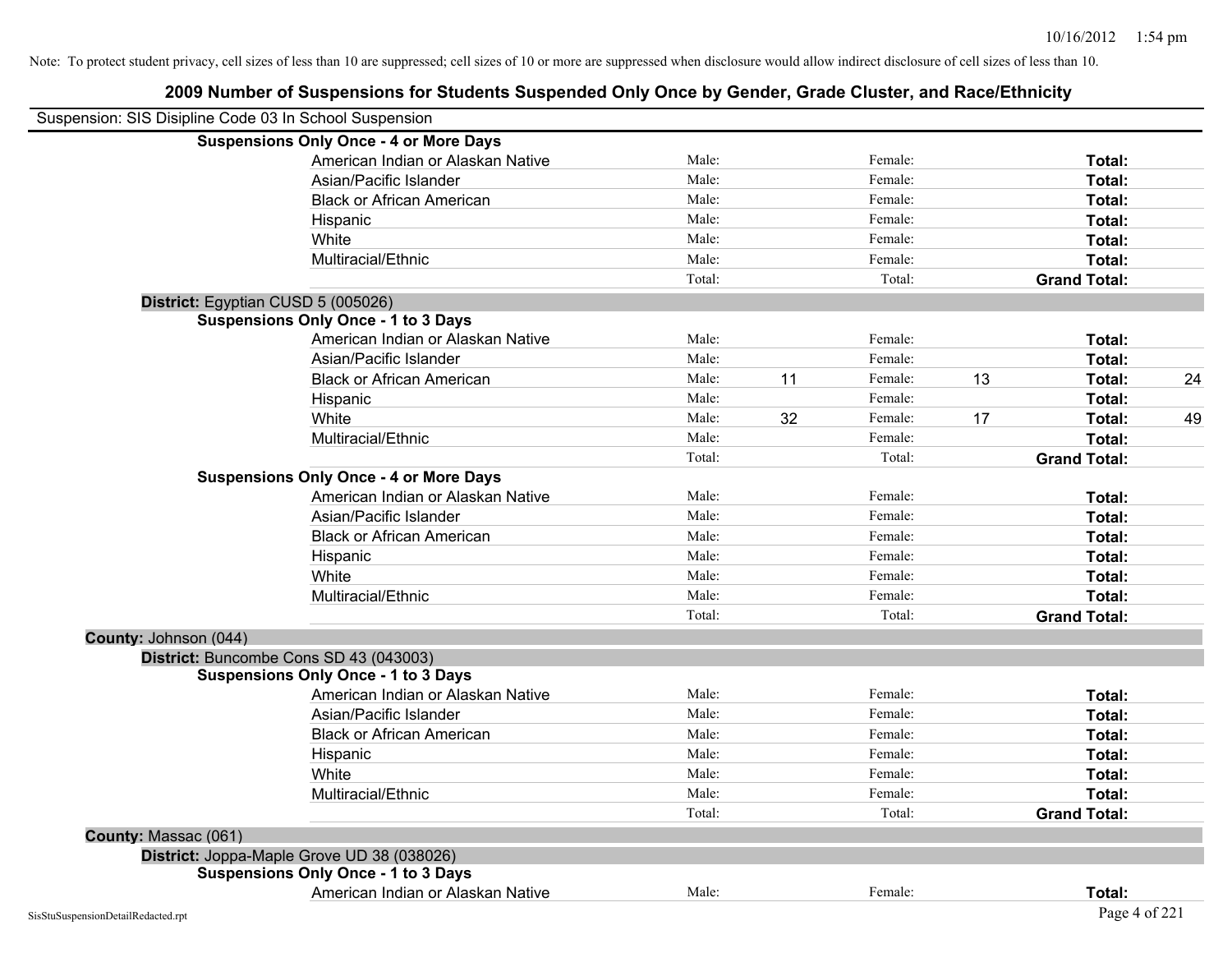|                       | Suspension: SIS Disipline Code 03 In School Suspension |        |    |         |    |                     |    |
|-----------------------|--------------------------------------------------------|--------|----|---------|----|---------------------|----|
|                       | <b>Suspensions Only Once - 4 or More Days</b>          |        |    |         |    |                     |    |
|                       | American Indian or Alaskan Native                      | Male:  |    | Female: |    | Total:              |    |
|                       | Asian/Pacific Islander                                 | Male:  |    | Female: |    | Total:              |    |
|                       | <b>Black or African American</b>                       | Male:  |    | Female: |    | Total:              |    |
|                       | Hispanic                                               | Male:  |    | Female: |    | Total:              |    |
|                       | White                                                  | Male:  |    | Female: |    | Total:              |    |
|                       | Multiracial/Ethnic                                     | Male:  |    | Female: |    | Total:              |    |
|                       |                                                        | Total: |    | Total:  |    | <b>Grand Total:</b> |    |
|                       | District: Egyptian CUSD 5 (005026)                     |        |    |         |    |                     |    |
|                       | <b>Suspensions Only Once - 1 to 3 Days</b>             |        |    |         |    |                     |    |
|                       | American Indian or Alaskan Native                      | Male:  |    | Female: |    | Total:              |    |
|                       | Asian/Pacific Islander                                 | Male:  |    | Female: |    | Total:              |    |
|                       | <b>Black or African American</b>                       | Male:  | 11 | Female: | 13 | Total:              | 24 |
|                       | Hispanic                                               | Male:  |    | Female: |    | Total:              |    |
|                       | White                                                  | Male:  | 32 | Female: | 17 | Total:              | 49 |
|                       | Multiracial/Ethnic                                     | Male:  |    | Female: |    | Total:              |    |
|                       |                                                        | Total: |    | Total:  |    | <b>Grand Total:</b> |    |
|                       | <b>Suspensions Only Once - 4 or More Days</b>          |        |    |         |    |                     |    |
|                       | American Indian or Alaskan Native                      | Male:  |    | Female: |    | Total:              |    |
|                       | Asian/Pacific Islander                                 | Male:  |    | Female: |    | Total:              |    |
|                       | <b>Black or African American</b>                       | Male:  |    | Female: |    | Total:              |    |
|                       | Hispanic                                               | Male:  |    | Female: |    | Total:              |    |
|                       | White                                                  | Male:  |    | Female: |    | Total:              |    |
|                       | Multiracial/Ethnic                                     | Male:  |    | Female: |    | Total:              |    |
|                       |                                                        | Total: |    | Total:  |    | <b>Grand Total:</b> |    |
| County: Johnson (044) |                                                        |        |    |         |    |                     |    |
|                       | District: Buncombe Cons SD 43 (043003)                 |        |    |         |    |                     |    |
|                       | <b>Suspensions Only Once - 1 to 3 Days</b>             |        |    |         |    |                     |    |
|                       | American Indian or Alaskan Native                      | Male:  |    | Female: |    | Total:              |    |
|                       | Asian/Pacific Islander                                 | Male:  |    | Female: |    | Total:              |    |
|                       | <b>Black or African American</b>                       | Male:  |    | Female: |    | Total:              |    |
|                       | Hispanic                                               | Male:  |    | Female: |    | Total:              |    |
|                       | White                                                  | Male:  |    | Female: |    | Total:              |    |
|                       | Multiracial/Ethnic                                     | Male:  |    | Female: |    | Total:              |    |
|                       |                                                        | Total: |    | Total:  |    | <b>Grand Total:</b> |    |
| County: Massac (061)  |                                                        |        |    |         |    |                     |    |
|                       | District: Joppa-Maple Grove UD 38 (038026)             |        |    |         |    |                     |    |
|                       | <b>Suspensions Only Once - 1 to 3 Days</b>             |        |    |         |    |                     |    |
|                       | American Indian or Alaskan Native                      | Male:  |    | Female: |    | Total:              |    |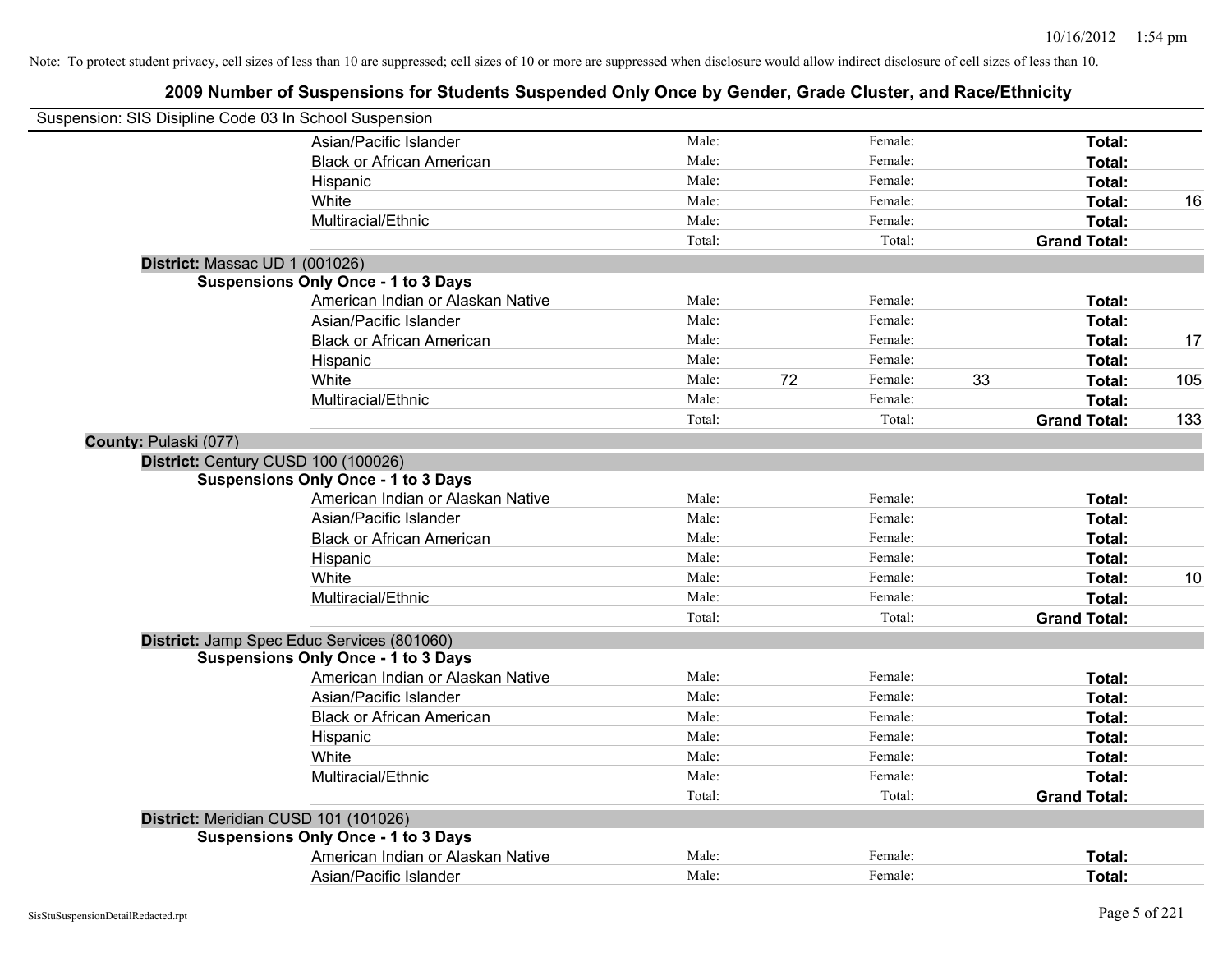| Suspension: SIS Disipline Code 03 In School Suspension |                                            |        |    |         |    |                     |     |
|--------------------------------------------------------|--------------------------------------------|--------|----|---------|----|---------------------|-----|
|                                                        | Asian/Pacific Islander                     | Male:  |    | Female: |    | Total:              |     |
|                                                        | <b>Black or African American</b>           | Male:  |    | Female: |    | Total:              |     |
|                                                        | Hispanic                                   | Male:  |    | Female: |    | Total:              |     |
|                                                        | White                                      | Male:  |    | Female: |    | Total:              | 16  |
|                                                        | Multiracial/Ethnic                         | Male:  |    | Female: |    | Total:              |     |
|                                                        |                                            | Total: |    | Total:  |    | <b>Grand Total:</b> |     |
| District: Massac UD 1 (001026)                         |                                            |        |    |         |    |                     |     |
|                                                        | <b>Suspensions Only Once - 1 to 3 Days</b> |        |    |         |    |                     |     |
|                                                        | American Indian or Alaskan Native          | Male:  |    | Female: |    | Total:              |     |
|                                                        | Asian/Pacific Islander                     | Male:  |    | Female: |    | Total:              |     |
|                                                        | <b>Black or African American</b>           | Male:  |    | Female: |    | Total:              | 17  |
|                                                        | Hispanic                                   | Male:  |    | Female: |    | Total:              |     |
|                                                        | White                                      | Male:  | 72 | Female: | 33 | Total:              | 105 |
|                                                        | Multiracial/Ethnic                         | Male:  |    | Female: |    | Total:              |     |
|                                                        |                                            | Total: |    | Total:  |    | <b>Grand Total:</b> | 133 |
| County: Pulaski (077)                                  |                                            |        |    |         |    |                     |     |
| District: Century CUSD 100 (100026)                    |                                            |        |    |         |    |                     |     |
|                                                        | <b>Suspensions Only Once - 1 to 3 Days</b> |        |    |         |    |                     |     |
|                                                        | American Indian or Alaskan Native          | Male:  |    | Female: |    | Total:              |     |
|                                                        | Asian/Pacific Islander                     | Male:  |    | Female: |    | Total:              |     |
|                                                        | <b>Black or African American</b>           | Male:  |    | Female: |    | Total:              |     |
|                                                        | Hispanic                                   | Male:  |    | Female: |    | Total:              |     |
|                                                        | White                                      | Male:  |    | Female: |    | Total:              | 10  |
|                                                        | Multiracial/Ethnic                         | Male:  |    | Female: |    | Total:              |     |
|                                                        |                                            | Total: |    | Total:  |    | <b>Grand Total:</b> |     |
| District: Jamp Spec Educ Services (801060)             |                                            |        |    |         |    |                     |     |
|                                                        | <b>Suspensions Only Once - 1 to 3 Days</b> |        |    |         |    |                     |     |
|                                                        | American Indian or Alaskan Native          | Male:  |    | Female: |    | Total:              |     |
|                                                        | Asian/Pacific Islander                     | Male:  |    | Female: |    | Total:              |     |
|                                                        | <b>Black or African American</b>           | Male:  |    | Female: |    | Total:              |     |
|                                                        | Hispanic                                   | Male:  |    | Female: |    | Total:              |     |
|                                                        | White                                      | Male:  |    | Female: |    | Total:              |     |
|                                                        | Multiracial/Ethnic                         | Male:  |    | Female: |    | Total:              |     |
|                                                        |                                            | Total: |    | Total:  |    | <b>Grand Total:</b> |     |
| District: Meridian CUSD 101 (101026)                   |                                            |        |    |         |    |                     |     |
|                                                        | <b>Suspensions Only Once - 1 to 3 Days</b> |        |    |         |    |                     |     |
|                                                        | American Indian or Alaskan Native          | Male:  |    | Female: |    | Total:              |     |
|                                                        | Asian/Pacific Islander                     | Male:  |    | Female: |    | Total:              |     |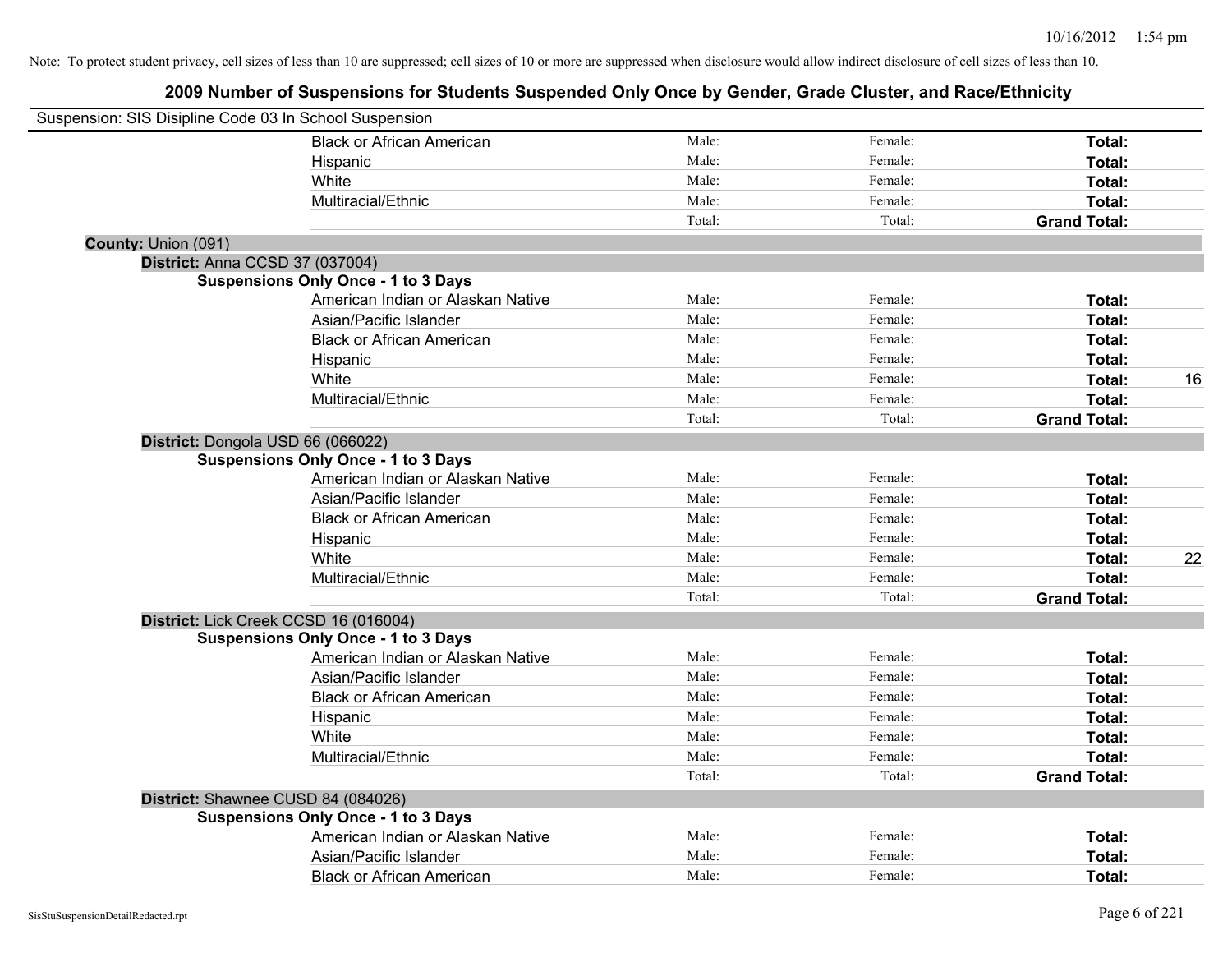| Suspension: SIS Disipline Code 03 In School Suspension |                                   |        |         |                     |    |
|--------------------------------------------------------|-----------------------------------|--------|---------|---------------------|----|
|                                                        | <b>Black or African American</b>  | Male:  | Female: | Total:              |    |
|                                                        | Hispanic                          | Male:  | Female: | Total:              |    |
| White                                                  |                                   | Male:  | Female: | Total:              |    |
|                                                        | Multiracial/Ethnic                | Male:  | Female: | Total:              |    |
|                                                        |                                   | Total: | Total:  | <b>Grand Total:</b> |    |
| County: Union (091)                                    |                                   |        |         |                     |    |
| District: Anna CCSD 37 (037004)                        |                                   |        |         |                     |    |
| <b>Suspensions Only Once - 1 to 3 Days</b>             |                                   |        |         |                     |    |
|                                                        | American Indian or Alaskan Native | Male:  | Female: | Total:              |    |
|                                                        | Asian/Pacific Islander            | Male:  | Female: | Total:              |    |
|                                                        | <b>Black or African American</b>  | Male:  | Female: | Total:              |    |
|                                                        | Hispanic                          | Male:  | Female: | Total:              |    |
| White                                                  |                                   | Male:  | Female: | Total:              | 16 |
|                                                        | Multiracial/Ethnic                | Male:  | Female: | Total:              |    |
|                                                        |                                   | Total: | Total:  | <b>Grand Total:</b> |    |
| District: Dongola USD 66 (066022)                      |                                   |        |         |                     |    |
| <b>Suspensions Only Once - 1 to 3 Days</b>             |                                   |        |         |                     |    |
|                                                        | American Indian or Alaskan Native | Male:  | Female: | Total:              |    |
|                                                        | Asian/Pacific Islander            | Male:  | Female: | Total:              |    |
|                                                        | <b>Black or African American</b>  | Male:  | Female: | Total:              |    |
|                                                        | Hispanic                          | Male:  | Female: | Total:              |    |
| White                                                  |                                   | Male:  | Female: | Total:              | 22 |
|                                                        | Multiracial/Ethnic                | Male:  | Female: | Total:              |    |
|                                                        |                                   | Total: | Total:  | <b>Grand Total:</b> |    |
| District: Lick Creek CCSD 16 (016004)                  |                                   |        |         |                     |    |
| <b>Suspensions Only Once - 1 to 3 Days</b>             |                                   |        |         |                     |    |
|                                                        | American Indian or Alaskan Native | Male:  | Female: | Total:              |    |
|                                                        | Asian/Pacific Islander            | Male:  | Female: | Total:              |    |
|                                                        | <b>Black or African American</b>  | Male:  | Female: | Total:              |    |
|                                                        | Hispanic                          | Male:  | Female: | Total:              |    |
| White                                                  |                                   | Male:  | Female: | Total:              |    |
|                                                        | Multiracial/Ethnic                | Male:  | Female: | Total:              |    |
|                                                        |                                   | Total: | Total:  | <b>Grand Total:</b> |    |
| District: Shawnee CUSD 84 (084026)                     |                                   |        |         |                     |    |
| <b>Suspensions Only Once - 1 to 3 Days</b>             |                                   |        |         |                     |    |
|                                                        | American Indian or Alaskan Native | Male:  | Female: | Total:              |    |
|                                                        | Asian/Pacific Islander            | Male:  | Female: | Total:              |    |
|                                                        | <b>Black or African American</b>  | Male:  | Female: | Total:              |    |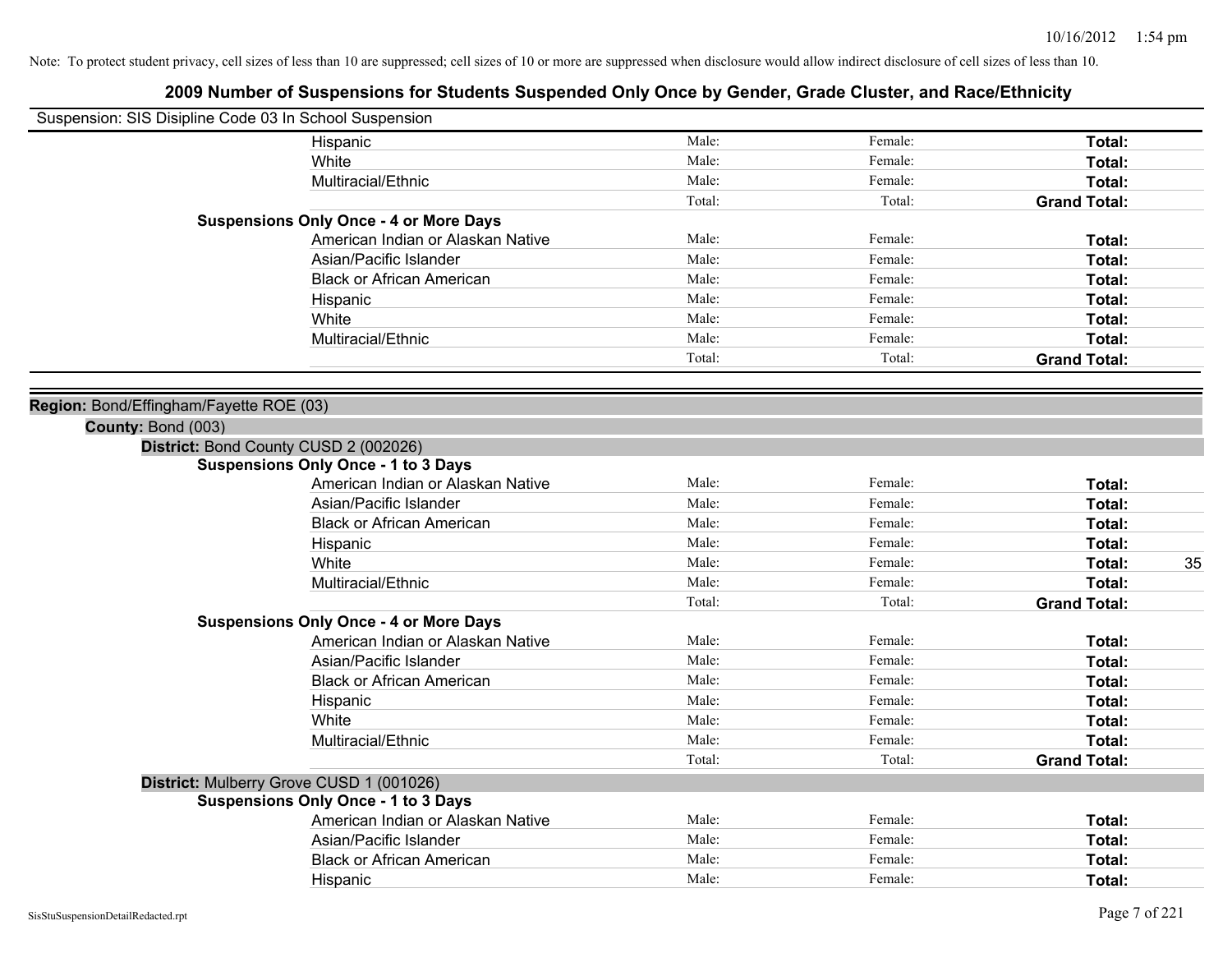|                    | Suspension: SIS Disipline Code 03 In School Suspension |        |         |                     |
|--------------------|--------------------------------------------------------|--------|---------|---------------------|
|                    | Hispanic                                               | Male:  | Female: | Total:              |
|                    | White                                                  | Male:  | Female: | Total:              |
|                    | Multiracial/Ethnic                                     | Male:  | Female: | Total:              |
|                    |                                                        | Total: | Total:  | <b>Grand Total:</b> |
|                    | <b>Suspensions Only Once - 4 or More Days</b>          |        |         |                     |
|                    | American Indian or Alaskan Native                      | Male:  | Female: | Total:              |
|                    | Asian/Pacific Islander                                 | Male:  | Female: | Total:              |
|                    | <b>Black or African American</b>                       | Male:  | Female: | Total:              |
|                    | Hispanic                                               | Male:  | Female: | Total:              |
|                    | White                                                  | Male:  | Female: | Total:              |
|                    | Multiracial/Ethnic                                     | Male:  | Female: | Total:              |
|                    |                                                        | Total: | Total:  | <b>Grand Total:</b> |
|                    |                                                        |        |         |                     |
| County: Bond (003) | Region: Bond/Effingham/Fayette ROE (03)                |        |         |                     |
|                    | District: Bond County CUSD 2 (002026)                  |        |         |                     |
|                    | <b>Suspensions Only Once - 1 to 3 Days</b>             |        |         |                     |
|                    | American Indian or Alaskan Native                      | Male:  | Female: | Total:              |
|                    | Asian/Pacific Islander                                 | Male:  | Female: | Total:              |
|                    | <b>Black or African American</b>                       | Male:  | Female: | Total:              |
|                    | Hispanic                                               | Male:  | Female: | Total:              |
|                    | White                                                  | Male:  | Female: | Total:<br>35        |
|                    | Multiracial/Ethnic                                     | Male:  | Female: | Total:              |
|                    |                                                        | Total: | Total:  | <b>Grand Total:</b> |
|                    | <b>Suspensions Only Once - 4 or More Days</b>          |        |         |                     |
|                    | American Indian or Alaskan Native                      | Male:  | Female: | Total:              |
|                    | Asian/Pacific Islander                                 | Male:  | Female: | Total:              |
|                    | <b>Black or African American</b>                       | Male:  | Female: | Total:              |
|                    | Hispanic                                               | Male:  | Female: | Total:              |
|                    | White                                                  | Male:  | Female: | Total:              |
|                    | Multiracial/Ethnic                                     | Male:  | Female: | Total:              |
|                    |                                                        | Total: | Total:  | <b>Grand Total:</b> |
|                    | District: Mulberry Grove CUSD 1 (001026)               |        |         |                     |
|                    | <b>Suspensions Only Once - 1 to 3 Days</b>             |        |         |                     |
|                    | American Indian or Alaskan Native                      | Male:  | Female: | Total:              |
|                    | Asian/Pacific Islander                                 | Male:  | Female: | Total:              |
|                    | <b>Black or African American</b>                       | Male:  | Female: | Total:              |
|                    | Hispanic                                               | Male:  | Female: | Total:              |
|                    |                                                        |        |         |                     |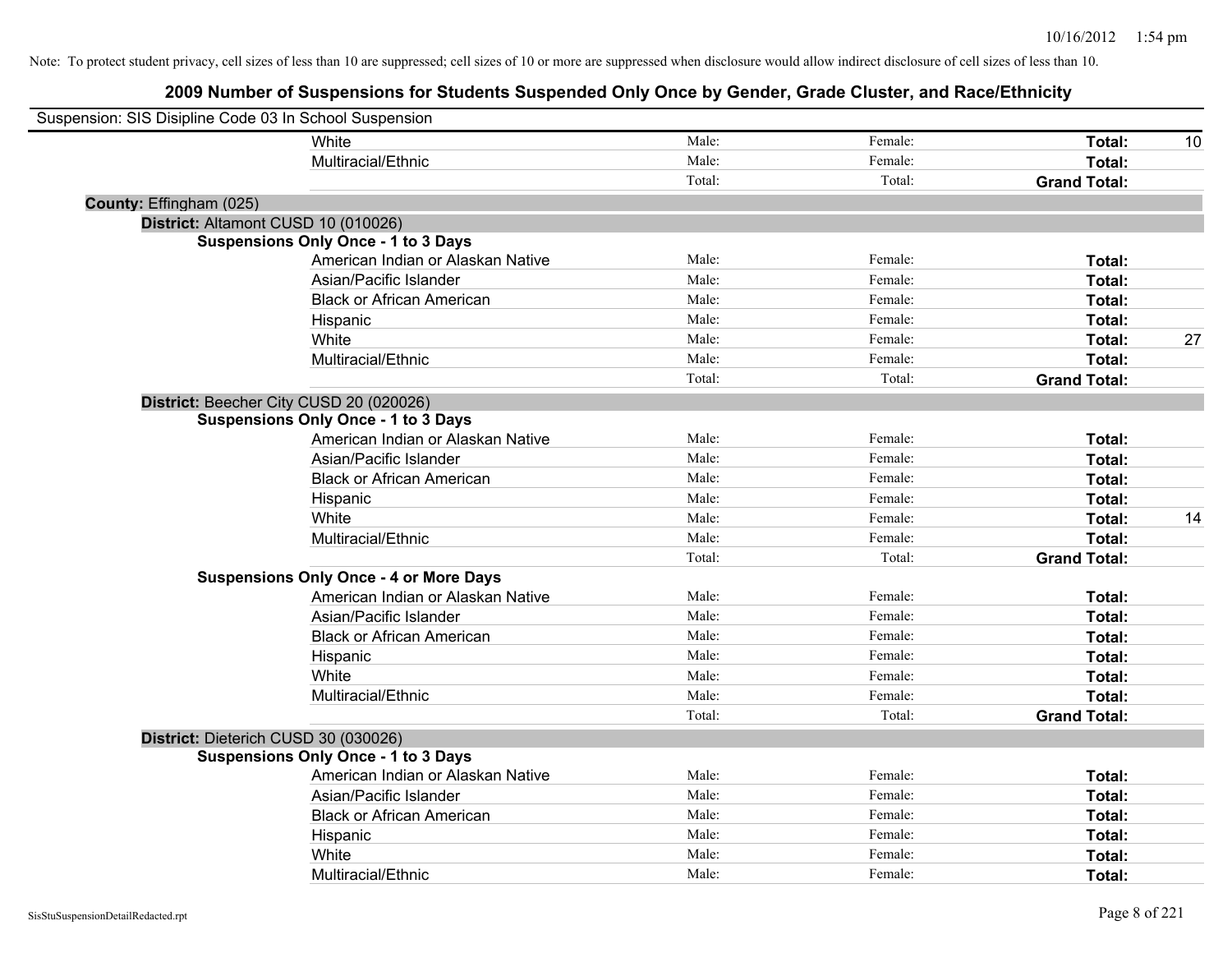| Suspension: SIS Disipline Code 03 In School Suspension |                                               |        |         |                     |    |
|--------------------------------------------------------|-----------------------------------------------|--------|---------|---------------------|----|
|                                                        | White                                         | Male:  | Female: | Total:              | 10 |
|                                                        | Multiracial/Ethnic                            | Male:  | Female: | Total:              |    |
|                                                        |                                               | Total: | Total:  | <b>Grand Total:</b> |    |
| County: Effingham (025)                                |                                               |        |         |                     |    |
| District: Altamont CUSD 10 (010026)                    |                                               |        |         |                     |    |
|                                                        | <b>Suspensions Only Once - 1 to 3 Days</b>    |        |         |                     |    |
|                                                        | American Indian or Alaskan Native             | Male:  | Female: | Total:              |    |
|                                                        | Asian/Pacific Islander                        | Male:  | Female: | Total:              |    |
|                                                        | <b>Black or African American</b>              | Male:  | Female: | Total:              |    |
|                                                        | Hispanic                                      | Male:  | Female: | Total:              |    |
|                                                        | White                                         | Male:  | Female: | Total:              | 27 |
|                                                        | Multiracial/Ethnic                            | Male:  | Female: | Total:              |    |
|                                                        |                                               | Total: | Total:  | <b>Grand Total:</b> |    |
|                                                        | District: Beecher City CUSD 20 (020026)       |        |         |                     |    |
|                                                        | <b>Suspensions Only Once - 1 to 3 Days</b>    |        |         |                     |    |
|                                                        | American Indian or Alaskan Native             | Male:  | Female: | Total:              |    |
|                                                        | Asian/Pacific Islander                        | Male:  | Female: | Total:              |    |
|                                                        | <b>Black or African American</b>              | Male:  | Female: | Total:              |    |
|                                                        | Hispanic                                      | Male:  | Female: | Total:              |    |
|                                                        | White                                         | Male:  | Female: | Total:              | 14 |
|                                                        | Multiracial/Ethnic                            | Male:  | Female: | Total:              |    |
|                                                        |                                               | Total: | Total:  | <b>Grand Total:</b> |    |
|                                                        | <b>Suspensions Only Once - 4 or More Days</b> |        |         |                     |    |
|                                                        | American Indian or Alaskan Native             | Male:  | Female: | Total:              |    |
|                                                        | Asian/Pacific Islander                        | Male:  | Female: | Total:              |    |
|                                                        | <b>Black or African American</b>              | Male:  | Female: | Total:              |    |
|                                                        | Hispanic                                      | Male:  | Female: | Total:              |    |
|                                                        | White                                         | Male:  | Female: | Total:              |    |
|                                                        | Multiracial/Ethnic                            | Male:  | Female: | Total:              |    |
|                                                        |                                               | Total: | Total:  | <b>Grand Total:</b> |    |
| District: Dieterich CUSD 30 (030026)                   |                                               |        |         |                     |    |
|                                                        | <b>Suspensions Only Once - 1 to 3 Days</b>    |        |         |                     |    |
|                                                        | American Indian or Alaskan Native             | Male:  | Female: | Total:              |    |
|                                                        | Asian/Pacific Islander                        | Male:  | Female: | Total:              |    |
|                                                        | <b>Black or African American</b>              | Male:  | Female: | Total:              |    |
|                                                        | Hispanic                                      | Male:  | Female: | Total:              |    |
|                                                        | White                                         | Male:  | Female: | Total:              |    |
|                                                        | Multiracial/Ethnic                            | Male:  | Female: | Total:              |    |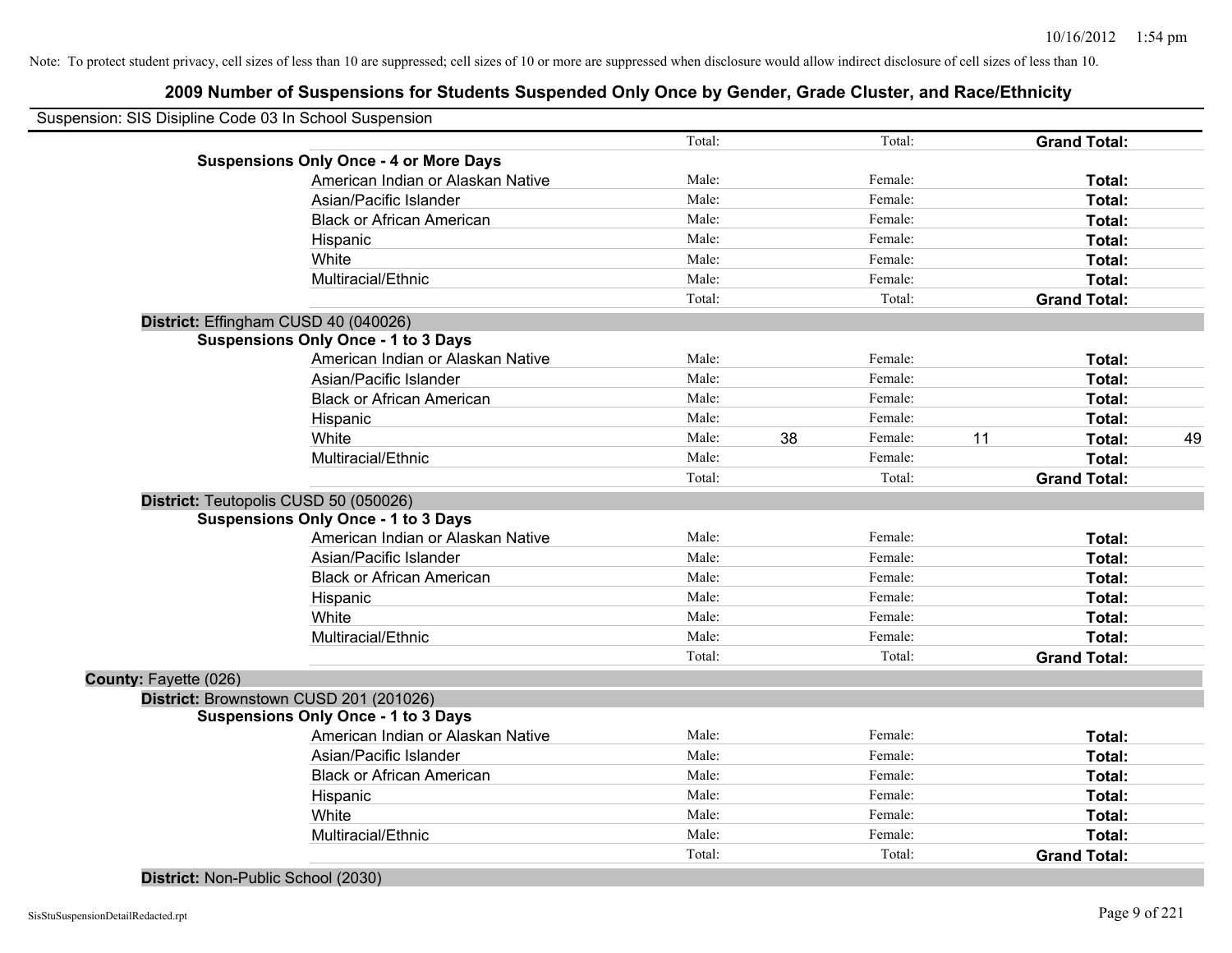|                              | Suspension: SIS Disipline Code 03 In School Suspension |        |    |         |    |                     |    |
|------------------------------|--------------------------------------------------------|--------|----|---------|----|---------------------|----|
|                              |                                                        | Total: |    | Total:  |    | <b>Grand Total:</b> |    |
|                              | <b>Suspensions Only Once - 4 or More Days</b>          |        |    |         |    |                     |    |
|                              | American Indian or Alaskan Native                      | Male:  |    | Female: |    | Total:              |    |
|                              | Asian/Pacific Islander                                 | Male:  |    | Female: |    | Total:              |    |
|                              | <b>Black or African American</b>                       | Male:  |    | Female: |    | Total:              |    |
|                              | Hispanic                                               | Male:  |    | Female: |    | Total:              |    |
|                              | White                                                  | Male:  |    | Female: |    | Total:              |    |
|                              | Multiracial/Ethnic                                     | Male:  |    | Female: |    | Total:              |    |
|                              |                                                        | Total: |    | Total:  |    | <b>Grand Total:</b> |    |
|                              | District: Effingham CUSD 40 (040026)                   |        |    |         |    |                     |    |
|                              | <b>Suspensions Only Once - 1 to 3 Days</b>             |        |    |         |    |                     |    |
|                              | American Indian or Alaskan Native                      | Male:  |    | Female: |    | Total:              |    |
|                              | Asian/Pacific Islander                                 | Male:  |    | Female: |    | Total:              |    |
|                              | <b>Black or African American</b>                       | Male:  |    | Female: |    | Total:              |    |
|                              | Hispanic                                               | Male:  |    | Female: |    | Total:              |    |
|                              | White                                                  | Male:  | 38 | Female: | 11 | Total:              | 49 |
|                              | Multiracial/Ethnic                                     | Male:  |    | Female: |    | Total:              |    |
|                              |                                                        | Total: |    | Total:  |    | <b>Grand Total:</b> |    |
|                              | District: Teutopolis CUSD 50 (050026)                  |        |    |         |    |                     |    |
|                              | <b>Suspensions Only Once - 1 to 3 Days</b>             |        |    |         |    |                     |    |
|                              | American Indian or Alaskan Native                      | Male:  |    | Female: |    | Total:              |    |
|                              | Asian/Pacific Islander                                 | Male:  |    | Female: |    | Total:              |    |
|                              | <b>Black or African American</b>                       | Male:  |    | Female: |    | Total:              |    |
|                              | Hispanic                                               | Male:  |    | Female: |    | Total:              |    |
|                              | White                                                  | Male:  |    | Female: |    | Total:              |    |
|                              | Multiracial/Ethnic                                     | Male:  |    | Female: |    | Total:              |    |
|                              |                                                        | Total: |    | Total:  |    | <b>Grand Total:</b> |    |
| <b>County: Fayette (026)</b> |                                                        |        |    |         |    |                     |    |
|                              | District: Brownstown CUSD 201 (201026)                 |        |    |         |    |                     |    |
|                              | <b>Suspensions Only Once - 1 to 3 Days</b>             |        |    |         |    |                     |    |
|                              | American Indian or Alaskan Native                      | Male:  |    | Female: |    | Total:              |    |
|                              | Asian/Pacific Islander                                 | Male:  |    | Female: |    | Total:              |    |
|                              | <b>Black or African American</b>                       | Male:  |    | Female: |    | Total:              |    |
|                              | Hispanic                                               | Male:  |    | Female: |    | Total:              |    |
|                              | White                                                  | Male:  |    | Female: |    | Total:              |    |
|                              | Multiracial/Ethnic                                     | Male:  |    | Female: |    | Total:              |    |
|                              |                                                        | Total: |    | Total:  |    | <b>Grand Total:</b> |    |
|                              | District: Non-Public School (2030)                     |        |    |         |    |                     |    |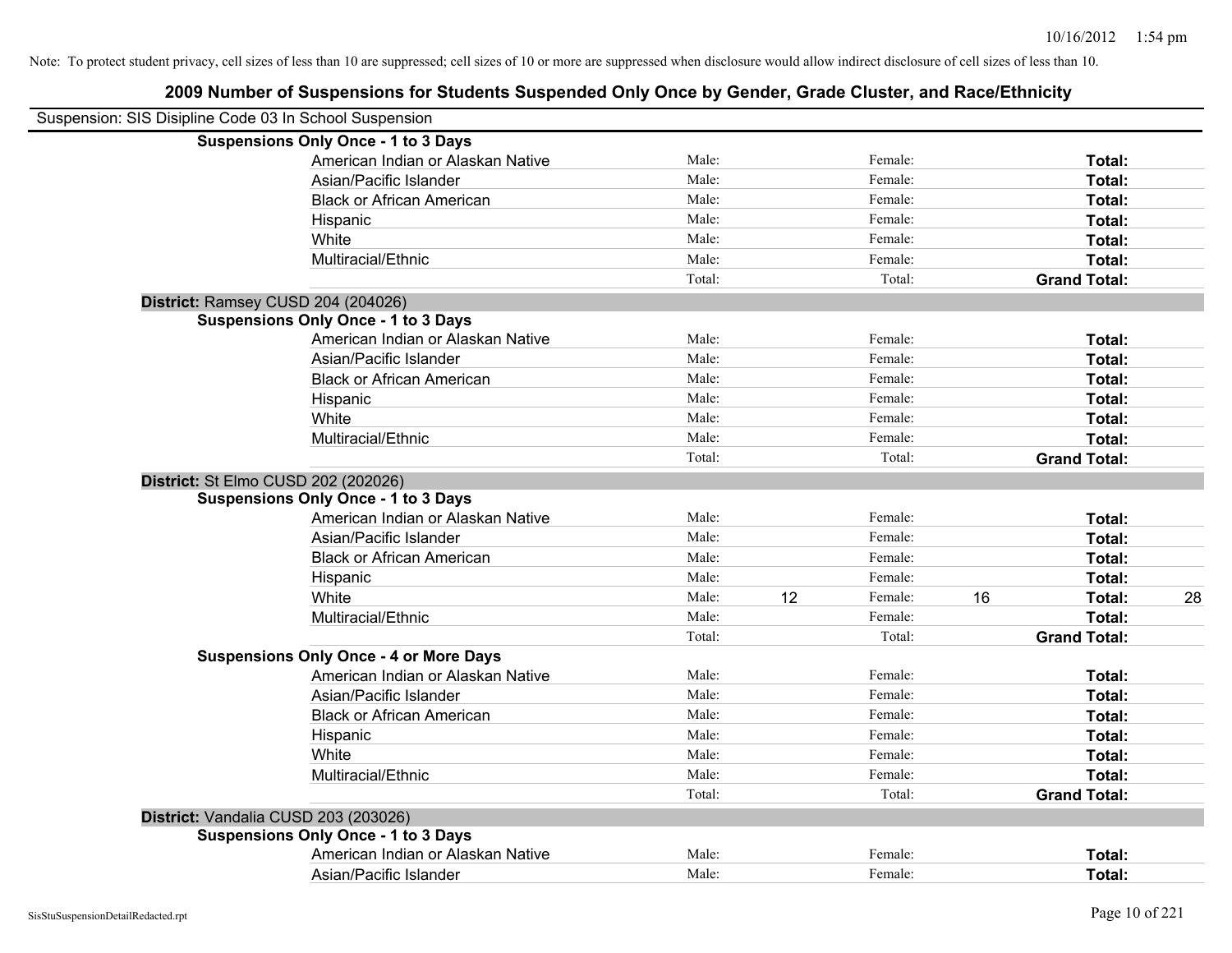| Suspension: SIS Disipline Code 03 In School Suspension |                                               |        |    |         |    |                     |    |
|--------------------------------------------------------|-----------------------------------------------|--------|----|---------|----|---------------------|----|
|                                                        | <b>Suspensions Only Once - 1 to 3 Days</b>    |        |    |         |    |                     |    |
|                                                        | American Indian or Alaskan Native             | Male:  |    | Female: |    | Total:              |    |
|                                                        | Asian/Pacific Islander                        | Male:  |    | Female: |    | Total:              |    |
|                                                        | <b>Black or African American</b>              | Male:  |    | Female: |    | Total:              |    |
|                                                        | Hispanic                                      | Male:  |    | Female: |    | Total:              |    |
|                                                        | White                                         | Male:  |    | Female: |    | Total:              |    |
|                                                        | Multiracial/Ethnic                            | Male:  |    | Female: |    | Total:              |    |
|                                                        |                                               | Total: |    | Total:  |    | <b>Grand Total:</b> |    |
|                                                        | District: Ramsey CUSD 204 (204026)            |        |    |         |    |                     |    |
|                                                        | <b>Suspensions Only Once - 1 to 3 Days</b>    |        |    |         |    |                     |    |
|                                                        | American Indian or Alaskan Native             | Male:  |    | Female: |    | Total:              |    |
|                                                        | Asian/Pacific Islander                        | Male:  |    | Female: |    | Total:              |    |
|                                                        | <b>Black or African American</b>              | Male:  |    | Female: |    | Total:              |    |
|                                                        | Hispanic                                      | Male:  |    | Female: |    | Total:              |    |
|                                                        | White                                         | Male:  |    | Female: |    | Total:              |    |
|                                                        | Multiracial/Ethnic                            | Male:  |    | Female: |    | Total:              |    |
|                                                        |                                               | Total: |    | Total:  |    | <b>Grand Total:</b> |    |
|                                                        | District: St Elmo CUSD 202 (202026)           |        |    |         |    |                     |    |
|                                                        | <b>Suspensions Only Once - 1 to 3 Days</b>    |        |    |         |    |                     |    |
|                                                        | American Indian or Alaskan Native             | Male:  |    | Female: |    | Total:              |    |
|                                                        | Asian/Pacific Islander                        | Male:  |    | Female: |    | Total:              |    |
|                                                        | <b>Black or African American</b>              | Male:  |    | Female: |    | Total:              |    |
|                                                        | Hispanic                                      | Male:  |    | Female: |    | Total:              |    |
|                                                        | White                                         | Male:  | 12 | Female: | 16 | Total:              | 28 |
|                                                        | Multiracial/Ethnic                            | Male:  |    | Female: |    | Total:              |    |
|                                                        |                                               | Total: |    | Total:  |    | <b>Grand Total:</b> |    |
|                                                        | <b>Suspensions Only Once - 4 or More Days</b> |        |    |         |    |                     |    |
|                                                        | American Indian or Alaskan Native             | Male:  |    | Female: |    | Total:              |    |
|                                                        | Asian/Pacific Islander                        | Male:  |    | Female: |    | Total:              |    |
|                                                        | <b>Black or African American</b>              | Male:  |    | Female: |    | Total:              |    |
|                                                        | Hispanic                                      | Male:  |    | Female: |    | Total:              |    |
|                                                        | White                                         | Male:  |    | Female: |    | Total:              |    |
|                                                        | Multiracial/Ethnic                            | Male:  |    | Female: |    | Total:              |    |
|                                                        |                                               | Total: |    | Total:  |    | <b>Grand Total:</b> |    |
|                                                        | District: Vandalia CUSD 203 (203026)          |        |    |         |    |                     |    |
|                                                        | <b>Suspensions Only Once - 1 to 3 Days</b>    |        |    |         |    |                     |    |
|                                                        | American Indian or Alaskan Native             | Male:  |    | Female: |    | Total:              |    |
|                                                        | Asian/Pacific Islander                        | Male:  |    | Female: |    | Total:              |    |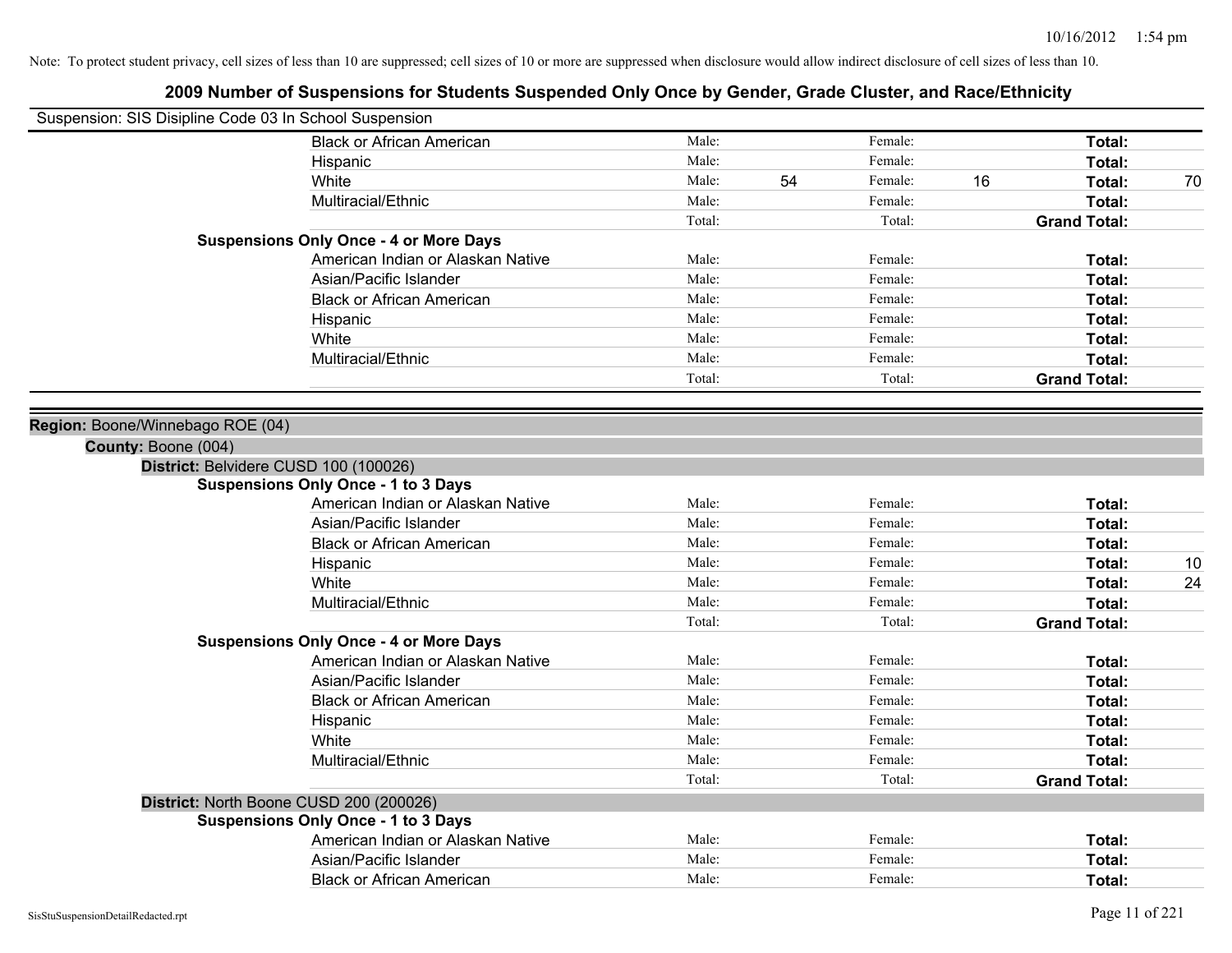| Suspension: SIS Disipline Code 03 In School Suspension |                                               |        |    |         |    |                     |    |
|--------------------------------------------------------|-----------------------------------------------|--------|----|---------|----|---------------------|----|
|                                                        | <b>Black or African American</b>              | Male:  |    | Female: |    | Total:              |    |
|                                                        | Hispanic                                      | Male:  |    | Female: |    | Total:              |    |
|                                                        | White                                         | Male:  | 54 | Female: | 16 | Total:              | 70 |
|                                                        | Multiracial/Ethnic                            | Male:  |    | Female: |    | <b>Total:</b>       |    |
|                                                        |                                               | Total: |    | Total:  |    | <b>Grand Total:</b> |    |
|                                                        | <b>Suspensions Only Once - 4 or More Days</b> |        |    |         |    |                     |    |
|                                                        | American Indian or Alaskan Native             | Male:  |    | Female: |    | Total:              |    |
|                                                        | Asian/Pacific Islander                        | Male:  |    | Female: |    | Total:              |    |
|                                                        | <b>Black or African American</b>              | Male:  |    | Female: |    | Total:              |    |
|                                                        | Hispanic                                      | Male:  |    | Female: |    | Total:              |    |
|                                                        | White                                         | Male:  |    | Female: |    | Total:              |    |
|                                                        | Multiracial/Ethnic                            | Male:  |    | Female: |    | Total:              |    |
|                                                        |                                               | Total: |    | Total:  |    | <b>Grand Total:</b> |    |
|                                                        |                                               |        |    |         |    |                     |    |
| Region: Boone/Winnebago ROE (04)                       |                                               |        |    |         |    |                     |    |
| County: Boone (004)                                    |                                               |        |    |         |    |                     |    |
|                                                        | District: Belvidere CUSD 100 (100026)         |        |    |         |    |                     |    |
|                                                        | <b>Suspensions Only Once - 1 to 3 Days</b>    |        |    |         |    |                     |    |
|                                                        | American Indian or Alaskan Native             | Male:  |    | Female: |    | Total:              |    |
|                                                        | Asian/Pacific Islander                        | Male:  |    | Female: |    | Total:              |    |
|                                                        | <b>Black or African American</b>              | Male:  |    | Female: |    | Total:              |    |
|                                                        | Hispanic                                      | Male:  |    | Female: |    | Total:              | 10 |
|                                                        | White                                         | Male:  |    | Female: |    | Total:              | 24 |
|                                                        | Multiracial/Ethnic                            | Male:  |    | Female: |    | Total:              |    |
|                                                        |                                               | Total: |    | Total:  |    | <b>Grand Total:</b> |    |
|                                                        | <b>Suspensions Only Once - 4 or More Days</b> |        |    |         |    |                     |    |
|                                                        | American Indian or Alaskan Native             | Male:  |    | Female: |    | Total:              |    |
|                                                        | Asian/Pacific Islander                        | Male:  |    | Female: |    | Total:              |    |
|                                                        | <b>Black or African American</b>              | Male:  |    | Female: |    | Total:              |    |
|                                                        | Hispanic                                      | Male:  |    | Female: |    | Total:              |    |
|                                                        | White                                         | Male:  |    | Female: |    | Total:              |    |
|                                                        | Multiracial/Ethnic                            | Male:  |    | Female: |    | Total:              |    |
|                                                        |                                               | Total: |    | Total:  |    | <b>Grand Total:</b> |    |
|                                                        | District: North Boone CUSD 200 (200026)       |        |    |         |    |                     |    |
|                                                        | <b>Suspensions Only Once - 1 to 3 Days</b>    |        |    |         |    |                     |    |
|                                                        | American Indian or Alaskan Native             | Male:  |    | Female: |    | Total:              |    |
|                                                        | Asian/Pacific Islander                        | Male:  |    | Female: |    | Total:              |    |
|                                                        | <b>Black or African American</b>              | Male:  |    | Female: |    | Total:              |    |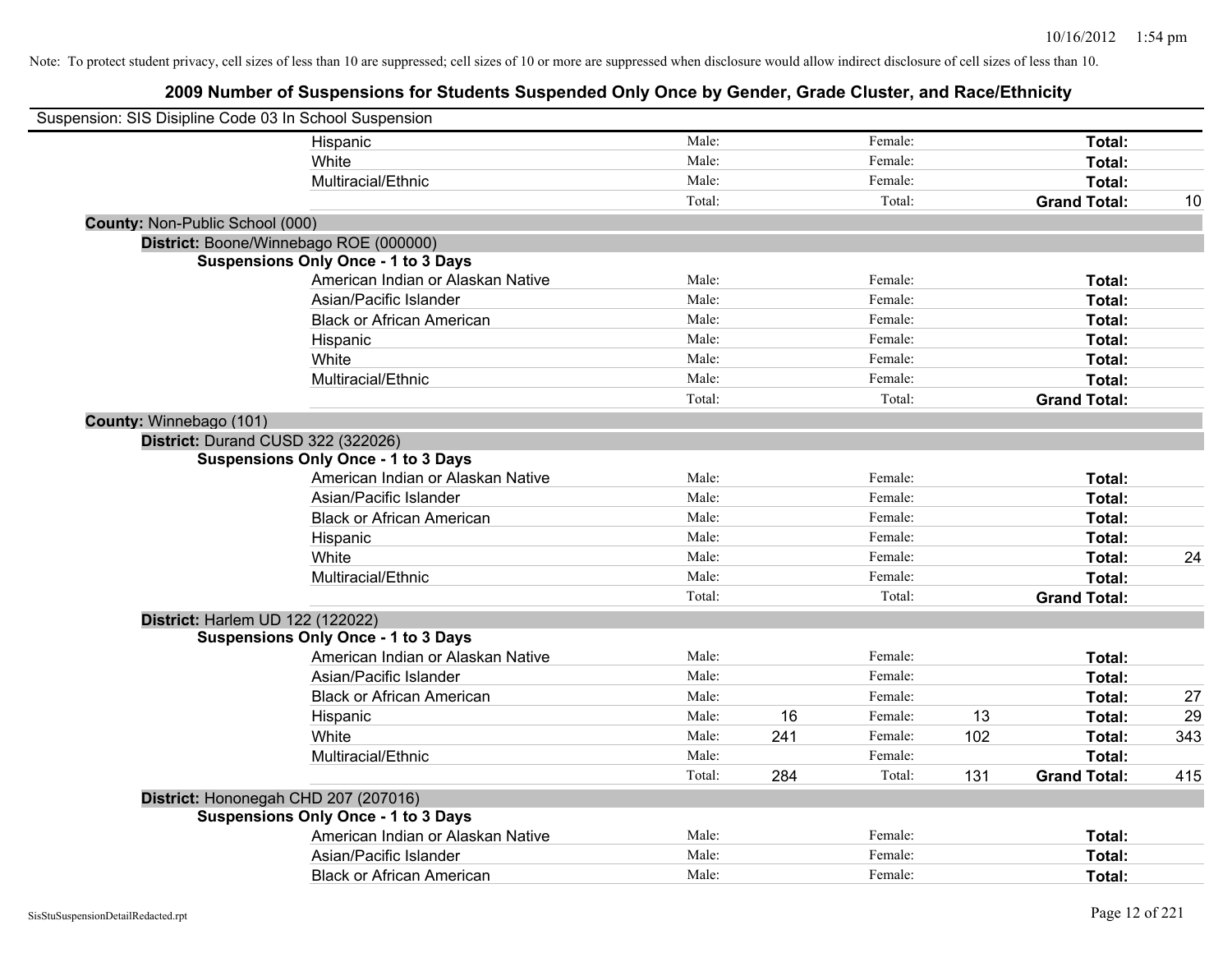| Suspension: SIS Disipline Code 03 In School Suspension |                                            |        |     |         |     |                     |     |
|--------------------------------------------------------|--------------------------------------------|--------|-----|---------|-----|---------------------|-----|
|                                                        | Hispanic                                   | Male:  |     | Female: |     | Total:              |     |
|                                                        | White                                      | Male:  |     | Female: |     | Total:              |     |
|                                                        | Multiracial/Ethnic                         | Male:  |     | Female: |     | Total:              |     |
|                                                        |                                            | Total: |     | Total:  |     | <b>Grand Total:</b> | 10  |
| County: Non-Public School (000)                        |                                            |        |     |         |     |                     |     |
|                                                        | District: Boone/Winnebago ROE (000000)     |        |     |         |     |                     |     |
|                                                        | <b>Suspensions Only Once - 1 to 3 Days</b> |        |     |         |     |                     |     |
|                                                        | American Indian or Alaskan Native          | Male:  |     | Female: |     | Total:              |     |
|                                                        | Asian/Pacific Islander                     | Male:  |     | Female: |     | Total:              |     |
|                                                        | <b>Black or African American</b>           | Male:  |     | Female: |     | Total:              |     |
|                                                        | Hispanic                                   | Male:  |     | Female: |     | Total:              |     |
|                                                        | White                                      | Male:  |     | Female: |     | Total:              |     |
|                                                        | Multiracial/Ethnic                         | Male:  |     | Female: |     | Total:              |     |
|                                                        |                                            | Total: |     | Total:  |     | <b>Grand Total:</b> |     |
| County: Winnebago (101)                                |                                            |        |     |         |     |                     |     |
|                                                        | District: Durand CUSD 322 (322026)         |        |     |         |     |                     |     |
|                                                        | <b>Suspensions Only Once - 1 to 3 Days</b> |        |     |         |     |                     |     |
|                                                        | American Indian or Alaskan Native          | Male:  |     | Female: |     | Total:              |     |
|                                                        | Asian/Pacific Islander                     | Male:  |     | Female: |     | Total:              |     |
|                                                        | <b>Black or African American</b>           | Male:  |     | Female: |     | Total:              |     |
|                                                        | Hispanic                                   | Male:  |     | Female: |     | Total:              |     |
|                                                        | White                                      | Male:  |     | Female: |     | Total:              | 24  |
|                                                        | Multiracial/Ethnic                         | Male:  |     | Female: |     | Total:              |     |
|                                                        |                                            | Total: |     | Total:  |     | <b>Grand Total:</b> |     |
|                                                        | District: Harlem UD 122 (122022)           |        |     |         |     |                     |     |
|                                                        | <b>Suspensions Only Once - 1 to 3 Days</b> |        |     |         |     |                     |     |
|                                                        | American Indian or Alaskan Native          | Male:  |     | Female: |     | Total:              |     |
|                                                        | Asian/Pacific Islander                     | Male:  |     | Female: |     | Total:              |     |
|                                                        | <b>Black or African American</b>           | Male:  |     | Female: |     | Total:              | 27  |
|                                                        | Hispanic                                   | Male:  | 16  | Female: | 13  | Total:              | 29  |
|                                                        | White                                      | Male:  | 241 | Female: | 102 | Total:              | 343 |
|                                                        | Multiracial/Ethnic                         | Male:  |     | Female: |     | Total:              |     |
|                                                        |                                            | Total: | 284 | Total:  | 131 | <b>Grand Total:</b> | 415 |
|                                                        | District: Hononegah CHD 207 (207016)       |        |     |         |     |                     |     |
|                                                        | <b>Suspensions Only Once - 1 to 3 Days</b> |        |     |         |     |                     |     |
|                                                        | American Indian or Alaskan Native          | Male:  |     | Female: |     | Total:              |     |
|                                                        | Asian/Pacific Islander                     | Male:  |     | Female: |     | Total:              |     |
|                                                        | <b>Black or African American</b>           | Male:  |     | Female: |     | Total:              |     |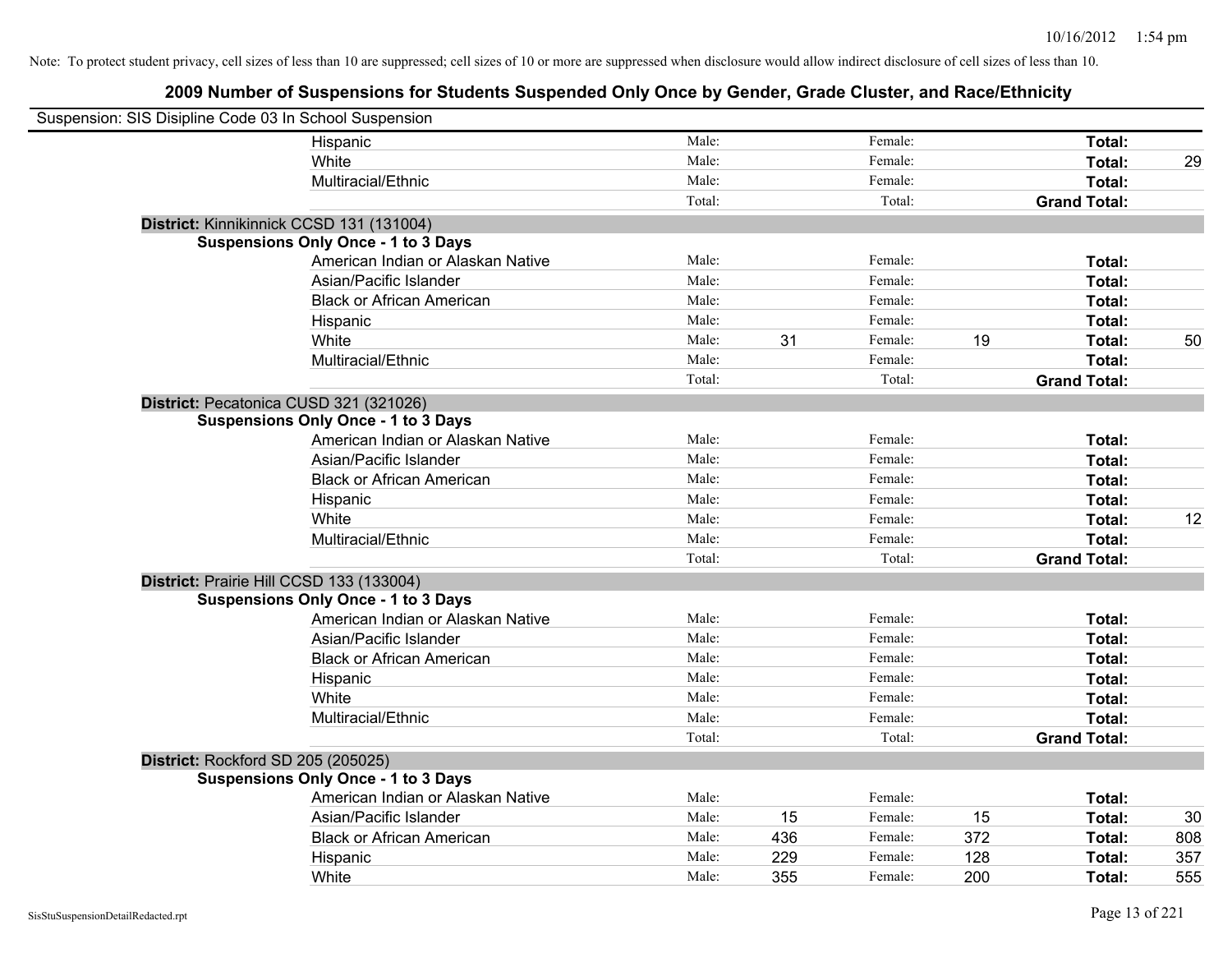| Suspension: SIS Disipline Code 03 In School Suspension |                                            |        |     |         |     |                     |     |
|--------------------------------------------------------|--------------------------------------------|--------|-----|---------|-----|---------------------|-----|
|                                                        | Hispanic                                   | Male:  |     | Female: |     | Total:              |     |
|                                                        | White                                      | Male:  |     | Female: |     | Total:              | 29  |
|                                                        | Multiracial/Ethnic                         | Male:  |     | Female: |     | Total:              |     |
|                                                        |                                            | Total: |     | Total:  |     | <b>Grand Total:</b> |     |
| District: Kinnikinnick CCSD 131 (131004)               |                                            |        |     |         |     |                     |     |
|                                                        | <b>Suspensions Only Once - 1 to 3 Days</b> |        |     |         |     |                     |     |
|                                                        | American Indian or Alaskan Native          | Male:  |     | Female: |     | Total:              |     |
|                                                        | Asian/Pacific Islander                     | Male:  |     | Female: |     | Total:              |     |
|                                                        | <b>Black or African American</b>           | Male:  |     | Female: |     | Total:              |     |
|                                                        | Hispanic                                   | Male:  |     | Female: |     | Total:              |     |
|                                                        | White                                      | Male:  | 31  | Female: | 19  | Total:              | 50  |
|                                                        | Multiracial/Ethnic                         | Male:  |     | Female: |     | Total:              |     |
|                                                        |                                            | Total: |     | Total:  |     | <b>Grand Total:</b> |     |
| District: Pecatonica CUSD 321 (321026)                 |                                            |        |     |         |     |                     |     |
|                                                        | <b>Suspensions Only Once - 1 to 3 Days</b> |        |     |         |     |                     |     |
|                                                        | American Indian or Alaskan Native          | Male:  |     | Female: |     | Total:              |     |
|                                                        | Asian/Pacific Islander                     | Male:  |     | Female: |     | Total:              |     |
|                                                        | <b>Black or African American</b>           | Male:  |     | Female: |     | Total:              |     |
|                                                        | Hispanic                                   | Male:  |     | Female: |     | Total:              |     |
|                                                        | White                                      | Male:  |     | Female: |     | Total:              | 12  |
|                                                        | Multiracial/Ethnic                         | Male:  |     | Female: |     | Total:              |     |
|                                                        |                                            | Total: |     | Total:  |     | <b>Grand Total:</b> |     |
| District: Prairie Hill CCSD 133 (133004)               |                                            |        |     |         |     |                     |     |
|                                                        | <b>Suspensions Only Once - 1 to 3 Days</b> |        |     |         |     |                     |     |
|                                                        | American Indian or Alaskan Native          | Male:  |     | Female: |     | Total:              |     |
|                                                        | Asian/Pacific Islander                     | Male:  |     | Female: |     | Total:              |     |
|                                                        | <b>Black or African American</b>           | Male:  |     | Female: |     | Total:              |     |
|                                                        | Hispanic                                   | Male:  |     | Female: |     | Total:              |     |
|                                                        | White                                      | Male:  |     | Female: |     | Total:              |     |
|                                                        | Multiracial/Ethnic                         | Male:  |     | Female: |     | Total:              |     |
|                                                        |                                            | Total: |     | Total:  |     | <b>Grand Total:</b> |     |
| District: Rockford SD 205 (205025)                     |                                            |        |     |         |     |                     |     |
|                                                        | <b>Suspensions Only Once - 1 to 3 Days</b> |        |     |         |     |                     |     |
|                                                        | American Indian or Alaskan Native          | Male:  |     | Female: |     | Total:              |     |
|                                                        | Asian/Pacific Islander                     | Male:  | 15  | Female: | 15  | Total:              | 30  |
|                                                        | <b>Black or African American</b>           | Male:  | 436 | Female: | 372 | Total:              | 808 |
|                                                        | Hispanic                                   | Male:  | 229 | Female: | 128 | Total:              | 357 |
|                                                        | White                                      | Male:  | 355 | Female: | 200 | Total:              | 555 |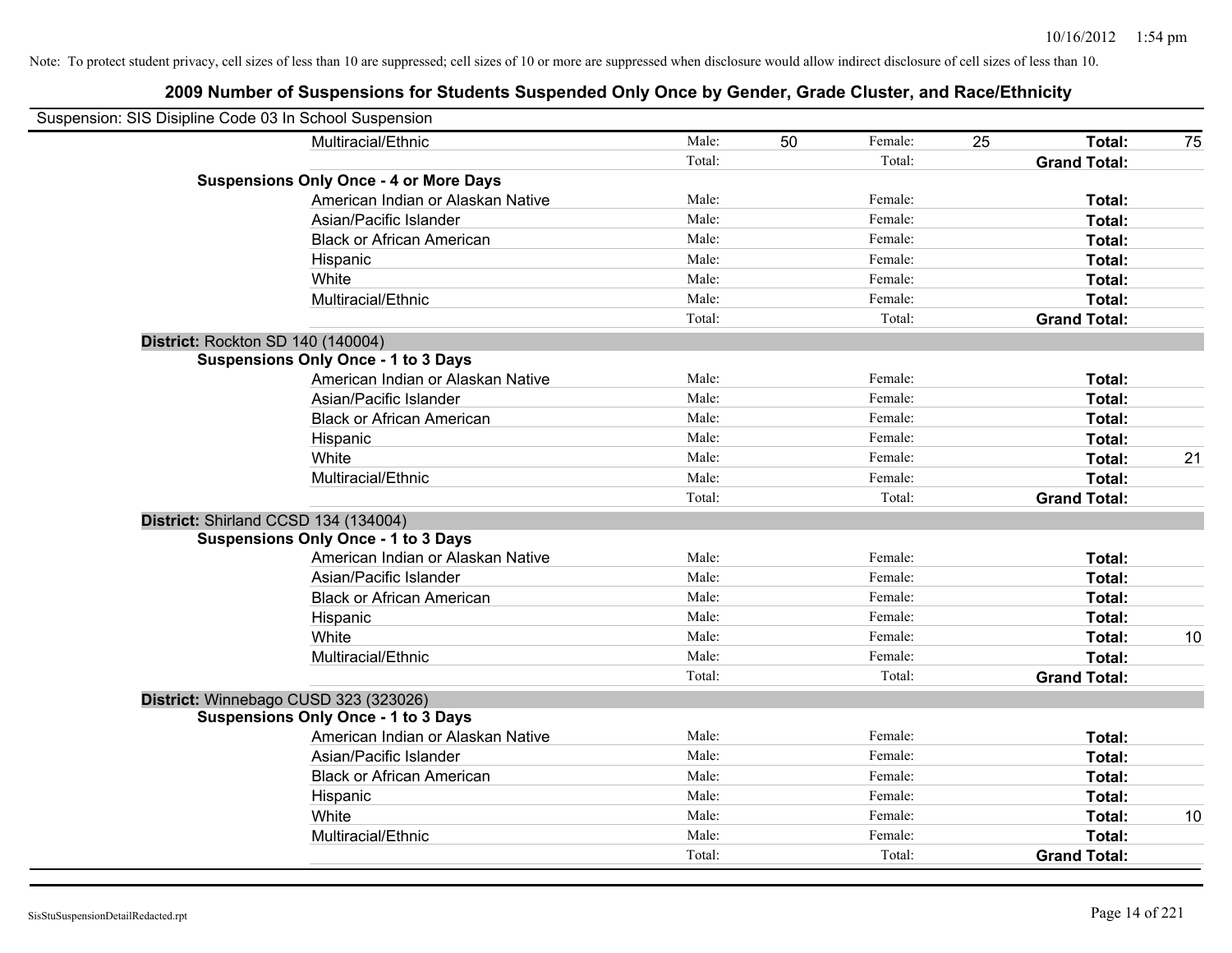| Suspension: SIS Disipline Code 03 In School Suspension |                                               |        |    |         |    |                     |    |
|--------------------------------------------------------|-----------------------------------------------|--------|----|---------|----|---------------------|----|
|                                                        | Multiracial/Ethnic                            | Male:  | 50 | Female: | 25 | Total:              | 75 |
|                                                        |                                               | Total: |    | Total:  |    | <b>Grand Total:</b> |    |
|                                                        | <b>Suspensions Only Once - 4 or More Days</b> |        |    |         |    |                     |    |
|                                                        | American Indian or Alaskan Native             | Male:  |    | Female: |    | Total:              |    |
|                                                        | Asian/Pacific Islander                        | Male:  |    | Female: |    | Total:              |    |
|                                                        | <b>Black or African American</b>              | Male:  |    | Female: |    | Total:              |    |
|                                                        | Hispanic                                      | Male:  |    | Female: |    | Total:              |    |
|                                                        | White                                         | Male:  |    | Female: |    | Total:              |    |
|                                                        | Multiracial/Ethnic                            | Male:  |    | Female: |    | Total:              |    |
|                                                        |                                               | Total: |    | Total:  |    | <b>Grand Total:</b> |    |
| District: Rockton SD 140 (140004)                      |                                               |        |    |         |    |                     |    |
|                                                        | <b>Suspensions Only Once - 1 to 3 Days</b>    |        |    |         |    |                     |    |
|                                                        | American Indian or Alaskan Native             | Male:  |    | Female: |    | Total:              |    |
|                                                        | Asian/Pacific Islander                        | Male:  |    | Female: |    | Total:              |    |
|                                                        | <b>Black or African American</b>              | Male:  |    | Female: |    | Total:              |    |
|                                                        | Hispanic                                      | Male:  |    | Female: |    | Total:              |    |
|                                                        | White                                         | Male:  |    | Female: |    | Total:              | 21 |
|                                                        | Multiracial/Ethnic                            | Male:  |    | Female: |    | Total:              |    |
|                                                        |                                               | Total: |    | Total:  |    | <b>Grand Total:</b> |    |
| District: Shirland CCSD 134 (134004)                   |                                               |        |    |         |    |                     |    |
|                                                        | <b>Suspensions Only Once - 1 to 3 Days</b>    |        |    |         |    |                     |    |
|                                                        | American Indian or Alaskan Native             | Male:  |    | Female: |    | Total:              |    |
|                                                        | Asian/Pacific Islander                        | Male:  |    | Female: |    | Total:              |    |
|                                                        | <b>Black or African American</b>              | Male:  |    | Female: |    | Total:              |    |
|                                                        | Hispanic                                      | Male:  |    | Female: |    | Total:              |    |
|                                                        | White                                         | Male:  |    | Female: |    | Total:              | 10 |
|                                                        | Multiracial/Ethnic                            | Male:  |    | Female: |    | Total:              |    |
|                                                        |                                               | Total: |    | Total:  |    | <b>Grand Total:</b> |    |
| District: Winnebago CUSD 323 (323026)                  |                                               |        |    |         |    |                     |    |
|                                                        | <b>Suspensions Only Once - 1 to 3 Days</b>    |        |    |         |    |                     |    |
|                                                        | American Indian or Alaskan Native             | Male:  |    | Female: |    | Total:              |    |
|                                                        | Asian/Pacific Islander                        | Male:  |    | Female: |    | Total:              |    |
|                                                        | <b>Black or African American</b>              | Male:  |    | Female: |    | Total:              |    |
|                                                        | Hispanic                                      | Male:  |    | Female: |    | Total:              |    |
|                                                        | White                                         | Male:  |    | Female: |    | Total:              | 10 |
|                                                        | Multiracial/Ethnic                            | Male:  |    | Female: |    | Total:              |    |
|                                                        |                                               | Total: |    | Total:  |    | <b>Grand Total:</b> |    |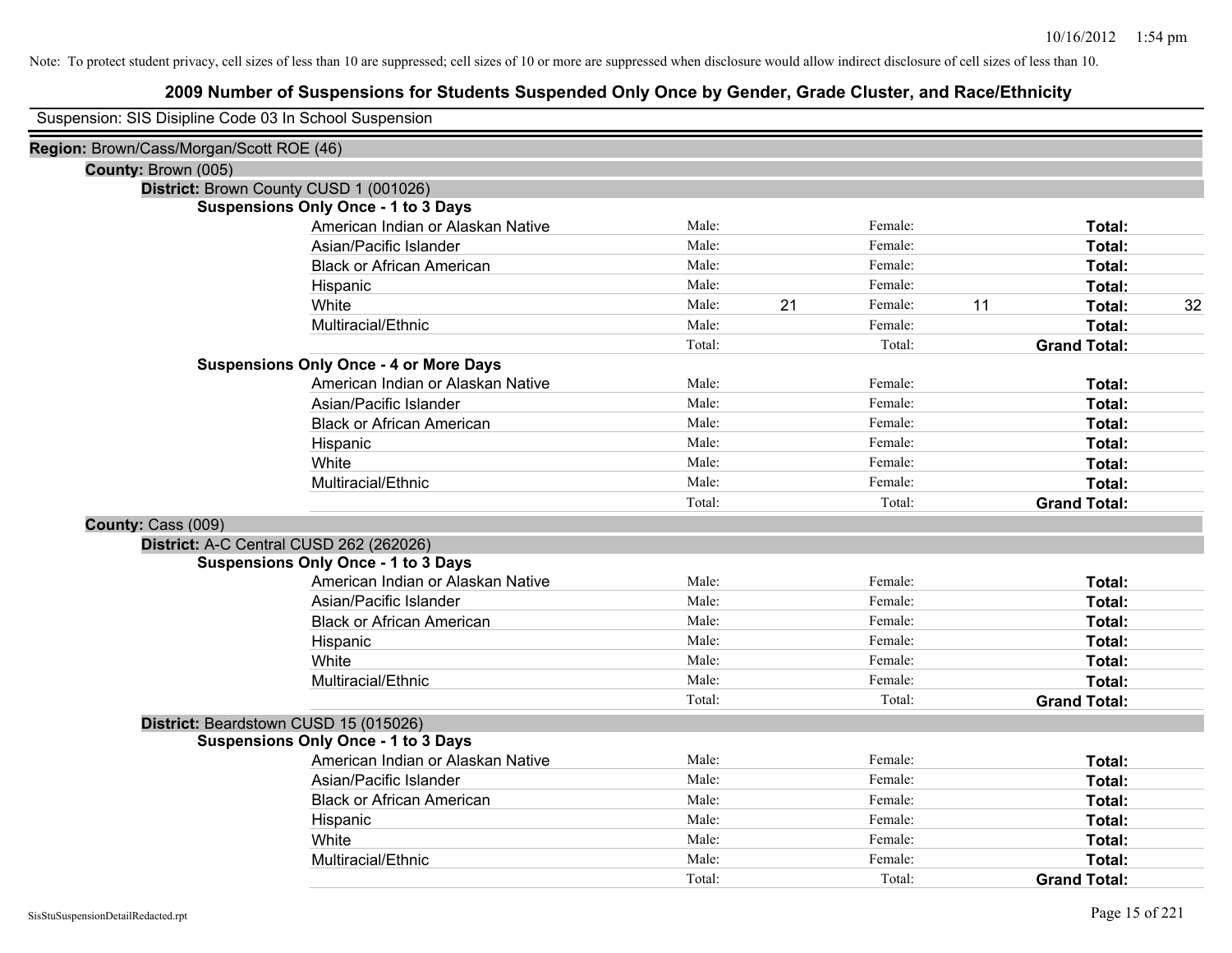# **2009 Number of Suspensions for Students Suspended Only Once by Gender, Grade Cluster, and Race/Ethnicity**

Suspension: SIS Disipline Code 03 In School Suspension

| Region: Brown/Cass/Morgan/Scott ROE (46)      |                                   |        |    |         |    |                     |    |
|-----------------------------------------------|-----------------------------------|--------|----|---------|----|---------------------|----|
| County: Brown (005)                           |                                   |        |    |         |    |                     |    |
| District: Brown County CUSD 1 (001026)        |                                   |        |    |         |    |                     |    |
| <b>Suspensions Only Once - 1 to 3 Days</b>    |                                   |        |    |         |    |                     |    |
|                                               | American Indian or Alaskan Native | Male:  |    | Female: |    | Total:              |    |
|                                               | Asian/Pacific Islander            | Male:  |    | Female: |    | Total:              |    |
|                                               | <b>Black or African American</b>  | Male:  |    | Female: |    | Total:              |    |
| Hispanic                                      |                                   | Male:  |    | Female: |    | Total:              |    |
| White                                         |                                   | Male:  | 21 | Female: | 11 | Total:              | 32 |
|                                               | Multiracial/Ethnic                | Male:  |    | Female: |    | Total:              |    |
|                                               |                                   | Total: |    | Total:  |    | <b>Grand Total:</b> |    |
| <b>Suspensions Only Once - 4 or More Days</b> |                                   |        |    |         |    |                     |    |
|                                               | American Indian or Alaskan Native | Male:  |    | Female: |    | Total:              |    |
|                                               | Asian/Pacific Islander            | Male:  |    | Female: |    | Total:              |    |
|                                               | <b>Black or African American</b>  | Male:  |    | Female: |    | Total:              |    |
| Hispanic                                      |                                   | Male:  |    | Female: |    | Total:              |    |
| White                                         |                                   | Male:  |    | Female: |    | Total:              |    |
|                                               | Multiracial/Ethnic                | Male:  |    | Female: |    | Total:              |    |
|                                               |                                   | Total: |    | Total:  |    | <b>Grand Total:</b> |    |
| County: Cass (009)                            |                                   |        |    |         |    |                     |    |
| District: A-C Central CUSD 262 (262026)       |                                   |        |    |         |    |                     |    |
| <b>Suspensions Only Once - 1 to 3 Days</b>    |                                   |        |    |         |    |                     |    |
|                                               | American Indian or Alaskan Native | Male:  |    | Female: |    | Total:              |    |
|                                               | Asian/Pacific Islander            | Male:  |    | Female: |    | Total:              |    |
|                                               | <b>Black or African American</b>  | Male:  |    | Female: |    | Total:              |    |
| Hispanic                                      |                                   | Male:  |    | Female: |    | Total:              |    |
| White                                         |                                   | Male:  |    | Female: |    | Total:              |    |
|                                               | Multiracial/Ethnic                | Male:  |    | Female: |    | Total:              |    |
|                                               |                                   | Total: |    | Total:  |    | <b>Grand Total:</b> |    |
| District: Beardstown CUSD 15 (015026)         |                                   |        |    |         |    |                     |    |
| <b>Suspensions Only Once - 1 to 3 Days</b>    |                                   |        |    |         |    |                     |    |
|                                               | American Indian or Alaskan Native | Male:  |    | Female: |    | Total:              |    |
|                                               | Asian/Pacific Islander            | Male:  |    | Female: |    | Total:              |    |
|                                               | <b>Black or African American</b>  | Male:  |    | Female: |    | Total:              |    |
| Hispanic                                      |                                   | Male:  |    | Female: |    | Total:              |    |
| White                                         |                                   | Male:  |    | Female: |    | Total:              |    |
|                                               | Multiracial/Ethnic                | Male:  |    | Female: |    | Total:              |    |
|                                               |                                   | Total: |    | Total:  |    | <b>Grand Total:</b> |    |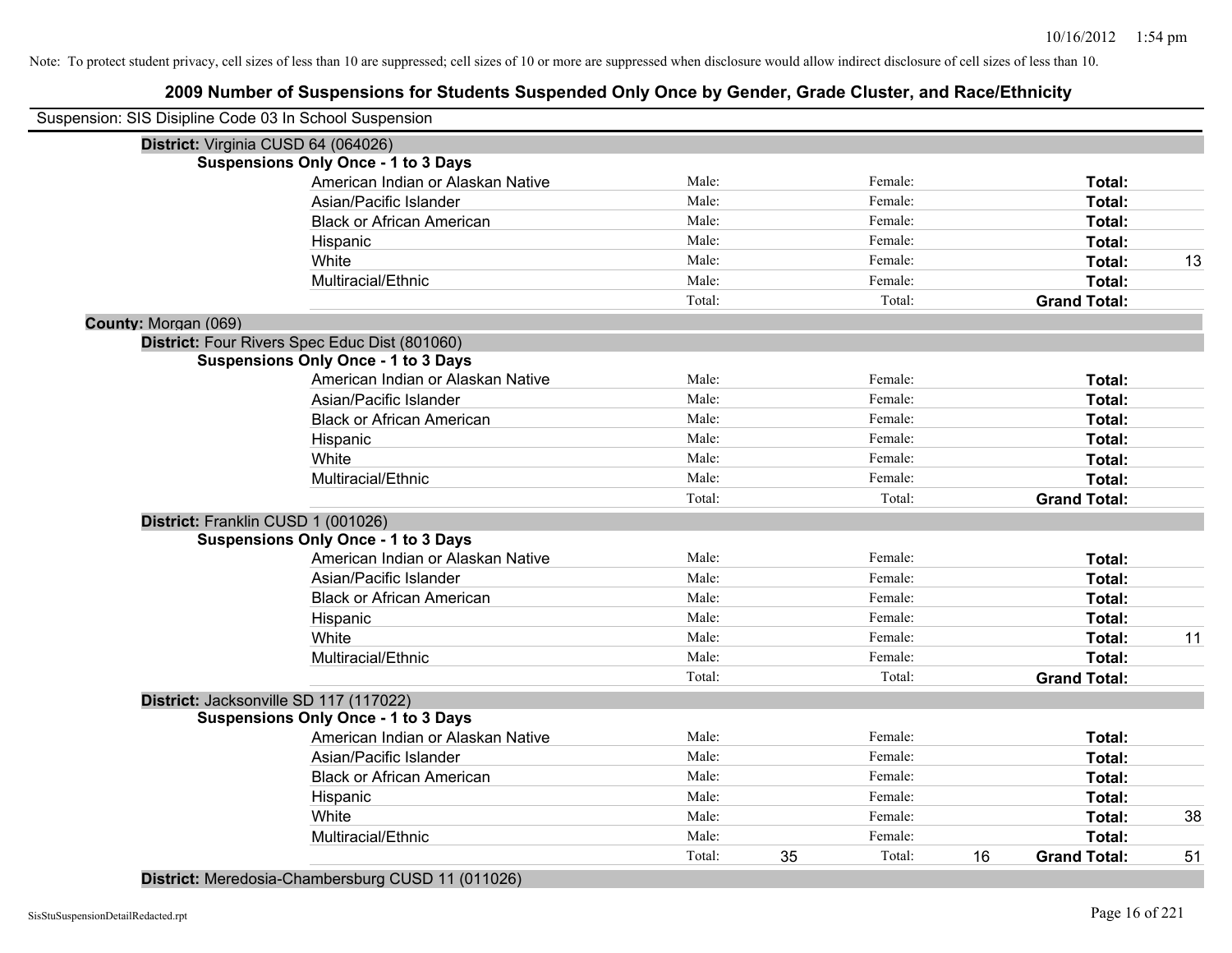# **2009 Number of Suspensions for Students Suspended Only Once by Gender, Grade Cluster, and Race/Ethnicity**

| Suspension: SIS Disipline Code 03 In School Suspension |                                               |        |    |         |    |                     |    |
|--------------------------------------------------------|-----------------------------------------------|--------|----|---------|----|---------------------|----|
|                                                        | District: Virginia CUSD 64 (064026)           |        |    |         |    |                     |    |
|                                                        | <b>Suspensions Only Once - 1 to 3 Days</b>    |        |    |         |    |                     |    |
|                                                        | American Indian or Alaskan Native             | Male:  |    | Female: |    | Total:              |    |
|                                                        | Asian/Pacific Islander                        | Male:  |    | Female: |    | Total:              |    |
|                                                        | <b>Black or African American</b>              | Male:  |    | Female: |    | Total:              |    |
|                                                        | Hispanic                                      | Male:  |    | Female: |    | Total:              |    |
|                                                        | White                                         | Male:  |    | Female: |    | Total:              | 13 |
|                                                        | Multiracial/Ethnic                            | Male:  |    | Female: |    | Total:              |    |
|                                                        |                                               | Total: |    | Total:  |    | <b>Grand Total:</b> |    |
| County: Morgan (069)                                   |                                               |        |    |         |    |                     |    |
|                                                        | District: Four Rivers Spec Educ Dist (801060) |        |    |         |    |                     |    |
|                                                        | <b>Suspensions Only Once - 1 to 3 Days</b>    |        |    |         |    |                     |    |
|                                                        | American Indian or Alaskan Native             | Male:  |    | Female: |    | Total:              |    |
|                                                        | Asian/Pacific Islander                        | Male:  |    | Female: |    | Total:              |    |
|                                                        | <b>Black or African American</b>              | Male:  |    | Female: |    | Total:              |    |
|                                                        | Hispanic                                      | Male:  |    | Female: |    | Total:              |    |
|                                                        | White                                         | Male:  |    | Female: |    | Total:              |    |
|                                                        | Multiracial/Ethnic                            | Male:  |    | Female: |    | Total:              |    |
|                                                        |                                               | Total: |    | Total:  |    | <b>Grand Total:</b> |    |
|                                                        | District: Franklin CUSD 1 (001026)            |        |    |         |    |                     |    |
|                                                        | <b>Suspensions Only Once - 1 to 3 Days</b>    |        |    |         |    |                     |    |
|                                                        | American Indian or Alaskan Native             | Male:  |    | Female: |    | Total:              |    |
|                                                        | Asian/Pacific Islander                        | Male:  |    | Female: |    | Total:              |    |
|                                                        | <b>Black or African American</b>              | Male:  |    | Female: |    | Total:              |    |
|                                                        | Hispanic                                      | Male:  |    | Female: |    | <b>Total:</b>       |    |
|                                                        | White                                         | Male:  |    | Female: |    | Total:              | 11 |
|                                                        | Multiracial/Ethnic                            | Male:  |    | Female: |    | Total:              |    |
|                                                        |                                               | Total: |    | Total:  |    | <b>Grand Total:</b> |    |
|                                                        | District: Jacksonville SD 117 (117022)        |        |    |         |    |                     |    |
|                                                        | <b>Suspensions Only Once - 1 to 3 Days</b>    |        |    |         |    |                     |    |
|                                                        | American Indian or Alaskan Native             | Male:  |    | Female: |    | Total:              |    |
|                                                        | Asian/Pacific Islander                        | Male:  |    | Female: |    | Total:              |    |
|                                                        | <b>Black or African American</b>              | Male:  |    | Female: |    | Total:              |    |
|                                                        | Hispanic                                      | Male:  |    | Female: |    | Total:              |    |
|                                                        | White                                         | Male:  |    | Female: |    | Total:              | 38 |
|                                                        | Multiracial/Ethnic                            | Male:  |    | Female: |    | <b>Total:</b>       |    |
|                                                        |                                               | Total: | 35 | Total:  | 16 | <b>Grand Total:</b> | 51 |
|                                                        |                                               |        |    |         |    |                     |    |

**District:** Meredosia-Chambersburg CUSD 11 (011026)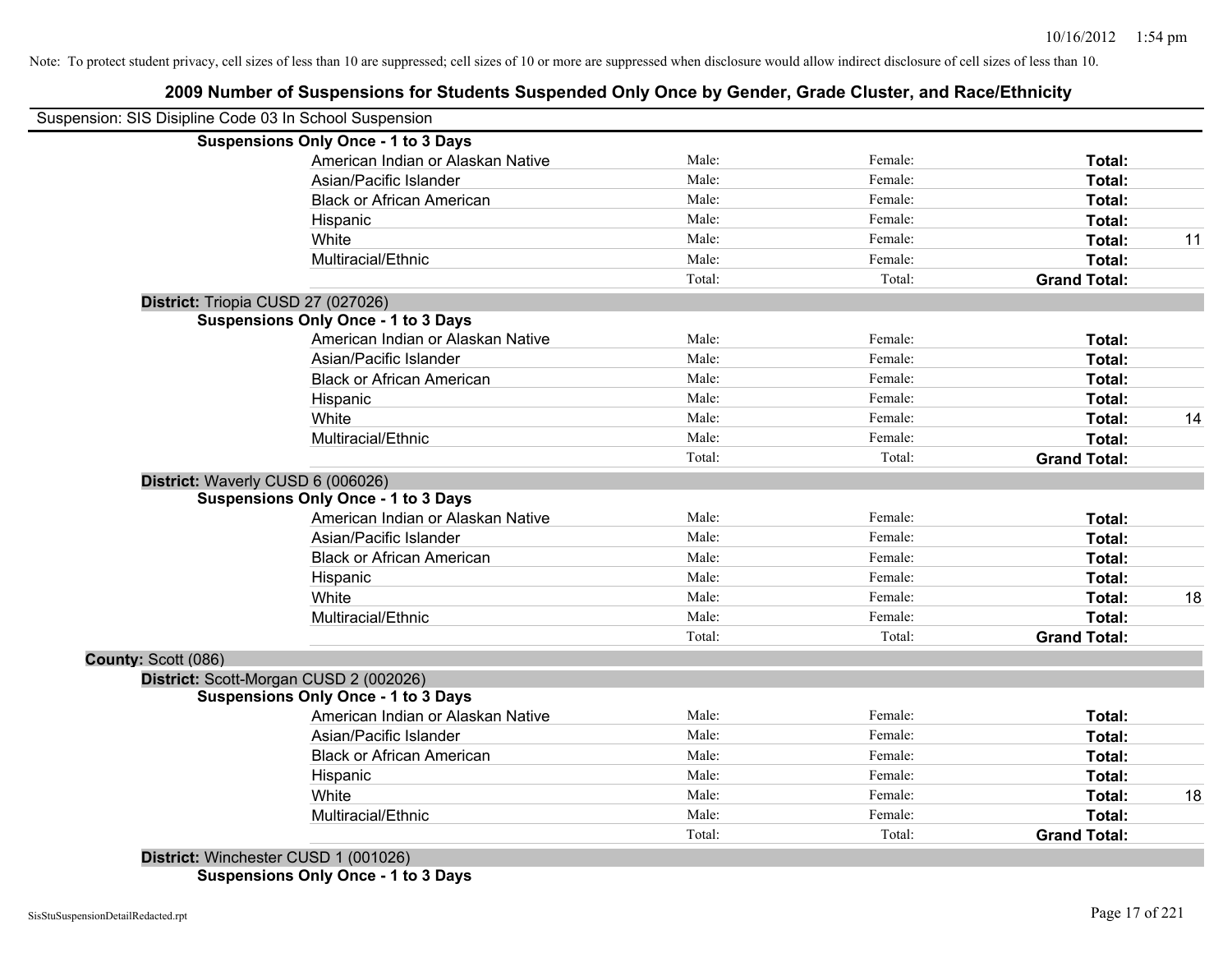# **2009 Number of Suspensions for Students Suspended Only Once by Gender, Grade Cluster, and Race/Ethnicity**

|                     | Suspension: SIS Disipline Code 03 In School Suspension                                                                                                                                |        |         |                     |    |
|---------------------|---------------------------------------------------------------------------------------------------------------------------------------------------------------------------------------|--------|---------|---------------------|----|
|                     | <b>Suspensions Only Once - 1 to 3 Days</b>                                                                                                                                            |        |         |                     |    |
|                     | American Indian or Alaskan Native                                                                                                                                                     | Male:  | Female: | Total:              |    |
|                     | Asian/Pacific Islander                                                                                                                                                                | Male:  | Female: | Total:              |    |
|                     | <b>Black or African American</b>                                                                                                                                                      | Male:  | Female: | Total:              |    |
|                     | Hispanic                                                                                                                                                                              | Male:  | Female: | Total:              |    |
|                     | White                                                                                                                                                                                 | Male:  | Female: | Total:              | 11 |
|                     | Multiracial/Ethnic                                                                                                                                                                    | Male:  | Female: | Total:              |    |
|                     |                                                                                                                                                                                       | Total: | Total:  | <b>Grand Total:</b> |    |
|                     | District: Triopia CUSD 27 (027026)                                                                                                                                                    |        |         |                     |    |
|                     | <b>Suspensions Only Once - 1 to 3 Days</b>                                                                                                                                            |        |         |                     |    |
|                     | American Indian or Alaskan Native                                                                                                                                                     | Male:  | Female: | Total:              |    |
|                     | Asian/Pacific Islander                                                                                                                                                                | Male:  | Female: | Total:              |    |
|                     | <b>Black or African American</b>                                                                                                                                                      | Male:  | Female: | Total:              |    |
|                     | Hispanic                                                                                                                                                                              | Male:  | Female: | Total:              |    |
|                     | White                                                                                                                                                                                 | Male:  | Female: | Total:              | 14 |
|                     | Multiracial/Ethnic                                                                                                                                                                    | Male:  | Female: | Total:              |    |
|                     |                                                                                                                                                                                       | Total: | Total:  | <b>Grand Total:</b> |    |
|                     | District: Waverly CUSD 6 (006026)                                                                                                                                                     |        |         |                     |    |
|                     | <b>Suspensions Only Once - 1 to 3 Days</b>                                                                                                                                            |        |         |                     |    |
|                     | American Indian or Alaskan Native                                                                                                                                                     | Male:  | Female: | Total:              |    |
|                     | Asian/Pacific Islander                                                                                                                                                                | Male:  | Female: | Total:              |    |
|                     | <b>Black or African American</b>                                                                                                                                                      | Male:  | Female: | Total:              |    |
|                     | Hispanic                                                                                                                                                                              | Male:  | Female: | Total:              |    |
|                     | White                                                                                                                                                                                 | Male:  | Female: | Total:              | 18 |
|                     | Multiracial/Ethnic                                                                                                                                                                    | Male:  | Female: | <b>Total:</b>       |    |
|                     |                                                                                                                                                                                       | Total: | Total:  | <b>Grand Total:</b> |    |
| County: Scott (086) |                                                                                                                                                                                       |        |         |                     |    |
|                     | District: Scott-Morgan CUSD 2 (002026)                                                                                                                                                |        |         |                     |    |
|                     | <b>Suspensions Only Once - 1 to 3 Days</b>                                                                                                                                            |        |         |                     |    |
|                     | American Indian or Alaskan Native                                                                                                                                                     | Male:  | Female: | Total:              |    |
|                     | Asian/Pacific Islander                                                                                                                                                                | Male:  | Female: | Total:              |    |
|                     | <b>Black or African American</b>                                                                                                                                                      | Male:  | Female: | Total:              |    |
|                     | Hispanic                                                                                                                                                                              | Male:  | Female: | Total:              |    |
|                     | White                                                                                                                                                                                 | Male:  | Female: | Total:              | 18 |
|                     | Multiracial/Ethnic                                                                                                                                                                    | Male:  | Female: | Total:              |    |
|                     |                                                                                                                                                                                       | Total: | Total:  | <b>Grand Total:</b> |    |
|                     | $D_{in}$ $\mu_{in}$ $\mu_{in}$ $\mu_{out}$ $\alpha$ $\mu_{out}$ $\alpha$ $\beta$ $\beta$ $\beta$ $\alpha$ $\beta$ $\alpha$ $\beta$ $\alpha$ $\beta$ $\alpha$ $\beta$ $\beta$ $\gamma$ |        |         |                     |    |

**District:** Winchester CUSD 1 (001026) **Suspensions Only Once - 1 to 3 Days**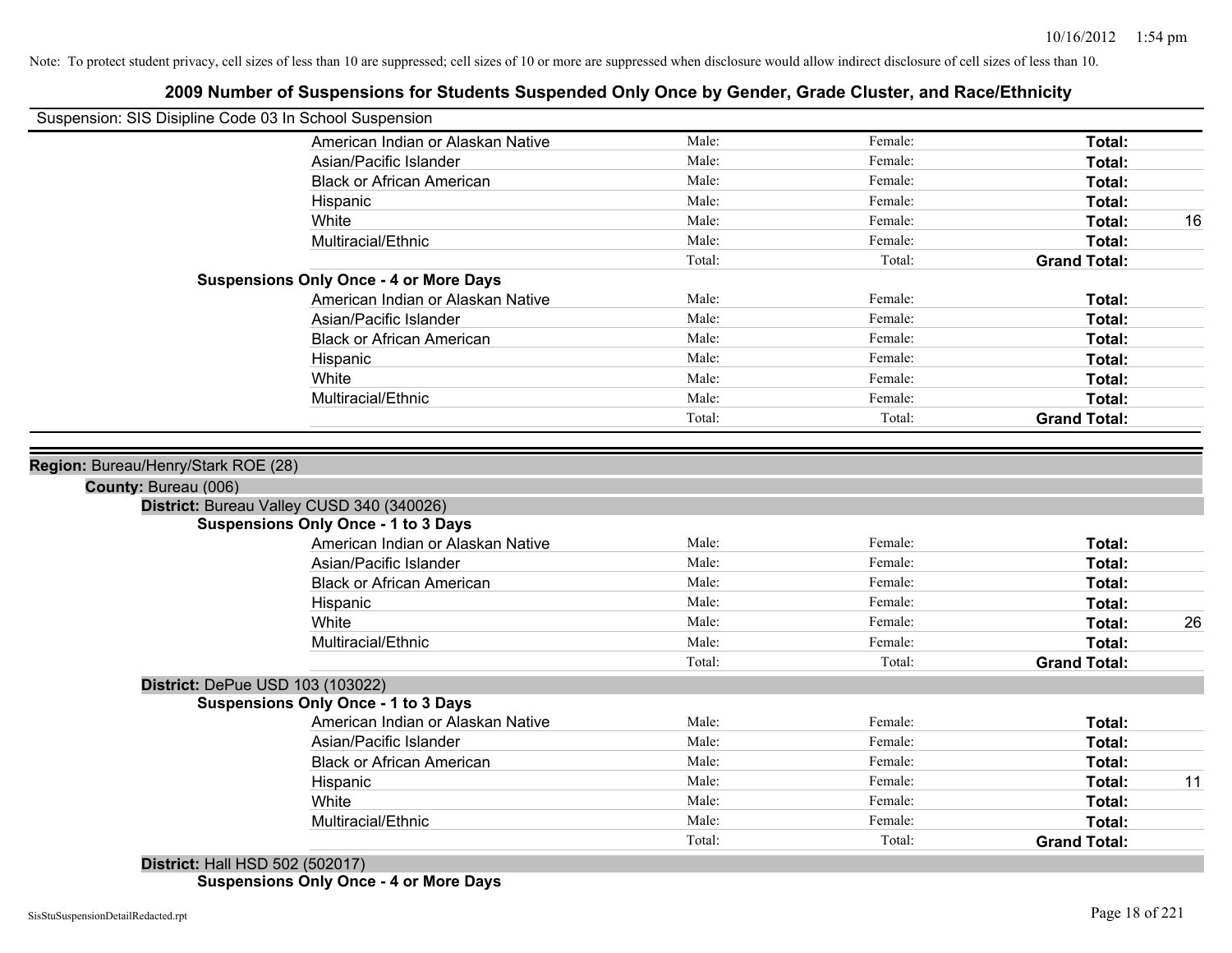| Suspension: SIS Disipline Code 03 In School Suspension |                                               |                |                    |                     |    |
|--------------------------------------------------------|-----------------------------------------------|----------------|--------------------|---------------------|----|
|                                                        | American Indian or Alaskan Native             | Male:          | Female:            | Total:              |    |
|                                                        | Asian/Pacific Islander                        | Male:          | Female:            | Total:              |    |
|                                                        | <b>Black or African American</b>              | Male:          | Female:            | Total:              |    |
|                                                        | Hispanic                                      | Male:          | Female:            | Total:              |    |
|                                                        | White                                         | Male:          | Female:            | Total:              | 16 |
|                                                        | Multiracial/Ethnic                            | Male:          | Female:            | Total:              |    |
|                                                        |                                               | Total:         | Total:             | <b>Grand Total:</b> |    |
|                                                        | <b>Suspensions Only Once - 4 or More Days</b> |                |                    |                     |    |
|                                                        | American Indian or Alaskan Native             | Male:          | Female:            | Total:              |    |
|                                                        | Asian/Pacific Islander                        | Male:          | Female:            | Total:              |    |
|                                                        | <b>Black or African American</b>              | Male:          | Female:            | Total:              |    |
|                                                        | Hispanic                                      | Male:          | Female:            | Total:              |    |
|                                                        | White                                         | Male:          | Female:            | Total:              |    |
|                                                        | Multiracial/Ethnic                            | Male:          | Female:            | Total:              |    |
|                                                        |                                               | Total:         | Total:             | <b>Grand Total:</b> |    |
|                                                        | District: Bureau Valley CUSD 340 (340026)     |                |                    |                     |    |
|                                                        | <b>Suspensions Only Once - 1 to 3 Days</b>    |                |                    |                     |    |
|                                                        | American Indian or Alaskan Native             | Male:          | Female:            | Total:              |    |
|                                                        | Asian/Pacific Islander                        | Male:          | Female:            | Total:              |    |
|                                                        | <b>Black or African American</b>              | Male:          | Female:            | Total:              |    |
|                                                        | Hispanic                                      | Male:          | Female:            | Total:              |    |
|                                                        | White                                         | Male:          | Female:            | Total:              | 26 |
|                                                        | Multiracial/Ethnic                            | Male:          | Female:            | Total:              |    |
|                                                        |                                               | Total:         | Total:             | <b>Grand Total:</b> |    |
|                                                        | District: DePue USD 103 (103022)              |                |                    |                     |    |
|                                                        | <b>Suspensions Only Once - 1 to 3 Days</b>    |                |                    |                     |    |
|                                                        | American Indian or Alaskan Native             | Male:          | Female:            | Total:              |    |
|                                                        | Asian/Pacific Islander                        | Male:          | Female:            | Total:              |    |
|                                                        | <b>Black or African American</b>              | Male:          | Female:            | Total:              |    |
|                                                        | Hispanic<br>White                             | Male:<br>Male: | Female:<br>Female: | Total:              | 11 |
|                                                        | Multiracial/Ethnic                            | Male:          | Female:            | Total:<br>Total:    |    |
|                                                        |                                               | Total:         | Total:             | <b>Grand Total:</b> |    |
|                                                        |                                               |                |                    |                     |    |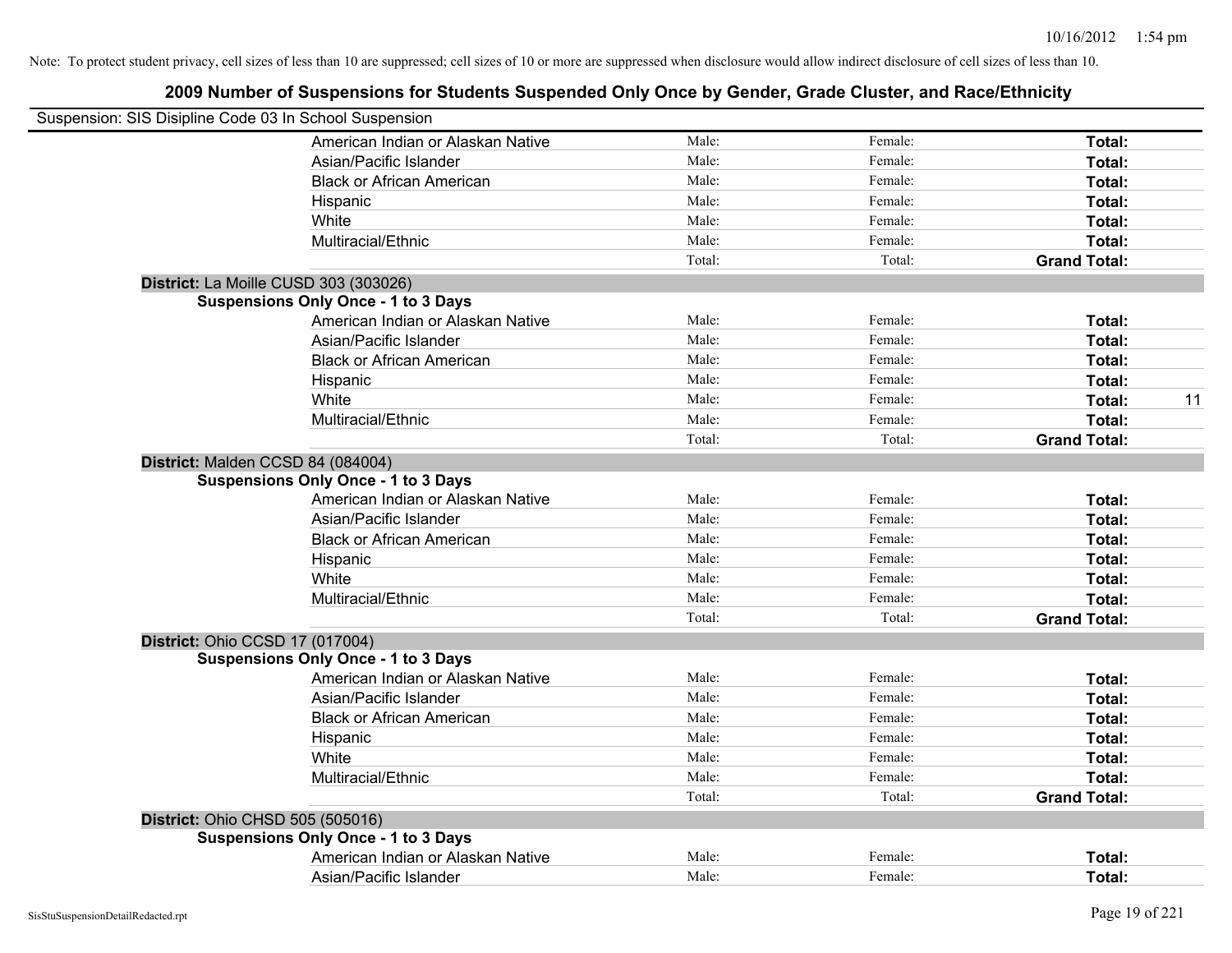| Suspension: SIS Disipline Code 03 In School Suspension |        |         |                     |    |
|--------------------------------------------------------|--------|---------|---------------------|----|
| American Indian or Alaskan Native                      | Male:  | Female: | Total:              |    |
| Asian/Pacific Islander                                 | Male:  | Female: | Total:              |    |
| <b>Black or African American</b>                       | Male:  | Female: | Total:              |    |
| Hispanic                                               | Male:  | Female: | Total:              |    |
| White                                                  | Male:  | Female: | Total:              |    |
| Multiracial/Ethnic                                     | Male:  | Female: | Total:              |    |
|                                                        | Total: | Total:  | <b>Grand Total:</b> |    |
| District: La Moille CUSD 303 (303026)                  |        |         |                     |    |
| <b>Suspensions Only Once - 1 to 3 Days</b>             |        |         |                     |    |
| American Indian or Alaskan Native                      | Male:  | Female: | Total:              |    |
| Asian/Pacific Islander                                 | Male:  | Female: | Total:              |    |
| <b>Black or African American</b>                       | Male:  | Female: | Total:              |    |
| Hispanic                                               | Male:  | Female: | Total:              |    |
| White                                                  | Male:  | Female: | Total:              | 11 |
| Multiracial/Ethnic                                     | Male:  | Female: | Total:              |    |
|                                                        | Total: | Total:  | <b>Grand Total:</b> |    |
| District: Malden CCSD 84 (084004)                      |        |         |                     |    |
| <b>Suspensions Only Once - 1 to 3 Days</b>             |        |         |                     |    |
| American Indian or Alaskan Native                      | Male:  | Female: | Total:              |    |
| Asian/Pacific Islander                                 | Male:  | Female: | Total:              |    |
| <b>Black or African American</b>                       | Male:  | Female: | Total:              |    |
| Hispanic                                               | Male:  | Female: | Total:              |    |
| White                                                  | Male:  | Female: | Total:              |    |
| Multiracial/Ethnic                                     | Male:  | Female: | Total:              |    |
|                                                        | Total: | Total:  | <b>Grand Total:</b> |    |
| District: Ohio CCSD 17 (017004)                        |        |         |                     |    |
| <b>Suspensions Only Once - 1 to 3 Days</b>             |        |         |                     |    |
| American Indian or Alaskan Native                      | Male:  | Female: | Total:              |    |
| Asian/Pacific Islander                                 | Male:  | Female: | Total:              |    |
| <b>Black or African American</b>                       | Male:  | Female: | Total:              |    |
| Hispanic                                               | Male:  | Female: | Total:              |    |
| White                                                  | Male:  | Female: | Total:              |    |
| Multiracial/Ethnic                                     | Male:  | Female: | Total:              |    |
|                                                        | Total: | Total:  | <b>Grand Total:</b> |    |
| District: Ohio CHSD 505 (505016)                       |        |         |                     |    |
| <b>Suspensions Only Once - 1 to 3 Days</b>             |        |         |                     |    |
| American Indian or Alaskan Native                      | Male:  | Female: | Total:              |    |
| Asian/Pacific Islander                                 | Male:  | Female: | Total:              |    |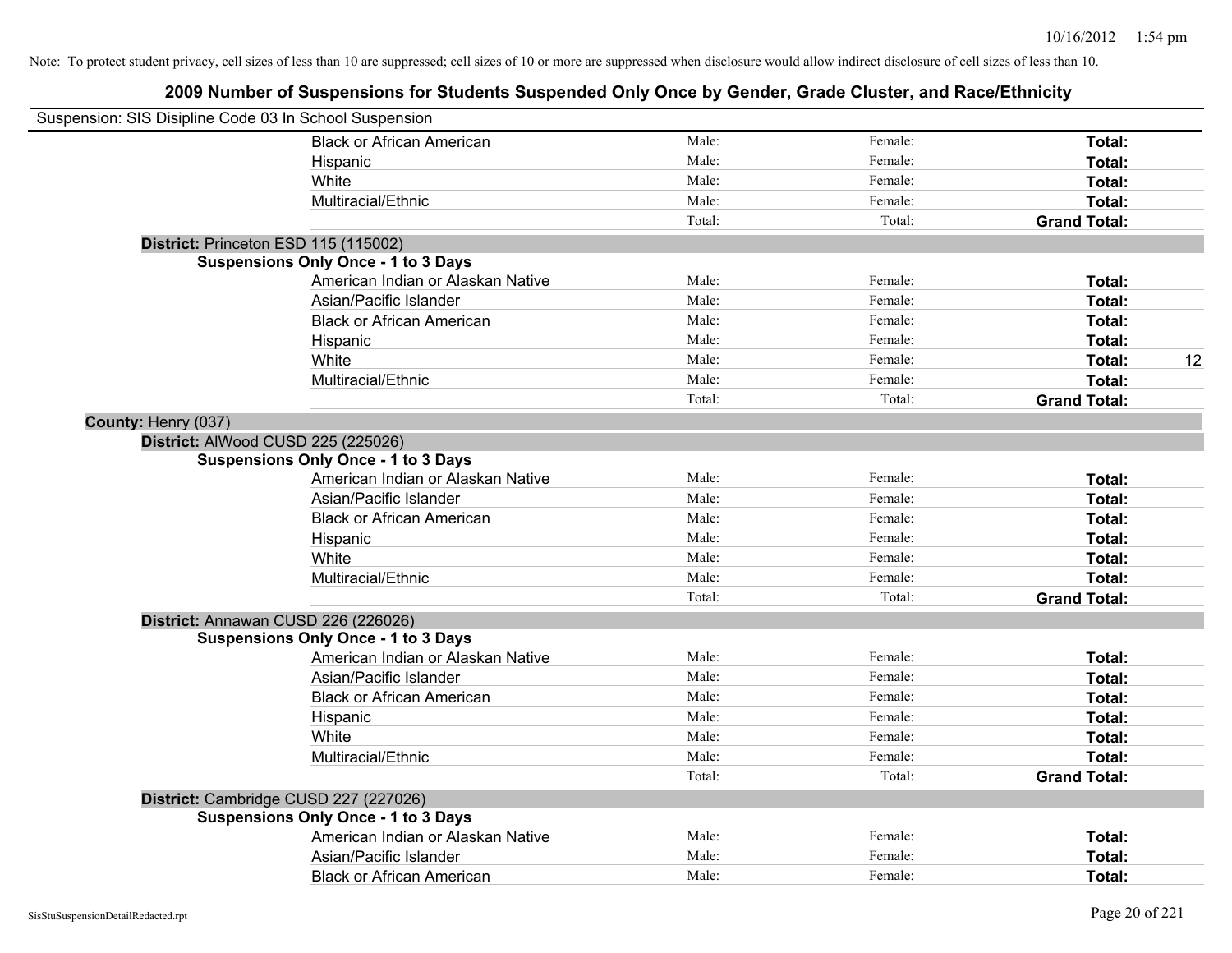| Suspension: SIS Disipline Code 03 In School Suspension |                                            |        |         |                     |    |
|--------------------------------------------------------|--------------------------------------------|--------|---------|---------------------|----|
|                                                        | <b>Black or African American</b>           | Male:  | Female: | Total:              |    |
|                                                        | Hispanic                                   | Male:  | Female: | Total:              |    |
|                                                        | White                                      | Male:  | Female: | Total:              |    |
|                                                        | Multiracial/Ethnic                         | Male:  | Female: | Total:              |    |
|                                                        |                                            | Total: | Total:  | <b>Grand Total:</b> |    |
| District: Princeton ESD 115 (115002)                   |                                            |        |         |                     |    |
|                                                        | <b>Suspensions Only Once - 1 to 3 Days</b> |        |         |                     |    |
|                                                        | American Indian or Alaskan Native          | Male:  | Female: | Total:              |    |
|                                                        | Asian/Pacific Islander                     | Male:  | Female: | Total:              |    |
|                                                        | <b>Black or African American</b>           | Male:  | Female: | Total:              |    |
|                                                        | Hispanic                                   | Male:  | Female: | Total:              |    |
|                                                        | White                                      | Male:  | Female: | Total:              | 12 |
|                                                        | Multiracial/Ethnic                         | Male:  | Female: | Total:              |    |
|                                                        |                                            | Total: | Total:  | <b>Grand Total:</b> |    |
| County: Henry (037)                                    |                                            |        |         |                     |    |
| District: AlWood CUSD 225 (225026)                     |                                            |        |         |                     |    |
|                                                        | <b>Suspensions Only Once - 1 to 3 Days</b> |        |         |                     |    |
|                                                        | American Indian or Alaskan Native          | Male:  | Female: | Total:              |    |
|                                                        | Asian/Pacific Islander                     | Male:  | Female: | Total:              |    |
|                                                        | <b>Black or African American</b>           | Male:  | Female: | Total:              |    |
|                                                        | Hispanic                                   | Male:  | Female: | Total:              |    |
|                                                        | White                                      | Male:  | Female: | Total:              |    |
|                                                        | Multiracial/Ethnic                         | Male:  | Female: | Total:              |    |
|                                                        |                                            | Total: | Total:  | <b>Grand Total:</b> |    |
| District: Annawan CUSD 226 (226026)                    |                                            |        |         |                     |    |
|                                                        | <b>Suspensions Only Once - 1 to 3 Days</b> |        |         |                     |    |
|                                                        | American Indian or Alaskan Native          | Male:  | Female: | Total:              |    |
|                                                        | Asian/Pacific Islander                     | Male:  | Female: | Total:              |    |
|                                                        | <b>Black or African American</b>           | Male:  | Female: | Total:              |    |
|                                                        | Hispanic                                   | Male:  | Female: | Total:              |    |
|                                                        | White                                      | Male:  | Female: | Total:              |    |
|                                                        | Multiracial/Ethnic                         | Male:  | Female: | Total:              |    |
|                                                        |                                            | Total: | Total:  | <b>Grand Total:</b> |    |
| District: Cambridge CUSD 227 (227026)                  |                                            |        |         |                     |    |
|                                                        | <b>Suspensions Only Once - 1 to 3 Days</b> |        |         |                     |    |
|                                                        | American Indian or Alaskan Native          | Male:  | Female: | Total:              |    |
|                                                        | Asian/Pacific Islander                     | Male:  | Female: | Total:              |    |
|                                                        | <b>Black or African American</b>           | Male:  | Female: | Total:              |    |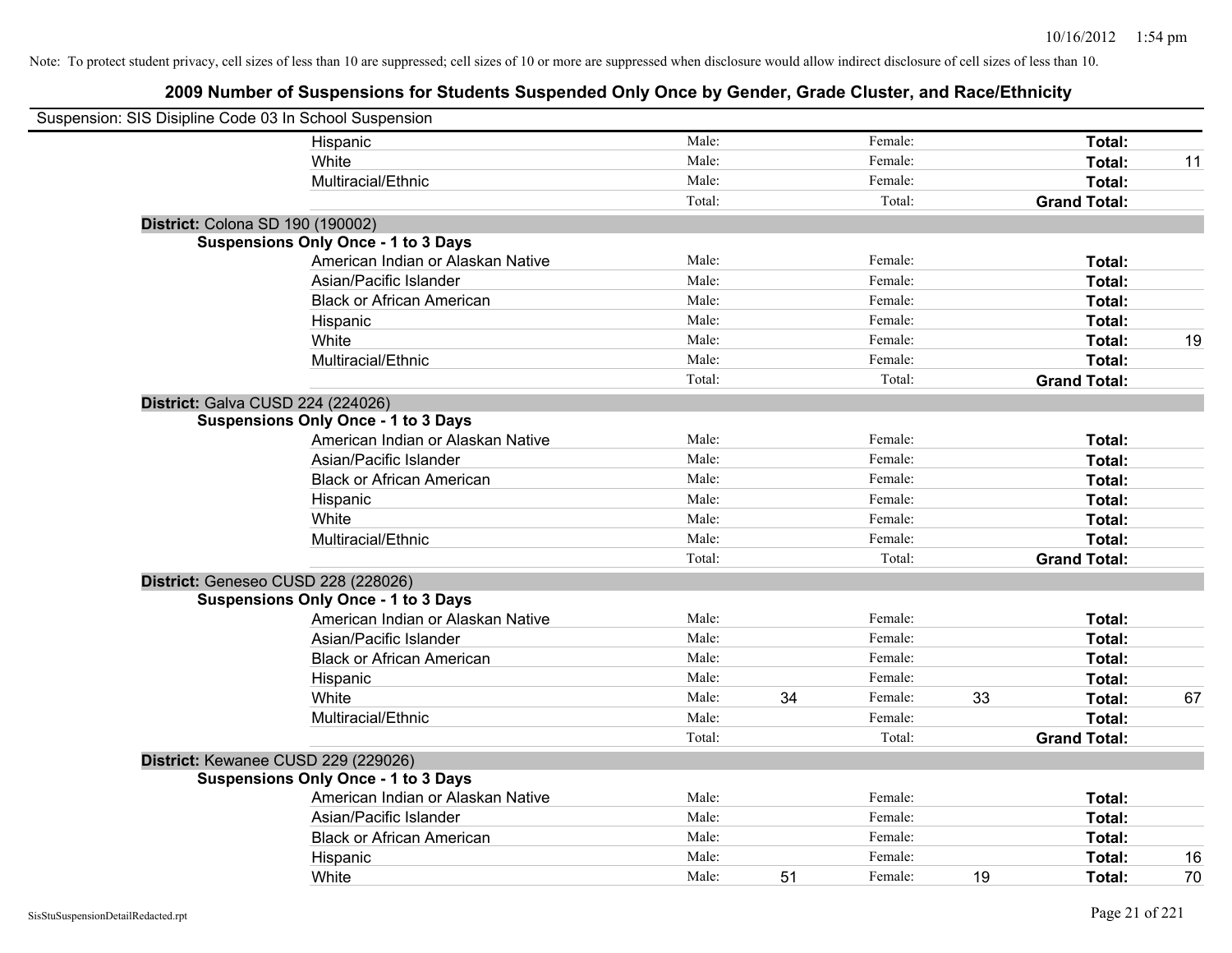| Suspension: SIS Disipline Code 03 In School Suspension |                                            |        |    |         |    |                     |    |
|--------------------------------------------------------|--------------------------------------------|--------|----|---------|----|---------------------|----|
|                                                        | Hispanic                                   | Male:  |    | Female: |    | Total:              |    |
|                                                        | White                                      | Male:  |    | Female: |    | Total:              | 11 |
|                                                        | Multiracial/Ethnic                         | Male:  |    | Female: |    | Total:              |    |
|                                                        |                                            | Total: |    | Total:  |    | <b>Grand Total:</b> |    |
|                                                        | District: Colona SD 190 (190002)           |        |    |         |    |                     |    |
|                                                        | <b>Suspensions Only Once - 1 to 3 Days</b> |        |    |         |    |                     |    |
|                                                        | American Indian or Alaskan Native          | Male:  |    | Female: |    | Total:              |    |
|                                                        | Asian/Pacific Islander                     | Male:  |    | Female: |    | Total:              |    |
|                                                        | <b>Black or African American</b>           | Male:  |    | Female: |    | Total:              |    |
|                                                        | Hispanic                                   | Male:  |    | Female: |    | Total:              |    |
|                                                        | White                                      | Male:  |    | Female: |    | Total:              | 19 |
|                                                        | Multiracial/Ethnic                         | Male:  |    | Female: |    | Total:              |    |
|                                                        |                                            | Total: |    | Total:  |    | <b>Grand Total:</b> |    |
|                                                        | District: Galva CUSD 224 (224026)          |        |    |         |    |                     |    |
|                                                        | <b>Suspensions Only Once - 1 to 3 Days</b> |        |    |         |    |                     |    |
|                                                        | American Indian or Alaskan Native          | Male:  |    | Female: |    | Total:              |    |
|                                                        | Asian/Pacific Islander                     | Male:  |    | Female: |    | Total:              |    |
|                                                        | <b>Black or African American</b>           | Male:  |    | Female: |    | Total:              |    |
|                                                        | Hispanic                                   | Male:  |    | Female: |    | Total:              |    |
|                                                        | White                                      | Male:  |    | Female: |    | Total:              |    |
|                                                        | Multiracial/Ethnic                         | Male:  |    | Female: |    | Total:              |    |
|                                                        |                                            | Total: |    | Total:  |    | <b>Grand Total:</b> |    |
|                                                        | District: Geneseo CUSD 228 (228026)        |        |    |         |    |                     |    |
|                                                        | <b>Suspensions Only Once - 1 to 3 Days</b> |        |    |         |    |                     |    |
|                                                        | American Indian or Alaskan Native          | Male:  |    | Female: |    | Total:              |    |
|                                                        | Asian/Pacific Islander                     | Male:  |    | Female: |    | Total:              |    |
|                                                        | <b>Black or African American</b>           | Male:  |    | Female: |    | Total:              |    |
|                                                        | Hispanic                                   | Male:  |    | Female: |    | Total:              |    |
|                                                        | White                                      | Male:  | 34 | Female: | 33 | Total:              | 67 |
|                                                        | Multiracial/Ethnic                         | Male:  |    | Female: |    | Total:              |    |
|                                                        |                                            | Total: |    | Total:  |    | <b>Grand Total:</b> |    |
|                                                        | District: Kewanee CUSD 229 (229026)        |        |    |         |    |                     |    |
|                                                        | <b>Suspensions Only Once - 1 to 3 Days</b> |        |    |         |    |                     |    |
|                                                        | American Indian or Alaskan Native          | Male:  |    | Female: |    | Total:              |    |
|                                                        | Asian/Pacific Islander                     | Male:  |    | Female: |    | Total:              |    |
|                                                        | <b>Black or African American</b>           | Male:  |    | Female: |    | Total:              |    |
|                                                        | Hispanic                                   | Male:  |    | Female: |    | Total:              | 16 |
|                                                        | White                                      | Male:  | 51 | Female: | 19 | Total:              | 70 |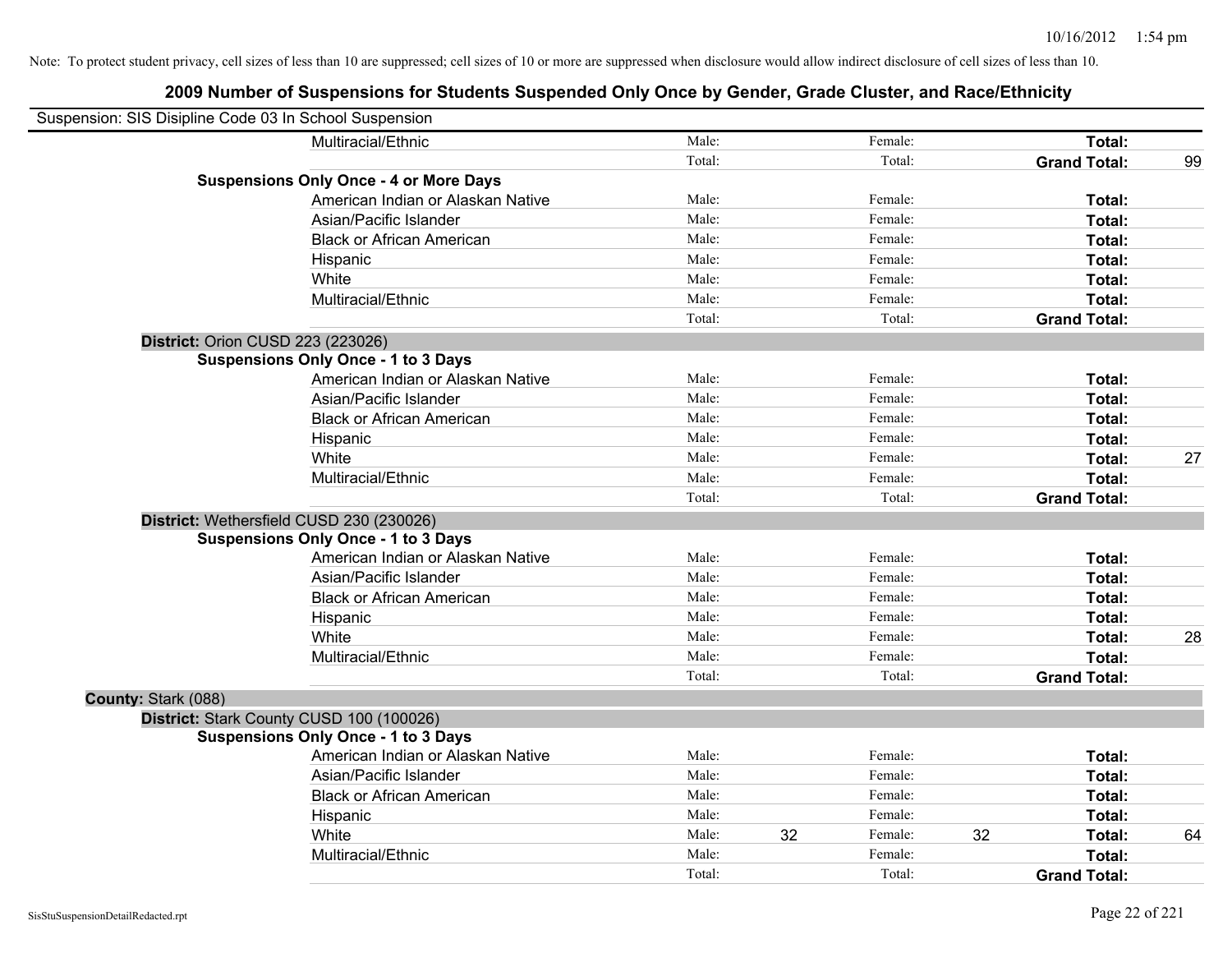| Suspension: SIS Disipline Code 03 In School Suspension |                                               |        |               |                     |    |
|--------------------------------------------------------|-----------------------------------------------|--------|---------------|---------------------|----|
|                                                        | Multiracial/Ethnic                            | Male:  | Female:       | Total:              |    |
|                                                        |                                               | Total: | Total:        | <b>Grand Total:</b> | 99 |
|                                                        | <b>Suspensions Only Once - 4 or More Days</b> |        |               |                     |    |
|                                                        | American Indian or Alaskan Native             | Male:  | Female:       | Total:              |    |
|                                                        | Asian/Pacific Islander                        | Male:  | Female:       | Total:              |    |
|                                                        | <b>Black or African American</b>              | Male:  | Female:       | Total:              |    |
|                                                        | Hispanic                                      | Male:  | Female:       | Total:              |    |
|                                                        | White                                         | Male:  | Female:       | Total:              |    |
|                                                        | Multiracial/Ethnic                            | Male:  | Female:       | Total:              |    |
|                                                        |                                               | Total: | Total:        | <b>Grand Total:</b> |    |
| District: Orion CUSD 223 (223026)                      |                                               |        |               |                     |    |
|                                                        | <b>Suspensions Only Once - 1 to 3 Days</b>    |        |               |                     |    |
|                                                        | American Indian or Alaskan Native             | Male:  | Female:       | Total:              |    |
|                                                        | Asian/Pacific Islander                        | Male:  | Female:       | Total:              |    |
|                                                        | <b>Black or African American</b>              | Male:  | Female:       | Total:              |    |
|                                                        | Hispanic                                      | Male:  | Female:       | Total:              |    |
|                                                        | White                                         | Male:  | Female:       | Total:              | 27 |
|                                                        | Multiracial/Ethnic                            | Male:  | Female:       | Total:              |    |
|                                                        |                                               | Total: | Total:        | <b>Grand Total:</b> |    |
|                                                        | District: Wethersfield CUSD 230 (230026)      |        |               |                     |    |
|                                                        | <b>Suspensions Only Once - 1 to 3 Days</b>    |        |               |                     |    |
|                                                        | American Indian or Alaskan Native             | Male:  | Female:       | Total:              |    |
|                                                        | Asian/Pacific Islander                        | Male:  | Female:       | Total:              |    |
|                                                        | <b>Black or African American</b>              | Male:  | Female:       | Total:              |    |
|                                                        | Hispanic                                      | Male:  | Female:       | Total:              |    |
|                                                        | White                                         | Male:  | Female:       | Total:              | 28 |
|                                                        | Multiracial/Ethnic                            | Male:  | Female:       | Total:              |    |
|                                                        |                                               | Total: | Total:        | <b>Grand Total:</b> |    |
| County: Stark (088)                                    |                                               |        |               |                     |    |
|                                                        | District: Stark County CUSD 100 (100026)      |        |               |                     |    |
|                                                        | <b>Suspensions Only Once - 1 to 3 Days</b>    |        |               |                     |    |
|                                                        | American Indian or Alaskan Native             | Male:  | Female:       | Total:              |    |
|                                                        | Asian/Pacific Islander                        | Male:  | Female:       | Total:              |    |
|                                                        | <b>Black or African American</b>              | Male:  | Female:       | Total:              |    |
|                                                        | Hispanic                                      | Male:  | Female:       | Total:              |    |
|                                                        | White                                         | Male:  | 32<br>Female: | 32<br>Total:        | 64 |
|                                                        | Multiracial/Ethnic                            | Male:  | Female:       | Total:              |    |
|                                                        |                                               | Total: | Total:        | <b>Grand Total:</b> |    |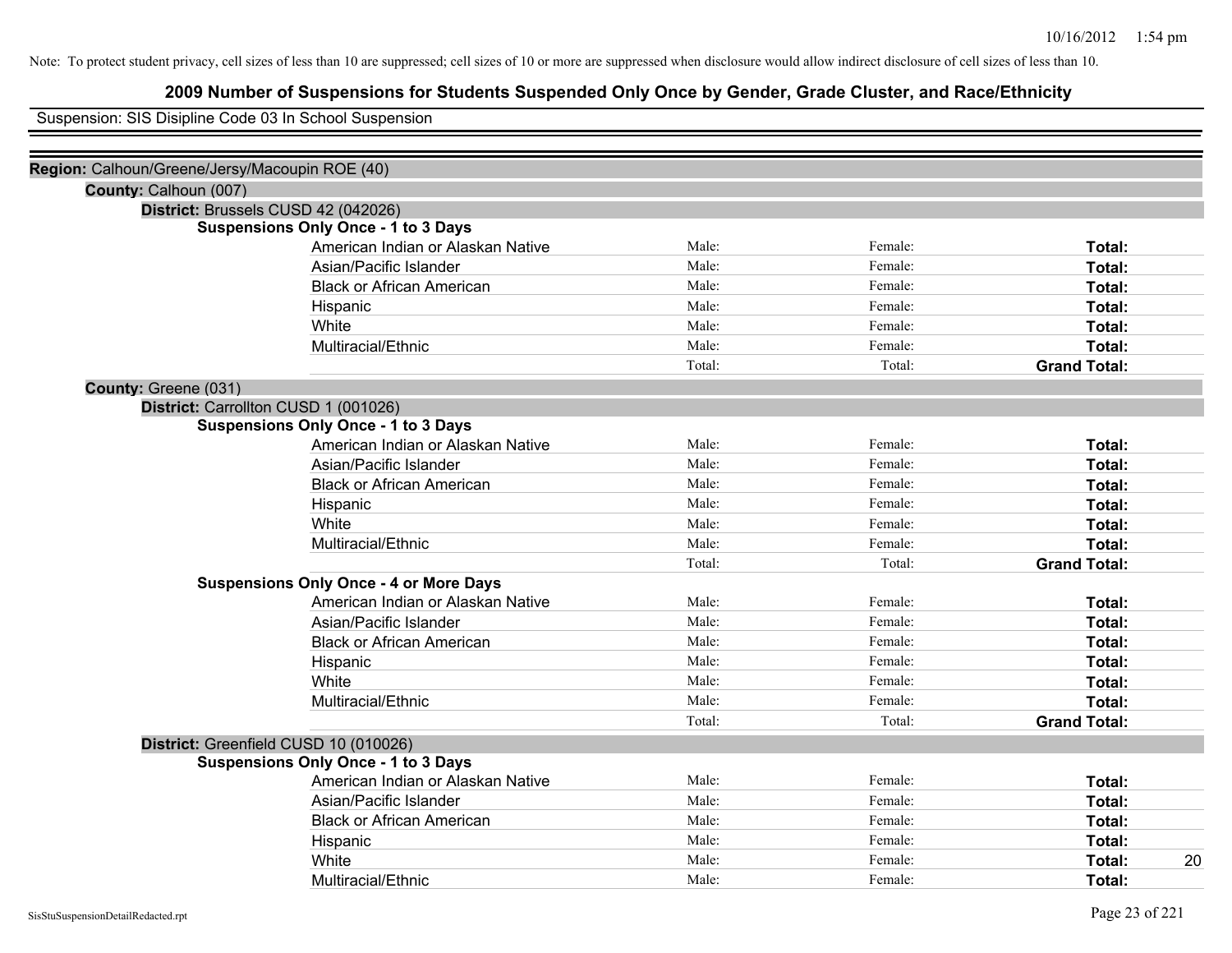# **2009 Number of Suspensions for Students Suspended Only Once by Gender, Grade Cluster, and Race/Ethnicity**

Suspension: SIS Disipline Code 03 In School Suspension

| Region: Calhoun/Greene/Jersy/Macoupin ROE (40) |                                                                               |         |                     |
|------------------------------------------------|-------------------------------------------------------------------------------|---------|---------------------|
|                                                |                                                                               |         |                     |
| District: Brussels CUSD 42 (042026)            |                                                                               |         |                     |
| <b>Suspensions Only Once - 1 to 3 Days</b>     |                                                                               |         |                     |
| American Indian or Alaskan Native              | Male:                                                                         | Female: | Total:              |
| Asian/Pacific Islander                         | Male:                                                                         | Female: | Total:              |
| <b>Black or African American</b>               | Male:                                                                         | Female: | Total:              |
| Hispanic                                       | Male:                                                                         | Female: | Total:              |
| White                                          | Male:                                                                         | Female: | Total:              |
| Multiracial/Ethnic                             | Male:                                                                         | Female: | Total:              |
|                                                | Total:                                                                        | Total:  | <b>Grand Total:</b> |
|                                                |                                                                               |         |                     |
|                                                |                                                                               |         |                     |
| <b>Suspensions Only Once - 1 to 3 Days</b>     |                                                                               |         |                     |
| American Indian or Alaskan Native              | Male:                                                                         | Female: | Total:              |
| Asian/Pacific Islander                         | Male:                                                                         | Female: | Total:              |
| <b>Black or African American</b>               | Male:                                                                         | Female: | Total:              |
| Hispanic                                       | Male:                                                                         | Female: | Total:              |
| White                                          | Male:                                                                         | Female: | Total:              |
| Multiracial/Ethnic                             | Male:                                                                         | Female: | Total:              |
|                                                | Total:                                                                        | Total:  | <b>Grand Total:</b> |
| <b>Suspensions Only Once - 4 or More Days</b>  |                                                                               |         |                     |
| American Indian or Alaskan Native              | Male:                                                                         | Female: | Total:              |
| Asian/Pacific Islander                         | Male:                                                                         | Female: | Total:              |
| <b>Black or African American</b>               | Male:                                                                         | Female: | Total:              |
| Hispanic                                       | Male:                                                                         | Female: | Total:              |
| White                                          | Male:                                                                         | Female: | Total:              |
| Multiracial/Ethnic                             | Male:                                                                         | Female: | Total:              |
|                                                | Total:                                                                        | Total:  | <b>Grand Total:</b> |
|                                                |                                                                               |         |                     |
| <b>Suspensions Only Once - 1 to 3 Days</b>     |                                                                               |         |                     |
| American Indian or Alaskan Native              | Male:                                                                         | Female: | Total:              |
| Asian/Pacific Islander                         | Male:                                                                         | Female: | Total:              |
| <b>Black or African American</b>               | Male:                                                                         | Female: | Total:              |
| Hispanic                                       | Male:                                                                         | Female: | Total:              |
| White                                          | Male:                                                                         | Female: | 20<br>Total:        |
| Multiracial/Ethnic                             | Male:                                                                         | Female: | Total:              |
|                                                | District: Carrollton CUSD 1 (001026)<br>District: Greenfield CUSD 10 (010026) |         |                     |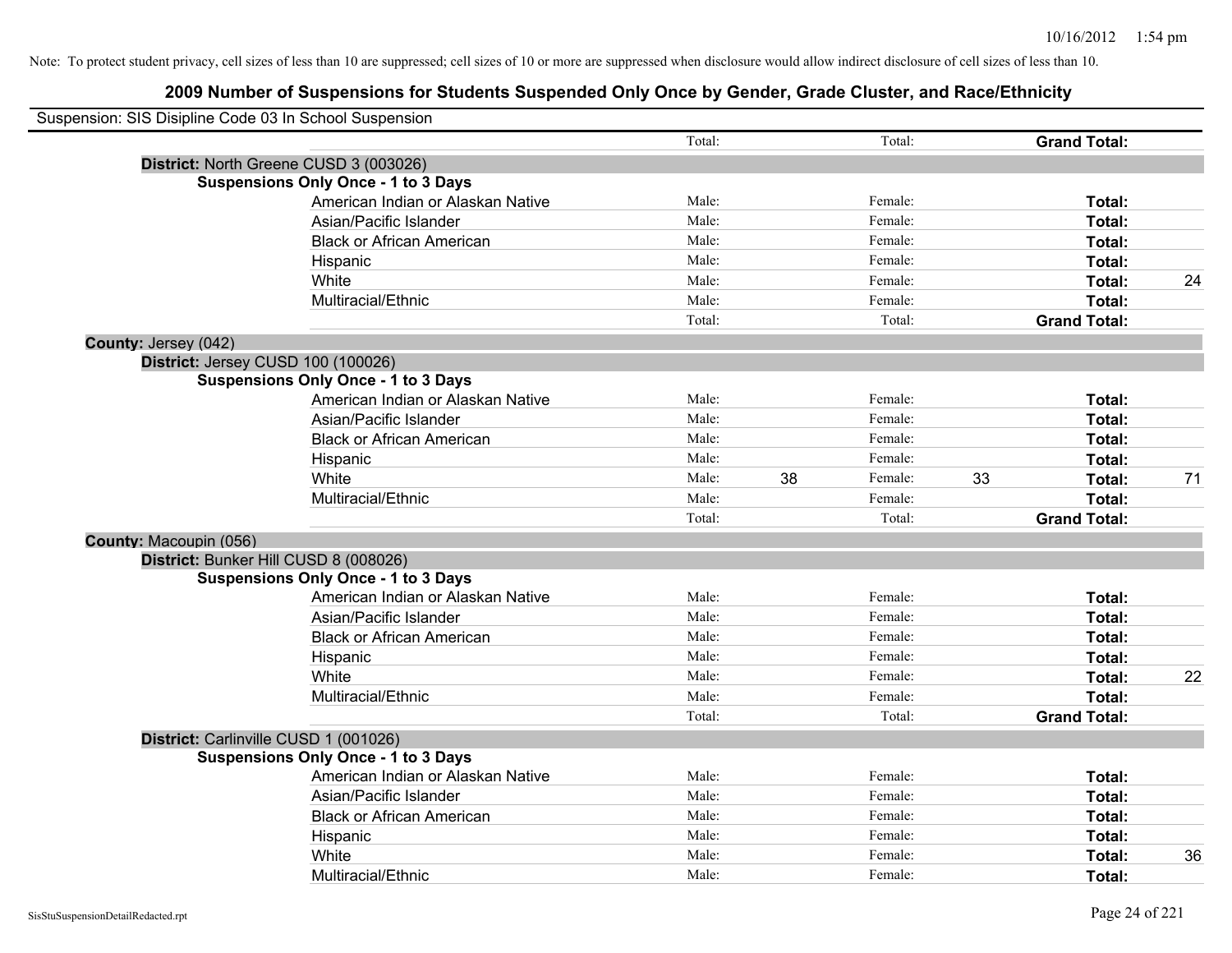|                        | Suspension: SIS Disipline Code 03 In School Suspension |        |    |         |    |                     |    |
|------------------------|--------------------------------------------------------|--------|----|---------|----|---------------------|----|
|                        |                                                        | Total: |    | Total:  |    | <b>Grand Total:</b> |    |
|                        | District: North Greene CUSD 3 (003026)                 |        |    |         |    |                     |    |
|                        | <b>Suspensions Only Once - 1 to 3 Days</b>             |        |    |         |    |                     |    |
|                        | American Indian or Alaskan Native                      | Male:  |    | Female: |    | Total:              |    |
|                        | Asian/Pacific Islander                                 | Male:  |    | Female: |    | Total:              |    |
|                        | <b>Black or African American</b>                       | Male:  |    | Female: |    | Total:              |    |
|                        | Hispanic                                               | Male:  |    | Female: |    | Total:              |    |
|                        | White                                                  | Male:  |    | Female: |    | Total:              | 24 |
|                        | Multiracial/Ethnic                                     | Male:  |    | Female: |    | Total:              |    |
|                        |                                                        | Total: |    | Total:  |    | <b>Grand Total:</b> |    |
| County: Jersey (042)   |                                                        |        |    |         |    |                     |    |
|                        | District: Jersey CUSD 100 (100026)                     |        |    |         |    |                     |    |
|                        | <b>Suspensions Only Once - 1 to 3 Days</b>             |        |    |         |    |                     |    |
|                        | American Indian or Alaskan Native                      | Male:  |    | Female: |    | Total:              |    |
|                        | Asian/Pacific Islander                                 | Male:  |    | Female: |    | Total:              |    |
|                        | <b>Black or African American</b>                       | Male:  |    | Female: |    | Total:              |    |
|                        | Hispanic                                               | Male:  |    | Female: |    | Total:              |    |
|                        | White                                                  | Male:  | 38 | Female: | 33 | Total:              | 71 |
|                        | Multiracial/Ethnic                                     | Male:  |    | Female: |    | Total:              |    |
|                        |                                                        | Total: |    | Total:  |    | <b>Grand Total:</b> |    |
| County: Macoupin (056) |                                                        |        |    |         |    |                     |    |
|                        | District: Bunker Hill CUSD 8 (008026)                  |        |    |         |    |                     |    |
|                        | <b>Suspensions Only Once - 1 to 3 Days</b>             |        |    |         |    |                     |    |
|                        | American Indian or Alaskan Native                      | Male:  |    | Female: |    | Total:              |    |
|                        | Asian/Pacific Islander                                 | Male:  |    | Female: |    | Total:              |    |
|                        | <b>Black or African American</b>                       | Male:  |    | Female: |    | Total:              |    |
|                        | Hispanic                                               | Male:  |    | Female: |    | Total:              |    |
|                        | White                                                  | Male:  |    | Female: |    | Total:              | 22 |
|                        | Multiracial/Ethnic                                     | Male:  |    | Female: |    | Total:              |    |
|                        |                                                        | Total: |    | Total:  |    | <b>Grand Total:</b> |    |
|                        | District: Carlinville CUSD 1 (001026)                  |        |    |         |    |                     |    |
|                        | <b>Suspensions Only Once - 1 to 3 Days</b>             |        |    |         |    |                     |    |
|                        | American Indian or Alaskan Native                      | Male:  |    | Female: |    | Total:              |    |
|                        | Asian/Pacific Islander                                 | Male:  |    | Female: |    | Total:              |    |
|                        | <b>Black or African American</b>                       | Male:  |    | Female: |    | Total:              |    |
|                        | Hispanic                                               | Male:  |    | Female: |    | Total:              |    |
|                        | White                                                  | Male:  |    | Female: |    | Total:              | 36 |
|                        | Multiracial/Ethnic                                     | Male:  |    | Female: |    | Total:              |    |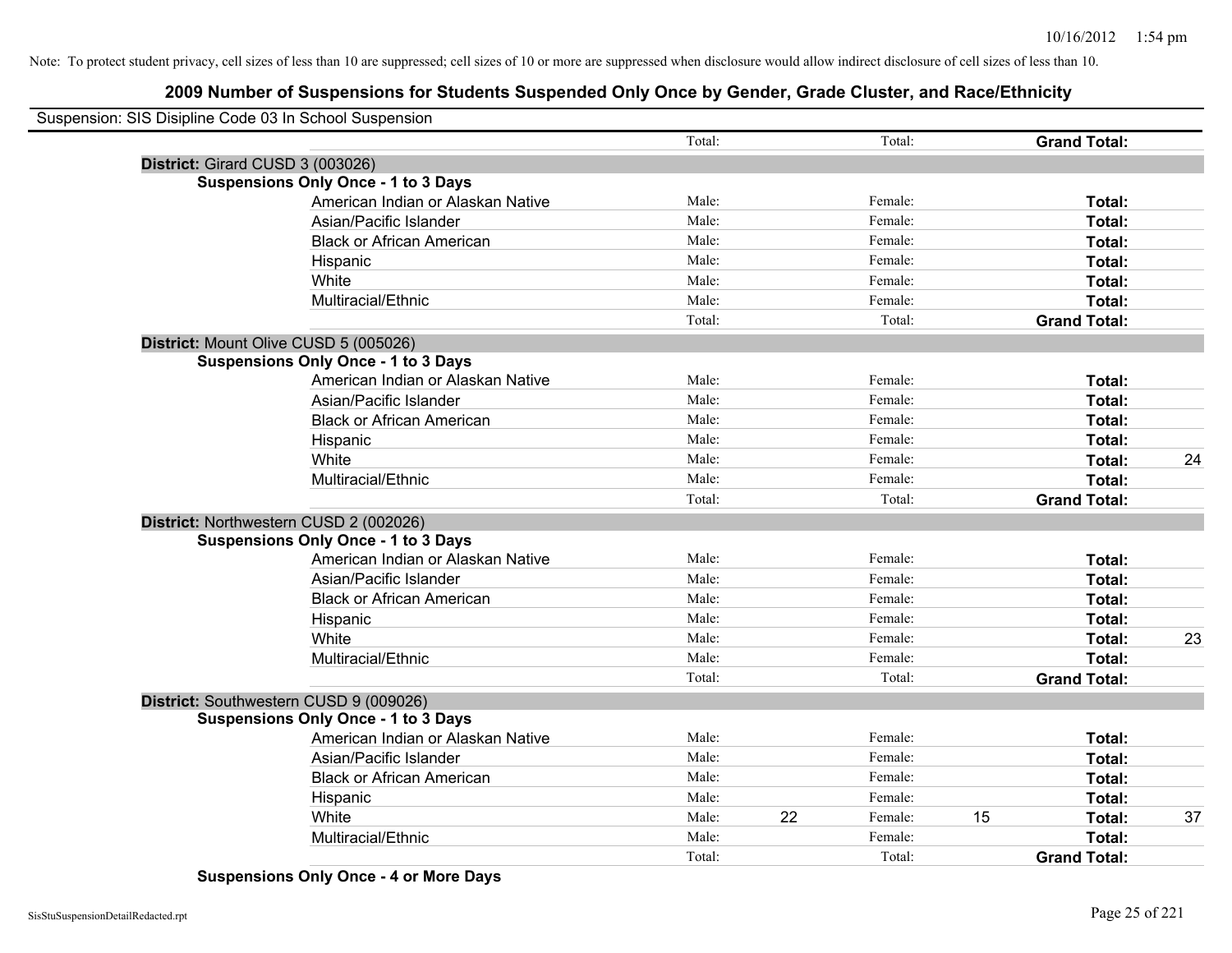# **2009 Number of Suspensions for Students Suspended Only Once by Gender, Grade Cluster, and Race/Ethnicity**

| Suspension: SIS Disipline Code 03 In School Suspension |                                            |        |    |         |    |                     |    |
|--------------------------------------------------------|--------------------------------------------|--------|----|---------|----|---------------------|----|
|                                                        |                                            | Total: |    | Total:  |    | <b>Grand Total:</b> |    |
| District: Girard CUSD 3 (003026)                       |                                            |        |    |         |    |                     |    |
|                                                        | <b>Suspensions Only Once - 1 to 3 Days</b> |        |    |         |    |                     |    |
|                                                        | American Indian or Alaskan Native          | Male:  |    | Female: |    | Total:              |    |
|                                                        | Asian/Pacific Islander                     | Male:  |    | Female: |    | Total:              |    |
|                                                        | <b>Black or African American</b>           | Male:  |    | Female: |    | Total:              |    |
|                                                        | Hispanic                                   | Male:  |    | Female: |    | Total:              |    |
|                                                        | White                                      | Male:  |    | Female: |    | Total:              |    |
|                                                        | Multiracial/Ethnic                         | Male:  |    | Female: |    | Total:              |    |
|                                                        |                                            | Total: |    | Total:  |    | <b>Grand Total:</b> |    |
|                                                        | District: Mount Olive CUSD 5 (005026)      |        |    |         |    |                     |    |
|                                                        | <b>Suspensions Only Once - 1 to 3 Days</b> |        |    |         |    |                     |    |
|                                                        | American Indian or Alaskan Native          | Male:  |    | Female: |    | Total:              |    |
|                                                        | Asian/Pacific Islander                     | Male:  |    | Female: |    | Total:              |    |
|                                                        | <b>Black or African American</b>           | Male:  |    | Female: |    | Total:              |    |
|                                                        | Hispanic                                   | Male:  |    | Female: |    | Total:              |    |
|                                                        | White                                      | Male:  |    | Female: |    | Total:              | 24 |
|                                                        | Multiracial/Ethnic                         | Male:  |    | Female: |    | Total:              |    |
|                                                        |                                            | Total: |    | Total:  |    | <b>Grand Total:</b> |    |
|                                                        | District: Northwestern CUSD 2 (002026)     |        |    |         |    |                     |    |
|                                                        | <b>Suspensions Only Once - 1 to 3 Days</b> |        |    |         |    |                     |    |
|                                                        | American Indian or Alaskan Native          | Male:  |    | Female: |    | Total:              |    |
|                                                        | Asian/Pacific Islander                     | Male:  |    | Female: |    | Total:              |    |
|                                                        | <b>Black or African American</b>           | Male:  |    | Female: |    | Total:              |    |
|                                                        | Hispanic                                   | Male:  |    | Female: |    | Total:              |    |
|                                                        | White                                      | Male:  |    | Female: |    | Total:              | 23 |
|                                                        | Multiracial/Ethnic                         | Male:  |    | Female: |    | Total:              |    |
|                                                        |                                            | Total: |    | Total:  |    | <b>Grand Total:</b> |    |
|                                                        | District: Southwestern CUSD 9 (009026)     |        |    |         |    |                     |    |
|                                                        | <b>Suspensions Only Once - 1 to 3 Days</b> |        |    |         |    |                     |    |
|                                                        | American Indian or Alaskan Native          | Male:  |    | Female: |    | Total:              |    |
|                                                        | Asian/Pacific Islander                     | Male:  |    | Female: |    | Total:              |    |
|                                                        | <b>Black or African American</b>           | Male:  |    | Female: |    | Total:              |    |
|                                                        | Hispanic                                   | Male:  |    | Female: |    | Total:              |    |
|                                                        | White                                      | Male:  | 22 | Female: | 15 | Total:              | 37 |
|                                                        | Multiracial/Ethnic                         | Male:  |    | Female: |    | Total:              |    |
|                                                        |                                            | Total: |    | Total:  |    | <b>Grand Total:</b> |    |

**Suspensions Only Once - 4 or More Days**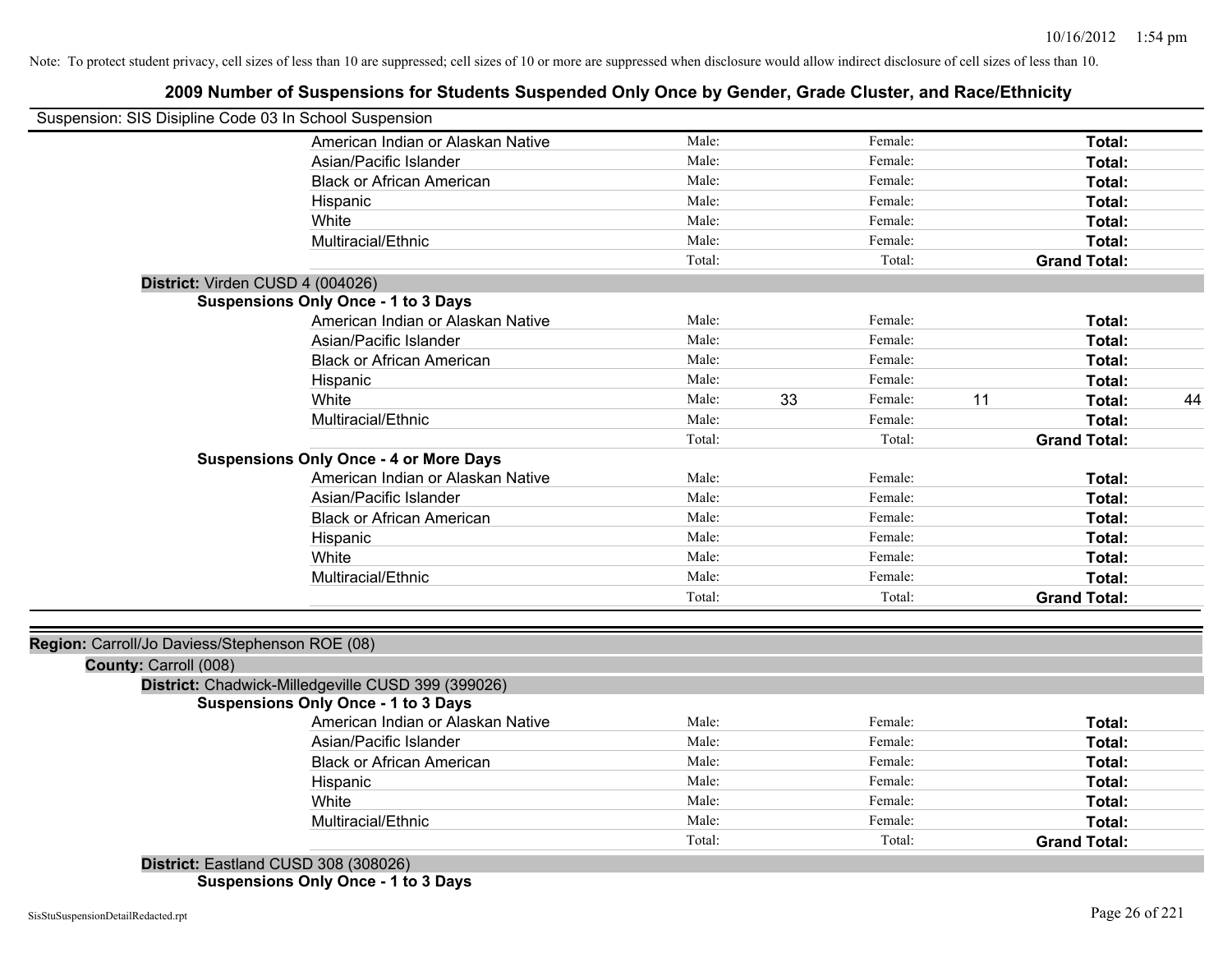# **2009 Number of Suspensions for Students Suspended Only Once by Gender, Grade Cluster, and Race/Ethnicity**

| Suspension: SIS Disipline Code 03 In School Suspension |                                                    |        |    |         |    |                     |    |
|--------------------------------------------------------|----------------------------------------------------|--------|----|---------|----|---------------------|----|
|                                                        | American Indian or Alaskan Native                  | Male:  |    | Female: |    | Total:              |    |
|                                                        | Asian/Pacific Islander                             | Male:  |    | Female: |    | Total:              |    |
|                                                        | <b>Black or African American</b>                   | Male:  |    | Female: |    | Total:              |    |
|                                                        | Hispanic                                           | Male:  |    | Female: |    | Total:              |    |
|                                                        | White                                              | Male:  |    | Female: |    | Total:              |    |
|                                                        | Multiracial/Ethnic                                 | Male:  |    | Female: |    | Total:              |    |
|                                                        |                                                    | Total: |    | Total:  |    | <b>Grand Total:</b> |    |
| District: Virden CUSD 4 (004026)                       |                                                    |        |    |         |    |                     |    |
|                                                        | <b>Suspensions Only Once - 1 to 3 Days</b>         |        |    |         |    |                     |    |
|                                                        | American Indian or Alaskan Native                  | Male:  |    | Female: |    | Total:              |    |
|                                                        | Asian/Pacific Islander                             | Male:  |    | Female: |    | Total:              |    |
|                                                        | <b>Black or African American</b>                   | Male:  |    | Female: |    | Total:              |    |
|                                                        | Hispanic                                           | Male:  |    | Female: |    | Total:              |    |
|                                                        | White                                              | Male:  | 33 | Female: | 11 | Total:              | 44 |
|                                                        | Multiracial/Ethnic                                 | Male:  |    | Female: |    | Total:              |    |
|                                                        |                                                    | Total: |    | Total:  |    | <b>Grand Total:</b> |    |
|                                                        | <b>Suspensions Only Once - 4 or More Days</b>      |        |    |         |    |                     |    |
|                                                        | American Indian or Alaskan Native                  | Male:  |    | Female: |    | Total:              |    |
|                                                        | Asian/Pacific Islander                             | Male:  |    | Female: |    | Total:              |    |
|                                                        | <b>Black or African American</b>                   | Male:  |    | Female: |    | Total:              |    |
|                                                        | Hispanic                                           | Male:  |    | Female: |    | Total:              |    |
|                                                        | White                                              | Male:  |    | Female: |    | Total:              |    |
|                                                        | Multiracial/Ethnic                                 | Male:  |    | Female: |    | Total:              |    |
|                                                        |                                                    | Total: |    | Total:  |    | <b>Grand Total:</b> |    |
|                                                        |                                                    |        |    |         |    |                     |    |
| Region: Carroll/Jo Daviess/Stephenson ROE (08)         |                                                    |        |    |         |    |                     |    |
| County: Carroll (008)                                  |                                                    |        |    |         |    |                     |    |
|                                                        | District: Chadwick-Milledgeville CUSD 399 (399026) |        |    |         |    |                     |    |
|                                                        | <b>Suspensions Only Once - 1 to 3 Days</b>         |        |    |         |    |                     |    |
|                                                        | American Indian or Alaskan Native                  | Male:  |    | Female: |    | Total:              |    |
|                                                        | Asian/Pacific Islander                             | Male:  |    | Female: |    | Total:              |    |
|                                                        | <b>Black or African American</b>                   | Male:  |    | Female: |    | Total:              |    |
|                                                        | Hispanic                                           | Male:  |    | Female: |    | Total:              |    |
|                                                        | White                                              | Male:  |    | Female: |    | Total:              |    |
|                                                        | Multiracial/Ethnic                                 | Male:  |    | Female: |    | Total:              |    |
|                                                        |                                                    | Total: |    | Total:  |    | <b>Grand Total:</b> |    |
|                                                        | District: Eastland CUSD 308 (308026)               |        |    |         |    |                     |    |

**Suspensions Only Once - 1 to 3 Days**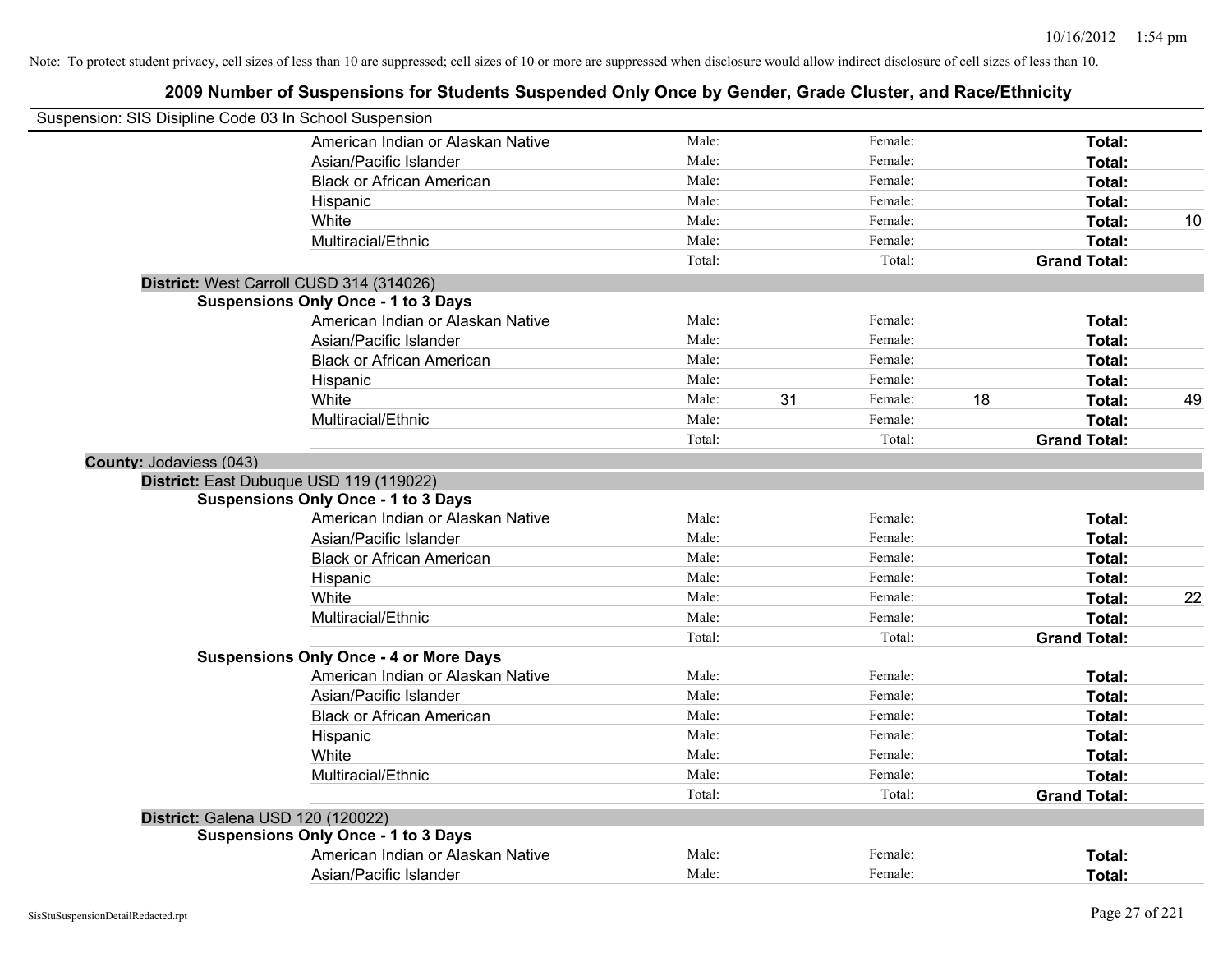|                                | Suspension: SIS Disipline Code 03 In School Suspension |        |    |         |    |                     |    |
|--------------------------------|--------------------------------------------------------|--------|----|---------|----|---------------------|----|
|                                | American Indian or Alaskan Native                      | Male:  |    | Female: |    | Total:              |    |
|                                | Asian/Pacific Islander                                 | Male:  |    | Female: |    | Total:              |    |
|                                | <b>Black or African American</b>                       | Male:  |    | Female: |    | Total:              |    |
|                                | Hispanic                                               | Male:  |    | Female: |    | Total:              |    |
|                                | White                                                  | Male:  |    | Female: |    | Total:              | 10 |
|                                | Multiracial/Ethnic                                     | Male:  |    | Female: |    | Total:              |    |
|                                |                                                        | Total: |    | Total:  |    | <b>Grand Total:</b> |    |
|                                | District: West Carroll CUSD 314 (314026)               |        |    |         |    |                     |    |
|                                | <b>Suspensions Only Once - 1 to 3 Days</b>             |        |    |         |    |                     |    |
|                                | American Indian or Alaskan Native                      | Male:  |    | Female: |    | Total:              |    |
|                                | Asian/Pacific Islander                                 | Male:  |    | Female: |    | Total:              |    |
|                                | <b>Black or African American</b>                       | Male:  |    | Female: |    | Total:              |    |
|                                | Hispanic                                               | Male:  |    | Female: |    | Total:              |    |
|                                | White                                                  | Male:  | 31 | Female: | 18 | Total:              | 49 |
|                                | Multiracial/Ethnic                                     | Male:  |    | Female: |    | Total:              |    |
|                                |                                                        | Total: |    | Total:  |    | <b>Grand Total:</b> |    |
| <b>County: Jodaviess (043)</b> |                                                        |        |    |         |    |                     |    |
|                                | District: East Dubuque USD 119 (119022)                |        |    |         |    |                     |    |
|                                | <b>Suspensions Only Once - 1 to 3 Days</b>             |        |    |         |    |                     |    |
|                                | American Indian or Alaskan Native                      | Male:  |    | Female: |    | Total:              |    |
|                                | Asian/Pacific Islander                                 | Male:  |    | Female: |    | Total:              |    |
|                                | <b>Black or African American</b>                       | Male:  |    | Female: |    | Total:              |    |
|                                | Hispanic                                               | Male:  |    | Female: |    | Total:              |    |
|                                | White                                                  | Male:  |    | Female: |    | Total:              | 22 |
|                                | Multiracial/Ethnic                                     | Male:  |    | Female: |    | Total:              |    |
|                                |                                                        | Total: |    | Total:  |    | <b>Grand Total:</b> |    |
|                                | <b>Suspensions Only Once - 4 or More Days</b>          |        |    |         |    |                     |    |
|                                | American Indian or Alaskan Native                      | Male:  |    | Female: |    | Total:              |    |
|                                | Asian/Pacific Islander                                 | Male:  |    | Female: |    | Total:              |    |
|                                | <b>Black or African American</b>                       | Male:  |    | Female: |    | Total:              |    |
|                                | Hispanic                                               | Male:  |    | Female: |    | Total:              |    |
|                                | White                                                  | Male:  |    | Female: |    | Total:              |    |
|                                | Multiracial/Ethnic                                     | Male:  |    | Female: |    | Total:              |    |
|                                |                                                        | Total: |    | Total:  |    | <b>Grand Total:</b> |    |
|                                | District: Galena USD 120 (120022)                      |        |    |         |    |                     |    |
|                                | <b>Suspensions Only Once - 1 to 3 Days</b>             |        |    |         |    |                     |    |
|                                | American Indian or Alaskan Native                      | Male:  |    | Female: |    | Total:              |    |
|                                | Asian/Pacific Islander                                 | Male:  |    | Female: |    | Total:              |    |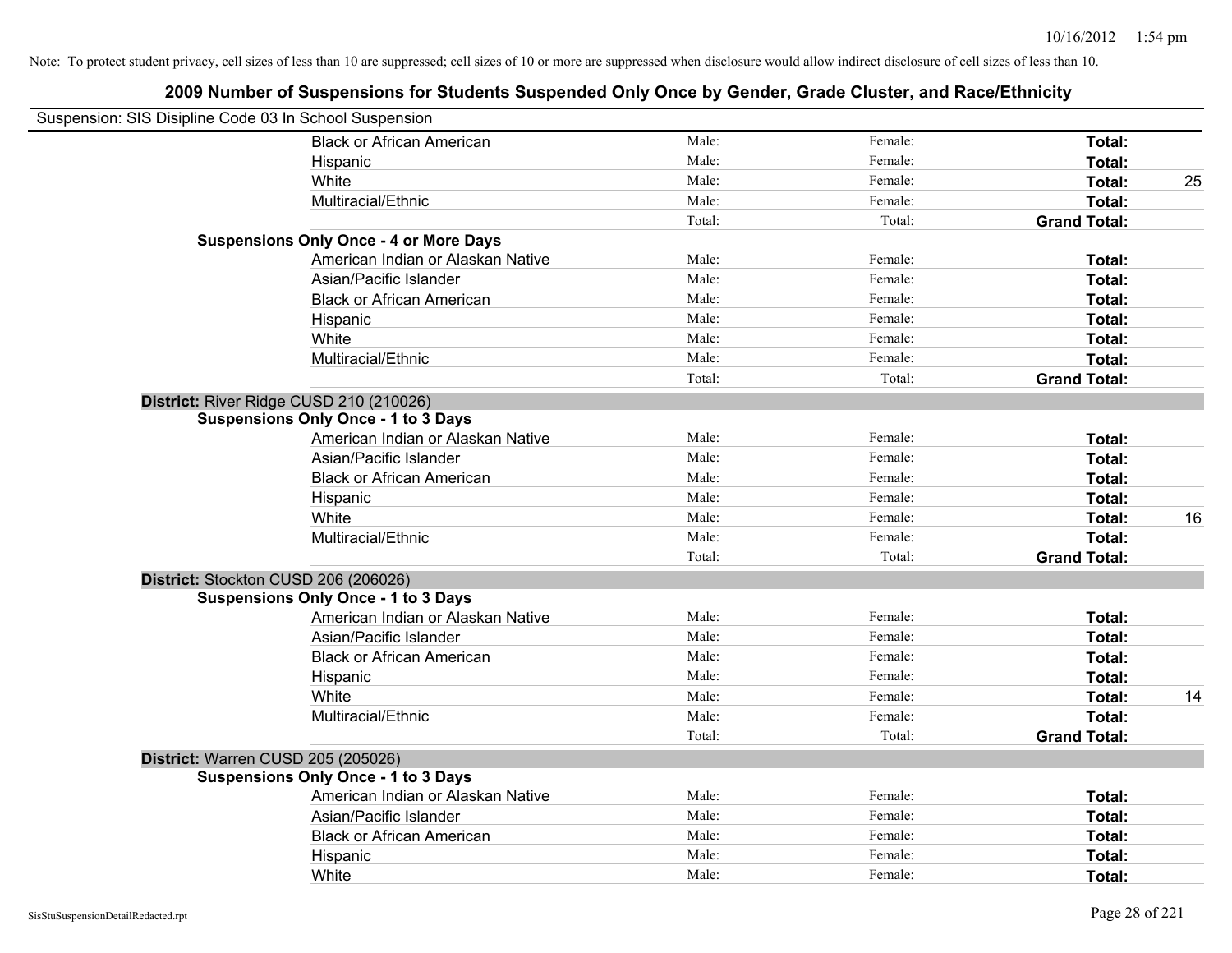| Suspension: SIS Disipline Code 03 In School Suspension |                                               |        |         |                     |    |
|--------------------------------------------------------|-----------------------------------------------|--------|---------|---------------------|----|
|                                                        | <b>Black or African American</b>              | Male:  | Female: | Total:              |    |
|                                                        | Hispanic                                      | Male:  | Female: | Total:              |    |
|                                                        | White                                         | Male:  | Female: | Total:              | 25 |
|                                                        | Multiracial/Ethnic                            | Male:  | Female: | Total:              |    |
|                                                        |                                               | Total: | Total:  | <b>Grand Total:</b> |    |
|                                                        | <b>Suspensions Only Once - 4 or More Days</b> |        |         |                     |    |
|                                                        | American Indian or Alaskan Native             | Male:  | Female: | Total:              |    |
|                                                        | Asian/Pacific Islander                        | Male:  | Female: | Total:              |    |
|                                                        | <b>Black or African American</b>              | Male:  | Female: | Total:              |    |
|                                                        | Hispanic                                      | Male:  | Female: | Total:              |    |
|                                                        | White                                         | Male:  | Female: | Total:              |    |
|                                                        | Multiracial/Ethnic                            | Male:  | Female: | Total:              |    |
|                                                        |                                               | Total: | Total:  | <b>Grand Total:</b> |    |
| District: River Ridge CUSD 210 (210026)                |                                               |        |         |                     |    |
|                                                        | <b>Suspensions Only Once - 1 to 3 Days</b>    |        |         |                     |    |
|                                                        | American Indian or Alaskan Native             | Male:  | Female: | Total:              |    |
|                                                        | Asian/Pacific Islander                        | Male:  | Female: | Total:              |    |
|                                                        | <b>Black or African American</b>              | Male:  | Female: | Total:              |    |
|                                                        | Hispanic                                      | Male:  | Female: | Total:              |    |
|                                                        | White                                         | Male:  | Female: | Total:              | 16 |
|                                                        | Multiracial/Ethnic                            | Male:  | Female: | Total:              |    |
|                                                        |                                               | Total: | Total:  | <b>Grand Total:</b> |    |
| District: Stockton CUSD 206 (206026)                   |                                               |        |         |                     |    |
|                                                        | <b>Suspensions Only Once - 1 to 3 Days</b>    |        |         |                     |    |
|                                                        | American Indian or Alaskan Native             | Male:  | Female: | Total:              |    |
|                                                        | Asian/Pacific Islander                        | Male:  | Female: | Total:              |    |
|                                                        | <b>Black or African American</b>              | Male:  | Female: | Total:              |    |
|                                                        | Hispanic                                      | Male:  | Female: | Total:              |    |
|                                                        | White                                         | Male:  | Female: | Total:              | 14 |
|                                                        | Multiracial/Ethnic                            | Male:  | Female: | Total:              |    |
|                                                        |                                               | Total: | Total:  | <b>Grand Total:</b> |    |
| District: Warren CUSD 205 (205026)                     |                                               |        |         |                     |    |
|                                                        | <b>Suspensions Only Once - 1 to 3 Days</b>    |        |         |                     |    |
|                                                        | American Indian or Alaskan Native             | Male:  | Female: | Total:              |    |
|                                                        | Asian/Pacific Islander                        | Male:  | Female: | Total:              |    |
|                                                        | <b>Black or African American</b>              | Male:  | Female: | Total:              |    |
|                                                        | Hispanic                                      | Male:  | Female: | Total:              |    |
|                                                        | White                                         | Male:  | Female: | Total:              |    |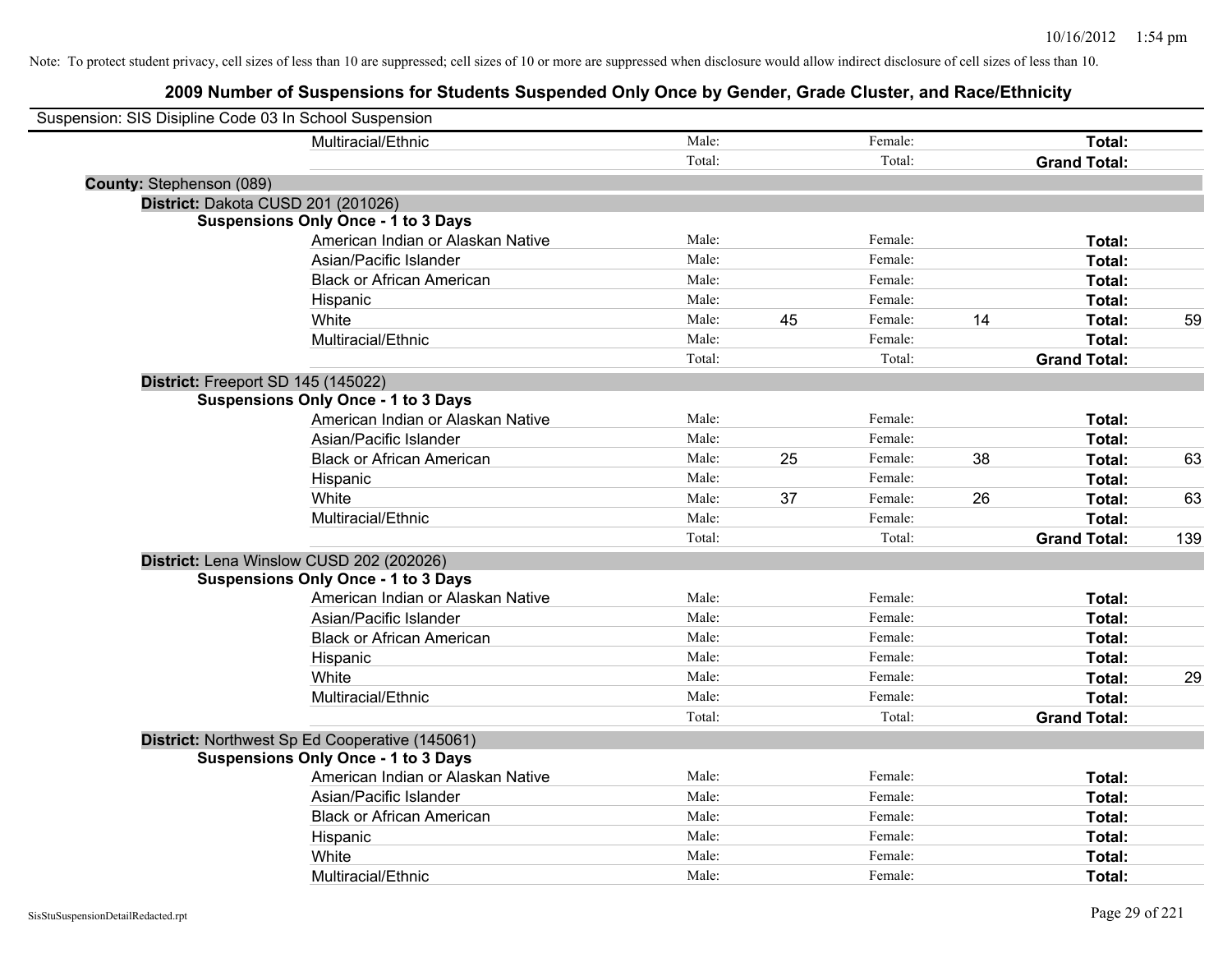|                                 | Suspension: SIS Disipline Code 03 In School Suspension |        |    |         |    |                     |     |
|---------------------------------|--------------------------------------------------------|--------|----|---------|----|---------------------|-----|
|                                 | Multiracial/Ethnic                                     | Male:  |    | Female: |    | Total:              |     |
|                                 |                                                        | Total: |    | Total:  |    | <b>Grand Total:</b> |     |
| <b>County: Stephenson (089)</b> |                                                        |        |    |         |    |                     |     |
|                                 | District: Dakota CUSD 201 (201026)                     |        |    |         |    |                     |     |
|                                 | <b>Suspensions Only Once - 1 to 3 Days</b>             |        |    |         |    |                     |     |
|                                 | American Indian or Alaskan Native                      | Male:  |    | Female: |    | Total:              |     |
|                                 | Asian/Pacific Islander                                 | Male:  |    | Female: |    | Total:              |     |
|                                 | <b>Black or African American</b>                       | Male:  |    | Female: |    | Total:              |     |
|                                 | Hispanic                                               | Male:  |    | Female: |    | Total:              |     |
|                                 | White                                                  | Male:  | 45 | Female: | 14 | Total:              | 59  |
|                                 | Multiracial/Ethnic                                     | Male:  |    | Female: |    | Total:              |     |
|                                 |                                                        | Total: |    | Total:  |    | <b>Grand Total:</b> |     |
|                                 | District: Freeport SD 145 (145022)                     |        |    |         |    |                     |     |
|                                 | <b>Suspensions Only Once - 1 to 3 Days</b>             |        |    |         |    |                     |     |
|                                 | American Indian or Alaskan Native                      | Male:  |    | Female: |    | Total:              |     |
|                                 | Asian/Pacific Islander                                 | Male:  |    | Female: |    | Total:              |     |
|                                 | <b>Black or African American</b>                       | Male:  | 25 | Female: | 38 | Total:              | 63  |
|                                 | Hispanic                                               | Male:  |    | Female: |    | Total:              |     |
|                                 | White                                                  | Male:  | 37 | Female: | 26 | Total:              | 63  |
|                                 | Multiracial/Ethnic                                     | Male:  |    | Female: |    | Total:              |     |
|                                 |                                                        | Total: |    | Total:  |    | <b>Grand Total:</b> | 139 |
|                                 | District: Lena Winslow CUSD 202 (202026)               |        |    |         |    |                     |     |
|                                 | <b>Suspensions Only Once - 1 to 3 Days</b>             |        |    |         |    |                     |     |
|                                 | American Indian or Alaskan Native                      | Male:  |    | Female: |    | Total:              |     |
|                                 | Asian/Pacific Islander                                 | Male:  |    | Female: |    | Total:              |     |
|                                 | <b>Black or African American</b>                       | Male:  |    | Female: |    | Total:              |     |
|                                 | Hispanic                                               | Male:  |    | Female: |    | Total:              |     |
|                                 | White                                                  | Male:  |    | Female: |    | Total:              | 29  |
|                                 | Multiracial/Ethnic                                     | Male:  |    | Female: |    | Total:              |     |
|                                 |                                                        | Total: |    | Total:  |    | <b>Grand Total:</b> |     |
|                                 | District: Northwest Sp Ed Cooperative (145061)         |        |    |         |    |                     |     |
|                                 | <b>Suspensions Only Once - 1 to 3 Days</b>             |        |    |         |    |                     |     |
|                                 | American Indian or Alaskan Native                      | Male:  |    | Female: |    | Total:              |     |
|                                 | Asian/Pacific Islander                                 | Male:  |    | Female: |    | Total:              |     |
|                                 | <b>Black or African American</b>                       | Male:  |    | Female: |    | Total:              |     |
|                                 | Hispanic                                               | Male:  |    | Female: |    | Total:              |     |
|                                 | White                                                  | Male:  |    | Female: |    | Total:              |     |
|                                 | Multiracial/Ethnic                                     | Male:  |    | Female: |    | Total:              |     |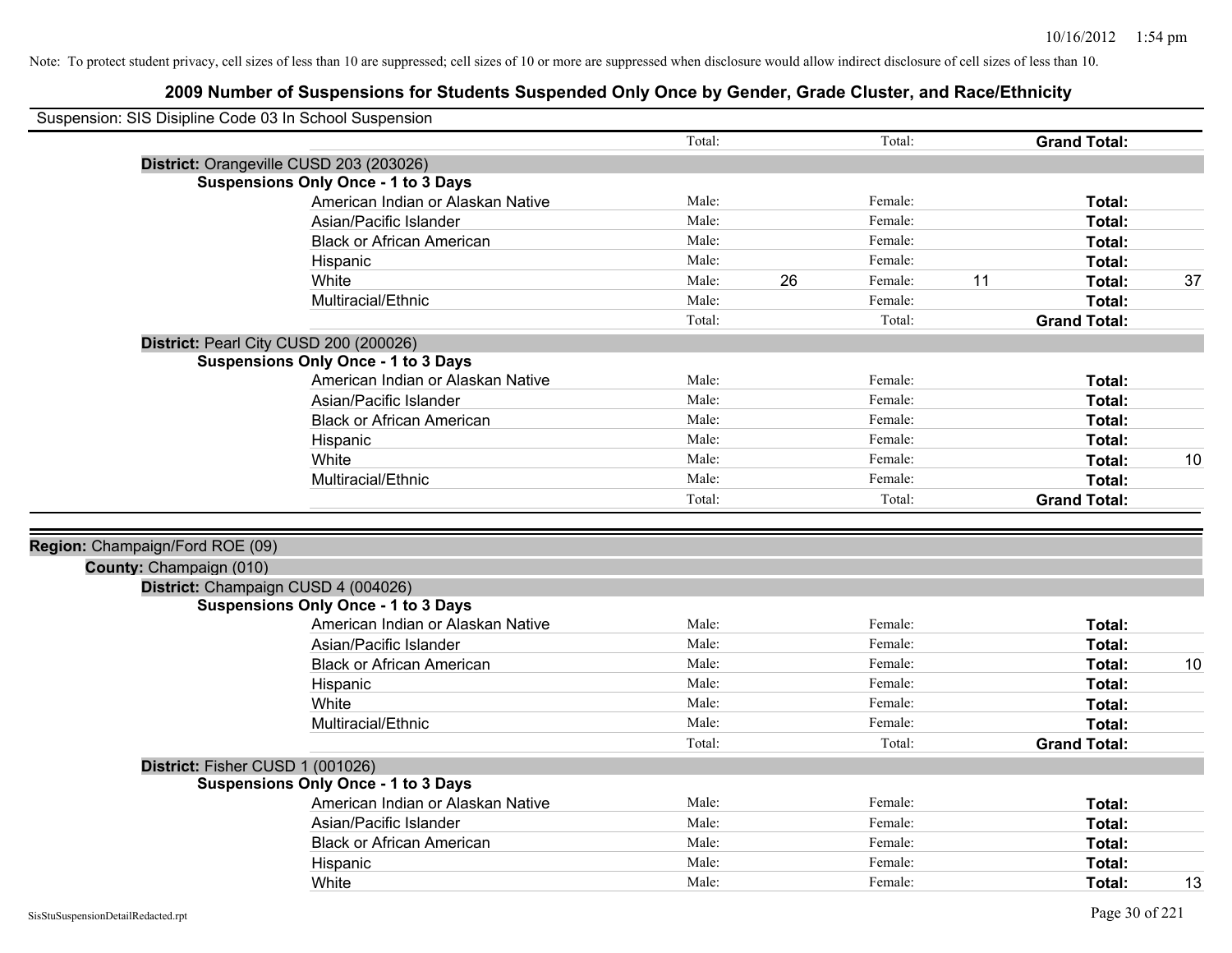| Suspension: SIS Disipline Code 03 In School Suspension |                                            |        |    |         |                     |    |
|--------------------------------------------------------|--------------------------------------------|--------|----|---------|---------------------|----|
|                                                        |                                            | Total: |    | Total:  | <b>Grand Total:</b> |    |
|                                                        | District: Orangeville CUSD 203 (203026)    |        |    |         |                     |    |
|                                                        | <b>Suspensions Only Once - 1 to 3 Days</b> |        |    |         |                     |    |
|                                                        | American Indian or Alaskan Native          | Male:  |    | Female: | Total:              |    |
|                                                        | Asian/Pacific Islander                     | Male:  |    | Female: | Total:              |    |
|                                                        | <b>Black or African American</b>           | Male:  |    | Female: | Total:              |    |
|                                                        | Hispanic                                   | Male:  |    | Female: | Total:              |    |
|                                                        | White                                      | Male:  | 26 | Female: | 11<br>Total:        | 37 |
|                                                        | Multiracial/Ethnic                         | Male:  |    | Female: | Total:              |    |
|                                                        |                                            | Total: |    | Total:  | <b>Grand Total:</b> |    |
|                                                        | District: Pearl City CUSD 200 (200026)     |        |    |         |                     |    |
|                                                        | <b>Suspensions Only Once - 1 to 3 Days</b> |        |    |         |                     |    |
|                                                        | American Indian or Alaskan Native          | Male:  |    | Female: | Total:              |    |
|                                                        | Asian/Pacific Islander                     | Male:  |    | Female: | Total:              |    |
|                                                        | <b>Black or African American</b>           | Male:  |    | Female: | Total:              |    |
|                                                        | Hispanic                                   | Male:  |    | Female: | Total:              |    |
|                                                        | White                                      | Male:  |    | Female: | Total:              | 10 |
|                                                        | Multiracial/Ethnic                         | Male:  |    | Female: | Total:              |    |
|                                                        |                                            | Total: |    | Total:  | <b>Grand Total:</b> |    |
|                                                        |                                            |        |    |         |                     |    |
| Region: Champaign/Ford ROE (09)                        |                                            |        |    |         |                     |    |
| County: Champaign (010)                                |                                            |        |    |         |                     |    |
|                                                        | District: Champaign CUSD 4 (004026)        |        |    |         |                     |    |
|                                                        | <b>Suspensions Only Once - 1 to 3 Days</b> |        |    |         |                     |    |
|                                                        | American Indian or Alaskan Native          | Male:  |    | Female: | Total:              |    |
|                                                        | Asian/Pacific Islander                     | Male:  |    | Female: | Total:              |    |
|                                                        | <b>Black or African American</b>           | Male:  |    | Female: | Total:              | 10 |
|                                                        | Hispanic                                   | Male:  |    | Female: | Total:              |    |
|                                                        | White                                      | Male:  |    | Female: | Total:              |    |
|                                                        | Multiracial/Ethnic                         | Male:  |    | Female: | Total:              |    |
|                                                        |                                            | Total: |    | Total:  | <b>Grand Total:</b> |    |
|                                                        | District: Fisher CUSD 1 (001026)           |        |    |         |                     |    |
|                                                        | <b>Suspensions Only Once - 1 to 3 Days</b> |        |    |         |                     |    |
|                                                        | American Indian or Alaskan Native          | Male:  |    | Female: | Total:              |    |
|                                                        | Asian/Pacific Islander                     | Male:  |    | Female: | Total:              |    |
|                                                        | <b>Black or African American</b>           | Male:  |    | Female: | Total:              |    |
|                                                        | Hispanic                                   | Male:  |    | Female: | Total:              |    |
|                                                        | White                                      | Male:  |    | Female: | Total:              | 13 |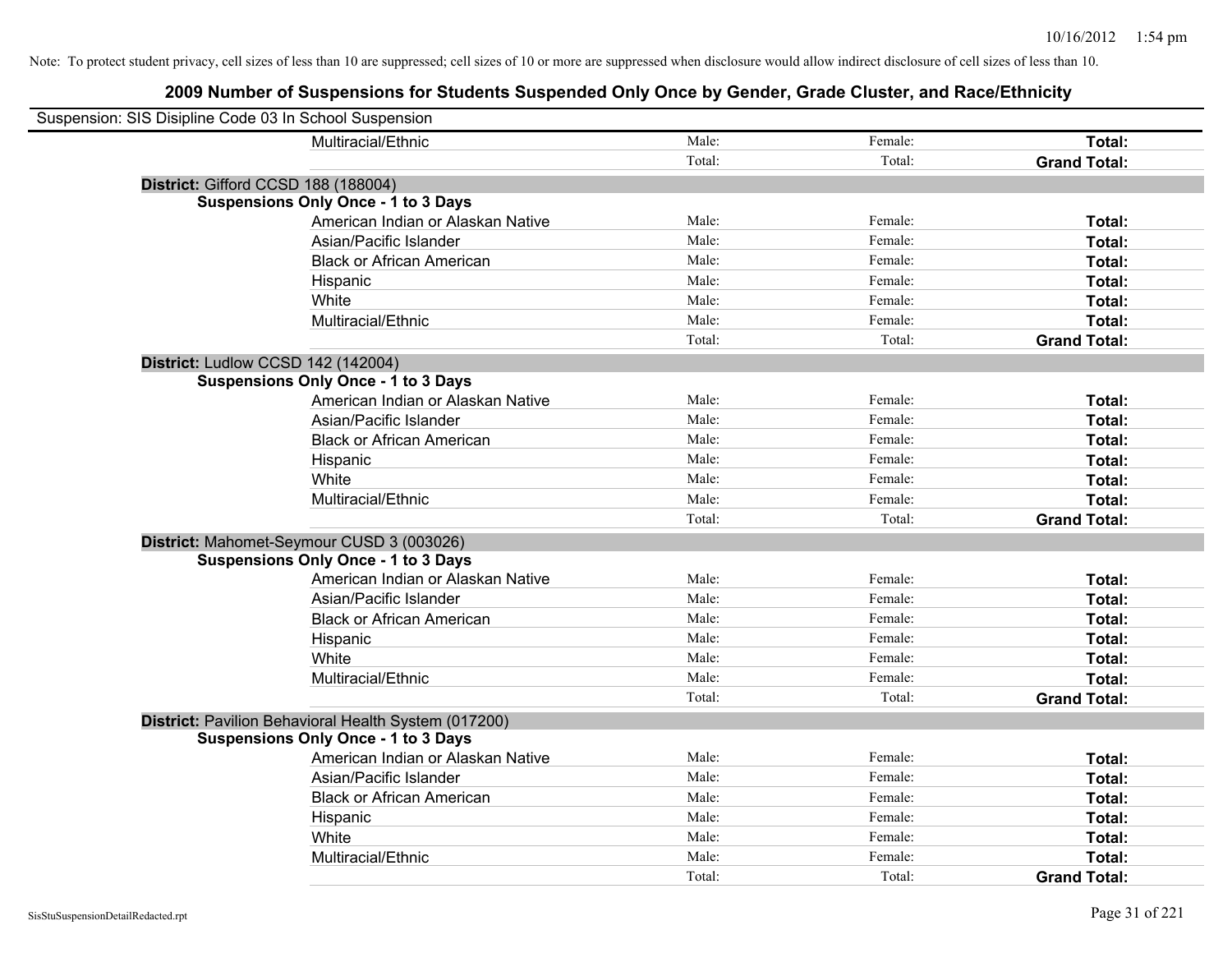| Suspension: SIS Disipline Code 03 In School Suspension |                                                      |        |         |                     |
|--------------------------------------------------------|------------------------------------------------------|--------|---------|---------------------|
|                                                        | Multiracial/Ethnic                                   | Male:  | Female: | Total:              |
|                                                        |                                                      | Total: | Total:  | <b>Grand Total:</b> |
| District: Gifford CCSD 188 (188004)                    |                                                      |        |         |                     |
|                                                        | <b>Suspensions Only Once - 1 to 3 Days</b>           |        |         |                     |
|                                                        | American Indian or Alaskan Native                    | Male:  | Female: | Total:              |
|                                                        | Asian/Pacific Islander                               | Male:  | Female: | Total:              |
|                                                        | <b>Black or African American</b>                     | Male:  | Female: | Total:              |
|                                                        | Hispanic                                             | Male:  | Female: | Total:              |
|                                                        | White                                                | Male:  | Female: | Total:              |
|                                                        | Multiracial/Ethnic                                   | Male:  | Female: | Total:              |
|                                                        |                                                      | Total: | Total:  | <b>Grand Total:</b> |
| District: Ludlow CCSD 142 (142004)                     |                                                      |        |         |                     |
|                                                        | <b>Suspensions Only Once - 1 to 3 Days</b>           |        |         |                     |
|                                                        | American Indian or Alaskan Native                    | Male:  | Female: | Total:              |
|                                                        | Asian/Pacific Islander                               | Male:  | Female: | Total:              |
|                                                        | <b>Black or African American</b>                     | Male:  | Female: | Total:              |
|                                                        | Hispanic                                             | Male:  | Female: | Total:              |
|                                                        | White                                                | Male:  | Female: | Total:              |
|                                                        | Multiracial/Ethnic                                   | Male:  | Female: | Total:              |
|                                                        |                                                      | Total: | Total:  | <b>Grand Total:</b> |
| District: Mahomet-Seymour CUSD 3 (003026)              |                                                      |        |         |                     |
|                                                        | <b>Suspensions Only Once - 1 to 3 Days</b>           |        |         |                     |
|                                                        | American Indian or Alaskan Native                    | Male:  | Female: | Total:              |
|                                                        | Asian/Pacific Islander                               | Male:  | Female: | Total:              |
|                                                        | <b>Black or African American</b>                     | Male:  | Female: | Total:              |
|                                                        | Hispanic                                             | Male:  | Female: | Total:              |
|                                                        | White                                                | Male:  | Female: | Total:              |
|                                                        | Multiracial/Ethnic                                   | Male:  | Female: | Total:              |
|                                                        |                                                      | Total: | Total:  | <b>Grand Total:</b> |
|                                                        | District: Pavilion Behavioral Health System (017200) |        |         |                     |
|                                                        | <b>Suspensions Only Once - 1 to 3 Days</b>           |        |         |                     |
|                                                        | American Indian or Alaskan Native                    | Male:  | Female: | Total:              |
|                                                        | Asian/Pacific Islander                               | Male:  | Female: | Total:              |
|                                                        | <b>Black or African American</b>                     | Male:  | Female: | Total:              |
|                                                        | Hispanic                                             | Male:  | Female: | Total:              |
|                                                        | White                                                | Male:  | Female: | Total:              |
|                                                        | Multiracial/Ethnic                                   | Male:  | Female: | Total:              |
|                                                        |                                                      | Total: | Total:  | <b>Grand Total:</b> |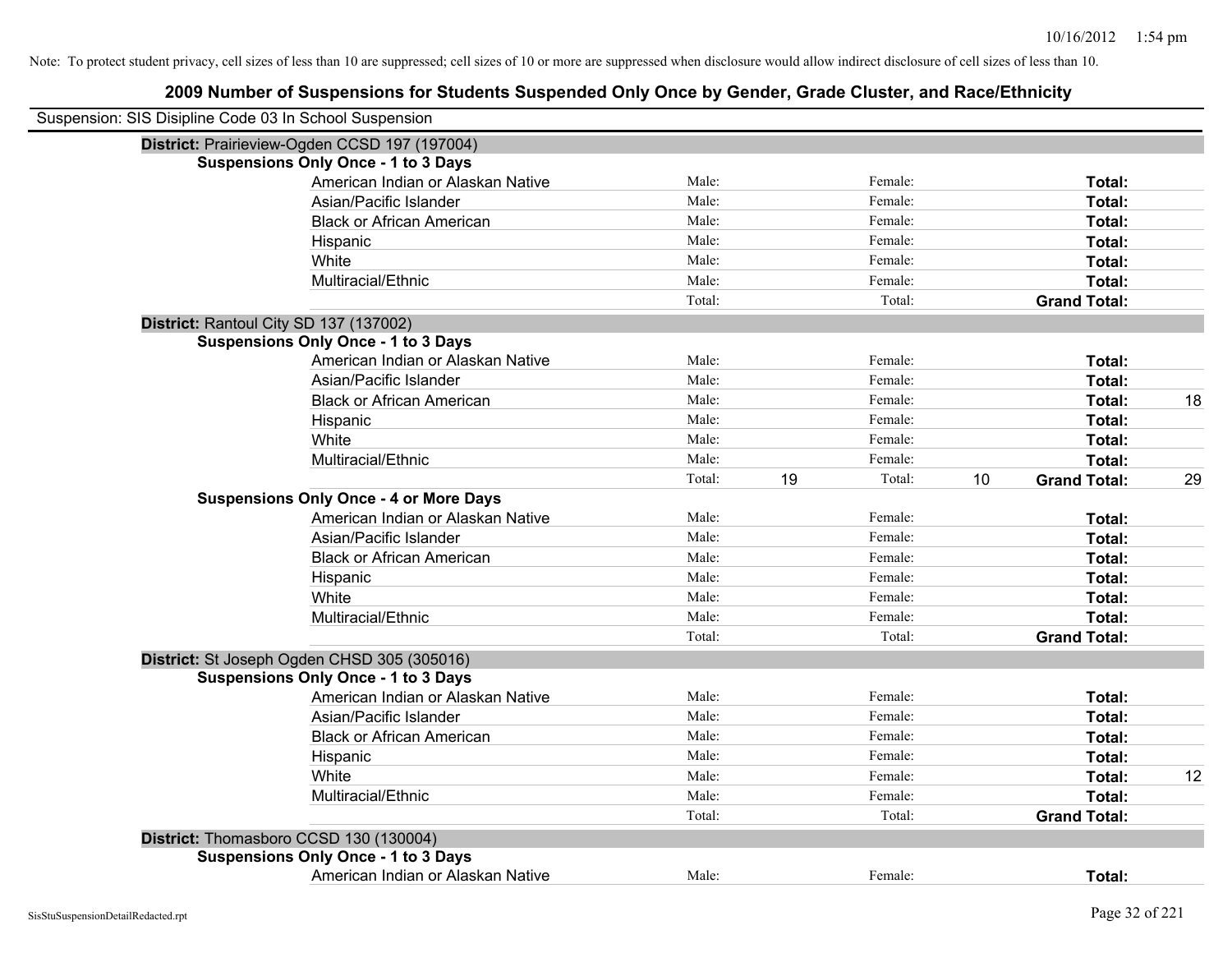| Suspension: SIS Disipline Code 03 In School Suspension |                                               |        |    |         |    |                     |    |
|--------------------------------------------------------|-----------------------------------------------|--------|----|---------|----|---------------------|----|
|                                                        | District: Prairieview-Ogden CCSD 197 (197004) |        |    |         |    |                     |    |
|                                                        | <b>Suspensions Only Once - 1 to 3 Days</b>    |        |    |         |    |                     |    |
|                                                        | American Indian or Alaskan Native             | Male:  |    | Female: |    | Total:              |    |
|                                                        | Asian/Pacific Islander                        | Male:  |    | Female: |    | Total:              |    |
|                                                        | <b>Black or African American</b>              | Male:  |    | Female: |    | Total:              |    |
|                                                        | Hispanic                                      | Male:  |    | Female: |    | Total:              |    |
|                                                        | White                                         | Male:  |    | Female: |    | Total:              |    |
|                                                        | Multiracial/Ethnic                            | Male:  |    | Female: |    | Total:              |    |
|                                                        |                                               | Total: |    | Total:  |    | <b>Grand Total:</b> |    |
|                                                        | District: Rantoul City SD 137 (137002)        |        |    |         |    |                     |    |
|                                                        | <b>Suspensions Only Once - 1 to 3 Days</b>    |        |    |         |    |                     |    |
|                                                        | American Indian or Alaskan Native             | Male:  |    | Female: |    | Total:              |    |
|                                                        | Asian/Pacific Islander                        | Male:  |    | Female: |    | Total:              |    |
|                                                        | <b>Black or African American</b>              | Male:  |    | Female: |    | Total:              | 18 |
|                                                        | Hispanic                                      | Male:  |    | Female: |    | Total:              |    |
|                                                        | White                                         | Male:  |    | Female: |    | Total:              |    |
|                                                        | Multiracial/Ethnic                            | Male:  |    | Female: |    | Total:              |    |
|                                                        |                                               | Total: | 19 | Total:  | 10 | <b>Grand Total:</b> | 29 |
|                                                        | <b>Suspensions Only Once - 4 or More Days</b> |        |    |         |    |                     |    |
|                                                        | American Indian or Alaskan Native             | Male:  |    | Female: |    | Total:              |    |
|                                                        | Asian/Pacific Islander                        | Male:  |    | Female: |    | Total:              |    |
|                                                        | <b>Black or African American</b>              | Male:  |    | Female: |    | Total:              |    |
|                                                        | Hispanic                                      | Male:  |    | Female: |    | Total:              |    |
|                                                        | White                                         | Male:  |    | Female: |    | Total:              |    |
|                                                        | Multiracial/Ethnic                            | Male:  |    | Female: |    | Total:              |    |
|                                                        |                                               | Total: |    | Total:  |    | <b>Grand Total:</b> |    |
|                                                        | District: St Joseph Ogden CHSD 305 (305016)   |        |    |         |    |                     |    |
|                                                        | <b>Suspensions Only Once - 1 to 3 Days</b>    |        |    |         |    |                     |    |
|                                                        | American Indian or Alaskan Native             | Male:  |    | Female: |    | Total:              |    |
|                                                        | Asian/Pacific Islander                        | Male:  |    | Female: |    | Total:              |    |
|                                                        | <b>Black or African American</b>              | Male:  |    | Female: |    | Total:              |    |
|                                                        | Hispanic                                      | Male:  |    | Female: |    | Total:              |    |
|                                                        | White                                         | Male:  |    | Female: |    | Total:              | 12 |
|                                                        | Multiracial/Ethnic                            | Male:  |    | Female: |    | Total:              |    |
|                                                        |                                               | Total: |    | Total:  |    | <b>Grand Total:</b> |    |
|                                                        | District: Thomasboro CCSD 130 (130004)        |        |    |         |    |                     |    |
|                                                        | <b>Suspensions Only Once - 1 to 3 Days</b>    |        |    |         |    |                     |    |
|                                                        | American Indian or Alaskan Native             | Male:  |    | Female: |    | Total:              |    |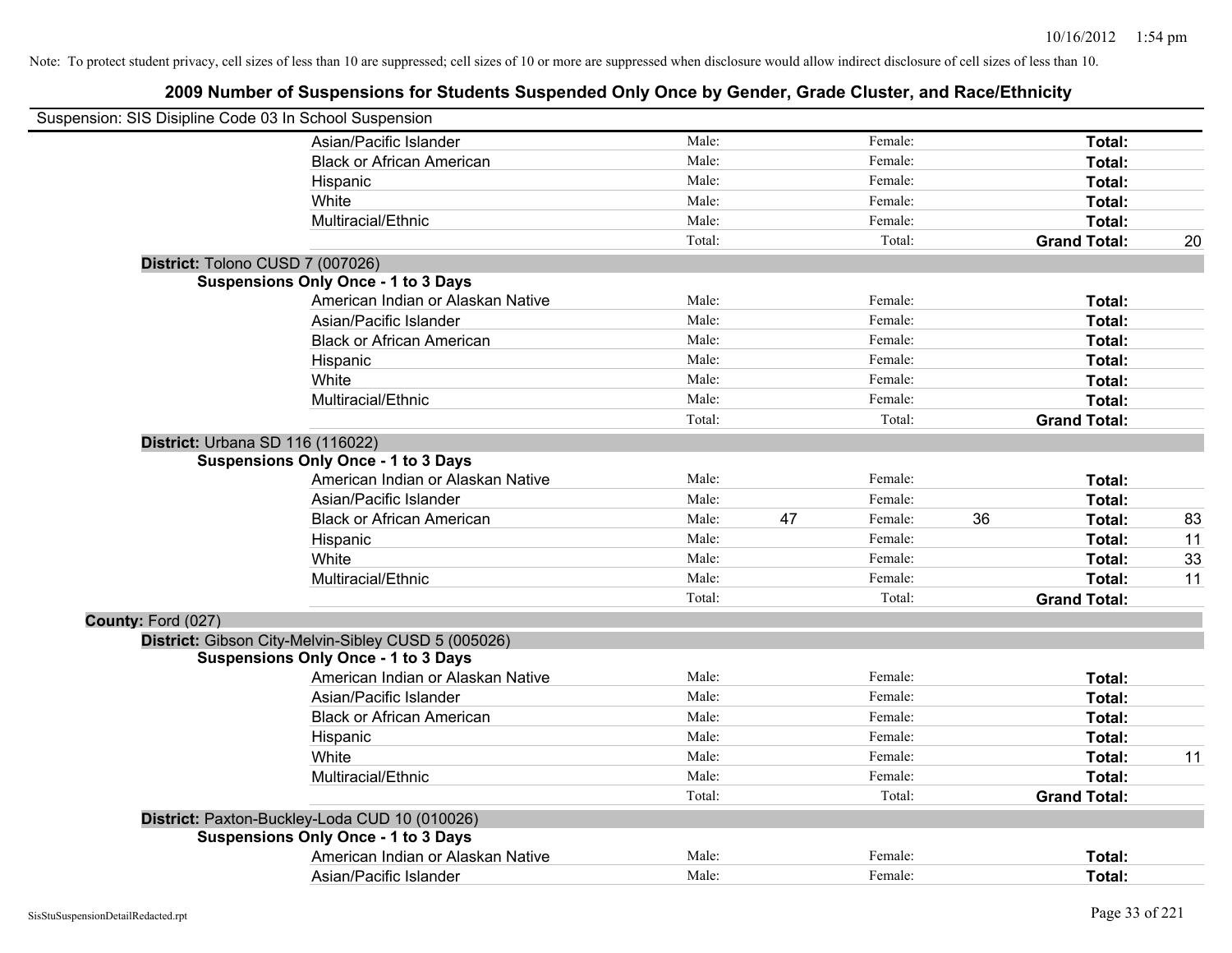| Suspension: SIS Disipline Code 03 In School Suspension |                                                     |        |               |    |                     |    |
|--------------------------------------------------------|-----------------------------------------------------|--------|---------------|----|---------------------|----|
|                                                        | Asian/Pacific Islander                              | Male:  | Female:       |    | Total:              |    |
|                                                        | <b>Black or African American</b>                    | Male:  | Female:       |    | Total:              |    |
|                                                        | Hispanic                                            | Male:  | Female:       |    | Total:              |    |
|                                                        | White                                               | Male:  | Female:       |    | Total:              |    |
|                                                        | Multiracial/Ethnic                                  | Male:  | Female:       |    | Total:              |    |
|                                                        |                                                     | Total: | Total:        |    | <b>Grand Total:</b> | 20 |
| District: Tolono CUSD 7 (007026)                       |                                                     |        |               |    |                     |    |
|                                                        | <b>Suspensions Only Once - 1 to 3 Days</b>          |        |               |    |                     |    |
|                                                        | American Indian or Alaskan Native                   | Male:  | Female:       |    | Total:              |    |
|                                                        | Asian/Pacific Islander                              | Male:  | Female:       |    | Total:              |    |
|                                                        | <b>Black or African American</b>                    | Male:  | Female:       |    | Total:              |    |
|                                                        | Hispanic                                            | Male:  | Female:       |    | Total:              |    |
|                                                        | White                                               | Male:  | Female:       |    | Total:              |    |
|                                                        | Multiracial/Ethnic                                  | Male:  | Female:       |    | Total:              |    |
|                                                        |                                                     | Total: | Total:        |    | <b>Grand Total:</b> |    |
| District: Urbana SD 116 (116022)                       |                                                     |        |               |    |                     |    |
|                                                        | <b>Suspensions Only Once - 1 to 3 Days</b>          |        |               |    |                     |    |
|                                                        | American Indian or Alaskan Native                   | Male:  | Female:       |    | Total:              |    |
|                                                        | Asian/Pacific Islander                              | Male:  | Female:       |    | Total:              |    |
|                                                        | <b>Black or African American</b>                    | Male:  | 47<br>Female: | 36 | Total:              | 83 |
|                                                        | Hispanic                                            | Male:  | Female:       |    | Total:              | 11 |
|                                                        | White                                               | Male:  | Female:       |    | Total:              | 33 |
|                                                        | Multiracial/Ethnic                                  | Male:  | Female:       |    | Total:              | 11 |
|                                                        |                                                     | Total: | Total:        |    | <b>Grand Total:</b> |    |
| County: Ford (027)                                     |                                                     |        |               |    |                     |    |
|                                                        | District: Gibson City-Melvin-Sibley CUSD 5 (005026) |        |               |    |                     |    |
|                                                        | <b>Suspensions Only Once - 1 to 3 Days</b>          |        |               |    |                     |    |
|                                                        | American Indian or Alaskan Native                   | Male:  | Female:       |    | Total:              |    |
|                                                        | Asian/Pacific Islander                              | Male:  | Female:       |    | Total:              |    |
|                                                        | <b>Black or African American</b>                    | Male:  | Female:       |    | Total:              |    |
|                                                        | Hispanic                                            | Male:  | Female:       |    | Total:              |    |
|                                                        | White                                               | Male:  | Female:       |    | Total:              | 11 |
|                                                        | Multiracial/Ethnic                                  | Male:  | Female:       |    | Total:              |    |
|                                                        |                                                     | Total: | Total:        |    | <b>Grand Total:</b> |    |
|                                                        | District: Paxton-Buckley-Loda CUD 10 (010026)       |        |               |    |                     |    |
|                                                        | <b>Suspensions Only Once - 1 to 3 Days</b>          |        |               |    |                     |    |
|                                                        | American Indian or Alaskan Native                   | Male:  | Female:       |    | Total:              |    |
|                                                        | Asian/Pacific Islander                              | Male:  | Female:       |    | Total:              |    |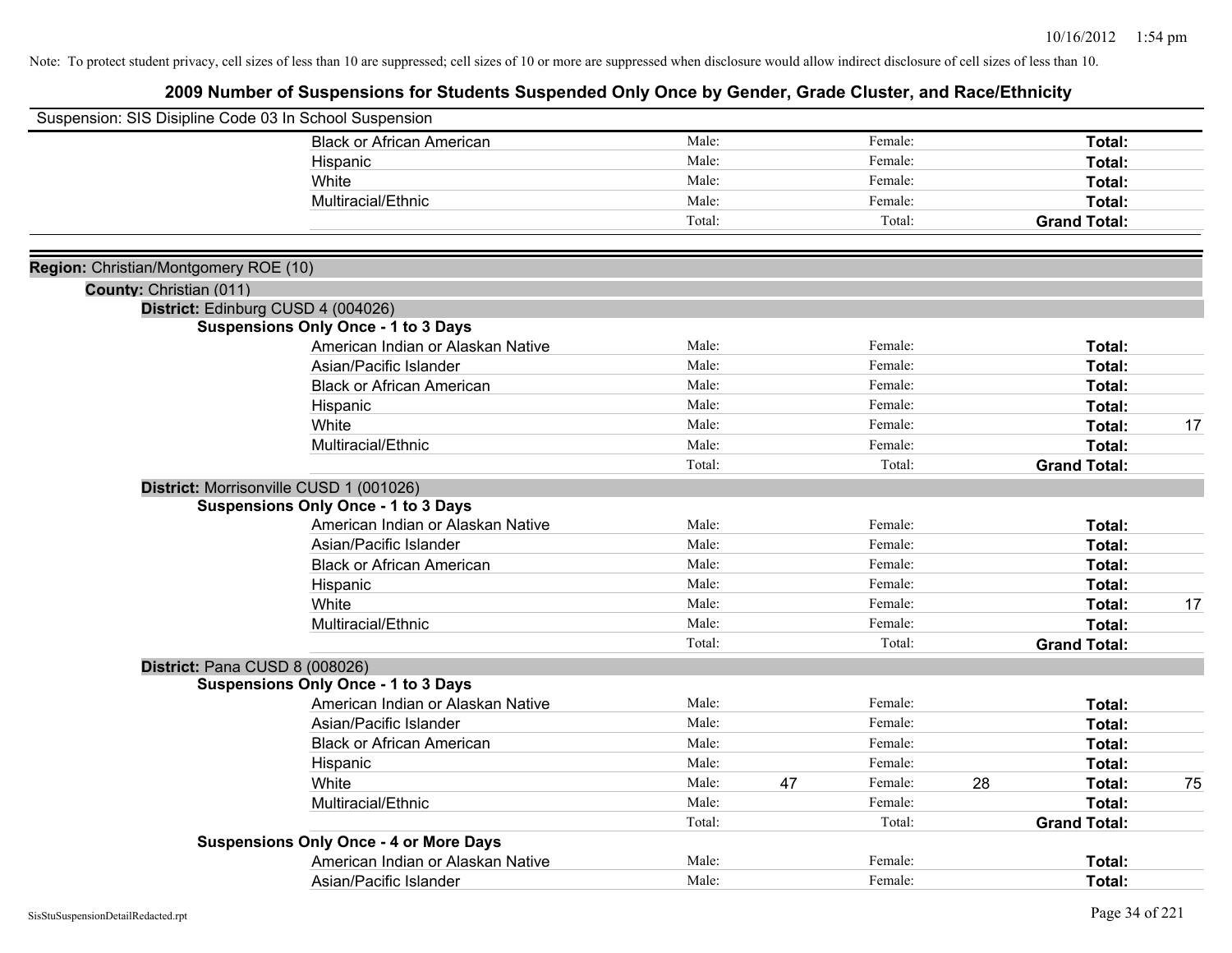|                                       | Suspension: SIS Disipline Code 03 In School Suspension |        |    |         |    |                     |    |
|---------------------------------------|--------------------------------------------------------|--------|----|---------|----|---------------------|----|
|                                       | <b>Black or African American</b>                       | Male:  |    | Female: |    | Total:              |    |
|                                       | Hispanic                                               | Male:  |    | Female: |    | Total:              |    |
|                                       | White                                                  | Male:  |    | Female: |    | Total:              |    |
|                                       | Multiracial/Ethnic                                     | Male:  |    | Female: |    | Total:              |    |
|                                       |                                                        | Total: |    | Total:  |    | <b>Grand Total:</b> |    |
| Region: Christian/Montgomery ROE (10) |                                                        |        |    |         |    |                     |    |
| County: Christian (011)               |                                                        |        |    |         |    |                     |    |
|                                       | District: Edinburg CUSD 4 (004026)                     |        |    |         |    |                     |    |
|                                       | <b>Suspensions Only Once - 1 to 3 Days</b>             |        |    |         |    |                     |    |
|                                       | American Indian or Alaskan Native                      | Male:  |    | Female: |    | <b>Total:</b>       |    |
|                                       | Asian/Pacific Islander                                 | Male:  |    | Female: |    | Total:              |    |
|                                       | <b>Black or African American</b>                       | Male:  |    | Female: |    | Total:              |    |
|                                       | Hispanic                                               | Male:  |    | Female: |    | Total:              |    |
|                                       | White                                                  | Male:  |    | Female: |    | Total:              | 17 |
|                                       | Multiracial/Ethnic                                     | Male:  |    | Female: |    | Total:              |    |
|                                       |                                                        | Total: |    | Total:  |    | <b>Grand Total:</b> |    |
|                                       | District: Morrisonville CUSD 1 (001026)                |        |    |         |    |                     |    |
|                                       | <b>Suspensions Only Once - 1 to 3 Days</b>             |        |    |         |    |                     |    |
|                                       | American Indian or Alaskan Native                      | Male:  |    | Female: |    | <b>Total:</b>       |    |
|                                       | Asian/Pacific Islander                                 | Male:  |    | Female: |    | Total:              |    |
|                                       | <b>Black or African American</b>                       | Male:  |    | Female: |    | Total:              |    |
|                                       | Hispanic                                               | Male:  |    | Female: |    | Total:              |    |
|                                       | White                                                  | Male:  |    | Female: |    | Total:              | 17 |
|                                       | Multiracial/Ethnic                                     | Male:  |    | Female: |    | Total:              |    |
|                                       |                                                        | Total: |    | Total:  |    | <b>Grand Total:</b> |    |
|                                       | District: Pana CUSD 8 (008026)                         |        |    |         |    |                     |    |
|                                       | <b>Suspensions Only Once - 1 to 3 Days</b>             |        |    |         |    |                     |    |
|                                       | American Indian or Alaskan Native                      | Male:  |    | Female: |    | Total:              |    |
|                                       | Asian/Pacific Islander                                 | Male:  |    | Female: |    | <b>Total:</b>       |    |
|                                       | <b>Black or African American</b>                       | Male:  |    | Female: |    | <b>Total:</b>       |    |
|                                       | Hispanic                                               | Male:  |    | Female: |    | Total:              |    |
|                                       | White                                                  | Male:  | 47 | Female: | 28 | Total:              | 75 |
|                                       | Multiracial/Ethnic                                     | Male:  |    | Female: |    | Total:              |    |
|                                       |                                                        | Total: |    | Total:  |    | <b>Grand Total:</b> |    |
|                                       | <b>Suspensions Only Once - 4 or More Days</b>          |        |    |         |    |                     |    |
|                                       | American Indian or Alaskan Native                      | Male:  |    | Female: |    | <b>Total:</b>       |    |
|                                       | Asian/Pacific Islander                                 | Male:  |    | Female: |    | Total:              |    |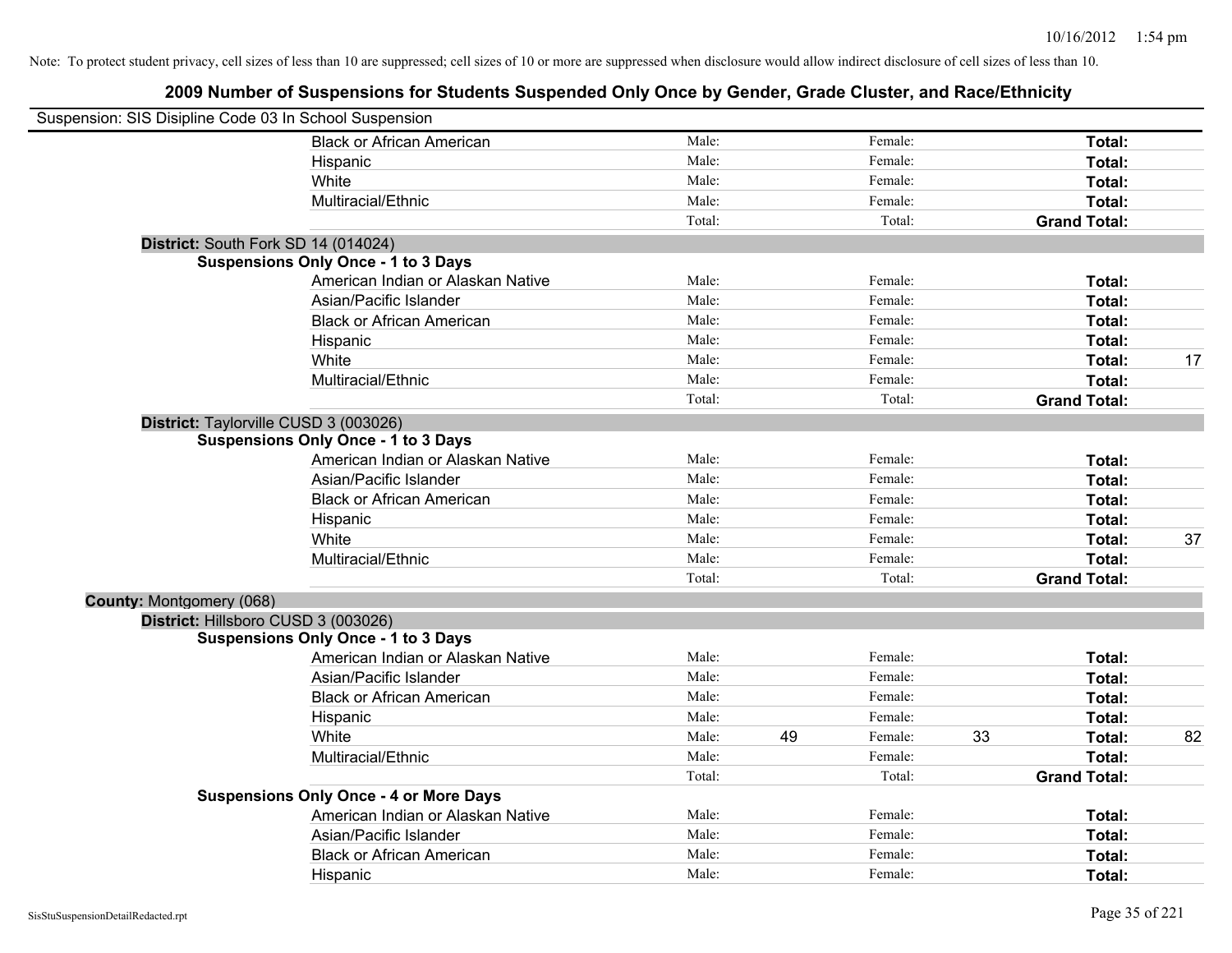|                                 | Suspension: SIS Disipline Code 03 In School Suspension |        |    |         |    |                     |    |
|---------------------------------|--------------------------------------------------------|--------|----|---------|----|---------------------|----|
|                                 | <b>Black or African American</b>                       | Male:  |    | Female: |    | Total:              |    |
|                                 | Hispanic                                               | Male:  |    | Female: |    | Total:              |    |
|                                 | White                                                  | Male:  |    | Female: |    | Total:              |    |
|                                 | Multiracial/Ethnic                                     | Male:  |    | Female: |    | Total:              |    |
|                                 |                                                        | Total: |    | Total:  |    | <b>Grand Total:</b> |    |
|                                 | District: South Fork SD 14 (014024)                    |        |    |         |    |                     |    |
|                                 | <b>Suspensions Only Once - 1 to 3 Days</b>             |        |    |         |    |                     |    |
|                                 | American Indian or Alaskan Native                      | Male:  |    | Female: |    | Total:              |    |
|                                 | Asian/Pacific Islander                                 | Male:  |    | Female: |    | Total:              |    |
|                                 | <b>Black or African American</b>                       | Male:  |    | Female: |    | Total:              |    |
|                                 | Hispanic                                               | Male:  |    | Female: |    | Total:              |    |
|                                 | White                                                  | Male:  |    | Female: |    | Total:              | 17 |
|                                 | Multiracial/Ethnic                                     | Male:  |    | Female: |    | Total:              |    |
|                                 |                                                        | Total: |    | Total:  |    | <b>Grand Total:</b> |    |
|                                 | District: Taylorville CUSD 3 (003026)                  |        |    |         |    |                     |    |
|                                 | <b>Suspensions Only Once - 1 to 3 Days</b>             |        |    |         |    |                     |    |
|                                 | American Indian or Alaskan Native                      | Male:  |    | Female: |    | Total:              |    |
|                                 | Asian/Pacific Islander                                 | Male:  |    | Female: |    | Total:              |    |
|                                 | <b>Black or African American</b>                       | Male:  |    | Female: |    | Total:              |    |
|                                 | Hispanic                                               | Male:  |    | Female: |    | Total:              |    |
|                                 | White                                                  | Male:  |    | Female: |    | Total:              | 37 |
|                                 | Multiracial/Ethnic                                     | Male:  |    | Female: |    | Total:              |    |
|                                 |                                                        | Total: |    | Total:  |    | <b>Grand Total:</b> |    |
| <b>County: Montgomery (068)</b> |                                                        |        |    |         |    |                     |    |
|                                 | District: Hillsboro CUSD 3 (003026)                    |        |    |         |    |                     |    |
|                                 | <b>Suspensions Only Once - 1 to 3 Days</b>             |        |    |         |    |                     |    |
|                                 | American Indian or Alaskan Native                      | Male:  |    | Female: |    | Total:              |    |
|                                 | Asian/Pacific Islander                                 | Male:  |    | Female: |    | Total:              |    |
|                                 | <b>Black or African American</b>                       | Male:  |    | Female: |    | Total:              |    |
|                                 | Hispanic                                               | Male:  |    | Female: |    | Total:              |    |
|                                 | White                                                  | Male:  | 49 | Female: | 33 | Total:              | 82 |
|                                 | Multiracial/Ethnic                                     | Male:  |    | Female: |    | Total:              |    |
|                                 |                                                        | Total: |    | Total:  |    | <b>Grand Total:</b> |    |
|                                 | <b>Suspensions Only Once - 4 or More Days</b>          |        |    |         |    |                     |    |
|                                 | American Indian or Alaskan Native                      | Male:  |    | Female: |    | Total:              |    |
|                                 | Asian/Pacific Islander                                 | Male:  |    | Female: |    | Total:              |    |
|                                 | <b>Black or African American</b>                       | Male:  |    | Female: |    | Total:              |    |
|                                 | Hispanic                                               | Male:  |    | Female: |    | Total:              |    |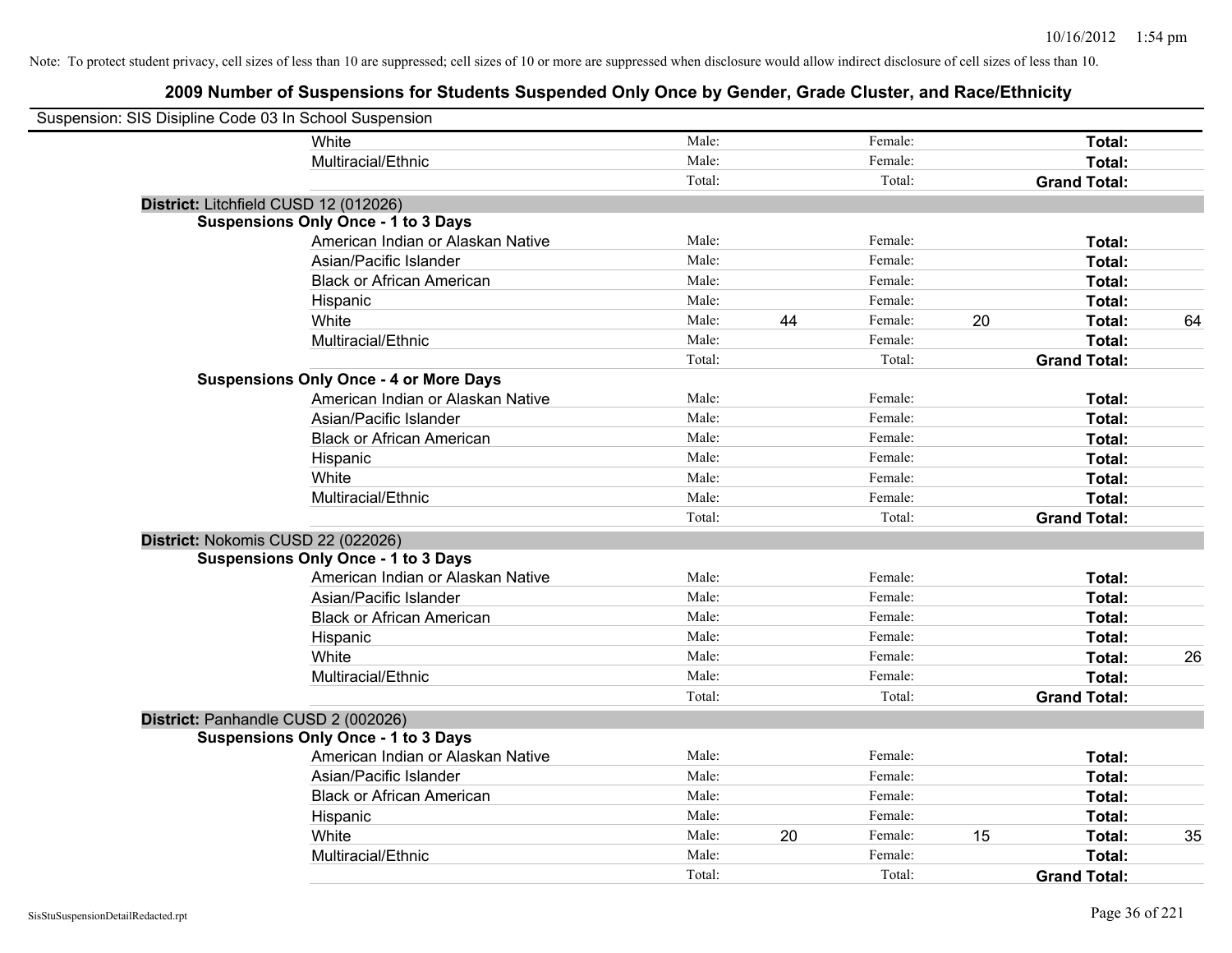| Suspension: SIS Disipline Code 03 In School Suspension |                                               |        |    |         |    |                     |    |
|--------------------------------------------------------|-----------------------------------------------|--------|----|---------|----|---------------------|----|
|                                                        | <b>White</b>                                  | Male:  |    | Female: |    | Total:              |    |
|                                                        | Multiracial/Ethnic                            | Male:  |    | Female: |    | Total:              |    |
|                                                        |                                               | Total: |    | Total:  |    | <b>Grand Total:</b> |    |
| District: Litchfield CUSD 12 (012026)                  |                                               |        |    |         |    |                     |    |
|                                                        | <b>Suspensions Only Once - 1 to 3 Days</b>    |        |    |         |    |                     |    |
|                                                        | American Indian or Alaskan Native             | Male:  |    | Female: |    | Total:              |    |
|                                                        | Asian/Pacific Islander                        | Male:  |    | Female: |    | Total:              |    |
|                                                        | <b>Black or African American</b>              | Male:  |    | Female: |    | Total:              |    |
|                                                        | Hispanic                                      | Male:  |    | Female: |    | Total:              |    |
|                                                        | White                                         | Male:  | 44 | Female: | 20 | Total:              | 64 |
|                                                        | Multiracial/Ethnic                            | Male:  |    | Female: |    | Total:              |    |
|                                                        |                                               | Total: |    | Total:  |    | <b>Grand Total:</b> |    |
|                                                        | <b>Suspensions Only Once - 4 or More Days</b> |        |    |         |    |                     |    |
|                                                        | American Indian or Alaskan Native             | Male:  |    | Female: |    | Total:              |    |
|                                                        | Asian/Pacific Islander                        | Male:  |    | Female: |    | Total:              |    |
|                                                        | <b>Black or African American</b>              | Male:  |    | Female: |    | Total:              |    |
|                                                        | Hispanic                                      | Male:  |    | Female: |    | Total:              |    |
|                                                        | White                                         | Male:  |    | Female: |    | Total:              |    |
|                                                        | Multiracial/Ethnic                            | Male:  |    | Female: |    | Total:              |    |
|                                                        |                                               | Total: |    | Total:  |    | <b>Grand Total:</b> |    |
| District: Nokomis CUSD 22 (022026)                     |                                               |        |    |         |    |                     |    |
|                                                        | <b>Suspensions Only Once - 1 to 3 Days</b>    |        |    |         |    |                     |    |
|                                                        | American Indian or Alaskan Native             | Male:  |    | Female: |    | Total:              |    |
|                                                        | Asian/Pacific Islander                        | Male:  |    | Female: |    | Total:              |    |
|                                                        | <b>Black or African American</b>              | Male:  |    | Female: |    | Total:              |    |
|                                                        | Hispanic                                      | Male:  |    | Female: |    | Total:              |    |
|                                                        | White                                         | Male:  |    | Female: |    | Total:              | 26 |
|                                                        | Multiracial/Ethnic                            | Male:  |    | Female: |    | Total:              |    |
|                                                        |                                               | Total: |    | Total:  |    | <b>Grand Total:</b> |    |
| District: Panhandle CUSD 2 (002026)                    |                                               |        |    |         |    |                     |    |
|                                                        | <b>Suspensions Only Once - 1 to 3 Days</b>    |        |    |         |    |                     |    |
|                                                        | American Indian or Alaskan Native             | Male:  |    | Female: |    | Total:              |    |
|                                                        | Asian/Pacific Islander                        | Male:  |    | Female: |    | Total:              |    |
|                                                        | <b>Black or African American</b>              | Male:  |    | Female: |    | Total:              |    |
|                                                        | Hispanic                                      | Male:  |    | Female: |    | Total:              |    |
|                                                        | White                                         | Male:  | 20 | Female: | 15 | Total:              | 35 |
|                                                        | Multiracial/Ethnic                            | Male:  |    | Female: |    | <b>Total:</b>       |    |
|                                                        |                                               | Total: |    | Total:  |    | <b>Grand Total:</b> |    |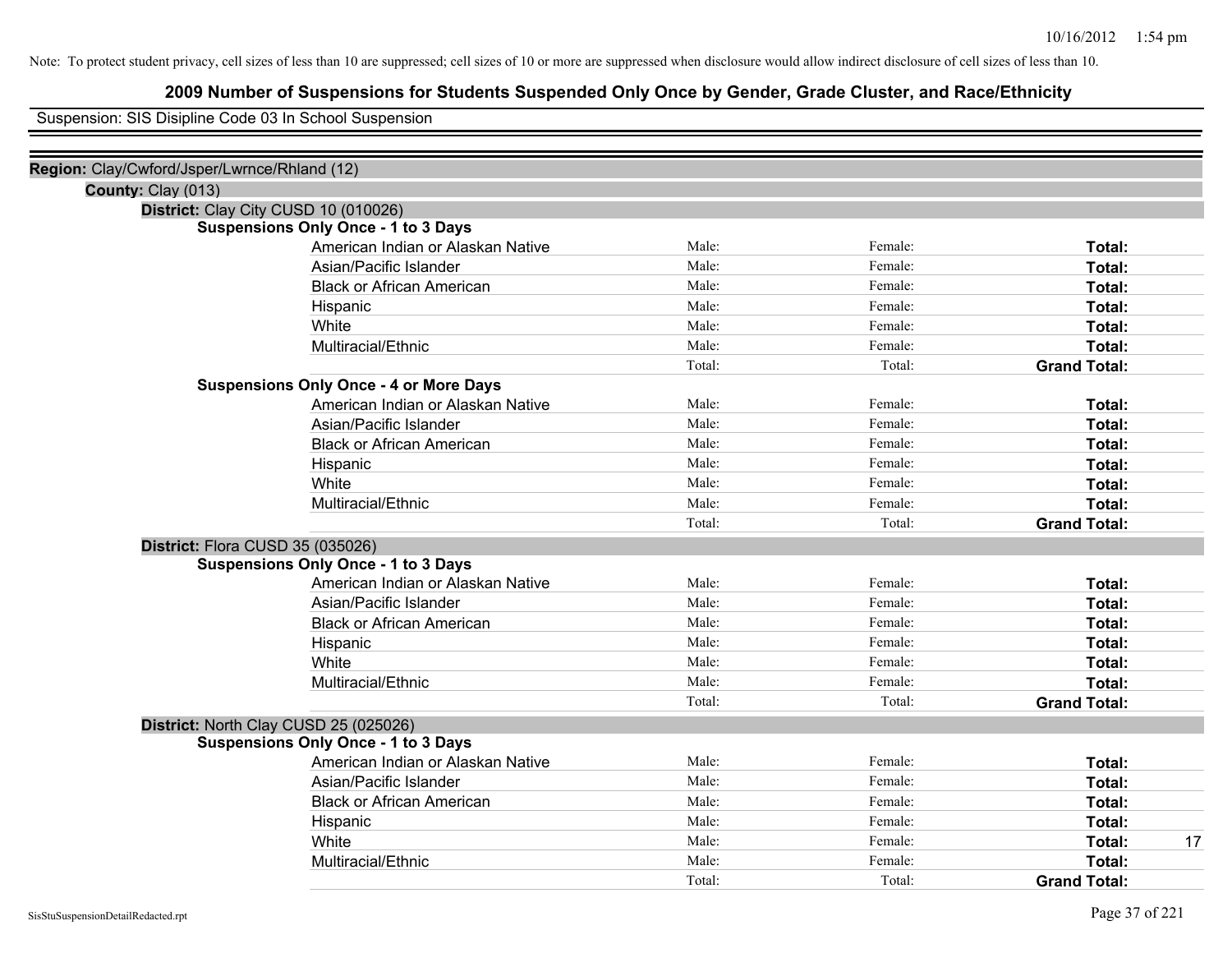## **2009 Number of Suspensions for Students Suspended Only Once by Gender, Grade Cluster, and Race/Ethnicity**

Suspension: SIS Disipline Code 03 In School Suspension

| Region: Clay/Cwford/Jsper/Lwrnce/Rhland (12) |                                               |        |         |                     |
|----------------------------------------------|-----------------------------------------------|--------|---------|---------------------|
| County: Clay (013)                           |                                               |        |         |                     |
|                                              | District: Clay City CUSD 10 (010026)          |        |         |                     |
|                                              | <b>Suspensions Only Once - 1 to 3 Days</b>    |        |         |                     |
|                                              | American Indian or Alaskan Native             | Male:  | Female: | Total:              |
|                                              | Asian/Pacific Islander                        | Male:  | Female: | Total:              |
|                                              | <b>Black or African American</b>              | Male:  | Female: | Total:              |
|                                              | Hispanic                                      | Male:  | Female: | Total:              |
|                                              | White                                         | Male:  | Female: | Total:              |
|                                              | Multiracial/Ethnic                            | Male:  | Female: | Total:              |
|                                              |                                               | Total: | Total:  | <b>Grand Total:</b> |
|                                              | <b>Suspensions Only Once - 4 or More Days</b> |        |         |                     |
|                                              | American Indian or Alaskan Native             | Male:  | Female: | Total:              |
|                                              | Asian/Pacific Islander                        | Male:  | Female: | Total:              |
|                                              | <b>Black or African American</b>              | Male:  | Female: | Total:              |
|                                              | Hispanic                                      | Male:  | Female: | Total:              |
|                                              | White                                         | Male:  | Female: | Total:              |
|                                              | Multiracial/Ethnic                            | Male:  | Female: | Total:              |
|                                              |                                               | Total: | Total:  | <b>Grand Total:</b> |
| District: Flora CUSD 35 (035026)             |                                               |        |         |                     |
|                                              | <b>Suspensions Only Once - 1 to 3 Days</b>    |        |         |                     |
|                                              | American Indian or Alaskan Native             | Male:  | Female: | Total:              |
|                                              | Asian/Pacific Islander                        | Male:  | Female: | Total:              |
|                                              | <b>Black or African American</b>              | Male:  | Female: | Total:              |
|                                              | Hispanic                                      | Male:  | Female: | Total:              |
|                                              | White                                         | Male:  | Female: | Total:              |
|                                              | Multiracial/Ethnic                            | Male:  | Female: | Total:              |
|                                              |                                               | Total: | Total:  | <b>Grand Total:</b> |
|                                              | District: North Clay CUSD 25 (025026)         |        |         |                     |
|                                              | <b>Suspensions Only Once - 1 to 3 Days</b>    |        |         |                     |
|                                              | American Indian or Alaskan Native             | Male:  | Female: | Total:              |
|                                              | Asian/Pacific Islander                        | Male:  | Female: | Total:              |
|                                              | <b>Black or African American</b>              | Male:  | Female: | Total:              |
|                                              | Hispanic                                      | Male:  | Female: | Total:              |
|                                              | White                                         | Male:  | Female: | 17<br><b>Total:</b> |
|                                              | Multiracial/Ethnic                            | Male:  | Female: | Total:              |
|                                              |                                               | Total: | Total:  | <b>Grand Total:</b> |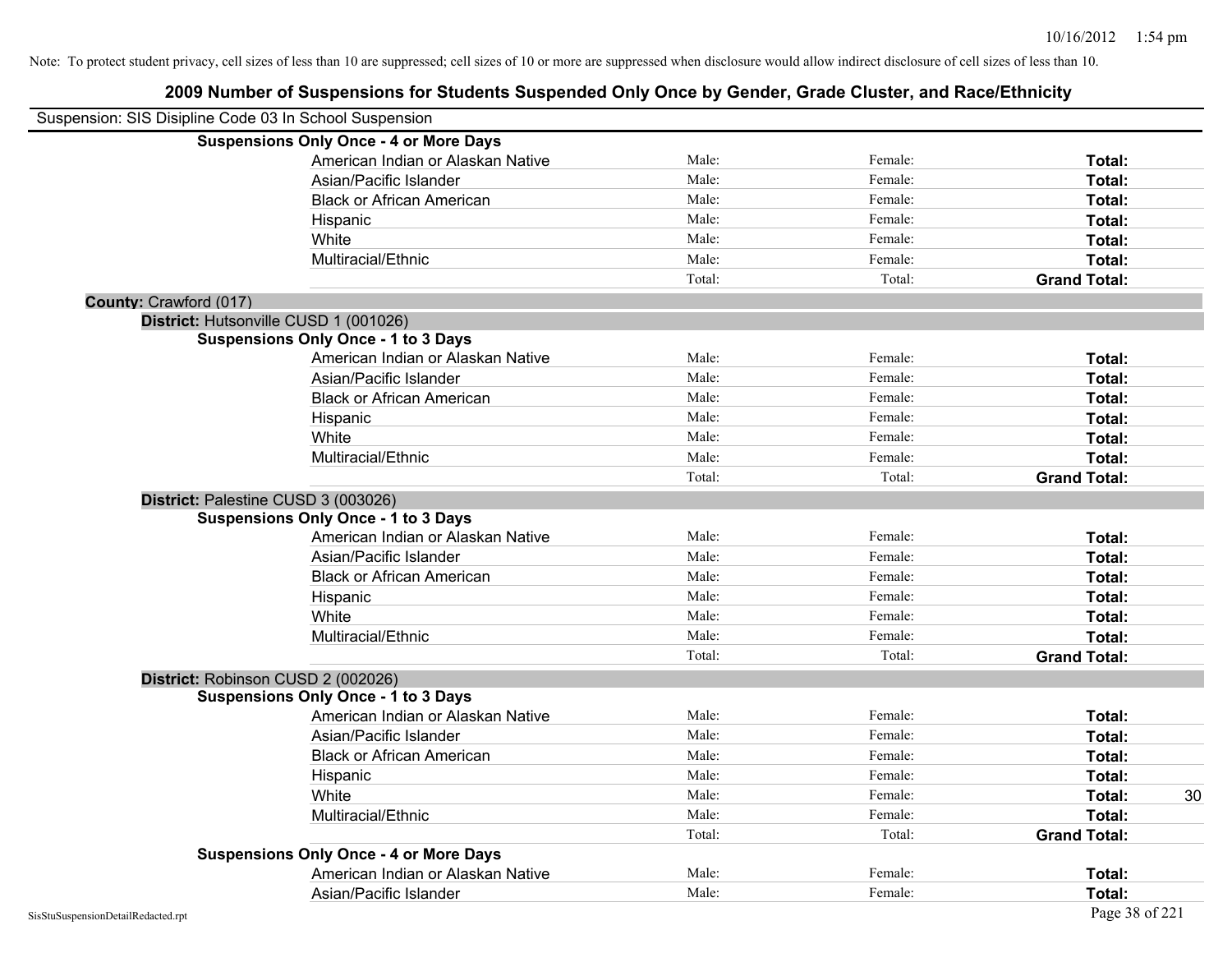| Suspension: SIS Disipline Code 03 In School Suspension |                                               |        |         |                     |    |
|--------------------------------------------------------|-----------------------------------------------|--------|---------|---------------------|----|
|                                                        | <b>Suspensions Only Once - 4 or More Days</b> |        |         |                     |    |
|                                                        | American Indian or Alaskan Native             | Male:  | Female: | Total:              |    |
|                                                        | Asian/Pacific Islander                        | Male:  | Female: | Total:              |    |
|                                                        | <b>Black or African American</b>              | Male:  | Female: | Total:              |    |
|                                                        | Hispanic                                      | Male:  | Female: | Total:              |    |
|                                                        | White                                         | Male:  | Female: | Total:              |    |
|                                                        | Multiracial/Ethnic                            | Male:  | Female: | Total:              |    |
|                                                        |                                               | Total: | Total:  | <b>Grand Total:</b> |    |
| County: Crawford (017)                                 |                                               |        |         |                     |    |
|                                                        | District: Hutsonville CUSD 1 (001026)         |        |         |                     |    |
|                                                        | <b>Suspensions Only Once - 1 to 3 Days</b>    |        |         |                     |    |
|                                                        | American Indian or Alaskan Native             | Male:  | Female: | Total:              |    |
|                                                        | Asian/Pacific Islander                        | Male:  | Female: | Total:              |    |
|                                                        | <b>Black or African American</b>              | Male:  | Female: | Total:              |    |
|                                                        | Hispanic                                      | Male:  | Female: | Total:              |    |
|                                                        | White                                         | Male:  | Female: | Total:              |    |
|                                                        | Multiracial/Ethnic                            | Male:  | Female: | Total:              |    |
|                                                        |                                               | Total: | Total:  | <b>Grand Total:</b> |    |
|                                                        | District: Palestine CUSD 3 (003026)           |        |         |                     |    |
|                                                        | <b>Suspensions Only Once - 1 to 3 Days</b>    |        |         |                     |    |
|                                                        | American Indian or Alaskan Native             | Male:  | Female: | Total:              |    |
|                                                        | Asian/Pacific Islander                        | Male:  | Female: | Total:              |    |
|                                                        | <b>Black or African American</b>              | Male:  | Female: | Total:              |    |
|                                                        | Hispanic                                      | Male:  | Female: | Total:              |    |
|                                                        | White                                         | Male:  | Female: | Total:              |    |
|                                                        | Multiracial/Ethnic                            | Male:  | Female: | Total:              |    |
|                                                        |                                               | Total: | Total:  | <b>Grand Total:</b> |    |
|                                                        | District: Robinson CUSD 2 (002026)            |        |         |                     |    |
|                                                        | <b>Suspensions Only Once - 1 to 3 Days</b>    |        |         |                     |    |
|                                                        | American Indian or Alaskan Native             | Male:  | Female: | Total:              |    |
|                                                        | Asian/Pacific Islander                        | Male:  | Female: | Total:              |    |
|                                                        | <b>Black or African American</b>              | Male:  | Female: | Total:              |    |
|                                                        | Hispanic                                      | Male:  | Female: | Total:              |    |
|                                                        | White                                         | Male:  | Female: | Total:              | 30 |
|                                                        | Multiracial/Ethnic                            | Male:  | Female: | Total:              |    |
|                                                        |                                               | Total: | Total:  | <b>Grand Total:</b> |    |
|                                                        | <b>Suspensions Only Once - 4 or More Days</b> |        |         |                     |    |
|                                                        | American Indian or Alaskan Native             | Male:  | Female: | Total:              |    |
|                                                        | Asian/Pacific Islander                        | Male:  | Female: | Total:              |    |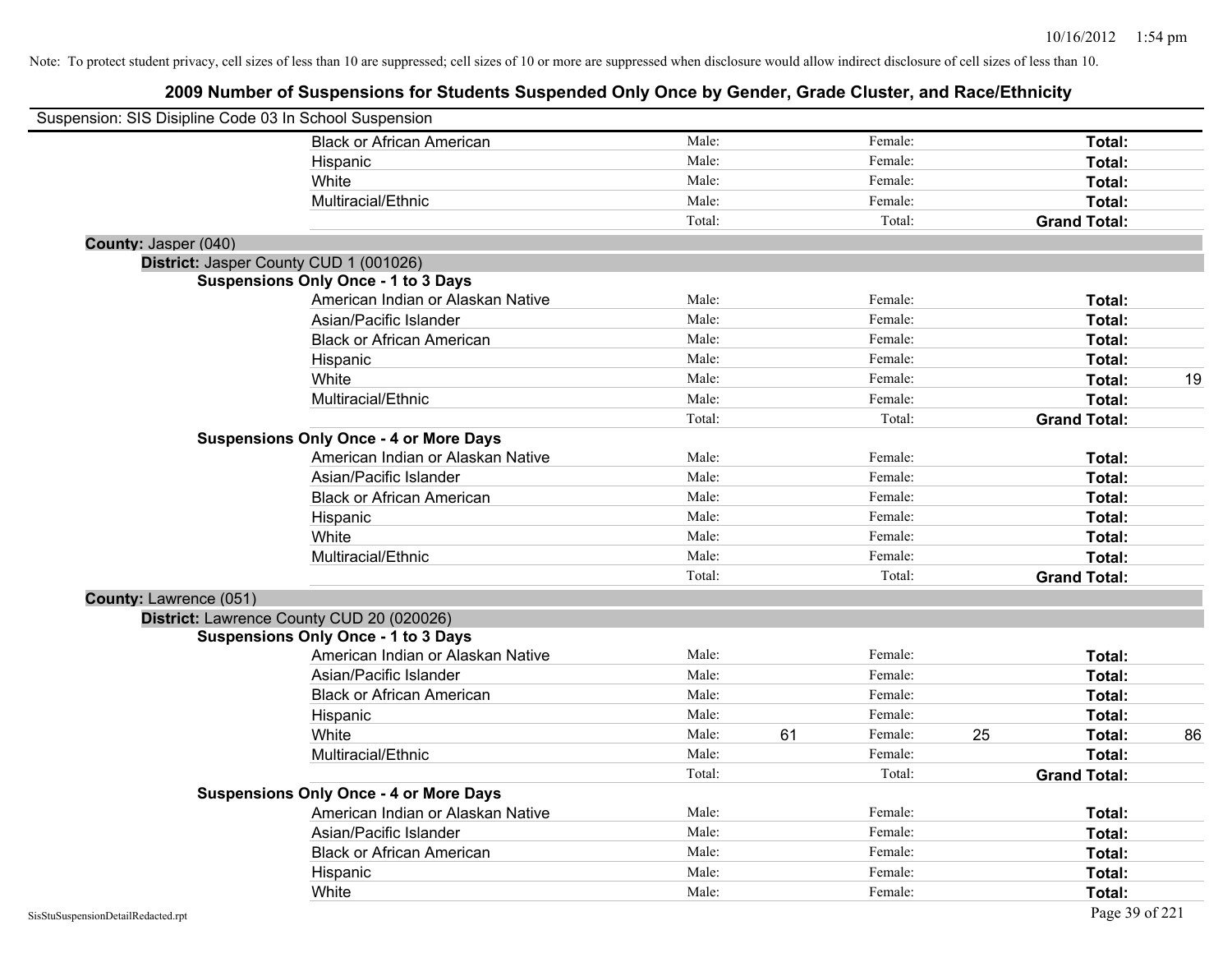| Suspension: SIS Disipline Code 03 In School Suspension |                                               |        |    |         |    |                     |    |
|--------------------------------------------------------|-----------------------------------------------|--------|----|---------|----|---------------------|----|
|                                                        | <b>Black or African American</b>              | Male:  |    | Female: |    | Total:              |    |
|                                                        | Hispanic                                      | Male:  |    | Female: |    | Total:              |    |
|                                                        | White                                         | Male:  |    | Female: |    | Total:              |    |
|                                                        | Multiracial/Ethnic                            | Male:  |    | Female: |    | Total:              |    |
|                                                        |                                               | Total: |    | Total:  |    | <b>Grand Total:</b> |    |
| County: Jasper (040)                                   |                                               |        |    |         |    |                     |    |
|                                                        | District: Jasper County CUD 1 (001026)        |        |    |         |    |                     |    |
|                                                        | <b>Suspensions Only Once - 1 to 3 Days</b>    |        |    |         |    |                     |    |
|                                                        | American Indian or Alaskan Native             | Male:  |    | Female: |    | Total:              |    |
|                                                        | Asian/Pacific Islander                        | Male:  |    | Female: |    | Total:              |    |
|                                                        | <b>Black or African American</b>              | Male:  |    | Female: |    | Total:              |    |
|                                                        | Hispanic                                      | Male:  |    | Female: |    | Total:              |    |
|                                                        | White                                         | Male:  |    | Female: |    | Total:              | 19 |
|                                                        | Multiracial/Ethnic                            | Male:  |    | Female: |    | Total:              |    |
|                                                        |                                               | Total: |    | Total:  |    | <b>Grand Total:</b> |    |
|                                                        | <b>Suspensions Only Once - 4 or More Days</b> |        |    |         |    |                     |    |
|                                                        | American Indian or Alaskan Native             | Male:  |    | Female: |    | Total:              |    |
|                                                        | Asian/Pacific Islander                        | Male:  |    | Female: |    | Total:              |    |
|                                                        | <b>Black or African American</b>              | Male:  |    | Female: |    | Total:              |    |
|                                                        | Hispanic                                      | Male:  |    | Female: |    | Total:              |    |
|                                                        | White                                         | Male:  |    | Female: |    | Total:              |    |
|                                                        | Multiracial/Ethnic                            | Male:  |    | Female: |    | Total:              |    |
|                                                        |                                               | Total: |    | Total:  |    | <b>Grand Total:</b> |    |
| County: Lawrence (051)                                 |                                               |        |    |         |    |                     |    |
|                                                        | District: Lawrence County CUD 20 (020026)     |        |    |         |    |                     |    |
|                                                        | <b>Suspensions Only Once - 1 to 3 Days</b>    |        |    |         |    |                     |    |
|                                                        | American Indian or Alaskan Native             | Male:  |    | Female: |    | Total:              |    |
|                                                        | Asian/Pacific Islander                        | Male:  |    | Female: |    | Total:              |    |
|                                                        | <b>Black or African American</b>              | Male:  |    | Female: |    | Total:              |    |
|                                                        | Hispanic                                      | Male:  |    | Female: |    | Total:              |    |
|                                                        | White                                         | Male:  | 61 | Female: | 25 | Total:              | 86 |
|                                                        | Multiracial/Ethnic                            | Male:  |    | Female: |    | Total:              |    |
|                                                        |                                               | Total: |    | Total:  |    | <b>Grand Total:</b> |    |
|                                                        | <b>Suspensions Only Once - 4 or More Days</b> |        |    |         |    |                     |    |
|                                                        | American Indian or Alaskan Native             | Male:  |    | Female: |    | Total:              |    |
|                                                        | Asian/Pacific Islander                        | Male:  |    | Female: |    | Total:              |    |
|                                                        | <b>Black or African American</b>              | Male:  |    | Female: |    | Total:              |    |
|                                                        | Hispanic                                      | Male:  |    | Female: |    | Total:              |    |
|                                                        | White                                         | Male:  |    | Female: |    | Total:              |    |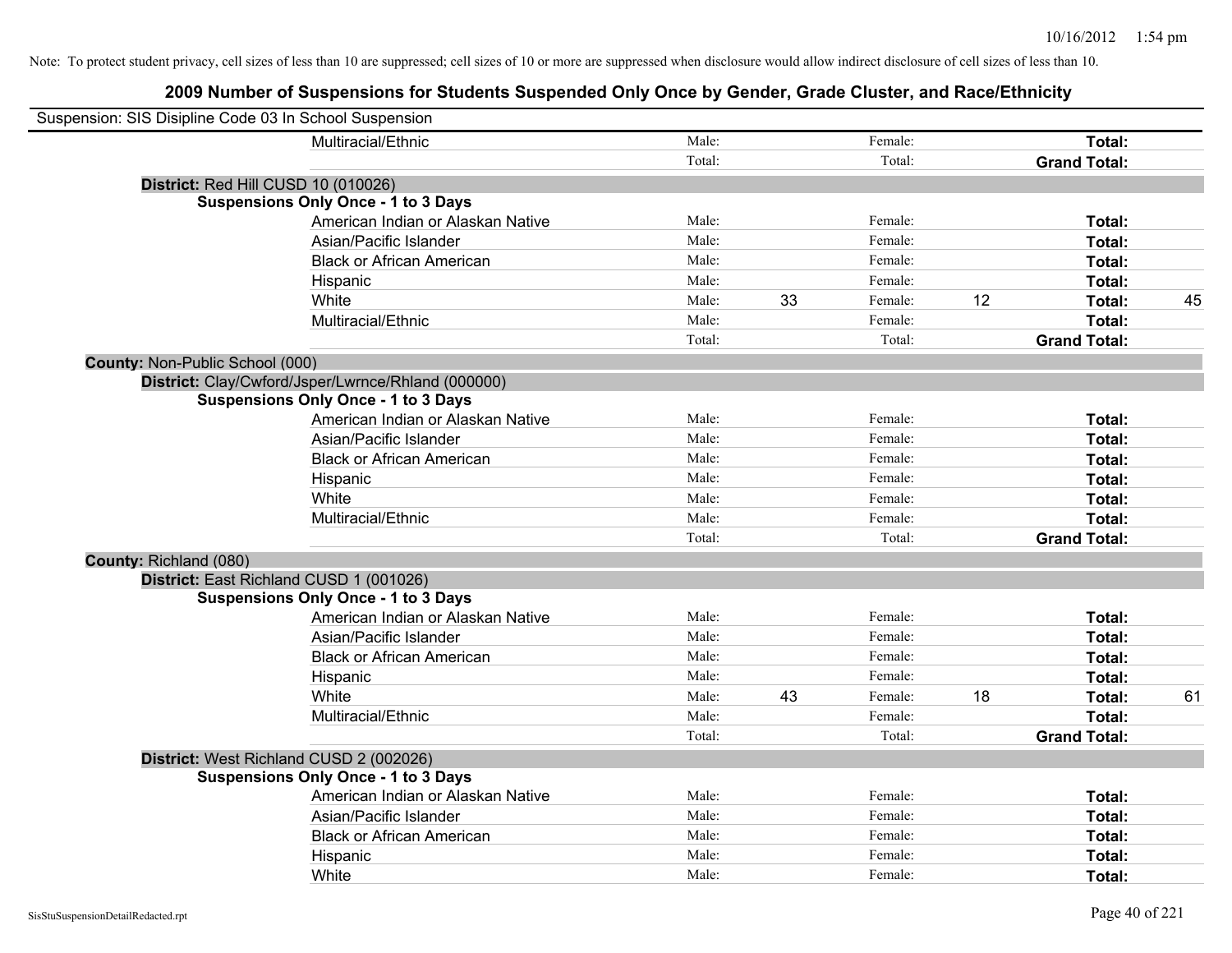| Suspension: SIS Disipline Code 03 In School Suspension |                                                    |        |    |         |    |                     |    |
|--------------------------------------------------------|----------------------------------------------------|--------|----|---------|----|---------------------|----|
|                                                        | Multiracial/Ethnic                                 | Male:  |    | Female: |    | Total:              |    |
|                                                        |                                                    | Total: |    | Total:  |    | <b>Grand Total:</b> |    |
|                                                        | District: Red Hill CUSD 10 (010026)                |        |    |         |    |                     |    |
|                                                        | <b>Suspensions Only Once - 1 to 3 Days</b>         |        |    |         |    |                     |    |
|                                                        | American Indian or Alaskan Native                  | Male:  |    | Female: |    | Total:              |    |
|                                                        | Asian/Pacific Islander                             | Male:  |    | Female: |    | Total:              |    |
|                                                        | <b>Black or African American</b>                   | Male:  |    | Female: |    | Total:              |    |
|                                                        | Hispanic                                           | Male:  |    | Female: |    | Total:              |    |
|                                                        | White                                              | Male:  | 33 | Female: | 12 | Total:              | 45 |
|                                                        | Multiracial/Ethnic                                 | Male:  |    | Female: |    | Total:              |    |
|                                                        |                                                    | Total: |    | Total:  |    | <b>Grand Total:</b> |    |
| <b>County: Non-Public School (000)</b>                 |                                                    |        |    |         |    |                     |    |
|                                                        | District: Clay/Cwford/Jsper/Lwrnce/Rhland (000000) |        |    |         |    |                     |    |
|                                                        | <b>Suspensions Only Once - 1 to 3 Days</b>         |        |    |         |    |                     |    |
|                                                        | American Indian or Alaskan Native                  | Male:  |    | Female: |    | Total:              |    |
|                                                        | Asian/Pacific Islander                             | Male:  |    | Female: |    | Total:              |    |
|                                                        | <b>Black or African American</b>                   | Male:  |    | Female: |    | Total:              |    |
|                                                        | Hispanic                                           | Male:  |    | Female: |    | Total:              |    |
|                                                        | White                                              | Male:  |    | Female: |    | Total:              |    |
|                                                        | Multiracial/Ethnic                                 | Male:  |    | Female: |    | Total:              |    |
|                                                        |                                                    | Total: |    | Total:  |    | <b>Grand Total:</b> |    |
| County: Richland (080)                                 |                                                    |        |    |         |    |                     |    |
|                                                        | District: East Richland CUSD 1 (001026)            |        |    |         |    |                     |    |
|                                                        | <b>Suspensions Only Once - 1 to 3 Days</b>         |        |    |         |    |                     |    |
|                                                        | American Indian or Alaskan Native                  | Male:  |    | Female: |    | Total:              |    |
|                                                        | Asian/Pacific Islander                             | Male:  |    | Female: |    | Total:              |    |
|                                                        | <b>Black or African American</b>                   | Male:  |    | Female: |    | Total:              |    |
|                                                        | Hispanic                                           | Male:  |    | Female: |    | Total:              |    |
|                                                        | White                                              | Male:  | 43 | Female: | 18 | Total:              | 61 |
|                                                        | Multiracial/Ethnic                                 | Male:  |    | Female: |    | Total:              |    |
|                                                        |                                                    | Total: |    | Total:  |    | <b>Grand Total:</b> |    |
|                                                        | District: West Richland CUSD 2 (002026)            |        |    |         |    |                     |    |
|                                                        | <b>Suspensions Only Once - 1 to 3 Days</b>         |        |    |         |    |                     |    |
|                                                        | American Indian or Alaskan Native                  | Male:  |    | Female: |    | Total:              |    |
|                                                        | Asian/Pacific Islander                             | Male:  |    | Female: |    | Total:              |    |
|                                                        | <b>Black or African American</b>                   | Male:  |    | Female: |    | Total:              |    |
|                                                        | Hispanic                                           | Male:  |    | Female: |    | Total:              |    |
|                                                        | White                                              | Male:  |    | Female: |    | Total:              |    |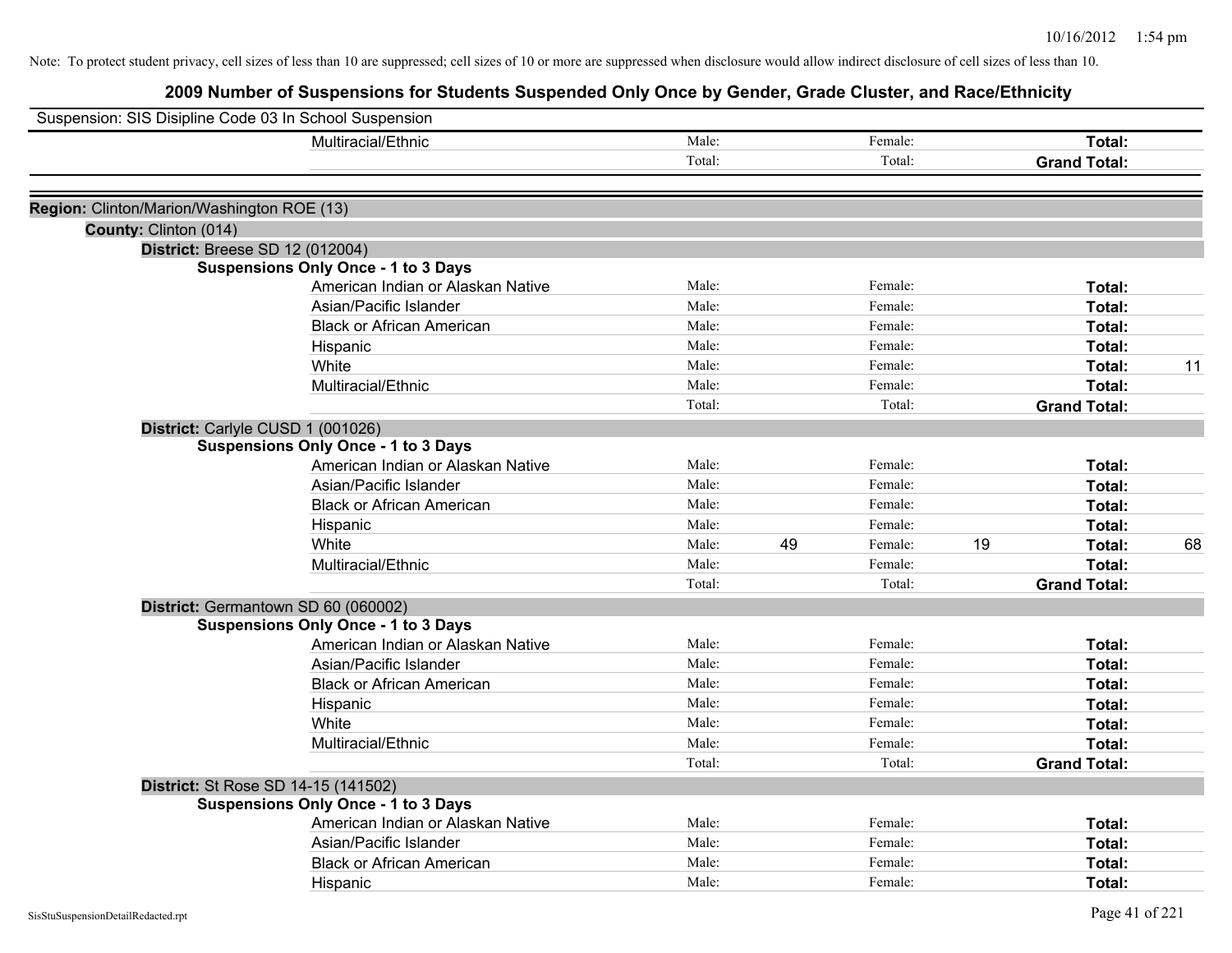| Suspension: SIS Disipline Code 03 In School Suspension |                                            |        |    |         |    |                     |    |
|--------------------------------------------------------|--------------------------------------------|--------|----|---------|----|---------------------|----|
|                                                        | Multiracial/Ethnic                         | Male:  |    | Female: |    | Total:              |    |
|                                                        |                                            | Total: |    | Total:  |    | <b>Grand Total:</b> |    |
| Region: Clinton/Marion/Washington ROE (13)             |                                            |        |    |         |    |                     |    |
| County: Clinton (014)                                  |                                            |        |    |         |    |                     |    |
|                                                        | District: Breese SD 12 (012004)            |        |    |         |    |                     |    |
|                                                        | <b>Suspensions Only Once - 1 to 3 Days</b> |        |    |         |    |                     |    |
|                                                        | American Indian or Alaskan Native          | Male:  |    | Female: |    | Total:              |    |
|                                                        | Asian/Pacific Islander                     | Male:  |    | Female: |    | Total:              |    |
|                                                        | <b>Black or African American</b>           | Male:  |    | Female: |    | Total:              |    |
|                                                        | Hispanic                                   | Male:  |    | Female: |    | Total:              |    |
|                                                        | White                                      | Male:  |    | Female: |    | Total:              | 11 |
|                                                        | Multiracial/Ethnic                         | Male:  |    | Female: |    | Total:              |    |
|                                                        |                                            | Total: |    | Total:  |    | <b>Grand Total:</b> |    |
|                                                        | District: Carlyle CUSD 1 (001026)          |        |    |         |    |                     |    |
|                                                        | <b>Suspensions Only Once - 1 to 3 Days</b> |        |    |         |    |                     |    |
|                                                        | American Indian or Alaskan Native          | Male:  |    | Female: |    | Total:              |    |
|                                                        | Asian/Pacific Islander                     | Male:  |    | Female: |    | Total:              |    |
|                                                        | <b>Black or African American</b>           | Male:  |    | Female: |    | Total:              |    |
|                                                        | Hispanic                                   | Male:  |    | Female: |    | Total:              |    |
|                                                        | White                                      | Male:  | 49 | Female: | 19 | Total:              | 68 |
|                                                        | Multiracial/Ethnic                         | Male:  |    | Female: |    | Total:              |    |
|                                                        |                                            | Total: |    | Total:  |    | <b>Grand Total:</b> |    |
|                                                        | District: Germantown SD 60 (060002)        |        |    |         |    |                     |    |
|                                                        | <b>Suspensions Only Once - 1 to 3 Days</b> |        |    |         |    |                     |    |
|                                                        | American Indian or Alaskan Native          | Male:  |    | Female: |    | Total:              |    |
|                                                        | Asian/Pacific Islander                     | Male:  |    | Female: |    | Total:              |    |
|                                                        | <b>Black or African American</b>           | Male:  |    | Female: |    | Total:              |    |
|                                                        | Hispanic                                   | Male:  |    | Female: |    | Total:              |    |
|                                                        | White                                      | Male:  |    | Female: |    | Total:              |    |
|                                                        | Multiracial/Ethnic                         | Male:  |    | Female: |    | Total:              |    |
|                                                        |                                            | Total: |    | Total:  |    | <b>Grand Total:</b> |    |
|                                                        | District: St Rose SD 14-15 (141502)        |        |    |         |    |                     |    |
|                                                        | <b>Suspensions Only Once - 1 to 3 Days</b> |        |    |         |    |                     |    |
|                                                        | American Indian or Alaskan Native          | Male:  |    | Female: |    | Total:              |    |
|                                                        | Asian/Pacific Islander                     | Male:  |    | Female: |    | Total:              |    |
|                                                        | <b>Black or African American</b>           | Male:  |    | Female: |    | Total:              |    |
|                                                        | Hispanic                                   | Male:  |    | Female: |    | Total:              |    |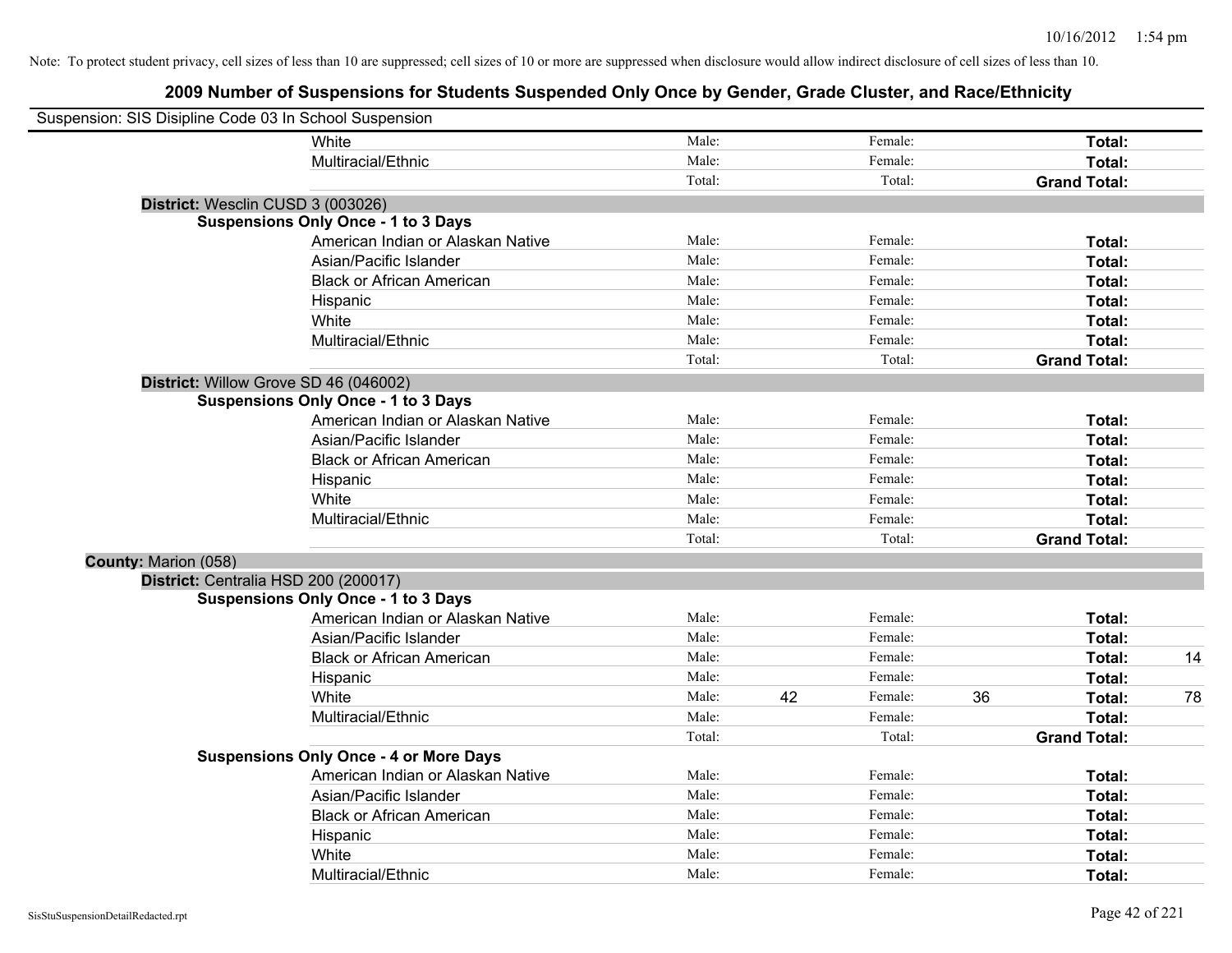| Suspension: SIS Disipline Code 03 In School Suspension |                                               |        |    |         |    |                     |    |
|--------------------------------------------------------|-----------------------------------------------|--------|----|---------|----|---------------------|----|
|                                                        | <b>White</b>                                  | Male:  |    | Female: |    | Total:              |    |
|                                                        | Multiracial/Ethnic                            | Male:  |    | Female: |    | Total:              |    |
|                                                        |                                               | Total: |    | Total:  |    | <b>Grand Total:</b> |    |
|                                                        | District: Wesclin CUSD 3 (003026)             |        |    |         |    |                     |    |
|                                                        | <b>Suspensions Only Once - 1 to 3 Days</b>    |        |    |         |    |                     |    |
|                                                        | American Indian or Alaskan Native             | Male:  |    | Female: |    | Total:              |    |
|                                                        | Asian/Pacific Islander                        | Male:  |    | Female: |    | Total:              |    |
|                                                        | <b>Black or African American</b>              | Male:  |    | Female: |    | Total:              |    |
|                                                        | Hispanic                                      | Male:  |    | Female: |    | Total:              |    |
|                                                        | White                                         | Male:  |    | Female: |    | Total:              |    |
|                                                        | Multiracial/Ethnic                            | Male:  |    | Female: |    | Total:              |    |
|                                                        |                                               | Total: |    | Total:  |    | <b>Grand Total:</b> |    |
|                                                        | District: Willow Grove SD 46 (046002)         |        |    |         |    |                     |    |
|                                                        | <b>Suspensions Only Once - 1 to 3 Days</b>    |        |    |         |    |                     |    |
|                                                        | American Indian or Alaskan Native             | Male:  |    | Female: |    | Total:              |    |
|                                                        | Asian/Pacific Islander                        | Male:  |    | Female: |    | Total:              |    |
|                                                        | <b>Black or African American</b>              | Male:  |    | Female: |    | Total:              |    |
|                                                        | Hispanic                                      | Male:  |    | Female: |    | Total:              |    |
|                                                        | White                                         | Male:  |    | Female: |    | Total:              |    |
|                                                        | Multiracial/Ethnic                            | Male:  |    | Female: |    | Total:              |    |
|                                                        |                                               | Total: |    | Total:  |    | <b>Grand Total:</b> |    |
| County: Marion (058)                                   |                                               |        |    |         |    |                     |    |
|                                                        | District: Centralia HSD 200 (200017)          |        |    |         |    |                     |    |
|                                                        | <b>Suspensions Only Once - 1 to 3 Days</b>    |        |    |         |    |                     |    |
|                                                        | American Indian or Alaskan Native             | Male:  |    | Female: |    | Total:              |    |
|                                                        | Asian/Pacific Islander                        | Male:  |    | Female: |    | Total:              |    |
|                                                        | <b>Black or African American</b>              | Male:  |    | Female: |    | Total:              | 14 |
|                                                        | Hispanic                                      | Male:  |    | Female: |    | Total:              |    |
|                                                        | White                                         | Male:  | 42 | Female: | 36 | Total:              | 78 |
|                                                        | Multiracial/Ethnic                            | Male:  |    | Female: |    | Total:              |    |
|                                                        |                                               | Total: |    | Total:  |    | <b>Grand Total:</b> |    |
|                                                        | <b>Suspensions Only Once - 4 or More Days</b> |        |    |         |    |                     |    |
|                                                        | American Indian or Alaskan Native             | Male:  |    | Female: |    | Total:              |    |
|                                                        | Asian/Pacific Islander                        | Male:  |    | Female: |    | Total:              |    |
|                                                        | <b>Black or African American</b>              | Male:  |    | Female: |    | Total:              |    |
|                                                        | Hispanic                                      | Male:  |    | Female: |    | Total:              |    |
|                                                        | White                                         | Male:  |    | Female: |    | Total:              |    |
|                                                        | Multiracial/Ethnic                            | Male:  |    | Female: |    | Total:              |    |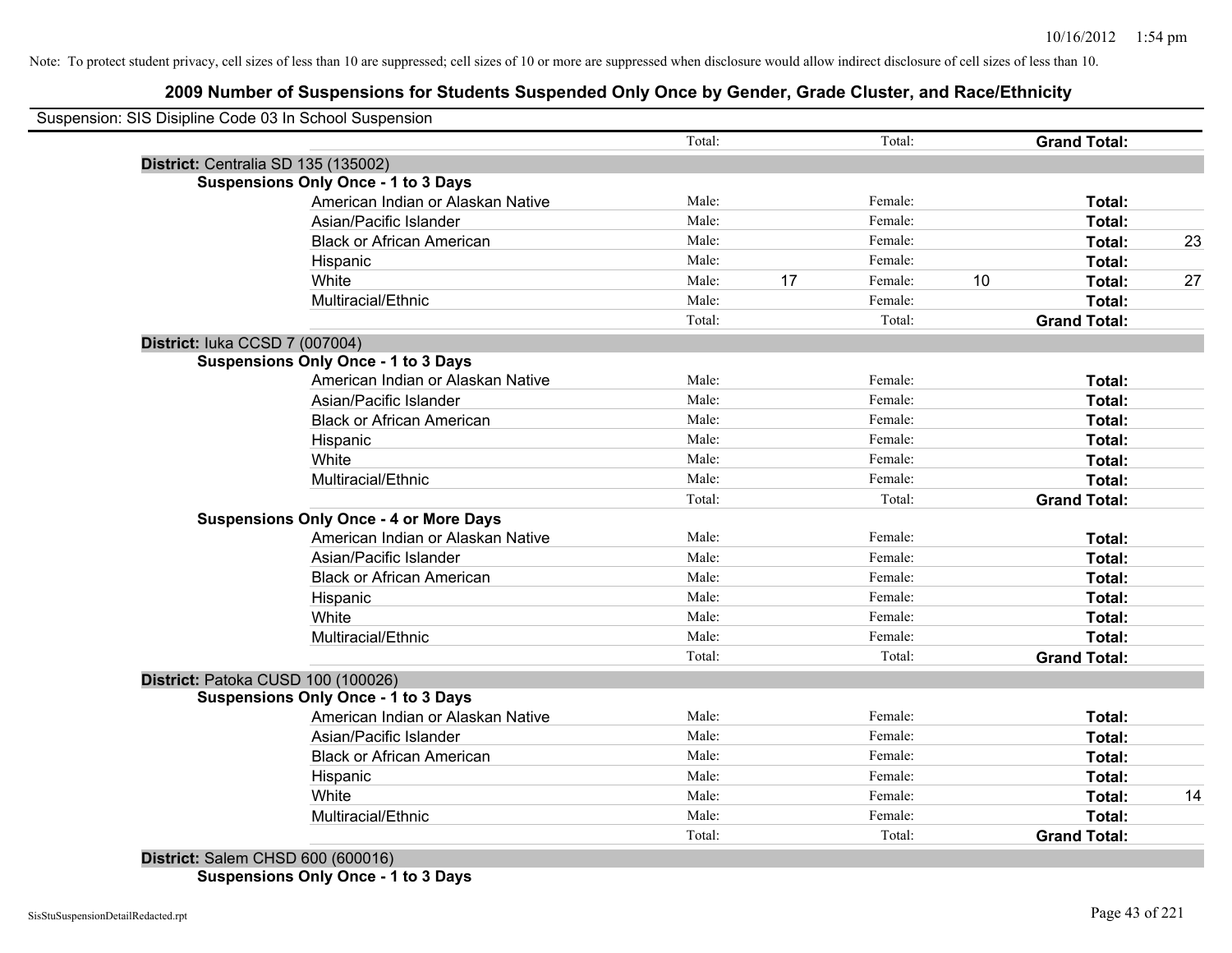## **2009 Number of Suspensions for Students Suspended Only Once by Gender, Grade Cluster, and Race/Ethnicity**

|                                     | Suspension: SIS Disipline Code 03 In School Suspension |        |    |         |    |                     |    |
|-------------------------------------|--------------------------------------------------------|--------|----|---------|----|---------------------|----|
|                                     |                                                        | Total: |    | Total:  |    | <b>Grand Total:</b> |    |
| District: Centralia SD 135 (135002) |                                                        |        |    |         |    |                     |    |
|                                     | <b>Suspensions Only Once - 1 to 3 Days</b>             |        |    |         |    |                     |    |
|                                     | American Indian or Alaskan Native                      | Male:  |    | Female: |    | Total:              |    |
|                                     | Asian/Pacific Islander                                 | Male:  |    | Female: |    | Total:              |    |
|                                     | <b>Black or African American</b>                       | Male:  |    | Female: |    | Total:              | 23 |
|                                     | Hispanic                                               | Male:  |    | Female: |    | Total:              |    |
|                                     | White                                                  | Male:  | 17 | Female: | 10 | Total:              | 27 |
|                                     | Multiracial/Ethnic                                     | Male:  |    | Female: |    | Total:              |    |
|                                     |                                                        | Total: |    | Total:  |    | <b>Grand Total:</b> |    |
| District: luka CCSD 7 (007004)      |                                                        |        |    |         |    |                     |    |
|                                     | <b>Suspensions Only Once - 1 to 3 Days</b>             |        |    |         |    |                     |    |
|                                     | American Indian or Alaskan Native                      | Male:  |    | Female: |    | Total:              |    |
|                                     | Asian/Pacific Islander                                 | Male:  |    | Female: |    | Total:              |    |
|                                     | <b>Black or African American</b>                       | Male:  |    | Female: |    | Total:              |    |
|                                     | Hispanic                                               | Male:  |    | Female: |    | Total:              |    |
|                                     | White                                                  | Male:  |    | Female: |    | Total:              |    |
|                                     | Multiracial/Ethnic                                     | Male:  |    | Female: |    | Total:              |    |
|                                     |                                                        | Total: |    | Total:  |    | <b>Grand Total:</b> |    |
|                                     | <b>Suspensions Only Once - 4 or More Days</b>          |        |    |         |    |                     |    |
|                                     | American Indian or Alaskan Native                      | Male:  |    | Female: |    | Total:              |    |
|                                     | Asian/Pacific Islander                                 | Male:  |    | Female: |    | Total:              |    |
|                                     | <b>Black or African American</b>                       | Male:  |    | Female: |    | Total:              |    |
|                                     | Hispanic                                               | Male:  |    | Female: |    | Total:              |    |
|                                     | White                                                  | Male:  |    | Female: |    | Total:              |    |
|                                     | Multiracial/Ethnic                                     | Male:  |    | Female: |    | Total:              |    |
|                                     |                                                        | Total: |    | Total:  |    | <b>Grand Total:</b> |    |
| District: Patoka CUSD 100 (100026)  |                                                        |        |    |         |    |                     |    |
|                                     | <b>Suspensions Only Once - 1 to 3 Days</b>             |        |    |         |    |                     |    |
|                                     | American Indian or Alaskan Native                      | Male:  |    | Female: |    | Total:              |    |
|                                     | Asian/Pacific Islander                                 | Male:  |    | Female: |    | Total:              |    |
|                                     | <b>Black or African American</b>                       | Male:  |    | Female: |    | Total:              |    |
|                                     | Hispanic                                               | Male:  |    | Female: |    | Total:              |    |
|                                     | White                                                  | Male:  |    | Female: |    | Total:              | 14 |
|                                     | Multiracial/Ethnic                                     | Male:  |    | Female: |    | Total:              |    |
|                                     |                                                        | Total: |    | Total:  |    | <b>Grand Total:</b> |    |

**Suspensions Only Once - 1 to 3 Days**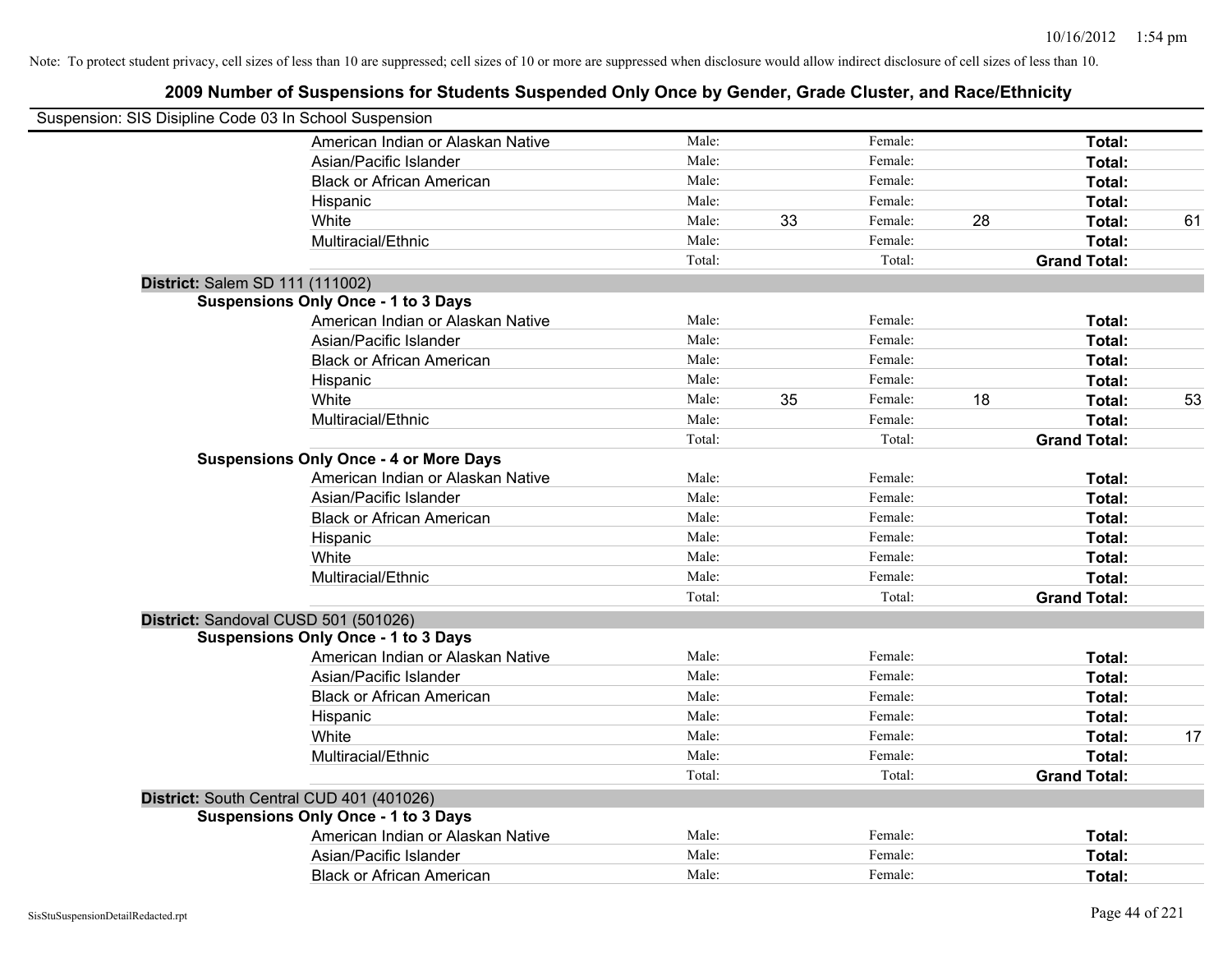| Suspension: SIS Disipline Code 03 In School Suspension |                                               |        |    |         |    |                     |    |
|--------------------------------------------------------|-----------------------------------------------|--------|----|---------|----|---------------------|----|
|                                                        | American Indian or Alaskan Native             | Male:  |    | Female: |    | Total:              |    |
|                                                        | Asian/Pacific Islander                        | Male:  |    | Female: |    | Total:              |    |
|                                                        | <b>Black or African American</b>              | Male:  |    | Female: |    | Total:              |    |
|                                                        | Hispanic                                      | Male:  |    | Female: |    | Total:              |    |
|                                                        | White                                         | Male:  | 33 | Female: | 28 | <b>Total:</b>       | 61 |
|                                                        | Multiracial/Ethnic                            | Male:  |    | Female: |    | Total:              |    |
|                                                        |                                               | Total: |    | Total:  |    | <b>Grand Total:</b> |    |
| District: Salem SD 111 (111002)                        |                                               |        |    |         |    |                     |    |
|                                                        | <b>Suspensions Only Once - 1 to 3 Days</b>    |        |    |         |    |                     |    |
|                                                        | American Indian or Alaskan Native             | Male:  |    | Female: |    | Total:              |    |
|                                                        | Asian/Pacific Islander                        | Male:  |    | Female: |    | Total:              |    |
|                                                        | <b>Black or African American</b>              | Male:  |    | Female: |    | Total:              |    |
|                                                        | Hispanic                                      | Male:  |    | Female: |    | Total:              |    |
|                                                        | White                                         | Male:  | 35 | Female: | 18 | Total:              | 53 |
|                                                        | Multiracial/Ethnic                            | Male:  |    | Female: |    | Total:              |    |
|                                                        |                                               | Total: |    | Total:  |    | <b>Grand Total:</b> |    |
|                                                        | <b>Suspensions Only Once - 4 or More Days</b> |        |    |         |    |                     |    |
|                                                        | American Indian or Alaskan Native             | Male:  |    | Female: |    | Total:              |    |
|                                                        | Asian/Pacific Islander                        | Male:  |    | Female: |    | Total:              |    |
|                                                        | <b>Black or African American</b>              | Male:  |    | Female: |    | Total:              |    |
|                                                        | Hispanic                                      | Male:  |    | Female: |    | Total:              |    |
|                                                        | White                                         | Male:  |    | Female: |    | Total:              |    |
|                                                        | Multiracial/Ethnic                            | Male:  |    | Female: |    | Total:              |    |
|                                                        |                                               | Total: |    | Total:  |    | <b>Grand Total:</b> |    |
|                                                        | District: Sandoval CUSD 501 (501026)          |        |    |         |    |                     |    |
|                                                        | <b>Suspensions Only Once - 1 to 3 Days</b>    |        |    |         |    |                     |    |
|                                                        | American Indian or Alaskan Native             | Male:  |    | Female: |    | Total:              |    |
|                                                        | Asian/Pacific Islander                        | Male:  |    | Female: |    | Total:              |    |
|                                                        | <b>Black or African American</b>              | Male:  |    | Female: |    | Total:              |    |
|                                                        | Hispanic                                      | Male:  |    | Female: |    | Total:              |    |
|                                                        | White                                         | Male:  |    | Female: |    | Total:              | 17 |
|                                                        | Multiracial/Ethnic                            | Male:  |    | Female: |    | Total:              |    |
|                                                        |                                               | Total: |    | Total:  |    | <b>Grand Total:</b> |    |
|                                                        | District: South Central CUD 401 (401026)      |        |    |         |    |                     |    |
|                                                        | <b>Suspensions Only Once - 1 to 3 Days</b>    |        |    |         |    |                     |    |
|                                                        | American Indian or Alaskan Native             | Male:  |    | Female: |    | Total:              |    |
|                                                        | Asian/Pacific Islander                        | Male:  |    | Female: |    | <b>Total:</b>       |    |
|                                                        | <b>Black or African American</b>              | Male:  |    | Female: |    | Total:              |    |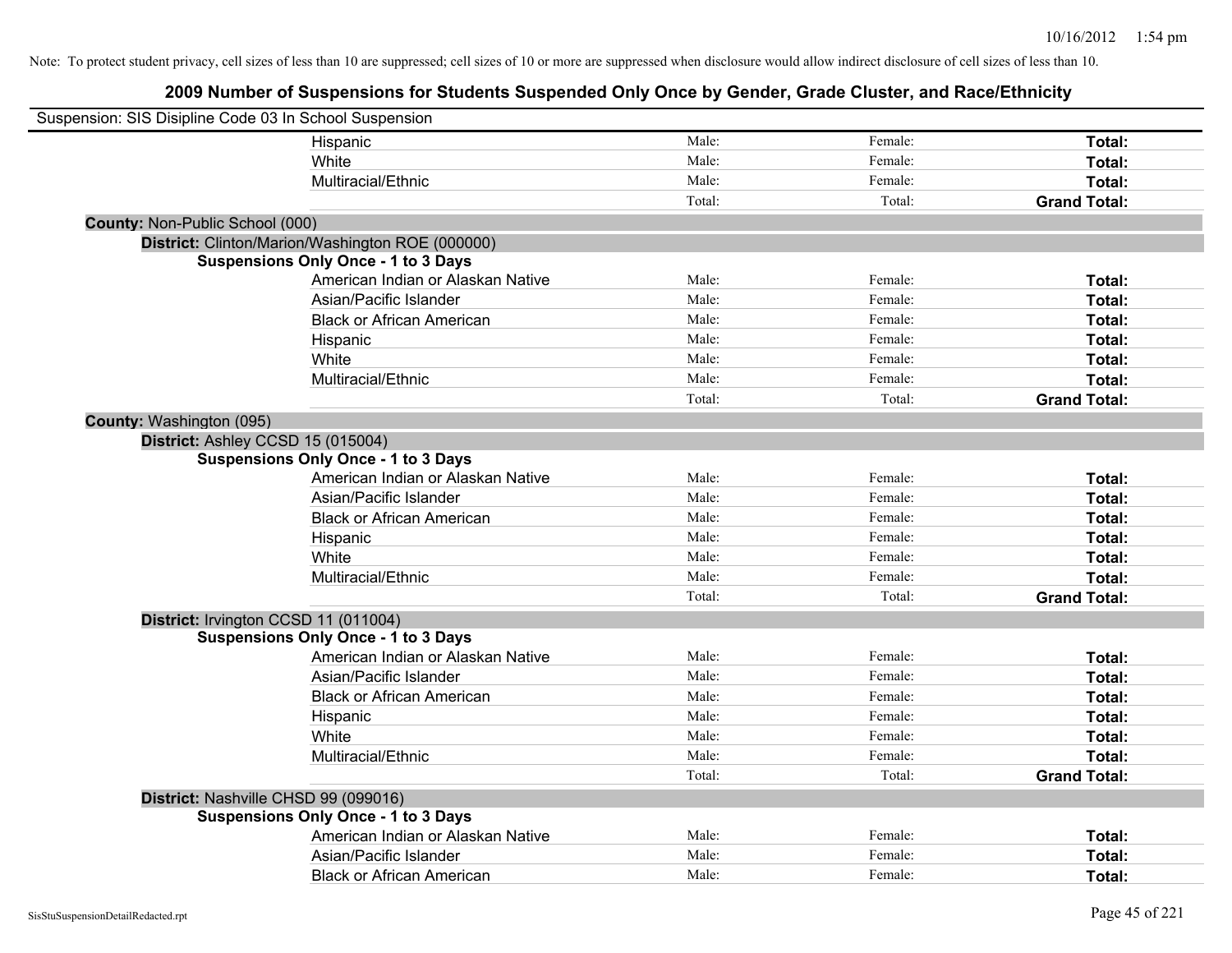| Suspension: SIS Disipline Code 03 In School Suspension |                                                  |        |         |                     |
|--------------------------------------------------------|--------------------------------------------------|--------|---------|---------------------|
|                                                        | Hispanic                                         | Male:  | Female: | Total:              |
|                                                        | White                                            | Male:  | Female: | Total:              |
|                                                        | Multiracial/Ethnic                               | Male:  | Female: | Total:              |
|                                                        |                                                  | Total: | Total:  | <b>Grand Total:</b> |
| <b>County: Non-Public School (000)</b>                 |                                                  |        |         |                     |
|                                                        | District: Clinton/Marion/Washington ROE (000000) |        |         |                     |
|                                                        | <b>Suspensions Only Once - 1 to 3 Days</b>       |        |         |                     |
|                                                        | American Indian or Alaskan Native                | Male:  | Female: | Total:              |
|                                                        | Asian/Pacific Islander                           | Male:  | Female: | Total:              |
|                                                        | <b>Black or African American</b>                 | Male:  | Female: | Total:              |
|                                                        | Hispanic                                         | Male:  | Female: | Total:              |
|                                                        | White                                            | Male:  | Female: | Total:              |
|                                                        | Multiracial/Ethnic                               | Male:  | Female: | Total:              |
|                                                        |                                                  | Total: | Total:  | <b>Grand Total:</b> |
| County: Washington (095)                               |                                                  |        |         |                     |
| District: Ashley CCSD 15 (015004)                      |                                                  |        |         |                     |
|                                                        | <b>Suspensions Only Once - 1 to 3 Days</b>       |        |         |                     |
|                                                        | American Indian or Alaskan Native                | Male:  | Female: | Total:              |
|                                                        | Asian/Pacific Islander                           | Male:  | Female: | Total:              |
|                                                        | <b>Black or African American</b>                 | Male:  | Female: | Total:              |
|                                                        | Hispanic                                         | Male:  | Female: | Total:              |
|                                                        | White                                            | Male:  | Female: | Total:              |
|                                                        | Multiracial/Ethnic                               | Male:  | Female: | Total:              |
|                                                        |                                                  | Total: | Total:  | <b>Grand Total:</b> |
|                                                        | District: Irvington CCSD 11 (011004)             |        |         |                     |
|                                                        | <b>Suspensions Only Once - 1 to 3 Days</b>       |        |         |                     |
|                                                        | American Indian or Alaskan Native                | Male:  | Female: | Total:              |
|                                                        | Asian/Pacific Islander                           | Male:  | Female: | Total:              |
|                                                        | <b>Black or African American</b>                 | Male:  | Female: | Total:              |
|                                                        | Hispanic                                         | Male:  | Female: | Total:              |
|                                                        | White                                            | Male:  | Female: | Total:              |
|                                                        | Multiracial/Ethnic                               | Male:  | Female: | Total:              |
|                                                        |                                                  | Total: | Total:  | <b>Grand Total:</b> |
|                                                        | District: Nashville CHSD 99 (099016)             |        |         |                     |
|                                                        | <b>Suspensions Only Once - 1 to 3 Days</b>       |        |         |                     |
|                                                        | American Indian or Alaskan Native                | Male:  | Female: | Total:              |
|                                                        | Asian/Pacific Islander                           | Male:  | Female: | <b>Total:</b>       |
|                                                        | <b>Black or African American</b>                 | Male:  | Female: | Total:              |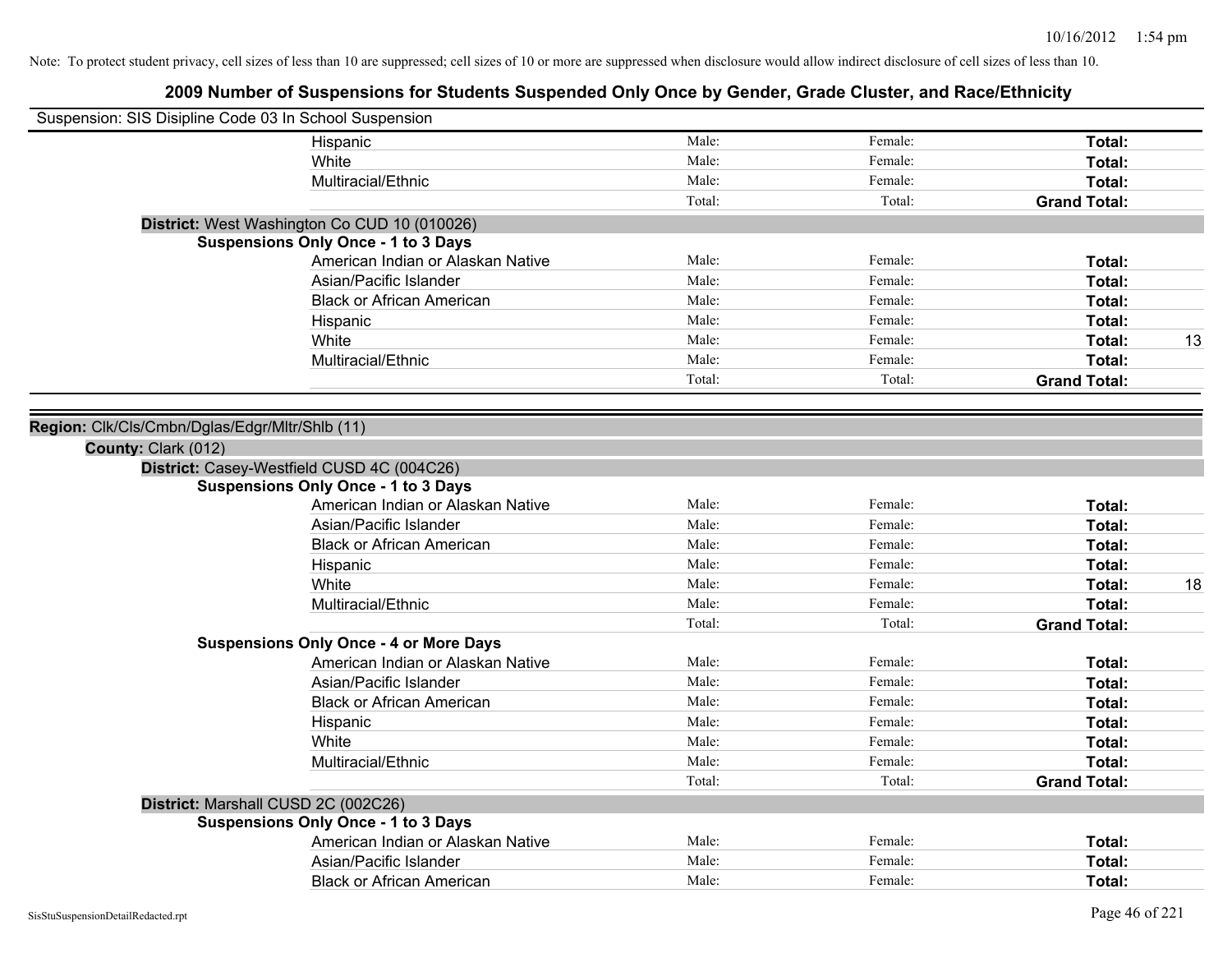| Suspension: SIS Disipline Code 03 In School Suspension |        |         |                     |
|--------------------------------------------------------|--------|---------|---------------------|
| Hispanic                                               | Male:  | Female: | Total:              |
| White                                                  | Male:  | Female: | Total:              |
| Multiracial/Ethnic                                     | Male:  | Female: | Total:              |
|                                                        | Total: | Total:  | <b>Grand Total:</b> |
| District: West Washington Co CUD 10 (010026)           |        |         |                     |
| <b>Suspensions Only Once - 1 to 3 Days</b>             |        |         |                     |
| American Indian or Alaskan Native                      | Male:  | Female: | Total:              |
| Asian/Pacific Islander                                 | Male:  | Female: | Total:              |
| <b>Black or African American</b>                       | Male:  | Female: | Total:              |
| Hispanic                                               | Male:  | Female: | Total:              |
| White                                                  | Male:  | Female: | 13<br>Total:        |
| Multiracial/Ethnic                                     | Male:  | Female: | Total:              |
|                                                        | Total: | Total:  | <b>Grand Total:</b> |
|                                                        |        |         |                     |
| Region: Clk/Cls/Cmbn/Dglas/Edgr/Mltr/Shlb (11)         |        |         |                     |
| County: Clark (012)                                    |        |         |                     |
| District: Casey-Westfield CUSD 4C (004C26)             |        |         |                     |
| <b>Suspensions Only Once - 1 to 3 Days</b>             |        |         |                     |
| American Indian or Alaskan Native                      | Male:  | Female: | Total:              |
| Asian/Pacific Islander                                 | Male:  | Female: | Total:              |
| <b>Black or African American</b>                       | Male:  | Female: | Total:              |
| Hispanic                                               | Male:  | Female: | Total:              |
| White                                                  | Male:  | Female: | 18<br>Total:        |
| Multiracial/Ethnic                                     | Male:  | Female: | Total:              |
|                                                        | Total: | Total:  | <b>Grand Total:</b> |
| <b>Suspensions Only Once - 4 or More Days</b>          |        |         |                     |
| American Indian or Alaskan Native                      | Male:  | Female: | Total:              |
| Asian/Pacific Islander                                 | Male:  | Female: | Total:              |
| <b>Black or African American</b>                       | Male:  | Female: | Total:              |
| Hispanic                                               | Male:  | Female: | Total:              |
| White                                                  | Male:  | Female: | Total:              |
| Multiracial/Ethnic                                     | Male:  | Female: | Total:              |
|                                                        | Total: | Total:  | <b>Grand Total:</b> |
| District: Marshall CUSD 2C (002C26)                    |        |         |                     |
| <b>Suspensions Only Once - 1 to 3 Days</b>             |        |         |                     |
| American Indian or Alaskan Native                      | Male:  | Female: | Total:              |
| Asian/Pacific Islander                                 | Male:  | Female: | Total:              |
| <b>Black or African American</b>                       | Male:  | Female: | Total:              |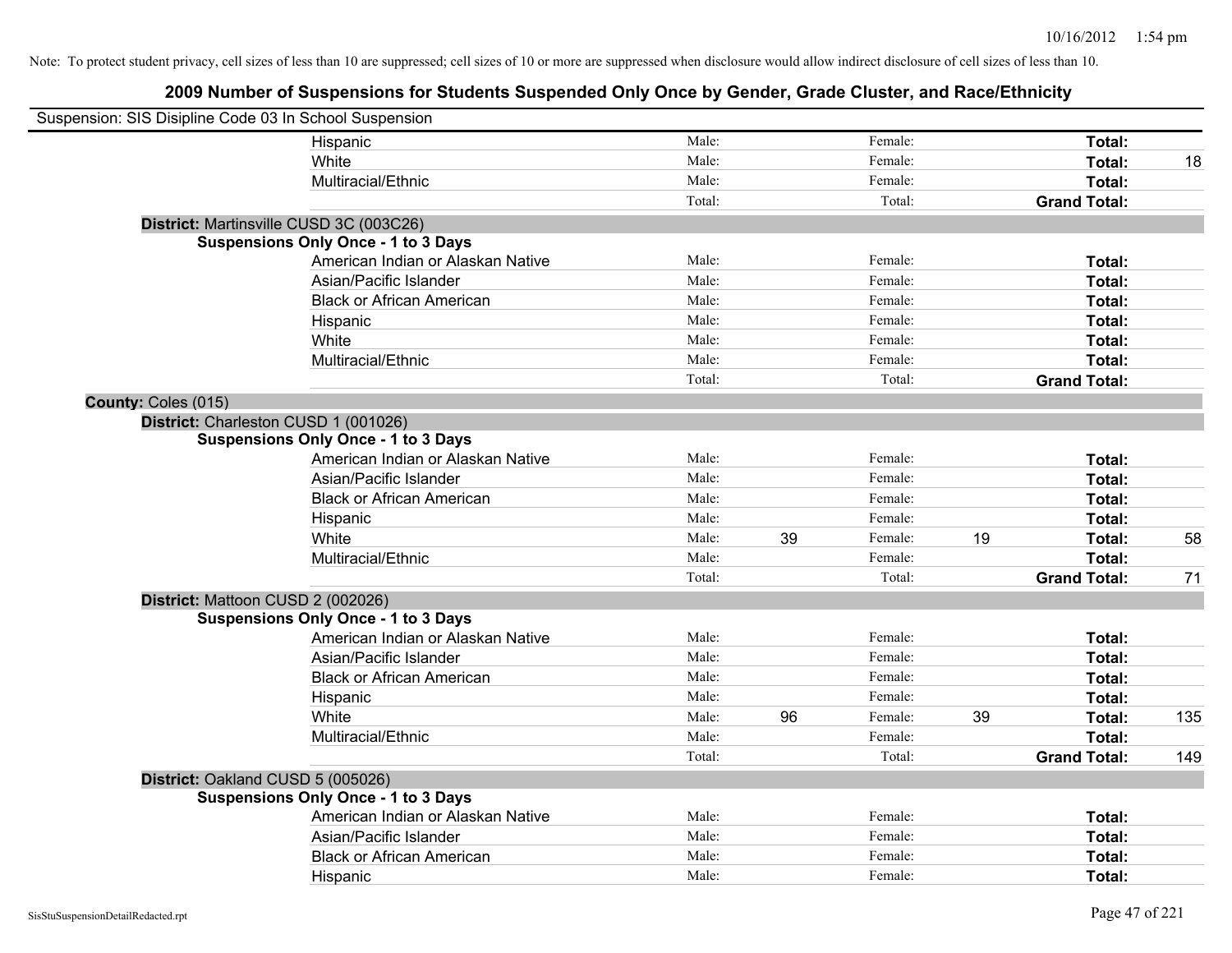| Suspension: SIS Disipline Code 03 In School Suspension |                                            |        |    |         |    |                     |     |
|--------------------------------------------------------|--------------------------------------------|--------|----|---------|----|---------------------|-----|
|                                                        | Hispanic                                   | Male:  |    | Female: |    | Total:              |     |
|                                                        | White                                      | Male:  |    | Female: |    | <b>Total:</b>       | 18  |
|                                                        | Multiracial/Ethnic                         | Male:  |    | Female: |    | Total:              |     |
|                                                        |                                            | Total: |    | Total:  |    | <b>Grand Total:</b> |     |
|                                                        | District: Martinsville CUSD 3C (003C26)    |        |    |         |    |                     |     |
|                                                        | <b>Suspensions Only Once - 1 to 3 Days</b> |        |    |         |    |                     |     |
|                                                        | American Indian or Alaskan Native          | Male:  |    | Female: |    | Total:              |     |
|                                                        | Asian/Pacific Islander                     | Male:  |    | Female: |    | Total:              |     |
|                                                        | <b>Black or African American</b>           | Male:  |    | Female: |    | Total:              |     |
|                                                        | Hispanic                                   | Male:  |    | Female: |    | Total:              |     |
|                                                        | White                                      | Male:  |    | Female: |    | Total:              |     |
|                                                        | Multiracial/Ethnic                         | Male:  |    | Female: |    | Total:              |     |
|                                                        |                                            | Total: |    | Total:  |    | <b>Grand Total:</b> |     |
| County: Coles (015)                                    |                                            |        |    |         |    |                     |     |
| District: Charleston CUSD 1 (001026)                   |                                            |        |    |         |    |                     |     |
|                                                        | <b>Suspensions Only Once - 1 to 3 Days</b> |        |    |         |    |                     |     |
|                                                        | American Indian or Alaskan Native          | Male:  |    | Female: |    | Total:              |     |
|                                                        | Asian/Pacific Islander                     | Male:  |    | Female: |    | Total:              |     |
|                                                        | <b>Black or African American</b>           | Male:  |    | Female: |    | Total:              |     |
|                                                        | Hispanic                                   | Male:  |    | Female: |    | Total:              |     |
|                                                        | White                                      | Male:  | 39 | Female: | 19 | Total:              | 58  |
|                                                        | Multiracial/Ethnic                         | Male:  |    | Female: |    | Total:              |     |
|                                                        |                                            | Total: |    | Total:  |    | <b>Grand Total:</b> | 71  |
| District: Mattoon CUSD 2 (002026)                      |                                            |        |    |         |    |                     |     |
|                                                        | <b>Suspensions Only Once - 1 to 3 Days</b> |        |    |         |    |                     |     |
|                                                        | American Indian or Alaskan Native          | Male:  |    | Female: |    | Total:              |     |
|                                                        | Asian/Pacific Islander                     | Male:  |    | Female: |    | Total:              |     |
|                                                        | <b>Black or African American</b>           | Male:  |    | Female: |    | Total:              |     |
|                                                        | Hispanic                                   | Male:  |    | Female: |    | Total:              |     |
|                                                        | White                                      | Male:  | 96 | Female: | 39 | Total:              | 135 |
|                                                        | Multiracial/Ethnic                         | Male:  |    | Female: |    | Total:              |     |
|                                                        |                                            | Total: |    | Total:  |    | <b>Grand Total:</b> | 149 |
| District: Oakland CUSD 5 (005026)                      |                                            |        |    |         |    |                     |     |
|                                                        | <b>Suspensions Only Once - 1 to 3 Days</b> |        |    |         |    |                     |     |
|                                                        | American Indian or Alaskan Native          | Male:  |    | Female: |    | Total:              |     |
|                                                        | Asian/Pacific Islander                     | Male:  |    | Female: |    | Total:              |     |
|                                                        | <b>Black or African American</b>           | Male:  |    | Female: |    | Total:              |     |
|                                                        | Hispanic                                   | Male:  |    | Female: |    | Total:              |     |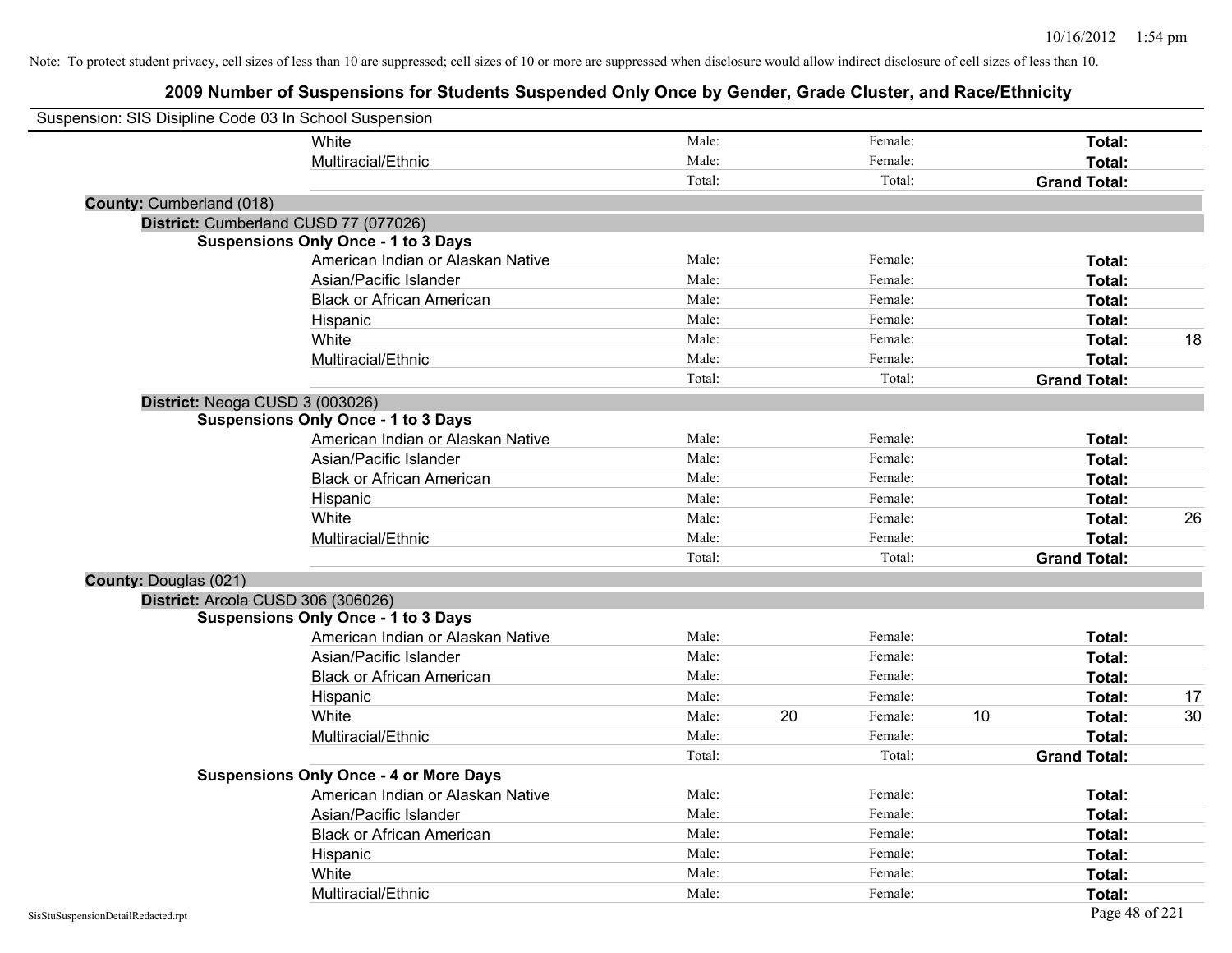| Suspension: SIS Disipline Code 03 In School Suspension |                                               |        |    |         |    |                     |    |
|--------------------------------------------------------|-----------------------------------------------|--------|----|---------|----|---------------------|----|
|                                                        | White                                         | Male:  |    | Female: |    | Total:              |    |
|                                                        | Multiracial/Ethnic                            | Male:  |    | Female: |    | Total:              |    |
|                                                        |                                               | Total: |    | Total:  |    | <b>Grand Total:</b> |    |
| County: Cumberland (018)                               |                                               |        |    |         |    |                     |    |
|                                                        | District: Cumberland CUSD 77 (077026)         |        |    |         |    |                     |    |
|                                                        | <b>Suspensions Only Once - 1 to 3 Days</b>    |        |    |         |    |                     |    |
|                                                        | American Indian or Alaskan Native             | Male:  |    | Female: |    | Total:              |    |
|                                                        | Asian/Pacific Islander                        | Male:  |    | Female: |    | Total:              |    |
|                                                        | <b>Black or African American</b>              | Male:  |    | Female: |    | Total:              |    |
|                                                        | Hispanic                                      | Male:  |    | Female: |    | Total:              |    |
|                                                        | White                                         | Male:  |    | Female: |    | Total:              | 18 |
|                                                        | Multiracial/Ethnic                            | Male:  |    | Female: |    | Total:              |    |
|                                                        |                                               | Total: |    | Total:  |    | <b>Grand Total:</b> |    |
| District: Neoga CUSD 3 (003026)                        |                                               |        |    |         |    |                     |    |
|                                                        | <b>Suspensions Only Once - 1 to 3 Days</b>    |        |    |         |    |                     |    |
|                                                        | American Indian or Alaskan Native             | Male:  |    | Female: |    | Total:              |    |
|                                                        | Asian/Pacific Islander                        | Male:  |    | Female: |    | Total:              |    |
|                                                        | <b>Black or African American</b>              | Male:  |    | Female: |    | Total:              |    |
|                                                        | Hispanic                                      | Male:  |    | Female: |    | Total:              |    |
|                                                        | White                                         | Male:  |    | Female: |    | Total:              | 26 |
|                                                        | Multiracial/Ethnic                            | Male:  |    | Female: |    | Total:              |    |
|                                                        |                                               | Total: |    | Total:  |    | <b>Grand Total:</b> |    |
| County: Douglas (021)                                  |                                               |        |    |         |    |                     |    |
|                                                        | District: Arcola CUSD 306 (306026)            |        |    |         |    |                     |    |
|                                                        | <b>Suspensions Only Once - 1 to 3 Days</b>    |        |    |         |    |                     |    |
|                                                        | American Indian or Alaskan Native             | Male:  |    | Female: |    | Total:              |    |
|                                                        | Asian/Pacific Islander                        | Male:  |    | Female: |    | Total:              |    |
|                                                        | <b>Black or African American</b>              | Male:  |    | Female: |    | Total:              |    |
|                                                        | Hispanic                                      | Male:  |    | Female: |    | Total:              | 17 |
|                                                        | White                                         | Male:  | 20 | Female: | 10 | Total:              | 30 |
|                                                        | Multiracial/Ethnic                            | Male:  |    | Female: |    | Total:              |    |
|                                                        |                                               | Total: |    | Total:  |    | <b>Grand Total:</b> |    |
|                                                        | <b>Suspensions Only Once - 4 or More Days</b> |        |    |         |    |                     |    |
|                                                        | American Indian or Alaskan Native             | Male:  |    | Female: |    | Total:              |    |
|                                                        | Asian/Pacific Islander                        | Male:  |    | Female: |    | Total:              |    |
|                                                        | <b>Black or African American</b>              | Male:  |    | Female: |    | Total:              |    |
|                                                        | Hispanic                                      | Male:  |    | Female: |    | Total:              |    |
|                                                        | White                                         | Male:  |    | Female: |    | <b>Total:</b>       |    |
|                                                        | Multiracial/Ethnic                            | Male:  |    | Female: |    | Total:              |    |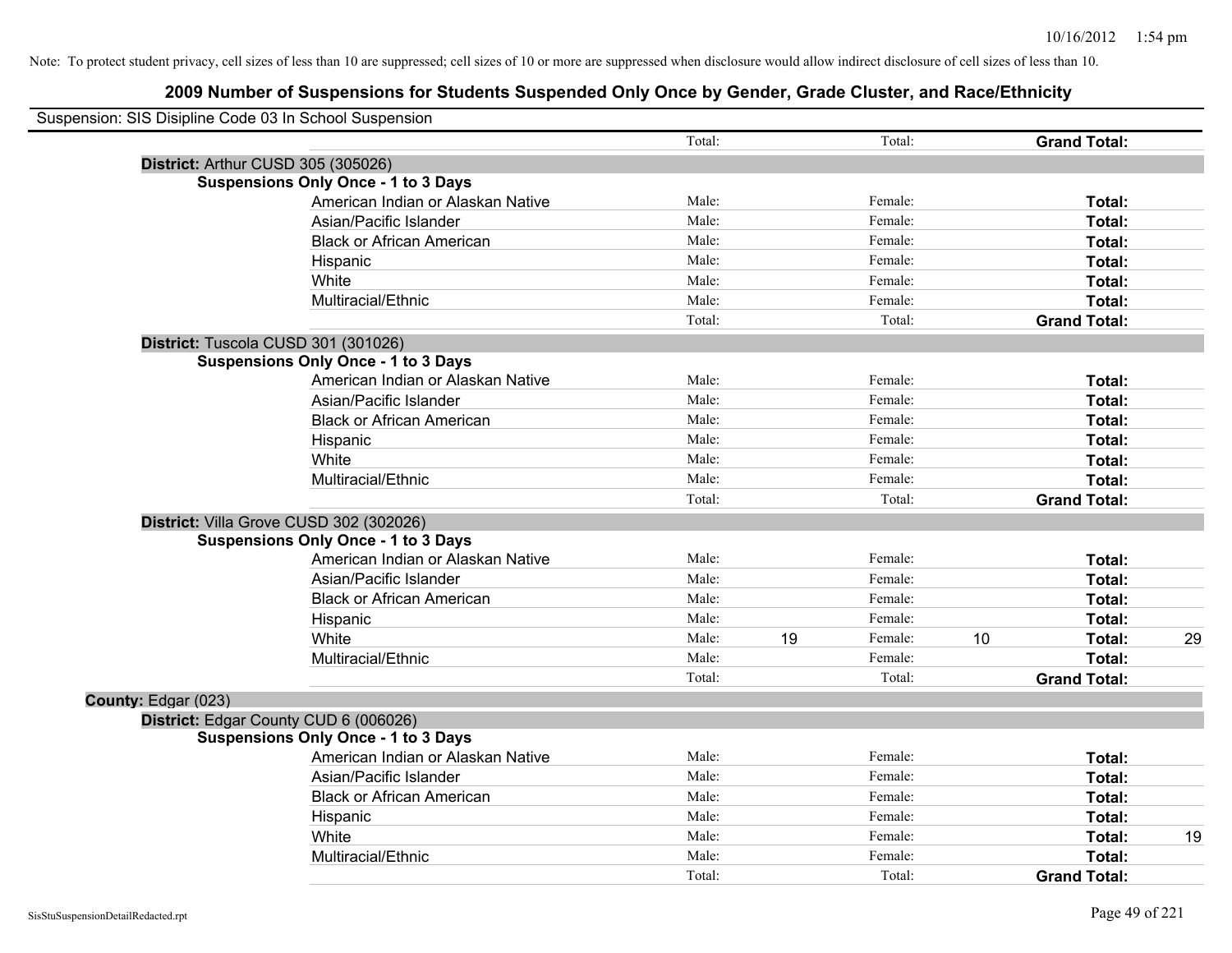| Suspension: SIS Disipline Code 03 In School Suspension |                                            |        |    |         |    |                     |  |
|--------------------------------------------------------|--------------------------------------------|--------|----|---------|----|---------------------|--|
|                                                        |                                            | Total: |    | Total:  |    | <b>Grand Total:</b> |  |
| District: Arthur CUSD 305 (305026)                     |                                            |        |    |         |    |                     |  |
|                                                        | <b>Suspensions Only Once - 1 to 3 Days</b> |        |    |         |    |                     |  |
|                                                        | American Indian or Alaskan Native          | Male:  |    | Female: |    | Total:              |  |
|                                                        | Asian/Pacific Islander                     | Male:  |    | Female: |    | Total:              |  |
|                                                        | <b>Black or African American</b>           | Male:  |    | Female: |    | Total:              |  |
|                                                        | Hispanic                                   | Male:  |    | Female: |    | Total:              |  |
|                                                        | White                                      | Male:  |    | Female: |    | Total:              |  |
|                                                        | Multiracial/Ethnic                         | Male:  |    | Female: |    | Total:              |  |
|                                                        |                                            | Total: |    | Total:  |    | <b>Grand Total:</b> |  |
|                                                        | District: Tuscola CUSD 301 (301026)        |        |    |         |    |                     |  |
|                                                        | <b>Suspensions Only Once - 1 to 3 Days</b> |        |    |         |    |                     |  |
|                                                        | American Indian or Alaskan Native          | Male:  |    | Female: |    | Total:              |  |
|                                                        | Asian/Pacific Islander                     | Male:  |    | Female: |    | Total:              |  |
|                                                        | <b>Black or African American</b>           | Male:  |    | Female: |    | Total:              |  |
|                                                        | Hispanic                                   | Male:  |    | Female: |    | Total:              |  |
|                                                        | White                                      | Male:  |    | Female: |    | Total:              |  |
|                                                        | Multiracial/Ethnic                         | Male:  |    | Female: |    | Total:              |  |
|                                                        |                                            | Total: |    | Total:  |    | <b>Grand Total:</b> |  |
|                                                        | District: Villa Grove CUSD 302 (302026)    |        |    |         |    |                     |  |
|                                                        | <b>Suspensions Only Once - 1 to 3 Days</b> |        |    |         |    |                     |  |
|                                                        | American Indian or Alaskan Native          | Male:  |    | Female: |    | Total:              |  |
|                                                        | Asian/Pacific Islander                     | Male:  |    | Female: |    | Total:              |  |
|                                                        | <b>Black or African American</b>           | Male:  |    | Female: |    | Total:              |  |
|                                                        | Hispanic                                   | Male:  |    | Female: |    | Total:              |  |
|                                                        | White                                      | Male:  | 19 | Female: | 10 | Total:              |  |
|                                                        | Multiracial/Ethnic                         | Male:  |    | Female: |    | Total:              |  |
|                                                        |                                            | Total: |    | Total:  |    | <b>Grand Total:</b> |  |
| County: Edgar (023)                                    |                                            |        |    |         |    |                     |  |
|                                                        | District: Edgar County CUD 6 (006026)      |        |    |         |    |                     |  |
|                                                        | <b>Suspensions Only Once - 1 to 3 Days</b> |        |    |         |    |                     |  |
|                                                        | American Indian or Alaskan Native          | Male:  |    | Female: |    | Total:              |  |
|                                                        | Asian/Pacific Islander                     | Male:  |    | Female: |    | Total:              |  |
|                                                        | <b>Black or African American</b>           | Male:  |    | Female: |    | Total:              |  |
|                                                        | Hispanic                                   | Male:  |    | Female: |    | Total:              |  |
|                                                        | White                                      | Male:  |    | Female: |    | Total:              |  |
|                                                        | Multiracial/Ethnic                         | Male:  |    | Female: |    | Total:              |  |
|                                                        |                                            | Total: |    | Total:  |    | <b>Grand Total:</b> |  |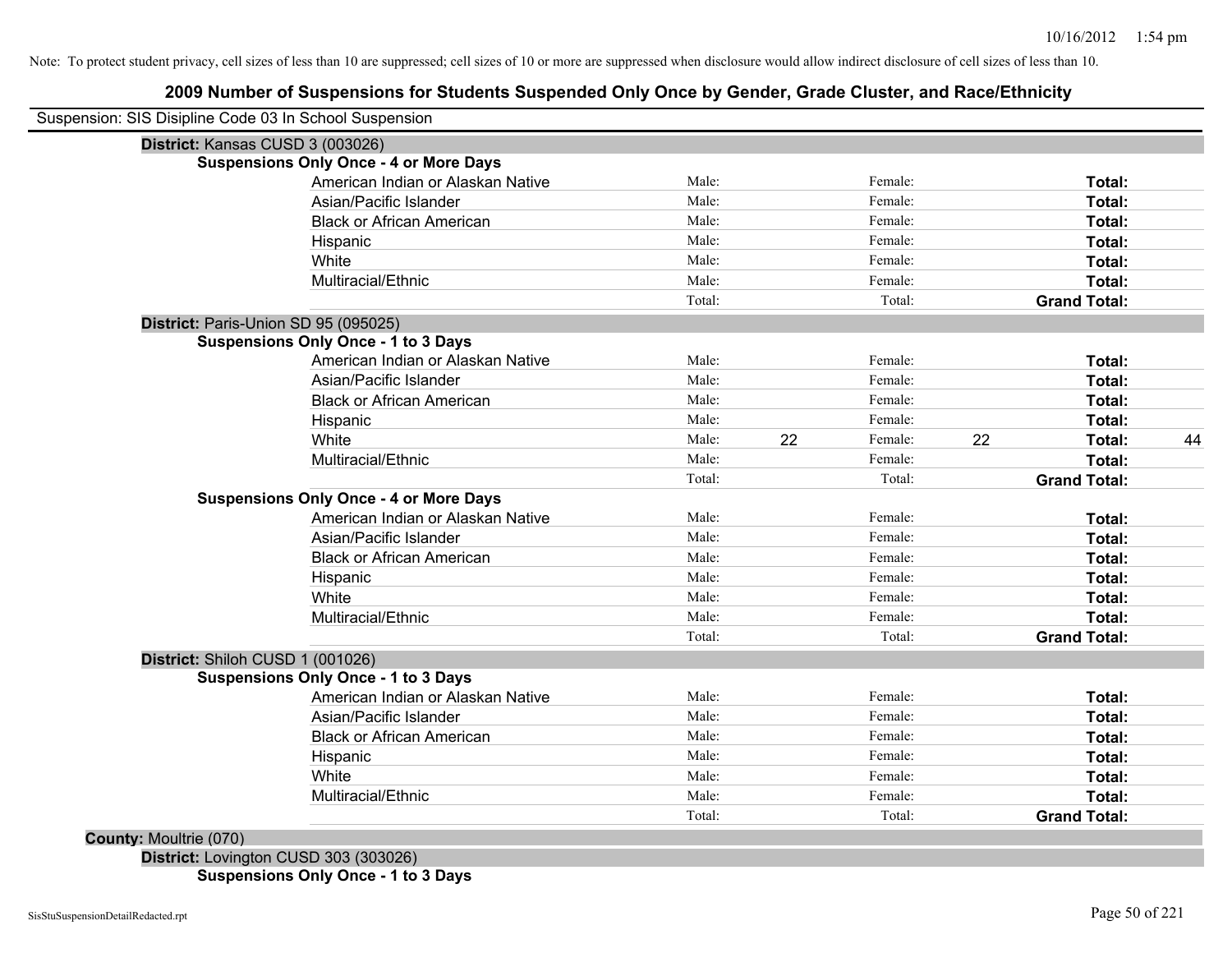## **2009 Number of Suspensions for Students Suspended Only Once by Gender, Grade Cluster, and Race/Ethnicity**

|                                  | Suspension: SIS Disipline Code 03 In School Suspension |        |    |         |    |                     |    |
|----------------------------------|--------------------------------------------------------|--------|----|---------|----|---------------------|----|
|                                  | District: Kansas CUSD 3 (003026)                       |        |    |         |    |                     |    |
|                                  | <b>Suspensions Only Once - 4 or More Days</b>          |        |    |         |    |                     |    |
|                                  | American Indian or Alaskan Native                      | Male:  |    | Female: |    | Total:              |    |
|                                  | Asian/Pacific Islander                                 | Male:  |    | Female: |    | Total:              |    |
|                                  | <b>Black or African American</b>                       | Male:  |    | Female: |    | Total:              |    |
|                                  | Hispanic                                               | Male:  |    | Female: |    | Total:              |    |
|                                  | White                                                  | Male:  |    | Female: |    | Total:              |    |
|                                  | Multiracial/Ethnic                                     | Male:  |    | Female: |    | Total:              |    |
|                                  |                                                        | Total: |    | Total:  |    | <b>Grand Total:</b> |    |
|                                  | District: Paris-Union SD 95 (095025)                   |        |    |         |    |                     |    |
|                                  | <b>Suspensions Only Once - 1 to 3 Days</b>             |        |    |         |    |                     |    |
|                                  | American Indian or Alaskan Native                      | Male:  |    | Female: |    | Total:              |    |
|                                  | Asian/Pacific Islander                                 | Male:  |    | Female: |    | Total:              |    |
|                                  | <b>Black or African American</b>                       | Male:  |    | Female: |    | Total:              |    |
|                                  | Hispanic                                               | Male:  |    | Female: |    | Total:              |    |
|                                  | White                                                  | Male:  | 22 | Female: | 22 | Total:              | 44 |
|                                  | Multiracial/Ethnic                                     | Male:  |    | Female: |    | Total:              |    |
|                                  |                                                        | Total: |    | Total:  |    | <b>Grand Total:</b> |    |
|                                  | <b>Suspensions Only Once - 4 or More Days</b>          |        |    |         |    |                     |    |
|                                  | American Indian or Alaskan Native                      | Male:  |    | Female: |    | Total:              |    |
|                                  | Asian/Pacific Islander                                 | Male:  |    | Female: |    | Total:              |    |
|                                  | <b>Black or African American</b>                       | Male:  |    | Female: |    | Total:              |    |
|                                  | Hispanic                                               | Male:  |    | Female: |    | Total:              |    |
|                                  | White                                                  | Male:  |    | Female: |    | Total:              |    |
|                                  | Multiracial/Ethnic                                     | Male:  |    | Female: |    | Total:              |    |
|                                  |                                                        | Total: |    | Total:  |    | <b>Grand Total:</b> |    |
| District: Shiloh CUSD 1 (001026) |                                                        |        |    |         |    |                     |    |
|                                  | <b>Suspensions Only Once - 1 to 3 Days</b>             |        |    |         |    |                     |    |
|                                  | American Indian or Alaskan Native                      | Male:  |    | Female: |    | Total:              |    |
|                                  | Asian/Pacific Islander                                 | Male:  |    | Female: |    | Total:              |    |
|                                  | <b>Black or African American</b>                       | Male:  |    | Female: |    | Total:              |    |
|                                  | Hispanic                                               | Male:  |    | Female: |    | <b>Total:</b>       |    |
|                                  | White                                                  | Male:  |    | Female: |    | <b>Total:</b>       |    |
|                                  | Multiracial/Ethnic                                     | Male:  |    | Female: |    | Total:              |    |
|                                  |                                                        | Total: |    | Total:  |    | <b>Grand Total:</b> |    |

**District:** Lovington CUSD 303 (303026) **Suspensions Only Once - 1 to 3 Days**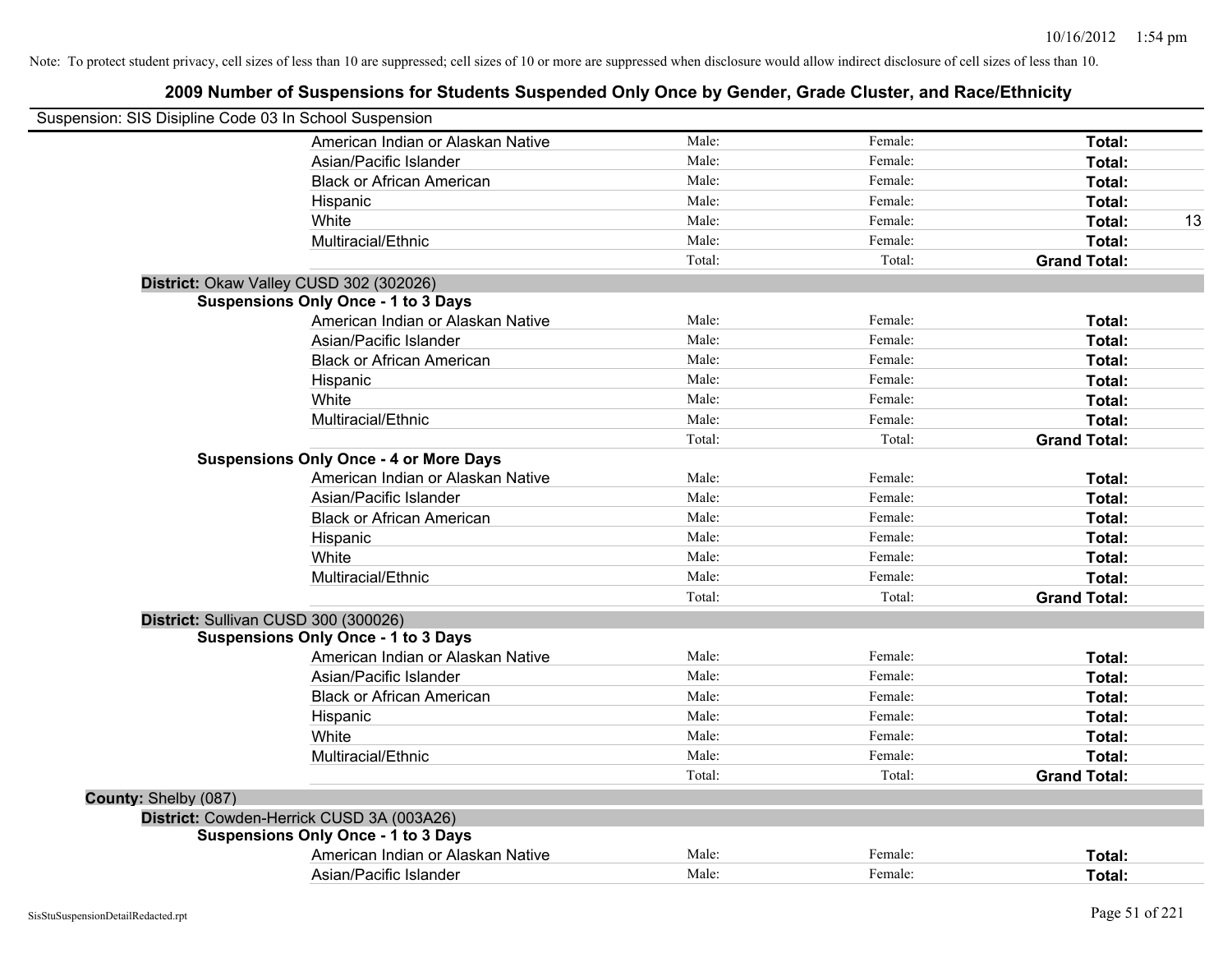|                      | Suspension: SIS Disipline Code 03 In School Suspension |        |         |                     |    |
|----------------------|--------------------------------------------------------|--------|---------|---------------------|----|
|                      | American Indian or Alaskan Native                      | Male:  | Female: | Total:              |    |
|                      | Asian/Pacific Islander                                 | Male:  | Female: | Total:              |    |
|                      | <b>Black or African American</b>                       | Male:  | Female: | Total:              |    |
|                      | Hispanic                                               | Male:  | Female: | Total:              |    |
|                      | White                                                  | Male:  | Female: | Total:              | 13 |
|                      | Multiracial/Ethnic                                     | Male:  | Female: | Total:              |    |
|                      |                                                        | Total: | Total:  | <b>Grand Total:</b> |    |
|                      | District: Okaw Valley CUSD 302 (302026)                |        |         |                     |    |
|                      | <b>Suspensions Only Once - 1 to 3 Days</b>             |        |         |                     |    |
|                      | American Indian or Alaskan Native                      | Male:  | Female: | Total:              |    |
|                      | Asian/Pacific Islander                                 | Male:  | Female: | Total:              |    |
|                      | <b>Black or African American</b>                       | Male:  | Female: | Total:              |    |
|                      | Hispanic                                               | Male:  | Female: | Total:              |    |
|                      | White                                                  | Male:  | Female: | Total:              |    |
|                      | Multiracial/Ethnic                                     | Male:  | Female: | Total:              |    |
|                      |                                                        | Total: | Total:  | <b>Grand Total:</b> |    |
|                      | <b>Suspensions Only Once - 4 or More Days</b>          |        |         |                     |    |
|                      | American Indian or Alaskan Native                      | Male:  | Female: | Total:              |    |
|                      | Asian/Pacific Islander                                 | Male:  | Female: | Total:              |    |
|                      | <b>Black or African American</b>                       | Male:  | Female: | Total:              |    |
|                      | Hispanic                                               | Male:  | Female: | Total:              |    |
|                      | White                                                  | Male:  | Female: | Total:              |    |
|                      | Multiracial/Ethnic                                     | Male:  | Female: | Total:              |    |
|                      |                                                        | Total: | Total:  | <b>Grand Total:</b> |    |
|                      | District: Sullivan CUSD 300 (300026)                   |        |         |                     |    |
|                      | <b>Suspensions Only Once - 1 to 3 Days</b>             |        |         |                     |    |
|                      | American Indian or Alaskan Native                      | Male:  | Female: | Total:              |    |
|                      | Asian/Pacific Islander                                 | Male:  | Female: | Total:              |    |
|                      | <b>Black or African American</b>                       | Male:  | Female: | Total:              |    |
|                      | Hispanic                                               | Male:  | Female: | Total:              |    |
|                      | White                                                  | Male:  | Female: | Total:              |    |
|                      | Multiracial/Ethnic                                     | Male:  | Female: | Total:              |    |
|                      |                                                        | Total: | Total:  | <b>Grand Total:</b> |    |
| County: Shelby (087) |                                                        |        |         |                     |    |
|                      | District: Cowden-Herrick CUSD 3A (003A26)              |        |         |                     |    |
|                      | <b>Suspensions Only Once - 1 to 3 Days</b>             |        |         |                     |    |
|                      | American Indian or Alaskan Native                      | Male:  | Female: | Total:              |    |
|                      | Asian/Pacific Islander                                 | Male:  | Female: | Total:              |    |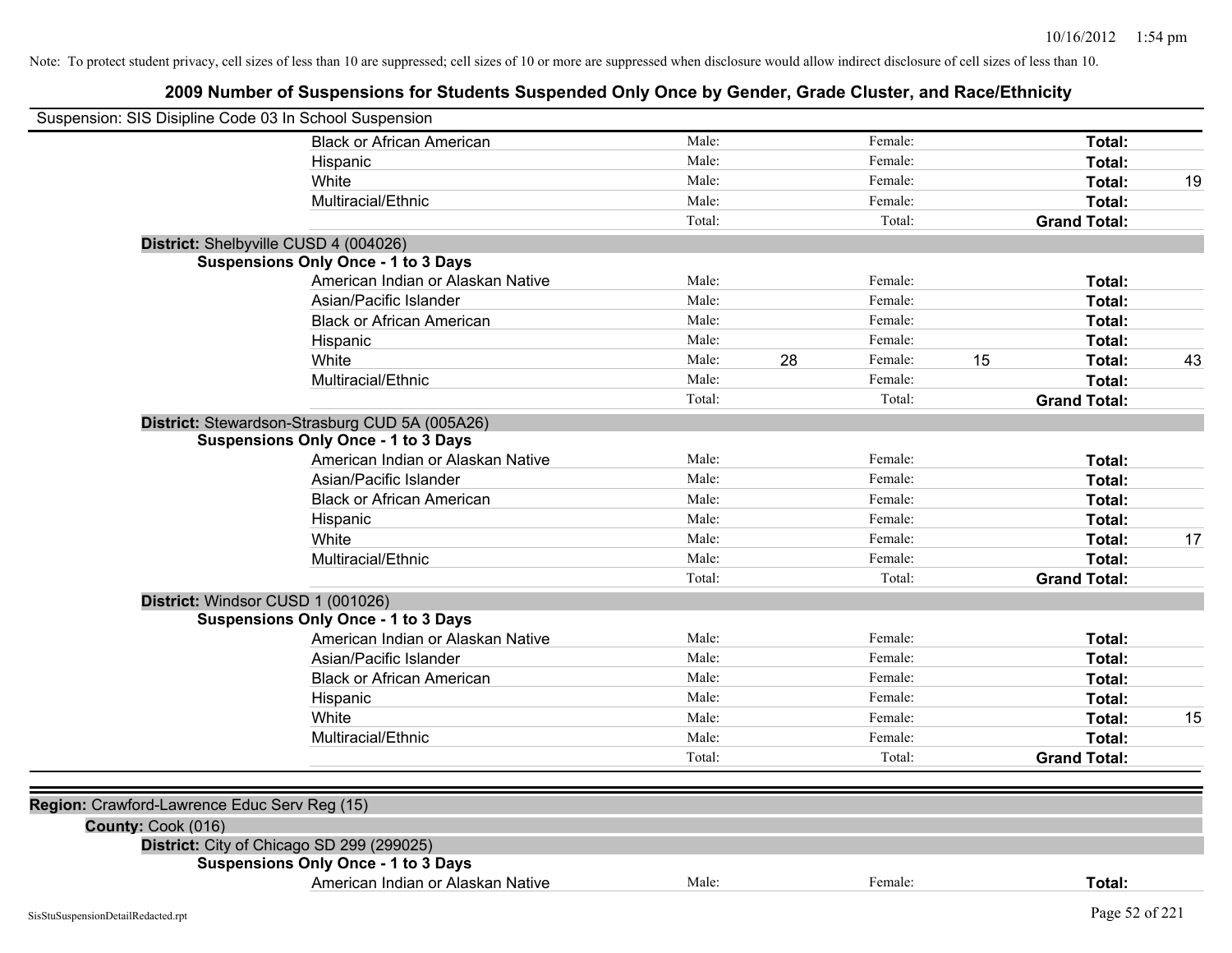| Suspension: SIS Disipline Code 03 In School Suspension |                                                |        |    |         |    |                     |    |
|--------------------------------------------------------|------------------------------------------------|--------|----|---------|----|---------------------|----|
|                                                        | <b>Black or African American</b>               | Male:  |    | Female: |    | Total:              |    |
|                                                        | Hispanic                                       | Male:  |    | Female: |    | Total:              |    |
|                                                        | White                                          | Male:  |    | Female: |    | Total:              | 19 |
|                                                        | Multiracial/Ethnic                             | Male:  |    | Female: |    | Total:              |    |
|                                                        |                                                | Total: |    | Total:  |    | <b>Grand Total:</b> |    |
|                                                        | District: Shelbyville CUSD 4 (004026)          |        |    |         |    |                     |    |
|                                                        | <b>Suspensions Only Once - 1 to 3 Days</b>     |        |    |         |    |                     |    |
|                                                        | American Indian or Alaskan Native              | Male:  |    | Female: |    | Total:              |    |
|                                                        | Asian/Pacific Islander                         | Male:  |    | Female: |    | Total:              |    |
|                                                        | <b>Black or African American</b>               | Male:  |    | Female: |    | Total:              |    |
|                                                        | Hispanic                                       | Male:  |    | Female: |    | Total:              |    |
|                                                        | White                                          | Male:  | 28 | Female: | 15 | Total:              | 43 |
|                                                        | Multiracial/Ethnic                             | Male:  |    | Female: |    | Total:              |    |
|                                                        |                                                | Total: |    | Total:  |    | <b>Grand Total:</b> |    |
|                                                        | District: Stewardson-Strasburg CUD 5A (005A26) |        |    |         |    |                     |    |
|                                                        | <b>Suspensions Only Once - 1 to 3 Days</b>     |        |    |         |    |                     |    |
|                                                        | American Indian or Alaskan Native              | Male:  |    | Female: |    | Total:              |    |
|                                                        | Asian/Pacific Islander                         | Male:  |    | Female: |    | Total:              |    |
|                                                        | <b>Black or African American</b>               | Male:  |    | Female: |    | Total:              |    |
|                                                        | Hispanic                                       | Male:  |    | Female: |    | Total:              |    |
|                                                        | White                                          | Male:  |    | Female: |    | Total:              | 17 |
|                                                        | Multiracial/Ethnic                             | Male:  |    | Female: |    | Total:              |    |
|                                                        |                                                | Total: |    | Total:  |    | <b>Grand Total:</b> |    |
| District: Windsor CUSD 1 (001026)                      |                                                |        |    |         |    |                     |    |
|                                                        | <b>Suspensions Only Once - 1 to 3 Days</b>     |        |    |         |    |                     |    |
|                                                        | American Indian or Alaskan Native              | Male:  |    | Female: |    | Total:              |    |
|                                                        | Asian/Pacific Islander                         | Male:  |    | Female: |    | Total:              |    |
|                                                        | <b>Black or African American</b>               | Male:  |    | Female: |    | Total:              |    |
|                                                        | Hispanic                                       | Male:  |    | Female: |    | Total:              |    |
|                                                        | White                                          | Male:  |    | Female: |    | Total:              | 15 |
|                                                        | Multiracial/Ethnic                             | Male:  |    | Female: |    | Total:              |    |
|                                                        |                                                | Total: |    | Total:  |    | <b>Grand Total:</b> |    |
|                                                        |                                                |        |    |         |    |                     |    |
| Region: Crawford-Lawrence Educ Serv Reg (15)           |                                                |        |    |         |    |                     |    |
| County: Cook (016)                                     |                                                |        |    |         |    |                     |    |
|                                                        | District: City of Chicago SD 299 (299025)      |        |    |         |    |                     |    |
|                                                        | <b>Suspensions Only Once - 1 to 3 Days</b>     |        |    |         |    |                     |    |
|                                                        | American Indian or Alaskan Native              | Male:  |    | Female: |    | Total:              |    |
| SisStuSuspensionDetailRedacted.rpt                     |                                                |        |    |         |    | Page 52 of 221      |    |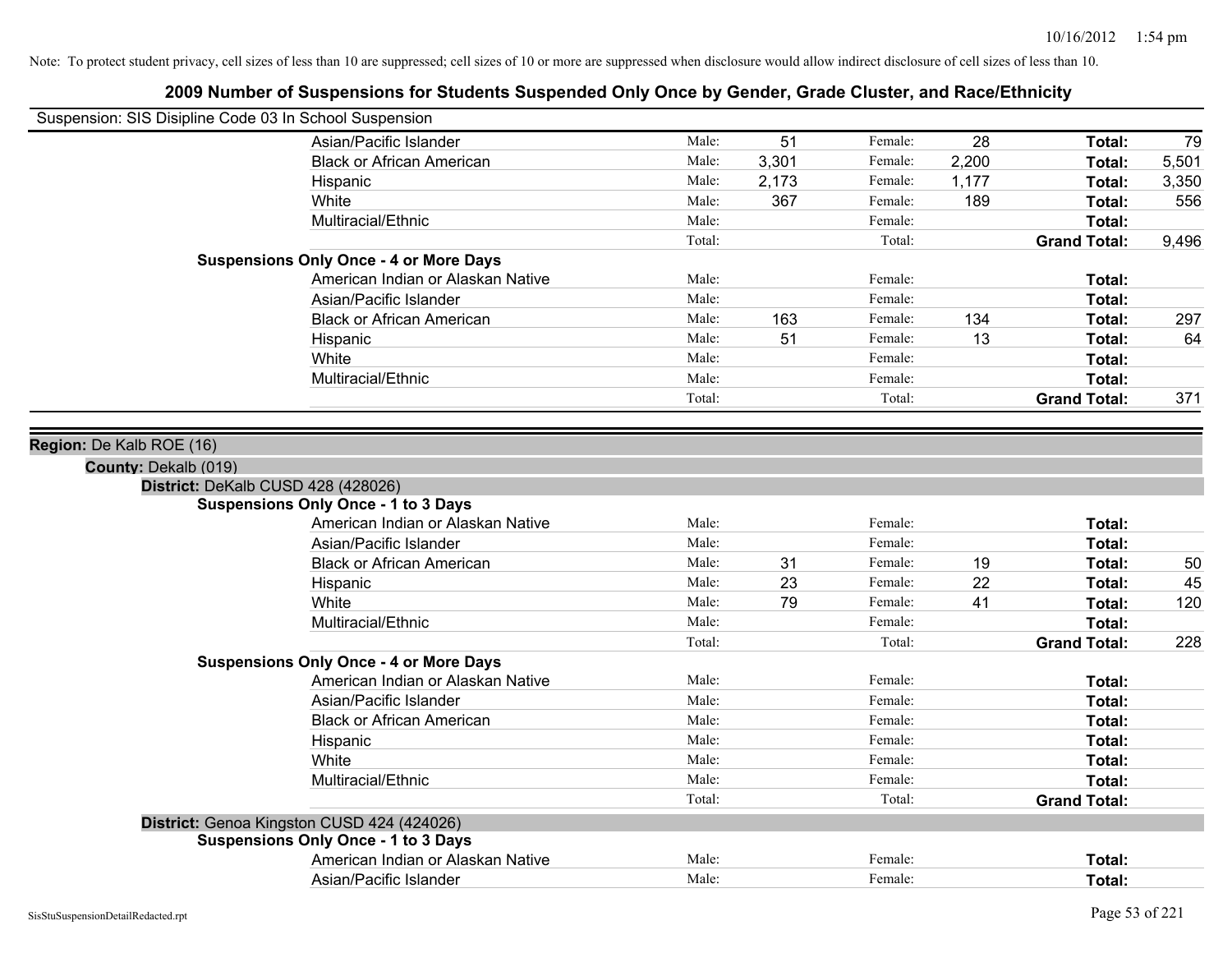| Suspension: SIS Disipline Code 03 In School Suspension |                                               |        |       |         |       |                     |       |
|--------------------------------------------------------|-----------------------------------------------|--------|-------|---------|-------|---------------------|-------|
|                                                        | Asian/Pacific Islander                        | Male:  | 51    | Female: | 28    | Total:              | 79    |
|                                                        | <b>Black or African American</b>              | Male:  | 3,301 | Female: | 2,200 | Total:              | 5,501 |
|                                                        | Hispanic                                      | Male:  | 2,173 | Female: | 1,177 | Total:              | 3,350 |
|                                                        | White                                         | Male:  | 367   | Female: | 189   | Total:              | 556   |
|                                                        | Multiracial/Ethnic                            | Male:  |       | Female: |       | Total:              |       |
|                                                        |                                               | Total: |       | Total:  |       | <b>Grand Total:</b> | 9,496 |
|                                                        | <b>Suspensions Only Once - 4 or More Days</b> |        |       |         |       |                     |       |
|                                                        | American Indian or Alaskan Native             | Male:  |       | Female: |       | Total:              |       |
|                                                        | Asian/Pacific Islander                        | Male:  |       | Female: |       | Total:              |       |
|                                                        | <b>Black or African American</b>              | Male:  | 163   | Female: | 134   | Total:              | 297   |
|                                                        | Hispanic                                      | Male:  | 51    | Female: | 13    | Total:              | 64    |
|                                                        | White                                         | Male:  |       | Female: |       | Total:              |       |
|                                                        | Multiracial/Ethnic                            | Male:  |       | Female: |       | Total:              |       |
|                                                        |                                               | Total: |       | Total:  |       | <b>Grand Total:</b> | 371   |
| Region: De Kalb ROE (16)<br>County: Dekalb (019)       |                                               |        |       |         |       |                     |       |
| District: DeKalb CUSD 428 (428026)                     |                                               |        |       |         |       |                     |       |
|                                                        | <b>Suspensions Only Once - 1 to 3 Days</b>    |        |       |         |       |                     |       |
|                                                        | American Indian or Alaskan Native             | Male:  |       | Female: |       | Total:              |       |
|                                                        | Asian/Pacific Islander                        | Male:  |       | Female: |       | Total:              |       |
|                                                        | <b>Black or African American</b>              | Male:  | 31    | Female: | 19    | Total:              | 50    |
|                                                        | Hispanic                                      | Male:  | 23    | Female: | 22    | Total:              | 45    |
|                                                        | White                                         | Male:  | 79    | Female: | 41    | Total:              | 120   |
|                                                        | Multiracial/Ethnic                            | Male:  |       | Female: |       | Total:              |       |
|                                                        |                                               | Total: |       | Total:  |       | <b>Grand Total:</b> | 228   |
|                                                        | <b>Suspensions Only Once - 4 or More Days</b> |        |       |         |       |                     |       |
|                                                        | American Indian or Alaskan Native             | Male:  |       | Female: |       | Total:              |       |
|                                                        | Asian/Pacific Islander                        | Male:  |       | Female: |       | Total:              |       |
|                                                        | <b>Black or African American</b>              | Male:  |       | Female: |       | Total:              |       |
|                                                        | Hispanic                                      | Male:  |       | Female: |       | Total:              |       |
|                                                        | White                                         | Male:  |       | Female: |       | Total:              |       |
|                                                        | Multiracial/Ethnic                            | Male:  |       | Female: |       | Total:              |       |
|                                                        |                                               | Total: |       | Total:  |       | <b>Grand Total:</b> |       |
|                                                        | District: Genoa Kingston CUSD 424 (424026)    |        |       |         |       |                     |       |
|                                                        | <b>Suspensions Only Once - 1 to 3 Days</b>    |        |       |         |       |                     |       |
|                                                        | American Indian or Alaskan Native             | Male:  |       | Female: |       | Total:              |       |
|                                                        | Asian/Pacific Islander                        | Male:  |       | Female: |       | Total:              |       |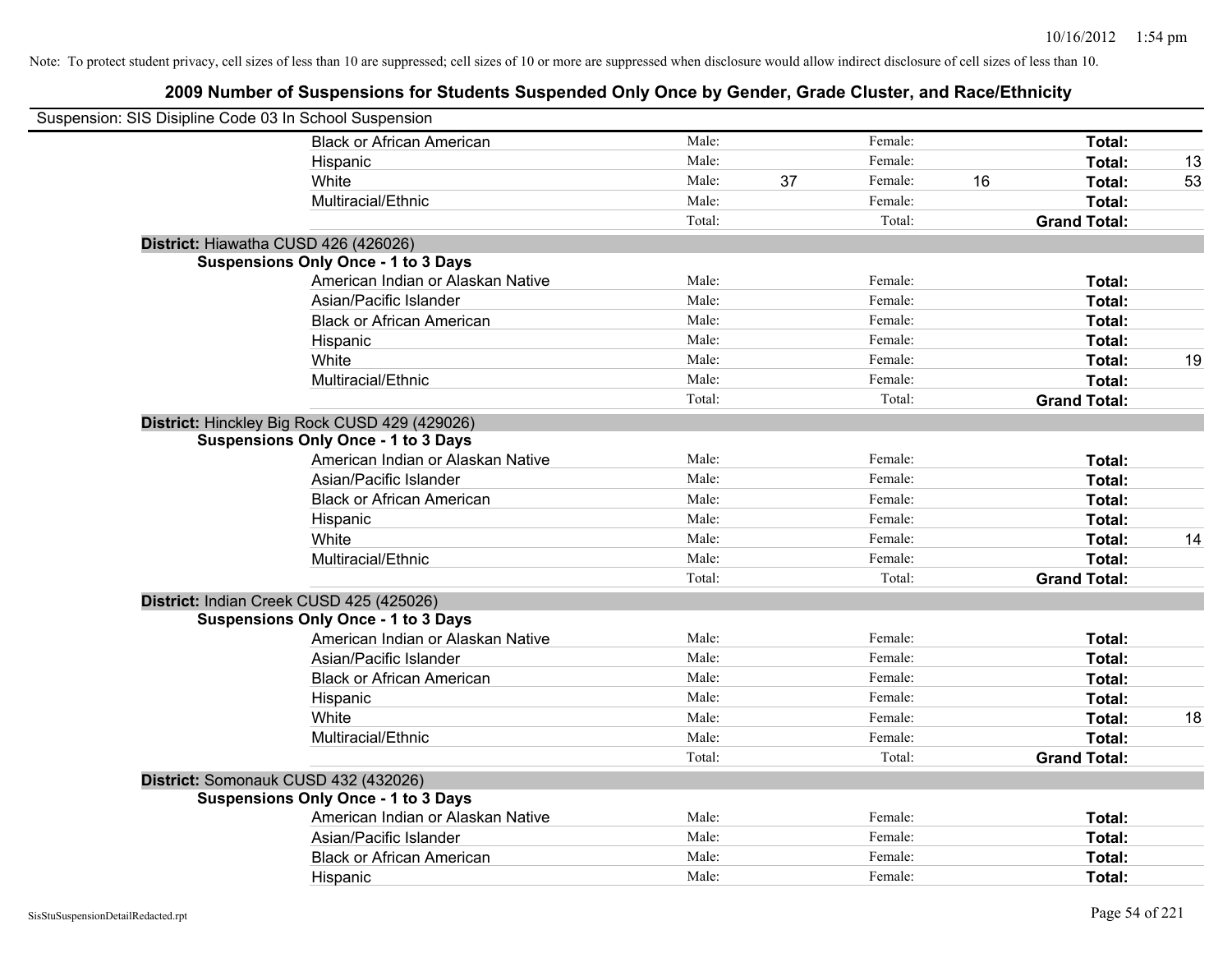| Suspension: SIS Disipline Code 03 In School Suspension |                                                                                             |        |    |         |    |                     |    |
|--------------------------------------------------------|---------------------------------------------------------------------------------------------|--------|----|---------|----|---------------------|----|
|                                                        | <b>Black or African American</b>                                                            | Male:  |    | Female: |    | Total:              |    |
|                                                        | Hispanic                                                                                    | Male:  |    | Female: |    | Total:              | 13 |
|                                                        | White                                                                                       | Male:  | 37 | Female: | 16 | <b>Total:</b>       | 53 |
|                                                        | Multiracial/Ethnic                                                                          | Male:  |    | Female: |    | Total:              |    |
|                                                        |                                                                                             | Total: |    | Total:  |    | <b>Grand Total:</b> |    |
|                                                        | District: Hiawatha CUSD 426 (426026)                                                        |        |    |         |    |                     |    |
|                                                        | <b>Suspensions Only Once - 1 to 3 Days</b>                                                  |        |    |         |    |                     |    |
|                                                        | American Indian or Alaskan Native                                                           | Male:  |    | Female: |    | Total:              |    |
|                                                        | Asian/Pacific Islander                                                                      | Male:  |    | Female: |    | Total:              |    |
|                                                        | <b>Black or African American</b>                                                            | Male:  |    | Female: |    | Total:              |    |
|                                                        | Hispanic                                                                                    | Male:  |    | Female: |    | Total:              |    |
|                                                        | White                                                                                       | Male:  |    | Female: |    | Total:              | 19 |
|                                                        | Multiracial/Ethnic                                                                          | Male:  |    | Female: |    | Total:              |    |
|                                                        |                                                                                             | Total: |    | Total:  |    | <b>Grand Total:</b> |    |
|                                                        | District: Hinckley Big Rock CUSD 429 (429026)<br><b>Suspensions Only Once - 1 to 3 Days</b> |        |    |         |    |                     |    |
|                                                        | American Indian or Alaskan Native                                                           | Male:  |    | Female: |    | Total:              |    |
|                                                        | Asian/Pacific Islander                                                                      | Male:  |    | Female: |    | Total:              |    |
|                                                        | <b>Black or African American</b>                                                            | Male:  |    | Female: |    | Total:              |    |
|                                                        | Hispanic                                                                                    | Male:  |    | Female: |    | Total:              |    |
|                                                        | White                                                                                       | Male:  |    | Female: |    | Total:              | 14 |
|                                                        | Multiracial/Ethnic                                                                          | Male:  |    | Female: |    | Total:              |    |
|                                                        |                                                                                             | Total: |    | Total:  |    | <b>Grand Total:</b> |    |
|                                                        | District: Indian Creek CUSD 425 (425026)                                                    |        |    |         |    |                     |    |
|                                                        | <b>Suspensions Only Once - 1 to 3 Days</b>                                                  |        |    |         |    |                     |    |
|                                                        | American Indian or Alaskan Native                                                           | Male:  |    | Female: |    | Total:              |    |
|                                                        | Asian/Pacific Islander                                                                      | Male:  |    | Female: |    | Total:              |    |
|                                                        | <b>Black or African American</b>                                                            | Male:  |    | Female: |    | Total:              |    |
|                                                        | Hispanic                                                                                    | Male:  |    | Female: |    | Total:              |    |
|                                                        | White                                                                                       | Male:  |    | Female: |    | Total:              | 18 |
|                                                        | Multiracial/Ethnic                                                                          | Male:  |    | Female: |    | Total:              |    |
|                                                        |                                                                                             | Total: |    | Total:  |    | <b>Grand Total:</b> |    |
|                                                        | District: Somonauk CUSD 432 (432026)                                                        |        |    |         |    |                     |    |
|                                                        | <b>Suspensions Only Once - 1 to 3 Days</b>                                                  |        |    |         |    |                     |    |
|                                                        | American Indian or Alaskan Native                                                           | Male:  |    | Female: |    | Total:              |    |
|                                                        | Asian/Pacific Islander                                                                      | Male:  |    | Female: |    | Total:              |    |
|                                                        | <b>Black or African American</b>                                                            | Male:  |    | Female: |    | Total:              |    |
|                                                        | Hispanic                                                                                    | Male:  |    | Female: |    | Total:              |    |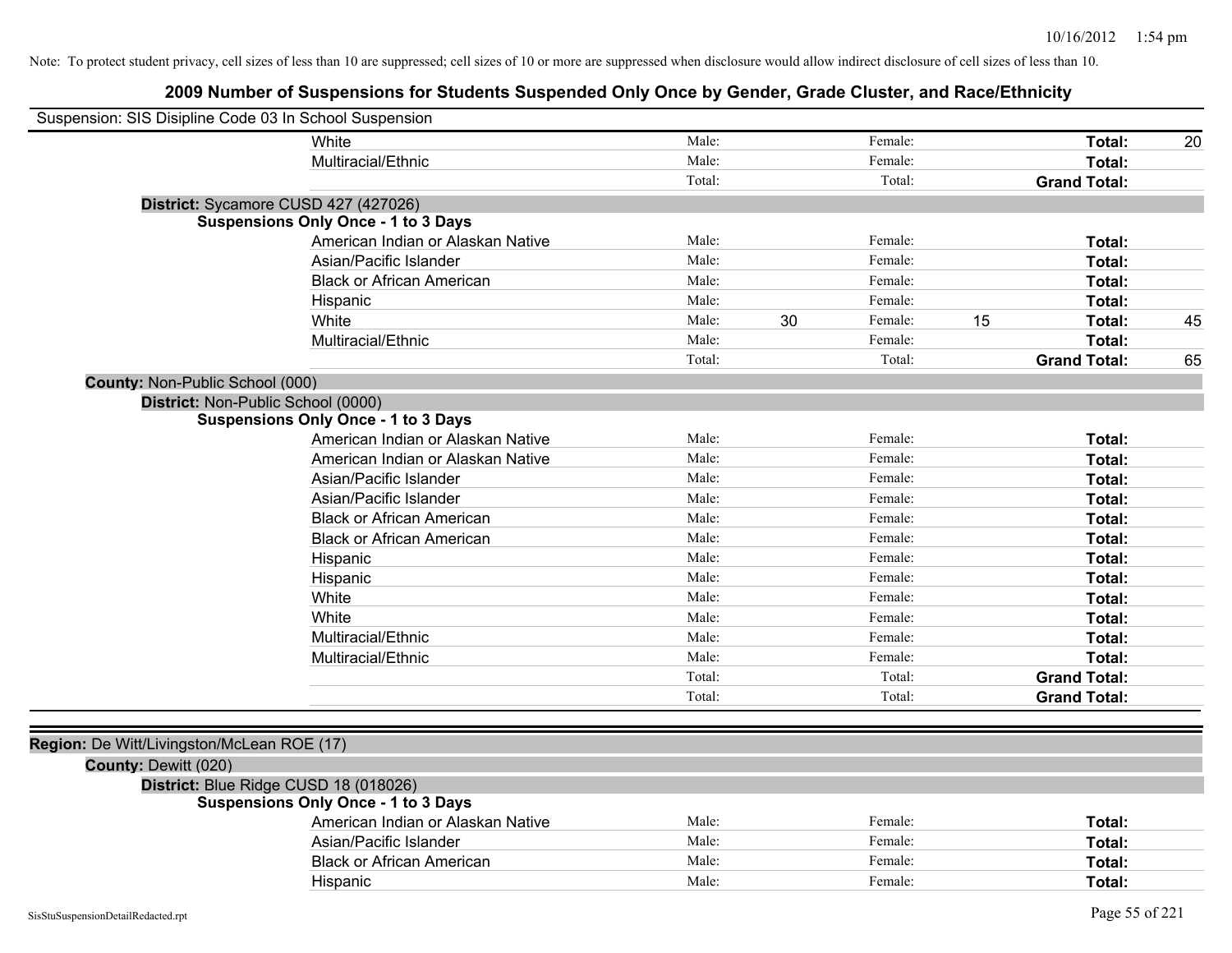| Suspension: SIS Disipline Code 03 In School Suspension |                                            |        |    |         |    |                     |    |
|--------------------------------------------------------|--------------------------------------------|--------|----|---------|----|---------------------|----|
|                                                        | White                                      | Male:  |    | Female: |    | Total:              | 20 |
|                                                        | Multiracial/Ethnic                         | Male:  |    | Female: |    | Total:              |    |
|                                                        |                                            | Total: |    | Total:  |    | <b>Grand Total:</b> |    |
| District: Sycamore CUSD 427 (427026)                   |                                            |        |    |         |    |                     |    |
|                                                        | <b>Suspensions Only Once - 1 to 3 Days</b> |        |    |         |    |                     |    |
|                                                        | American Indian or Alaskan Native          | Male:  |    | Female: |    | Total:              |    |
|                                                        | Asian/Pacific Islander                     | Male:  |    | Female: |    | <b>Total:</b>       |    |
|                                                        | <b>Black or African American</b>           | Male:  |    | Female: |    | Total:              |    |
|                                                        | Hispanic                                   | Male:  |    | Female: |    | Total:              |    |
|                                                        | White                                      | Male:  | 30 | Female: | 15 | <b>Total:</b>       | 45 |
|                                                        | Multiracial/Ethnic                         | Male:  |    | Female: |    | Total:              |    |
|                                                        |                                            | Total: |    | Total:  |    | <b>Grand Total:</b> | 65 |
| County: Non-Public School (000)                        |                                            |        |    |         |    |                     |    |
| District: Non-Public School (0000)                     |                                            |        |    |         |    |                     |    |
|                                                        | <b>Suspensions Only Once - 1 to 3 Days</b> |        |    |         |    |                     |    |
|                                                        | American Indian or Alaskan Native          | Male:  |    | Female: |    | Total:              |    |
|                                                        | American Indian or Alaskan Native          | Male:  |    | Female: |    | <b>Total:</b>       |    |
|                                                        | Asian/Pacific Islander                     | Male:  |    | Female: |    | Total:              |    |
|                                                        | Asian/Pacific Islander                     | Male:  |    | Female: |    | Total:              |    |
|                                                        | <b>Black or African American</b>           | Male:  |    | Female: |    | Total:              |    |
|                                                        | <b>Black or African American</b>           | Male:  |    | Female: |    | <b>Total:</b>       |    |
|                                                        | Hispanic                                   | Male:  |    | Female: |    | Total:              |    |
|                                                        | Hispanic                                   | Male:  |    | Female: |    | Total:              |    |
|                                                        | White                                      | Male:  |    | Female: |    | Total:              |    |
|                                                        | White                                      | Male:  |    | Female: |    | Total:              |    |
|                                                        | Multiracial/Ethnic                         | Male:  |    | Female: |    | Total:              |    |
|                                                        | Multiracial/Ethnic                         | Male:  |    | Female: |    | Total:              |    |
|                                                        |                                            | Total: |    | Total:  |    | <b>Grand Total:</b> |    |
|                                                        |                                            | Total: |    | Total:  |    | <b>Grand Total:</b> |    |
|                                                        |                                            |        |    |         |    |                     |    |
| Region: De Witt/Livingston/McLean ROE (17)             |                                            |        |    |         |    |                     |    |
| County: Dewitt (020)                                   |                                            |        |    |         |    |                     |    |
| District: Blue Ridge CUSD 18 (018026)                  |                                            |        |    |         |    |                     |    |
|                                                        | <b>Suspensions Only Once - 1 to 3 Days</b> |        |    |         |    |                     |    |
|                                                        | American Indian or Alaskan Native          | Male:  |    | Female: |    | Total:              |    |
|                                                        | Asian/Pacific Islander                     | Male:  |    | Female: |    | Total:              |    |
|                                                        | <b>Black or African American</b>           | Male:  |    | Female: |    | Total:              |    |
|                                                        | Hispanic                                   | Male:  |    | Female: |    | <b>Total:</b>       |    |
| SisStuSuspensionDetailRedacted.rpt                     |                                            |        |    |         |    | Page 55 of 221      |    |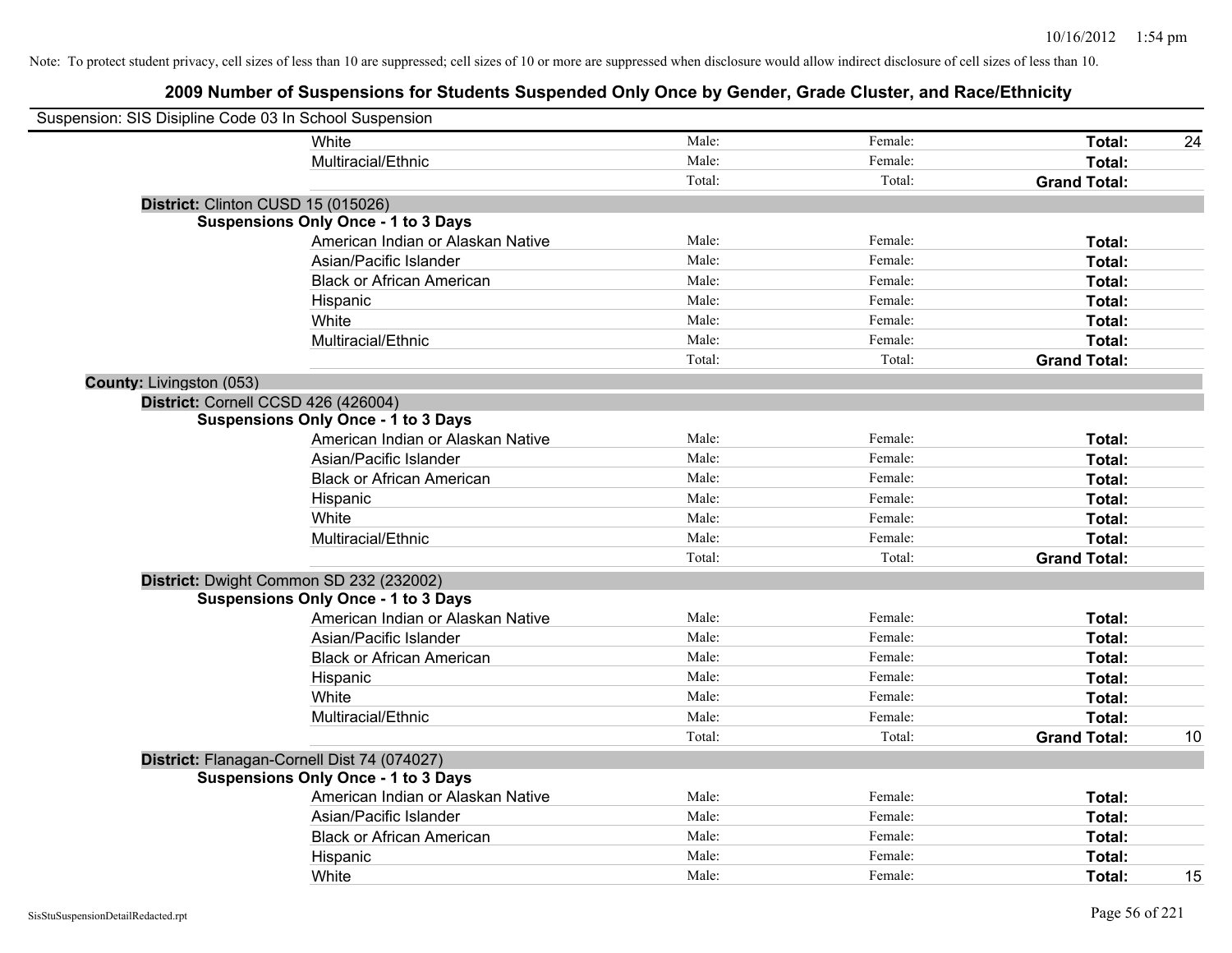| Suspension: SIS Disipline Code 03 In School Suspension |                                             |        |         |                     |    |
|--------------------------------------------------------|---------------------------------------------|--------|---------|---------------------|----|
|                                                        | White                                       | Male:  | Female: | Total:              | 24 |
|                                                        | Multiracial/Ethnic                          | Male:  | Female: | Total:              |    |
|                                                        |                                             | Total: | Total:  | <b>Grand Total:</b> |    |
|                                                        | District: Clinton CUSD 15 (015026)          |        |         |                     |    |
|                                                        | <b>Suspensions Only Once - 1 to 3 Days</b>  |        |         |                     |    |
|                                                        | American Indian or Alaskan Native           | Male:  | Female: | Total:              |    |
|                                                        | Asian/Pacific Islander                      | Male:  | Female: | Total:              |    |
|                                                        | <b>Black or African American</b>            | Male:  | Female: | Total:              |    |
|                                                        | Hispanic                                    | Male:  | Female: | Total:              |    |
|                                                        | White                                       | Male:  | Female: | Total:              |    |
|                                                        | Multiracial/Ethnic                          | Male:  | Female: | Total:              |    |
|                                                        |                                             | Total: | Total:  | <b>Grand Total:</b> |    |
| County: Livingston (053)                               |                                             |        |         |                     |    |
|                                                        | District: Cornell CCSD 426 (426004)         |        |         |                     |    |
|                                                        | <b>Suspensions Only Once - 1 to 3 Days</b>  |        |         |                     |    |
|                                                        | American Indian or Alaskan Native           | Male:  | Female: | Total:              |    |
|                                                        | Asian/Pacific Islander                      | Male:  | Female: | Total:              |    |
|                                                        | <b>Black or African American</b>            | Male:  | Female: | Total:              |    |
|                                                        | Hispanic                                    | Male:  | Female: | Total:              |    |
|                                                        | White                                       | Male:  | Female: | Total:              |    |
|                                                        | Multiracial/Ethnic                          | Male:  | Female: | Total:              |    |
|                                                        |                                             | Total: | Total:  | <b>Grand Total:</b> |    |
|                                                        | District: Dwight Common SD 232 (232002)     |        |         |                     |    |
|                                                        | <b>Suspensions Only Once - 1 to 3 Days</b>  |        |         |                     |    |
|                                                        | American Indian or Alaskan Native           | Male:  | Female: | Total:              |    |
|                                                        | Asian/Pacific Islander                      | Male:  | Female: | Total:              |    |
|                                                        | <b>Black or African American</b>            | Male:  | Female: | Total:              |    |
|                                                        | Hispanic                                    | Male:  | Female: | Total:              |    |
|                                                        | White                                       | Male:  | Female: | Total:              |    |
|                                                        | Multiracial/Ethnic                          | Male:  | Female: | Total:              |    |
|                                                        |                                             | Total: | Total:  | <b>Grand Total:</b> | 10 |
|                                                        | District: Flanagan-Cornell Dist 74 (074027) |        |         |                     |    |
|                                                        | <b>Suspensions Only Once - 1 to 3 Days</b>  |        |         |                     |    |
|                                                        | American Indian or Alaskan Native           | Male:  | Female: | Total:              |    |
|                                                        | Asian/Pacific Islander                      | Male:  | Female: | Total:              |    |
|                                                        | <b>Black or African American</b>            | Male:  | Female: | Total:              |    |
|                                                        | Hispanic                                    | Male:  | Female: | Total:              |    |
|                                                        | White                                       | Male:  | Female: | Total:              | 15 |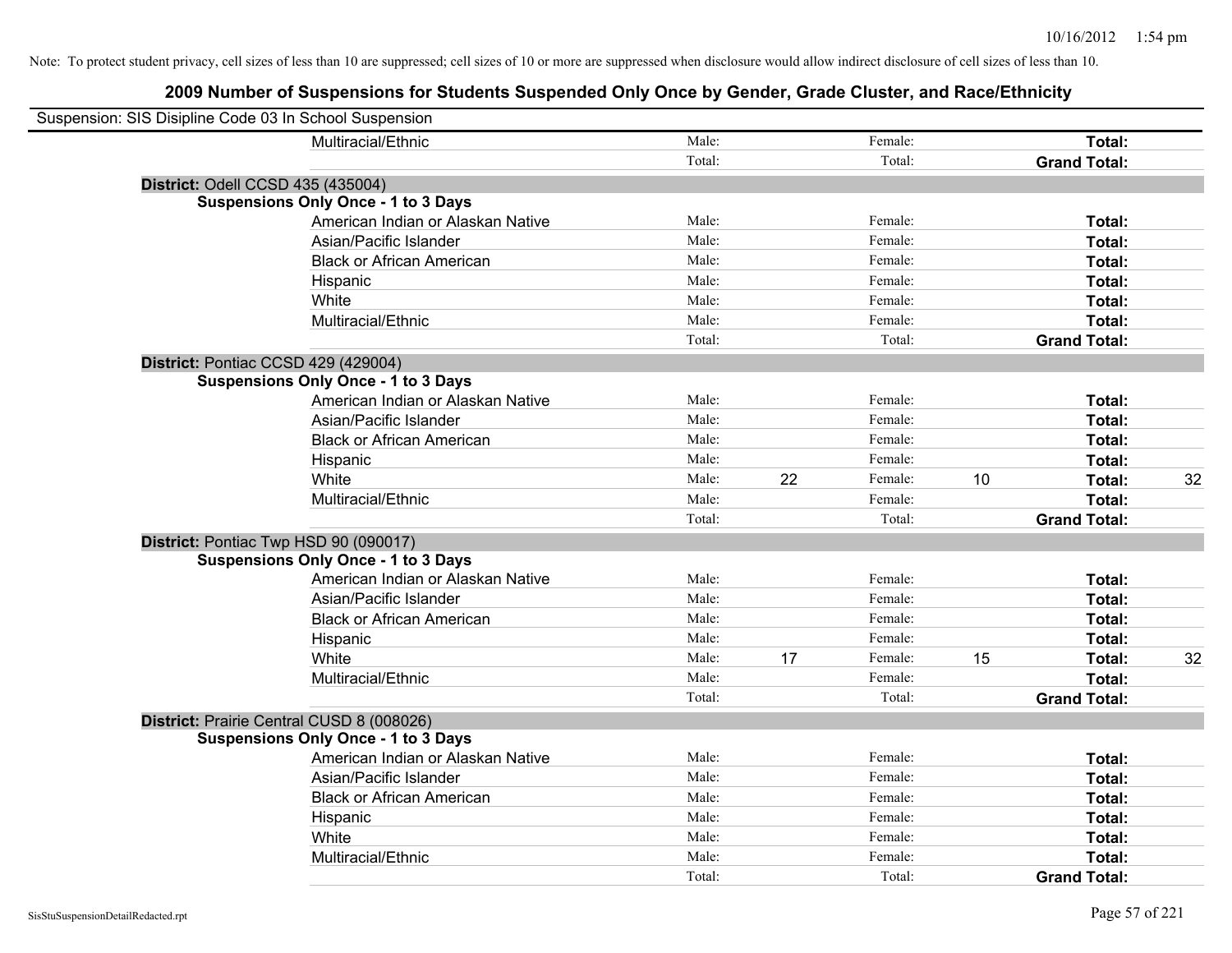| Suspension: SIS Disipline Code 03 In School Suspension |                                            |        |    |         |    |                     |    |
|--------------------------------------------------------|--------------------------------------------|--------|----|---------|----|---------------------|----|
|                                                        | Multiracial/Ethnic                         | Male:  |    | Female: |    | Total:              |    |
|                                                        |                                            | Total: |    | Total:  |    | <b>Grand Total:</b> |    |
|                                                        | District: Odell CCSD 435 (435004)          |        |    |         |    |                     |    |
|                                                        | <b>Suspensions Only Once - 1 to 3 Days</b> |        |    |         |    |                     |    |
|                                                        | American Indian or Alaskan Native          | Male:  |    | Female: |    | Total:              |    |
|                                                        | Asian/Pacific Islander                     | Male:  |    | Female: |    | Total:              |    |
|                                                        | <b>Black or African American</b>           | Male:  |    | Female: |    | Total:              |    |
|                                                        | Hispanic                                   | Male:  |    | Female: |    | Total:              |    |
|                                                        | White                                      | Male:  |    | Female: |    | Total:              |    |
|                                                        | Multiracial/Ethnic                         | Male:  |    | Female: |    | Total:              |    |
|                                                        |                                            | Total: |    | Total:  |    | <b>Grand Total:</b> |    |
|                                                        | District: Pontiac CCSD 429 (429004)        |        |    |         |    |                     |    |
|                                                        | <b>Suspensions Only Once - 1 to 3 Days</b> |        |    |         |    |                     |    |
|                                                        | American Indian or Alaskan Native          | Male:  |    | Female: |    | Total:              |    |
|                                                        | Asian/Pacific Islander                     | Male:  |    | Female: |    | Total:              |    |
|                                                        | <b>Black or African American</b>           | Male:  |    | Female: |    | Total:              |    |
|                                                        | Hispanic                                   | Male:  |    | Female: |    | Total:              |    |
|                                                        | White                                      | Male:  | 22 | Female: | 10 | Total:              | 32 |
|                                                        | Multiracial/Ethnic                         | Male:  |    | Female: |    | Total:              |    |
|                                                        |                                            | Total: |    | Total:  |    | <b>Grand Total:</b> |    |
|                                                        | District: Pontiac Twp HSD 90 (090017)      |        |    |         |    |                     |    |
|                                                        | <b>Suspensions Only Once - 1 to 3 Days</b> |        |    |         |    |                     |    |
|                                                        | American Indian or Alaskan Native          | Male:  |    | Female: |    | Total:              |    |
|                                                        | Asian/Pacific Islander                     | Male:  |    | Female: |    | Total:              |    |
|                                                        | <b>Black or African American</b>           | Male:  |    | Female: |    | Total:              |    |
|                                                        | Hispanic                                   | Male:  |    | Female: |    | Total:              |    |
|                                                        | White                                      | Male:  | 17 | Female: | 15 | Total:              | 32 |
|                                                        | Multiracial/Ethnic                         | Male:  |    | Female: |    | Total:              |    |
|                                                        |                                            | Total: |    | Total:  |    | <b>Grand Total:</b> |    |
|                                                        | District: Prairie Central CUSD 8 (008026)  |        |    |         |    |                     |    |
|                                                        | <b>Suspensions Only Once - 1 to 3 Days</b> |        |    |         |    |                     |    |
|                                                        | American Indian or Alaskan Native          | Male:  |    | Female: |    | Total:              |    |
|                                                        | Asian/Pacific Islander                     | Male:  |    | Female: |    | Total:              |    |
|                                                        | <b>Black or African American</b>           | Male:  |    | Female: |    | Total:              |    |
|                                                        | Hispanic                                   | Male:  |    | Female: |    | Total:              |    |
|                                                        | White                                      | Male:  |    | Female: |    | Total:              |    |
|                                                        | Multiracial/Ethnic                         | Male:  |    | Female: |    | Total:              |    |
|                                                        |                                            | Total: |    | Total:  |    | <b>Grand Total:</b> |    |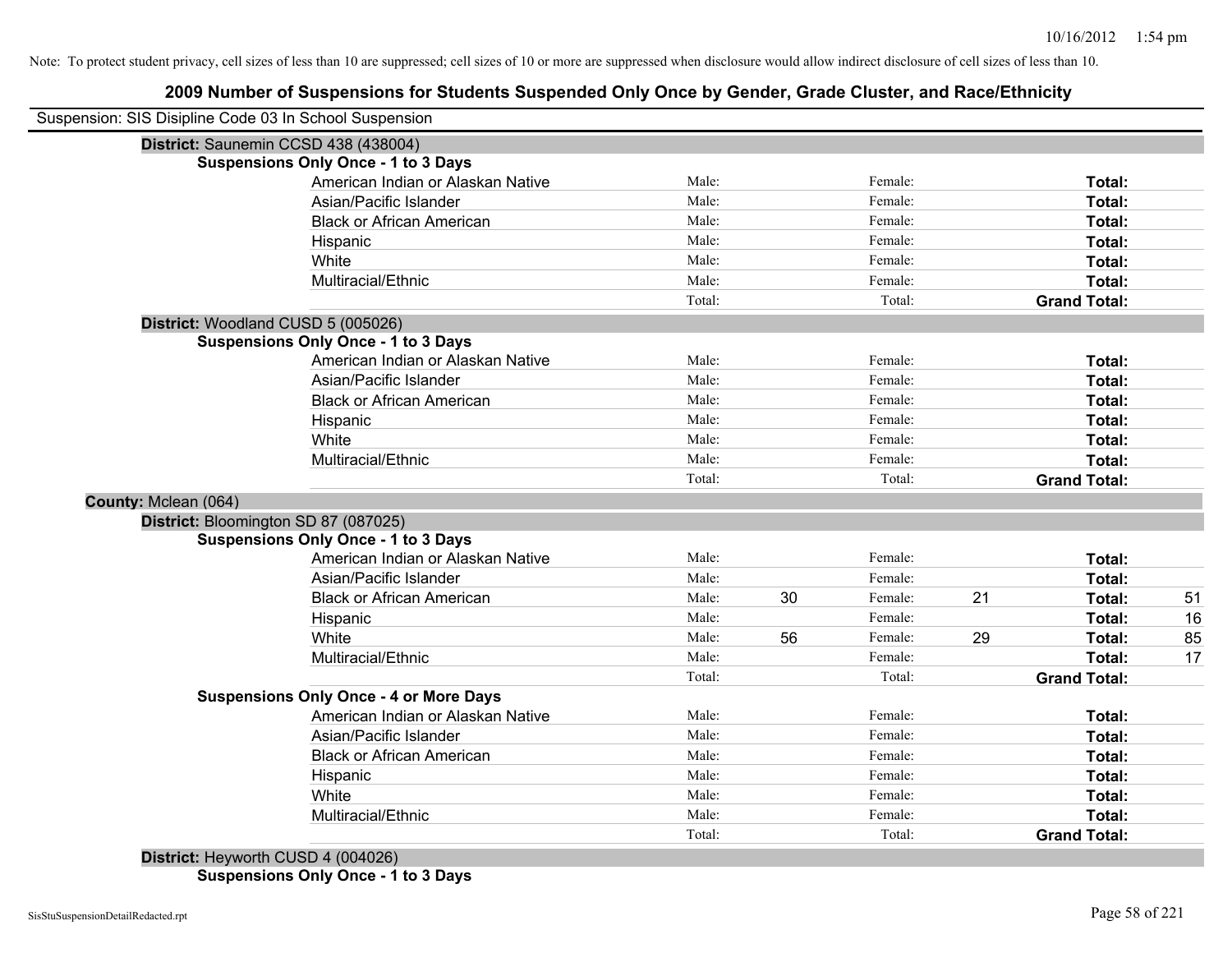|                      | Suspension: SIS Disipline Code 03 In School Suspension |        |    |         |    |                     |    |
|----------------------|--------------------------------------------------------|--------|----|---------|----|---------------------|----|
|                      | District: Saunemin CCSD 438 (438004)                   |        |    |         |    |                     |    |
|                      | <b>Suspensions Only Once - 1 to 3 Days</b>             |        |    |         |    |                     |    |
|                      | American Indian or Alaskan Native                      | Male:  |    | Female: |    | Total:              |    |
|                      | Asian/Pacific Islander                                 | Male:  |    | Female: |    | Total:              |    |
|                      | <b>Black or African American</b>                       | Male:  |    | Female: |    | Total:              |    |
|                      | Hispanic                                               | Male:  |    | Female: |    | Total:              |    |
|                      | White                                                  | Male:  |    | Female: |    | Total:              |    |
|                      | Multiracial/Ethnic                                     | Male:  |    | Female: |    | Total:              |    |
|                      |                                                        | Total: |    | Total:  |    | <b>Grand Total:</b> |    |
|                      | District: Woodland CUSD 5 (005026)                     |        |    |         |    |                     |    |
|                      | <b>Suspensions Only Once - 1 to 3 Days</b>             |        |    |         |    |                     |    |
|                      | American Indian or Alaskan Native                      | Male:  |    | Female: |    | Total:              |    |
|                      | Asian/Pacific Islander                                 | Male:  |    | Female: |    | Total:              |    |
|                      | <b>Black or African American</b>                       | Male:  |    | Female: |    | Total:              |    |
|                      | Hispanic                                               | Male:  |    | Female: |    | Total:              |    |
|                      | White                                                  | Male:  |    | Female: |    | Total:              |    |
|                      | Multiracial/Ethnic                                     | Male:  |    | Female: |    | Total:              |    |
|                      |                                                        | Total: |    | Total:  |    | <b>Grand Total:</b> |    |
| County: Mclean (064) |                                                        |        |    |         |    |                     |    |
|                      | District: Bloomington SD 87 (087025)                   |        |    |         |    |                     |    |
|                      | <b>Suspensions Only Once - 1 to 3 Days</b>             |        |    |         |    |                     |    |
|                      | American Indian or Alaskan Native                      | Male:  |    | Female: |    | Total:              |    |
|                      | Asian/Pacific Islander                                 | Male:  |    | Female: |    | Total:              |    |
|                      | <b>Black or African American</b>                       | Male:  | 30 | Female: | 21 | Total:              | 51 |
|                      | Hispanic                                               | Male:  |    | Female: |    | Total:              | 16 |
|                      | White                                                  | Male:  | 56 | Female: | 29 | Total:              | 85 |
|                      | Multiracial/Ethnic                                     | Male:  |    | Female: |    | Total:              | 17 |
|                      |                                                        | Total: |    | Total:  |    | <b>Grand Total:</b> |    |
|                      | <b>Suspensions Only Once - 4 or More Days</b>          |        |    |         |    |                     |    |
|                      | American Indian or Alaskan Native                      | Male:  |    | Female: |    | Total:              |    |
|                      | Asian/Pacific Islander                                 | Male:  |    | Female: |    | Total:              |    |
|                      | <b>Black or African American</b>                       | Male:  |    | Female: |    | Total:              |    |
|                      | Hispanic                                               | Male:  |    | Female: |    | Total:              |    |
|                      | White                                                  | Male:  |    | Female: |    | Total:              |    |
|                      | Multiracial/Ethnic                                     | Male:  |    | Female: |    | Total:              |    |
|                      |                                                        | Total: |    | Total:  |    | <b>Grand Total:</b> |    |
|                      |                                                        |        |    |         |    |                     |    |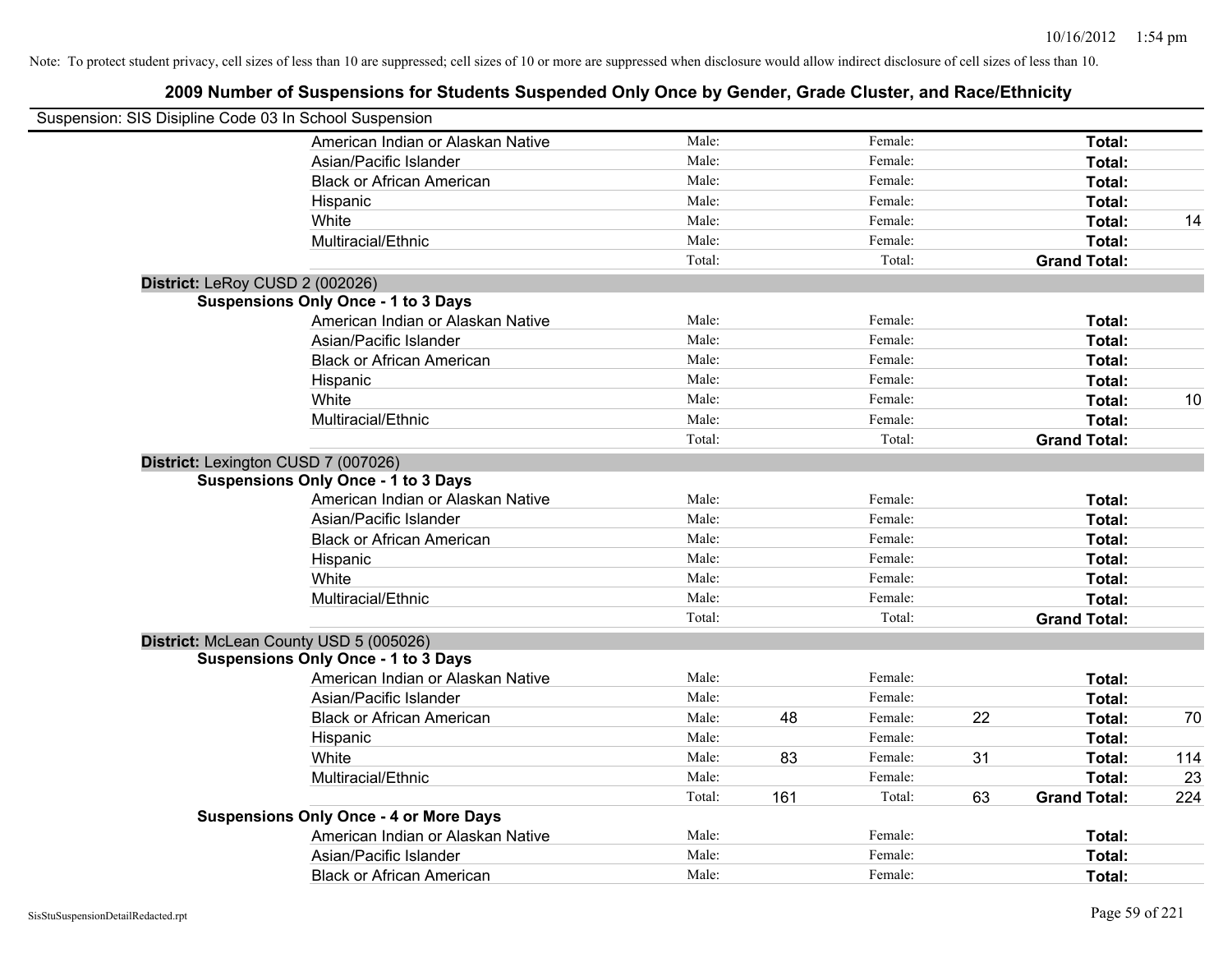| Suspension: SIS Disipline Code 03 In School Suspension |                                               |        |     |         |    |                     |     |
|--------------------------------------------------------|-----------------------------------------------|--------|-----|---------|----|---------------------|-----|
|                                                        | American Indian or Alaskan Native             | Male:  |     | Female: |    | Total:              |     |
|                                                        | Asian/Pacific Islander                        | Male:  |     | Female: |    | Total:              |     |
|                                                        | <b>Black or African American</b>              | Male:  |     | Female: |    | Total:              |     |
|                                                        | Hispanic                                      | Male:  |     | Female: |    | Total:              |     |
|                                                        | White                                         | Male:  |     | Female: |    | Total:              | 14  |
|                                                        | Multiracial/Ethnic                            | Male:  |     | Female: |    | Total:              |     |
|                                                        |                                               | Total: |     | Total:  |    | <b>Grand Total:</b> |     |
|                                                        | District: LeRoy CUSD 2 (002026)               |        |     |         |    |                     |     |
|                                                        | <b>Suspensions Only Once - 1 to 3 Days</b>    |        |     |         |    |                     |     |
|                                                        | American Indian or Alaskan Native             | Male:  |     | Female: |    | Total:              |     |
|                                                        | Asian/Pacific Islander                        | Male:  |     | Female: |    | Total:              |     |
|                                                        | <b>Black or African American</b>              | Male:  |     | Female: |    | Total:              |     |
|                                                        | Hispanic                                      | Male:  |     | Female: |    | Total:              |     |
|                                                        | White                                         | Male:  |     | Female: |    | Total:              | 10  |
|                                                        | Multiracial/Ethnic                            | Male:  |     | Female: |    | Total:              |     |
|                                                        |                                               | Total: |     | Total:  |    | <b>Grand Total:</b> |     |
|                                                        | District: Lexington CUSD 7 (007026)           |        |     |         |    |                     |     |
|                                                        | <b>Suspensions Only Once - 1 to 3 Days</b>    |        |     |         |    |                     |     |
|                                                        | American Indian or Alaskan Native             | Male:  |     | Female: |    | Total:              |     |
|                                                        | Asian/Pacific Islander                        | Male:  |     | Female: |    | Total:              |     |
|                                                        | <b>Black or African American</b>              | Male:  |     | Female: |    | Total:              |     |
|                                                        | Hispanic                                      | Male:  |     | Female: |    | Total:              |     |
|                                                        | White                                         | Male:  |     | Female: |    | Total:              |     |
|                                                        | Multiracial/Ethnic                            | Male:  |     | Female: |    | Total:              |     |
|                                                        |                                               | Total: |     | Total:  |    | <b>Grand Total:</b> |     |
|                                                        | District: McLean County USD 5 (005026)        |        |     |         |    |                     |     |
|                                                        | <b>Suspensions Only Once - 1 to 3 Days</b>    |        |     |         |    |                     |     |
|                                                        | American Indian or Alaskan Native             | Male:  |     | Female: |    | Total:              |     |
|                                                        | Asian/Pacific Islander                        | Male:  |     | Female: |    | Total:              |     |
|                                                        | <b>Black or African American</b>              | Male:  | 48  | Female: | 22 | Total:              | 70  |
|                                                        | Hispanic                                      | Male:  |     | Female: |    | Total:              |     |
|                                                        | White                                         | Male:  | 83  | Female: | 31 | Total:              | 114 |
|                                                        | Multiracial/Ethnic                            | Male:  |     | Female: |    | Total:              | 23  |
|                                                        |                                               | Total: | 161 | Total:  | 63 | <b>Grand Total:</b> | 224 |
|                                                        | <b>Suspensions Only Once - 4 or More Days</b> |        |     |         |    |                     |     |
|                                                        | American Indian or Alaskan Native             | Male:  |     | Female: |    | Total:              |     |
|                                                        | Asian/Pacific Islander                        | Male:  |     | Female: |    | Total:              |     |
|                                                        | <b>Black or African American</b>              | Male:  |     | Female: |    | Total:              |     |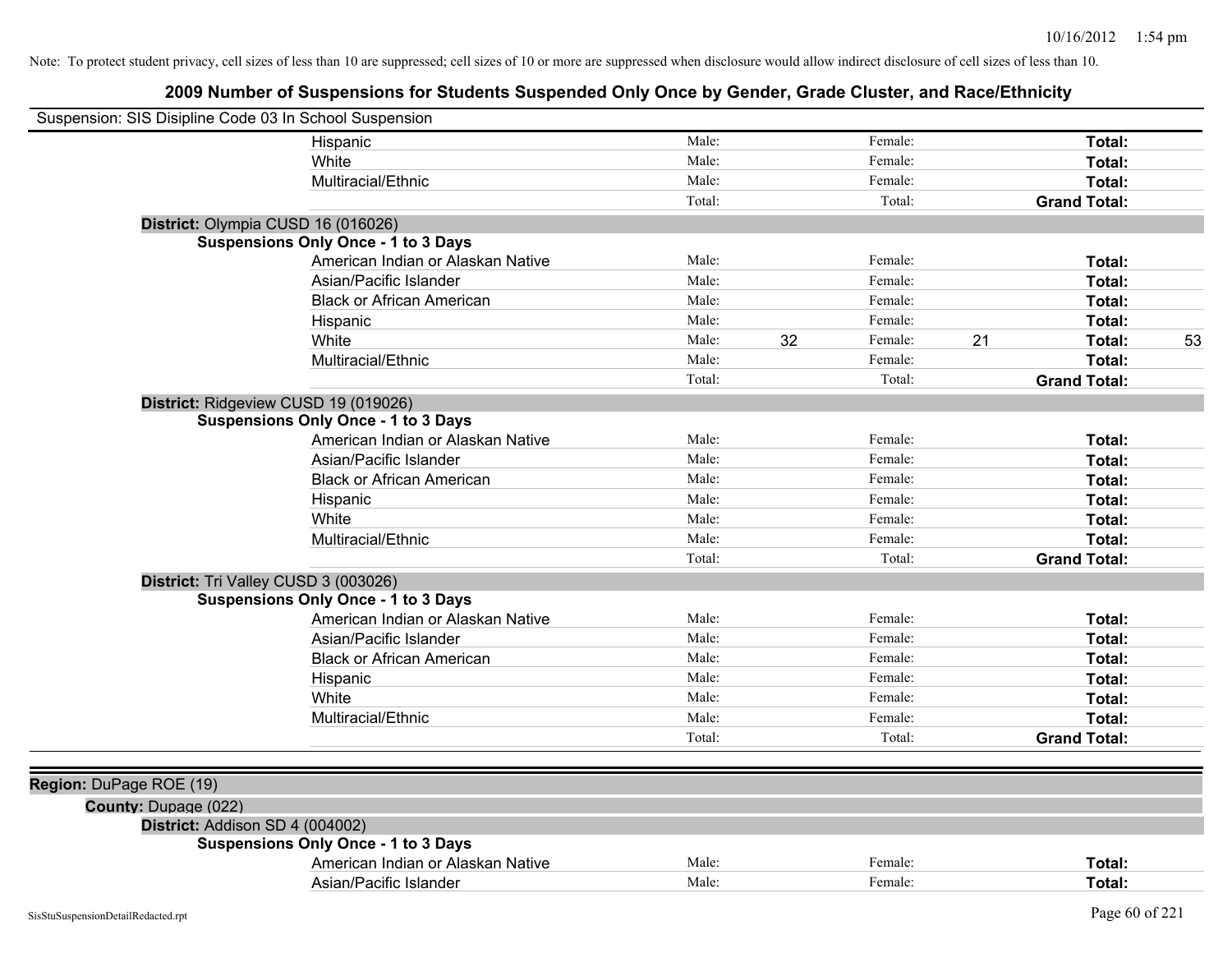| Suspension: SIS Disipline Code 03 In School Suspension |                                            |        |    |         |    |                     |    |
|--------------------------------------------------------|--------------------------------------------|--------|----|---------|----|---------------------|----|
|                                                        | Hispanic                                   | Male:  |    | Female: |    | Total:              |    |
|                                                        | White                                      | Male:  |    | Female: |    | Total:              |    |
|                                                        | Multiracial/Ethnic                         | Male:  |    | Female: |    | Total:              |    |
|                                                        |                                            | Total: |    | Total:  |    | <b>Grand Total:</b> |    |
|                                                        | District: Olympia CUSD 16 (016026)         |        |    |         |    |                     |    |
|                                                        | <b>Suspensions Only Once - 1 to 3 Days</b> |        |    |         |    |                     |    |
|                                                        | American Indian or Alaskan Native          | Male:  |    | Female: |    | <b>Total:</b>       |    |
|                                                        | Asian/Pacific Islander                     | Male:  |    | Female: |    | <b>Total:</b>       |    |
|                                                        | <b>Black or African American</b>           | Male:  |    | Female: |    | <b>Total:</b>       |    |
|                                                        | Hispanic                                   | Male:  |    | Female: |    | <b>Total:</b>       |    |
|                                                        | White                                      | Male:  | 32 | Female: | 21 | Total:              | 53 |
|                                                        | Multiracial/Ethnic                         | Male:  |    | Female: |    | Total:              |    |
|                                                        |                                            | Total: |    | Total:  |    | <b>Grand Total:</b> |    |
|                                                        | District: Ridgeview CUSD 19 (019026)       |        |    |         |    |                     |    |
|                                                        | <b>Suspensions Only Once - 1 to 3 Days</b> |        |    |         |    |                     |    |
|                                                        | American Indian or Alaskan Native          | Male:  |    | Female: |    | Total:              |    |
|                                                        | Asian/Pacific Islander                     | Male:  |    | Female: |    | Total:              |    |
|                                                        | <b>Black or African American</b>           | Male:  |    | Female: |    | Total:              |    |
|                                                        | Hispanic                                   | Male:  |    | Female: |    | Total:              |    |
|                                                        | White                                      | Male:  |    | Female: |    | Total:              |    |
|                                                        | Multiracial/Ethnic                         | Male:  |    | Female: |    | Total:              |    |
|                                                        |                                            | Total: |    | Total:  |    | <b>Grand Total:</b> |    |
|                                                        | District: Tri Valley CUSD 3 (003026)       |        |    |         |    |                     |    |
|                                                        | <b>Suspensions Only Once - 1 to 3 Days</b> |        |    |         |    |                     |    |
|                                                        | American Indian or Alaskan Native          | Male:  |    | Female: |    | Total:              |    |
|                                                        | Asian/Pacific Islander                     | Male:  |    | Female: |    | Total:              |    |
|                                                        | <b>Black or African American</b>           | Male:  |    | Female: |    | <b>Total:</b>       |    |
|                                                        | Hispanic                                   | Male:  |    | Female: |    | Total:              |    |
|                                                        | White                                      | Male:  |    | Female: |    | <b>Total:</b>       |    |
|                                                        | Multiracial/Ethnic                         | Male:  |    | Female: |    | <b>Total:</b>       |    |
|                                                        |                                            | Total: |    | Total:  |    | <b>Grand Total:</b> |    |
|                                                        |                                            |        |    |         |    |                     |    |
| Region: DuPage ROE (19)                                |                                            |        |    |         |    |                     |    |
| County: Dupage (022)                                   |                                            |        |    |         |    |                     |    |
| District: Addison SD 4 (004002)                        |                                            |        |    |         |    |                     |    |
|                                                        | <b>Suspensions Only Once - 1 to 3 Days</b> |        |    |         |    |                     |    |
|                                                        | American Indian or Alaskan Native          | Male:  |    | Female: |    | <b>Total:</b>       |    |
|                                                        | Asian/Pacific Islander                     | Male:  |    | Female: |    | Total:              |    |
|                                                        |                                            |        |    |         |    |                     |    |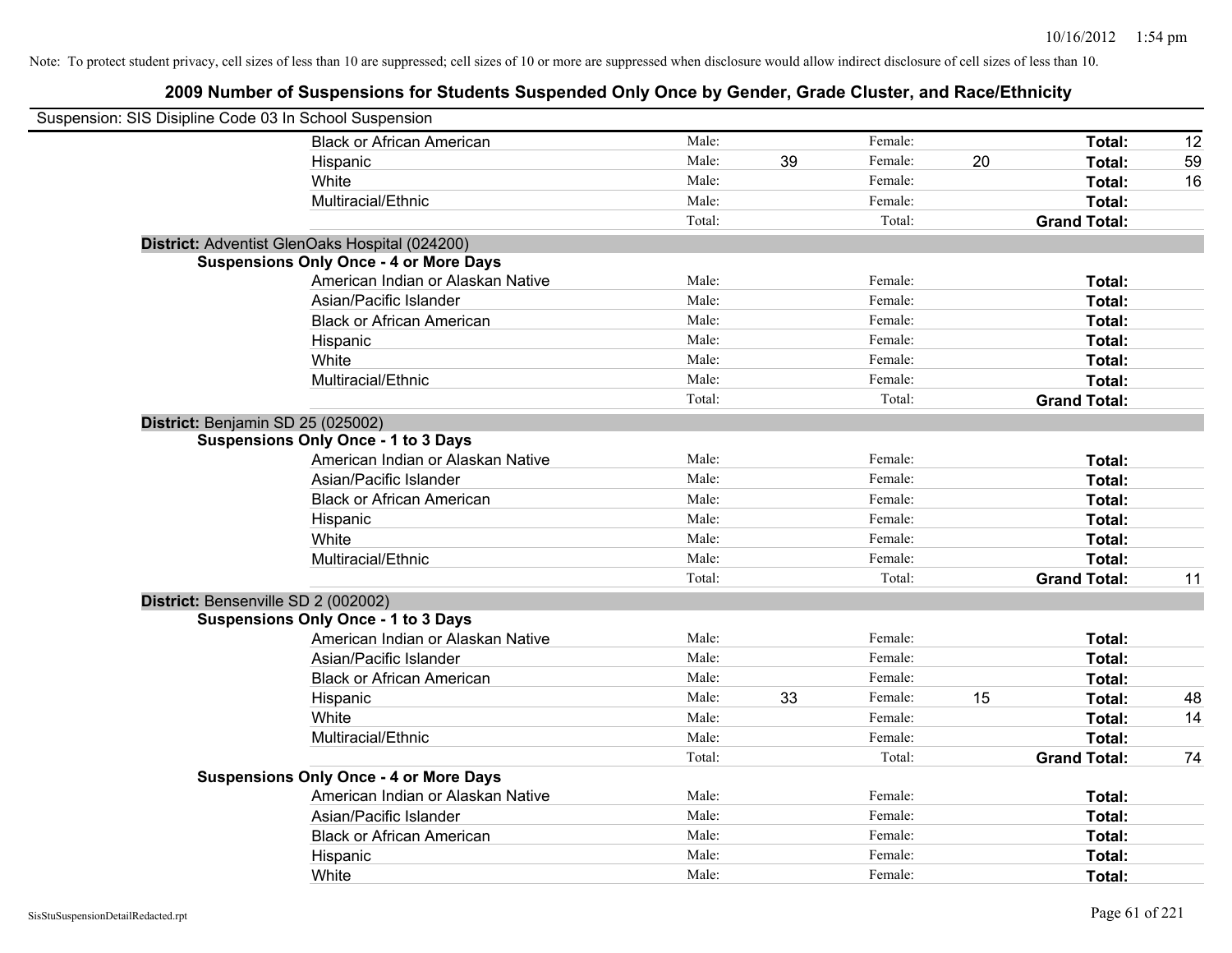| Suspension: SIS Disipline Code 03 In School Suspension |                                                |        |    |         |    |                     |    |
|--------------------------------------------------------|------------------------------------------------|--------|----|---------|----|---------------------|----|
|                                                        | <b>Black or African American</b>               | Male:  |    | Female: |    | Total:              | 12 |
|                                                        | Hispanic                                       | Male:  | 39 | Female: | 20 | Total:              | 59 |
|                                                        | White                                          | Male:  |    | Female: |    | Total:              | 16 |
|                                                        | Multiracial/Ethnic                             | Male:  |    | Female: |    | Total:              |    |
|                                                        |                                                | Total: |    | Total:  |    | <b>Grand Total:</b> |    |
|                                                        | District: Adventist GlenOaks Hospital (024200) |        |    |         |    |                     |    |
|                                                        | <b>Suspensions Only Once - 4 or More Days</b>  |        |    |         |    |                     |    |
|                                                        | American Indian or Alaskan Native              | Male:  |    | Female: |    | Total:              |    |
|                                                        | Asian/Pacific Islander                         | Male:  |    | Female: |    | Total:              |    |
|                                                        | <b>Black or African American</b>               | Male:  |    | Female: |    | Total:              |    |
|                                                        | Hispanic                                       | Male:  |    | Female: |    | Total:              |    |
|                                                        | White                                          | Male:  |    | Female: |    | Total:              |    |
|                                                        | Multiracial/Ethnic                             | Male:  |    | Female: |    | Total:              |    |
|                                                        |                                                | Total: |    | Total:  |    | <b>Grand Total:</b> |    |
| District: Benjamin SD 25 (025002)                      |                                                |        |    |         |    |                     |    |
|                                                        | <b>Suspensions Only Once - 1 to 3 Days</b>     |        |    |         |    |                     |    |
|                                                        | American Indian or Alaskan Native              | Male:  |    | Female: |    | Total:              |    |
|                                                        | Asian/Pacific Islander                         | Male:  |    | Female: |    | Total:              |    |
|                                                        | <b>Black or African American</b>               | Male:  |    | Female: |    | Total:              |    |
|                                                        | Hispanic                                       | Male:  |    | Female: |    | Total:              |    |
|                                                        | White                                          | Male:  |    | Female: |    | Total:              |    |
|                                                        | Multiracial/Ethnic                             | Male:  |    | Female: |    | Total:              |    |
|                                                        |                                                | Total: |    | Total:  |    | <b>Grand Total:</b> | 11 |
| District: Bensenville SD 2 (002002)                    |                                                |        |    |         |    |                     |    |
|                                                        | <b>Suspensions Only Once - 1 to 3 Days</b>     |        |    |         |    |                     |    |
|                                                        | American Indian or Alaskan Native              | Male:  |    | Female: |    | Total:              |    |
|                                                        | Asian/Pacific Islander                         | Male:  |    | Female: |    | Total:              |    |
|                                                        | <b>Black or African American</b>               | Male:  |    | Female: |    | Total:              |    |
|                                                        | Hispanic                                       | Male:  | 33 | Female: | 15 | Total:              | 48 |
|                                                        | White                                          | Male:  |    | Female: |    | Total:              | 14 |
|                                                        | Multiracial/Ethnic                             | Male:  |    | Female: |    | Total:              |    |
|                                                        |                                                | Total: |    | Total:  |    | <b>Grand Total:</b> | 74 |
|                                                        | <b>Suspensions Only Once - 4 or More Days</b>  |        |    |         |    |                     |    |
|                                                        | American Indian or Alaskan Native              | Male:  |    | Female: |    | Total:              |    |
|                                                        | Asian/Pacific Islander                         | Male:  |    | Female: |    | Total:              |    |
|                                                        | <b>Black or African American</b>               | Male:  |    | Female: |    | Total:              |    |
|                                                        | Hispanic                                       | Male:  |    | Female: |    | <b>Total:</b>       |    |
|                                                        | White                                          | Male:  |    | Female: |    | Total:              |    |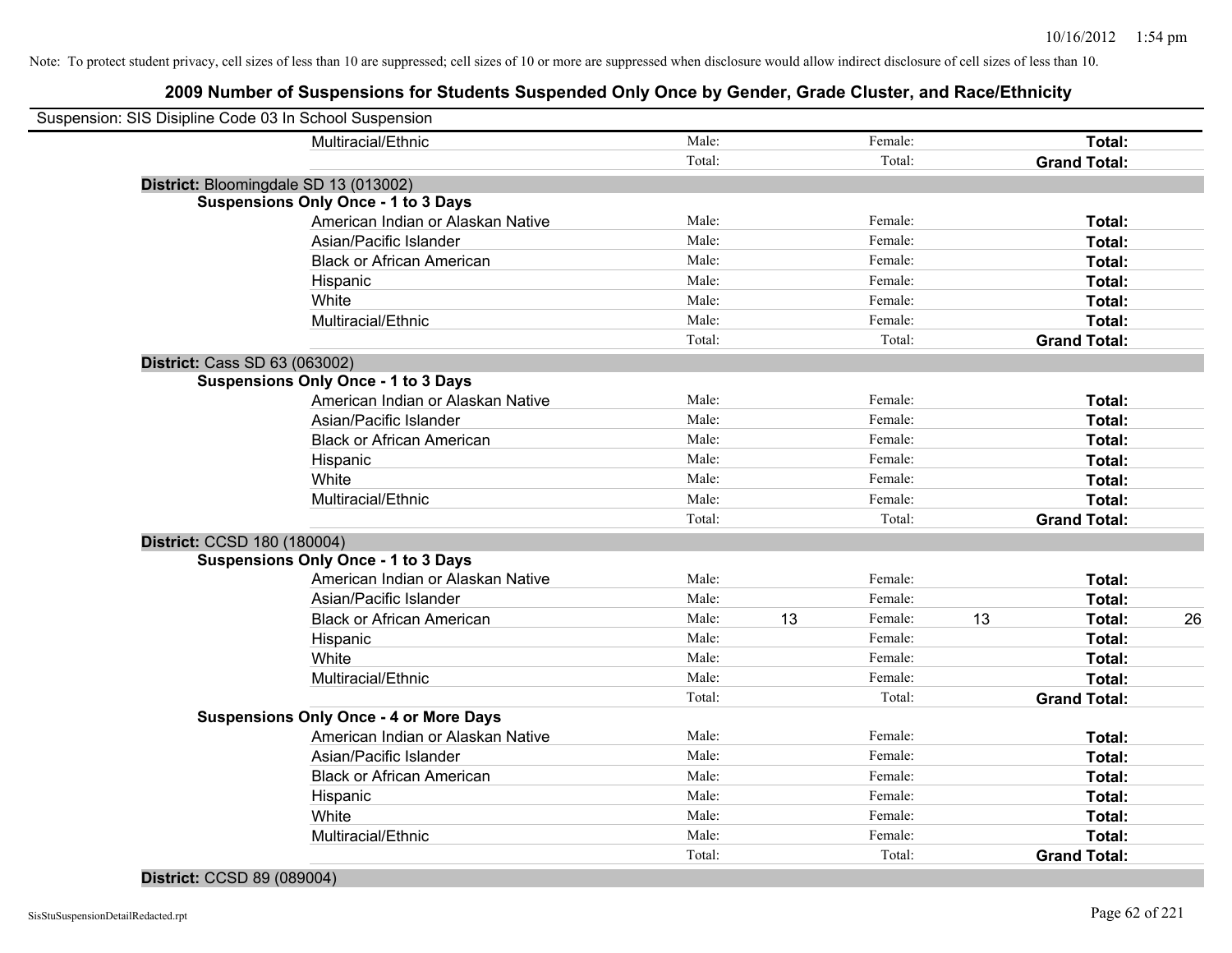## **2009 Number of Suspensions for Students Suspended Only Once by Gender, Grade Cluster, and Race/Ethnicity**

| Suspension: SIS Disipline Code 03 In School Suspension |                                               |        |    |         |    |                     |    |
|--------------------------------------------------------|-----------------------------------------------|--------|----|---------|----|---------------------|----|
|                                                        | Multiracial/Ethnic                            | Male:  |    | Female: |    | Total:              |    |
|                                                        |                                               | Total: |    | Total:  |    | <b>Grand Total:</b> |    |
| District: Bloomingdale SD 13 (013002)                  |                                               |        |    |         |    |                     |    |
|                                                        | <b>Suspensions Only Once - 1 to 3 Days</b>    |        |    |         |    |                     |    |
|                                                        | American Indian or Alaskan Native             | Male:  |    | Female: |    | Total:              |    |
|                                                        | Asian/Pacific Islander                        | Male:  |    | Female: |    | Total:              |    |
|                                                        | <b>Black or African American</b>              | Male:  |    | Female: |    | Total:              |    |
|                                                        | Hispanic                                      | Male:  |    | Female: |    | Total:              |    |
|                                                        | White                                         | Male:  |    | Female: |    | Total:              |    |
|                                                        | Multiracial/Ethnic                            | Male:  |    | Female: |    | Total:              |    |
|                                                        |                                               | Total: |    | Total:  |    | <b>Grand Total:</b> |    |
| District: Cass SD 63 (063002)                          |                                               |        |    |         |    |                     |    |
|                                                        | <b>Suspensions Only Once - 1 to 3 Days</b>    |        |    |         |    |                     |    |
|                                                        | American Indian or Alaskan Native             | Male:  |    | Female: |    | Total:              |    |
|                                                        | Asian/Pacific Islander                        | Male:  |    | Female: |    | Total:              |    |
|                                                        | <b>Black or African American</b>              | Male:  |    | Female: |    | Total:              |    |
|                                                        | Hispanic                                      | Male:  |    | Female: |    | Total:              |    |
|                                                        | White                                         | Male:  |    | Female: |    | Total:              |    |
|                                                        | Multiracial/Ethnic                            | Male:  |    | Female: |    | Total:              |    |
|                                                        |                                               | Total: |    | Total:  |    | <b>Grand Total:</b> |    |
| District: CCSD 180 (180004)                            |                                               |        |    |         |    |                     |    |
|                                                        | <b>Suspensions Only Once - 1 to 3 Days</b>    |        |    |         |    |                     |    |
|                                                        | American Indian or Alaskan Native             | Male:  |    | Female: |    | Total:              |    |
|                                                        | Asian/Pacific Islander                        | Male:  |    | Female: |    | Total:              |    |
|                                                        | <b>Black or African American</b>              | Male:  | 13 | Female: | 13 | Total:              | 26 |
|                                                        | Hispanic                                      | Male:  |    | Female: |    | Total:              |    |
|                                                        | White                                         | Male:  |    | Female: |    | Total:              |    |
|                                                        | Multiracial/Ethnic                            | Male:  |    | Female: |    | Total:              |    |
|                                                        |                                               | Total: |    | Total:  |    | <b>Grand Total:</b> |    |
|                                                        | <b>Suspensions Only Once - 4 or More Days</b> |        |    |         |    |                     |    |
|                                                        | American Indian or Alaskan Native             | Male:  |    | Female: |    | Total:              |    |
|                                                        | Asian/Pacific Islander                        | Male:  |    | Female: |    | Total:              |    |
|                                                        | <b>Black or African American</b>              | Male:  |    | Female: |    | Total:              |    |
|                                                        | Hispanic                                      | Male:  |    | Female: |    | Total:              |    |
|                                                        | White                                         | Male:  |    | Female: |    | Total:              |    |
|                                                        | Multiracial/Ethnic                            | Male:  |    | Female: |    | Total:              |    |
|                                                        |                                               | Total: |    | Total:  |    | <b>Grand Total:</b> |    |

# **District:** CCSD 89 (089004)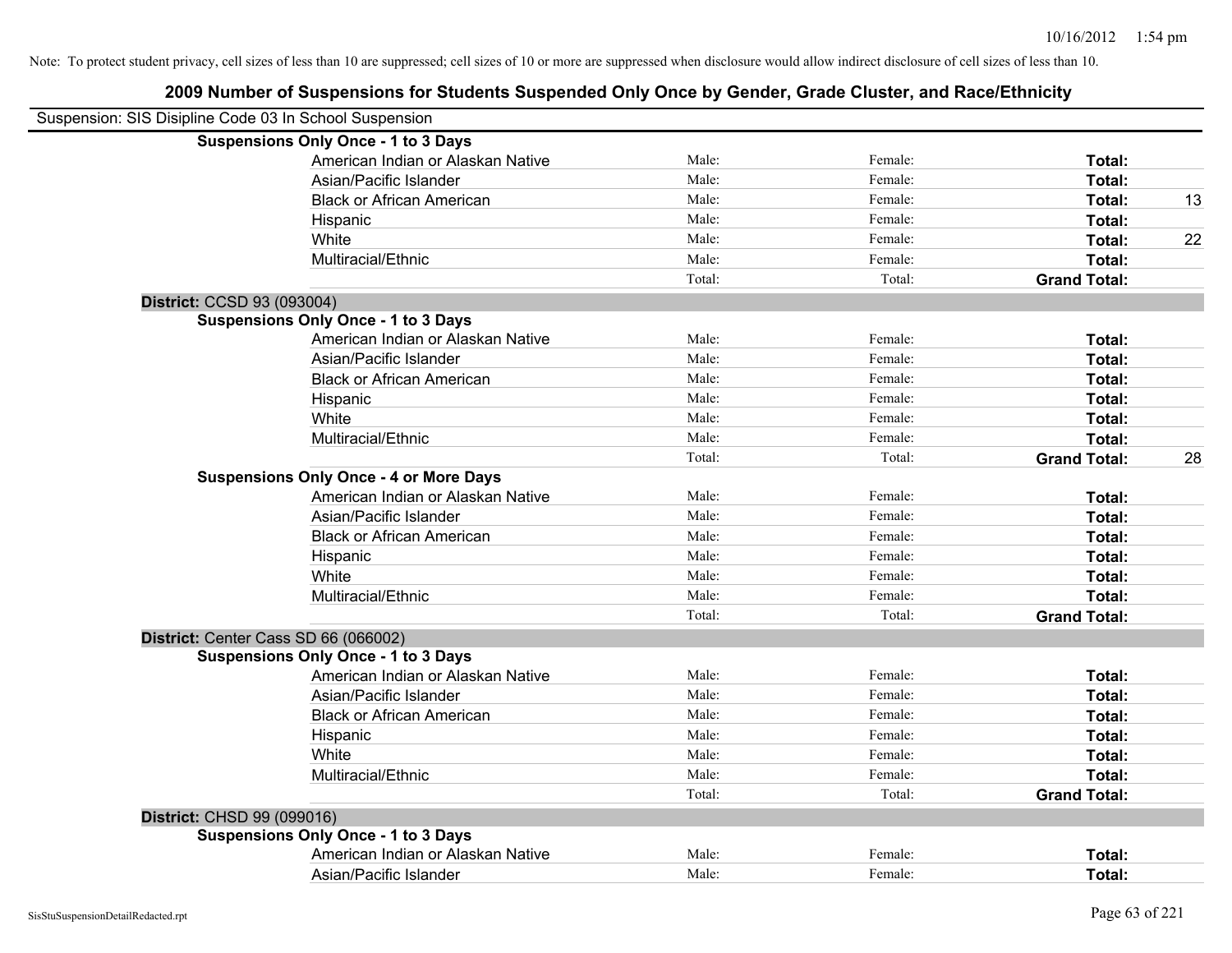|                            | Suspension: SIS Disipline Code 03 In School Suspension |        |         |                     |    |
|----------------------------|--------------------------------------------------------|--------|---------|---------------------|----|
|                            | <b>Suspensions Only Once - 1 to 3 Days</b>             |        |         |                     |    |
|                            | American Indian or Alaskan Native                      | Male:  | Female: | Total:              |    |
|                            | Asian/Pacific Islander                                 | Male:  | Female: | Total:              |    |
|                            | <b>Black or African American</b>                       | Male:  | Female: | Total:              | 13 |
|                            | Hispanic                                               | Male:  | Female: | Total:              |    |
|                            | White                                                  | Male:  | Female: | Total:              | 22 |
|                            | Multiracial/Ethnic                                     | Male:  | Female: | Total:              |    |
|                            |                                                        | Total: | Total:  | <b>Grand Total:</b> |    |
| District: CCSD 93 (093004) |                                                        |        |         |                     |    |
|                            | <b>Suspensions Only Once - 1 to 3 Days</b>             |        |         |                     |    |
|                            | American Indian or Alaskan Native                      | Male:  | Female: | Total:              |    |
|                            | Asian/Pacific Islander                                 | Male:  | Female: | Total:              |    |
|                            | <b>Black or African American</b>                       | Male:  | Female: | Total:              |    |
|                            | Hispanic                                               | Male:  | Female: | Total:              |    |
|                            | White                                                  | Male:  | Female: | Total:              |    |
|                            | Multiracial/Ethnic                                     | Male:  | Female: | Total:              |    |
|                            |                                                        | Total: | Total:  | <b>Grand Total:</b> | 28 |
|                            | <b>Suspensions Only Once - 4 or More Days</b>          |        |         |                     |    |
|                            | American Indian or Alaskan Native                      | Male:  | Female: | Total:              |    |
|                            | Asian/Pacific Islander                                 | Male:  | Female: | Total:              |    |
|                            | <b>Black or African American</b>                       | Male:  | Female: | Total:              |    |
|                            | Hispanic                                               | Male:  | Female: | Total:              |    |
|                            | White                                                  | Male:  | Female: | Total:              |    |
|                            | Multiracial/Ethnic                                     | Male:  | Female: | Total:              |    |
|                            |                                                        | Total: | Total:  | <b>Grand Total:</b> |    |
|                            | District: Center Cass SD 66 (066002)                   |        |         |                     |    |
|                            | <b>Suspensions Only Once - 1 to 3 Days</b>             |        |         |                     |    |
|                            | American Indian or Alaskan Native                      | Male:  | Female: | Total:              |    |
|                            | Asian/Pacific Islander                                 | Male:  | Female: | Total:              |    |
|                            | <b>Black or African American</b>                       | Male:  | Female: | Total:              |    |
|                            | Hispanic                                               | Male:  | Female: | Total:              |    |
|                            | White                                                  | Male:  | Female: | Total:              |    |
|                            | Multiracial/Ethnic                                     | Male:  | Female: | Total:              |    |
|                            |                                                        | Total: | Total:  | <b>Grand Total:</b> |    |
| District: CHSD 99 (099016) |                                                        |        |         |                     |    |
|                            | <b>Suspensions Only Once - 1 to 3 Days</b>             |        |         |                     |    |
|                            | American Indian or Alaskan Native                      | Male:  | Female: | <b>Total:</b>       |    |
|                            | Asian/Pacific Islander                                 | Male:  | Female: | Total:              |    |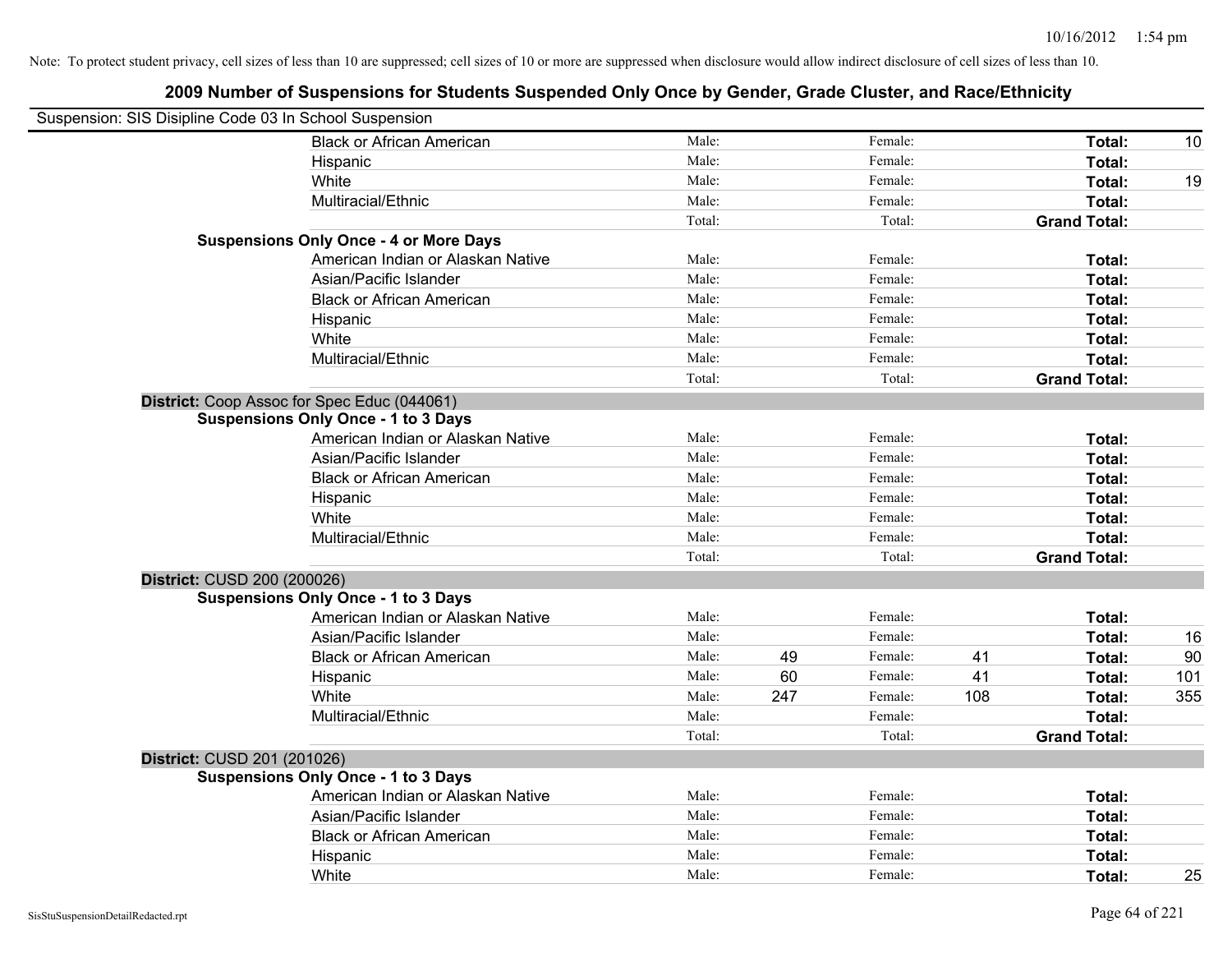| Suspension: SIS Disipline Code 03 In School Suspension |                                               |        |     |         |     |                     |     |
|--------------------------------------------------------|-----------------------------------------------|--------|-----|---------|-----|---------------------|-----|
|                                                        | <b>Black or African American</b>              | Male:  |     | Female: |     | Total:              | 10  |
|                                                        | Hispanic                                      | Male:  |     | Female: |     | Total:              |     |
|                                                        | White                                         | Male:  |     | Female: |     | Total:              | 19  |
|                                                        | Multiracial/Ethnic                            | Male:  |     | Female: |     | Total:              |     |
|                                                        |                                               | Total: |     | Total:  |     | <b>Grand Total:</b> |     |
|                                                        | <b>Suspensions Only Once - 4 or More Days</b> |        |     |         |     |                     |     |
|                                                        | American Indian or Alaskan Native             | Male:  |     | Female: |     | Total:              |     |
|                                                        | Asian/Pacific Islander                        | Male:  |     | Female: |     | Total:              |     |
|                                                        | <b>Black or African American</b>              | Male:  |     | Female: |     | Total:              |     |
|                                                        | Hispanic                                      | Male:  |     | Female: |     | Total:              |     |
|                                                        | White                                         | Male:  |     | Female: |     | Total:              |     |
|                                                        | Multiracial/Ethnic                            | Male:  |     | Female: |     | Total:              |     |
|                                                        |                                               | Total: |     | Total:  |     | <b>Grand Total:</b> |     |
|                                                        | District: Coop Assoc for Spec Educ (044061)   |        |     |         |     |                     |     |
|                                                        | <b>Suspensions Only Once - 1 to 3 Days</b>    |        |     |         |     |                     |     |
|                                                        | American Indian or Alaskan Native             | Male:  |     | Female: |     | Total:              |     |
|                                                        | Asian/Pacific Islander                        | Male:  |     | Female: |     | Total:              |     |
|                                                        | <b>Black or African American</b>              | Male:  |     | Female: |     | Total:              |     |
|                                                        | Hispanic                                      | Male:  |     | Female: |     | Total:              |     |
|                                                        | White                                         | Male:  |     | Female: |     | Total:              |     |
|                                                        | Multiracial/Ethnic                            | Male:  |     | Female: |     | Total:              |     |
|                                                        |                                               | Total: |     | Total:  |     | <b>Grand Total:</b> |     |
| District: CUSD 200 (200026)                            |                                               |        |     |         |     |                     |     |
|                                                        | <b>Suspensions Only Once - 1 to 3 Days</b>    |        |     |         |     |                     |     |
|                                                        | American Indian or Alaskan Native             | Male:  |     | Female: |     | Total:              |     |
|                                                        | Asian/Pacific Islander                        | Male:  |     | Female: |     | Total:              | 16  |
|                                                        | <b>Black or African American</b>              | Male:  | 49  | Female: | 41  | Total:              | 90  |
|                                                        | Hispanic                                      | Male:  | 60  | Female: | 41  | Total:              | 101 |
|                                                        | White                                         | Male:  | 247 | Female: | 108 | Total:              | 355 |
|                                                        | Multiracial/Ethnic                            | Male:  |     | Female: |     | Total:              |     |
|                                                        |                                               | Total: |     | Total:  |     | <b>Grand Total:</b> |     |
| District: CUSD 201 (201026)                            |                                               |        |     |         |     |                     |     |
|                                                        | <b>Suspensions Only Once - 1 to 3 Days</b>    |        |     |         |     |                     |     |
|                                                        | American Indian or Alaskan Native             | Male:  |     | Female: |     | Total:              |     |
|                                                        | Asian/Pacific Islander                        | Male:  |     | Female: |     | Total:              |     |
|                                                        | <b>Black or African American</b>              | Male:  |     | Female: |     | Total:              |     |
|                                                        | Hispanic                                      | Male:  |     | Female: |     | Total:              |     |
|                                                        | White                                         | Male:  |     | Female: |     | Total:              | 25  |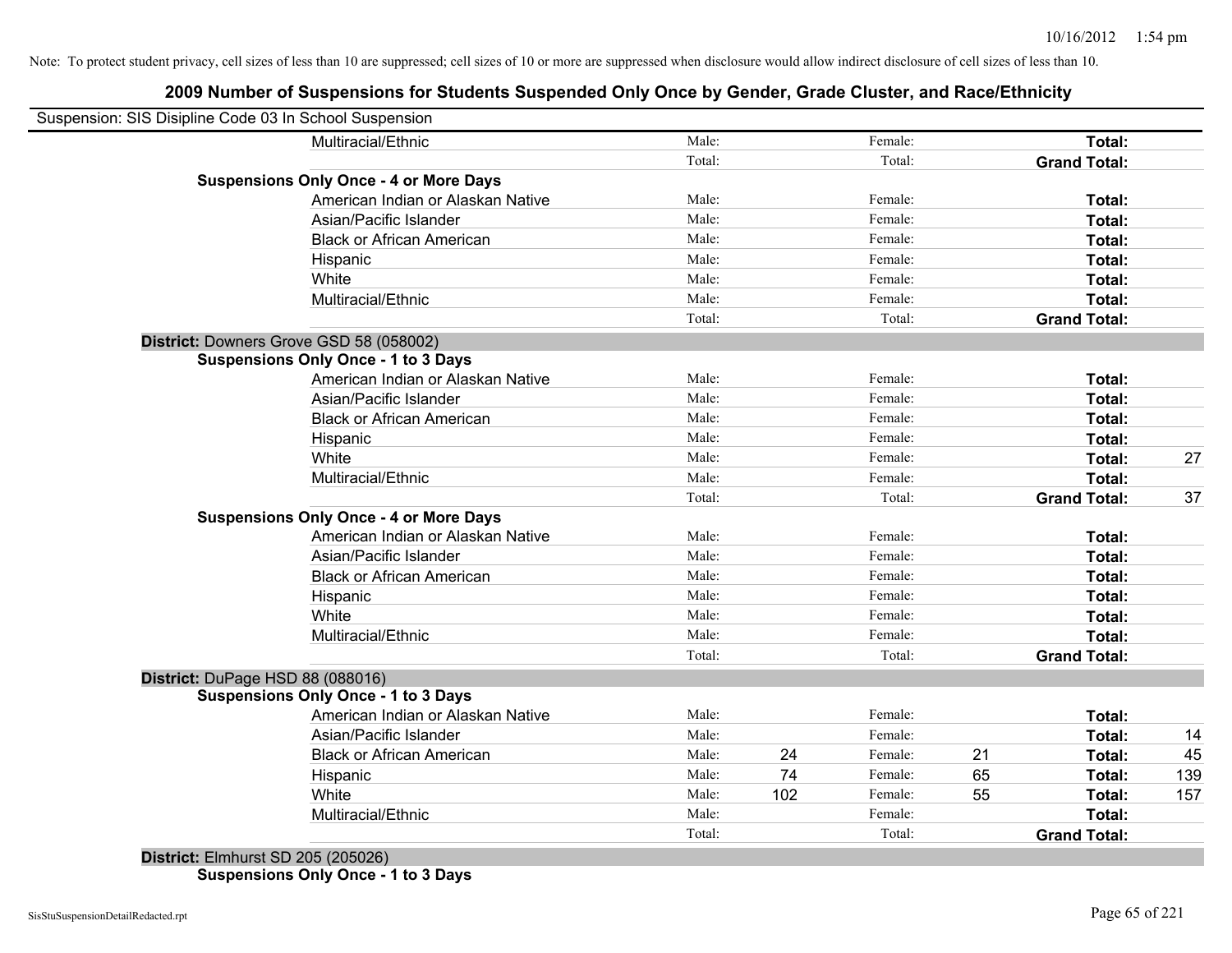## **2009 Number of Suspensions for Students Suspended Only Once by Gender, Grade Cluster, and Race/Ethnicity**

| Suspension: SIS Disipline Code 03 In School Suspension |                                               |        |     |         |    |                     |     |
|--------------------------------------------------------|-----------------------------------------------|--------|-----|---------|----|---------------------|-----|
|                                                        | Multiracial/Ethnic                            | Male:  |     | Female: |    | Total:              |     |
|                                                        |                                               | Total: |     | Total:  |    | <b>Grand Total:</b> |     |
|                                                        | <b>Suspensions Only Once - 4 or More Days</b> |        |     |         |    |                     |     |
|                                                        | American Indian or Alaskan Native             | Male:  |     | Female: |    | Total:              |     |
|                                                        | Asian/Pacific Islander                        | Male:  |     | Female: |    | Total:              |     |
|                                                        | <b>Black or African American</b>              | Male:  |     | Female: |    | Total:              |     |
|                                                        | Hispanic                                      | Male:  |     | Female: |    | Total:              |     |
|                                                        | White                                         | Male:  |     | Female: |    | Total:              |     |
|                                                        | Multiracial/Ethnic                            | Male:  |     | Female: |    | Total:              |     |
|                                                        |                                               | Total: |     | Total:  |    | <b>Grand Total:</b> |     |
| District: Downers Grove GSD 58 (058002)                |                                               |        |     |         |    |                     |     |
|                                                        | <b>Suspensions Only Once - 1 to 3 Days</b>    |        |     |         |    |                     |     |
|                                                        | American Indian or Alaskan Native             | Male:  |     | Female: |    | Total:              |     |
|                                                        | Asian/Pacific Islander                        | Male:  |     | Female: |    | Total:              |     |
|                                                        | <b>Black or African American</b>              | Male:  |     | Female: |    | Total:              |     |
|                                                        | Hispanic                                      | Male:  |     | Female: |    | Total:              |     |
|                                                        | White                                         | Male:  |     | Female: |    | Total:              | 27  |
|                                                        | Multiracial/Ethnic                            | Male:  |     | Female: |    | Total:              |     |
|                                                        |                                               | Total: |     | Total:  |    | <b>Grand Total:</b> | 37  |
|                                                        | <b>Suspensions Only Once - 4 or More Days</b> |        |     |         |    |                     |     |
|                                                        | American Indian or Alaskan Native             | Male:  |     | Female: |    | Total:              |     |
|                                                        | Asian/Pacific Islander                        | Male:  |     | Female: |    | Total:              |     |
|                                                        | <b>Black or African American</b>              | Male:  |     | Female: |    | Total:              |     |
|                                                        | Hispanic                                      | Male:  |     | Female: |    | Total:              |     |
|                                                        | White                                         | Male:  |     | Female: |    | Total:              |     |
|                                                        | Multiracial/Ethnic                            | Male:  |     | Female: |    | Total:              |     |
|                                                        |                                               | Total: |     | Total:  |    | <b>Grand Total:</b> |     |
| District: DuPage HSD 88 (088016)                       |                                               |        |     |         |    |                     |     |
|                                                        | <b>Suspensions Only Once - 1 to 3 Days</b>    |        |     |         |    |                     |     |
|                                                        | American Indian or Alaskan Native             | Male:  |     | Female: |    | Total:              |     |
|                                                        | Asian/Pacific Islander                        | Male:  |     | Female: |    | Total:              | 14  |
|                                                        | <b>Black or African American</b>              | Male:  | 24  | Female: | 21 | Total:              | 45  |
|                                                        | Hispanic                                      | Male:  | 74  | Female: | 65 | Total:              | 139 |
|                                                        | White                                         | Male:  | 102 | Female: | 55 | Total:              | 157 |
|                                                        | Multiracial/Ethnic                            | Male:  |     | Female: |    | Total:              |     |
|                                                        |                                               | Total: |     | Total:  |    | <b>Grand Total:</b> |     |

**Suspensions Only Once - 1 to 3 Days**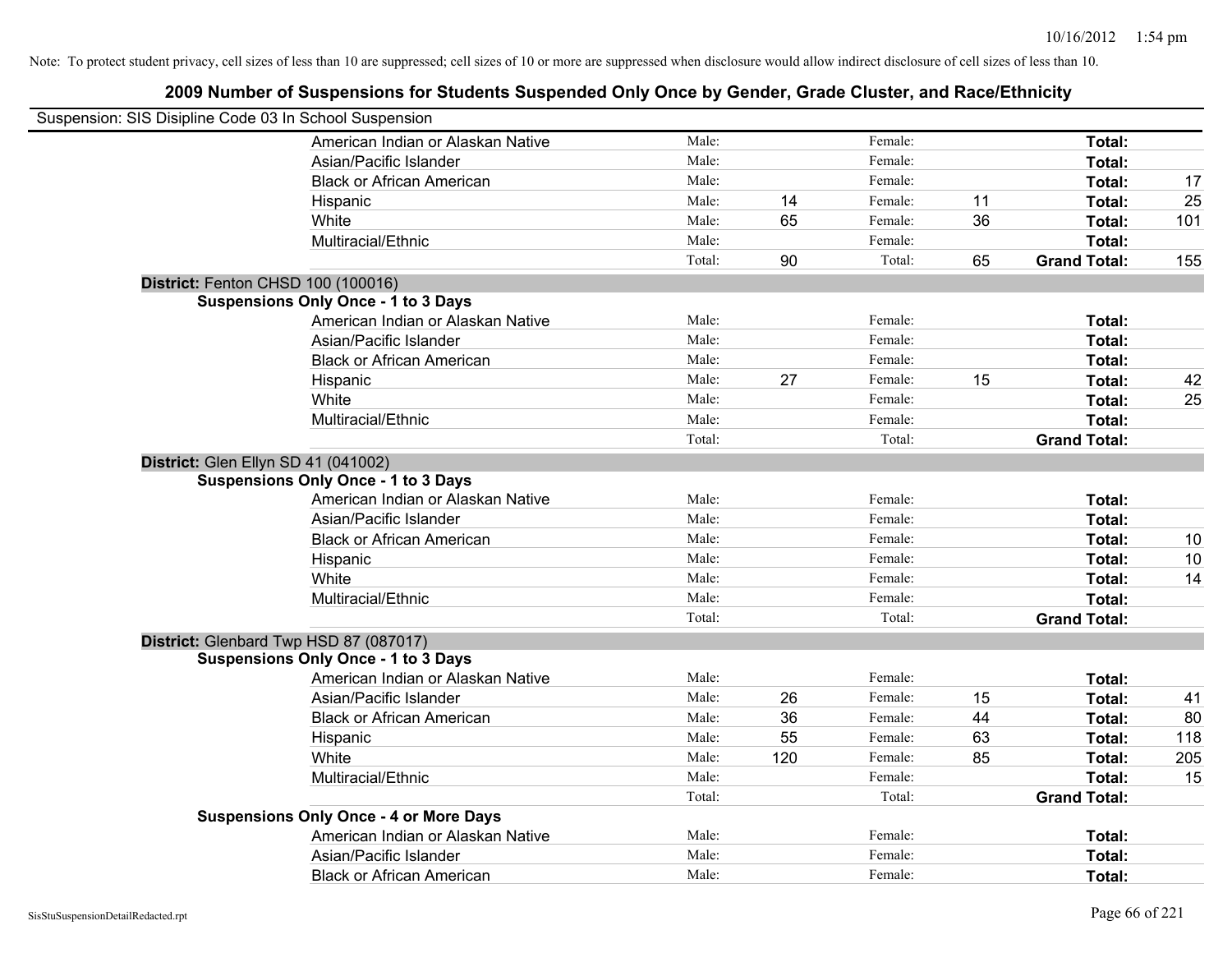| Suspension: SIS Disipline Code 03 In School Suspension |        |     |         |    |                     |     |
|--------------------------------------------------------|--------|-----|---------|----|---------------------|-----|
| American Indian or Alaskan Native                      | Male:  |     | Female: |    | Total:              |     |
| Asian/Pacific Islander                                 | Male:  |     | Female: |    | Total:              |     |
| <b>Black or African American</b>                       | Male:  |     | Female: |    | Total:              | 17  |
| Hispanic                                               | Male:  | 14  | Female: | 11 | Total:              | 25  |
| White                                                  | Male:  | 65  | Female: | 36 | Total:              | 101 |
| Multiracial/Ethnic                                     | Male:  |     | Female: |    | Total:              |     |
|                                                        | Total: | 90  | Total:  | 65 | <b>Grand Total:</b> | 155 |
| District: Fenton CHSD 100 (100016)                     |        |     |         |    |                     |     |
| <b>Suspensions Only Once - 1 to 3 Days</b>             |        |     |         |    |                     |     |
| American Indian or Alaskan Native                      | Male:  |     | Female: |    | Total:              |     |
| Asian/Pacific Islander                                 | Male:  |     | Female: |    | Total:              |     |
| <b>Black or African American</b>                       | Male:  |     | Female: |    | Total:              |     |
| Hispanic                                               | Male:  | 27  | Female: | 15 | Total:              | 42  |
| White                                                  | Male:  |     | Female: |    | Total:              | 25  |
| Multiracial/Ethnic                                     | Male:  |     | Female: |    | Total:              |     |
|                                                        | Total: |     | Total:  |    | <b>Grand Total:</b> |     |
| District: Glen Ellyn SD 41 (041002)                    |        |     |         |    |                     |     |
| <b>Suspensions Only Once - 1 to 3 Days</b>             |        |     |         |    |                     |     |
| American Indian or Alaskan Native                      | Male:  |     | Female: |    | Total:              |     |
| Asian/Pacific Islander                                 | Male:  |     | Female: |    | Total:              |     |
| <b>Black or African American</b>                       | Male:  |     | Female: |    | Total:              | 10  |
| Hispanic                                               | Male:  |     | Female: |    | Total:              | 10  |
| White                                                  | Male:  |     | Female: |    | Total:              | 14  |
| Multiracial/Ethnic                                     | Male:  |     | Female: |    | Total:              |     |
|                                                        | Total: |     | Total:  |    | <b>Grand Total:</b> |     |
| District: Glenbard Twp HSD 87 (087017)                 |        |     |         |    |                     |     |
| <b>Suspensions Only Once - 1 to 3 Days</b>             |        |     |         |    |                     |     |
| American Indian or Alaskan Native                      | Male:  |     | Female: |    | Total:              |     |
| Asian/Pacific Islander                                 | Male:  | 26  | Female: | 15 | Total:              | 41  |
| <b>Black or African American</b>                       | Male:  | 36  | Female: | 44 | Total:              | 80  |
| Hispanic                                               | Male:  | 55  | Female: | 63 | Total:              | 118 |
| White                                                  | Male:  | 120 | Female: | 85 | Total:              | 205 |
| Multiracial/Ethnic                                     | Male:  |     | Female: |    | Total:              | 15  |
|                                                        | Total: |     | Total:  |    | <b>Grand Total:</b> |     |
| <b>Suspensions Only Once - 4 or More Days</b>          |        |     |         |    |                     |     |
| American Indian or Alaskan Native                      | Male:  |     | Female: |    | Total:              |     |
| Asian/Pacific Islander                                 | Male:  |     | Female: |    | Total:              |     |
| <b>Black or African American</b>                       | Male:  |     | Female: |    | Total:              |     |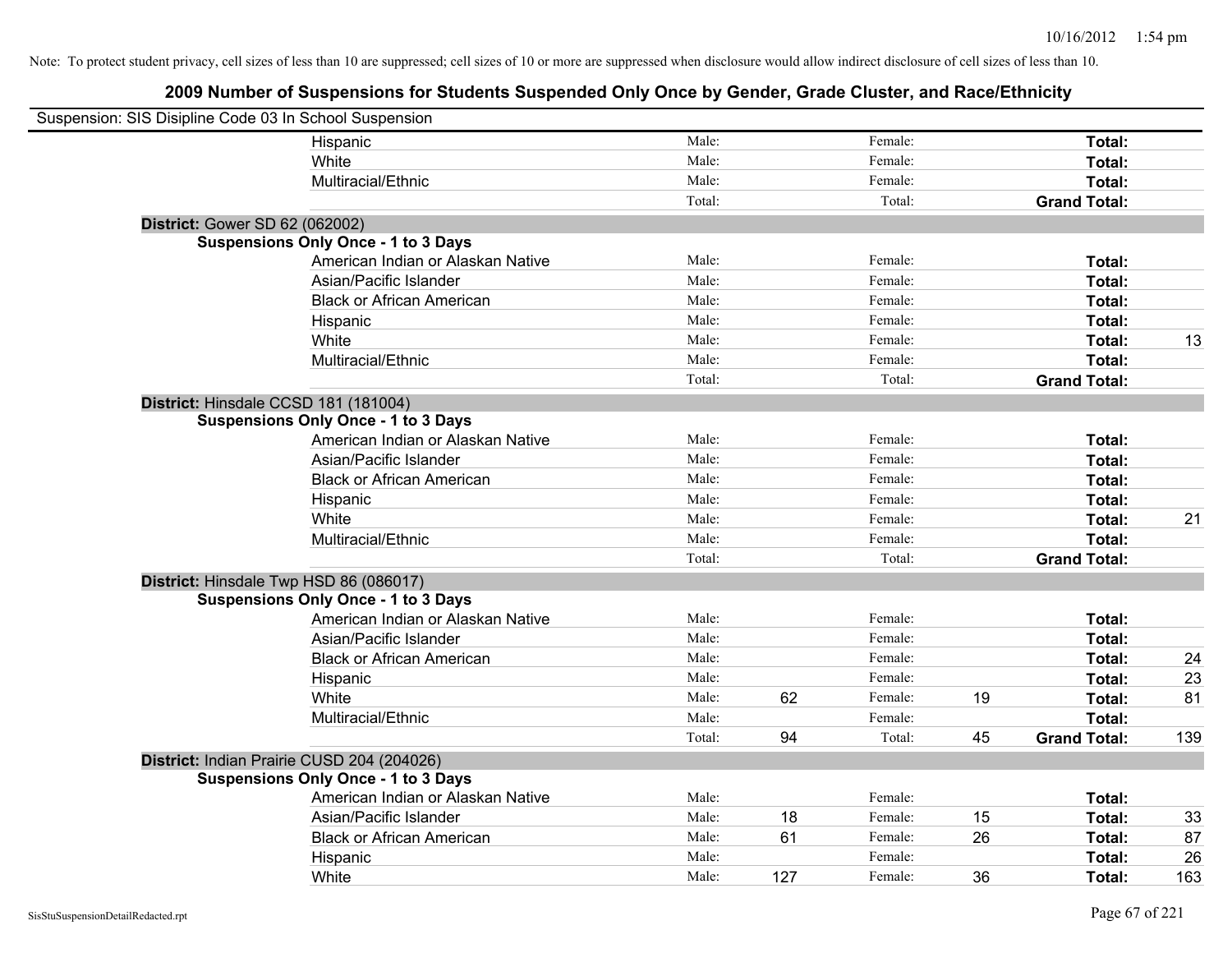| Suspension: SIS Disipline Code 03 In School Suspension |                                            |        |     |         |    |                     |     |
|--------------------------------------------------------|--------------------------------------------|--------|-----|---------|----|---------------------|-----|
|                                                        | Hispanic                                   | Male:  |     | Female: |    | Total:              |     |
|                                                        | White                                      | Male:  |     | Female: |    | Total:              |     |
|                                                        | Multiracial/Ethnic                         | Male:  |     | Female: |    | Total:              |     |
|                                                        |                                            | Total: |     | Total:  |    | <b>Grand Total:</b> |     |
| <b>District: Gower SD 62 (062002)</b>                  |                                            |        |     |         |    |                     |     |
|                                                        | <b>Suspensions Only Once - 1 to 3 Days</b> |        |     |         |    |                     |     |
|                                                        | American Indian or Alaskan Native          | Male:  |     | Female: |    | Total:              |     |
|                                                        | Asian/Pacific Islander                     | Male:  |     | Female: |    | Total:              |     |
|                                                        | <b>Black or African American</b>           | Male:  |     | Female: |    | Total:              |     |
|                                                        | Hispanic                                   | Male:  |     | Female: |    | Total:              |     |
|                                                        | White                                      | Male:  |     | Female: |    | Total:              | 13  |
|                                                        | Multiracial/Ethnic                         | Male:  |     | Female: |    | Total:              |     |
|                                                        |                                            | Total: |     | Total:  |    | <b>Grand Total:</b> |     |
| District: Hinsdale CCSD 181 (181004)                   |                                            |        |     |         |    |                     |     |
|                                                        | <b>Suspensions Only Once - 1 to 3 Days</b> |        |     |         |    |                     |     |
|                                                        | American Indian or Alaskan Native          | Male:  |     | Female: |    | Total:              |     |
|                                                        | Asian/Pacific Islander                     | Male:  |     | Female: |    | Total:              |     |
|                                                        | <b>Black or African American</b>           | Male:  |     | Female: |    | Total:              |     |
|                                                        | Hispanic                                   | Male:  |     | Female: |    | Total:              |     |
|                                                        | White                                      | Male:  |     | Female: |    | Total:              | 21  |
|                                                        | Multiracial/Ethnic                         | Male:  |     | Female: |    | Total:              |     |
|                                                        |                                            | Total: |     | Total:  |    | <b>Grand Total:</b> |     |
|                                                        | District: Hinsdale Twp HSD 86 (086017)     |        |     |         |    |                     |     |
|                                                        | <b>Suspensions Only Once - 1 to 3 Days</b> |        |     |         |    |                     |     |
|                                                        | American Indian or Alaskan Native          | Male:  |     | Female: |    | Total:              |     |
|                                                        | Asian/Pacific Islander                     | Male:  |     | Female: |    | Total:              |     |
|                                                        | <b>Black or African American</b>           | Male:  |     | Female: |    | Total:              | 24  |
|                                                        | Hispanic                                   | Male:  |     | Female: |    | Total:              | 23  |
|                                                        | White                                      | Male:  | 62  | Female: | 19 | Total:              | 81  |
|                                                        | Multiracial/Ethnic                         | Male:  |     | Female: |    | Total:              |     |
|                                                        |                                            | Total: | 94  | Total:  | 45 | <b>Grand Total:</b> | 139 |
|                                                        | District: Indian Prairie CUSD 204 (204026) |        |     |         |    |                     |     |
|                                                        | <b>Suspensions Only Once - 1 to 3 Days</b> |        |     |         |    |                     |     |
|                                                        | American Indian or Alaskan Native          | Male:  |     | Female: |    | Total:              |     |
|                                                        | Asian/Pacific Islander                     | Male:  | 18  | Female: | 15 | Total:              | 33  |
|                                                        | <b>Black or African American</b>           | Male:  | 61  | Female: | 26 | Total:              | 87  |
|                                                        | Hispanic                                   | Male:  |     | Female: |    | Total:              | 26  |
|                                                        | White                                      | Male:  | 127 | Female: | 36 | Total:              | 163 |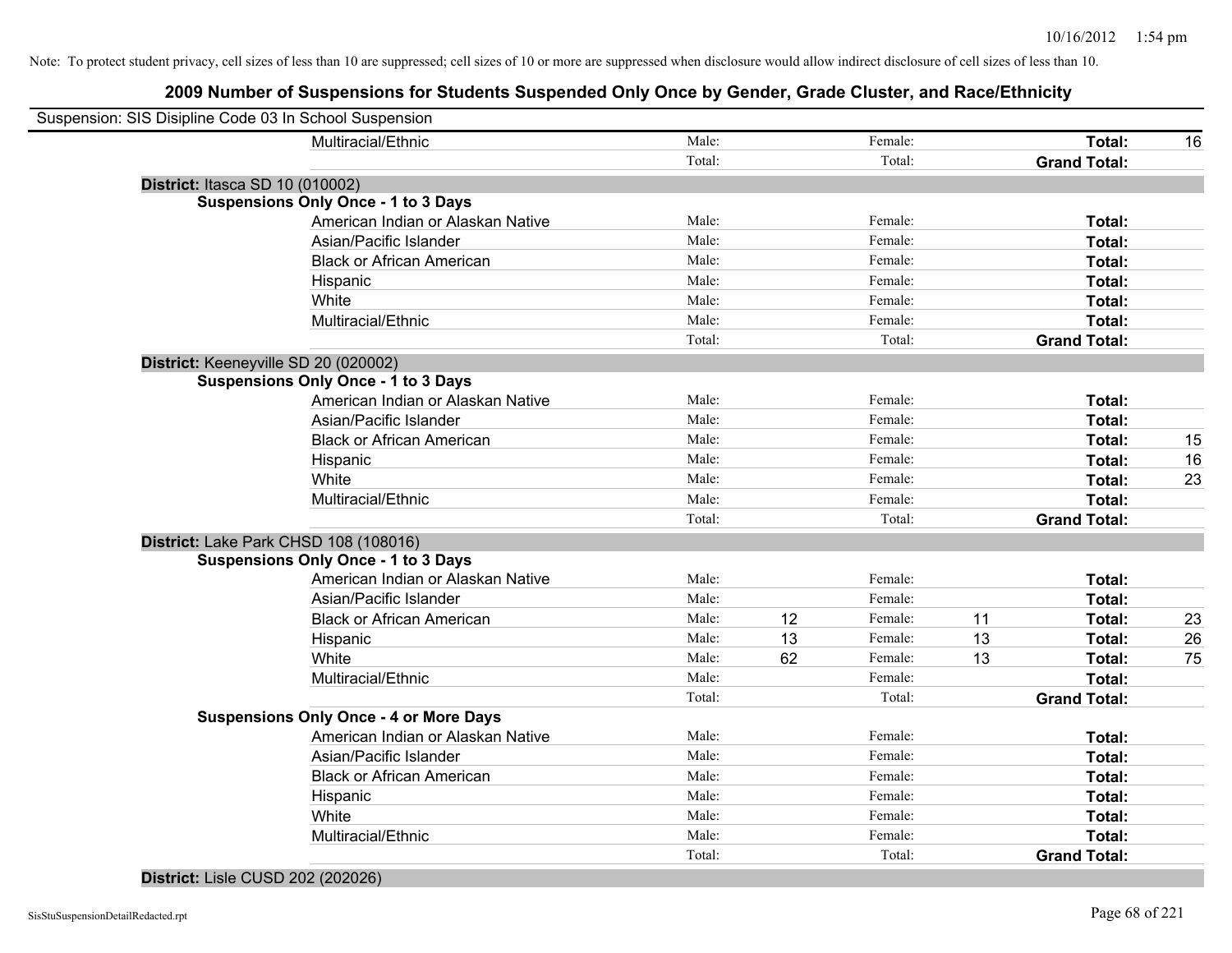| Suspension: SIS Disipline Code 03 In School Suspension |                                               |        |    |         |    |                     |    |
|--------------------------------------------------------|-----------------------------------------------|--------|----|---------|----|---------------------|----|
|                                                        | Multiracial/Ethnic                            | Male:  |    | Female: |    | Total:              | 16 |
|                                                        |                                               | Total: |    | Total:  |    | <b>Grand Total:</b> |    |
| District: Itasca SD 10 (010002)                        |                                               |        |    |         |    |                     |    |
| <b>Suspensions Only Once - 1 to 3 Days</b>             |                                               |        |    |         |    |                     |    |
|                                                        | American Indian or Alaskan Native             | Male:  |    | Female: |    | Total:              |    |
|                                                        | Asian/Pacific Islander                        | Male:  |    | Female: |    | Total:              |    |
|                                                        | <b>Black or African American</b>              | Male:  |    | Female: |    | Total:              |    |
| Hispanic                                               |                                               | Male:  |    | Female: |    | Total:              |    |
| White                                                  |                                               | Male:  |    | Female: |    | Total:              |    |
|                                                        | Multiracial/Ethnic                            | Male:  |    | Female: |    | Total:              |    |
|                                                        |                                               | Total: |    | Total:  |    | <b>Grand Total:</b> |    |
| District: Keeneyville SD 20 (020002)                   |                                               |        |    |         |    |                     |    |
| <b>Suspensions Only Once - 1 to 3 Days</b>             |                                               |        |    |         |    |                     |    |
|                                                        | American Indian or Alaskan Native             | Male:  |    | Female: |    | Total:              |    |
|                                                        | Asian/Pacific Islander                        | Male:  |    | Female: |    | Total:              |    |
|                                                        | <b>Black or African American</b>              | Male:  |    | Female: |    | Total:              | 15 |
| Hispanic                                               |                                               | Male:  |    | Female: |    | Total:              | 16 |
| White                                                  |                                               | Male:  |    | Female: |    | Total:              | 23 |
|                                                        | Multiracial/Ethnic                            | Male:  |    | Female: |    | Total:              |    |
|                                                        |                                               | Total: |    | Total:  |    | <b>Grand Total:</b> |    |
| District: Lake Park CHSD 108 (108016)                  |                                               |        |    |         |    |                     |    |
| <b>Suspensions Only Once - 1 to 3 Days</b>             |                                               |        |    |         |    |                     |    |
|                                                        | American Indian or Alaskan Native             | Male:  |    | Female: |    | Total:              |    |
|                                                        | Asian/Pacific Islander                        | Male:  |    | Female: |    | Total:              |    |
|                                                        | <b>Black or African American</b>              | Male:  | 12 | Female: | 11 | Total:              | 23 |
| Hispanic                                               |                                               | Male:  | 13 | Female: | 13 | Total:              | 26 |
| White                                                  |                                               | Male:  | 62 | Female: | 13 | Total:              | 75 |
|                                                        | Multiracial/Ethnic                            | Male:  |    | Female: |    | Total:              |    |
|                                                        |                                               | Total: |    | Total:  |    | <b>Grand Total:</b> |    |
|                                                        | <b>Suspensions Only Once - 4 or More Days</b> |        |    |         |    |                     |    |
|                                                        | American Indian or Alaskan Native             | Male:  |    | Female: |    | Total:              |    |
|                                                        | Asian/Pacific Islander                        | Male:  |    | Female: |    | Total:              |    |
|                                                        | <b>Black or African American</b>              | Male:  |    | Female: |    | Total:              |    |
| Hispanic                                               |                                               | Male:  |    | Female: |    | Total:              |    |
| White                                                  |                                               | Male:  |    | Female: |    | Total:              |    |
|                                                        | Multiracial/Ethnic                            | Male:  |    | Female: |    | Total:              |    |
|                                                        |                                               | Total: |    | Total:  |    | <b>Grand Total:</b> |    |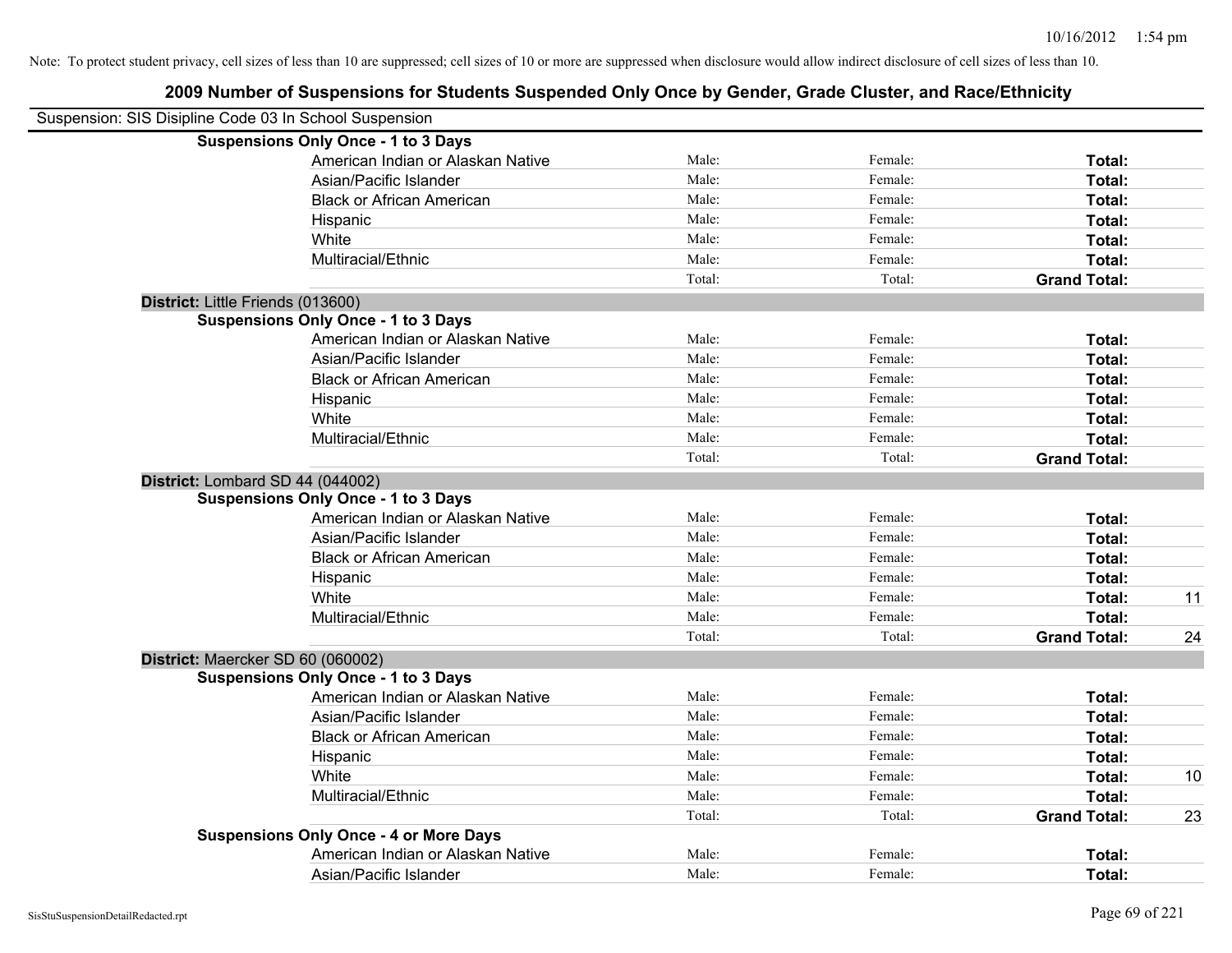| Suspension: SIS Disipline Code 03 In School Suspension |                                               |        |         |                     |    |
|--------------------------------------------------------|-----------------------------------------------|--------|---------|---------------------|----|
|                                                        | <b>Suspensions Only Once - 1 to 3 Days</b>    |        |         |                     |    |
|                                                        | American Indian or Alaskan Native             | Male:  | Female: | Total:              |    |
|                                                        | Asian/Pacific Islander                        | Male:  | Female: | Total:              |    |
|                                                        | <b>Black or African American</b>              | Male:  | Female: | Total:              |    |
|                                                        | Hispanic                                      | Male:  | Female: | Total:              |    |
|                                                        | White                                         | Male:  | Female: | Total:              |    |
|                                                        | Multiracial/Ethnic                            | Male:  | Female: | Total:              |    |
|                                                        |                                               | Total: | Total:  | <b>Grand Total:</b> |    |
|                                                        | District: Little Friends (013600)             |        |         |                     |    |
|                                                        | <b>Suspensions Only Once - 1 to 3 Days</b>    |        |         |                     |    |
|                                                        | American Indian or Alaskan Native             | Male:  | Female: | Total:              |    |
|                                                        | Asian/Pacific Islander                        | Male:  | Female: | Total:              |    |
|                                                        | <b>Black or African American</b>              | Male:  | Female: | Total:              |    |
|                                                        | Hispanic                                      | Male:  | Female: | Total:              |    |
|                                                        | White                                         | Male:  | Female: | Total:              |    |
|                                                        | Multiracial/Ethnic                            | Male:  | Female: | Total:              |    |
|                                                        |                                               | Total: | Total:  | <b>Grand Total:</b> |    |
|                                                        | District: Lombard SD 44 (044002)              |        |         |                     |    |
|                                                        | <b>Suspensions Only Once - 1 to 3 Days</b>    |        |         |                     |    |
|                                                        | American Indian or Alaskan Native             | Male:  | Female: | Total:              |    |
|                                                        | Asian/Pacific Islander                        | Male:  | Female: | Total:              |    |
|                                                        | <b>Black or African American</b>              | Male:  | Female: | Total:              |    |
|                                                        | Hispanic                                      | Male:  | Female: | Total:              |    |
|                                                        | White                                         | Male:  | Female: | Total:              | 11 |
|                                                        | Multiracial/Ethnic                            | Male:  | Female: | Total:              |    |
|                                                        |                                               | Total: | Total:  | <b>Grand Total:</b> | 24 |
|                                                        | District: Maercker SD 60 (060002)             |        |         |                     |    |
|                                                        | <b>Suspensions Only Once - 1 to 3 Days</b>    |        |         |                     |    |
|                                                        | American Indian or Alaskan Native             | Male:  | Female: | Total:              |    |
|                                                        | Asian/Pacific Islander                        | Male:  | Female: | Total:              |    |
|                                                        | <b>Black or African American</b>              | Male:  | Female: | Total:              |    |
|                                                        | Hispanic                                      | Male:  | Female: | Total:              |    |
|                                                        | White                                         | Male:  | Female: | Total:              | 10 |
|                                                        | Multiracial/Ethnic                            | Male:  | Female: | Total:              |    |
|                                                        |                                               | Total: | Total:  | <b>Grand Total:</b> | 23 |
|                                                        | <b>Suspensions Only Once - 4 or More Days</b> |        |         |                     |    |
|                                                        | American Indian or Alaskan Native             | Male:  | Female: | Total:              |    |
|                                                        | Asian/Pacific Islander                        | Male:  | Female: | Total:              |    |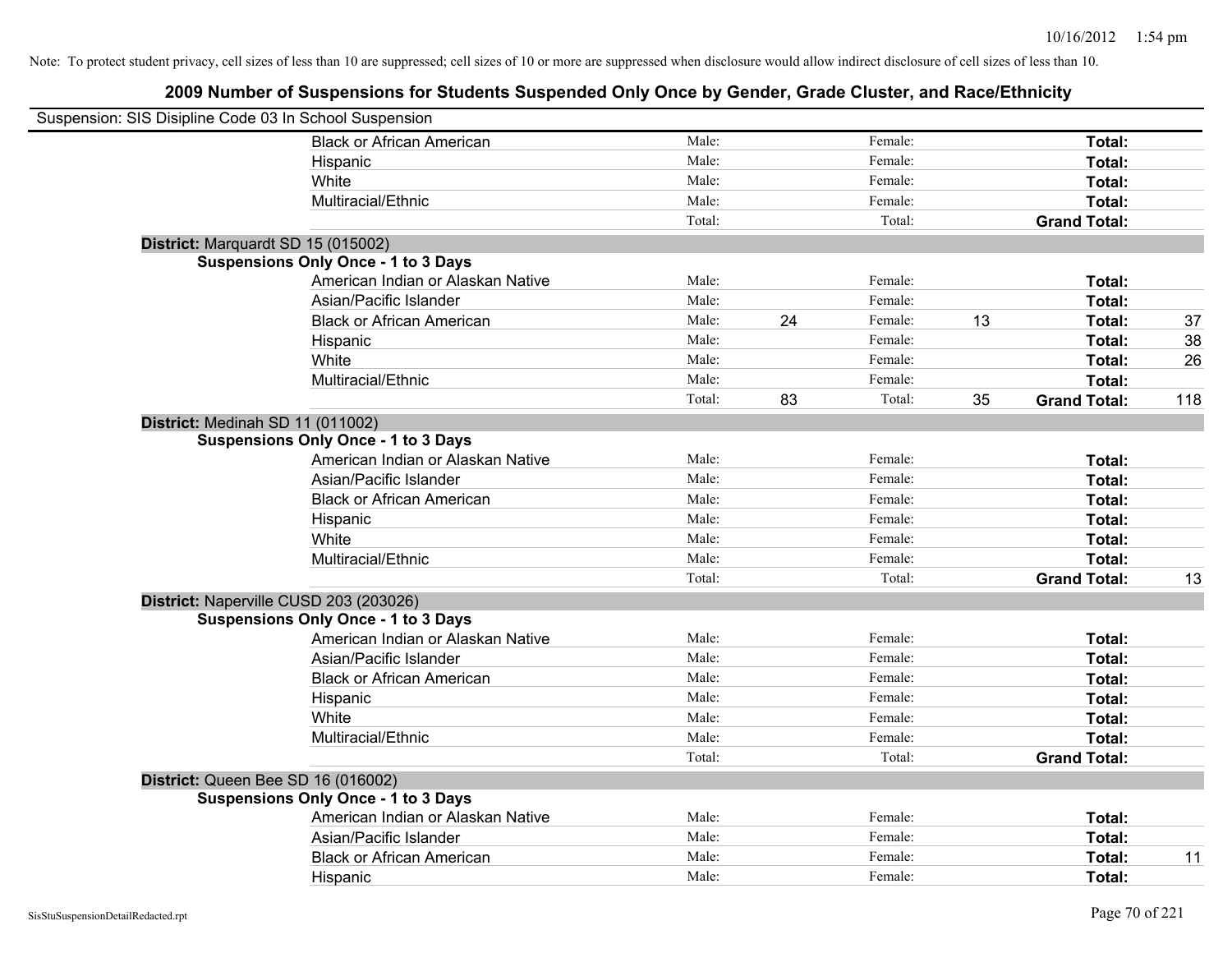| Suspension: SIS Disipline Code 03 In School Suspension |        |    |         |    |                     |     |
|--------------------------------------------------------|--------|----|---------|----|---------------------|-----|
| <b>Black or African American</b>                       | Male:  |    | Female: |    | Total:              |     |
| Hispanic                                               | Male:  |    | Female: |    | Total:              |     |
| White                                                  | Male:  |    | Female: |    | Total:              |     |
| Multiracial/Ethnic                                     | Male:  |    | Female: |    | Total:              |     |
|                                                        | Total: |    | Total:  |    | <b>Grand Total:</b> |     |
| District: Marquardt SD 15 (015002)                     |        |    |         |    |                     |     |
| <b>Suspensions Only Once - 1 to 3 Days</b>             |        |    |         |    |                     |     |
| American Indian or Alaskan Native                      | Male:  |    | Female: |    | Total:              |     |
| Asian/Pacific Islander                                 | Male:  |    | Female: |    | Total:              |     |
| <b>Black or African American</b>                       | Male:  | 24 | Female: | 13 | Total:              | 37  |
| Hispanic                                               | Male:  |    | Female: |    | Total:              | 38  |
| White                                                  | Male:  |    | Female: |    | Total:              | 26  |
| Multiracial/Ethnic                                     | Male:  |    | Female: |    | Total:              |     |
|                                                        | Total: | 83 | Total:  | 35 | <b>Grand Total:</b> | 118 |
| District: Medinah SD 11 (011002)                       |        |    |         |    |                     |     |
| <b>Suspensions Only Once - 1 to 3 Days</b>             |        |    |         |    |                     |     |
| American Indian or Alaskan Native                      | Male:  |    | Female: |    | <b>Total:</b>       |     |
| Asian/Pacific Islander                                 | Male:  |    | Female: |    | Total:              |     |
| <b>Black or African American</b>                       | Male:  |    | Female: |    | Total:              |     |
| Hispanic                                               | Male:  |    | Female: |    | Total:              |     |
| White                                                  | Male:  |    | Female: |    | Total:              |     |
| Multiracial/Ethnic                                     | Male:  |    | Female: |    | Total:              |     |
|                                                        | Total: |    | Total:  |    | <b>Grand Total:</b> | 13  |
| District: Naperville CUSD 203 (203026)                 |        |    |         |    |                     |     |
| <b>Suspensions Only Once - 1 to 3 Days</b>             |        |    |         |    |                     |     |
| American Indian or Alaskan Native                      | Male:  |    | Female: |    | Total:              |     |
| Asian/Pacific Islander                                 | Male:  |    | Female: |    | Total:              |     |
| <b>Black or African American</b>                       | Male:  |    | Female: |    | Total:              |     |
| Hispanic                                               | Male:  |    | Female: |    | Total:              |     |
| White                                                  | Male:  |    | Female: |    | Total:              |     |
| Multiracial/Ethnic                                     | Male:  |    | Female: |    | Total:              |     |
|                                                        | Total: |    | Total:  |    | <b>Grand Total:</b> |     |
| District: Queen Bee SD 16 (016002)                     |        |    |         |    |                     |     |
| <b>Suspensions Only Once - 1 to 3 Days</b>             |        |    |         |    |                     |     |
| American Indian or Alaskan Native                      | Male:  |    | Female: |    | Total:              |     |
| Asian/Pacific Islander                                 | Male:  |    | Female: |    | Total:              |     |
| <b>Black or African American</b>                       | Male:  |    | Female: |    | Total:              | 11  |
| Hispanic                                               | Male:  |    | Female: |    | Total:              |     |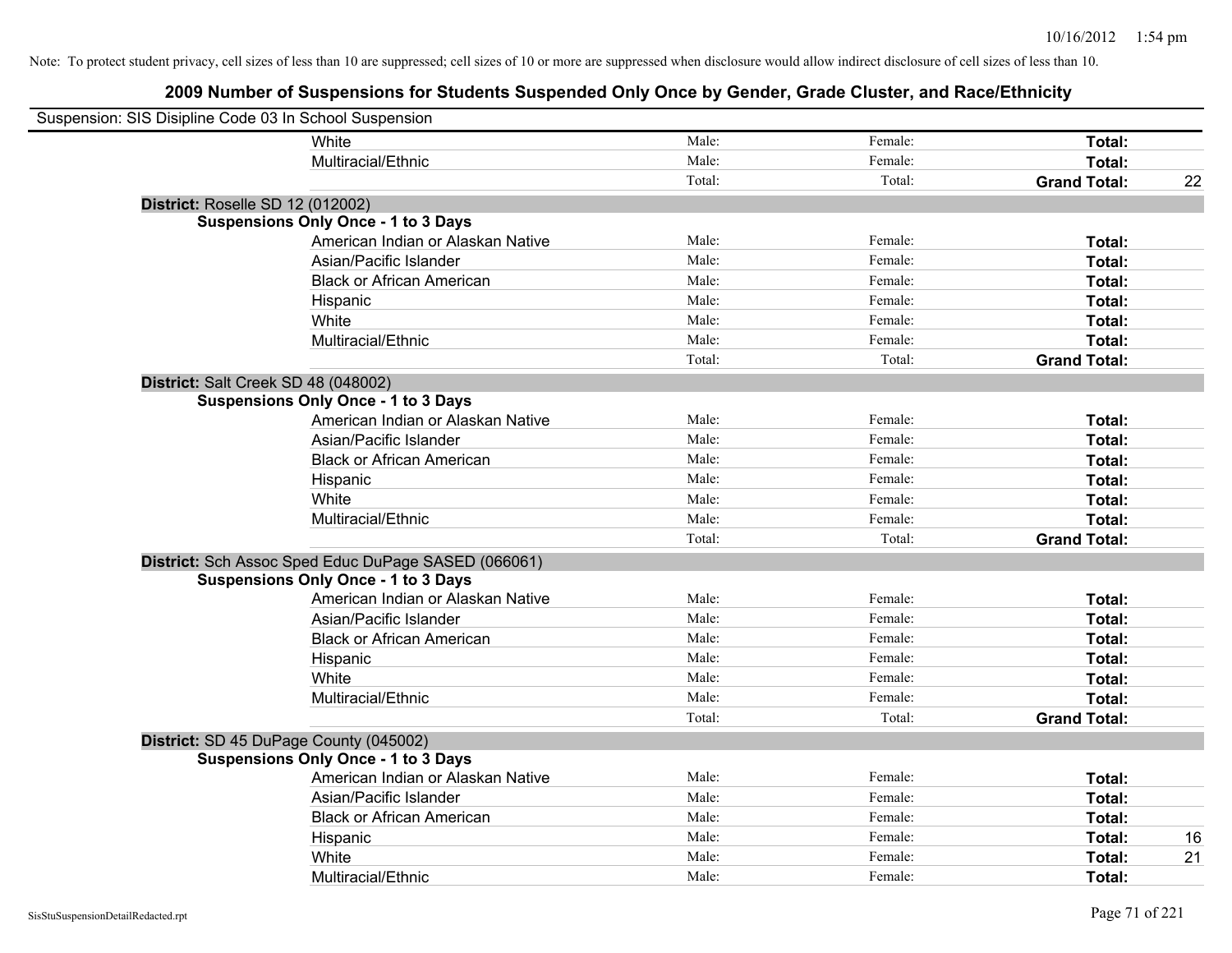| Suspension: SIS Disipline Code 03 In School Suspension |        |         |                     |    |
|--------------------------------------------------------|--------|---------|---------------------|----|
| White                                                  | Male:  | Female: | Total:              |    |
| Multiracial/Ethnic                                     | Male:  | Female: | Total:              |    |
|                                                        | Total: | Total:  | <b>Grand Total:</b> | 22 |
| <b>District: Roselle SD 12 (012002)</b>                |        |         |                     |    |
| <b>Suspensions Only Once - 1 to 3 Days</b>             |        |         |                     |    |
| American Indian or Alaskan Native                      | Male:  | Female: | Total:              |    |
| Asian/Pacific Islander                                 | Male:  | Female: | Total:              |    |
| <b>Black or African American</b>                       | Male:  | Female: | Total:              |    |
| Hispanic                                               | Male:  | Female: | Total:              |    |
| White                                                  | Male:  | Female: | Total:              |    |
| Multiracial/Ethnic                                     | Male:  | Female: | Total:              |    |
|                                                        | Total: | Total:  | <b>Grand Total:</b> |    |
| District: Salt Creek SD 48 (048002)                    |        |         |                     |    |
| <b>Suspensions Only Once - 1 to 3 Days</b>             |        |         |                     |    |
| American Indian or Alaskan Native                      | Male:  | Female: | Total:              |    |
| Asian/Pacific Islander                                 | Male:  | Female: | Total:              |    |
| <b>Black or African American</b>                       | Male:  | Female: | Total:              |    |
| Hispanic                                               | Male:  | Female: | Total:              |    |
| White                                                  | Male:  | Female: | Total:              |    |
| Multiracial/Ethnic                                     | Male:  | Female: | Total:              |    |
|                                                        | Total: | Total:  | <b>Grand Total:</b> |    |
| District: Sch Assoc Sped Educ DuPage SASED (066061)    |        |         |                     |    |
| <b>Suspensions Only Once - 1 to 3 Days</b>             |        |         |                     |    |
| American Indian or Alaskan Native                      | Male:  | Female: | Total:              |    |
| Asian/Pacific Islander                                 | Male:  | Female: | Total:              |    |
| <b>Black or African American</b>                       | Male:  | Female: | Total:              |    |
| Hispanic                                               | Male:  | Female: | Total:              |    |
| White                                                  | Male:  | Female: | Total:              |    |
| Multiracial/Ethnic                                     | Male:  | Female: | Total:              |    |
|                                                        | Total: | Total:  | <b>Grand Total:</b> |    |
| District: SD 45 DuPage County (045002)                 |        |         |                     |    |
| <b>Suspensions Only Once - 1 to 3 Days</b>             |        |         |                     |    |
| American Indian or Alaskan Native                      | Male:  | Female: | Total:              |    |
| Asian/Pacific Islander                                 | Male:  | Female: | Total:              |    |
| <b>Black or African American</b>                       | Male:  | Female: | Total:              |    |
| Hispanic                                               | Male:  | Female: | Total:              | 16 |
| White                                                  | Male:  | Female: | Total:              | 21 |
| Multiracial/Ethnic                                     | Male:  | Female: | Total:              |    |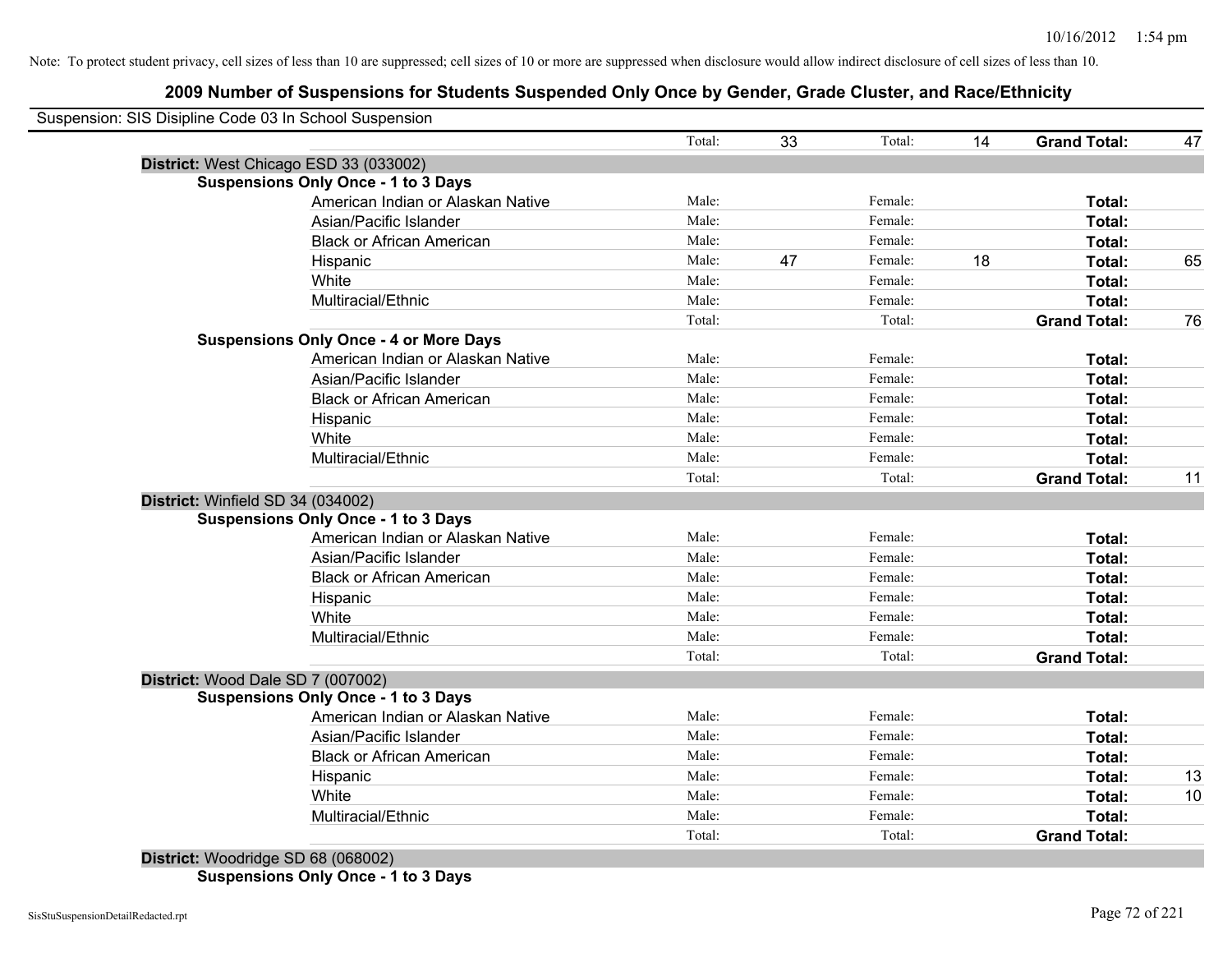## **2009 Number of Suspensions for Students Suspended Only Once by Gender, Grade Cluster, and Race/Ethnicity**

|                                   |                                               | Total: | 33 | Total:  | 14 | <b>Grand Total:</b> | 47 |
|-----------------------------------|-----------------------------------------------|--------|----|---------|----|---------------------|----|
|                                   | District: West Chicago ESD 33 (033002)        |        |    |         |    |                     |    |
|                                   | <b>Suspensions Only Once - 1 to 3 Days</b>    |        |    |         |    |                     |    |
|                                   | American Indian or Alaskan Native             | Male:  |    | Female: |    | Total:              |    |
|                                   | Asian/Pacific Islander                        | Male:  |    | Female: |    | Total:              |    |
|                                   | <b>Black or African American</b>              | Male:  |    | Female: |    | Total:              |    |
|                                   | Hispanic                                      | Male:  | 47 | Female: | 18 | Total:              | 65 |
|                                   | White                                         | Male:  |    | Female: |    | Total:              |    |
|                                   | Multiracial/Ethnic                            | Male:  |    | Female: |    | Total:              |    |
|                                   |                                               | Total: |    | Total:  |    | <b>Grand Total:</b> | 76 |
|                                   | <b>Suspensions Only Once - 4 or More Days</b> |        |    |         |    |                     |    |
|                                   | American Indian or Alaskan Native             | Male:  |    | Female: |    | Total:              |    |
|                                   | Asian/Pacific Islander                        | Male:  |    | Female: |    | Total:              |    |
|                                   | <b>Black or African American</b>              | Male:  |    | Female: |    | Total:              |    |
|                                   | Hispanic                                      | Male:  |    | Female: |    | Total:              |    |
|                                   | White                                         | Male:  |    | Female: |    | Total:              |    |
|                                   | Multiracial/Ethnic                            | Male:  |    | Female: |    | Total:              |    |
|                                   |                                               | Total: |    | Total:  |    | <b>Grand Total:</b> | 11 |
| District: Winfield SD 34 (034002) |                                               |        |    |         |    |                     |    |
|                                   | <b>Suspensions Only Once - 1 to 3 Days</b>    |        |    |         |    |                     |    |
|                                   | American Indian or Alaskan Native             | Male:  |    | Female: |    | Total:              |    |
|                                   | Asian/Pacific Islander                        | Male:  |    | Female: |    | Total:              |    |
|                                   | <b>Black or African American</b>              | Male:  |    | Female: |    | Total:              |    |
|                                   | Hispanic                                      | Male:  |    | Female: |    | Total:              |    |
|                                   | White                                         | Male:  |    | Female: |    | Total:              |    |
|                                   | Multiracial/Ethnic                            | Male:  |    | Female: |    | Total:              |    |
|                                   |                                               | Total: |    | Total:  |    | <b>Grand Total:</b> |    |
|                                   | District: Wood Dale SD 7 (007002)             |        |    |         |    |                     |    |
|                                   | <b>Suspensions Only Once - 1 to 3 Days</b>    |        |    |         |    |                     |    |
|                                   | American Indian or Alaskan Native             | Male:  |    | Female: |    | Total:              |    |
|                                   | Asian/Pacific Islander                        | Male:  |    | Female: |    | Total:              |    |
|                                   | <b>Black or African American</b>              | Male:  |    | Female: |    | Total:              |    |
|                                   | Hispanic                                      | Male:  |    | Female: |    | Total:              | 13 |
|                                   | White                                         | Male:  |    | Female: |    | Total:              | 10 |
|                                   | Multiracial/Ethnic                            | Male:  |    | Female: |    | Total:              |    |
|                                   |                                               | Total: |    | Total:  |    | <b>Grand Total:</b> |    |

**Suspensions Only Once - 1 to 3 Days**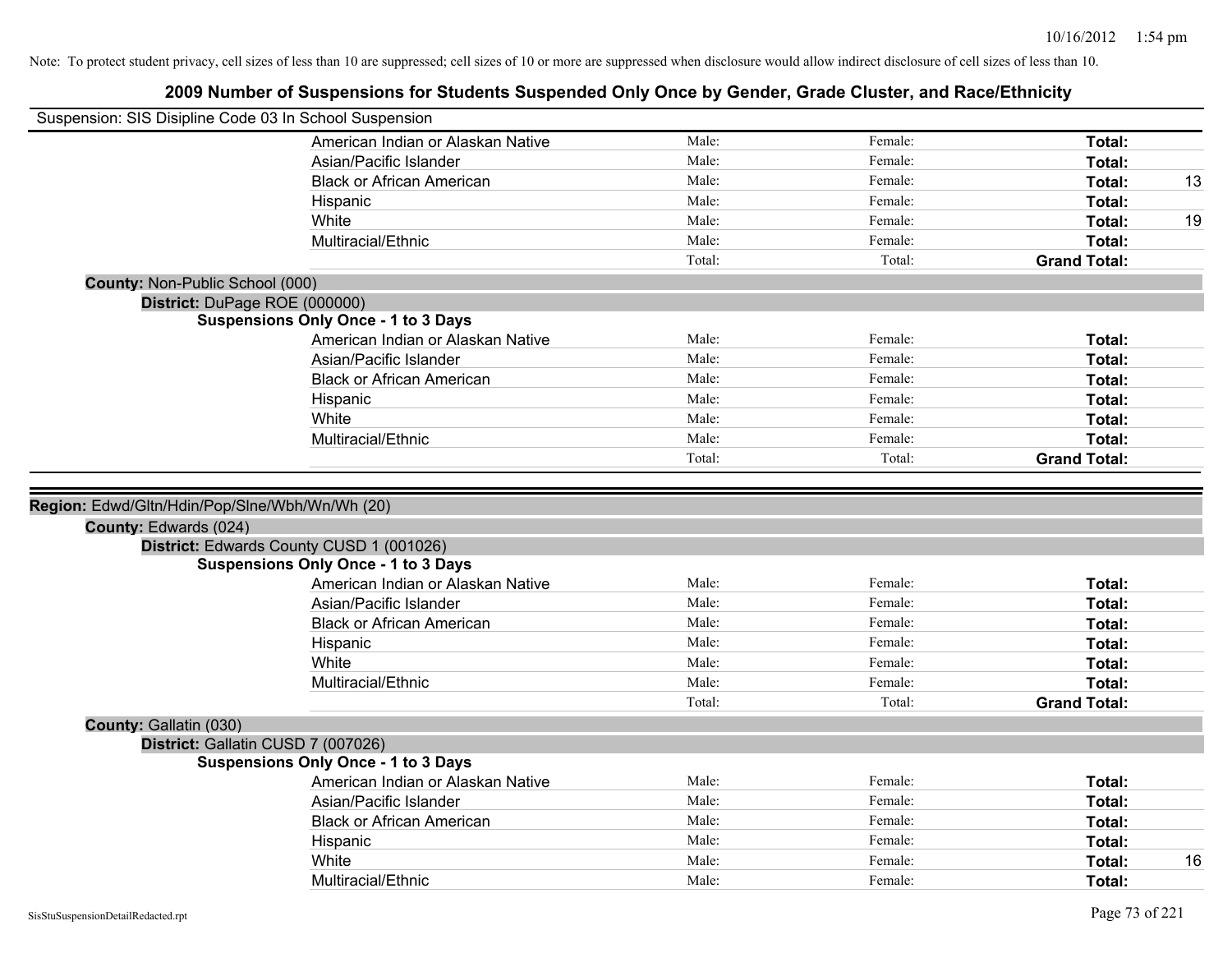|                                 | Suspension: SIS Disipline Code 03 In School Suspension |        |         |                     |    |
|---------------------------------|--------------------------------------------------------|--------|---------|---------------------|----|
|                                 | American Indian or Alaskan Native                      | Male:  | Female: | Total:              |    |
|                                 | Asian/Pacific Islander                                 | Male:  | Female: | Total:              |    |
|                                 | <b>Black or African American</b>                       | Male:  | Female: | Total:              | 13 |
|                                 | Hispanic                                               | Male:  | Female: | Total:              |    |
|                                 | White                                                  | Male:  | Female: | Total:              | 19 |
|                                 | Multiracial/Ethnic                                     | Male:  | Female: | Total:              |    |
|                                 |                                                        | Total: | Total:  | <b>Grand Total:</b> |    |
| County: Non-Public School (000) |                                                        |        |         |                     |    |
|                                 | District: DuPage ROE (000000)                          |        |         |                     |    |
|                                 | <b>Suspensions Only Once - 1 to 3 Days</b>             |        |         |                     |    |
|                                 | American Indian or Alaskan Native                      | Male:  | Female: | Total:              |    |
|                                 | Asian/Pacific Islander                                 | Male:  | Female: | Total:              |    |
|                                 | <b>Black or African American</b>                       | Male:  | Female: | Total:              |    |
|                                 | Hispanic                                               | Male:  | Female: | Total:              |    |
|                                 | White                                                  | Male:  | Female: | Total:              |    |
|                                 | Multiracial/Ethnic                                     | Male:  | Female: | Total:              |    |
|                                 |                                                        | Total: | Total:  | <b>Grand Total:</b> |    |
| County: Edwards (024)           | District: Edwards County CUSD 1 (001026)               |        |         |                     |    |
|                                 | <b>Suspensions Only Once - 1 to 3 Days</b>             |        |         |                     |    |
|                                 | American Indian or Alaskan Native                      | Male:  | Female: | Total:              |    |
|                                 | Asian/Pacific Islander                                 | Male:  | Female: | Total:              |    |
|                                 | <b>Black or African American</b>                       | Male:  | Female: | Total:              |    |
|                                 | Hispanic                                               | Male:  | Female: | Total:              |    |
|                                 | White                                                  | Male:  | Female: | <b>Total:</b>       |    |
|                                 | Multiracial/Ethnic                                     | Male:  | Female: | Total:              |    |
|                                 |                                                        | Total: | Total:  | <b>Grand Total:</b> |    |
| County: Gallatin (030)          |                                                        |        |         |                     |    |
|                                 | District: Gallatin CUSD 7 (007026)                     |        |         |                     |    |
|                                 | <b>Suspensions Only Once - 1 to 3 Days</b>             |        |         |                     |    |
|                                 | American Indian or Alaskan Native                      | Male:  | Female: | Total:              |    |
|                                 | Asian/Pacific Islander                                 | Male:  | Female: | Total:              |    |
|                                 | <b>Black or African American</b>                       | Male:  | Female: | Total:              |    |
|                                 | Hispanic                                               | Male:  | Female: | Total:              |    |
|                                 | White                                                  | Male:  | Female: | Total:              | 16 |
|                                 | Multiracial/Ethnic                                     | Male:  | Female: | Total:              |    |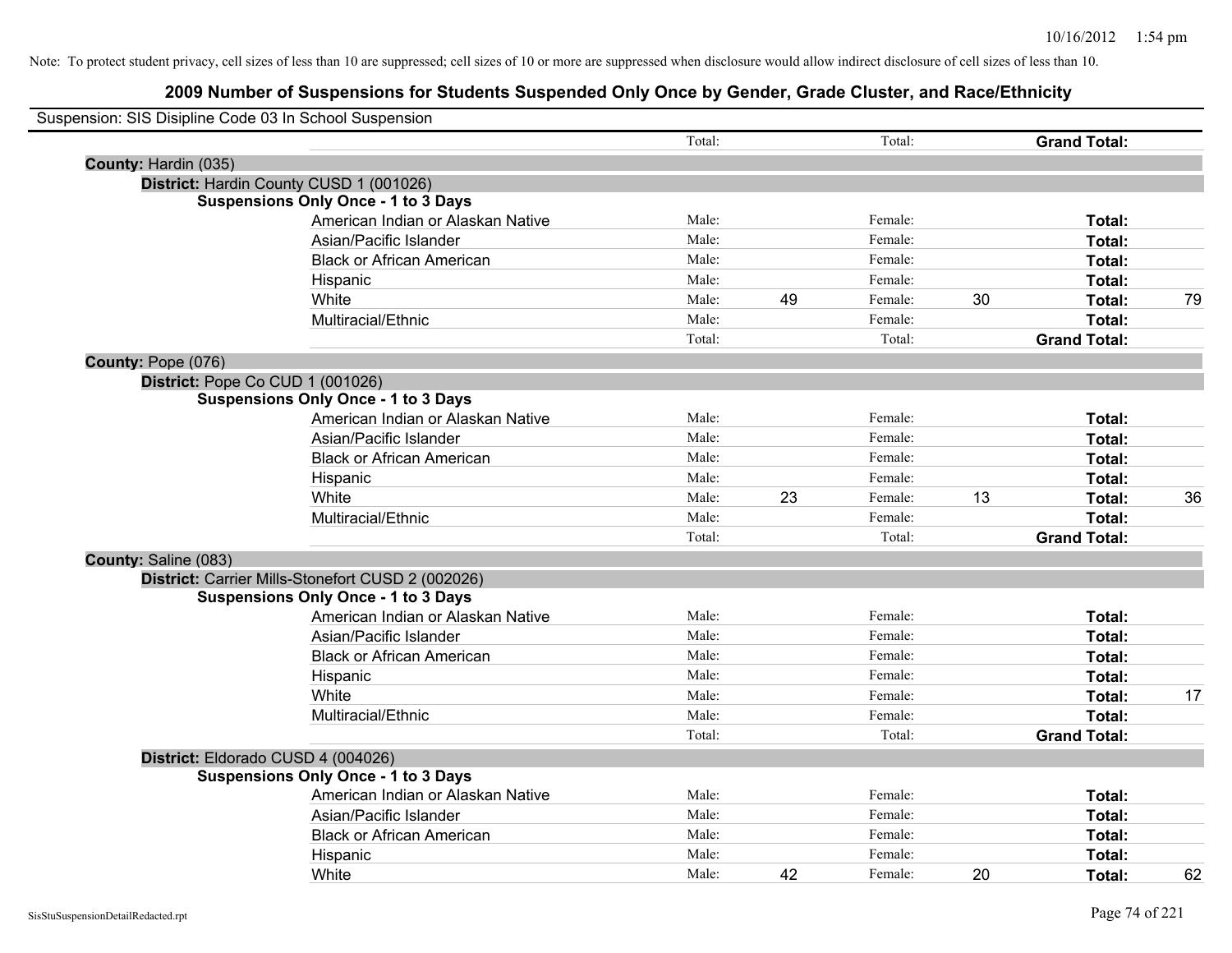| Suspension: SIS Disipline Code 03 In School Suspension |                                                   |        |    |         |    |                     |    |
|--------------------------------------------------------|---------------------------------------------------|--------|----|---------|----|---------------------|----|
|                                                        |                                                   | Total: |    | Total:  |    | <b>Grand Total:</b> |    |
| County: Hardin (035)                                   |                                                   |        |    |         |    |                     |    |
|                                                        | District: Hardin County CUSD 1 (001026)           |        |    |         |    |                     |    |
|                                                        | <b>Suspensions Only Once - 1 to 3 Days</b>        |        |    |         |    |                     |    |
|                                                        | American Indian or Alaskan Native                 | Male:  |    | Female: |    | Total:              |    |
|                                                        | Asian/Pacific Islander                            | Male:  |    | Female: |    | Total:              |    |
|                                                        | <b>Black or African American</b>                  | Male:  |    | Female: |    | Total:              |    |
|                                                        | Hispanic                                          | Male:  |    | Female: |    | <b>Total:</b>       |    |
|                                                        | White                                             | Male:  | 49 | Female: | 30 | Total:              | 79 |
|                                                        | Multiracial/Ethnic                                | Male:  |    | Female: |    | Total:              |    |
|                                                        |                                                   | Total: |    | Total:  |    | <b>Grand Total:</b> |    |
| County: Pope (076)                                     |                                                   |        |    |         |    |                     |    |
|                                                        | District: Pope Co CUD 1 (001026)                  |        |    |         |    |                     |    |
|                                                        | <b>Suspensions Only Once - 1 to 3 Days</b>        |        |    |         |    |                     |    |
|                                                        | American Indian or Alaskan Native                 | Male:  |    | Female: |    | Total:              |    |
|                                                        | Asian/Pacific Islander                            | Male:  |    | Female: |    | Total:              |    |
|                                                        | <b>Black or African American</b>                  | Male:  |    | Female: |    | Total:              |    |
|                                                        | Hispanic                                          | Male:  |    | Female: |    | Total:              |    |
|                                                        | White                                             | Male:  | 23 | Female: | 13 | Total:              | 36 |
|                                                        | Multiracial/Ethnic                                | Male:  |    | Female: |    | Total:              |    |
|                                                        |                                                   | Total: |    | Total:  |    | <b>Grand Total:</b> |    |
| County: Saline (083)                                   |                                                   |        |    |         |    |                     |    |
|                                                        | District: Carrier Mills-Stonefort CUSD 2 (002026) |        |    |         |    |                     |    |
|                                                        | <b>Suspensions Only Once - 1 to 3 Days</b>        |        |    |         |    |                     |    |
|                                                        | American Indian or Alaskan Native                 | Male:  |    | Female: |    | Total:              |    |
|                                                        | Asian/Pacific Islander                            | Male:  |    | Female: |    | Total:              |    |
|                                                        | <b>Black or African American</b>                  | Male:  |    | Female: |    | Total:              |    |
|                                                        | Hispanic                                          | Male:  |    | Female: |    | Total:              |    |
|                                                        | White                                             | Male:  |    | Female: |    | Total:              | 17 |
|                                                        | Multiracial/Ethnic                                | Male:  |    | Female: |    | Total:              |    |
|                                                        |                                                   | Total: |    | Total:  |    | <b>Grand Total:</b> |    |
|                                                        | District: Eldorado CUSD 4 (004026)                |        |    |         |    |                     |    |
|                                                        | <b>Suspensions Only Once - 1 to 3 Days</b>        |        |    |         |    |                     |    |
|                                                        | American Indian or Alaskan Native                 | Male:  |    | Female: |    | Total:              |    |
|                                                        | Asian/Pacific Islander                            | Male:  |    | Female: |    | Total:              |    |
|                                                        | <b>Black or African American</b>                  | Male:  |    | Female: |    | Total:              |    |
|                                                        | Hispanic                                          | Male:  |    | Female: |    | Total:              |    |
|                                                        | White                                             | Male:  | 42 | Female: | 20 | Total:              | 62 |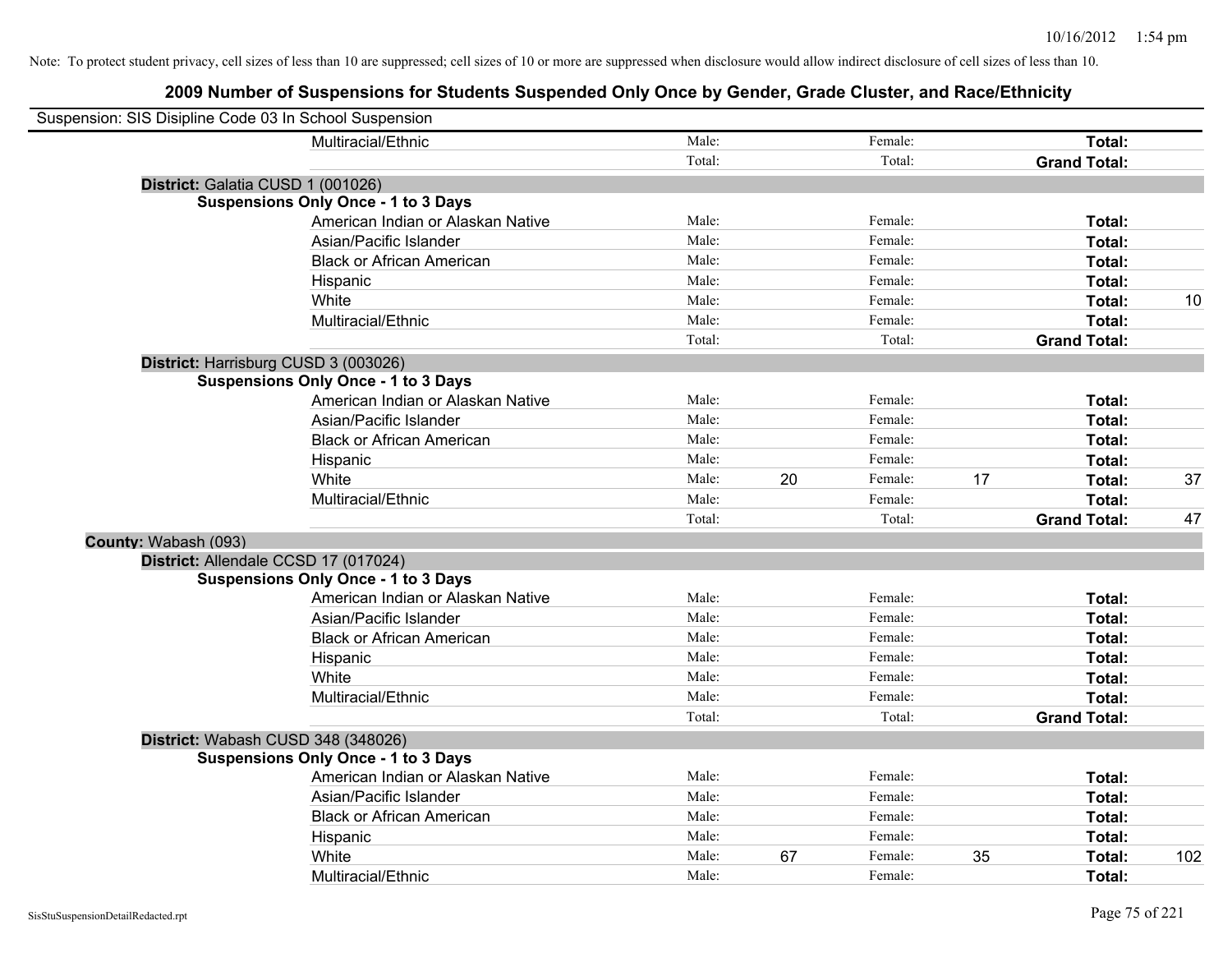| Suspension: SIS Disipline Code 03 In School Suspension |                                            |        |    |         |    |                     |     |
|--------------------------------------------------------|--------------------------------------------|--------|----|---------|----|---------------------|-----|
|                                                        | Multiracial/Ethnic                         | Male:  |    | Female: |    | Total:              |     |
|                                                        |                                            | Total: |    | Total:  |    | <b>Grand Total:</b> |     |
|                                                        | District: Galatia CUSD 1 (001026)          |        |    |         |    |                     |     |
|                                                        | <b>Suspensions Only Once - 1 to 3 Days</b> |        |    |         |    |                     |     |
|                                                        | American Indian or Alaskan Native          | Male:  |    | Female: |    | Total:              |     |
|                                                        | Asian/Pacific Islander                     | Male:  |    | Female: |    | Total:              |     |
|                                                        | <b>Black or African American</b>           | Male:  |    | Female: |    | Total:              |     |
|                                                        | Hispanic                                   | Male:  |    | Female: |    | Total:              |     |
|                                                        | White                                      | Male:  |    | Female: |    | Total:              | 10  |
|                                                        | Multiracial/Ethnic                         | Male:  |    | Female: |    | Total:              |     |
|                                                        |                                            | Total: |    | Total:  |    | <b>Grand Total:</b> |     |
|                                                        | District: Harrisburg CUSD 3 (003026)       |        |    |         |    |                     |     |
|                                                        | <b>Suspensions Only Once - 1 to 3 Days</b> |        |    |         |    |                     |     |
|                                                        | American Indian or Alaskan Native          | Male:  |    | Female: |    | Total:              |     |
|                                                        | Asian/Pacific Islander                     | Male:  |    | Female: |    | Total:              |     |
|                                                        | <b>Black or African American</b>           | Male:  |    | Female: |    | Total:              |     |
|                                                        | Hispanic                                   | Male:  |    | Female: |    | Total:              |     |
|                                                        | White                                      | Male:  | 20 | Female: | 17 | Total:              | 37  |
|                                                        | Multiracial/Ethnic                         | Male:  |    | Female: |    | Total:              |     |
|                                                        |                                            | Total: |    | Total:  |    | <b>Grand Total:</b> | 47  |
| County: Wabash (093)                                   |                                            |        |    |         |    |                     |     |
|                                                        | District: Allendale CCSD 17 (017024)       |        |    |         |    |                     |     |
|                                                        | <b>Suspensions Only Once - 1 to 3 Days</b> |        |    |         |    |                     |     |
|                                                        | American Indian or Alaskan Native          | Male:  |    | Female: |    | Total:              |     |
|                                                        | Asian/Pacific Islander                     | Male:  |    | Female: |    | Total:              |     |
|                                                        | <b>Black or African American</b>           | Male:  |    | Female: |    | Total:              |     |
|                                                        | Hispanic                                   | Male:  |    | Female: |    | Total:              |     |
|                                                        | White                                      | Male:  |    | Female: |    | Total:              |     |
|                                                        | Multiracial/Ethnic                         | Male:  |    | Female: |    | Total:              |     |
|                                                        |                                            | Total: |    | Total:  |    | <b>Grand Total:</b> |     |
|                                                        | District: Wabash CUSD 348 (348026)         |        |    |         |    |                     |     |
|                                                        | <b>Suspensions Only Once - 1 to 3 Days</b> |        |    |         |    |                     |     |
|                                                        | American Indian or Alaskan Native          | Male:  |    | Female: |    | Total:              |     |
|                                                        | Asian/Pacific Islander                     | Male:  |    | Female: |    | Total:              |     |
|                                                        | <b>Black or African American</b>           | Male:  |    | Female: |    | Total:              |     |
|                                                        | Hispanic                                   | Male:  |    | Female: |    | Total:              |     |
|                                                        | White                                      | Male:  | 67 | Female: | 35 | Total:              | 102 |
|                                                        | Multiracial/Ethnic                         | Male:  |    | Female: |    | Total:              |     |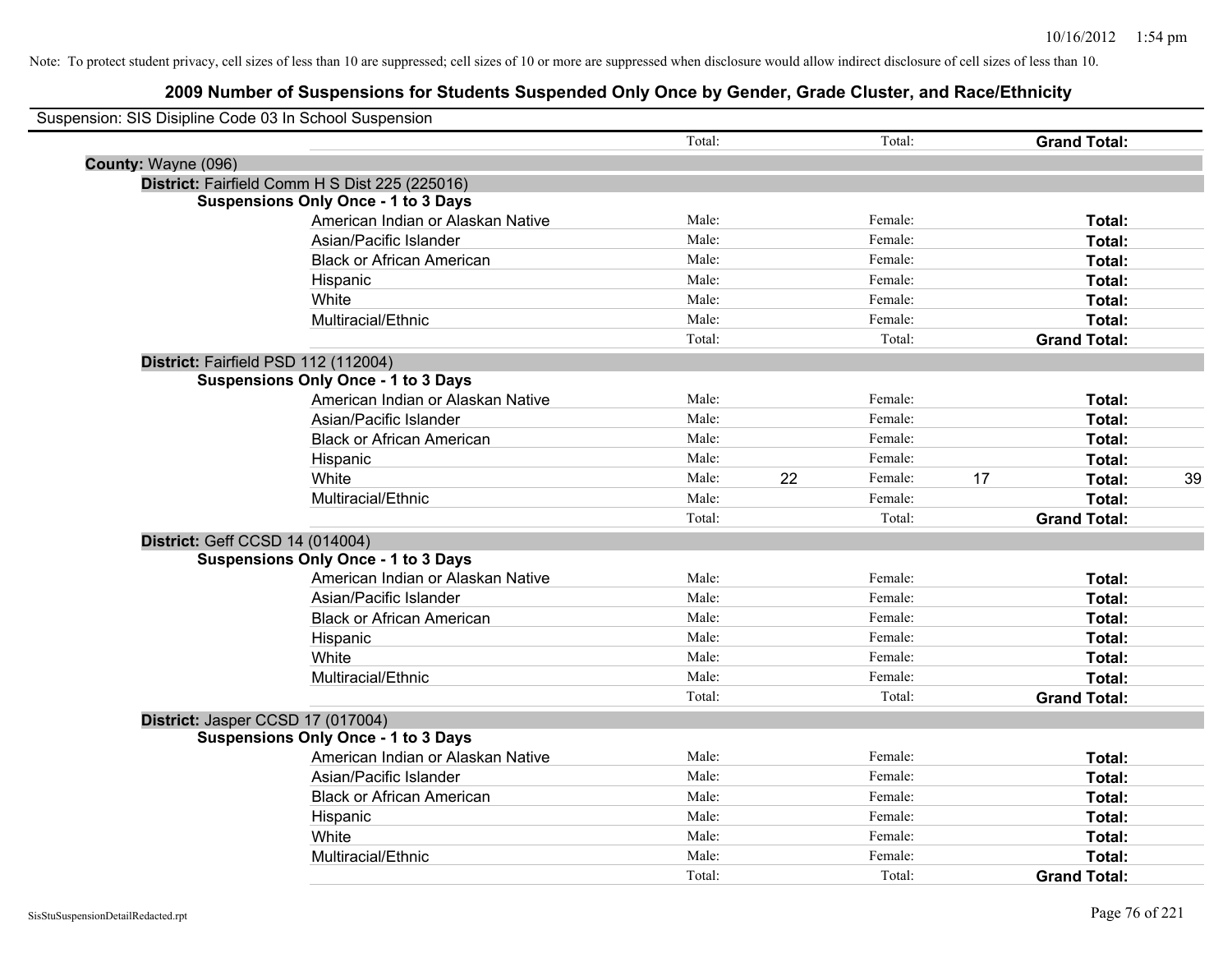|                     | Suspension: SIS Disipline Code 03 In School Suspension |        |    |         |    |                     |    |
|---------------------|--------------------------------------------------------|--------|----|---------|----|---------------------|----|
|                     |                                                        | Total: |    | Total:  |    | <b>Grand Total:</b> |    |
| County: Wayne (096) |                                                        |        |    |         |    |                     |    |
|                     | District: Fairfield Comm H S Dist 225 (225016)         |        |    |         |    |                     |    |
|                     | <b>Suspensions Only Once - 1 to 3 Days</b>             |        |    |         |    |                     |    |
|                     | American Indian or Alaskan Native                      | Male:  |    | Female: |    | Total:              |    |
|                     | Asian/Pacific Islander                                 | Male:  |    | Female: |    | Total:              |    |
|                     | <b>Black or African American</b>                       | Male:  |    | Female: |    | Total:              |    |
|                     | Hispanic                                               | Male:  |    | Female: |    | Total:              |    |
|                     | White                                                  | Male:  |    | Female: |    | Total:              |    |
|                     | Multiracial/Ethnic                                     | Male:  |    | Female: |    | Total:              |    |
|                     |                                                        | Total: |    | Total:  |    | <b>Grand Total:</b> |    |
|                     | District: Fairfield PSD 112 (112004)                   |        |    |         |    |                     |    |
|                     | <b>Suspensions Only Once - 1 to 3 Days</b>             |        |    |         |    |                     |    |
|                     | American Indian or Alaskan Native                      | Male:  |    | Female: |    | Total:              |    |
|                     | Asian/Pacific Islander                                 | Male:  |    | Female: |    | Total:              |    |
|                     | <b>Black or African American</b>                       | Male:  |    | Female: |    | Total:              |    |
|                     | Hispanic                                               | Male:  |    | Female: |    | Total:              |    |
|                     | White                                                  | Male:  | 22 | Female: | 17 | Total:              | 39 |
|                     | Multiracial/Ethnic                                     | Male:  |    | Female: |    | Total:              |    |
|                     |                                                        | Total: |    | Total:  |    | <b>Grand Total:</b> |    |
|                     | District: Geff CCSD 14 (014004)                        |        |    |         |    |                     |    |
|                     | <b>Suspensions Only Once - 1 to 3 Days</b>             |        |    |         |    |                     |    |
|                     | American Indian or Alaskan Native                      | Male:  |    | Female: |    | Total:              |    |
|                     | Asian/Pacific Islander                                 | Male:  |    | Female: |    | Total:              |    |
|                     | <b>Black or African American</b>                       | Male:  |    | Female: |    | Total:              |    |
|                     | Hispanic                                               | Male:  |    | Female: |    | Total:              |    |
|                     | White                                                  | Male:  |    | Female: |    | Total:              |    |
|                     | Multiracial/Ethnic                                     | Male:  |    | Female: |    | Total:              |    |
|                     |                                                        | Total: |    | Total:  |    | <b>Grand Total:</b> |    |
|                     | District: Jasper CCSD 17 (017004)                      |        |    |         |    |                     |    |
|                     | <b>Suspensions Only Once - 1 to 3 Days</b>             |        |    |         |    |                     |    |
|                     | American Indian or Alaskan Native                      | Male:  |    | Female: |    | Total:              |    |
|                     | Asian/Pacific Islander                                 | Male:  |    | Female: |    | Total:              |    |
|                     | <b>Black or African American</b>                       | Male:  |    | Female: |    | Total:              |    |
|                     | Hispanic                                               | Male:  |    | Female: |    | Total:              |    |
|                     | White                                                  | Male:  |    | Female: |    | Total:              |    |
|                     | Multiracial/Ethnic                                     | Male:  |    | Female: |    | Total:              |    |
|                     |                                                        | Total: |    | Total:  |    | <b>Grand Total:</b> |    |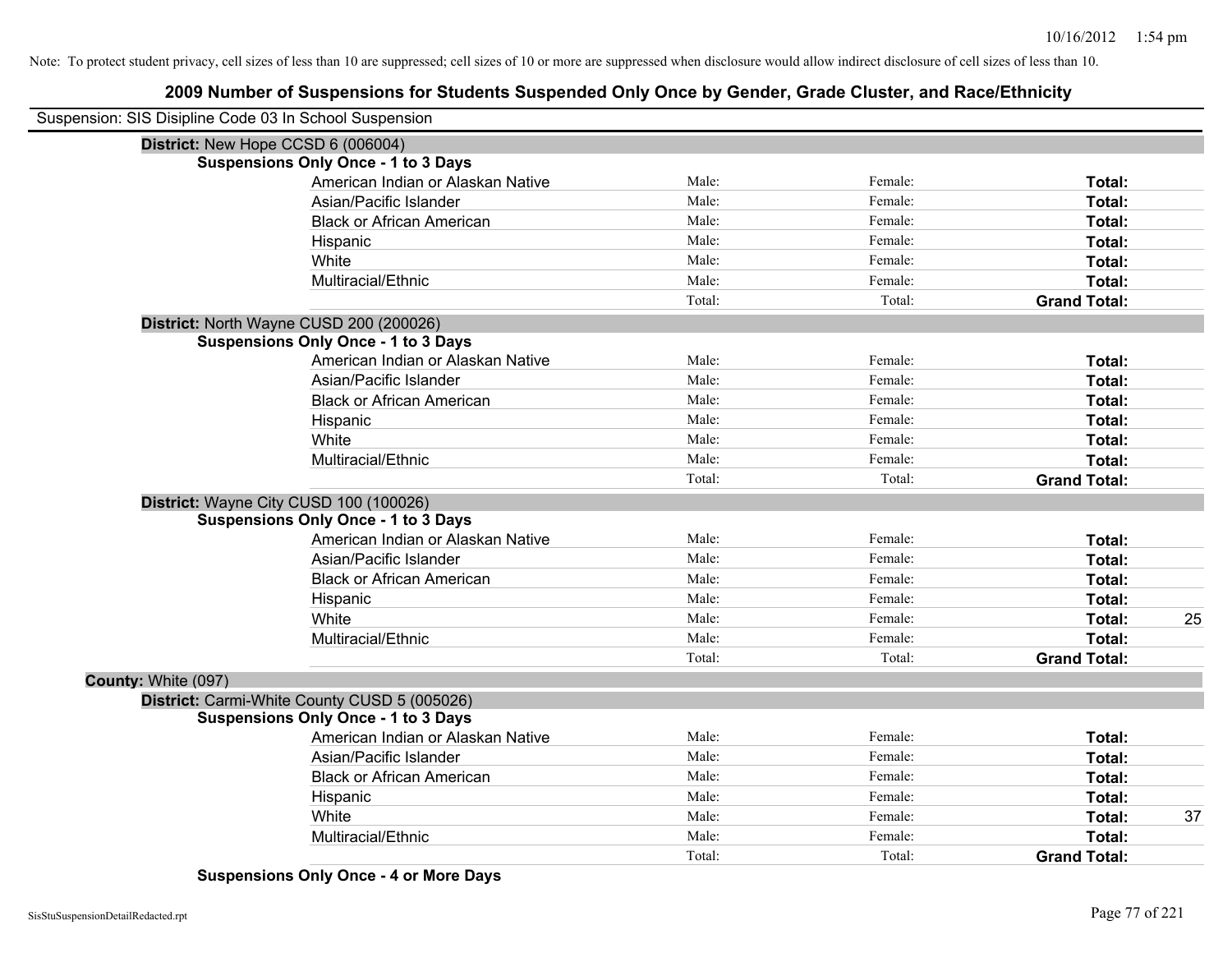|                     | Suspension: SIS Disipline Code 03 In School Suspension |        |         |                     |    |
|---------------------|--------------------------------------------------------|--------|---------|---------------------|----|
|                     | District: New Hope CCSD 6 (006004)                     |        |         |                     |    |
|                     | <b>Suspensions Only Once - 1 to 3 Days</b>             |        |         |                     |    |
|                     | American Indian or Alaskan Native                      | Male:  | Female: | Total:              |    |
|                     | Asian/Pacific Islander                                 | Male:  | Female: | Total:              |    |
|                     | <b>Black or African American</b>                       | Male:  | Female: | Total:              |    |
|                     | Hispanic                                               | Male:  | Female: | Total:              |    |
|                     | White                                                  | Male:  | Female: | Total:              |    |
|                     | Multiracial/Ethnic                                     | Male:  | Female: | Total:              |    |
|                     |                                                        | Total: | Total:  | <b>Grand Total:</b> |    |
|                     | District: North Wayne CUSD 200 (200026)                |        |         |                     |    |
|                     | <b>Suspensions Only Once - 1 to 3 Days</b>             |        |         |                     |    |
|                     | American Indian or Alaskan Native                      | Male:  | Female: | Total:              |    |
|                     | Asian/Pacific Islander                                 | Male:  | Female: | Total:              |    |
|                     | <b>Black or African American</b>                       | Male:  | Female: | Total:              |    |
|                     | Hispanic                                               | Male:  | Female: | Total:              |    |
|                     | White                                                  | Male:  | Female: | Total:              |    |
|                     | Multiracial/Ethnic                                     | Male:  | Female: | Total:              |    |
|                     |                                                        | Total: | Total:  | <b>Grand Total:</b> |    |
|                     | District: Wayne City CUSD 100 (100026)                 |        |         |                     |    |
|                     | <b>Suspensions Only Once - 1 to 3 Days</b>             |        |         |                     |    |
|                     | American Indian or Alaskan Native                      | Male:  | Female: | Total:              |    |
|                     | Asian/Pacific Islander                                 | Male:  | Female: | Total:              |    |
|                     | <b>Black or African American</b>                       | Male:  | Female: | Total:              |    |
|                     | Hispanic                                               | Male:  | Female: | Total:              |    |
|                     | White                                                  | Male:  | Female: | Total:              | 25 |
|                     | Multiracial/Ethnic                                     | Male:  | Female: | Total:              |    |
|                     |                                                        | Total: | Total:  | <b>Grand Total:</b> |    |
| County: White (097) |                                                        |        |         |                     |    |
|                     | District: Carmi-White County CUSD 5 (005026)           |        |         |                     |    |
|                     | <b>Suspensions Only Once - 1 to 3 Days</b>             |        |         |                     |    |
|                     | American Indian or Alaskan Native                      | Male:  | Female: | Total:              |    |
|                     | Asian/Pacific Islander                                 | Male:  | Female: | Total:              |    |
|                     | <b>Black or African American</b>                       | Male:  | Female: | Total:              |    |
|                     | Hispanic                                               | Male:  | Female: | Total:              |    |
|                     | White                                                  | Male:  | Female: | Total:              | 37 |
|                     | Multiracial/Ethnic                                     | Male:  | Female: | <b>Total:</b>       |    |
|                     |                                                        | Total: | Total:  | <b>Grand Total:</b> |    |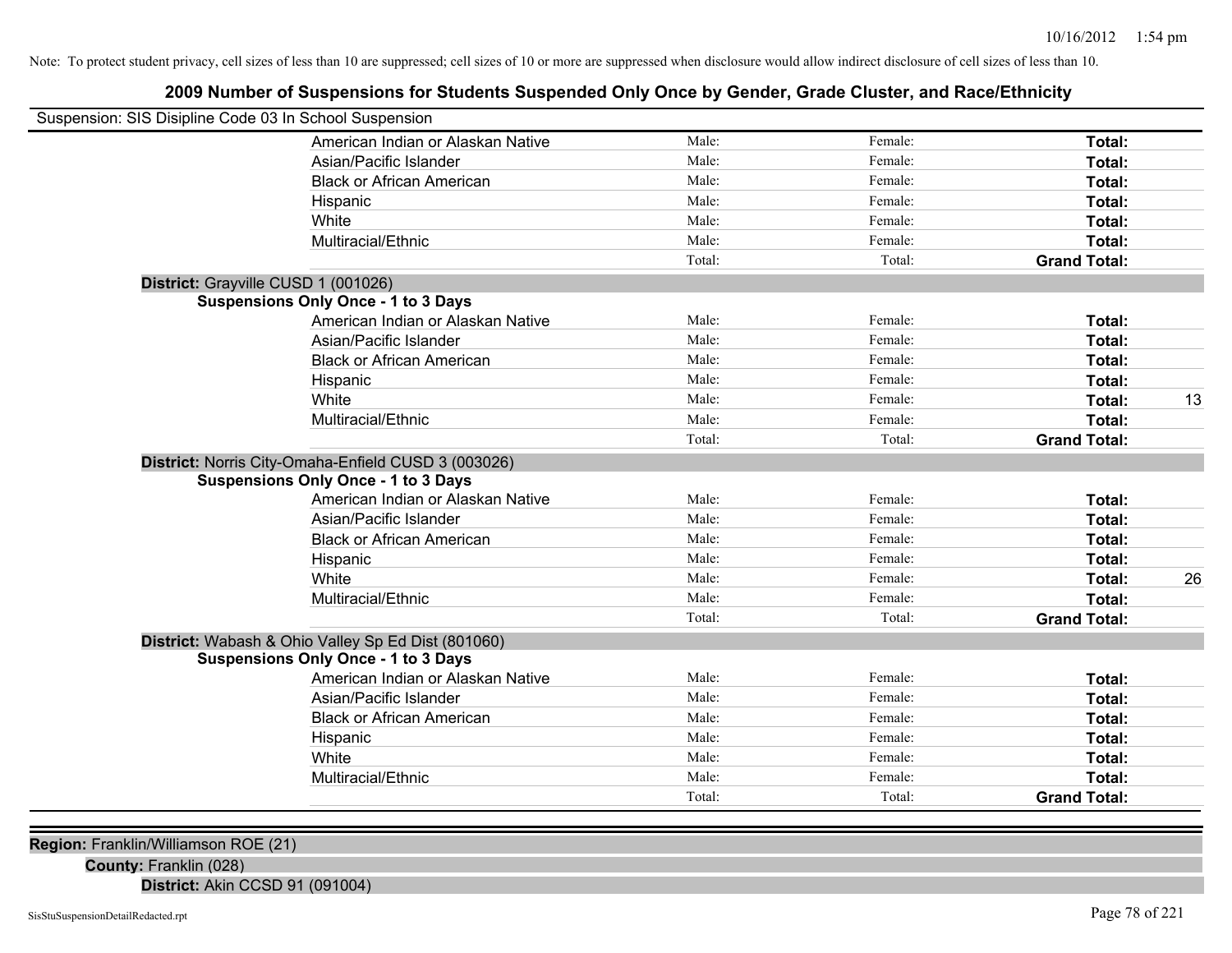## **2009 Number of Suspensions for Students Suspended Only Once by Gender, Grade Cluster, and Race/Ethnicity**

| Suspension: SIS Disipline Code 03 In School Suspension |                                                     |        |         |                     |    |
|--------------------------------------------------------|-----------------------------------------------------|--------|---------|---------------------|----|
|                                                        | American Indian or Alaskan Native                   | Male:  | Female: | Total:              |    |
|                                                        | Asian/Pacific Islander                              | Male:  | Female: | Total:              |    |
|                                                        | <b>Black or African American</b>                    | Male:  | Female: | Total:              |    |
|                                                        | Hispanic                                            | Male:  | Female: | Total:              |    |
|                                                        | White                                               | Male:  | Female: | Total:              |    |
|                                                        | Multiracial/Ethnic                                  | Male:  | Female: | Total:              |    |
|                                                        |                                                     | Total: | Total:  | <b>Grand Total:</b> |    |
|                                                        | District: Grayville CUSD 1 (001026)                 |        |         |                     |    |
|                                                        | <b>Suspensions Only Once - 1 to 3 Days</b>          |        |         |                     |    |
|                                                        | American Indian or Alaskan Native                   | Male:  | Female: | Total:              |    |
|                                                        | Asian/Pacific Islander                              | Male:  | Female: | Total:              |    |
|                                                        | <b>Black or African American</b>                    | Male:  | Female: | Total:              |    |
|                                                        | Hispanic                                            | Male:  | Female: | Total:              |    |
|                                                        | White                                               | Male:  | Female: | Total:              | 13 |
|                                                        | Multiracial/Ethnic                                  | Male:  | Female: | Total:              |    |
|                                                        |                                                     | Total: | Total:  | <b>Grand Total:</b> |    |
|                                                        | District: Norris City-Omaha-Enfield CUSD 3 (003026) |        |         |                     |    |
|                                                        | <b>Suspensions Only Once - 1 to 3 Days</b>          |        |         |                     |    |
|                                                        | American Indian or Alaskan Native                   | Male:  | Female: | Total:              |    |
|                                                        | Asian/Pacific Islander                              | Male:  | Female: | Total:              |    |
|                                                        | <b>Black or African American</b>                    | Male:  | Female: | Total:              |    |
|                                                        | Hispanic                                            | Male:  | Female: | Total:              |    |
|                                                        | White                                               | Male:  | Female: | Total:              | 26 |
|                                                        | Multiracial/Ethnic                                  | Male:  | Female: | Total:              |    |
|                                                        |                                                     | Total: | Total:  | <b>Grand Total:</b> |    |
|                                                        | District: Wabash & Ohio Valley Sp Ed Dist (801060)  |        |         |                     |    |
|                                                        | <b>Suspensions Only Once - 1 to 3 Days</b>          |        |         |                     |    |
|                                                        | American Indian or Alaskan Native                   | Male:  | Female: | Total:              |    |
|                                                        | Asian/Pacific Islander                              | Male:  | Female: | Total:              |    |
|                                                        | <b>Black or African American</b>                    | Male:  | Female: | Total:              |    |
|                                                        | Hispanic                                            | Male:  | Female: | Total:              |    |
|                                                        | White                                               | Male:  | Female: | Total:              |    |
|                                                        | Multiracial/Ethnic                                  | Male:  | Female: | Total:              |    |
|                                                        |                                                     | Total: | Total:  | <b>Grand Total:</b> |    |
|                                                        |                                                     |        |         |                     |    |

**Region:** Franklin/Williamson ROE (21)

**County:** Franklin (028)

**District:** Akin CCSD 91 (091004)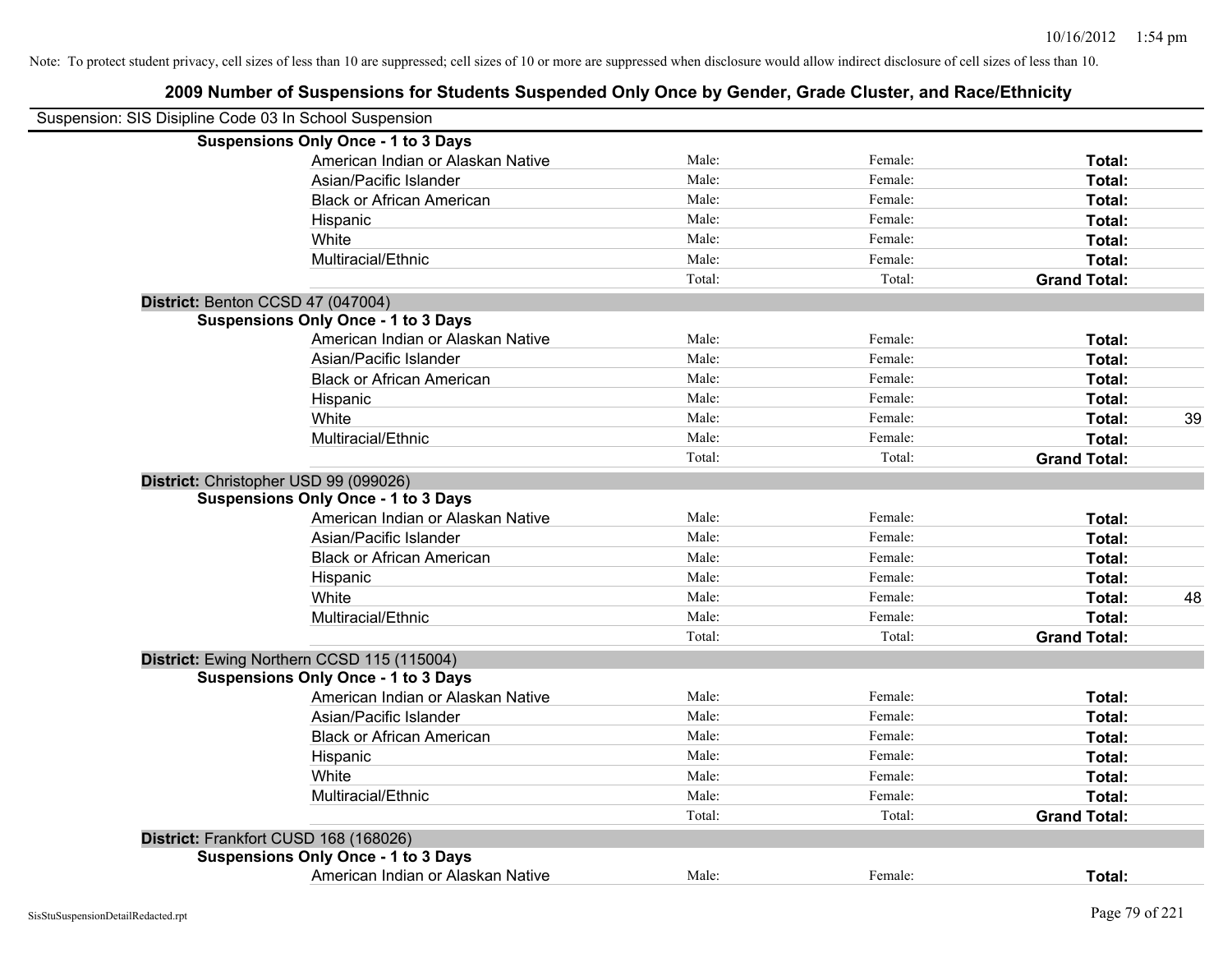| Suspension: SIS Disipline Code 03 In School Suspension |                                            |        |         |                     |    |
|--------------------------------------------------------|--------------------------------------------|--------|---------|---------------------|----|
|                                                        | <b>Suspensions Only Once - 1 to 3 Days</b> |        |         |                     |    |
|                                                        | American Indian or Alaskan Native          | Male:  | Female: | Total:              |    |
|                                                        | Asian/Pacific Islander                     | Male:  | Female: | Total:              |    |
|                                                        | <b>Black or African American</b>           | Male:  | Female: | Total:              |    |
|                                                        | Hispanic                                   | Male:  | Female: | Total:              |    |
|                                                        | White                                      | Male:  | Female: | Total:              |    |
|                                                        | Multiracial/Ethnic                         | Male:  | Female: | Total:              |    |
|                                                        |                                            | Total: | Total:  | <b>Grand Total:</b> |    |
| District: Benton CCSD 47 (047004)                      |                                            |        |         |                     |    |
|                                                        | <b>Suspensions Only Once - 1 to 3 Days</b> |        |         |                     |    |
|                                                        | American Indian or Alaskan Native          | Male:  | Female: | Total:              |    |
|                                                        | Asian/Pacific Islander                     | Male:  | Female: | Total:              |    |
|                                                        | <b>Black or African American</b>           | Male:  | Female: | Total:              |    |
|                                                        | Hispanic                                   | Male:  | Female: | Total:              |    |
|                                                        | White                                      | Male:  | Female: | Total:              | 39 |
|                                                        | Multiracial/Ethnic                         | Male:  | Female: | Total:              |    |
|                                                        |                                            | Total: | Total:  | <b>Grand Total:</b> |    |
|                                                        | District: Christopher USD 99 (099026)      |        |         |                     |    |
|                                                        | <b>Suspensions Only Once - 1 to 3 Days</b> |        |         |                     |    |
|                                                        | American Indian or Alaskan Native          | Male:  | Female: | Total:              |    |
|                                                        | Asian/Pacific Islander                     | Male:  | Female: | Total:              |    |
|                                                        | <b>Black or African American</b>           | Male:  | Female: | Total:              |    |
|                                                        | Hispanic                                   | Male:  | Female: | Total:              |    |
|                                                        | White                                      | Male:  | Female: | Total:              | 48 |
|                                                        | Multiracial/Ethnic                         | Male:  | Female: | Total:              |    |
|                                                        |                                            | Total: | Total:  | <b>Grand Total:</b> |    |
|                                                        | District: Ewing Northern CCSD 115 (115004) |        |         |                     |    |
|                                                        | <b>Suspensions Only Once - 1 to 3 Days</b> |        |         |                     |    |
|                                                        | American Indian or Alaskan Native          | Male:  | Female: | Total:              |    |
|                                                        | Asian/Pacific Islander                     | Male:  | Female: | Total:              |    |
|                                                        | <b>Black or African American</b>           | Male:  | Female: | Total:              |    |
|                                                        | Hispanic                                   | Male:  | Female: | Total:              |    |
|                                                        | White                                      | Male:  | Female: | Total:              |    |
|                                                        | Multiracial/Ethnic                         | Male:  | Female: | Total:              |    |
|                                                        |                                            | Total: | Total:  | <b>Grand Total:</b> |    |
|                                                        | District: Frankfort CUSD 168 (168026)      |        |         |                     |    |
|                                                        | <b>Suspensions Only Once - 1 to 3 Days</b> |        |         |                     |    |
|                                                        | American Indian or Alaskan Native          | Male:  | Female: | Total:              |    |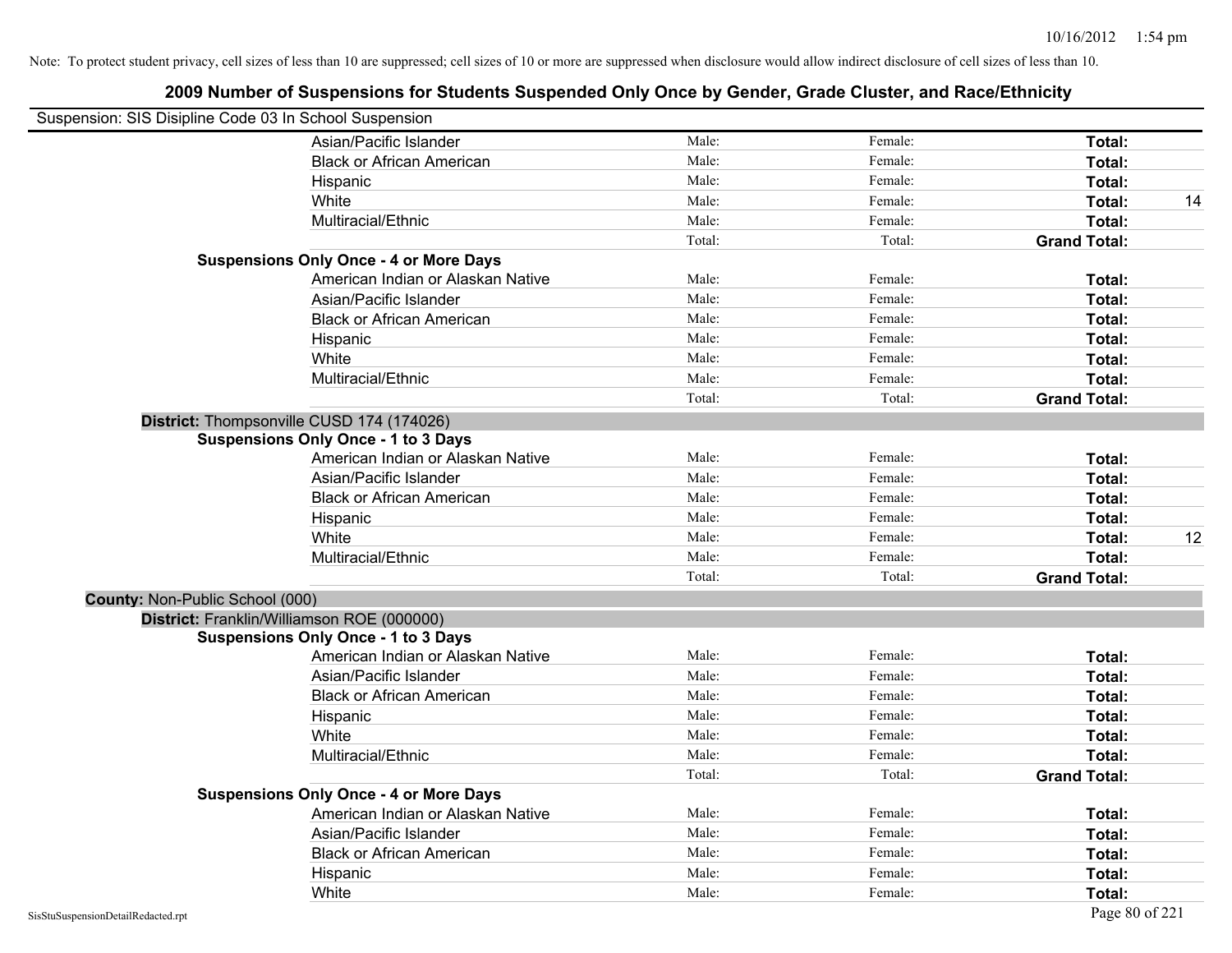| Suspension: SIS Disipline Code 03 In School Suspension |                                               |        |         |                     |    |
|--------------------------------------------------------|-----------------------------------------------|--------|---------|---------------------|----|
|                                                        | Asian/Pacific Islander                        | Male:  | Female: | Total:              |    |
|                                                        | <b>Black or African American</b>              | Male:  | Female: | Total:              |    |
|                                                        | Hispanic                                      | Male:  | Female: | Total:              |    |
|                                                        | White                                         | Male:  | Female: | Total:              | 14 |
|                                                        | Multiracial/Ethnic                            | Male:  | Female: | Total:              |    |
|                                                        |                                               | Total: | Total:  | <b>Grand Total:</b> |    |
|                                                        | <b>Suspensions Only Once - 4 or More Days</b> |        |         |                     |    |
|                                                        | American Indian or Alaskan Native             | Male:  | Female: | Total:              |    |
|                                                        | Asian/Pacific Islander                        | Male:  | Female: | Total:              |    |
|                                                        | <b>Black or African American</b>              | Male:  | Female: | Total:              |    |
|                                                        | Hispanic                                      | Male:  | Female: | Total:              |    |
|                                                        | White                                         | Male:  | Female: | Total:              |    |
|                                                        | Multiracial/Ethnic                            | Male:  | Female: | Total:              |    |
|                                                        |                                               | Total: | Total:  | <b>Grand Total:</b> |    |
|                                                        | District: Thompsonville CUSD 174 (174026)     |        |         |                     |    |
|                                                        | <b>Suspensions Only Once - 1 to 3 Days</b>    |        |         |                     |    |
|                                                        | American Indian or Alaskan Native             | Male:  | Female: | Total:              |    |
|                                                        | Asian/Pacific Islander                        | Male:  | Female: | Total:              |    |
|                                                        | <b>Black or African American</b>              | Male:  | Female: | Total:              |    |
|                                                        | Hispanic                                      | Male:  | Female: | Total:              |    |
|                                                        | White                                         | Male:  | Female: | Total:              | 12 |
|                                                        | Multiracial/Ethnic                            | Male:  | Female: | Total:              |    |
|                                                        |                                               | Total: | Total:  | <b>Grand Total:</b> |    |
| County: Non-Public School (000)                        |                                               |        |         |                     |    |
|                                                        | District: Franklin/Williamson ROE (000000)    |        |         |                     |    |
|                                                        | <b>Suspensions Only Once - 1 to 3 Days</b>    |        |         |                     |    |
|                                                        | American Indian or Alaskan Native             | Male:  | Female: | Total:              |    |
|                                                        | Asian/Pacific Islander                        | Male:  | Female: | Total:              |    |
|                                                        | <b>Black or African American</b>              | Male:  | Female: | Total:              |    |
|                                                        | Hispanic                                      | Male:  | Female: | Total:              |    |
|                                                        | White                                         | Male:  | Female: | Total:              |    |
|                                                        | Multiracial/Ethnic                            | Male:  | Female: | Total:              |    |
|                                                        |                                               | Total: | Total:  | <b>Grand Total:</b> |    |
|                                                        | <b>Suspensions Only Once - 4 or More Days</b> |        |         |                     |    |
|                                                        | American Indian or Alaskan Native             | Male:  | Female: | Total:              |    |
|                                                        | Asian/Pacific Islander                        | Male:  | Female: | Total:              |    |
|                                                        | <b>Black or African American</b>              | Male:  | Female: | Total:              |    |
|                                                        | Hispanic                                      | Male:  | Female: | Total:              |    |
|                                                        | White                                         | Male:  | Female: | Total:              |    |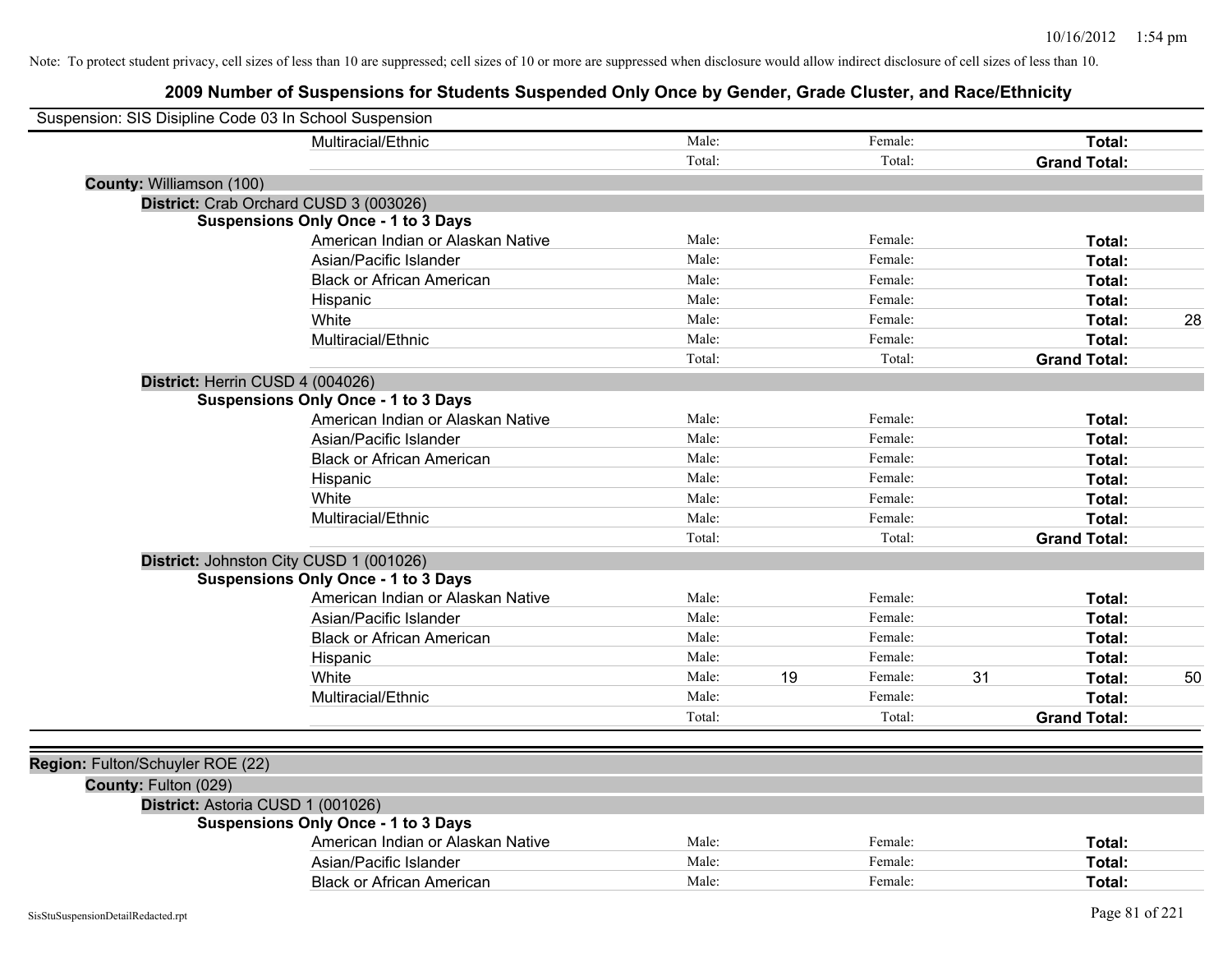| Suspension: SIS Disipline Code 03 In School Suspension |                                            |        |    |         |    |                     |    |
|--------------------------------------------------------|--------------------------------------------|--------|----|---------|----|---------------------|----|
|                                                        | Multiracial/Ethnic                         | Male:  |    | Female: |    | Total:              |    |
|                                                        |                                            | Total: |    | Total:  |    | <b>Grand Total:</b> |    |
| County: Williamson (100)                               |                                            |        |    |         |    |                     |    |
|                                                        | District: Crab Orchard CUSD 3 (003026)     |        |    |         |    |                     |    |
|                                                        | <b>Suspensions Only Once - 1 to 3 Days</b> |        |    |         |    |                     |    |
|                                                        | American Indian or Alaskan Native          | Male:  |    | Female: |    | Total:              |    |
|                                                        | Asian/Pacific Islander                     | Male:  |    | Female: |    | Total:              |    |
|                                                        | <b>Black or African American</b>           | Male:  |    | Female: |    | Total:              |    |
|                                                        | Hispanic                                   | Male:  |    | Female: |    | Total:              |    |
|                                                        | White                                      | Male:  |    | Female: |    | Total:              | 28 |
|                                                        | Multiracial/Ethnic                         | Male:  |    | Female: |    | Total:              |    |
|                                                        |                                            | Total: |    | Total:  |    | <b>Grand Total:</b> |    |
|                                                        | District: Herrin CUSD 4 (004026)           |        |    |         |    |                     |    |
|                                                        | <b>Suspensions Only Once - 1 to 3 Days</b> |        |    |         |    |                     |    |
|                                                        | American Indian or Alaskan Native          | Male:  |    | Female: |    | Total:              |    |
|                                                        | Asian/Pacific Islander                     | Male:  |    | Female: |    | Total:              |    |
|                                                        | <b>Black or African American</b>           | Male:  |    | Female: |    | Total:              |    |
|                                                        | Hispanic                                   | Male:  |    | Female: |    | <b>Total:</b>       |    |
|                                                        | White                                      | Male:  |    | Female: |    | <b>Total:</b>       |    |
|                                                        | Multiracial/Ethnic                         | Male:  |    | Female: |    | Total:              |    |
|                                                        |                                            | Total: |    | Total:  |    | <b>Grand Total:</b> |    |
|                                                        | District: Johnston City CUSD 1 (001026)    |        |    |         |    |                     |    |
|                                                        | <b>Suspensions Only Once - 1 to 3 Days</b> |        |    |         |    |                     |    |
|                                                        | American Indian or Alaskan Native          | Male:  |    | Female: |    | Total:              |    |
|                                                        | Asian/Pacific Islander                     | Male:  |    | Female: |    | Total:              |    |
|                                                        | <b>Black or African American</b>           | Male:  |    | Female: |    | Total:              |    |
|                                                        | Hispanic                                   | Male:  |    | Female: |    | Total:              |    |
|                                                        | White                                      | Male:  | 19 | Female: | 31 | <b>Total:</b>       | 50 |
|                                                        | Multiracial/Ethnic                         | Male:  |    | Female: |    | Total:              |    |
|                                                        |                                            | Total: |    | Total:  |    | <b>Grand Total:</b> |    |
|                                                        |                                            |        |    |         |    |                     |    |
| Region: Fulton/Schuyler ROE (22)                       |                                            |        |    |         |    |                     |    |
| County: Fulton (029)                                   |                                            |        |    |         |    |                     |    |
|                                                        | District: Astoria CUSD 1 (001026)          |        |    |         |    |                     |    |
|                                                        | <b>Suspensions Only Once - 1 to 3 Days</b> |        |    |         |    |                     |    |
|                                                        | American Indian or Alaskan Native          | Male:  |    | Female: |    | Total:              |    |
|                                                        | Asian/Pacific Islander                     | Male:  |    | Female: |    | Total:              |    |
|                                                        | <b>Black or African American</b>           | Male:  |    | Female: |    | Total:              |    |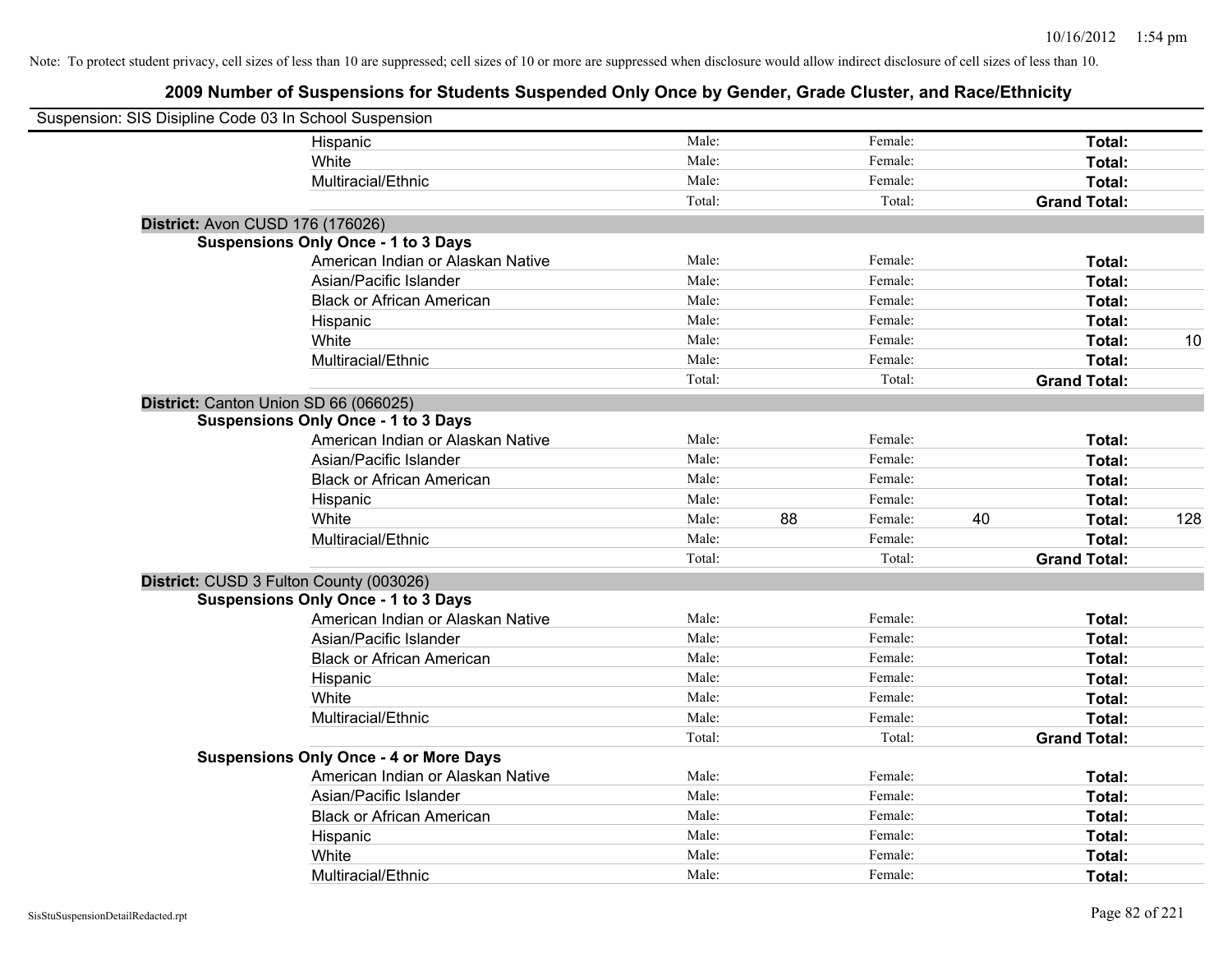| Suspension: SIS Disipline Code 03 In School Suspension |                                               |        |    |         |    |                     |     |
|--------------------------------------------------------|-----------------------------------------------|--------|----|---------|----|---------------------|-----|
|                                                        | Hispanic                                      | Male:  |    | Female: |    | Total:              |     |
|                                                        | White                                         | Male:  |    | Female: |    | Total:              |     |
|                                                        | Multiracial/Ethnic                            | Male:  |    | Female: |    | Total:              |     |
|                                                        |                                               | Total: |    | Total:  |    | <b>Grand Total:</b> |     |
| District: Avon CUSD 176 (176026)                       |                                               |        |    |         |    |                     |     |
|                                                        | <b>Suspensions Only Once - 1 to 3 Days</b>    |        |    |         |    |                     |     |
|                                                        | American Indian or Alaskan Native             | Male:  |    | Female: |    | Total:              |     |
|                                                        | Asian/Pacific Islander                        | Male:  |    | Female: |    | Total:              |     |
|                                                        | <b>Black or African American</b>              | Male:  |    | Female: |    | Total:              |     |
|                                                        | Hispanic                                      | Male:  |    | Female: |    | Total:              |     |
|                                                        | White                                         | Male:  |    | Female: |    | Total:              | 10  |
|                                                        | Multiracial/Ethnic                            | Male:  |    | Female: |    | Total:              |     |
|                                                        |                                               | Total: |    | Total:  |    | <b>Grand Total:</b> |     |
| District: Canton Union SD 66 (066025)                  |                                               |        |    |         |    |                     |     |
|                                                        | <b>Suspensions Only Once - 1 to 3 Days</b>    |        |    |         |    |                     |     |
|                                                        | American Indian or Alaskan Native             | Male:  |    | Female: |    | Total:              |     |
|                                                        | Asian/Pacific Islander                        | Male:  |    | Female: |    | Total:              |     |
|                                                        | <b>Black or African American</b>              | Male:  |    | Female: |    | Total:              |     |
|                                                        | Hispanic                                      | Male:  |    | Female: |    | Total:              |     |
|                                                        | White                                         | Male:  | 88 | Female: | 40 | Total:              | 128 |
|                                                        | Multiracial/Ethnic                            | Male:  |    | Female: |    | Total:              |     |
|                                                        |                                               | Total: |    | Total:  |    | <b>Grand Total:</b> |     |
| District: CUSD 3 Fulton County (003026)                |                                               |        |    |         |    |                     |     |
|                                                        | <b>Suspensions Only Once - 1 to 3 Days</b>    |        |    |         |    |                     |     |
|                                                        | American Indian or Alaskan Native             | Male:  |    | Female: |    | Total:              |     |
|                                                        | Asian/Pacific Islander                        | Male:  |    | Female: |    | Total:              |     |
|                                                        | <b>Black or African American</b>              | Male:  |    | Female: |    | Total:              |     |
|                                                        | Hispanic                                      | Male:  |    | Female: |    | Total:              |     |
|                                                        | White                                         | Male:  |    | Female: |    | Total:              |     |
|                                                        | Multiracial/Ethnic                            | Male:  |    | Female: |    | Total:              |     |
|                                                        |                                               | Total: |    | Total:  |    | <b>Grand Total:</b> |     |
|                                                        | <b>Suspensions Only Once - 4 or More Days</b> |        |    |         |    |                     |     |
|                                                        | American Indian or Alaskan Native             | Male:  |    | Female: |    | Total:              |     |
|                                                        | Asian/Pacific Islander                        | Male:  |    | Female: |    | Total:              |     |
|                                                        | <b>Black or African American</b>              | Male:  |    | Female: |    | Total:              |     |
|                                                        | Hispanic                                      | Male:  |    | Female: |    | Total:              |     |
|                                                        | White                                         | Male:  |    | Female: |    | Total:              |     |
|                                                        | Multiracial/Ethnic                            | Male:  |    | Female: |    | Total:              |     |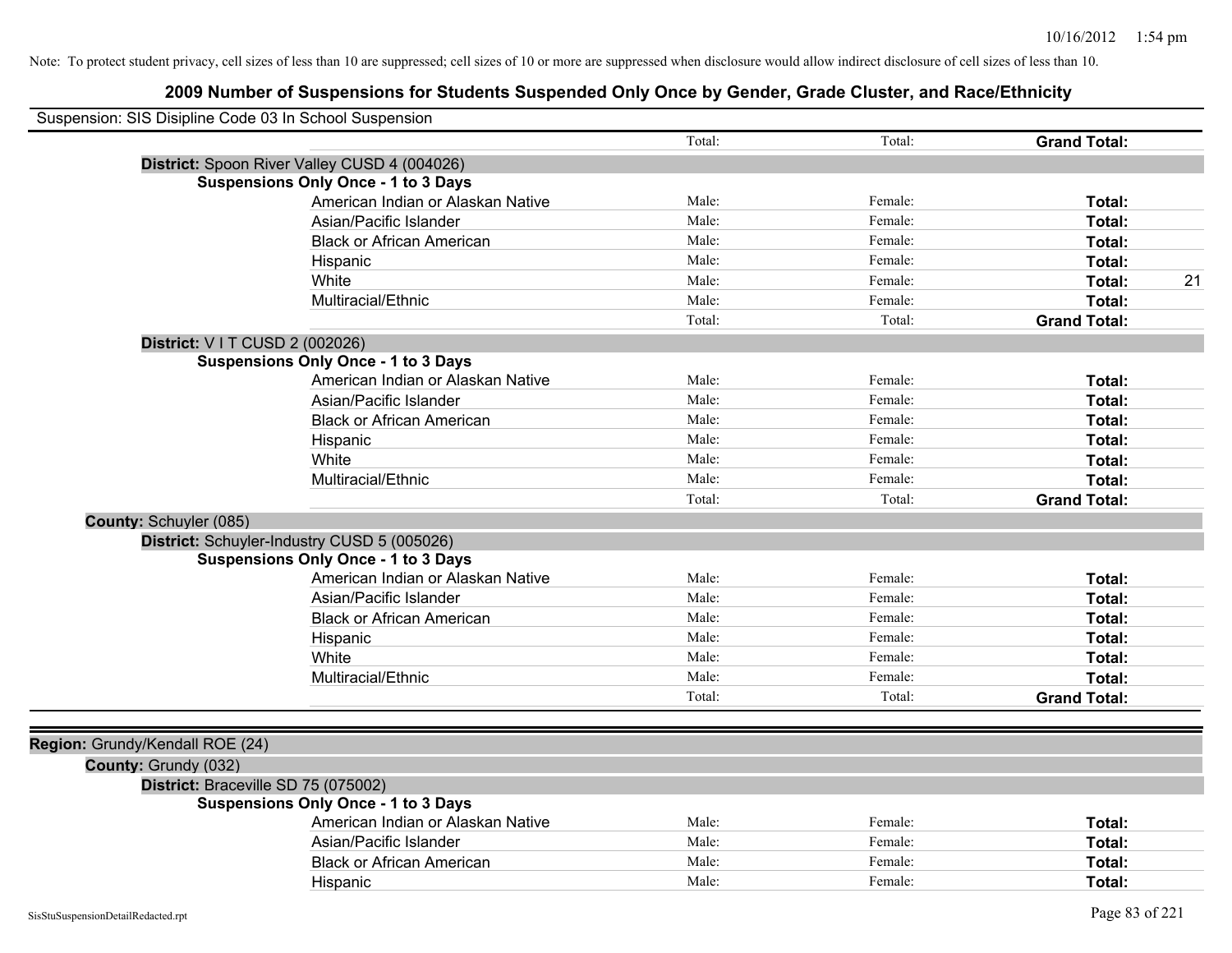| Suspension: SIS Disipline Code 03 In School Suspension |                                              |        |         |                     |
|--------------------------------------------------------|----------------------------------------------|--------|---------|---------------------|
|                                                        |                                              | Total: | Total:  | <b>Grand Total:</b> |
|                                                        | District: Spoon River Valley CUSD 4 (004026) |        |         |                     |
|                                                        | <b>Suspensions Only Once - 1 to 3 Days</b>   |        |         |                     |
|                                                        | American Indian or Alaskan Native            | Male:  | Female: | Total:              |
|                                                        | Asian/Pacific Islander                       | Male:  | Female: | Total:              |
|                                                        | <b>Black or African American</b>             | Male:  | Female: | Total:              |
|                                                        | Hispanic                                     | Male:  | Female: | Total:              |
|                                                        | White                                        | Male:  | Female: | 21<br>Total:        |
|                                                        | Multiracial/Ethnic                           | Male:  | Female: | Total:              |
|                                                        |                                              | Total: | Total:  | <b>Grand Total:</b> |
|                                                        | District: V I T CUSD 2 (002026)              |        |         |                     |
|                                                        | <b>Suspensions Only Once - 1 to 3 Days</b>   |        |         |                     |
|                                                        | American Indian or Alaskan Native            | Male:  | Female: | Total:              |
|                                                        | Asian/Pacific Islander                       | Male:  | Female: | Total:              |
|                                                        | <b>Black or African American</b>             | Male:  | Female: | Total:              |
|                                                        | Hispanic                                     | Male:  | Female: | Total:              |
|                                                        | White                                        | Male:  | Female: | Total:              |
|                                                        | Multiracial/Ethnic                           | Male:  | Female: | Total:              |
|                                                        |                                              | Total: | Total:  | <b>Grand Total:</b> |
| County: Schuyler (085)                                 |                                              |        |         |                     |
|                                                        | District: Schuyler-Industry CUSD 5 (005026)  |        |         |                     |
|                                                        | <b>Suspensions Only Once - 1 to 3 Days</b>   |        |         |                     |
|                                                        | American Indian or Alaskan Native            | Male:  | Female: | Total:              |
|                                                        | Asian/Pacific Islander                       | Male:  | Female: | Total:              |
|                                                        | <b>Black or African American</b>             | Male:  | Female: | Total:              |
|                                                        | Hispanic                                     | Male:  | Female: | Total:              |
|                                                        | White                                        | Male:  | Female: | Total:              |
|                                                        | Multiracial/Ethnic                           | Male:  | Female: | Total:              |
|                                                        |                                              | Total: | Total:  | <b>Grand Total:</b> |
|                                                        |                                              |        |         |                     |
| Region: Grundy/Kendall ROE (24)                        |                                              |        |         |                     |
| County: Grundy (032)                                   |                                              |        |         |                     |
|                                                        | District: Braceville SD 75 (075002)          |        |         |                     |
|                                                        | <b>Suspensions Only Once - 1 to 3 Days</b>   |        |         |                     |
|                                                        | American Indian or Alaskan Native            | Male:  | Female: | Total:              |
|                                                        | Asian/Pacific Islander                       | Male:  | Female: | Total:              |
|                                                        | <b>Black or African American</b>             | Male:  | Female: | Total:              |
|                                                        | Hispanic                                     | Male:  | Female: | Total:              |
|                                                        |                                              |        |         |                     |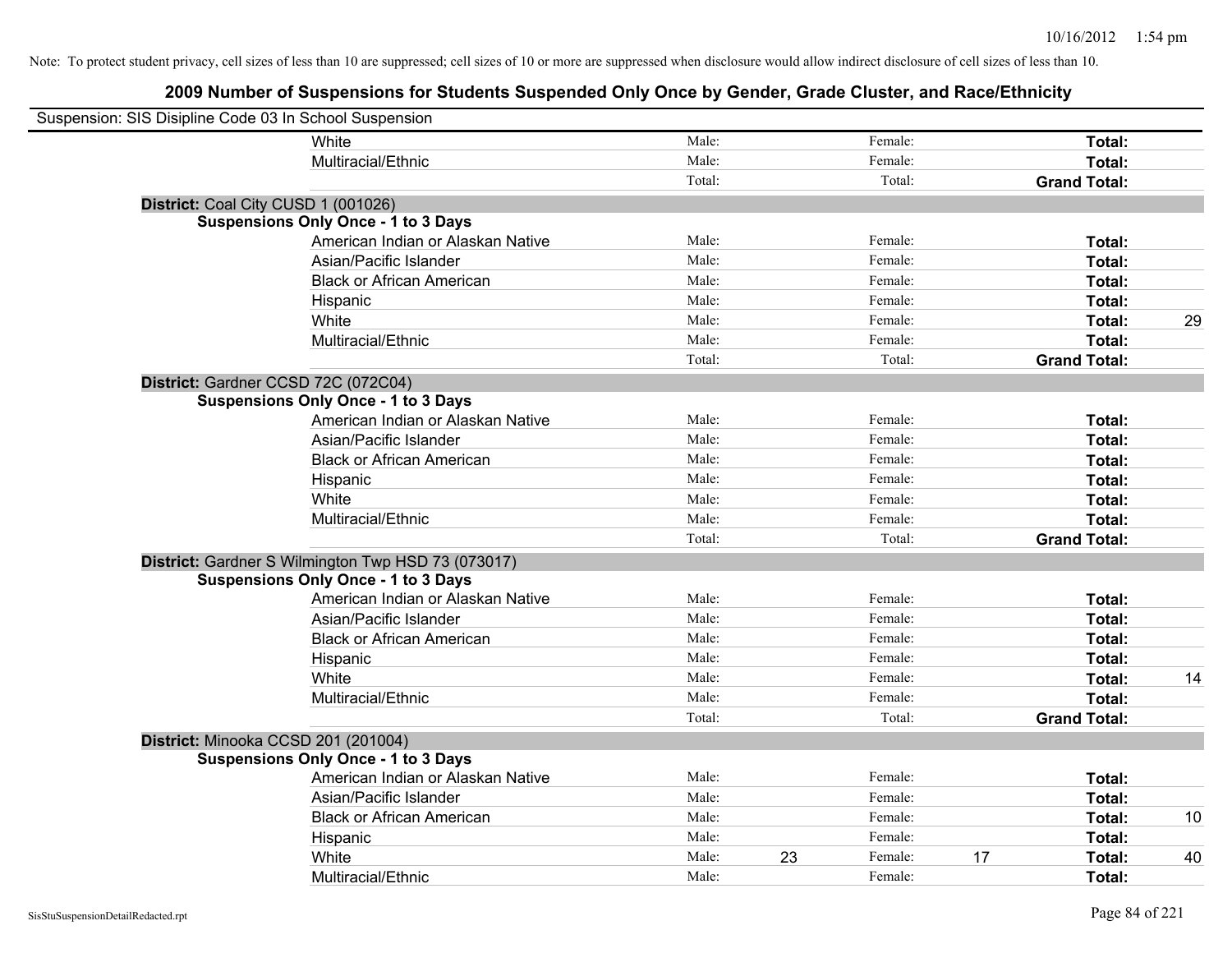| Suspension: SIS Disipline Code 03 In School Suspension |                                                    |        |    |         |    |                     |    |
|--------------------------------------------------------|----------------------------------------------------|--------|----|---------|----|---------------------|----|
|                                                        | White                                              | Male:  |    | Female: |    | Total:              |    |
|                                                        | Multiracial/Ethnic                                 | Male:  |    | Female: |    | Total:              |    |
|                                                        |                                                    | Total: |    | Total:  |    | <b>Grand Total:</b> |    |
| District: Coal City CUSD 1 (001026)                    |                                                    |        |    |         |    |                     |    |
|                                                        | <b>Suspensions Only Once - 1 to 3 Days</b>         |        |    |         |    |                     |    |
|                                                        | American Indian or Alaskan Native                  | Male:  |    | Female: |    | Total:              |    |
|                                                        | Asian/Pacific Islander                             | Male:  |    | Female: |    | Total:              |    |
|                                                        | <b>Black or African American</b>                   | Male:  |    | Female: |    | Total:              |    |
|                                                        | Hispanic                                           | Male:  |    | Female: |    | Total:              |    |
|                                                        | White                                              | Male:  |    | Female: |    | Total:              | 29 |
|                                                        | Multiracial/Ethnic                                 | Male:  |    | Female: |    | Total:              |    |
|                                                        |                                                    | Total: |    | Total:  |    | <b>Grand Total:</b> |    |
| District: Gardner CCSD 72C (072C04)                    |                                                    |        |    |         |    |                     |    |
|                                                        | <b>Suspensions Only Once - 1 to 3 Days</b>         |        |    |         |    |                     |    |
|                                                        | American Indian or Alaskan Native                  | Male:  |    | Female: |    | Total:              |    |
|                                                        | Asian/Pacific Islander                             | Male:  |    | Female: |    | Total:              |    |
|                                                        | <b>Black or African American</b>                   | Male:  |    | Female: |    | Total:              |    |
|                                                        | Hispanic                                           | Male:  |    | Female: |    | Total:              |    |
|                                                        | White                                              | Male:  |    | Female: |    | Total:              |    |
|                                                        | Multiracial/Ethnic                                 | Male:  |    | Female: |    | Total:              |    |
|                                                        |                                                    | Total: |    | Total:  |    | <b>Grand Total:</b> |    |
|                                                        | District: Gardner S Wilmington Twp HSD 73 (073017) |        |    |         |    |                     |    |
|                                                        | <b>Suspensions Only Once - 1 to 3 Days</b>         |        |    |         |    |                     |    |
|                                                        | American Indian or Alaskan Native                  | Male:  |    | Female: |    | Total:              |    |
|                                                        | Asian/Pacific Islander                             | Male:  |    | Female: |    | Total:              |    |
|                                                        | <b>Black or African American</b>                   | Male:  |    | Female: |    | Total:              |    |
|                                                        | Hispanic                                           | Male:  |    | Female: |    | Total:              |    |
|                                                        | White                                              | Male:  |    | Female: |    | Total:              | 14 |
|                                                        | Multiracial/Ethnic                                 | Male:  |    | Female: |    | Total:              |    |
|                                                        |                                                    | Total: |    | Total:  |    | <b>Grand Total:</b> |    |
| District: Minooka CCSD 201 (201004)                    |                                                    |        |    |         |    |                     |    |
|                                                        | <b>Suspensions Only Once - 1 to 3 Days</b>         |        |    |         |    |                     |    |
|                                                        | American Indian or Alaskan Native                  | Male:  |    | Female: |    | Total:              |    |
|                                                        | Asian/Pacific Islander                             | Male:  |    | Female: |    | Total:              |    |
|                                                        | <b>Black or African American</b>                   | Male:  |    | Female: |    | Total:              | 10 |
|                                                        | Hispanic                                           | Male:  |    | Female: |    | Total:              |    |
|                                                        | White                                              | Male:  | 23 | Female: | 17 | Total:              | 40 |
|                                                        | Multiracial/Ethnic                                 | Male:  |    | Female: |    | Total:              |    |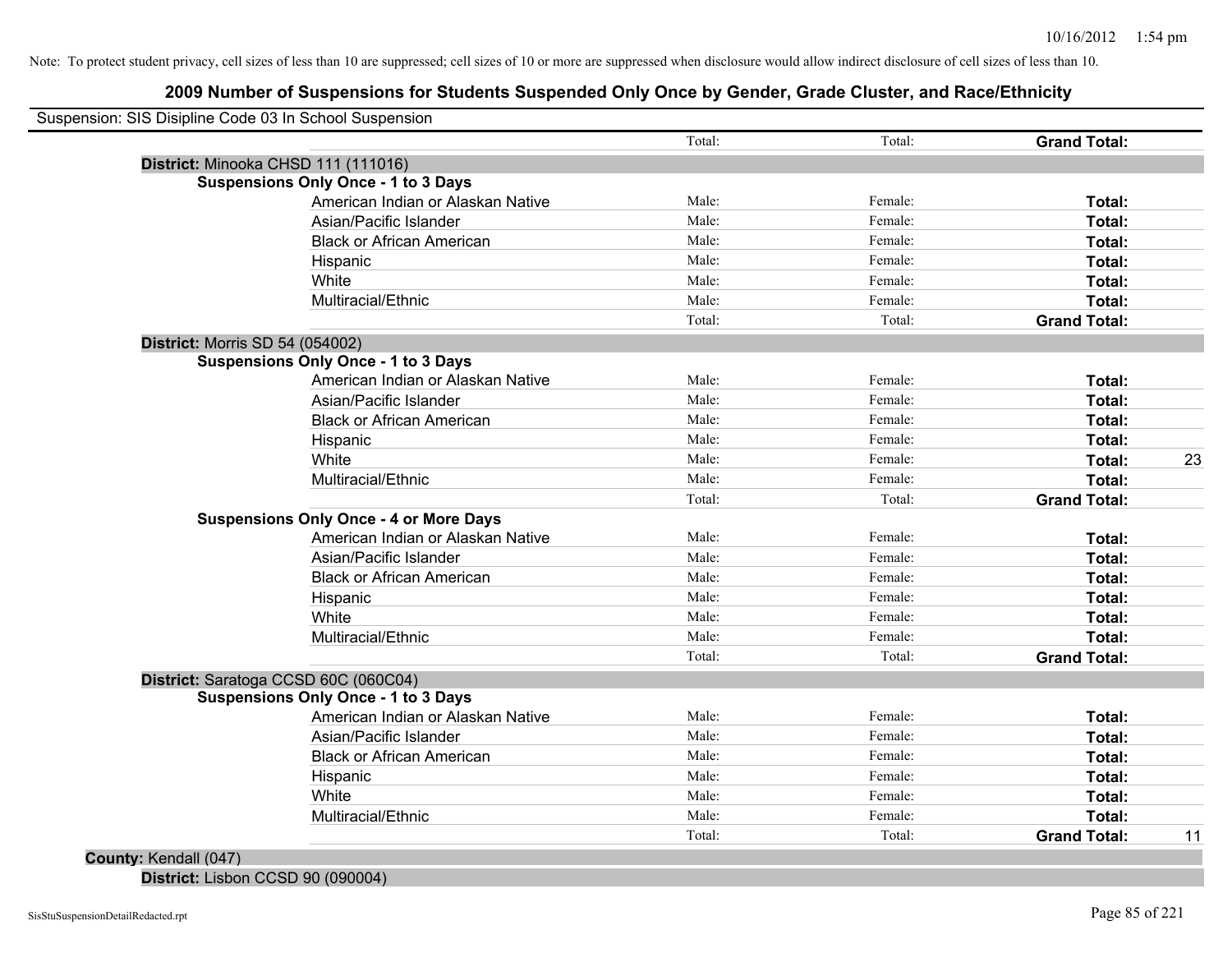## **2009 Number of Suspensions for Students Suspended Only Once by Gender, Grade Cluster, and Race/Ethnicity**

| Suspension: SIS Disipline Code 03 In School Suspension |        |         |                     |    |
|--------------------------------------------------------|--------|---------|---------------------|----|
|                                                        | Total: | Total:  | <b>Grand Total:</b> |    |
| District: Minooka CHSD 111 (111016)                    |        |         |                     |    |
| <b>Suspensions Only Once - 1 to 3 Days</b>             |        |         |                     |    |
| American Indian or Alaskan Native                      | Male:  | Female: | Total:              |    |
| Asian/Pacific Islander                                 | Male:  | Female: | Total:              |    |
| <b>Black or African American</b>                       | Male:  | Female: | Total:              |    |
| Hispanic                                               | Male:  | Female: | Total:              |    |
| White                                                  | Male:  | Female: | Total:              |    |
| Multiracial/Ethnic                                     | Male:  | Female: | Total:              |    |
|                                                        | Total: | Total:  | <b>Grand Total:</b> |    |
| <b>District: Morris SD 54 (054002)</b>                 |        |         |                     |    |
| <b>Suspensions Only Once - 1 to 3 Days</b>             |        |         |                     |    |
| American Indian or Alaskan Native                      | Male:  | Female: | Total:              |    |
| Asian/Pacific Islander                                 | Male:  | Female: | Total:              |    |
| <b>Black or African American</b>                       | Male:  | Female: | Total:              |    |
| Hispanic                                               | Male:  | Female: | Total:              |    |
| White                                                  | Male:  | Female: | Total:              | 23 |
| Multiracial/Ethnic                                     | Male:  | Female: | Total:              |    |
|                                                        | Total: | Total:  | <b>Grand Total:</b> |    |
| <b>Suspensions Only Once - 4 or More Days</b>          |        |         |                     |    |
| American Indian or Alaskan Native                      | Male:  | Female: | Total:              |    |
| Asian/Pacific Islander                                 | Male:  | Female: | Total:              |    |
| <b>Black or African American</b>                       | Male:  | Female: | Total:              |    |
| Hispanic                                               | Male:  | Female: | Total:              |    |
| White                                                  | Male:  | Female: | Total:              |    |
| Multiracial/Ethnic                                     | Male:  | Female: | Total:              |    |
|                                                        | Total: | Total:  | <b>Grand Total:</b> |    |
| District: Saratoga CCSD 60C (060C04)                   |        |         |                     |    |
| <b>Suspensions Only Once - 1 to 3 Days</b>             |        |         |                     |    |
| American Indian or Alaskan Native                      | Male:  | Female: | Total:              |    |
| Asian/Pacific Islander                                 | Male:  | Female: | Total:              |    |
| <b>Black or African American</b>                       | Male:  | Female: | Total:              |    |
| Hispanic                                               | Male:  | Female: | Total:              |    |
| White                                                  | Male:  | Female: | Total:              |    |
| Multiracial/Ethnic                                     | Male:  | Female: | Total:              |    |
|                                                        | Total: | Total:  | <b>Grand Total:</b> | 11 |

**District:** Lisbon CCSD 90 (090004)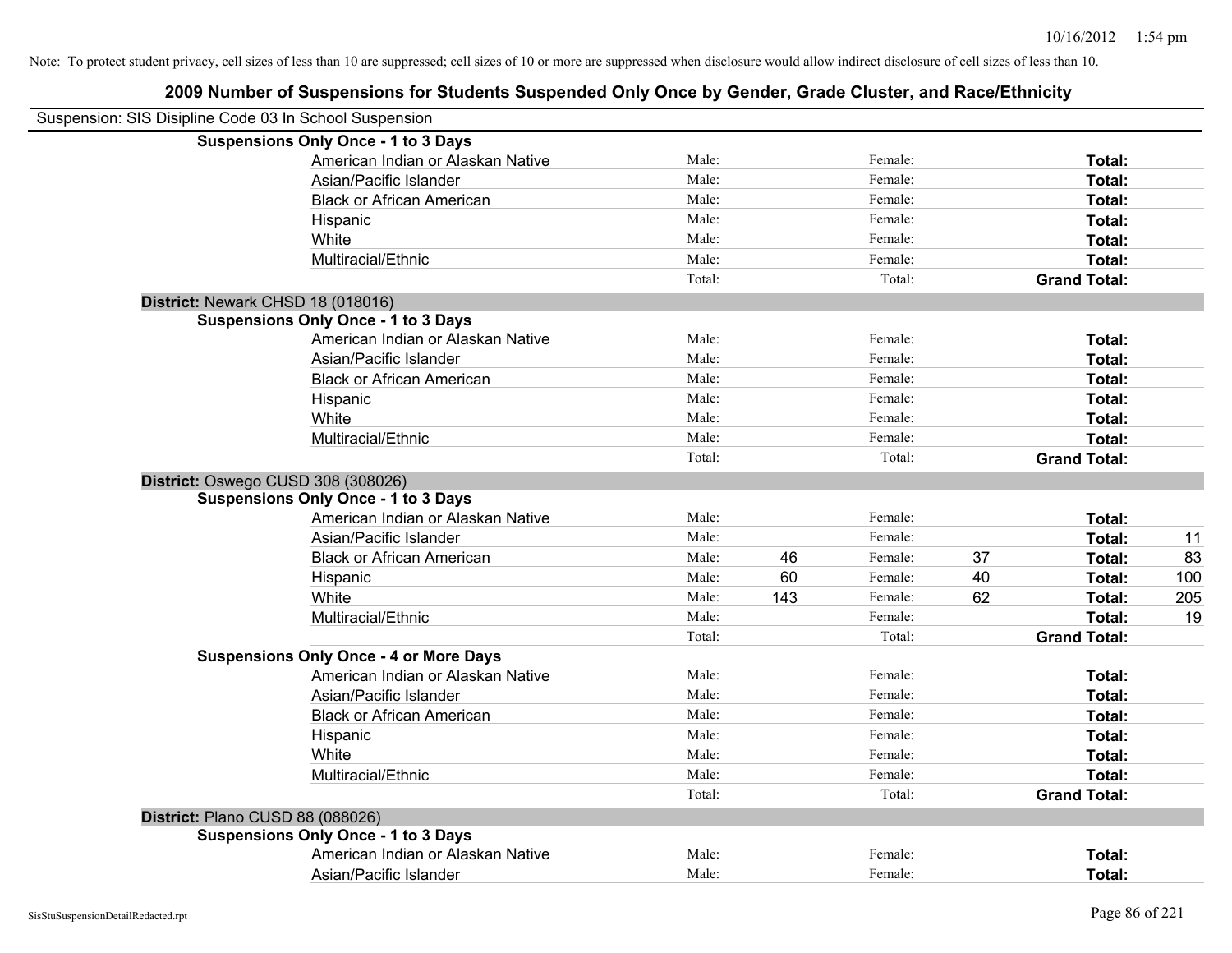| Suspension: SIS Disipline Code 03 In School Suspension |        |     |         |    |                     |     |
|--------------------------------------------------------|--------|-----|---------|----|---------------------|-----|
| <b>Suspensions Only Once - 1 to 3 Days</b>             |        |     |         |    |                     |     |
| American Indian or Alaskan Native                      | Male:  |     | Female: |    | Total:              |     |
| Asian/Pacific Islander                                 | Male:  |     | Female: |    | Total:              |     |
| <b>Black or African American</b>                       | Male:  |     | Female: |    | Total:              |     |
| Hispanic                                               | Male:  |     | Female: |    | Total:              |     |
| White                                                  | Male:  |     | Female: |    | Total:              |     |
| Multiracial/Ethnic                                     | Male:  |     | Female: |    | Total:              |     |
|                                                        | Total: |     | Total:  |    | <b>Grand Total:</b> |     |
| District: Newark CHSD 18 (018016)                      |        |     |         |    |                     |     |
| <b>Suspensions Only Once - 1 to 3 Days</b>             |        |     |         |    |                     |     |
| American Indian or Alaskan Native                      | Male:  |     | Female: |    | Total:              |     |
| Asian/Pacific Islander                                 | Male:  |     | Female: |    | Total:              |     |
| <b>Black or African American</b>                       | Male:  |     | Female: |    | Total:              |     |
| Hispanic                                               | Male:  |     | Female: |    | Total:              |     |
| White                                                  | Male:  |     | Female: |    | Total:              |     |
| Multiracial/Ethnic                                     | Male:  |     | Female: |    | Total:              |     |
|                                                        | Total: |     | Total:  |    | <b>Grand Total:</b> |     |
| District: Oswego CUSD 308 (308026)                     |        |     |         |    |                     |     |
| <b>Suspensions Only Once - 1 to 3 Days</b>             |        |     |         |    |                     |     |
| American Indian or Alaskan Native                      | Male:  |     | Female: |    | Total:              |     |
| Asian/Pacific Islander                                 | Male:  |     | Female: |    | Total:              | 11  |
| <b>Black or African American</b>                       | Male:  | 46  | Female: | 37 | Total:              | 83  |
| Hispanic                                               | Male:  | 60  | Female: | 40 | Total:              | 100 |
| White                                                  | Male:  | 143 | Female: | 62 | Total:              | 205 |
| Multiracial/Ethnic                                     | Male:  |     | Female: |    | Total:              | 19  |
|                                                        | Total: |     | Total:  |    | <b>Grand Total:</b> |     |
| <b>Suspensions Only Once - 4 or More Days</b>          |        |     |         |    |                     |     |
| American Indian or Alaskan Native                      | Male:  |     | Female: |    | Total:              |     |
| Asian/Pacific Islander                                 | Male:  |     | Female: |    | Total:              |     |
| <b>Black or African American</b>                       | Male:  |     | Female: |    | Total:              |     |
| Hispanic                                               | Male:  |     | Female: |    | Total:              |     |
| White                                                  | Male:  |     | Female: |    | Total:              |     |
| Multiracial/Ethnic                                     | Male:  |     | Female: |    | Total:              |     |
|                                                        | Total: |     | Total:  |    | <b>Grand Total:</b> |     |
| District: Plano CUSD 88 (088026)                       |        |     |         |    |                     |     |
| <b>Suspensions Only Once - 1 to 3 Days</b>             |        |     |         |    |                     |     |
| American Indian or Alaskan Native                      | Male:  |     | Female: |    | Total:              |     |
| Asian/Pacific Islander                                 | Male:  |     | Female: |    | Total:              |     |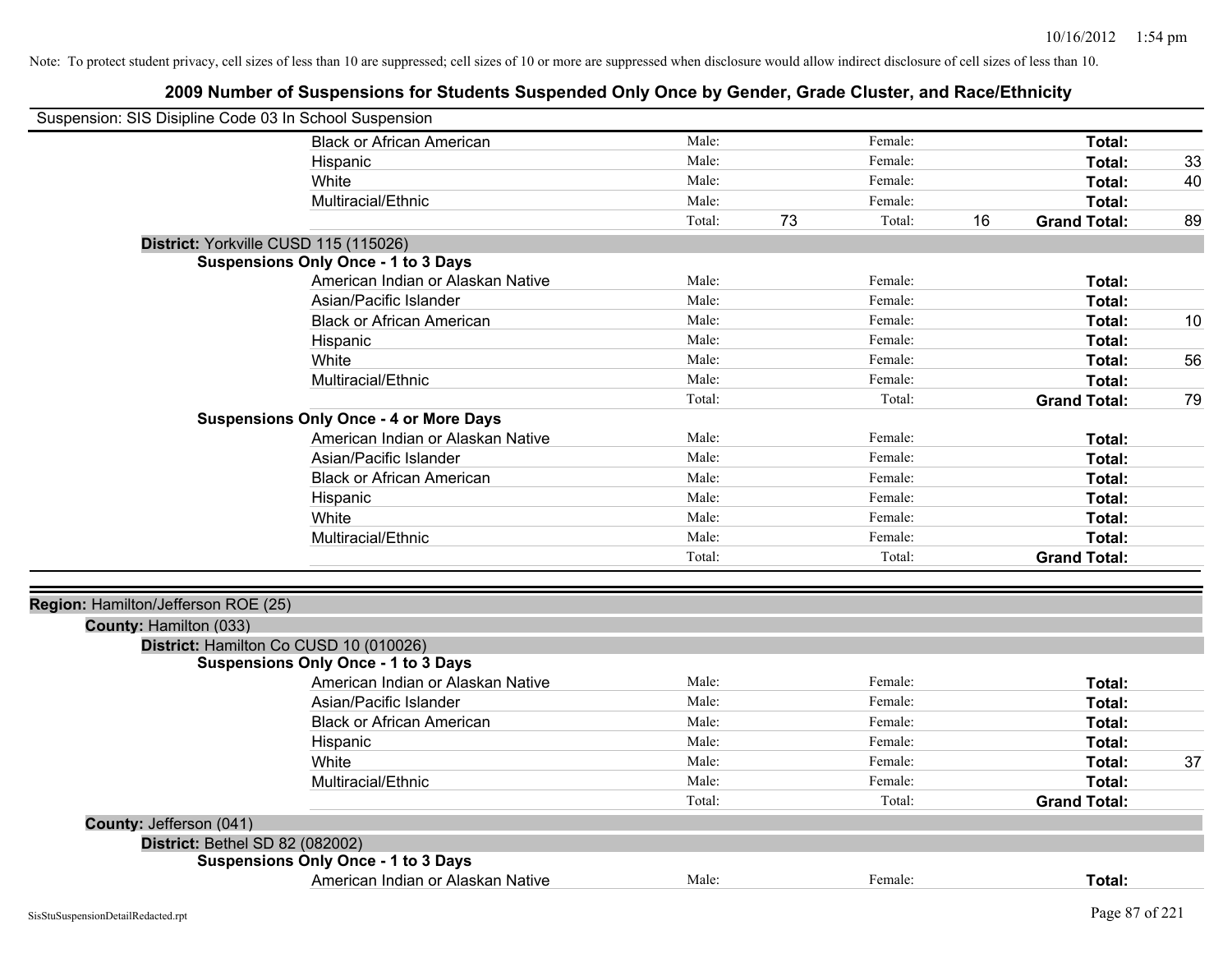| Suspension: SIS Disipline Code 03 In School Suspension |                                               |        |    |         |    |                     |    |
|--------------------------------------------------------|-----------------------------------------------|--------|----|---------|----|---------------------|----|
|                                                        | <b>Black or African American</b>              | Male:  |    | Female: |    | Total:              |    |
|                                                        | Hispanic                                      | Male:  |    | Female: |    | Total:              | 33 |
|                                                        | White                                         | Male:  |    | Female: |    | Total:              | 40 |
|                                                        | Multiracial/Ethnic                            | Male:  |    | Female: |    | Total:              |    |
|                                                        |                                               | Total: | 73 | Total:  | 16 | <b>Grand Total:</b> | 89 |
| District: Yorkville CUSD 115 (115026)                  |                                               |        |    |         |    |                     |    |
|                                                        | <b>Suspensions Only Once - 1 to 3 Days</b>    |        |    |         |    |                     |    |
|                                                        | American Indian or Alaskan Native             | Male:  |    | Female: |    | Total:              |    |
|                                                        | Asian/Pacific Islander                        | Male:  |    | Female: |    | Total:              |    |
|                                                        | <b>Black or African American</b>              | Male:  |    | Female: |    | Total:              | 10 |
|                                                        | Hispanic                                      | Male:  |    | Female: |    | Total:              |    |
|                                                        | White                                         | Male:  |    | Female: |    | Total:              | 56 |
|                                                        | Multiracial/Ethnic                            | Male:  |    | Female: |    | Total:              |    |
|                                                        |                                               | Total: |    | Total:  |    | <b>Grand Total:</b> | 79 |
|                                                        | <b>Suspensions Only Once - 4 or More Days</b> |        |    |         |    |                     |    |
|                                                        | American Indian or Alaskan Native             | Male:  |    | Female: |    | Total:              |    |
|                                                        | Asian/Pacific Islander                        | Male:  |    | Female: |    | Total:              |    |
|                                                        | <b>Black or African American</b>              | Male:  |    | Female: |    | Total:              |    |
|                                                        | Hispanic                                      | Male:  |    | Female: |    | Total:              |    |
|                                                        | White                                         | Male:  |    | Female: |    | Total:              |    |
|                                                        | Multiracial/Ethnic                            | Male:  |    | Female: |    | Total:              |    |
|                                                        |                                               | Total: |    | Total:  |    | <b>Grand Total:</b> |    |
|                                                        |                                               |        |    |         |    |                     |    |
| Region: Hamilton/Jefferson ROE (25)                    |                                               |        |    |         |    |                     |    |
| County: Hamilton (033)                                 |                                               |        |    |         |    |                     |    |
| District: Hamilton Co CUSD 10 (010026)                 |                                               |        |    |         |    |                     |    |
|                                                        | <b>Suspensions Only Once - 1 to 3 Days</b>    |        |    |         |    |                     |    |
|                                                        | American Indian or Alaskan Native             | Male:  |    | Female: |    | Total:              |    |
|                                                        | Asian/Pacific Islander                        | Male:  |    | Female: |    | Total:              |    |
|                                                        | <b>Black or African American</b>              | Male:  |    | Female: |    | Total:              |    |
|                                                        | Hispanic                                      | Male:  |    | Female: |    | Total:              |    |
|                                                        | White                                         | Male:  |    | Female: |    | Total:              | 37 |
|                                                        | Multiracial/Ethnic                            | Male:  |    | Female: |    | Total:              |    |
|                                                        |                                               | Total: |    | Total:  |    | <b>Grand Total:</b> |    |
| County: Jefferson (041)                                |                                               |        |    |         |    |                     |    |
| District: Bethel SD 82 (082002)                        |                                               |        |    |         |    |                     |    |
|                                                        | <b>Suspensions Only Once - 1 to 3 Days</b>    |        |    |         |    |                     |    |
|                                                        | American Indian or Alaskan Native             | Male:  |    | Female: |    | Total:              |    |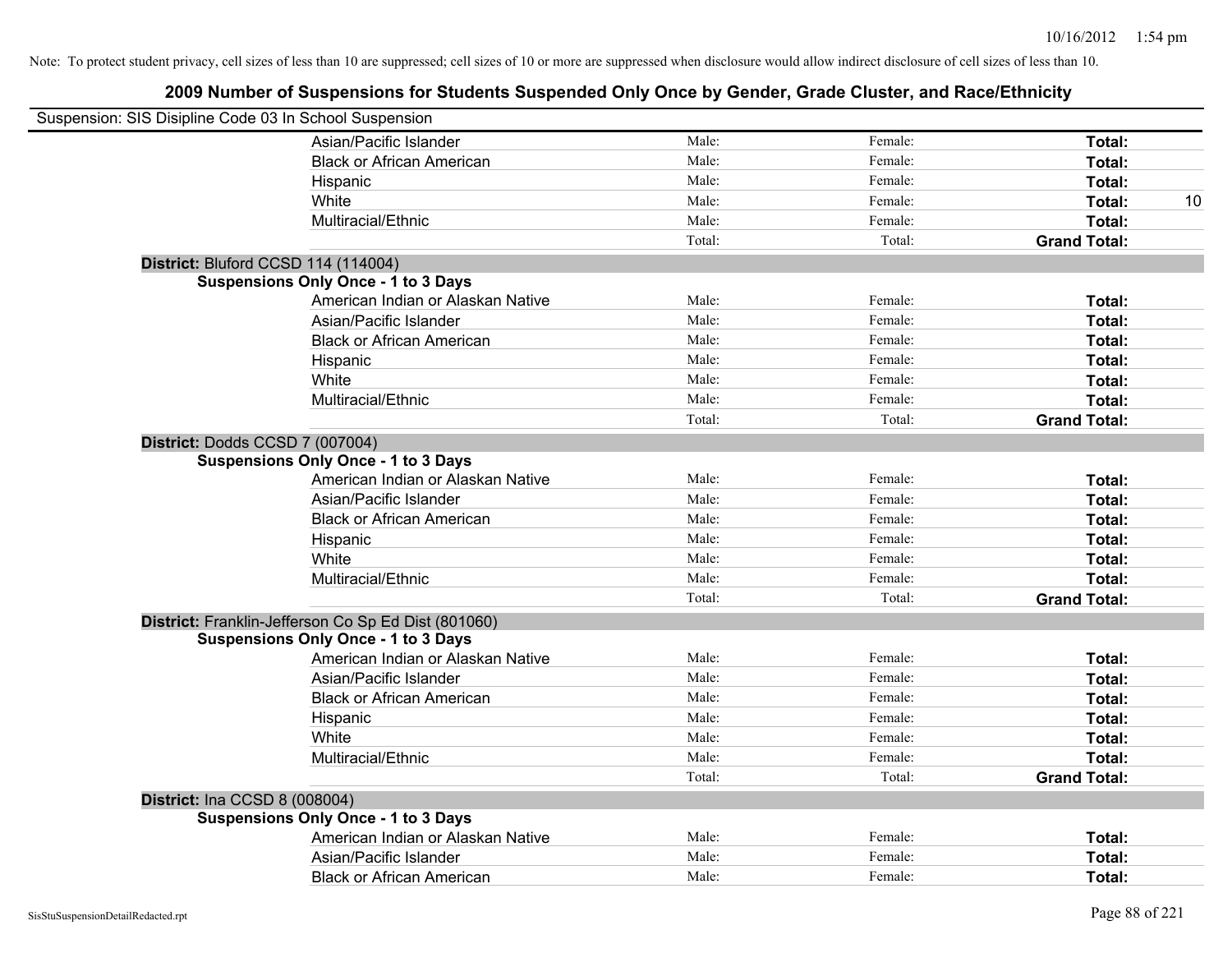| Suspension: SIS Disipline Code 03 In School Suspension |                                                     |        |         |                     |
|--------------------------------------------------------|-----------------------------------------------------|--------|---------|---------------------|
|                                                        | Asian/Pacific Islander                              | Male:  | Female: | Total:              |
|                                                        | <b>Black or African American</b>                    | Male:  | Female: | Total:              |
|                                                        | Hispanic                                            | Male:  | Female: | Total:              |
|                                                        | White                                               | Male:  | Female: | Total:<br>10        |
|                                                        | Multiracial/Ethnic                                  | Male:  | Female: | Total:              |
|                                                        |                                                     | Total: | Total:  | <b>Grand Total:</b> |
| District: Bluford CCSD 114 (114004)                    |                                                     |        |         |                     |
|                                                        | <b>Suspensions Only Once - 1 to 3 Days</b>          |        |         |                     |
|                                                        | American Indian or Alaskan Native                   | Male:  | Female: | Total:              |
|                                                        | Asian/Pacific Islander                              | Male:  | Female: | Total:              |
|                                                        | <b>Black or African American</b>                    | Male:  | Female: | Total:              |
|                                                        | Hispanic                                            | Male:  | Female: | Total:              |
|                                                        | White                                               | Male:  | Female: | Total:              |
|                                                        | Multiracial/Ethnic                                  | Male:  | Female: | Total:              |
|                                                        |                                                     | Total: | Total:  | <b>Grand Total:</b> |
| District: Dodds CCSD 7 (007004)                        |                                                     |        |         |                     |
|                                                        | <b>Suspensions Only Once - 1 to 3 Days</b>          |        |         |                     |
|                                                        | American Indian or Alaskan Native                   | Male:  | Female: | Total:              |
|                                                        | Asian/Pacific Islander                              | Male:  | Female: | Total:              |
|                                                        | <b>Black or African American</b>                    | Male:  | Female: | Total:              |
|                                                        | Hispanic                                            | Male:  | Female: | Total:              |
|                                                        | White                                               | Male:  | Female: | Total:              |
|                                                        | Multiracial/Ethnic                                  | Male:  | Female: | Total:              |
|                                                        |                                                     | Total: | Total:  | <b>Grand Total:</b> |
|                                                        | District: Franklin-Jefferson Co Sp Ed Dist (801060) |        |         |                     |
|                                                        | <b>Suspensions Only Once - 1 to 3 Days</b>          |        |         |                     |
|                                                        | American Indian or Alaskan Native                   | Male:  | Female: | Total:              |
|                                                        | Asian/Pacific Islander                              | Male:  | Female: | Total:              |
|                                                        | <b>Black or African American</b>                    | Male:  | Female: | Total:              |
|                                                        | Hispanic                                            | Male:  | Female: | Total:              |
|                                                        | White                                               | Male:  | Female: | Total:              |
|                                                        | Multiracial/Ethnic                                  | Male:  | Female: | Total:              |
|                                                        |                                                     | Total: | Total:  | <b>Grand Total:</b> |
| <b>District: Ina CCSD 8 (008004)</b>                   |                                                     |        |         |                     |
|                                                        | <b>Suspensions Only Once - 1 to 3 Days</b>          |        |         |                     |
|                                                        | American Indian or Alaskan Native                   | Male:  | Female: | Total:              |
|                                                        | Asian/Pacific Islander                              | Male:  | Female: | Total:              |
|                                                        | <b>Black or African American</b>                    | Male:  | Female: | Total:              |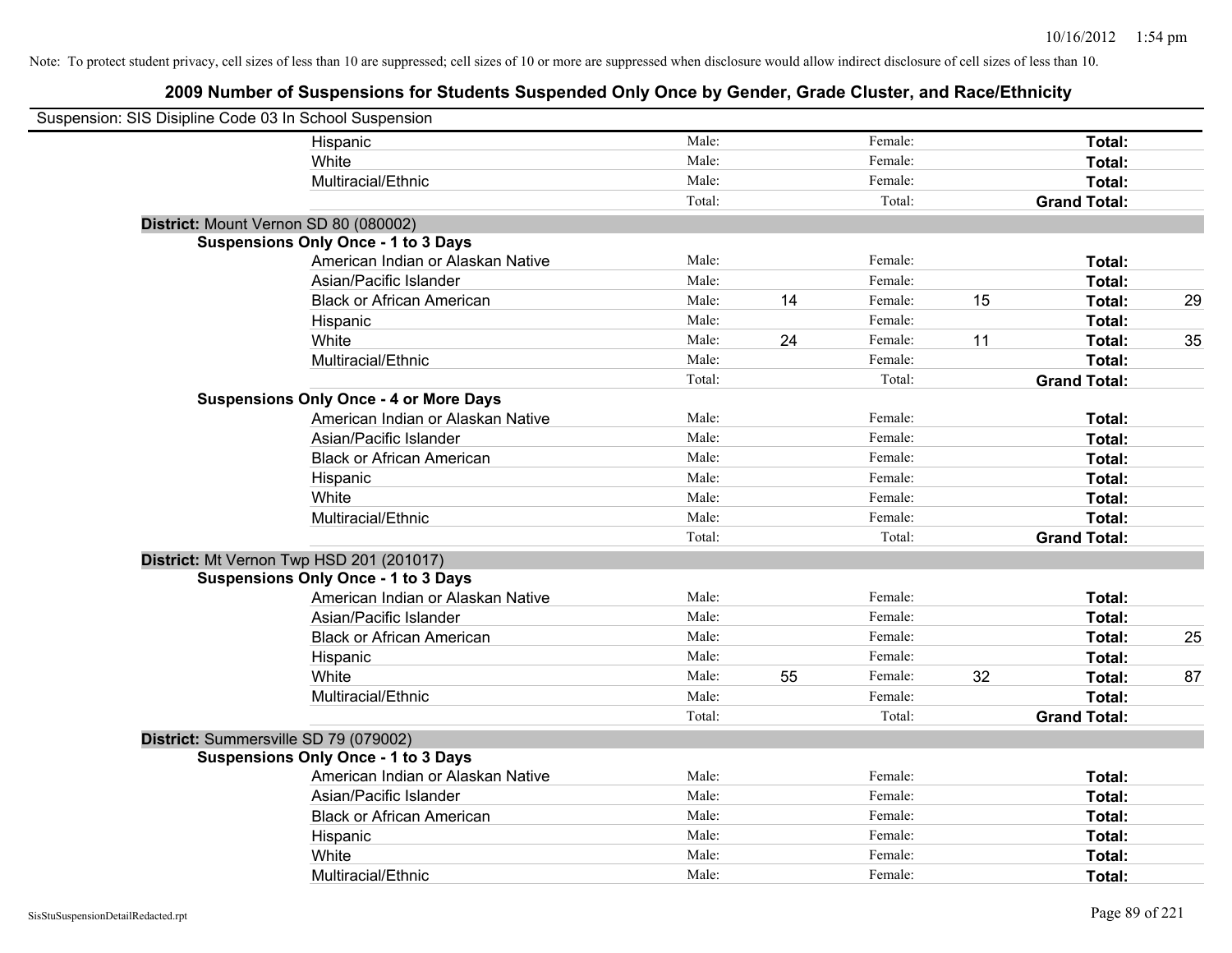| Suspension: SIS Disipline Code 03 In School Suspension |                                               |        |    |         |    |                     |    |
|--------------------------------------------------------|-----------------------------------------------|--------|----|---------|----|---------------------|----|
|                                                        | Hispanic                                      | Male:  |    | Female: |    | Total:              |    |
|                                                        | White                                         | Male:  |    | Female: |    | Total:              |    |
|                                                        | Multiracial/Ethnic                            | Male:  |    | Female: |    | Total:              |    |
|                                                        |                                               | Total: |    | Total:  |    | <b>Grand Total:</b> |    |
| District: Mount Vernon SD 80 (080002)                  |                                               |        |    |         |    |                     |    |
|                                                        | <b>Suspensions Only Once - 1 to 3 Days</b>    |        |    |         |    |                     |    |
|                                                        | American Indian or Alaskan Native             | Male:  |    | Female: |    | Total:              |    |
|                                                        | Asian/Pacific Islander                        | Male:  |    | Female: |    | Total:              |    |
|                                                        | <b>Black or African American</b>              | Male:  | 14 | Female: | 15 | Total:              | 29 |
|                                                        | Hispanic                                      | Male:  |    | Female: |    | Total:              |    |
|                                                        | White                                         | Male:  | 24 | Female: | 11 | Total:              | 35 |
|                                                        | Multiracial/Ethnic                            | Male:  |    | Female: |    | Total:              |    |
|                                                        |                                               | Total: |    | Total:  |    | <b>Grand Total:</b> |    |
|                                                        | <b>Suspensions Only Once - 4 or More Days</b> |        |    |         |    |                     |    |
|                                                        | American Indian or Alaskan Native             | Male:  |    | Female: |    | Total:              |    |
|                                                        | Asian/Pacific Islander                        | Male:  |    | Female: |    | Total:              |    |
|                                                        | <b>Black or African American</b>              | Male:  |    | Female: |    | Total:              |    |
|                                                        | Hispanic                                      | Male:  |    | Female: |    | Total:              |    |
|                                                        | White                                         | Male:  |    | Female: |    | Total:              |    |
|                                                        | Multiracial/Ethnic                            | Male:  |    | Female: |    | Total:              |    |
|                                                        |                                               | Total: |    | Total:  |    | <b>Grand Total:</b> |    |
|                                                        | District: Mt Vernon Twp HSD 201 (201017)      |        |    |         |    |                     |    |
|                                                        | <b>Suspensions Only Once - 1 to 3 Days</b>    |        |    |         |    |                     |    |
|                                                        | American Indian or Alaskan Native             | Male:  |    | Female: |    | Total:              |    |
|                                                        | Asian/Pacific Islander                        | Male:  |    | Female: |    | Total:              |    |
|                                                        | <b>Black or African American</b>              | Male:  |    | Female: |    | Total:              | 25 |
|                                                        | Hispanic                                      | Male:  |    | Female: |    | Total:              |    |
|                                                        | White                                         | Male:  | 55 | Female: | 32 | Total:              | 87 |
|                                                        | Multiracial/Ethnic                            | Male:  |    | Female: |    | Total:              |    |
|                                                        |                                               | Total: |    | Total:  |    | <b>Grand Total:</b> |    |
| District: Summersville SD 79 (079002)                  |                                               |        |    |         |    |                     |    |
|                                                        | <b>Suspensions Only Once - 1 to 3 Days</b>    |        |    |         |    |                     |    |
|                                                        | American Indian or Alaskan Native             | Male:  |    | Female: |    | Total:              |    |
|                                                        | Asian/Pacific Islander                        | Male:  |    | Female: |    | Total:              |    |
|                                                        | <b>Black or African American</b>              | Male:  |    | Female: |    | Total:              |    |
|                                                        | Hispanic                                      | Male:  |    | Female: |    | Total:              |    |
|                                                        | White                                         | Male:  |    | Female: |    | Total:              |    |
|                                                        | Multiracial/Ethnic                            | Male:  |    | Female: |    | Total:              |    |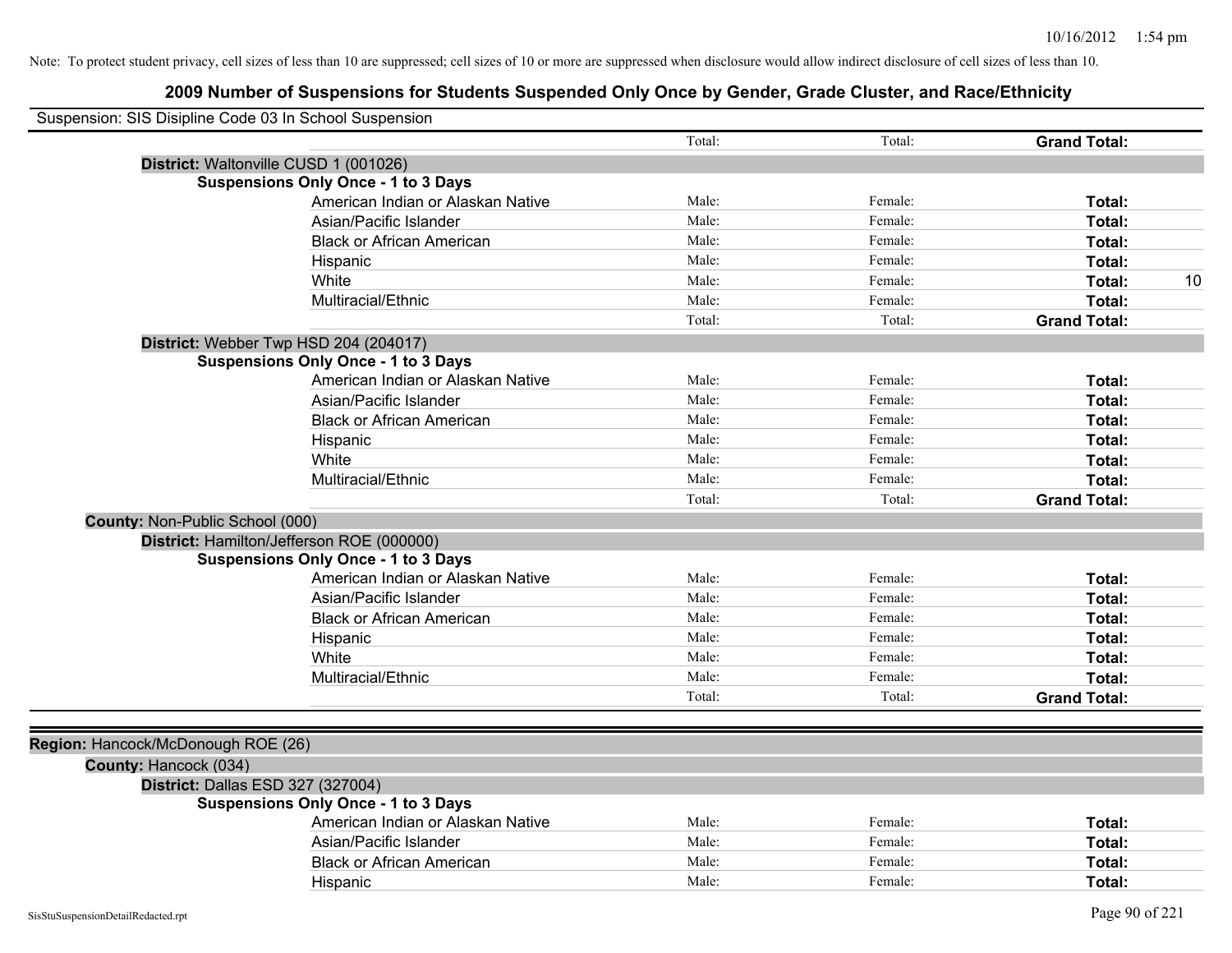|                                    | Suspension: SIS Disipline Code 03 In School Suspension |        |         |                     |
|------------------------------------|--------------------------------------------------------|--------|---------|---------------------|
|                                    |                                                        | Total: | Total:  | <b>Grand Total:</b> |
|                                    | District: Waltonville CUSD 1 (001026)                  |        |         |                     |
|                                    | <b>Suspensions Only Once - 1 to 3 Days</b>             |        |         |                     |
|                                    | American Indian or Alaskan Native                      | Male:  | Female: | Total:              |
|                                    | Asian/Pacific Islander                                 | Male:  | Female: | Total:              |
|                                    | <b>Black or African American</b>                       | Male:  | Female: | <b>Total:</b>       |
|                                    | Hispanic                                               | Male:  | Female: | <b>Total:</b>       |
|                                    | White                                                  | Male:  | Female: | 10<br>Total:        |
|                                    | Multiracial/Ethnic                                     | Male:  | Female: | Total:              |
|                                    |                                                        | Total: | Total:  | <b>Grand Total:</b> |
|                                    | District: Webber Twp HSD 204 (204017)                  |        |         |                     |
|                                    | <b>Suspensions Only Once - 1 to 3 Days</b>             |        |         |                     |
|                                    | American Indian or Alaskan Native                      | Male:  | Female: | Total:              |
|                                    | Asian/Pacific Islander                                 | Male:  | Female: | Total:              |
|                                    | <b>Black or African American</b>                       | Male:  | Female: | Total:              |
|                                    | Hispanic                                               | Male:  | Female: | Total:              |
|                                    | White                                                  | Male:  | Female: | Total:              |
|                                    | Multiracial/Ethnic                                     | Male:  | Female: | Total:              |
|                                    |                                                        | Total: | Total:  | <b>Grand Total:</b> |
|                                    | <b>County: Non-Public School (000)</b>                 |        |         |                     |
|                                    | District: Hamilton/Jefferson ROE (000000)              |        |         |                     |
|                                    | <b>Suspensions Only Once - 1 to 3 Days</b>             |        |         |                     |
|                                    | American Indian or Alaskan Native                      | Male:  | Female: | Total:              |
|                                    | Asian/Pacific Islander                                 | Male:  | Female: | Total:              |
|                                    | <b>Black or African American</b>                       | Male:  | Female: | Total:              |
|                                    | Hispanic                                               | Male:  | Female: | <b>Total:</b>       |
|                                    | White                                                  | Male:  | Female: | Total:              |
|                                    | Multiracial/Ethnic                                     | Male:  | Female: | Total:              |
|                                    |                                                        | Total: | Total:  | <b>Grand Total:</b> |
|                                    |                                                        |        |         |                     |
| Region: Hancock/McDonough ROE (26) |                                                        |        |         |                     |
| County: Hancock (034)              |                                                        |        |         |                     |
|                                    | District: Dallas ESD 327 (327004)                      |        |         |                     |
|                                    | <b>Suspensions Only Once - 1 to 3 Days</b>             |        |         |                     |
|                                    | American Indian or Alaskan Native                      | Male:  | Female: | Total:              |
|                                    | Asian/Pacific Islander                                 | Male:  | Female: | Total:              |
|                                    | <b>Black or African American</b>                       | Male:  | Female: | <b>Total:</b>       |
|                                    | Hispanic                                               | Male:  | Female: | Total:              |
|                                    |                                                        |        |         |                     |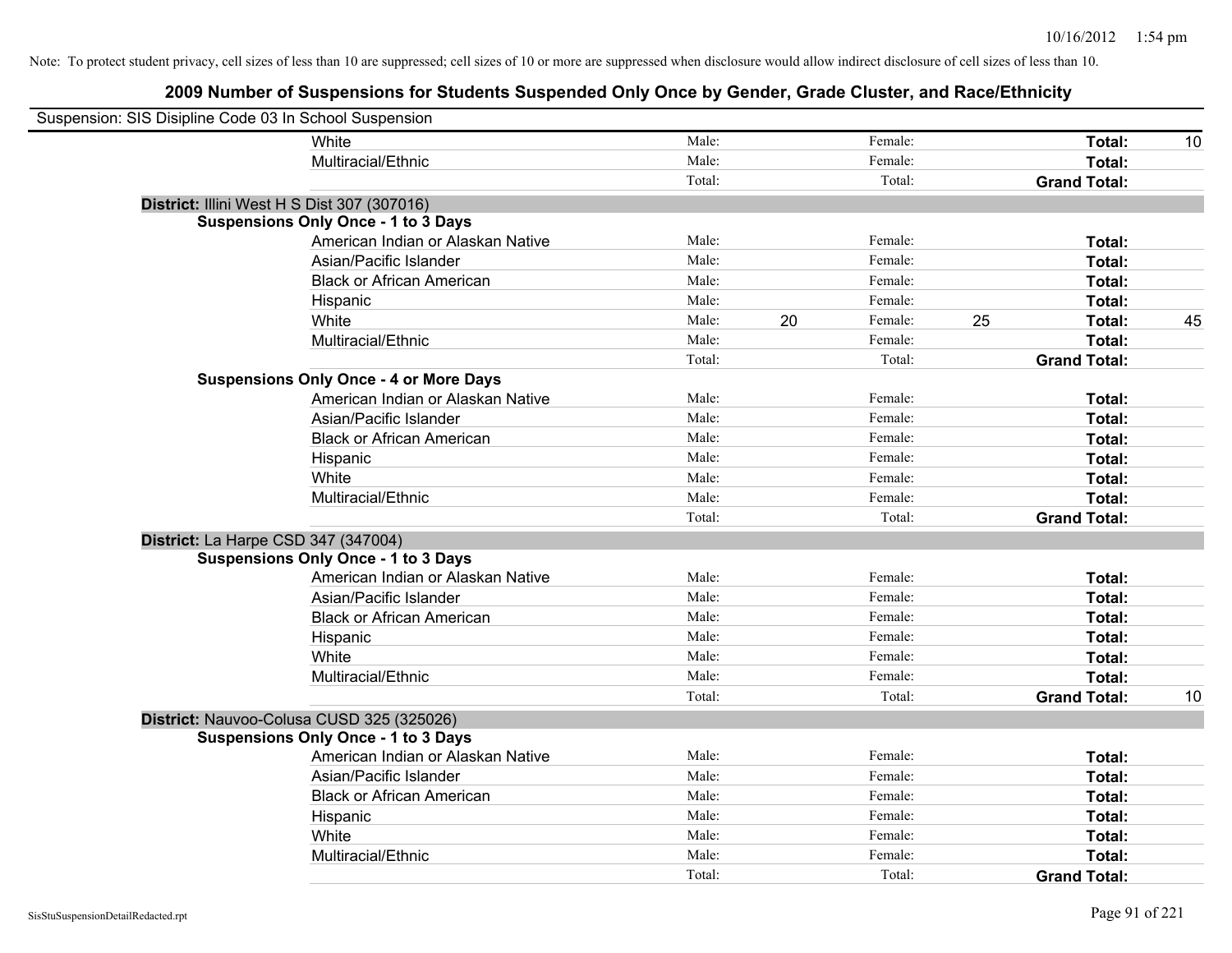| Suspension: SIS Disipline Code 03 In School Suspension |                                               |        |               |        |                     |    |
|--------------------------------------------------------|-----------------------------------------------|--------|---------------|--------|---------------------|----|
|                                                        | White                                         | Male:  | Female:       |        | Total:              | 10 |
|                                                        | Multiracial/Ethnic                            | Male:  | Female:       |        | Total:              |    |
|                                                        |                                               | Total: |               | Total: | <b>Grand Total:</b> |    |
| District: Illini West H S Dist 307 (307016)            |                                               |        |               |        |                     |    |
|                                                        | <b>Suspensions Only Once - 1 to 3 Days</b>    |        |               |        |                     |    |
|                                                        | American Indian or Alaskan Native             | Male:  | Female:       |        | Total:              |    |
|                                                        | Asian/Pacific Islander                        | Male:  | Female:       |        | Total:              |    |
|                                                        | <b>Black or African American</b>              | Male:  | Female:       |        | Total:              |    |
|                                                        | Hispanic                                      | Male:  | Female:       |        | Total:              |    |
|                                                        | White                                         | Male:  | 20<br>Female: | 25     | Total:              | 45 |
|                                                        | Multiracial/Ethnic                            | Male:  | Female:       |        | Total:              |    |
|                                                        |                                               | Total: |               | Total: | <b>Grand Total:</b> |    |
|                                                        | <b>Suspensions Only Once - 4 or More Days</b> |        |               |        |                     |    |
|                                                        | American Indian or Alaskan Native             | Male:  | Female:       |        | Total:              |    |
|                                                        | Asian/Pacific Islander                        | Male:  | Female:       |        | Total:              |    |
|                                                        | <b>Black or African American</b>              | Male:  | Female:       |        | Total:              |    |
|                                                        | Hispanic                                      | Male:  | Female:       |        | Total:              |    |
|                                                        | White                                         | Male:  | Female:       |        | Total:              |    |
|                                                        | Multiracial/Ethnic                            | Male:  | Female:       |        | Total:              |    |
|                                                        |                                               | Total: |               | Total: | <b>Grand Total:</b> |    |
| District: La Harpe CSD 347 (347004)                    |                                               |        |               |        |                     |    |
|                                                        | <b>Suspensions Only Once - 1 to 3 Days</b>    |        |               |        |                     |    |
|                                                        | American Indian or Alaskan Native             | Male:  | Female:       |        | Total:              |    |
|                                                        | Asian/Pacific Islander                        | Male:  | Female:       |        | Total:              |    |
|                                                        | <b>Black or African American</b>              | Male:  | Female:       |        | Total:              |    |
|                                                        | Hispanic                                      | Male:  | Female:       |        | Total:              |    |
|                                                        | White                                         | Male:  | Female:       |        | Total:              |    |
|                                                        | Multiracial/Ethnic                            | Male:  | Female:       |        | Total:              |    |
|                                                        |                                               | Total: |               | Total: | <b>Grand Total:</b> | 10 |
| District: Nauvoo-Colusa CUSD 325 (325026)              |                                               |        |               |        |                     |    |
|                                                        | <b>Suspensions Only Once - 1 to 3 Days</b>    |        |               |        |                     |    |
|                                                        | American Indian or Alaskan Native             | Male:  | Female:       |        | Total:              |    |
|                                                        | Asian/Pacific Islander                        | Male:  | Female:       |        | Total:              |    |
|                                                        | <b>Black or African American</b>              | Male:  | Female:       |        | Total:              |    |
|                                                        | Hispanic                                      | Male:  | Female:       |        | Total:              |    |
|                                                        | White                                         | Male:  | Female:       |        | Total:              |    |
|                                                        | Multiracial/Ethnic                            | Male:  | Female:       |        | Total:              |    |
|                                                        |                                               | Total: |               | Total: | <b>Grand Total:</b> |    |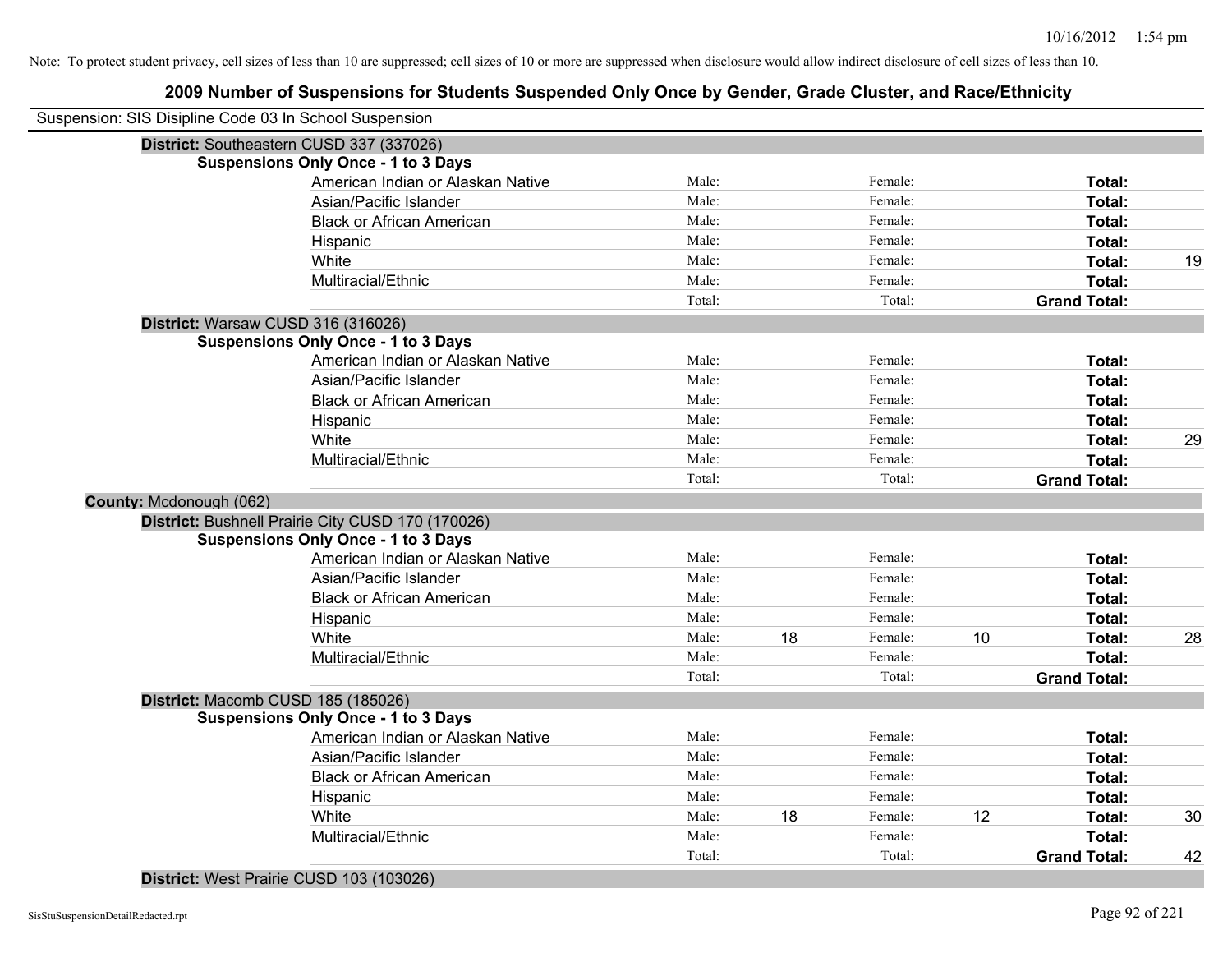| Suspension: SIS Disipline Code 03 In School Suspension |        |    |         |    |                     |    |
|--------------------------------------------------------|--------|----|---------|----|---------------------|----|
| District: Southeastern CUSD 337 (337026)               |        |    |         |    |                     |    |
| <b>Suspensions Only Once - 1 to 3 Days</b>             |        |    |         |    |                     |    |
| American Indian or Alaskan Native                      | Male:  |    | Female: |    | Total:              |    |
| Asian/Pacific Islander                                 | Male:  |    | Female: |    | Total:              |    |
| <b>Black or African American</b>                       | Male:  |    | Female: |    | Total:              |    |
| Hispanic                                               | Male:  |    | Female: |    | Total:              |    |
| White                                                  | Male:  |    | Female: |    | Total:              | 19 |
| Multiracial/Ethnic                                     | Male:  |    | Female: |    | Total:              |    |
|                                                        | Total: |    | Total:  |    | <b>Grand Total:</b> |    |
| District: Warsaw CUSD 316 (316026)                     |        |    |         |    |                     |    |
| <b>Suspensions Only Once - 1 to 3 Days</b>             |        |    |         |    |                     |    |
| American Indian or Alaskan Native                      | Male:  |    | Female: |    | Total:              |    |
| Asian/Pacific Islander                                 | Male:  |    | Female: |    | Total:              |    |
| <b>Black or African American</b>                       | Male:  |    | Female: |    | Total:              |    |
| Hispanic                                               | Male:  |    | Female: |    | Total:              |    |
| White                                                  | Male:  |    | Female: |    | Total:              | 29 |
| Multiracial/Ethnic                                     | Male:  |    | Female: |    | Total:              |    |
|                                                        | Total: |    | Total:  |    | <b>Grand Total:</b> |    |
| County: Mcdonough (062)                                |        |    |         |    |                     |    |
| District: Bushnell Prairie City CUSD 170 (170026)      |        |    |         |    |                     |    |
| <b>Suspensions Only Once - 1 to 3 Days</b>             |        |    |         |    |                     |    |
| American Indian or Alaskan Native                      | Male:  |    | Female: |    | Total:              |    |
| Asian/Pacific Islander                                 | Male:  |    | Female: |    | Total:              |    |
| <b>Black or African American</b>                       | Male:  |    | Female: |    | Total:              |    |
| Hispanic                                               | Male:  |    | Female: |    | Total:              |    |
| White                                                  | Male:  | 18 | Female: | 10 | Total:              | 28 |
| Multiracial/Ethnic                                     | Male:  |    | Female: |    | <b>Total:</b>       |    |
|                                                        | Total: |    | Total:  |    | <b>Grand Total:</b> |    |
| District: Macomb CUSD 185 (185026)                     |        |    |         |    |                     |    |
| <b>Suspensions Only Once - 1 to 3 Days</b>             |        |    |         |    |                     |    |
| American Indian or Alaskan Native                      | Male:  |    | Female: |    | Total:              |    |
| Asian/Pacific Islander                                 | Male:  |    | Female: |    | Total:              |    |
| <b>Black or African American</b>                       | Male:  |    | Female: |    | Total:              |    |
| Hispanic                                               | Male:  |    | Female: |    | Total:              |    |
| White                                                  | Male:  | 18 | Female: | 12 | Total:              | 30 |
| Multiracial/Ethnic                                     | Male:  |    | Female: |    | Total:              |    |
|                                                        | Total: |    | Total:  |    | <b>Grand Total:</b> | 42 |
|                                                        |        |    |         |    |                     |    |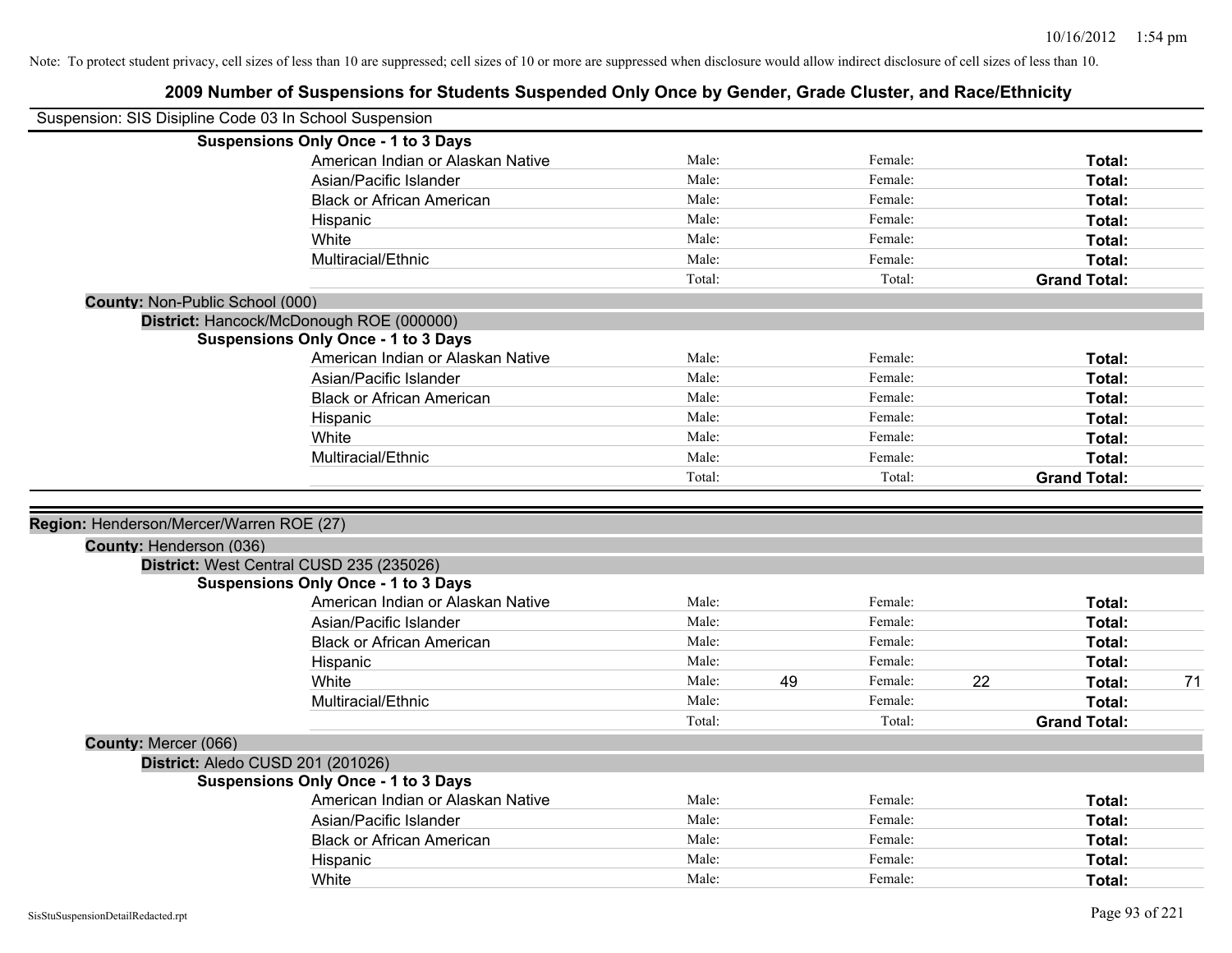|                                          | Suspension: SIS Disipline Code 03 In School Suspension |        |    |         |    |                     |    |
|------------------------------------------|--------------------------------------------------------|--------|----|---------|----|---------------------|----|
|                                          | <b>Suspensions Only Once - 1 to 3 Days</b>             |        |    |         |    |                     |    |
|                                          | American Indian or Alaskan Native                      | Male:  |    | Female: |    | Total:              |    |
|                                          | Asian/Pacific Islander                                 | Male:  |    | Female: |    | Total:              |    |
|                                          | <b>Black or African American</b>                       | Male:  |    | Female: |    | Total:              |    |
|                                          | Hispanic                                               | Male:  |    | Female: |    | Total:              |    |
|                                          | White                                                  | Male:  |    | Female: |    | Total:              |    |
|                                          | Multiracial/Ethnic                                     | Male:  |    | Female: |    | Total:              |    |
|                                          |                                                        | Total: |    | Total:  |    | <b>Grand Total:</b> |    |
| County: Non-Public School (000)          |                                                        |        |    |         |    |                     |    |
|                                          | District: Hancock/McDonough ROE (000000)               |        |    |         |    |                     |    |
|                                          | <b>Suspensions Only Once - 1 to 3 Days</b>             |        |    |         |    |                     |    |
|                                          | American Indian or Alaskan Native                      | Male:  |    | Female: |    | Total:              |    |
|                                          | Asian/Pacific Islander                                 | Male:  |    | Female: |    | Total:              |    |
|                                          | <b>Black or African American</b>                       | Male:  |    | Female: |    | Total:              |    |
|                                          | Hispanic                                               | Male:  |    | Female: |    | Total:              |    |
|                                          | White                                                  | Male:  |    | Female: |    | Total:              |    |
|                                          | Multiracial/Ethnic                                     | Male:  |    | Female: |    | Total:              |    |
|                                          |                                                        | Total: |    | Total:  |    | <b>Grand Total:</b> |    |
| Region: Henderson/Mercer/Warren ROE (27) |                                                        |        |    |         |    |                     |    |
| County: Henderson (036)                  |                                                        |        |    |         |    |                     |    |
|                                          | District: West Central CUSD 235 (235026)               |        |    |         |    |                     |    |
|                                          | <b>Suspensions Only Once - 1 to 3 Days</b>             | Male:  |    | Female: |    |                     |    |
|                                          | American Indian or Alaskan Native                      | Male:  |    |         |    | Total:              |    |
|                                          | Asian/Pacific Islander                                 | Male:  |    | Female: |    | Total:              |    |
|                                          | <b>Black or African American</b>                       | Male:  |    | Female: |    | Total:              |    |
|                                          | Hispanic                                               |        |    | Female: |    | Total:              |    |
|                                          | White                                                  | Male:  | 49 | Female: | 22 | Total:              | 71 |
|                                          | Multiracial/Ethnic                                     | Male:  |    | Female: |    | Total:              |    |
|                                          |                                                        | Total: |    | Total:  |    | <b>Grand Total:</b> |    |
| County: Mercer (066)                     |                                                        |        |    |         |    |                     |    |
|                                          | District: Aledo CUSD 201 (201026)                      |        |    |         |    |                     |    |
|                                          | <b>Suspensions Only Once - 1 to 3 Days</b>             |        |    |         |    |                     |    |
|                                          | American Indian or Alaskan Native                      | Male:  |    | Female: |    | Total:              |    |
|                                          | Asian/Pacific Islander                                 | Male:  |    | Female: |    | Total:              |    |
|                                          | <b>Black or African American</b>                       | Male:  |    | Female: |    | Total:              |    |
|                                          | Hispanic                                               | Male:  |    | Female: |    | Total:              |    |
|                                          | White                                                  | Male:  |    | Female: |    | Total:              |    |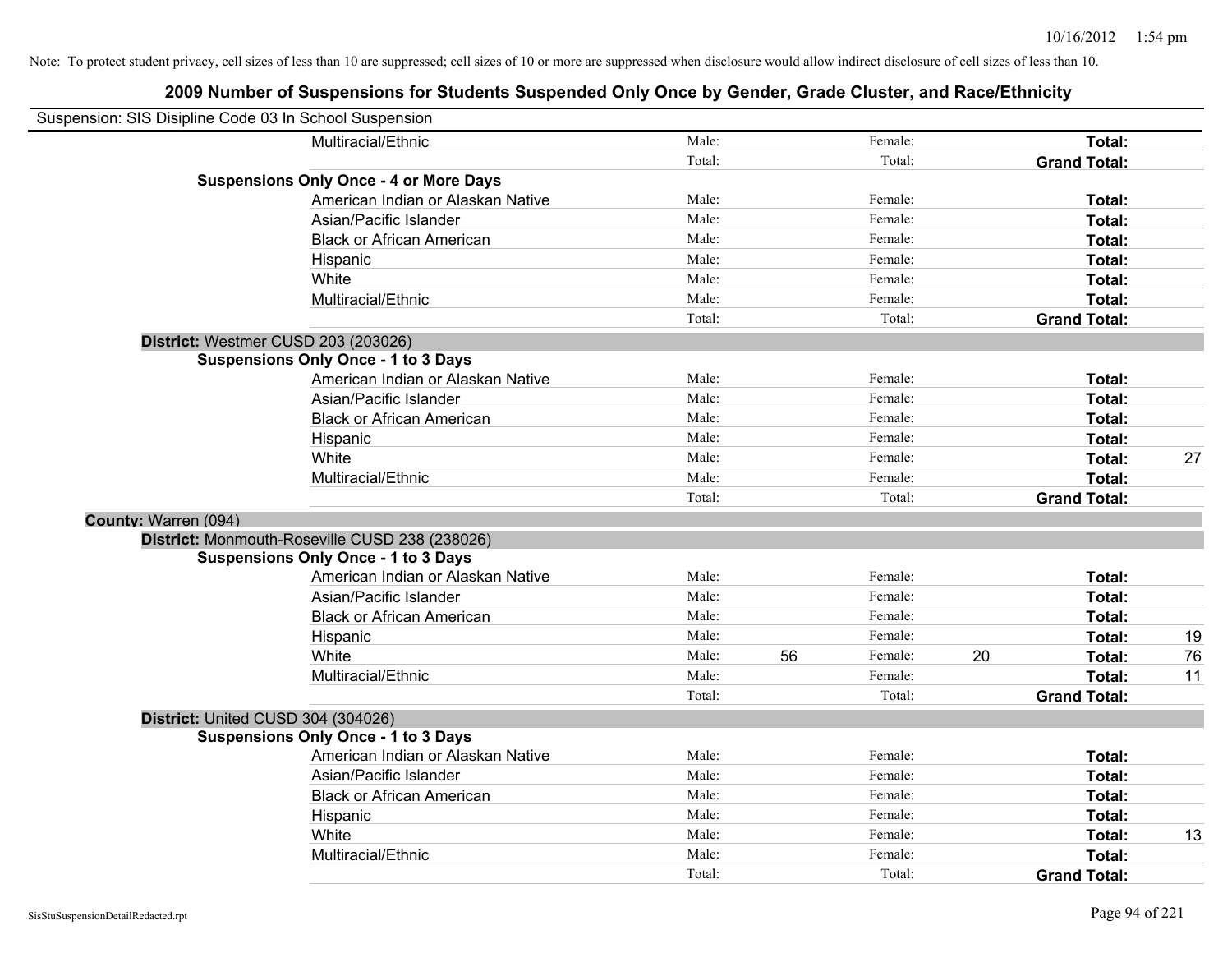| Suspension: SIS Disipline Code 03 In School Suspension |                                                |        |    |         |    |                     |    |
|--------------------------------------------------------|------------------------------------------------|--------|----|---------|----|---------------------|----|
|                                                        | Multiracial/Ethnic                             | Male:  |    | Female: |    | Total:              |    |
|                                                        |                                                | Total: |    | Total:  |    | <b>Grand Total:</b> |    |
|                                                        | <b>Suspensions Only Once - 4 or More Days</b>  |        |    |         |    |                     |    |
|                                                        | American Indian or Alaskan Native              | Male:  |    | Female: |    | Total:              |    |
|                                                        | Asian/Pacific Islander                         | Male:  |    | Female: |    | Total:              |    |
|                                                        | <b>Black or African American</b>               | Male:  |    | Female: |    | Total:              |    |
|                                                        | Hispanic                                       | Male:  |    | Female: |    | Total:              |    |
|                                                        | White                                          | Male:  |    | Female: |    | Total:              |    |
|                                                        | Multiracial/Ethnic                             | Male:  |    | Female: |    | Total:              |    |
|                                                        |                                                | Total: |    | Total:  |    | <b>Grand Total:</b> |    |
| District: Westmer CUSD 203 (203026)                    |                                                |        |    |         |    |                     |    |
|                                                        | <b>Suspensions Only Once - 1 to 3 Days</b>     |        |    |         |    |                     |    |
|                                                        | American Indian or Alaskan Native              | Male:  |    | Female: |    | Total:              |    |
|                                                        | Asian/Pacific Islander                         | Male:  |    | Female: |    | Total:              |    |
|                                                        | <b>Black or African American</b>               | Male:  |    | Female: |    | Total:              |    |
|                                                        | Hispanic                                       | Male:  |    | Female: |    | Total:              |    |
|                                                        | White                                          | Male:  |    | Female: |    | Total:              | 27 |
|                                                        | Multiracial/Ethnic                             | Male:  |    | Female: |    | Total:              |    |
|                                                        |                                                | Total: |    | Total:  |    | <b>Grand Total:</b> |    |
| County: Warren (094)                                   |                                                |        |    |         |    |                     |    |
|                                                        | District: Monmouth-Roseville CUSD 238 (238026) |        |    |         |    |                     |    |
|                                                        | <b>Suspensions Only Once - 1 to 3 Days</b>     |        |    |         |    |                     |    |
|                                                        | American Indian or Alaskan Native              | Male:  |    | Female: |    | Total:              |    |
|                                                        | Asian/Pacific Islander                         | Male:  |    | Female: |    | Total:              |    |
|                                                        | <b>Black or African American</b>               | Male:  |    | Female: |    | Total:              |    |
|                                                        | Hispanic                                       | Male:  |    | Female: |    | Total:              | 19 |
|                                                        | White                                          | Male:  | 56 | Female: | 20 | Total:              | 76 |
|                                                        | Multiracial/Ethnic                             | Male:  |    | Female: |    | Total:              | 11 |
|                                                        |                                                | Total: |    | Total:  |    | <b>Grand Total:</b> |    |
| District: United CUSD 304 (304026)                     |                                                |        |    |         |    |                     |    |
|                                                        | <b>Suspensions Only Once - 1 to 3 Days</b>     |        |    |         |    |                     |    |
|                                                        | American Indian or Alaskan Native              | Male:  |    | Female: |    | Total:              |    |
|                                                        | Asian/Pacific Islander                         | Male:  |    | Female: |    | Total:              |    |
|                                                        | <b>Black or African American</b>               | Male:  |    | Female: |    | Total:              |    |
|                                                        | Hispanic                                       | Male:  |    | Female: |    | Total:              |    |
|                                                        | White                                          | Male:  |    | Female: |    | Total:              | 13 |
|                                                        | Multiracial/Ethnic                             | Male:  |    | Female: |    | Total:              |    |
|                                                        |                                                | Total: |    | Total:  |    | <b>Grand Total:</b> |    |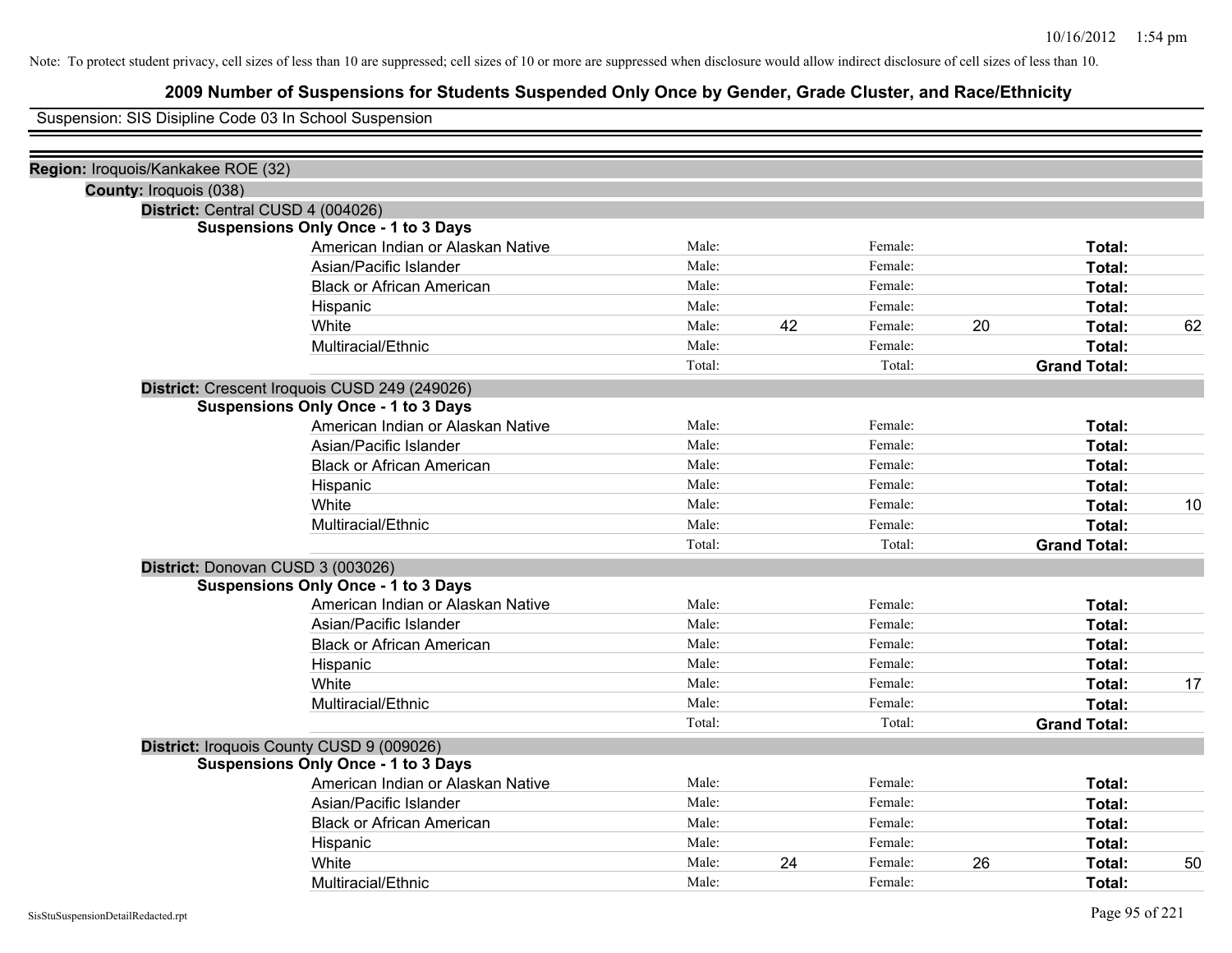## **2009 Number of Suspensions for Students Suspended Only Once by Gender, Grade Cluster, and Race/Ethnicity**

Suspension: SIS Disipline Code 03 In School Suspension

| Region: Iroquois/Kankakee ROE (32) |                                               |        |    |         |    |                     |    |
|------------------------------------|-----------------------------------------------|--------|----|---------|----|---------------------|----|
| County: Iroquois (038)             |                                               |        |    |         |    |                     |    |
|                                    | District: Central CUSD 4 (004026)             |        |    |         |    |                     |    |
|                                    | <b>Suspensions Only Once - 1 to 3 Days</b>    |        |    |         |    |                     |    |
|                                    | American Indian or Alaskan Native             | Male:  |    | Female: |    | Total:              |    |
|                                    | Asian/Pacific Islander                        | Male:  |    | Female: |    | Total:              |    |
|                                    | <b>Black or African American</b>              | Male:  |    | Female: |    | Total:              |    |
|                                    | Hispanic                                      | Male:  |    | Female: |    | Total:              |    |
|                                    | White                                         | Male:  | 42 | Female: | 20 | Total:              | 62 |
|                                    | Multiracial/Ethnic                            | Male:  |    | Female: |    | Total:              |    |
|                                    |                                               | Total: |    | Total:  |    | <b>Grand Total:</b> |    |
|                                    | District: Crescent Iroquois CUSD 249 (249026) |        |    |         |    |                     |    |
|                                    | <b>Suspensions Only Once - 1 to 3 Days</b>    |        |    |         |    |                     |    |
|                                    | American Indian or Alaskan Native             | Male:  |    | Female: |    | Total:              |    |
|                                    | Asian/Pacific Islander                        | Male:  |    | Female: |    | Total:              |    |
|                                    | <b>Black or African American</b>              | Male:  |    | Female: |    | Total:              |    |
|                                    | Hispanic                                      | Male:  |    | Female: |    | Total:              |    |
|                                    | White                                         | Male:  |    | Female: |    | Total:              | 10 |
|                                    | Multiracial/Ethnic                            | Male:  |    | Female: |    | Total:              |    |
|                                    |                                               | Total: |    | Total:  |    | <b>Grand Total:</b> |    |
|                                    | District: Donovan CUSD 3 (003026)             |        |    |         |    |                     |    |
|                                    | <b>Suspensions Only Once - 1 to 3 Days</b>    |        |    |         |    |                     |    |
|                                    | American Indian or Alaskan Native             | Male:  |    | Female: |    | Total:              |    |
|                                    | Asian/Pacific Islander                        | Male:  |    | Female: |    | Total:              |    |
|                                    | <b>Black or African American</b>              | Male:  |    | Female: |    | Total:              |    |
|                                    | Hispanic                                      | Male:  |    | Female: |    | Total:              |    |
|                                    | White                                         | Male:  |    | Female: |    | Total:              | 17 |
|                                    | Multiracial/Ethnic                            | Male:  |    | Female: |    | Total:              |    |
|                                    |                                               | Total: |    | Total:  |    | <b>Grand Total:</b> |    |
|                                    | District: Iroquois County CUSD 9 (009026)     |        |    |         |    |                     |    |
|                                    | <b>Suspensions Only Once - 1 to 3 Days</b>    |        |    |         |    |                     |    |
|                                    | American Indian or Alaskan Native             | Male:  |    | Female: |    | Total:              |    |
|                                    | Asian/Pacific Islander                        | Male:  |    | Female: |    | Total:              |    |
|                                    | <b>Black or African American</b>              | Male:  |    | Female: |    | Total:              |    |
|                                    | Hispanic                                      | Male:  |    | Female: |    | Total:              |    |
|                                    | White                                         | Male:  | 24 | Female: | 26 | Total:              | 50 |
|                                    | Multiracial/Ethnic                            | Male:  |    | Female: |    | Total:              |    |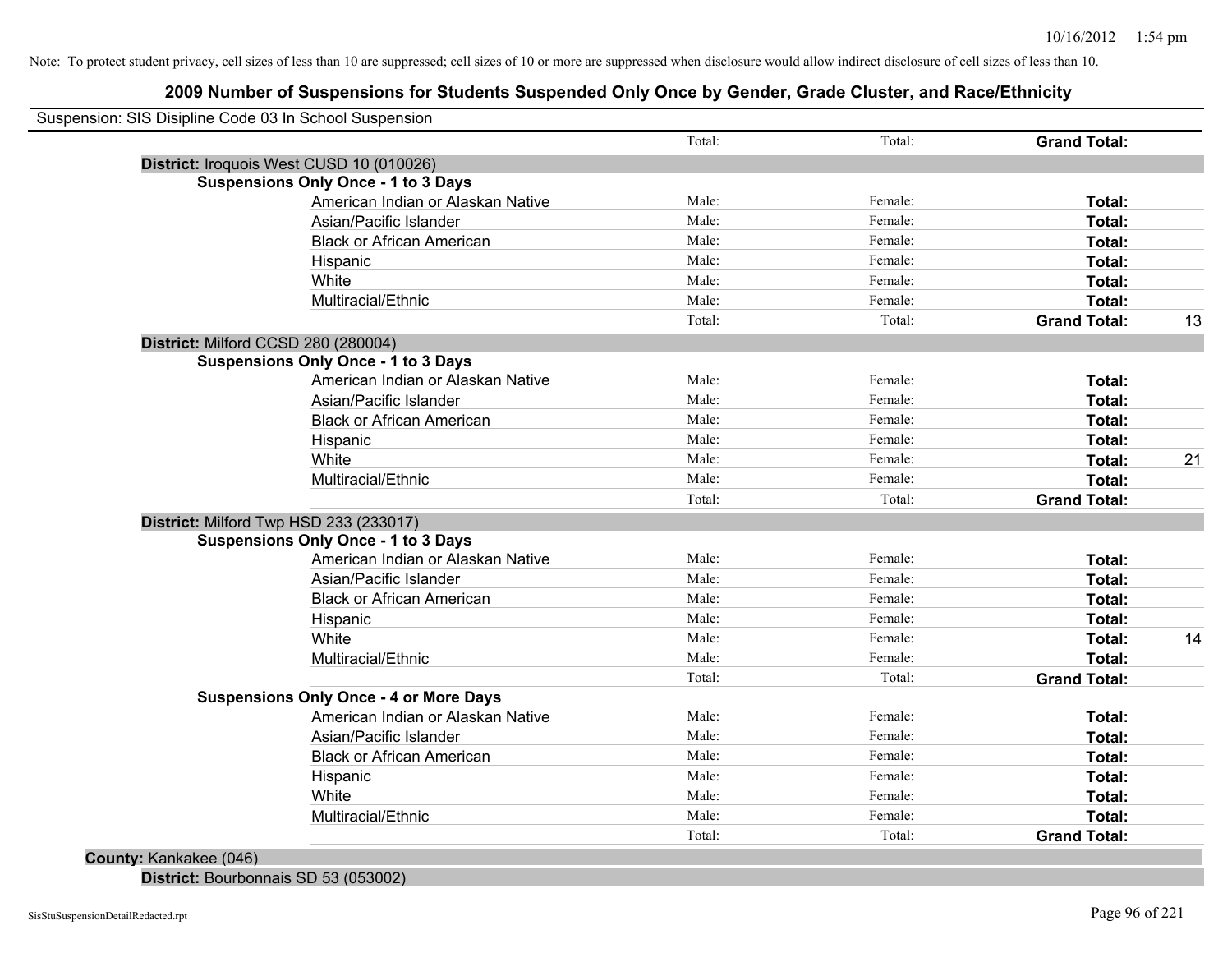## **2009 Number of Suspensions for Students Suspended Only Once by Gender, Grade Cluster, and Race/Ethnicity**

| Suspension: SIS Disipline Code 03 In School Suspension |        |         |                     |    |
|--------------------------------------------------------|--------|---------|---------------------|----|
|                                                        | Total: | Total:  | <b>Grand Total:</b> |    |
| District: Iroquois West CUSD 10 (010026)               |        |         |                     |    |
| <b>Suspensions Only Once - 1 to 3 Days</b>             |        |         |                     |    |
| American Indian or Alaskan Native                      | Male:  | Female: | Total:              |    |
| Asian/Pacific Islander                                 | Male:  | Female: | Total:              |    |
| <b>Black or African American</b>                       | Male:  | Female: | Total:              |    |
| Hispanic                                               | Male:  | Female: | Total:              |    |
| White                                                  | Male:  | Female: | Total:              |    |
| Multiracial/Ethnic                                     | Male:  | Female: | Total:              |    |
|                                                        | Total: | Total:  | <b>Grand Total:</b> | 13 |
| District: Milford CCSD 280 (280004)                    |        |         |                     |    |
| <b>Suspensions Only Once - 1 to 3 Days</b>             |        |         |                     |    |
| American Indian or Alaskan Native                      | Male:  | Female: | Total:              |    |
| Asian/Pacific Islander                                 | Male:  | Female: | Total:              |    |
| <b>Black or African American</b>                       | Male:  | Female: | Total:              |    |
| Hispanic                                               | Male:  | Female: | Total:              |    |
| White                                                  | Male:  | Female: | Total:              | 21 |
| Multiracial/Ethnic                                     | Male:  | Female: | Total:              |    |
|                                                        | Total: | Total:  | <b>Grand Total:</b> |    |
| District: Milford Twp HSD 233 (233017)                 |        |         |                     |    |
| <b>Suspensions Only Once - 1 to 3 Days</b>             |        |         |                     |    |
| American Indian or Alaskan Native                      | Male:  | Female: | Total:              |    |
| Asian/Pacific Islander                                 | Male:  | Female: | Total:              |    |
| <b>Black or African American</b>                       | Male:  | Female: | Total:              |    |
| Hispanic                                               | Male:  | Female: | Total:              |    |
| White                                                  | Male:  | Female: | Total:              | 14 |
| Multiracial/Ethnic                                     | Male:  | Female: | Total:              |    |
|                                                        | Total: | Total:  | <b>Grand Total:</b> |    |
| <b>Suspensions Only Once - 4 or More Days</b>          |        |         |                     |    |
| American Indian or Alaskan Native                      | Male:  | Female: | Total:              |    |
| Asian/Pacific Islander                                 | Male:  | Female: | Total:              |    |
| <b>Black or African American</b>                       | Male:  | Female: | Total:              |    |
| Hispanic                                               | Male:  | Female: | Total:              |    |
| White                                                  | Male:  | Female: | Total:              |    |
| Multiracial/Ethnic                                     | Male:  | Female: | Total:              |    |
|                                                        | Total: | Total:  | <b>Grand Total:</b> |    |

**District:** Bourbonnais SD 53 (053002)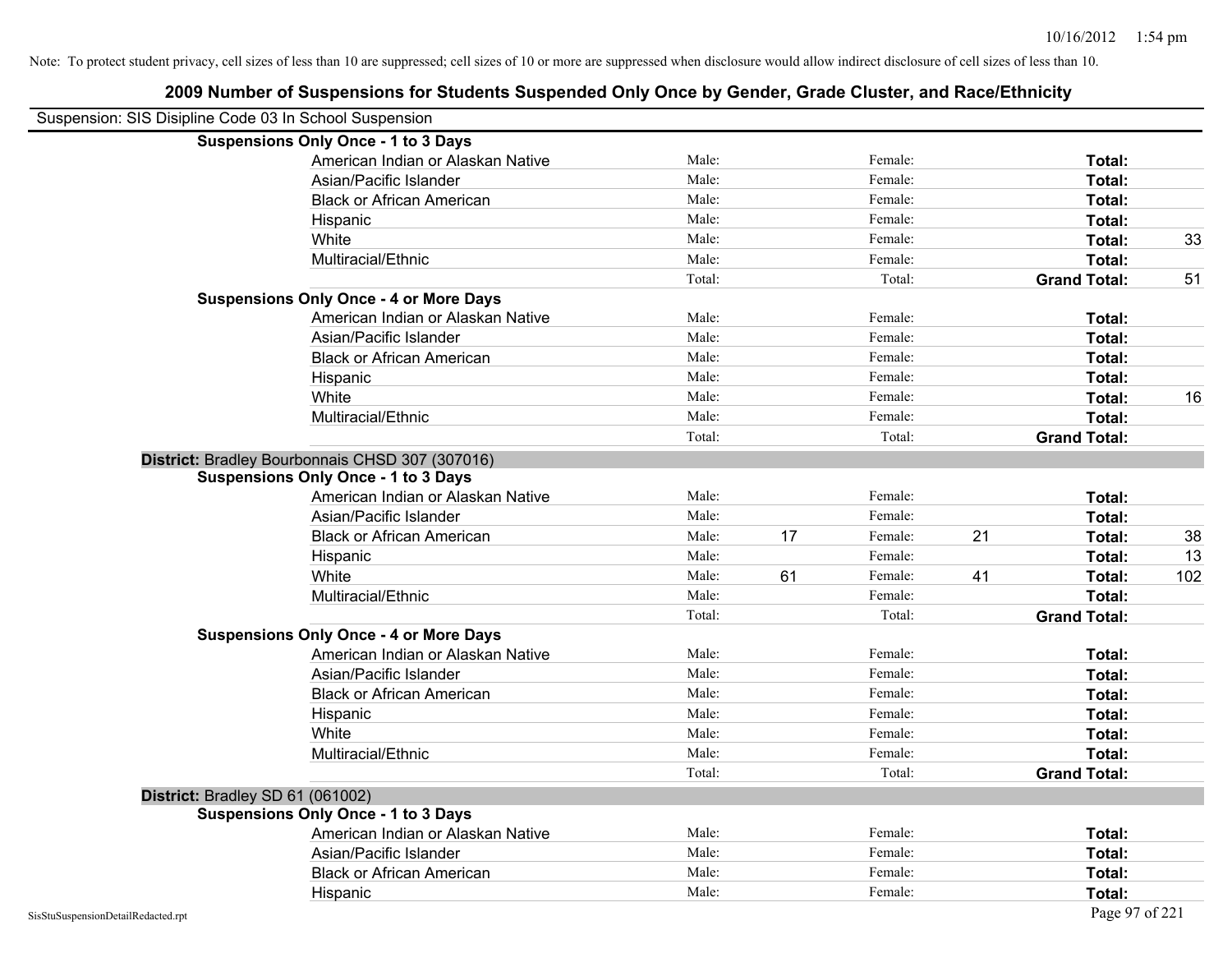|                                                        | 2009 Number of Suspensions for Students Suspended Only Once by Gender, Grade Cluster, and Race/Ethnicity |        |    |         |    |                     |     |
|--------------------------------------------------------|----------------------------------------------------------------------------------------------------------|--------|----|---------|----|---------------------|-----|
| Suspension: SIS Disipline Code 03 In School Suspension |                                                                                                          |        |    |         |    |                     |     |
|                                                        | <b>Suspensions Only Once - 1 to 3 Days</b>                                                               |        |    |         |    |                     |     |
|                                                        | American Indian or Alaskan Native                                                                        | Male:  |    | Female: |    | Total:              |     |
|                                                        | Asian/Pacific Islander                                                                                   | Male:  |    | Female: |    | Total:              |     |
|                                                        | <b>Black or African American</b>                                                                         | Male:  |    | Female: |    | Total:              |     |
|                                                        | Hispanic                                                                                                 | Male:  |    | Female: |    | Total:              |     |
|                                                        | White                                                                                                    | Male:  |    | Female: |    | Total:              | 33  |
|                                                        | Multiracial/Ethnic                                                                                       | Male:  |    | Female: |    | Total:              |     |
|                                                        |                                                                                                          | Total: |    | Total:  |    | <b>Grand Total:</b> | 51  |
|                                                        | <b>Suspensions Only Once - 4 or More Days</b>                                                            |        |    |         |    |                     |     |
|                                                        | American Indian or Alaskan Native                                                                        | Male:  |    | Female: |    | Total:              |     |
|                                                        | Asian/Pacific Islander                                                                                   | Male:  |    | Female: |    | Total:              |     |
|                                                        | <b>Black or African American</b>                                                                         | Male:  |    | Female: |    | Total:              |     |
|                                                        | Hispanic                                                                                                 | Male:  |    | Female: |    | Total:              |     |
|                                                        | White                                                                                                    | Male:  |    | Female: |    | Total:              | 16  |
|                                                        | Multiracial/Ethnic                                                                                       | Male:  |    | Female: |    | Total:              |     |
|                                                        |                                                                                                          | Total: |    | Total:  |    | <b>Grand Total:</b> |     |
|                                                        | District: Bradley Bourbonnais CHSD 307 (307016)                                                          |        |    |         |    |                     |     |
|                                                        | <b>Suspensions Only Once - 1 to 3 Days</b>                                                               |        |    |         |    |                     |     |
|                                                        | American Indian or Alaskan Native                                                                        | Male:  |    | Female: |    | Total:              |     |
|                                                        | Asian/Pacific Islander                                                                                   | Male:  |    | Female: |    | Total:              |     |
|                                                        | <b>Black or African American</b>                                                                         | Male:  | 17 | Female: | 21 | Total:              | 38  |
|                                                        | Hispanic                                                                                                 | Male:  |    | Female: |    | Total:              | 13  |
|                                                        | White                                                                                                    | Male:  | 61 | Female: | 41 | Total:              | 102 |
|                                                        | Multiracial/Ethnic                                                                                       | Male:  |    | Female: |    | Total:              |     |
|                                                        |                                                                                                          | Total: |    | Total:  |    | <b>Grand Total:</b> |     |
|                                                        | <b>Suspensions Only Once - 4 or More Days</b>                                                            |        |    |         |    |                     |     |
|                                                        | American Indian or Alaskan Native                                                                        | Male:  |    | Female: |    | Total:              |     |
|                                                        | Asian/Pacific Islander                                                                                   | Male:  |    | Female: |    | Total:              |     |
|                                                        | <b>Black or African American</b>                                                                         | Male:  |    | Female: |    | Total:              |     |
|                                                        | Hispanic                                                                                                 | Male:  |    | Female: |    | Total:              |     |
|                                                        | White                                                                                                    | Male:  |    | Female: |    | Total:              |     |
|                                                        | Multiracial/Ethnic                                                                                       | Male:  |    | Female: |    | Total:              |     |
|                                                        |                                                                                                          | Total: |    | Total:  |    | <b>Grand Total:</b> |     |
| District: Bradley SD 61 (061002)                       |                                                                                                          |        |    |         |    |                     |     |
|                                                        | <b>Suspensions Only Once - 1 to 3 Days</b>                                                               |        |    |         |    |                     |     |
|                                                        | American Indian or Alaskan Native                                                                        | Male:  |    | Female: |    | Total:              |     |
|                                                        | Asian/Pacific Islander                                                                                   | Male:  |    | Female: |    | Total:              |     |
|                                                        | <b>Black or African American</b>                                                                         | Male:  |    | Female: |    | Total:              |     |
|                                                        | Hispanic                                                                                                 | Male:  |    | Female: |    | Total:              |     |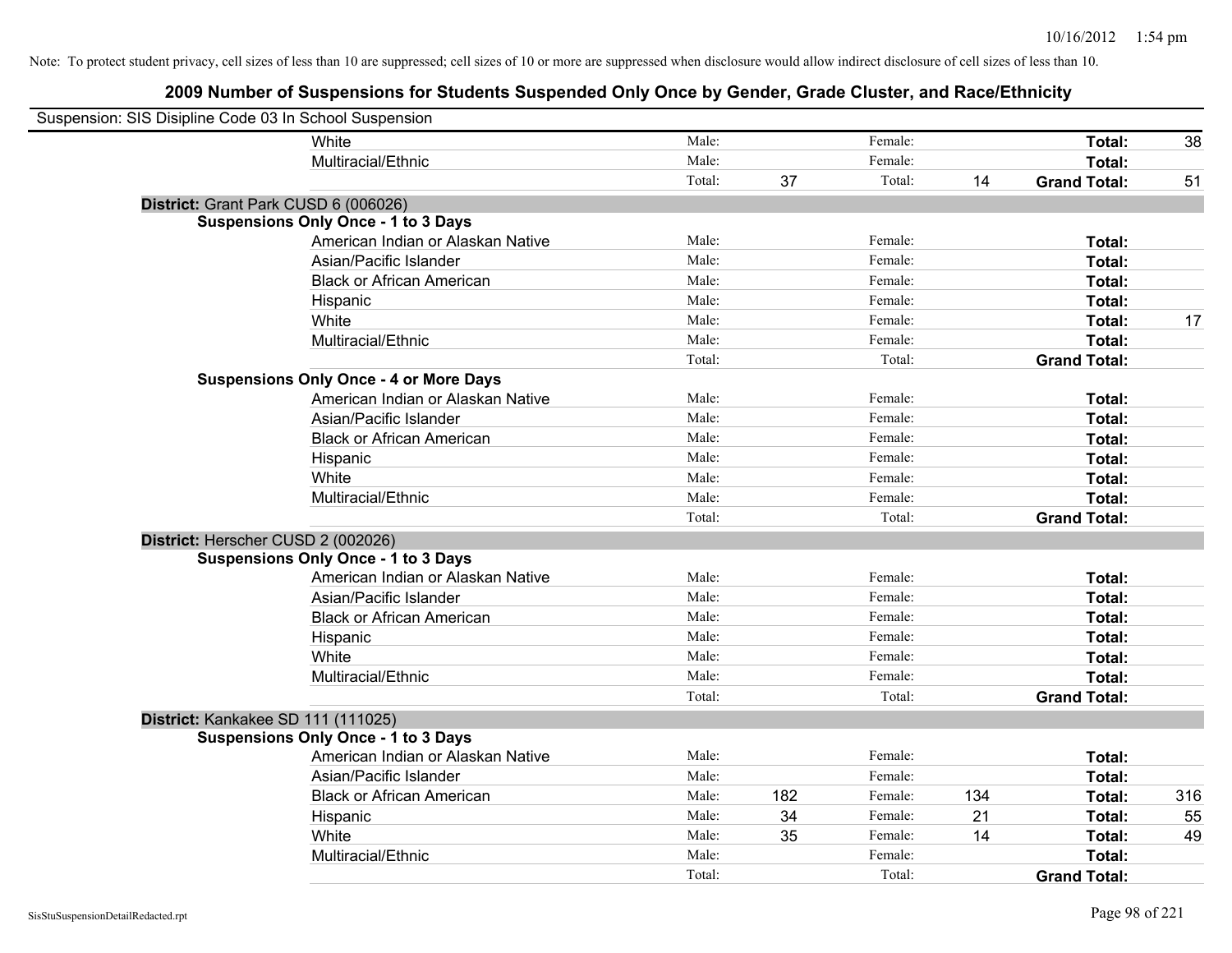| Suspension: SIS Disipline Code 03 In School Suspension |                                               |        |     |         |     |                     |     |
|--------------------------------------------------------|-----------------------------------------------|--------|-----|---------|-----|---------------------|-----|
|                                                        | White                                         | Male:  |     | Female: |     | Total:              | 38  |
|                                                        | Multiracial/Ethnic                            | Male:  |     | Female: |     | Total:              |     |
|                                                        |                                               | Total: | 37  | Total:  | 14  | <b>Grand Total:</b> | 51  |
| District: Grant Park CUSD 6 (006026)                   |                                               |        |     |         |     |                     |     |
|                                                        | <b>Suspensions Only Once - 1 to 3 Days</b>    |        |     |         |     |                     |     |
|                                                        | American Indian or Alaskan Native             | Male:  |     | Female: |     | Total:              |     |
|                                                        | Asian/Pacific Islander                        | Male:  |     | Female: |     | Total:              |     |
|                                                        | <b>Black or African American</b>              | Male:  |     | Female: |     | Total:              |     |
|                                                        | Hispanic                                      | Male:  |     | Female: |     | Total:              |     |
|                                                        | White                                         | Male:  |     | Female: |     | Total:              | 17  |
|                                                        | Multiracial/Ethnic                            | Male:  |     | Female: |     | Total:              |     |
|                                                        |                                               | Total: |     | Total:  |     | <b>Grand Total:</b> |     |
|                                                        | <b>Suspensions Only Once - 4 or More Days</b> |        |     |         |     |                     |     |
|                                                        | American Indian or Alaskan Native             | Male:  |     | Female: |     | Total:              |     |
|                                                        | Asian/Pacific Islander                        | Male:  |     | Female: |     | Total:              |     |
|                                                        | <b>Black or African American</b>              | Male:  |     | Female: |     | Total:              |     |
|                                                        | Hispanic                                      | Male:  |     | Female: |     | Total:              |     |
|                                                        | White                                         | Male:  |     | Female: |     | Total:              |     |
|                                                        | Multiracial/Ethnic                            | Male:  |     | Female: |     | Total:              |     |
|                                                        |                                               | Total: |     | Total:  |     | <b>Grand Total:</b> |     |
| District: Herscher CUSD 2 (002026)                     |                                               |        |     |         |     |                     |     |
|                                                        | <b>Suspensions Only Once - 1 to 3 Days</b>    |        |     |         |     |                     |     |
|                                                        | American Indian or Alaskan Native             | Male:  |     | Female: |     | Total:              |     |
|                                                        | Asian/Pacific Islander                        | Male:  |     | Female: |     | Total:              |     |
|                                                        | <b>Black or African American</b>              | Male:  |     | Female: |     | Total:              |     |
|                                                        | Hispanic                                      | Male:  |     | Female: |     | Total:              |     |
|                                                        | White                                         | Male:  |     | Female: |     | Total:              |     |
|                                                        | Multiracial/Ethnic                            | Male:  |     | Female: |     | Total:              |     |
|                                                        |                                               | Total: |     | Total:  |     | <b>Grand Total:</b> |     |
| District: Kankakee SD 111 (111025)                     |                                               |        |     |         |     |                     |     |
|                                                        | <b>Suspensions Only Once - 1 to 3 Days</b>    |        |     |         |     |                     |     |
|                                                        | American Indian or Alaskan Native             | Male:  |     | Female: |     | Total:              |     |
|                                                        | Asian/Pacific Islander                        | Male:  |     | Female: |     | Total:              |     |
|                                                        | <b>Black or African American</b>              | Male:  | 182 | Female: | 134 | Total:              | 316 |
|                                                        | Hispanic                                      | Male:  | 34  | Female: | 21  | Total:              | 55  |
|                                                        | White                                         | Male:  | 35  | Female: | 14  | Total:              | 49  |
|                                                        | Multiracial/Ethnic                            | Male:  |     | Female: |     | Total:              |     |
|                                                        |                                               | Total: |     | Total:  |     | <b>Grand Total:</b> |     |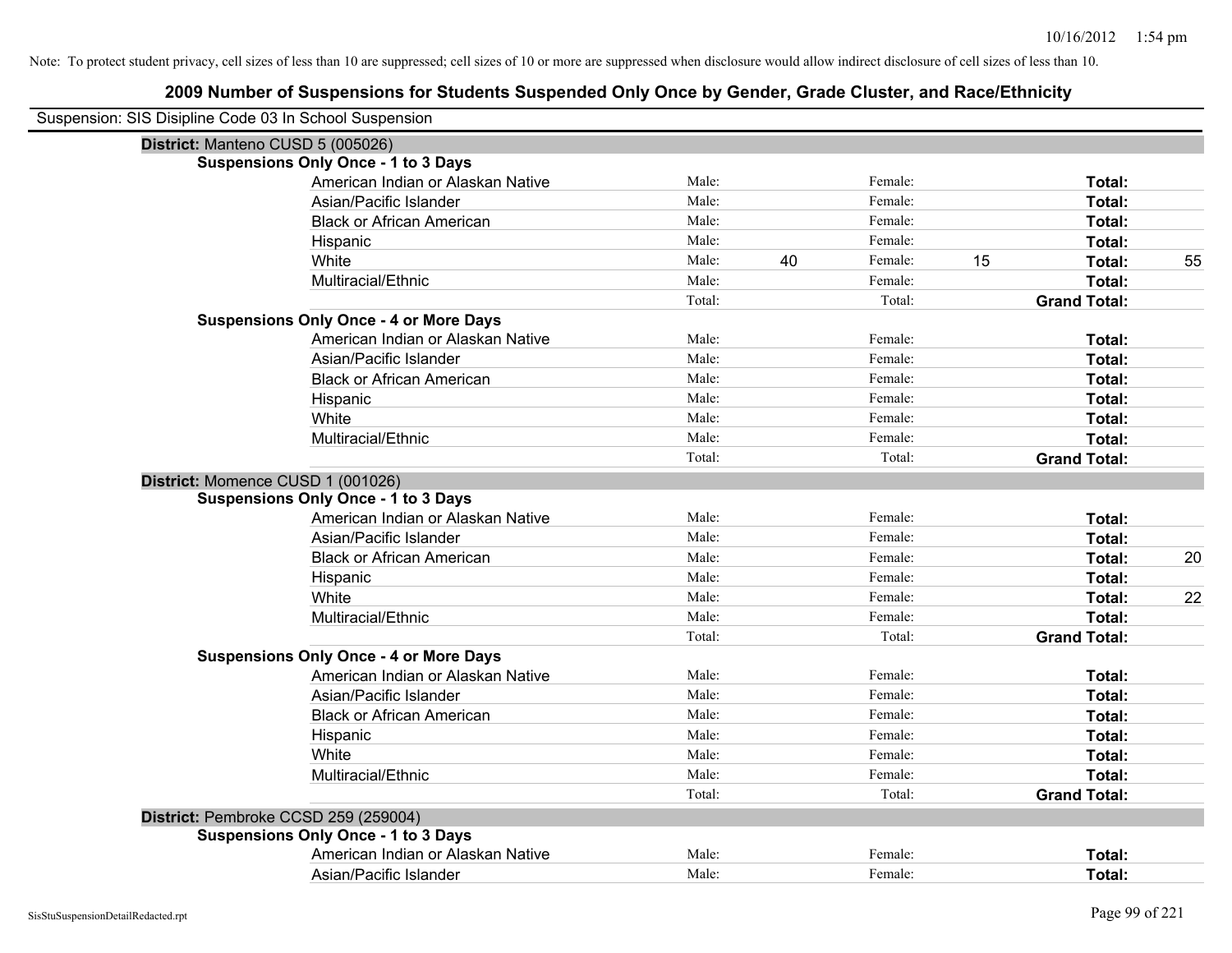| Suspension: SIS Disipline Code 03 In School Suspension |        |    |         |    |                     |    |
|--------------------------------------------------------|--------|----|---------|----|---------------------|----|
| District: Manteno CUSD 5 (005026)                      |        |    |         |    |                     |    |
| <b>Suspensions Only Once - 1 to 3 Days</b>             |        |    |         |    |                     |    |
| American Indian or Alaskan Native                      | Male:  |    | Female: |    | Total:              |    |
| Asian/Pacific Islander                                 | Male:  |    | Female: |    | Total:              |    |
| <b>Black or African American</b>                       | Male:  |    | Female: |    | Total:              |    |
| Hispanic                                               | Male:  |    | Female: |    | Total:              |    |
| White                                                  | Male:  | 40 | Female: | 15 | <b>Total:</b>       | 55 |
| Multiracial/Ethnic                                     | Male:  |    | Female: |    | Total:              |    |
|                                                        | Total: |    | Total:  |    | <b>Grand Total:</b> |    |
| <b>Suspensions Only Once - 4 or More Days</b>          |        |    |         |    |                     |    |
| American Indian or Alaskan Native                      | Male:  |    | Female: |    | Total:              |    |
| Asian/Pacific Islander                                 | Male:  |    | Female: |    | Total:              |    |
| <b>Black or African American</b>                       | Male:  |    | Female: |    | Total:              |    |
| Hispanic                                               | Male:  |    | Female: |    | Total:              |    |
| White                                                  | Male:  |    | Female: |    | Total:              |    |
| Multiracial/Ethnic                                     | Male:  |    | Female: |    | Total:              |    |
|                                                        | Total: |    | Total:  |    | <b>Grand Total:</b> |    |
| District: Momence CUSD 1 (001026)                      |        |    |         |    |                     |    |
| <b>Suspensions Only Once - 1 to 3 Days</b>             |        |    |         |    |                     |    |
| American Indian or Alaskan Native                      | Male:  |    | Female: |    | Total:              |    |
| Asian/Pacific Islander                                 | Male:  |    | Female: |    | Total:              |    |
| <b>Black or African American</b>                       | Male:  |    | Female: |    | Total:              | 20 |
| Hispanic                                               | Male:  |    | Female: |    | Total:              |    |
| White                                                  | Male:  |    | Female: |    | Total:              | 22 |
| Multiracial/Ethnic                                     | Male:  |    | Female: |    | Total:              |    |
|                                                        | Total: |    | Total:  |    | <b>Grand Total:</b> |    |
| <b>Suspensions Only Once - 4 or More Days</b>          |        |    |         |    |                     |    |
| American Indian or Alaskan Native                      | Male:  |    | Female: |    | Total:              |    |
| Asian/Pacific Islander                                 | Male:  |    | Female: |    | Total:              |    |
| <b>Black or African American</b>                       | Male:  |    | Female: |    | Total:              |    |
| Hispanic                                               | Male:  |    | Female: |    | Total:              |    |
| White                                                  | Male:  |    | Female: |    | Total:              |    |
| Multiracial/Ethnic                                     | Male:  |    | Female: |    | Total:              |    |
|                                                        | Total: |    | Total:  |    | <b>Grand Total:</b> |    |
| District: Pembroke CCSD 259 (259004)                   |        |    |         |    |                     |    |
| <b>Suspensions Only Once - 1 to 3 Days</b>             |        |    |         |    |                     |    |
| American Indian or Alaskan Native                      | Male:  |    | Female: |    | Total:              |    |
| Asian/Pacific Islander                                 | Male:  |    | Female: |    | Total:              |    |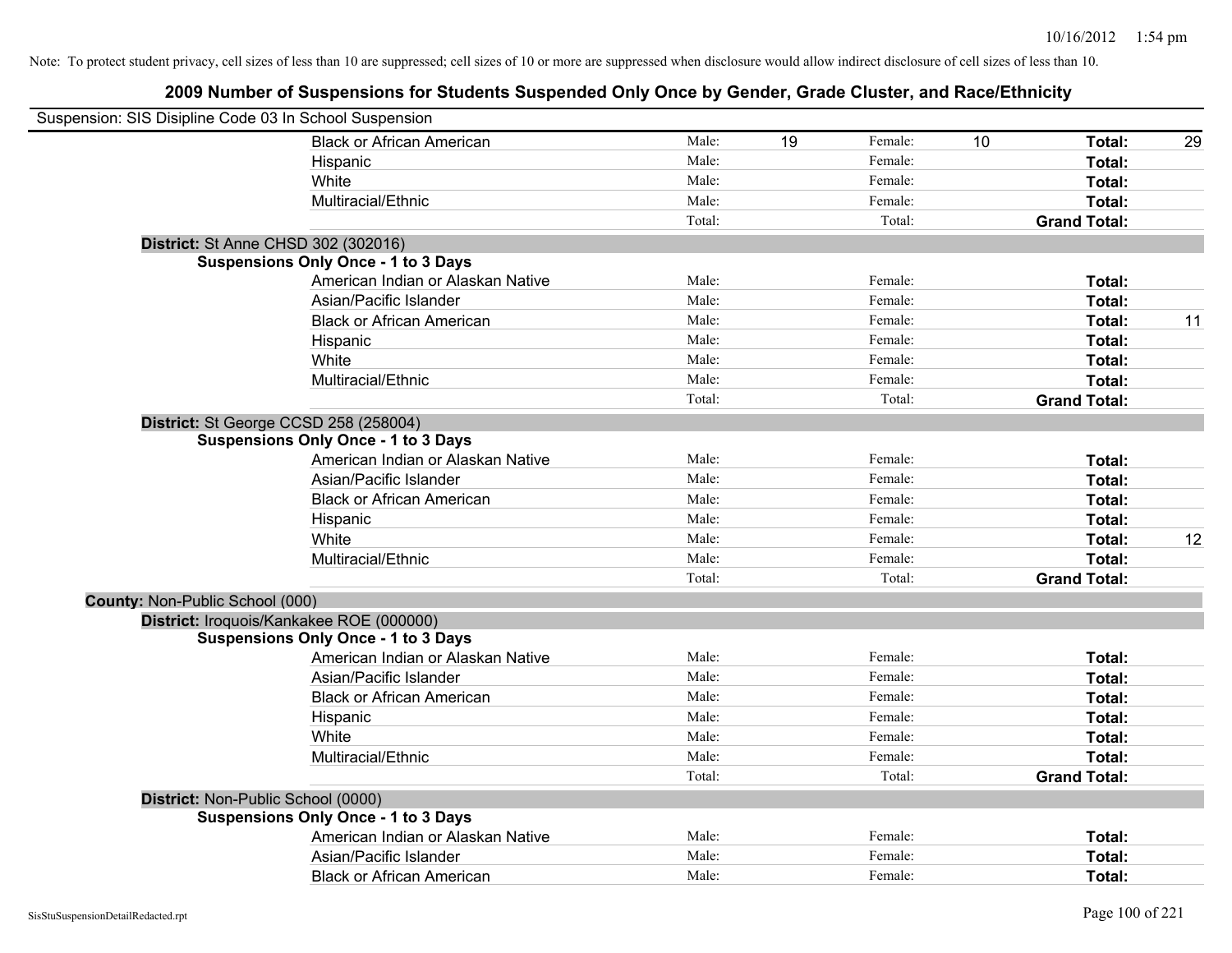|                                 | Suspension: SIS Disipline Code 03 In School Suspension |        |    |         |    |                     |    |
|---------------------------------|--------------------------------------------------------|--------|----|---------|----|---------------------|----|
|                                 | <b>Black or African American</b>                       | Male:  | 19 | Female: | 10 | Total:              | 29 |
|                                 | Hispanic                                               | Male:  |    | Female: |    | Total:              |    |
|                                 | White                                                  | Male:  |    | Female: |    | <b>Total:</b>       |    |
|                                 | Multiracial/Ethnic                                     | Male:  |    | Female: |    | Total:              |    |
|                                 |                                                        | Total: |    | Total:  |    | <b>Grand Total:</b> |    |
|                                 | District: St Anne CHSD 302 (302016)                    |        |    |         |    |                     |    |
|                                 | <b>Suspensions Only Once - 1 to 3 Days</b>             |        |    |         |    |                     |    |
|                                 | American Indian or Alaskan Native                      | Male:  |    | Female: |    | Total:              |    |
|                                 | Asian/Pacific Islander                                 | Male:  |    | Female: |    | Total:              |    |
|                                 | <b>Black or African American</b>                       | Male:  |    | Female: |    | Total:              | 11 |
|                                 | Hispanic                                               | Male:  |    | Female: |    | Total:              |    |
|                                 | White                                                  | Male:  |    | Female: |    | Total:              |    |
|                                 | Multiracial/Ethnic                                     | Male:  |    | Female: |    | Total:              |    |
|                                 |                                                        | Total: |    | Total:  |    | <b>Grand Total:</b> |    |
|                                 | District: St George CCSD 258 (258004)                  |        |    |         |    |                     |    |
|                                 | <b>Suspensions Only Once - 1 to 3 Days</b>             |        |    |         |    |                     |    |
|                                 | American Indian or Alaskan Native                      | Male:  |    | Female: |    | Total:              |    |
|                                 | Asian/Pacific Islander                                 | Male:  |    | Female: |    | Total:              |    |
|                                 | <b>Black or African American</b>                       | Male:  |    | Female: |    | Total:              |    |
|                                 | Hispanic                                               | Male:  |    | Female: |    | Total:              |    |
|                                 | White                                                  | Male:  |    | Female: |    | Total:              | 12 |
|                                 | Multiracial/Ethnic                                     | Male:  |    | Female: |    | Total:              |    |
|                                 |                                                        | Total: |    | Total:  |    | <b>Grand Total:</b> |    |
| County: Non-Public School (000) |                                                        |        |    |         |    |                     |    |
|                                 | District: Iroquois/Kankakee ROE (000000)               |        |    |         |    |                     |    |
|                                 | <b>Suspensions Only Once - 1 to 3 Days</b>             |        |    |         |    |                     |    |
|                                 | American Indian or Alaskan Native                      | Male:  |    | Female: |    | Total:              |    |
|                                 | Asian/Pacific Islander                                 | Male:  |    | Female: |    | Total:              |    |
|                                 | <b>Black or African American</b>                       | Male:  |    | Female: |    | Total:              |    |
|                                 | Hispanic                                               | Male:  |    | Female: |    | Total:              |    |
|                                 | White                                                  | Male:  |    | Female: |    | Total:              |    |
|                                 | Multiracial/Ethnic                                     | Male:  |    | Female: |    | Total:              |    |
|                                 |                                                        | Total: |    | Total:  |    | <b>Grand Total:</b> |    |
|                                 | District: Non-Public School (0000)                     |        |    |         |    |                     |    |
|                                 | <b>Suspensions Only Once - 1 to 3 Days</b>             |        |    |         |    |                     |    |
|                                 | American Indian or Alaskan Native                      | Male:  |    | Female: |    | Total:              |    |
|                                 | Asian/Pacific Islander                                 | Male:  |    | Female: |    | Total:              |    |
|                                 | <b>Black or African American</b>                       | Male:  |    | Female: |    | Total:              |    |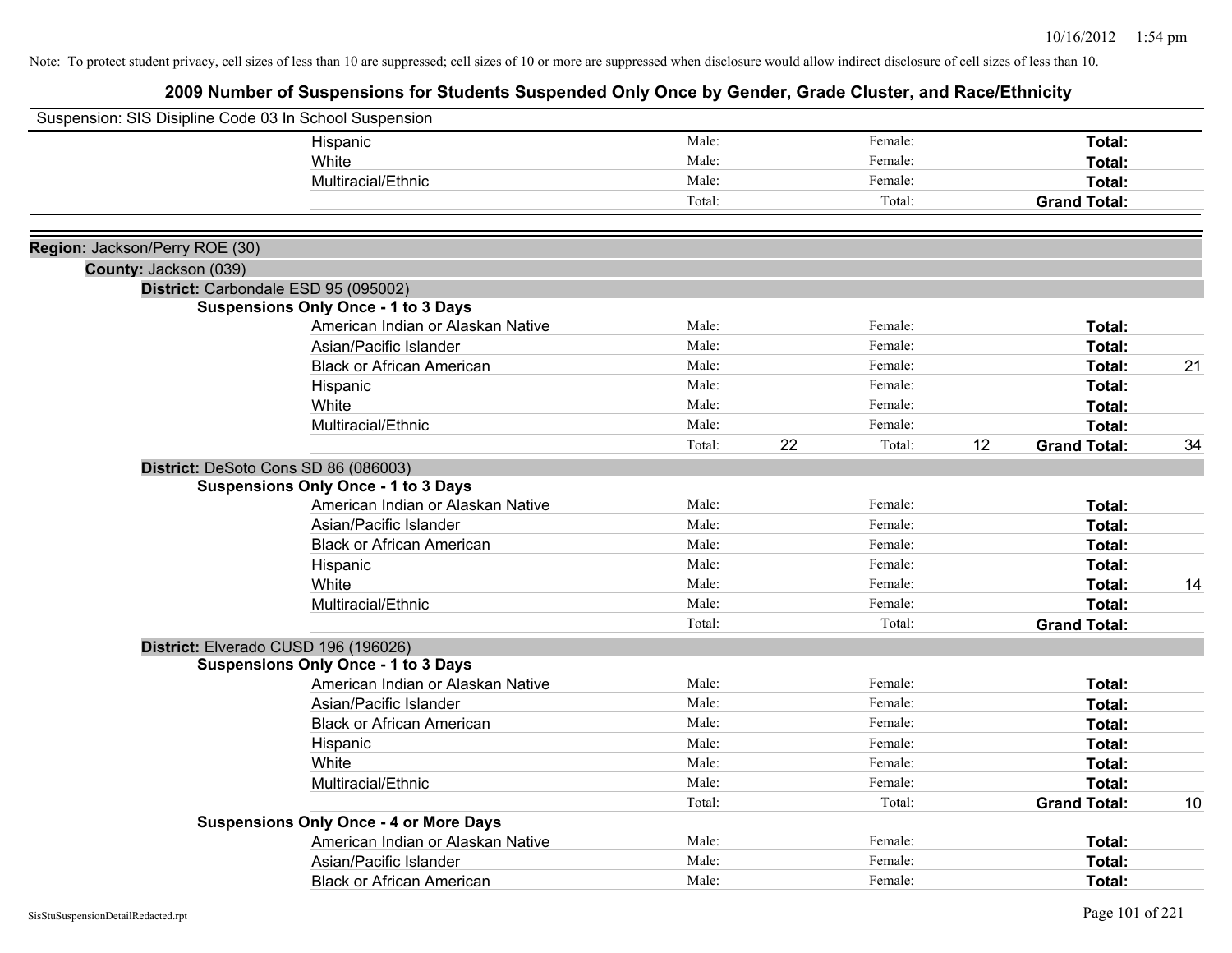| Suspension: SIS Disipline Code 03 In School Suspension |                                               |        |    |         |    |                     |    |
|--------------------------------------------------------|-----------------------------------------------|--------|----|---------|----|---------------------|----|
|                                                        | Hispanic                                      | Male:  |    | Female: |    | Total:              |    |
|                                                        | White                                         | Male:  |    | Female: |    | <b>Total:</b>       |    |
|                                                        | Multiracial/Ethnic                            | Male:  |    | Female: |    | Total:              |    |
|                                                        |                                               | Total: |    | Total:  |    | <b>Grand Total:</b> |    |
|                                                        |                                               |        |    |         |    |                     |    |
| Region: Jackson/Perry ROE (30)                         |                                               |        |    |         |    |                     |    |
| County: Jackson (039)                                  |                                               |        |    |         |    |                     |    |
|                                                        | District: Carbondale ESD 95 (095002)          |        |    |         |    |                     |    |
|                                                        | <b>Suspensions Only Once - 1 to 3 Days</b>    |        |    |         |    |                     |    |
|                                                        | American Indian or Alaskan Native             | Male:  |    | Female: |    | Total:              |    |
|                                                        | Asian/Pacific Islander                        | Male:  |    | Female: |    | <b>Total:</b>       |    |
|                                                        | <b>Black or African American</b>              | Male:  |    | Female: |    | Total:              | 21 |
|                                                        | Hispanic                                      | Male:  |    | Female: |    | Total:              |    |
|                                                        | White                                         | Male:  |    | Female: |    | Total:              |    |
|                                                        | Multiracial/Ethnic                            | Male:  |    | Female: |    | Total:              |    |
|                                                        |                                               | Total: | 22 | Total:  | 12 | <b>Grand Total:</b> | 34 |
|                                                        | District: DeSoto Cons SD 86 (086003)          |        |    |         |    |                     |    |
|                                                        | <b>Suspensions Only Once - 1 to 3 Days</b>    |        |    |         |    |                     |    |
|                                                        | American Indian or Alaskan Native             | Male:  |    | Female: |    | Total:              |    |
|                                                        | Asian/Pacific Islander                        | Male:  |    | Female: |    | Total:              |    |
|                                                        | <b>Black or African American</b>              | Male:  |    | Female: |    | <b>Total:</b>       |    |
|                                                        | Hispanic                                      | Male:  |    | Female: |    | Total:              |    |
|                                                        | White                                         | Male:  |    | Female: |    | Total:              | 14 |
|                                                        | Multiracial/Ethnic                            | Male:  |    | Female: |    | Total:              |    |
|                                                        |                                               | Total: |    | Total:  |    | <b>Grand Total:</b> |    |
|                                                        | District: Elverado CUSD 196 (196026)          |        |    |         |    |                     |    |
|                                                        | <b>Suspensions Only Once - 1 to 3 Days</b>    |        |    |         |    |                     |    |
|                                                        | American Indian or Alaskan Native             | Male:  |    | Female: |    | Total:              |    |
|                                                        | Asian/Pacific Islander                        | Male:  |    | Female: |    | Total:              |    |
|                                                        | <b>Black or African American</b>              | Male:  |    | Female: |    | <b>Total:</b>       |    |
|                                                        | Hispanic                                      | Male:  |    | Female: |    | Total:              |    |
|                                                        | White                                         | Male:  |    | Female: |    | Total:              |    |
|                                                        | Multiracial/Ethnic                            | Male:  |    | Female: |    | Total:              |    |
|                                                        |                                               | Total: |    | Total:  |    | <b>Grand Total:</b> | 10 |
|                                                        | <b>Suspensions Only Once - 4 or More Days</b> |        |    |         |    |                     |    |
|                                                        | American Indian or Alaskan Native             | Male:  |    | Female: |    | Total:              |    |
|                                                        | Asian/Pacific Islander                        | Male:  |    | Female: |    | <b>Total:</b>       |    |
|                                                        | <b>Black or African American</b>              | Male:  |    | Female: |    | Total:              |    |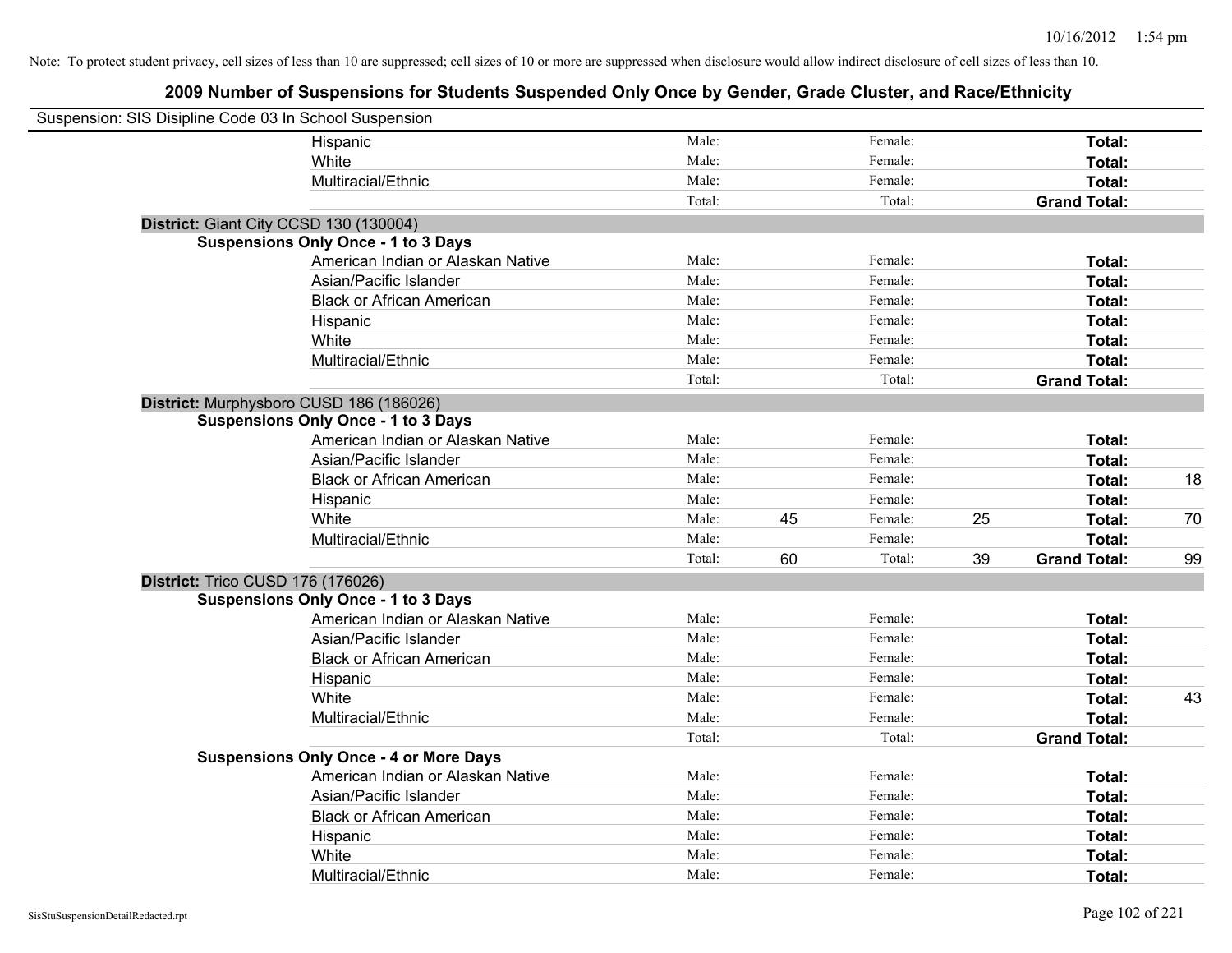| Suspension: SIS Disipline Code 03 In School Suspension |                                               |        |    |         |    |                     |    |
|--------------------------------------------------------|-----------------------------------------------|--------|----|---------|----|---------------------|----|
|                                                        | Hispanic                                      | Male:  |    | Female: |    | Total:              |    |
|                                                        | White                                         | Male:  |    | Female: |    | Total:              |    |
|                                                        | Multiracial/Ethnic                            | Male:  |    | Female: |    | Total:              |    |
|                                                        |                                               | Total: |    | Total:  |    | <b>Grand Total:</b> |    |
| District: Giant City CCSD 130 (130004)                 |                                               |        |    |         |    |                     |    |
|                                                        | <b>Suspensions Only Once - 1 to 3 Days</b>    |        |    |         |    |                     |    |
|                                                        | American Indian or Alaskan Native             | Male:  |    | Female: |    | Total:              |    |
|                                                        | Asian/Pacific Islander                        | Male:  |    | Female: |    | Total:              |    |
|                                                        | <b>Black or African American</b>              | Male:  |    | Female: |    | Total:              |    |
|                                                        | Hispanic                                      | Male:  |    | Female: |    | Total:              |    |
|                                                        | White                                         | Male:  |    | Female: |    | Total:              |    |
|                                                        | Multiracial/Ethnic                            | Male:  |    | Female: |    | Total:              |    |
|                                                        |                                               | Total: |    | Total:  |    | <b>Grand Total:</b> |    |
| District: Murphysboro CUSD 186 (186026)                |                                               |        |    |         |    |                     |    |
|                                                        | <b>Suspensions Only Once - 1 to 3 Days</b>    |        |    |         |    |                     |    |
|                                                        | American Indian or Alaskan Native             | Male:  |    | Female: |    | Total:              |    |
|                                                        | Asian/Pacific Islander                        | Male:  |    | Female: |    | Total:              |    |
|                                                        | <b>Black or African American</b>              | Male:  |    | Female: |    | Total:              | 18 |
|                                                        | Hispanic                                      | Male:  |    | Female: |    | Total:              |    |
|                                                        | White                                         | Male:  | 45 | Female: | 25 | Total:              | 70 |
|                                                        | Multiracial/Ethnic                            | Male:  |    | Female: |    | Total:              |    |
|                                                        |                                               | Total: | 60 | Total:  | 39 | <b>Grand Total:</b> | 99 |
| District: Trico CUSD 176 (176026)                      |                                               |        |    |         |    |                     |    |
|                                                        | <b>Suspensions Only Once - 1 to 3 Days</b>    |        |    |         |    |                     |    |
|                                                        | American Indian or Alaskan Native             | Male:  |    | Female: |    | Total:              |    |
|                                                        | Asian/Pacific Islander                        | Male:  |    | Female: |    | Total:              |    |
|                                                        | <b>Black or African American</b>              | Male:  |    | Female: |    | Total:              |    |
|                                                        | Hispanic                                      | Male:  |    | Female: |    | Total:              |    |
|                                                        | White                                         | Male:  |    | Female: |    | Total:              | 43 |
|                                                        | Multiracial/Ethnic                            | Male:  |    | Female: |    | Total:              |    |
|                                                        |                                               | Total: |    | Total:  |    | <b>Grand Total:</b> |    |
|                                                        | <b>Suspensions Only Once - 4 or More Days</b> |        |    |         |    |                     |    |
|                                                        | American Indian or Alaskan Native             | Male:  |    | Female: |    | Total:              |    |
|                                                        | Asian/Pacific Islander                        | Male:  |    | Female: |    | Total:              |    |
|                                                        | <b>Black or African American</b>              | Male:  |    | Female: |    | Total:              |    |
|                                                        | Hispanic                                      | Male:  |    | Female: |    | Total:              |    |
|                                                        | White                                         | Male:  |    | Female: |    | Total:              |    |
|                                                        | Multiracial/Ethnic                            | Male:  |    | Female: |    | Total:              |    |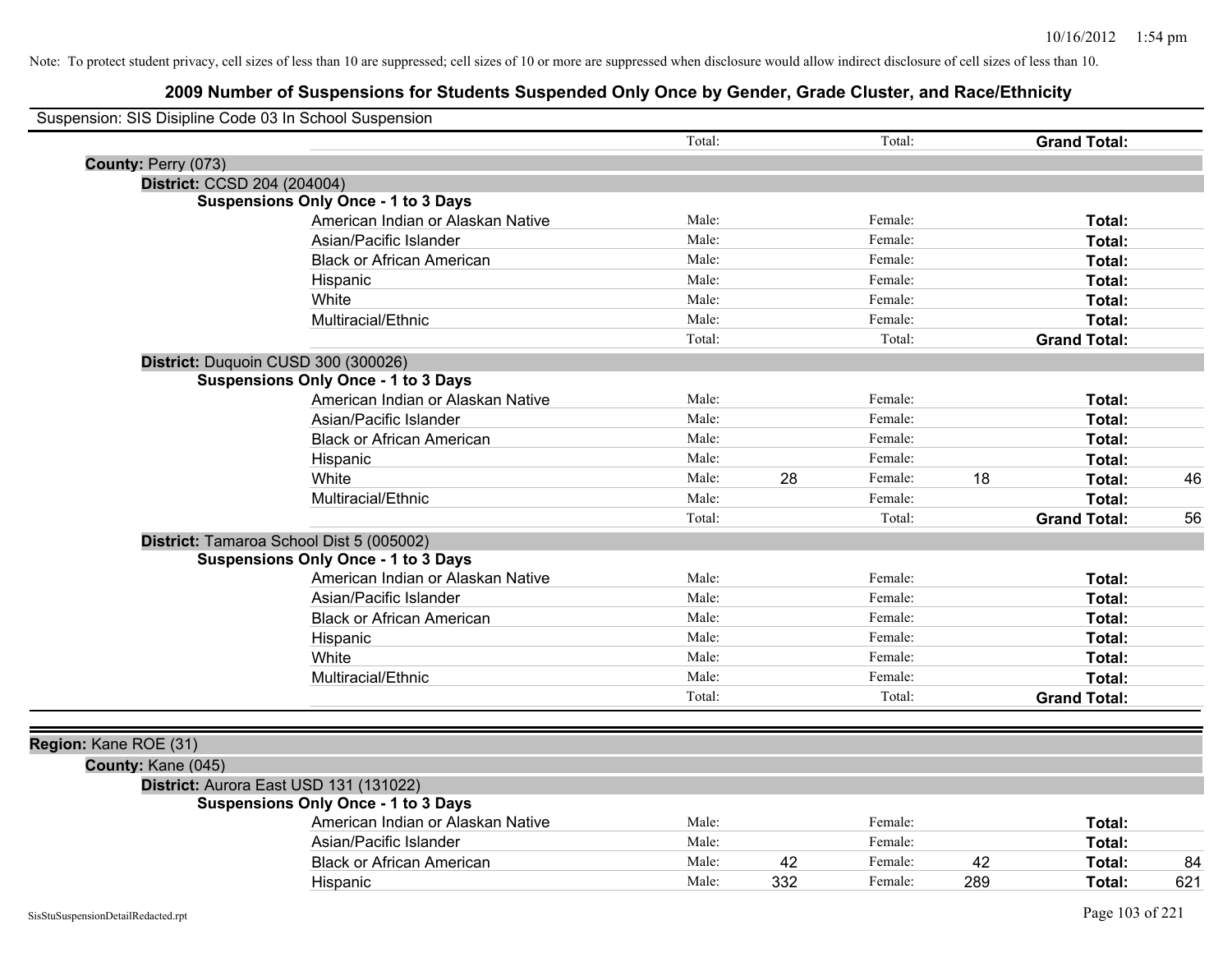| Suspension: SIS Disipline Code 03 In School Suspension |                                                                                      |        |     |         |     |                     |     |
|--------------------------------------------------------|--------------------------------------------------------------------------------------|--------|-----|---------|-----|---------------------|-----|
|                                                        |                                                                                      | Total: |     | Total:  |     | <b>Grand Total:</b> |     |
| County: Perry (073)                                    |                                                                                      |        |     |         |     |                     |     |
| District: CCSD 204 (204004)                            |                                                                                      |        |     |         |     |                     |     |
|                                                        | <b>Suspensions Only Once - 1 to 3 Days</b>                                           |        |     |         |     |                     |     |
|                                                        | American Indian or Alaskan Native                                                    | Male:  |     | Female: |     | Total:              |     |
|                                                        | Asian/Pacific Islander                                                               | Male:  |     | Female: |     | Total:              |     |
|                                                        | <b>Black or African American</b>                                                     | Male:  |     | Female: |     | Total:              |     |
|                                                        | Hispanic                                                                             | Male:  |     | Female: |     | <b>Total:</b>       |     |
|                                                        | White                                                                                | Male:  |     | Female: |     | <b>Total:</b>       |     |
|                                                        | Multiracial/Ethnic                                                                   | Male:  |     | Female: |     | Total:              |     |
|                                                        |                                                                                      | Total: |     | Total:  |     | <b>Grand Total:</b> |     |
|                                                        | District: Duquoin CUSD 300 (300026)                                                  |        |     |         |     |                     |     |
|                                                        | <b>Suspensions Only Once - 1 to 3 Days</b>                                           |        |     |         |     |                     |     |
|                                                        | American Indian or Alaskan Native                                                    | Male:  |     | Female: |     | Total:              |     |
|                                                        | Asian/Pacific Islander                                                               | Male:  |     | Female: |     | Total:              |     |
|                                                        | <b>Black or African American</b>                                                     | Male:  |     | Female: |     | <b>Total:</b>       |     |
|                                                        | Hispanic                                                                             | Male:  |     | Female: |     | Total:              |     |
|                                                        | White                                                                                | Male:  | 28  | Female: | 18  | Total:              | 46  |
|                                                        | Multiracial/Ethnic                                                                   | Male:  |     | Female: |     | Total:              |     |
|                                                        |                                                                                      | Total: |     | Total:  |     | <b>Grand Total:</b> | 56  |
|                                                        | District: Tamaroa School Dist 5 (005002)                                             |        |     |         |     |                     |     |
|                                                        | <b>Suspensions Only Once - 1 to 3 Days</b>                                           |        |     |         |     |                     |     |
|                                                        | American Indian or Alaskan Native                                                    | Male:  |     | Female: |     | Total:              |     |
|                                                        | Asian/Pacific Islander                                                               | Male:  |     | Female: |     | Total:              |     |
|                                                        | <b>Black or African American</b>                                                     | Male:  |     | Female: |     | Total:              |     |
|                                                        | Hispanic                                                                             | Male:  |     | Female: |     | Total:              |     |
|                                                        | White                                                                                | Male:  |     | Female: |     | <b>Total:</b>       |     |
|                                                        | Multiracial/Ethnic                                                                   | Male:  |     | Female: |     | Total:              |     |
|                                                        |                                                                                      | Total: |     | Total:  |     | <b>Grand Total:</b> |     |
|                                                        |                                                                                      |        |     |         |     |                     |     |
| Region: Kane ROE (31)                                  |                                                                                      |        |     |         |     |                     |     |
|                                                        |                                                                                      |        |     |         |     |                     |     |
| County: Kane (045)                                     |                                                                                      |        |     |         |     |                     |     |
|                                                        | District: Aurora East USD 131 (131022)<br><b>Suspensions Only Once - 1 to 3 Days</b> |        |     |         |     |                     |     |
|                                                        | American Indian or Alaskan Native                                                    | Male:  |     | Female: |     | Total:              |     |
|                                                        | Asian/Pacific Islander                                                               | Male:  |     | Female: |     | Total:              |     |
|                                                        | <b>Black or African American</b>                                                     | Male:  | 42  | Female: | 42  | Total:              | 84  |
|                                                        |                                                                                      | Male:  | 332 | Female: | 289 | <b>Total:</b>       | 621 |
|                                                        | Hispanic                                                                             |        |     |         |     |                     |     |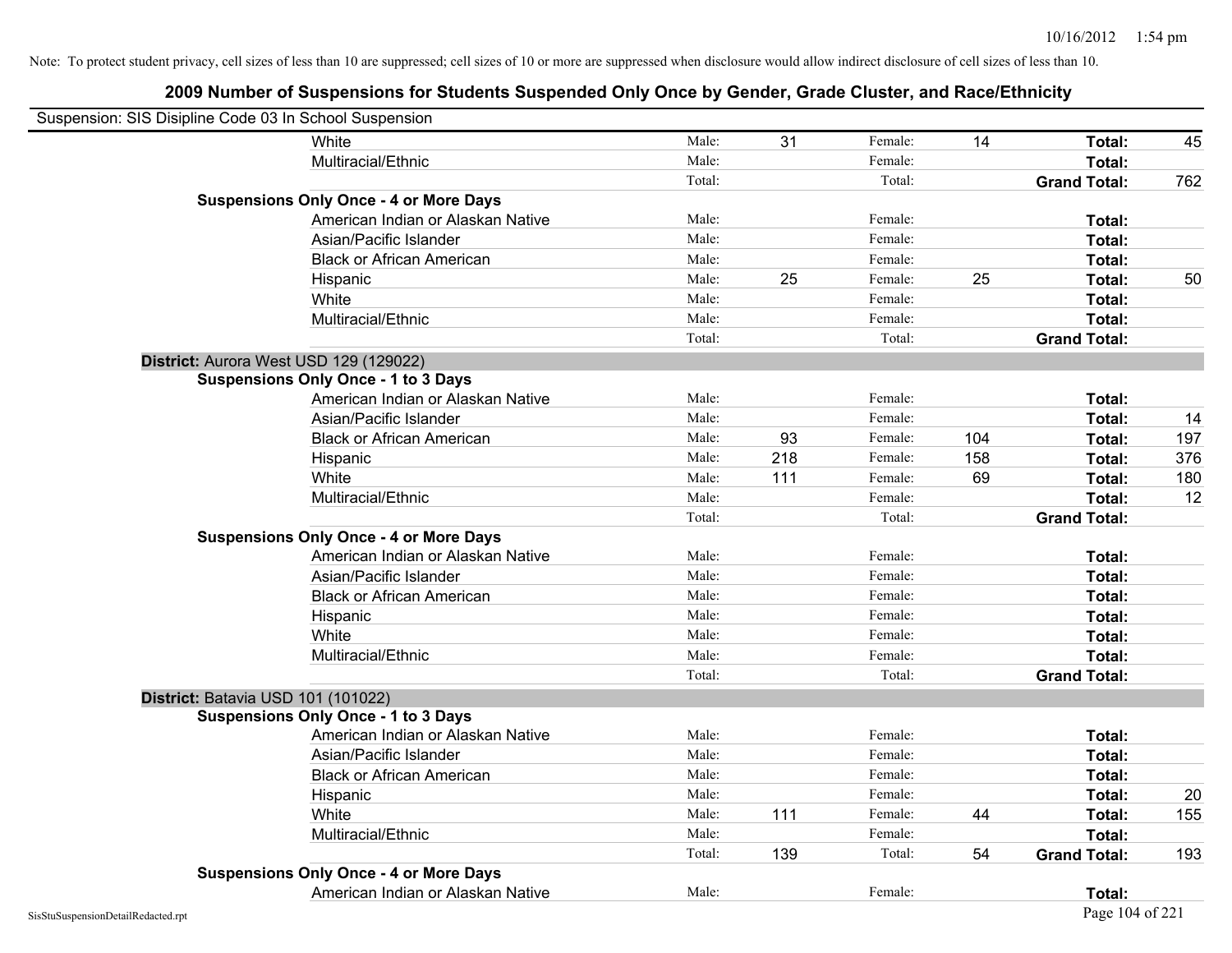| Suspension: SIS Disipline Code 03 In School Suspension |                                               |        |     |         |     |                     |     |
|--------------------------------------------------------|-----------------------------------------------|--------|-----|---------|-----|---------------------|-----|
|                                                        | White                                         | Male:  | 31  | Female: | 14  | Total:              | 45  |
|                                                        | Multiracial/Ethnic                            | Male:  |     | Female: |     | Total:              |     |
|                                                        |                                               | Total: |     | Total:  |     | <b>Grand Total:</b> | 762 |
|                                                        | <b>Suspensions Only Once - 4 or More Days</b> |        |     |         |     |                     |     |
|                                                        | American Indian or Alaskan Native             | Male:  |     | Female: |     | Total:              |     |
|                                                        | Asian/Pacific Islander                        | Male:  |     | Female: |     | Total:              |     |
|                                                        | <b>Black or African American</b>              | Male:  |     | Female: |     | Total:              |     |
|                                                        | Hispanic                                      | Male:  | 25  | Female: | 25  | Total:              | 50  |
|                                                        | White                                         | Male:  |     | Female: |     | <b>Total:</b>       |     |
|                                                        | Multiracial/Ethnic                            | Male:  |     | Female: |     | Total:              |     |
|                                                        |                                               | Total: |     | Total:  |     | <b>Grand Total:</b> |     |
|                                                        | District: Aurora West USD 129 (129022)        |        |     |         |     |                     |     |
|                                                        | <b>Suspensions Only Once - 1 to 3 Days</b>    |        |     |         |     |                     |     |
|                                                        | American Indian or Alaskan Native             | Male:  |     | Female: |     | Total:              |     |
|                                                        | Asian/Pacific Islander                        | Male:  |     | Female: |     | Total:              | 14  |
|                                                        | <b>Black or African American</b>              | Male:  | 93  | Female: | 104 | Total:              | 197 |
|                                                        | Hispanic                                      | Male:  | 218 | Female: | 158 | <b>Total:</b>       | 376 |
|                                                        | White                                         | Male:  | 111 | Female: | 69  | Total:              | 180 |
|                                                        | Multiracial/Ethnic                            | Male:  |     | Female: |     | Total:              | 12  |
|                                                        |                                               | Total: |     | Total:  |     | <b>Grand Total:</b> |     |
|                                                        | <b>Suspensions Only Once - 4 or More Days</b> |        |     |         |     |                     |     |
|                                                        | American Indian or Alaskan Native             | Male:  |     | Female: |     | Total:              |     |
|                                                        | Asian/Pacific Islander                        | Male:  |     | Female: |     | Total:              |     |
|                                                        | <b>Black or African American</b>              | Male:  |     | Female: |     | Total:              |     |
|                                                        | Hispanic                                      | Male:  |     | Female: |     | Total:              |     |
|                                                        | White                                         | Male:  |     | Female: |     | Total:              |     |
|                                                        | Multiracial/Ethnic                            | Male:  |     | Female: |     | Total:              |     |
|                                                        |                                               | Total: |     | Total:  |     | <b>Grand Total:</b> |     |
| District: Batavia USD 101 (101022)                     |                                               |        |     |         |     |                     |     |
|                                                        | <b>Suspensions Only Once - 1 to 3 Days</b>    |        |     |         |     |                     |     |
|                                                        | American Indian or Alaskan Native             | Male:  |     | Female: |     | Total:              |     |
|                                                        | Asian/Pacific Islander                        | Male:  |     | Female: |     | Total:              |     |
|                                                        | <b>Black or African American</b>              | Male:  |     | Female: |     | Total:              |     |
|                                                        | Hispanic                                      | Male:  |     | Female: |     | Total:              | 20  |
|                                                        | White                                         | Male:  | 111 | Female: | 44  | Total:              | 155 |
|                                                        | Multiracial/Ethnic                            | Male:  |     | Female: |     | Total:              |     |
|                                                        |                                               | Total: | 139 | Total:  | 54  | <b>Grand Total:</b> | 193 |
|                                                        | <b>Suspensions Only Once - 4 or More Days</b> |        |     |         |     |                     |     |
|                                                        | American Indian or Alaskan Native             | Male:  |     | Female: |     | Total:              |     |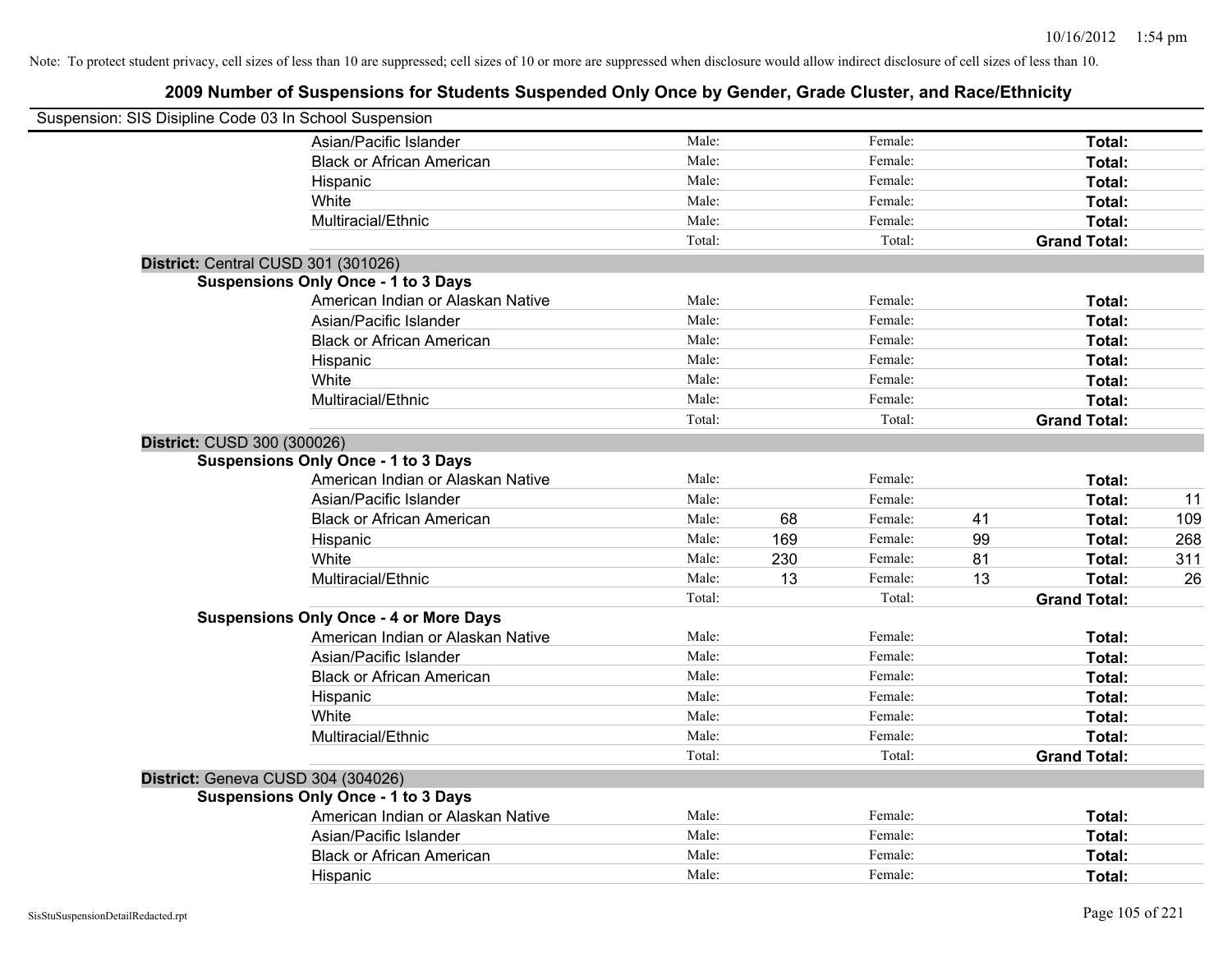| Suspension: SIS Disipline Code 03 In School Suspension |                                               |        |     |         |    |                     |     |
|--------------------------------------------------------|-----------------------------------------------|--------|-----|---------|----|---------------------|-----|
|                                                        | Asian/Pacific Islander                        | Male:  |     | Female: |    | Total:              |     |
|                                                        | <b>Black or African American</b>              | Male:  |     | Female: |    | Total:              |     |
|                                                        | Hispanic                                      | Male:  |     | Female: |    | Total:              |     |
|                                                        | White                                         | Male:  |     | Female: |    | Total:              |     |
|                                                        | Multiracial/Ethnic                            | Male:  |     | Female: |    | Total:              |     |
|                                                        |                                               | Total: |     | Total:  |    | <b>Grand Total:</b> |     |
| District: Central CUSD 301 (301026)                    |                                               |        |     |         |    |                     |     |
|                                                        | <b>Suspensions Only Once - 1 to 3 Days</b>    |        |     |         |    |                     |     |
|                                                        | American Indian or Alaskan Native             | Male:  |     | Female: |    | Total:              |     |
|                                                        | Asian/Pacific Islander                        | Male:  |     | Female: |    | Total:              |     |
|                                                        | <b>Black or African American</b>              | Male:  |     | Female: |    | Total:              |     |
|                                                        | Hispanic                                      | Male:  |     | Female: |    | Total:              |     |
|                                                        | White                                         | Male:  |     | Female: |    | Total:              |     |
|                                                        | Multiracial/Ethnic                            | Male:  |     | Female: |    | Total:              |     |
|                                                        |                                               | Total: |     | Total:  |    | <b>Grand Total:</b> |     |
| District: CUSD 300 (300026)                            |                                               |        |     |         |    |                     |     |
|                                                        | <b>Suspensions Only Once - 1 to 3 Days</b>    |        |     |         |    |                     |     |
|                                                        | American Indian or Alaskan Native             | Male:  |     | Female: |    | Total:              |     |
|                                                        | Asian/Pacific Islander                        | Male:  |     | Female: |    | Total:              | 11  |
|                                                        | <b>Black or African American</b>              | Male:  | 68  | Female: | 41 | Total:              | 109 |
|                                                        | Hispanic                                      | Male:  | 169 | Female: | 99 | Total:              | 268 |
|                                                        | White                                         | Male:  | 230 | Female: | 81 | Total:              | 311 |
|                                                        | Multiracial/Ethnic                            | Male:  | 13  | Female: | 13 | Total:              | 26  |
|                                                        |                                               | Total: |     | Total:  |    | <b>Grand Total:</b> |     |
|                                                        | <b>Suspensions Only Once - 4 or More Days</b> |        |     |         |    |                     |     |
|                                                        | American Indian or Alaskan Native             | Male:  |     | Female: |    | Total:              |     |
|                                                        | Asian/Pacific Islander                        | Male:  |     | Female: |    | Total:              |     |
|                                                        | <b>Black or African American</b>              | Male:  |     | Female: |    | Total:              |     |
|                                                        | Hispanic                                      | Male:  |     | Female: |    | Total:              |     |
|                                                        | White                                         | Male:  |     | Female: |    | Total:              |     |
|                                                        | Multiracial/Ethnic                            | Male:  |     | Female: |    | Total:              |     |
|                                                        |                                               | Total: |     | Total:  |    | <b>Grand Total:</b> |     |
| District: Geneva CUSD 304 (304026)                     |                                               |        |     |         |    |                     |     |
|                                                        | <b>Suspensions Only Once - 1 to 3 Days</b>    |        |     |         |    |                     |     |
|                                                        | American Indian or Alaskan Native             | Male:  |     | Female: |    | Total:              |     |
|                                                        | Asian/Pacific Islander                        | Male:  |     | Female: |    | Total:              |     |
|                                                        | <b>Black or African American</b>              | Male:  |     | Female: |    | <b>Total:</b>       |     |
|                                                        | Hispanic                                      | Male:  |     | Female: |    | <b>Total:</b>       |     |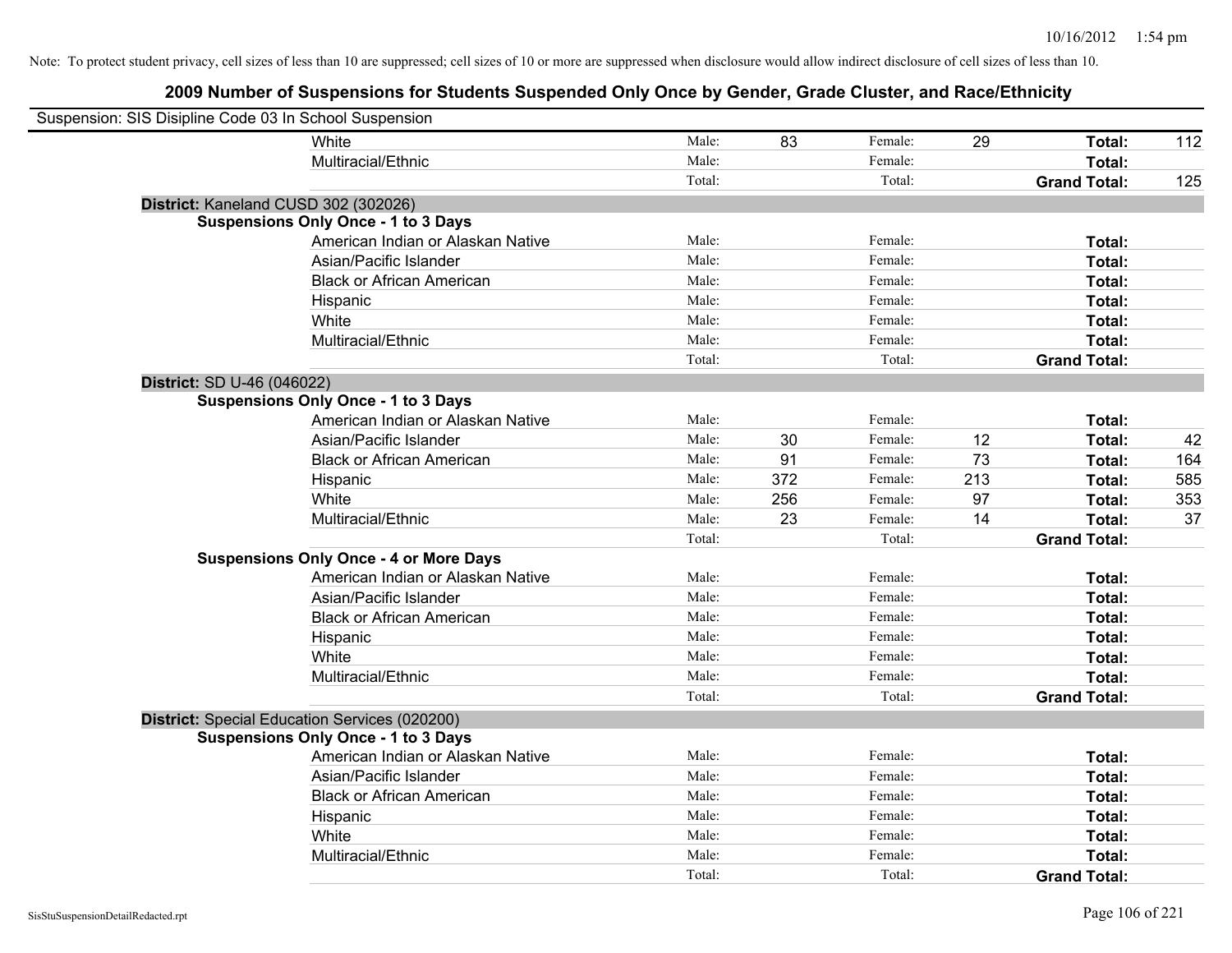| Suspension: SIS Disipline Code 03 In School Suspension |                                               |        |     |         |     |                     |     |
|--------------------------------------------------------|-----------------------------------------------|--------|-----|---------|-----|---------------------|-----|
|                                                        | White                                         | Male:  | 83  | Female: | 29  | Total:              | 112 |
|                                                        | Multiracial/Ethnic                            | Male:  |     | Female: |     | Total:              |     |
|                                                        |                                               | Total: |     | Total:  |     | <b>Grand Total:</b> | 125 |
| District: Kaneland CUSD 302 (302026)                   |                                               |        |     |         |     |                     |     |
|                                                        | <b>Suspensions Only Once - 1 to 3 Days</b>    |        |     |         |     |                     |     |
|                                                        | American Indian or Alaskan Native             | Male:  |     | Female: |     | Total:              |     |
|                                                        | Asian/Pacific Islander                        | Male:  |     | Female: |     | Total:              |     |
|                                                        | <b>Black or African American</b>              | Male:  |     | Female: |     | Total:              |     |
|                                                        | Hispanic                                      | Male:  |     | Female: |     | Total:              |     |
|                                                        | White                                         | Male:  |     | Female: |     | Total:              |     |
|                                                        | Multiracial/Ethnic                            | Male:  |     | Female: |     | Total:              |     |
|                                                        |                                               | Total: |     | Total:  |     | <b>Grand Total:</b> |     |
| District: SD U-46 (046022)                             |                                               |        |     |         |     |                     |     |
|                                                        | <b>Suspensions Only Once - 1 to 3 Days</b>    |        |     |         |     |                     |     |
|                                                        | American Indian or Alaskan Native             | Male:  |     | Female: |     | Total:              |     |
|                                                        | Asian/Pacific Islander                        | Male:  | 30  | Female: | 12  | Total:              | 42  |
|                                                        | <b>Black or African American</b>              | Male:  | 91  | Female: | 73  | Total:              | 164 |
|                                                        | Hispanic                                      | Male:  | 372 | Female: | 213 | Total:              | 585 |
|                                                        | White                                         | Male:  | 256 | Female: | 97  | Total:              | 353 |
|                                                        | Multiracial/Ethnic                            | Male:  | 23  | Female: | 14  | Total:              | 37  |
|                                                        |                                               | Total: |     | Total:  |     | <b>Grand Total:</b> |     |
|                                                        | <b>Suspensions Only Once - 4 or More Days</b> |        |     |         |     |                     |     |
|                                                        | American Indian or Alaskan Native             | Male:  |     | Female: |     | Total:              |     |
|                                                        | Asian/Pacific Islander                        | Male:  |     | Female: |     | Total:              |     |
|                                                        | <b>Black or African American</b>              | Male:  |     | Female: |     | Total:              |     |
|                                                        | Hispanic                                      | Male:  |     | Female: |     | Total:              |     |
|                                                        | White                                         | Male:  |     | Female: |     | Total:              |     |
|                                                        | Multiracial/Ethnic                            | Male:  |     | Female: |     | Total:              |     |
|                                                        |                                               | Total: |     | Total:  |     | <b>Grand Total:</b> |     |
| District: Special Education Services (020200)          |                                               |        |     |         |     |                     |     |
|                                                        | <b>Suspensions Only Once - 1 to 3 Days</b>    |        |     |         |     |                     |     |
|                                                        | American Indian or Alaskan Native             | Male:  |     | Female: |     | Total:              |     |
|                                                        | Asian/Pacific Islander                        | Male:  |     | Female: |     | Total:              |     |
|                                                        | <b>Black or African American</b>              | Male:  |     | Female: |     | Total:              |     |
|                                                        | Hispanic                                      | Male:  |     | Female: |     | Total:              |     |
|                                                        | White                                         | Male:  |     | Female: |     | Total:              |     |
|                                                        | Multiracial/Ethnic                            | Male:  |     | Female: |     | Total:              |     |
|                                                        |                                               | Total: |     | Total:  |     | <b>Grand Total:</b> |     |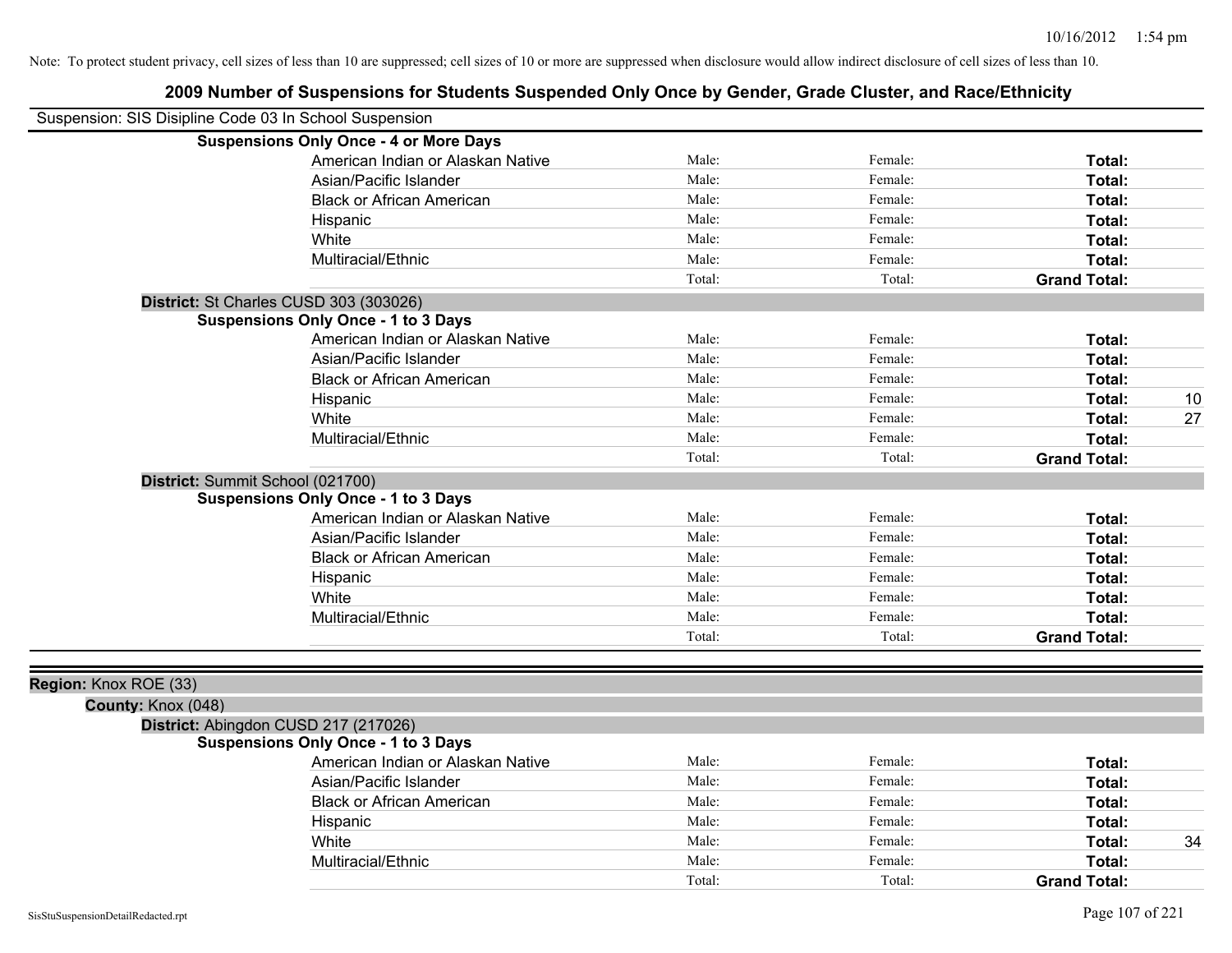| Suspension: SIS Disipline Code 03 In School Suspension |                                               |        |         |                     |    |
|--------------------------------------------------------|-----------------------------------------------|--------|---------|---------------------|----|
|                                                        | <b>Suspensions Only Once - 4 or More Days</b> |        |         |                     |    |
|                                                        | American Indian or Alaskan Native             | Male:  | Female: | Total:              |    |
|                                                        | Asian/Pacific Islander                        | Male:  | Female: | Total:              |    |
|                                                        | <b>Black or African American</b>              | Male:  | Female: | Total:              |    |
|                                                        | Hispanic                                      | Male:  | Female: | Total:              |    |
|                                                        | White                                         | Male:  | Female: | Total:              |    |
|                                                        | Multiracial/Ethnic                            | Male:  | Female: | Total:              |    |
|                                                        |                                               | Total: | Total:  | <b>Grand Total:</b> |    |
|                                                        | District: St Charles CUSD 303 (303026)        |        |         |                     |    |
|                                                        | <b>Suspensions Only Once - 1 to 3 Days</b>    |        |         |                     |    |
|                                                        | American Indian or Alaskan Native             | Male:  | Female: | Total:              |    |
|                                                        | Asian/Pacific Islander                        | Male:  | Female: | Total:              |    |
|                                                        | <b>Black or African American</b>              | Male:  | Female: | Total:              |    |
|                                                        | Hispanic                                      | Male:  | Female: | Total:              | 10 |
|                                                        | White                                         | Male:  | Female: | Total:              | 27 |
|                                                        | Multiracial/Ethnic                            | Male:  | Female: | Total:              |    |
|                                                        |                                               | Total: | Total:  | <b>Grand Total:</b> |    |
|                                                        | District: Summit School (021700)              |        |         |                     |    |
|                                                        | <b>Suspensions Only Once - 1 to 3 Days</b>    |        |         |                     |    |
|                                                        | American Indian or Alaskan Native             | Male:  | Female: | Total:              |    |
|                                                        | Asian/Pacific Islander                        | Male:  | Female: | Total:              |    |
|                                                        | <b>Black or African American</b>              | Male:  | Female: | Total:              |    |
|                                                        | Hispanic                                      | Male:  | Female: | Total:              |    |
|                                                        | White                                         | Male:  | Female: | Total:              |    |
|                                                        | Multiracial/Ethnic                            | Male:  | Female: | Total:              |    |
|                                                        |                                               | Total: | Total:  | <b>Grand Total:</b> |    |
|                                                        |                                               |        |         |                     |    |
| Region: Knox ROE (33)                                  |                                               |        |         |                     |    |
| County: Knox (048)                                     |                                               |        |         |                     |    |
|                                                        | District: Abingdon CUSD 217 (217026)          |        |         |                     |    |
|                                                        | <b>Suspensions Only Once - 1 to 3 Days</b>    |        |         |                     |    |
|                                                        | American Indian or Alaskan Native             | Male:  | Female: | Total:              |    |
|                                                        | Asian/Pacific Islander                        | Male:  | Female: | Total:              |    |
|                                                        | <b>Black or African American</b>              | Male:  | Female: | Total:              |    |
|                                                        | Hispanic                                      | Male:  | Female: | Total:              |    |
|                                                        | White                                         | Male:  | Female: | Total:              | 34 |
|                                                        | Multiracial/Ethnic                            | Male:  | Female: | Total:              |    |
|                                                        |                                               | Total: | Total:  | <b>Grand Total:</b> |    |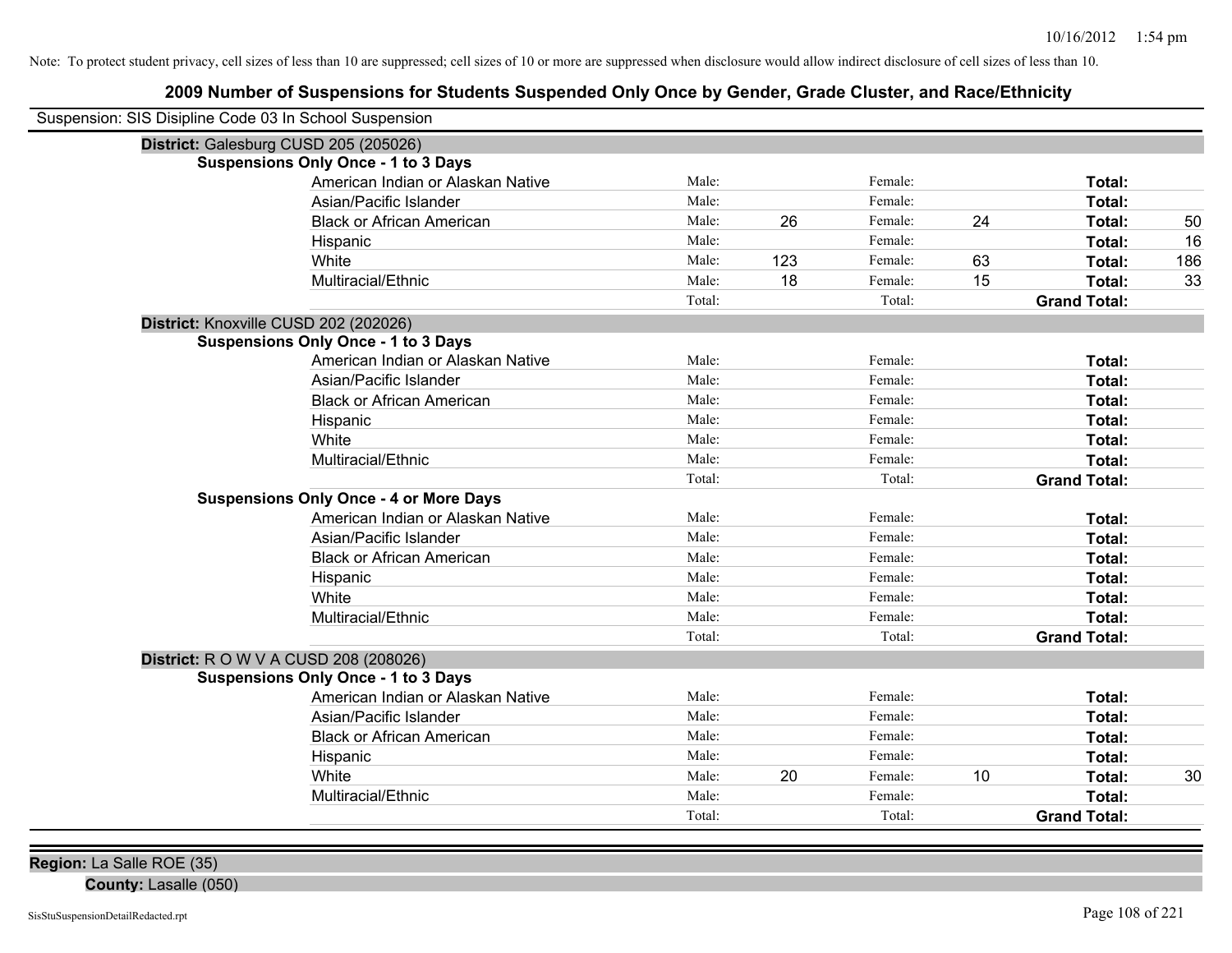## **2009 Number of Suspensions for Students Suspended Only Once by Gender, Grade Cluster, and Race/Ethnicity**

| Suspension: SIS Disipline Code 03 In School Suspension |        |     |         |    |                     |     |
|--------------------------------------------------------|--------|-----|---------|----|---------------------|-----|
| District: Galesburg CUSD 205 (205026)                  |        |     |         |    |                     |     |
| <b>Suspensions Only Once - 1 to 3 Days</b>             |        |     |         |    |                     |     |
| American Indian or Alaskan Native                      | Male:  |     | Female: |    | Total:              |     |
| Asian/Pacific Islander                                 | Male:  |     | Female: |    | Total:              |     |
| <b>Black or African American</b>                       | Male:  | 26  | Female: | 24 | Total:              | 50  |
| Hispanic                                               | Male:  |     | Female: |    | Total:              | 16  |
| White                                                  | Male:  | 123 | Female: | 63 | Total:              | 186 |
| Multiracial/Ethnic                                     | Male:  | 18  | Female: | 15 | Total:              | 33  |
|                                                        | Total: |     | Total:  |    | <b>Grand Total:</b> |     |
| District: Knoxville CUSD 202 (202026)                  |        |     |         |    |                     |     |
| <b>Suspensions Only Once - 1 to 3 Days</b>             |        |     |         |    |                     |     |
| American Indian or Alaskan Native                      | Male:  |     | Female: |    | Total:              |     |
| Asian/Pacific Islander                                 | Male:  |     | Female: |    | <b>Total:</b>       |     |
| <b>Black or African American</b>                       | Male:  |     | Female: |    | Total:              |     |
| Hispanic                                               | Male:  |     | Female: |    | Total:              |     |
| White                                                  | Male:  |     | Female: |    | Total:              |     |
| Multiracial/Ethnic                                     | Male:  |     | Female: |    | Total:              |     |
|                                                        | Total: |     | Total:  |    | <b>Grand Total:</b> |     |
| <b>Suspensions Only Once - 4 or More Days</b>          |        |     |         |    |                     |     |
| American Indian or Alaskan Native                      | Male:  |     | Female: |    | Total:              |     |
| Asian/Pacific Islander                                 | Male:  |     | Female: |    | Total:              |     |
| <b>Black or African American</b>                       | Male:  |     | Female: |    | Total:              |     |
| Hispanic                                               | Male:  |     | Female: |    | Total:              |     |
| White                                                  | Male:  |     | Female: |    | Total:              |     |
| Multiracial/Ethnic                                     | Male:  |     | Female: |    | Total:              |     |
|                                                        | Total: |     | Total:  |    | <b>Grand Total:</b> |     |
| <b>District:</b> R O W V A CUSD 208 (208026)           |        |     |         |    |                     |     |
| <b>Suspensions Only Once - 1 to 3 Days</b>             |        |     |         |    |                     |     |
| American Indian or Alaskan Native                      | Male:  |     | Female: |    | Total:              |     |
| Asian/Pacific Islander                                 | Male:  |     | Female: |    | Total:              |     |
| <b>Black or African American</b>                       | Male:  |     | Female: |    | Total:              |     |
| Hispanic                                               | Male:  |     | Female: |    | Total:              |     |
| White                                                  | Male:  | 20  | Female: | 10 | Total:              | 30  |
| Multiracial/Ethnic                                     | Male:  |     | Female: |    | Total:              |     |
|                                                        | Total: |     | Total:  |    | <b>Grand Total:</b> |     |

**Region:** La Salle ROE (35)

**County:** Lasalle (050)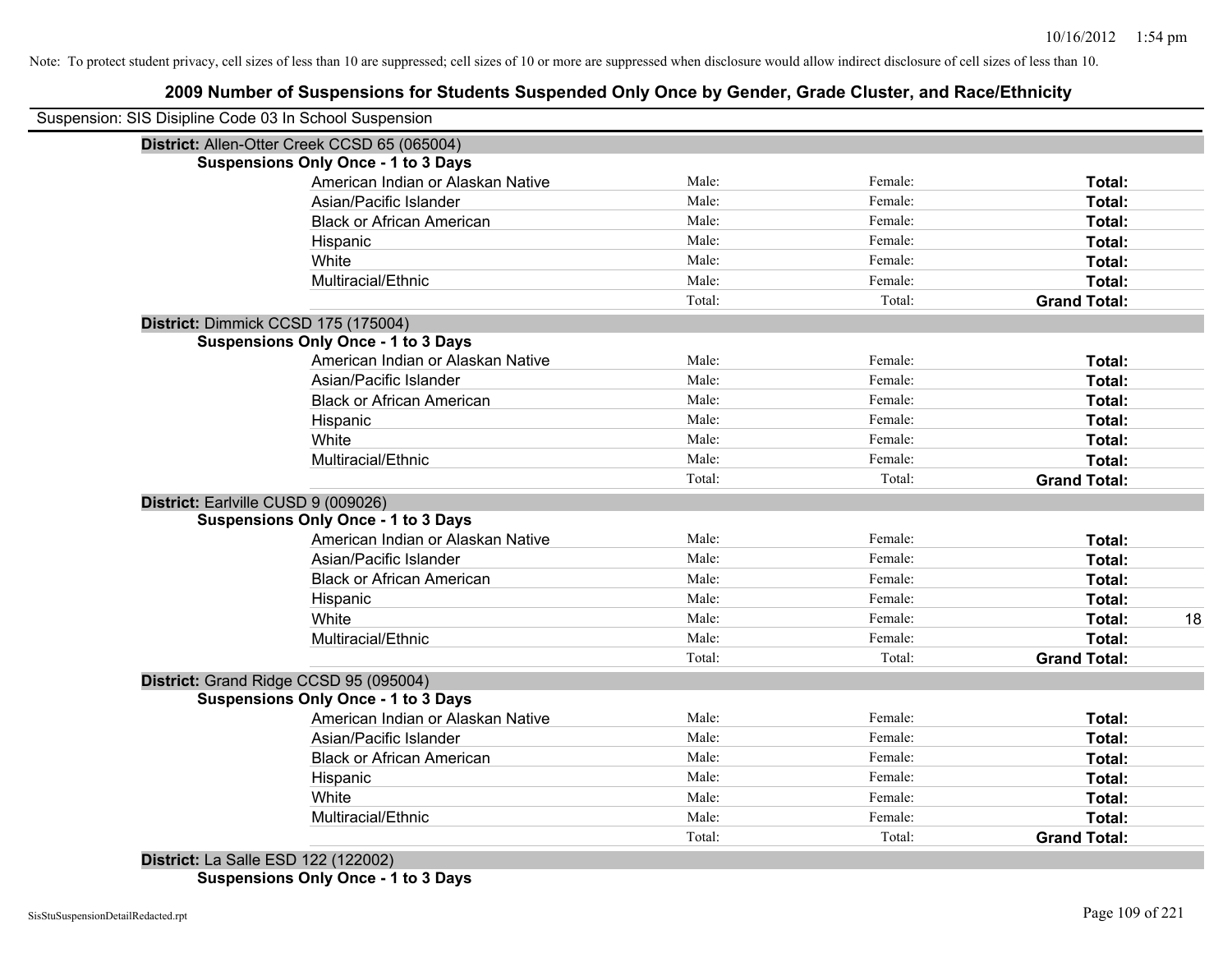### **2009 Number of Suspensions for Students Suspended Only Once by Gender, Grade Cluster, and Race/Ethnicity**

| Suspension: SIS Disipline Code 03 In School Suspension |        |         |                     |
|--------------------------------------------------------|--------|---------|---------------------|
| District: Allen-Otter Creek CCSD 65 (065004)           |        |         |                     |
| <b>Suspensions Only Once - 1 to 3 Days</b>             |        |         |                     |
| American Indian or Alaskan Native                      | Male:  | Female: | Total:              |
| Asian/Pacific Islander                                 | Male:  | Female: | Total:              |
| <b>Black or African American</b>                       | Male:  | Female: | Total:              |
| Hispanic                                               | Male:  | Female: | Total:              |
| White                                                  | Male:  | Female: | Total:              |
| Multiracial/Ethnic                                     | Male:  | Female: | Total:              |
|                                                        | Total: | Total:  | <b>Grand Total:</b> |
| District: Dimmick CCSD 175 (175004)                    |        |         |                     |
| <b>Suspensions Only Once - 1 to 3 Days</b>             |        |         |                     |
| American Indian or Alaskan Native                      | Male:  | Female: | Total:              |
| Asian/Pacific Islander                                 | Male:  | Female: | Total:              |
| <b>Black or African American</b>                       | Male:  | Female: | Total:              |
| Hispanic                                               | Male:  | Female: | Total:              |
| White                                                  | Male:  | Female: | Total:              |
| Multiracial/Ethnic                                     | Male:  | Female: | Total:              |
|                                                        | Total: | Total:  | <b>Grand Total:</b> |
| District: Earlville CUSD 9 (009026)                    |        |         |                     |
| <b>Suspensions Only Once - 1 to 3 Days</b>             |        |         |                     |
| American Indian or Alaskan Native                      | Male:  | Female: | Total:              |
| Asian/Pacific Islander                                 | Male:  | Female: | Total:              |
| <b>Black or African American</b>                       | Male:  | Female: | Total:              |
| Hispanic                                               | Male:  | Female: | Total:              |
| White                                                  | Male:  | Female: | Total:              |
| Multiracial/Ethnic                                     | Male:  | Female: | Total:              |
|                                                        | Total: | Total:  | <b>Grand Total:</b> |
| District: Grand Ridge CCSD 95 (095004)                 |        |         |                     |
| <b>Suspensions Only Once - 1 to 3 Days</b>             |        |         |                     |
| American Indian or Alaskan Native                      | Male:  | Female: | Total:              |
| Asian/Pacific Islander                                 | Male:  | Female: | Total:              |
| <b>Black or African American</b>                       | Male:  | Female: | Total:              |
| Hispanic                                               | Male:  | Female: | Total:              |
| White                                                  | Male:  | Female: | Total:              |
| Multiracial/Ethnic                                     | Male:  | Female: | Total:              |
|                                                        | Total: | Total:  | <b>Grand Total:</b> |

**Suspensions Only Once - 1 to 3 Days**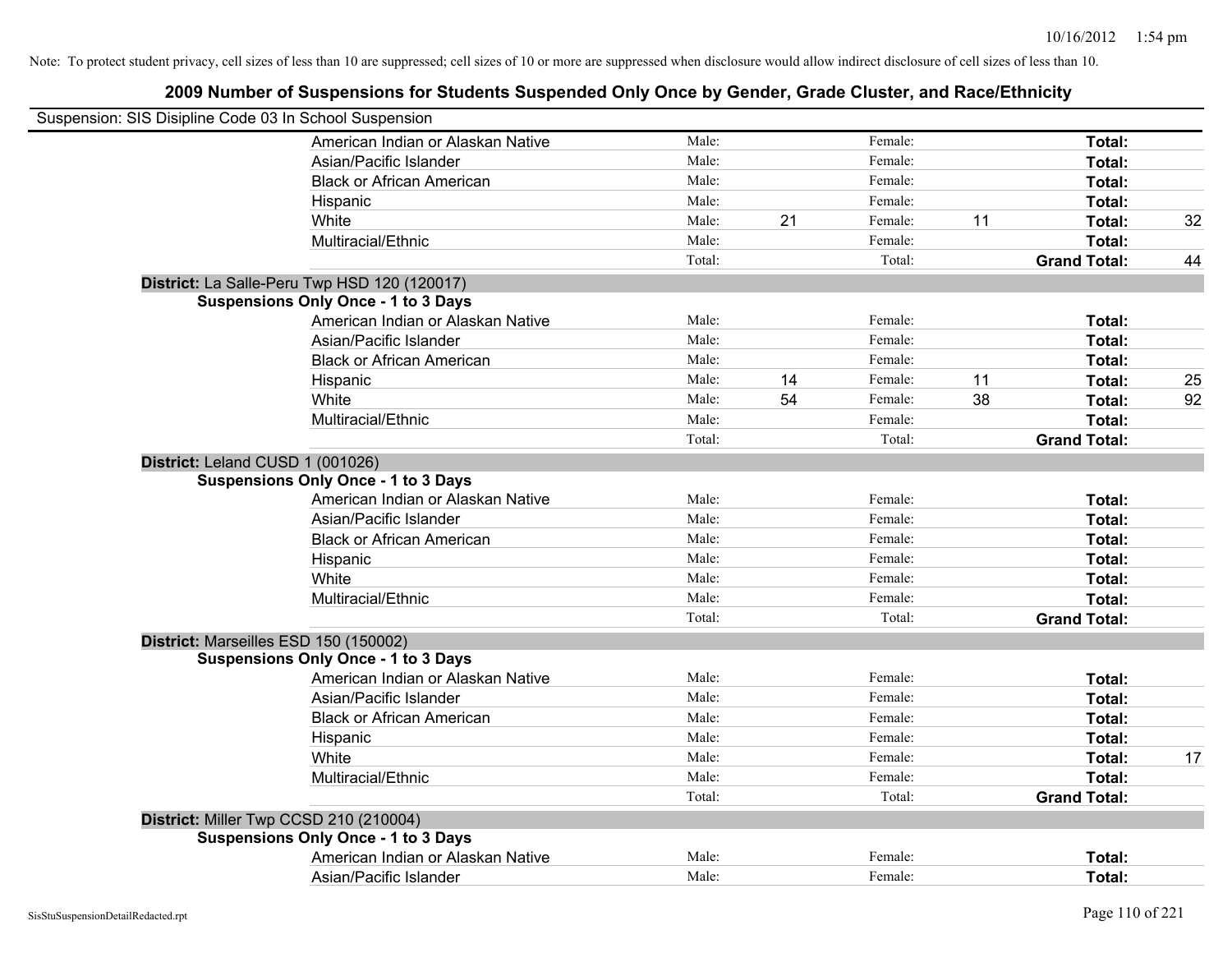| Suspension: SIS Disipline Code 03 In School Suspension |        |    |         |    |                     |    |
|--------------------------------------------------------|--------|----|---------|----|---------------------|----|
| American Indian or Alaskan Native                      | Male:  |    | Female: |    | Total:              |    |
| Asian/Pacific Islander                                 | Male:  |    | Female: |    | Total:              |    |
| <b>Black or African American</b>                       | Male:  |    | Female: |    | Total:              |    |
| Hispanic                                               | Male:  |    | Female: |    | Total:              |    |
| White                                                  | Male:  | 21 | Female: | 11 | Total:              | 32 |
| Multiracial/Ethnic                                     | Male:  |    | Female: |    | Total:              |    |
|                                                        | Total: |    | Total:  |    | <b>Grand Total:</b> | 44 |
| District: La Salle-Peru Twp HSD 120 (120017)           |        |    |         |    |                     |    |
| <b>Suspensions Only Once - 1 to 3 Days</b>             |        |    |         |    |                     |    |
| American Indian or Alaskan Native                      | Male:  |    | Female: |    | Total:              |    |
| Asian/Pacific Islander                                 | Male:  |    | Female: |    | Total:              |    |
| <b>Black or African American</b>                       | Male:  |    | Female: |    | Total:              |    |
| Hispanic                                               | Male:  | 14 | Female: | 11 | Total:              | 25 |
| White                                                  | Male:  | 54 | Female: | 38 | Total:              | 92 |
| Multiracial/Ethnic                                     | Male:  |    | Female: |    | Total:              |    |
|                                                        | Total: |    | Total:  |    | <b>Grand Total:</b> |    |
| District: Leland CUSD 1 (001026)                       |        |    |         |    |                     |    |
| <b>Suspensions Only Once - 1 to 3 Days</b>             |        |    |         |    |                     |    |
| American Indian or Alaskan Native                      | Male:  |    | Female: |    | Total:              |    |
| Asian/Pacific Islander                                 | Male:  |    | Female: |    | Total:              |    |
| <b>Black or African American</b>                       | Male:  |    | Female: |    | Total:              |    |
| Hispanic                                               | Male:  |    | Female: |    | Total:              |    |
| White                                                  | Male:  |    | Female: |    | Total:              |    |
| Multiracial/Ethnic                                     | Male:  |    | Female: |    | Total:              |    |
|                                                        | Total: |    | Total:  |    | <b>Grand Total:</b> |    |
| District: Marseilles ESD 150 (150002)                  |        |    |         |    |                     |    |
| <b>Suspensions Only Once - 1 to 3 Days</b>             |        |    |         |    |                     |    |
| American Indian or Alaskan Native                      | Male:  |    | Female: |    | Total:              |    |
| Asian/Pacific Islander                                 | Male:  |    | Female: |    | Total:              |    |
| <b>Black or African American</b>                       | Male:  |    | Female: |    | Total:              |    |
| Hispanic                                               | Male:  |    | Female: |    | Total:              |    |
| White                                                  | Male:  |    | Female: |    | Total:              | 17 |
| Multiracial/Ethnic                                     | Male:  |    | Female: |    | Total:              |    |
|                                                        | Total: |    | Total:  |    | <b>Grand Total:</b> |    |
| District: Miller Twp CCSD 210 (210004)                 |        |    |         |    |                     |    |
| <b>Suspensions Only Once - 1 to 3 Days</b>             |        |    |         |    |                     |    |
| American Indian or Alaskan Native                      | Male:  |    | Female: |    | <b>Total:</b>       |    |
| Asian/Pacific Islander                                 | Male:  |    | Female: |    | Total:              |    |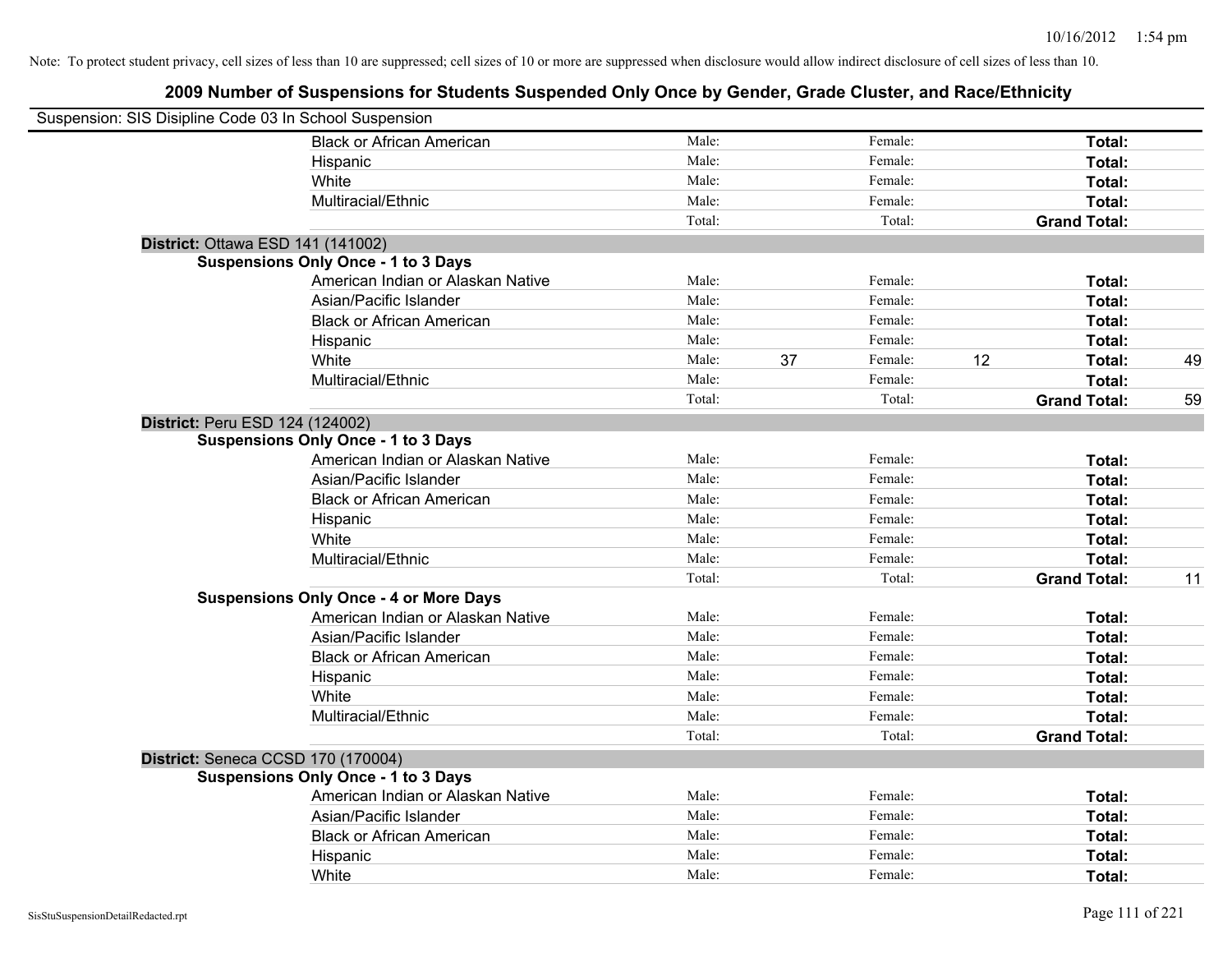| Suspension: SIS Disipline Code 03 In School Suspension |                                               |        |    |         |    |                     |    |
|--------------------------------------------------------|-----------------------------------------------|--------|----|---------|----|---------------------|----|
|                                                        | <b>Black or African American</b>              | Male:  |    | Female: |    | Total:              |    |
|                                                        | Hispanic                                      | Male:  |    | Female: |    | Total:              |    |
|                                                        | White                                         | Male:  |    | Female: |    | Total:              |    |
|                                                        | Multiracial/Ethnic                            | Male:  |    | Female: |    | Total:              |    |
|                                                        |                                               | Total: |    | Total:  |    | <b>Grand Total:</b> |    |
| District: Ottawa ESD 141 (141002)                      |                                               |        |    |         |    |                     |    |
|                                                        | <b>Suspensions Only Once - 1 to 3 Days</b>    |        |    |         |    |                     |    |
|                                                        | American Indian or Alaskan Native             | Male:  |    | Female: |    | Total:              |    |
|                                                        | Asian/Pacific Islander                        | Male:  |    | Female: |    | Total:              |    |
|                                                        | <b>Black or African American</b>              | Male:  |    | Female: |    | Total:              |    |
|                                                        | Hispanic                                      | Male:  |    | Female: |    | Total:              |    |
|                                                        | White                                         | Male:  | 37 | Female: | 12 | Total:              | 49 |
|                                                        | Multiracial/Ethnic                            | Male:  |    | Female: |    | Total:              |    |
|                                                        |                                               | Total: |    | Total:  |    | <b>Grand Total:</b> | 59 |
| District: Peru ESD 124 (124002)                        |                                               |        |    |         |    |                     |    |
|                                                        | <b>Suspensions Only Once - 1 to 3 Days</b>    |        |    |         |    |                     |    |
|                                                        | American Indian or Alaskan Native             | Male:  |    | Female: |    | Total:              |    |
|                                                        | Asian/Pacific Islander                        | Male:  |    | Female: |    | Total:              |    |
|                                                        | <b>Black or African American</b>              | Male:  |    | Female: |    | Total:              |    |
|                                                        | Hispanic                                      | Male:  |    | Female: |    | Total:              |    |
|                                                        | White                                         | Male:  |    | Female: |    | Total:              |    |
|                                                        | Multiracial/Ethnic                            | Male:  |    | Female: |    | Total:              |    |
|                                                        |                                               | Total: |    | Total:  |    | <b>Grand Total:</b> | 11 |
|                                                        | <b>Suspensions Only Once - 4 or More Days</b> |        |    |         |    |                     |    |
|                                                        | American Indian or Alaskan Native             | Male:  |    | Female: |    | Total:              |    |
|                                                        | Asian/Pacific Islander                        | Male:  |    | Female: |    | Total:              |    |
|                                                        | <b>Black or African American</b>              | Male:  |    | Female: |    | Total:              |    |
|                                                        | Hispanic                                      | Male:  |    | Female: |    | Total:              |    |
|                                                        | White                                         | Male:  |    | Female: |    | Total:              |    |
|                                                        | Multiracial/Ethnic                            | Male:  |    | Female: |    | Total:              |    |
|                                                        |                                               | Total: |    | Total:  |    | <b>Grand Total:</b> |    |
| District: Seneca CCSD 170 (170004)                     |                                               |        |    |         |    |                     |    |
|                                                        | <b>Suspensions Only Once - 1 to 3 Days</b>    |        |    |         |    |                     |    |
|                                                        | American Indian or Alaskan Native             | Male:  |    | Female: |    | Total:              |    |
|                                                        | Asian/Pacific Islander                        | Male:  |    | Female: |    | Total:              |    |
|                                                        | <b>Black or African American</b>              | Male:  |    | Female: |    | Total:              |    |
|                                                        | Hispanic                                      | Male:  |    | Female: |    | Total:              |    |
|                                                        | White                                         | Male:  |    | Female: |    | Total:              |    |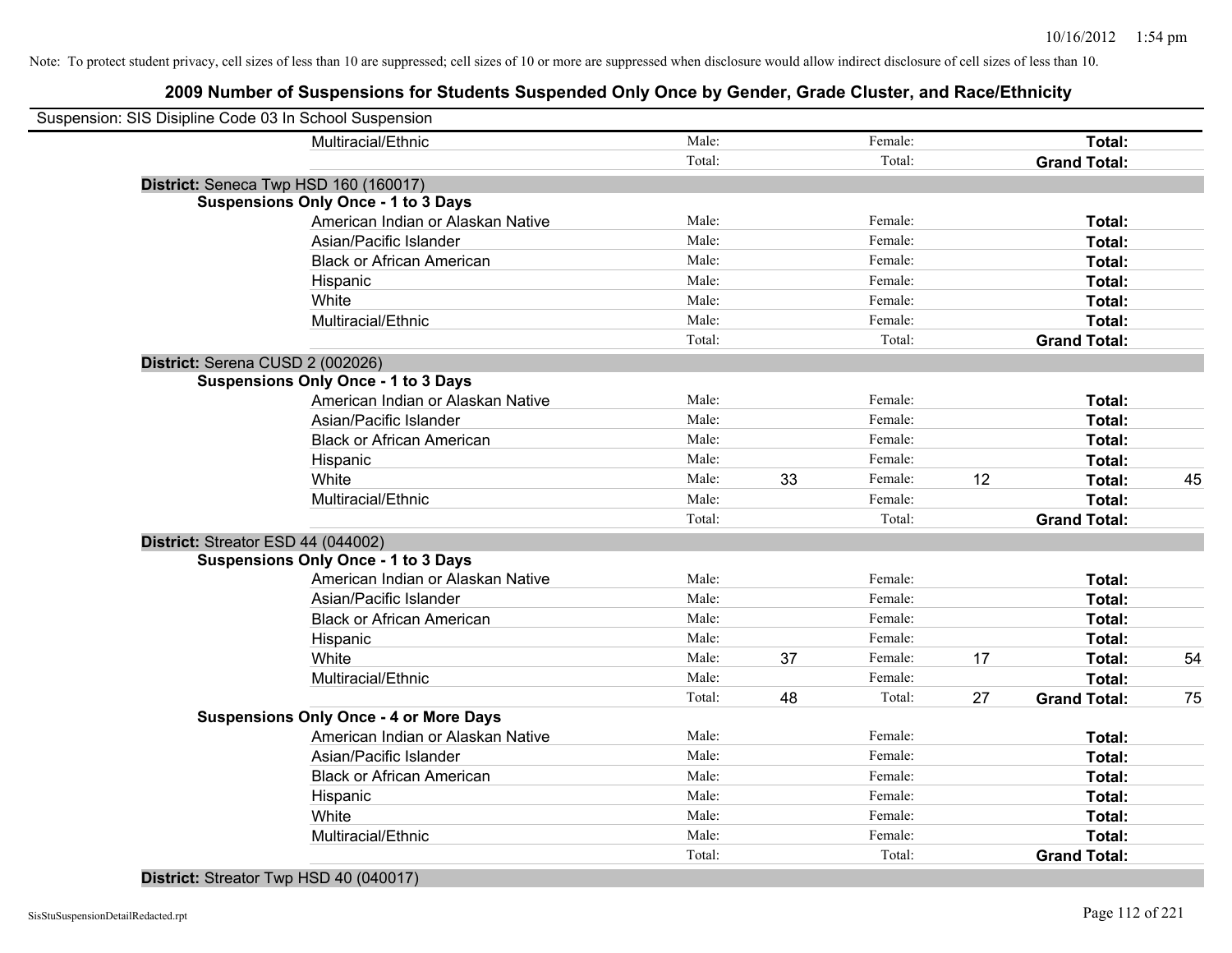### **2009 Number of Suspensions for Students Suspended Only Once by Gender, Grade Cluster, and Race/Ethnicity**

| Suspension: SIS Disipline Code 03 In School Suspension |                                   |        |    |         |    |                     |    |
|--------------------------------------------------------|-----------------------------------|--------|----|---------|----|---------------------|----|
| Multiracial/Ethnic                                     |                                   | Male:  |    | Female: |    | Total:              |    |
|                                                        |                                   | Total: |    | Total:  |    | <b>Grand Total:</b> |    |
| District: Seneca Twp HSD 160 (160017)                  |                                   |        |    |         |    |                     |    |
| <b>Suspensions Only Once - 1 to 3 Days</b>             |                                   |        |    |         |    |                     |    |
|                                                        | American Indian or Alaskan Native | Male:  |    | Female: |    | Total:              |    |
|                                                        | Asian/Pacific Islander            | Male:  |    | Female: |    | Total:              |    |
|                                                        | <b>Black or African American</b>  | Male:  |    | Female: |    | Total:              |    |
| Hispanic                                               |                                   | Male:  |    | Female: |    | Total:              |    |
| White                                                  |                                   | Male:  |    | Female: |    | Total:              |    |
| Multiracial/Ethnic                                     |                                   | Male:  |    | Female: |    | Total:              |    |
|                                                        |                                   | Total: |    | Total:  |    | <b>Grand Total:</b> |    |
| District: Serena CUSD 2 (002026)                       |                                   |        |    |         |    |                     |    |
| <b>Suspensions Only Once - 1 to 3 Days</b>             |                                   |        |    |         |    |                     |    |
|                                                        | American Indian or Alaskan Native | Male:  |    | Female: |    | Total:              |    |
|                                                        | Asian/Pacific Islander            | Male:  |    | Female: |    | Total:              |    |
|                                                        | <b>Black or African American</b>  | Male:  |    | Female: |    | Total:              |    |
| Hispanic                                               |                                   | Male:  |    | Female: |    | Total:              |    |
| White                                                  |                                   | Male:  | 33 | Female: | 12 | Total:              | 45 |
| Multiracial/Ethnic                                     |                                   | Male:  |    | Female: |    | Total:              |    |
|                                                        |                                   | Total: |    | Total:  |    | <b>Grand Total:</b> |    |
| District: Streator ESD 44 (044002)                     |                                   |        |    |         |    |                     |    |
| <b>Suspensions Only Once - 1 to 3 Days</b>             |                                   |        |    |         |    |                     |    |
|                                                        | American Indian or Alaskan Native | Male:  |    | Female: |    | Total:              |    |
|                                                        | Asian/Pacific Islander            | Male:  |    | Female: |    | Total:              |    |
|                                                        | <b>Black or African American</b>  | Male:  |    | Female: |    | Total:              |    |
| Hispanic                                               |                                   | Male:  |    | Female: |    | Total:              |    |
| White                                                  |                                   | Male:  | 37 | Female: | 17 | Total:              | 54 |
| Multiracial/Ethnic                                     |                                   | Male:  |    | Female: |    | Total:              |    |
|                                                        |                                   | Total: | 48 | Total:  | 27 | <b>Grand Total:</b> | 75 |
| <b>Suspensions Only Once - 4 or More Days</b>          |                                   |        |    |         |    |                     |    |
|                                                        | American Indian or Alaskan Native | Male:  |    | Female: |    | Total:              |    |
|                                                        | Asian/Pacific Islander            | Male:  |    | Female: |    | Total:              |    |
|                                                        | <b>Black or African American</b>  | Male:  |    | Female: |    | Total:              |    |
| Hispanic                                               |                                   | Male:  |    | Female: |    | Total:              |    |
| White                                                  |                                   | Male:  |    | Female: |    | Total:              |    |
| Multiracial/Ethnic                                     |                                   | Male:  |    | Female: |    | Total:              |    |
|                                                        |                                   | Total: |    | Total:  |    | <b>Grand Total:</b> |    |

# **District:** Streator Twp HSD 40 (040017)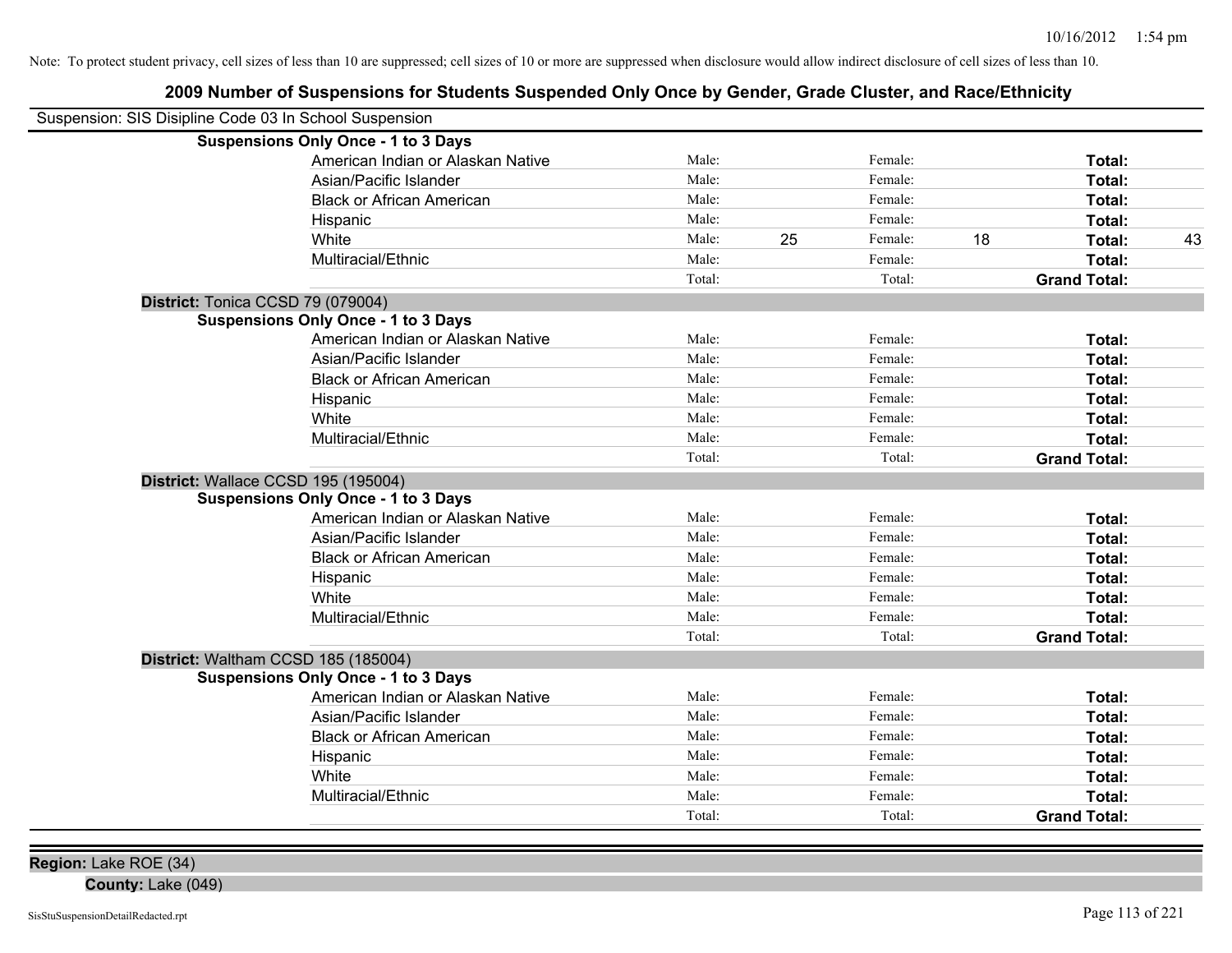### **2009 Number of Suspensions for Students Suspended Only Once by Gender, Grade Cluster, and Race/Ethnicity**

| Suspension: SIS Disipline Code 03 In School Suspension |                                            |        |    |         |    |                     |    |
|--------------------------------------------------------|--------------------------------------------|--------|----|---------|----|---------------------|----|
|                                                        | <b>Suspensions Only Once - 1 to 3 Days</b> |        |    |         |    |                     |    |
|                                                        | American Indian or Alaskan Native          | Male:  |    | Female: |    | Total:              |    |
|                                                        | Asian/Pacific Islander                     | Male:  |    | Female: |    | Total:              |    |
|                                                        | <b>Black or African American</b>           | Male:  |    | Female: |    | Total:              |    |
|                                                        | Hispanic                                   | Male:  |    | Female: |    | Total:              |    |
|                                                        | White                                      | Male:  | 25 | Female: | 18 | Total:              | 43 |
|                                                        | Multiracial/Ethnic                         | Male:  |    | Female: |    | Total:              |    |
|                                                        |                                            | Total: |    | Total:  |    | <b>Grand Total:</b> |    |
| District: Tonica CCSD 79 (079004)                      |                                            |        |    |         |    |                     |    |
|                                                        | <b>Suspensions Only Once - 1 to 3 Days</b> |        |    |         |    |                     |    |
|                                                        | American Indian or Alaskan Native          | Male:  |    | Female: |    | Total:              |    |
|                                                        | Asian/Pacific Islander                     | Male:  |    | Female: |    | Total:              |    |
|                                                        | <b>Black or African American</b>           | Male:  |    | Female: |    | Total:              |    |
|                                                        | Hispanic                                   | Male:  |    | Female: |    | Total:              |    |
|                                                        | White                                      | Male:  |    | Female: |    | Total:              |    |
|                                                        | Multiracial/Ethnic                         | Male:  |    | Female: |    | Total:              |    |
|                                                        |                                            | Total: |    | Total:  |    | <b>Grand Total:</b> |    |
| District: Wallace CCSD 195 (195004)                    |                                            |        |    |         |    |                     |    |
|                                                        | <b>Suspensions Only Once - 1 to 3 Days</b> |        |    |         |    |                     |    |
|                                                        | American Indian or Alaskan Native          | Male:  |    | Female: |    | Total:              |    |
|                                                        | Asian/Pacific Islander                     | Male:  |    | Female: |    | Total:              |    |
|                                                        | <b>Black or African American</b>           | Male:  |    | Female: |    | Total:              |    |
|                                                        | Hispanic                                   | Male:  |    | Female: |    | Total:              |    |
|                                                        | White                                      | Male:  |    | Female: |    | Total:              |    |
|                                                        | Multiracial/Ethnic                         | Male:  |    | Female: |    | Total:              |    |
|                                                        |                                            | Total: |    | Total:  |    | <b>Grand Total:</b> |    |
| District: Waltham CCSD 185 (185004)                    |                                            |        |    |         |    |                     |    |
|                                                        | <b>Suspensions Only Once - 1 to 3 Days</b> |        |    |         |    |                     |    |
|                                                        | American Indian or Alaskan Native          | Male:  |    | Female: |    | Total:              |    |
|                                                        | Asian/Pacific Islander                     | Male:  |    | Female: |    | Total:              |    |
|                                                        | <b>Black or African American</b>           | Male:  |    | Female: |    | Total:              |    |
|                                                        | Hispanic                                   | Male:  |    | Female: |    | Total:              |    |
|                                                        | White                                      | Male:  |    | Female: |    | Total:              |    |
|                                                        | Multiracial/Ethnic                         | Male:  |    | Female: |    | Total:              |    |
|                                                        |                                            | Total: |    | Total:  |    | <b>Grand Total:</b> |    |

**Region:** Lake ROE (34)

**County:** Lake (049)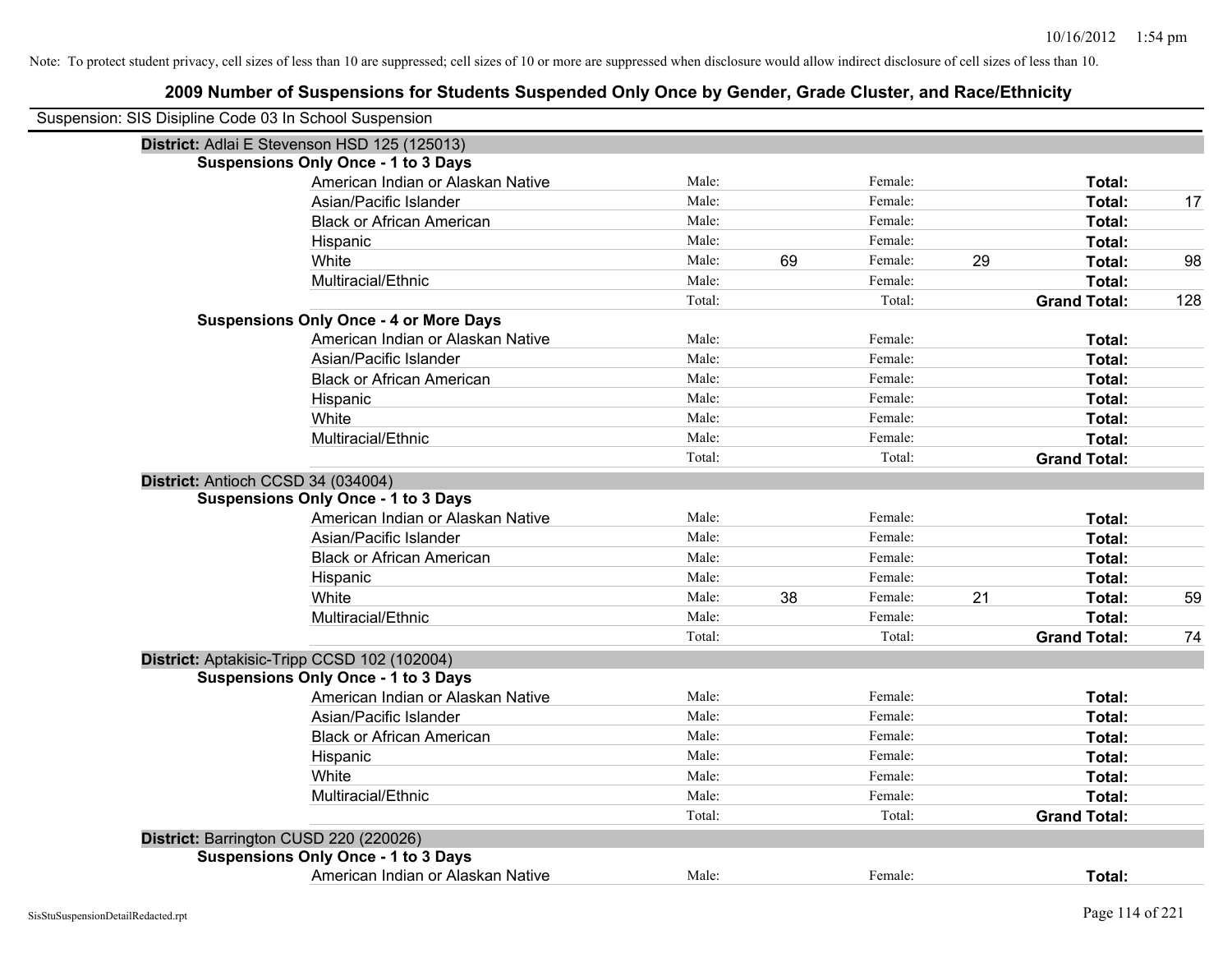| Suspension: SIS Disipline Code 03 In School Suspension |                                               |        |    |         |    |                     |     |
|--------------------------------------------------------|-----------------------------------------------|--------|----|---------|----|---------------------|-----|
|                                                        | District: Adlai E Stevenson HSD 125 (125013)  |        |    |         |    |                     |     |
|                                                        | <b>Suspensions Only Once - 1 to 3 Days</b>    |        |    |         |    |                     |     |
|                                                        | American Indian or Alaskan Native             | Male:  |    | Female: |    | Total:              |     |
|                                                        | Asian/Pacific Islander                        | Male:  |    | Female: |    | Total:              | 17  |
|                                                        | <b>Black or African American</b>              | Male:  |    | Female: |    | Total:              |     |
|                                                        | Hispanic                                      | Male:  |    | Female: |    | Total:              |     |
|                                                        | White                                         | Male:  | 69 | Female: | 29 | Total:              | 98  |
|                                                        | Multiracial/Ethnic                            | Male:  |    | Female: |    | Total:              |     |
|                                                        |                                               | Total: |    | Total:  |    | <b>Grand Total:</b> | 128 |
|                                                        | <b>Suspensions Only Once - 4 or More Days</b> |        |    |         |    |                     |     |
|                                                        | American Indian or Alaskan Native             | Male:  |    | Female: |    | Total:              |     |
|                                                        | Asian/Pacific Islander                        | Male:  |    | Female: |    | Total:              |     |
|                                                        | <b>Black or African American</b>              | Male:  |    | Female: |    | Total:              |     |
|                                                        | Hispanic                                      | Male:  |    | Female: |    | Total:              |     |
|                                                        | White                                         | Male:  |    | Female: |    | Total:              |     |
|                                                        | Multiracial/Ethnic                            | Male:  |    | Female: |    | Total:              |     |
|                                                        |                                               | Total: |    | Total:  |    | <b>Grand Total:</b> |     |
| District: Antioch CCSD 34 (034004)                     |                                               |        |    |         |    |                     |     |
|                                                        | <b>Suspensions Only Once - 1 to 3 Days</b>    |        |    |         |    |                     |     |
|                                                        | American Indian or Alaskan Native             | Male:  |    | Female: |    | Total:              |     |
|                                                        | Asian/Pacific Islander                        | Male:  |    | Female: |    | Total:              |     |
|                                                        | <b>Black or African American</b>              | Male:  |    | Female: |    | Total:              |     |
|                                                        | Hispanic                                      | Male:  |    | Female: |    | Total:              |     |
|                                                        | White                                         | Male:  | 38 | Female: | 21 | Total:              | 59  |
|                                                        | Multiracial/Ethnic                            | Male:  |    | Female: |    | Total:              |     |
|                                                        |                                               | Total: |    | Total:  |    | <b>Grand Total:</b> | 74  |
| District: Aptakisic-Tripp CCSD 102 (102004)            |                                               |        |    |         |    |                     |     |
|                                                        | <b>Suspensions Only Once - 1 to 3 Days</b>    |        |    |         |    |                     |     |
|                                                        | American Indian or Alaskan Native             | Male:  |    | Female: |    | Total:              |     |
|                                                        | Asian/Pacific Islander                        | Male:  |    | Female: |    | Total:              |     |
|                                                        | <b>Black or African American</b>              | Male:  |    | Female: |    | Total:              |     |
|                                                        | Hispanic                                      | Male:  |    | Female: |    | Total:              |     |
|                                                        | White                                         | Male:  |    | Female: |    | Total:              |     |
|                                                        | Multiracial/Ethnic                            | Male:  |    | Female: |    | Total:              |     |
|                                                        |                                               | Total: |    | Total:  |    | <b>Grand Total:</b> |     |
| District: Barrington CUSD 220 (220026)                 |                                               |        |    |         |    |                     |     |
|                                                        | <b>Suspensions Only Once - 1 to 3 Days</b>    |        |    |         |    |                     |     |
|                                                        | American Indian or Alaskan Native             | Male:  |    | Female: |    | Total:              |     |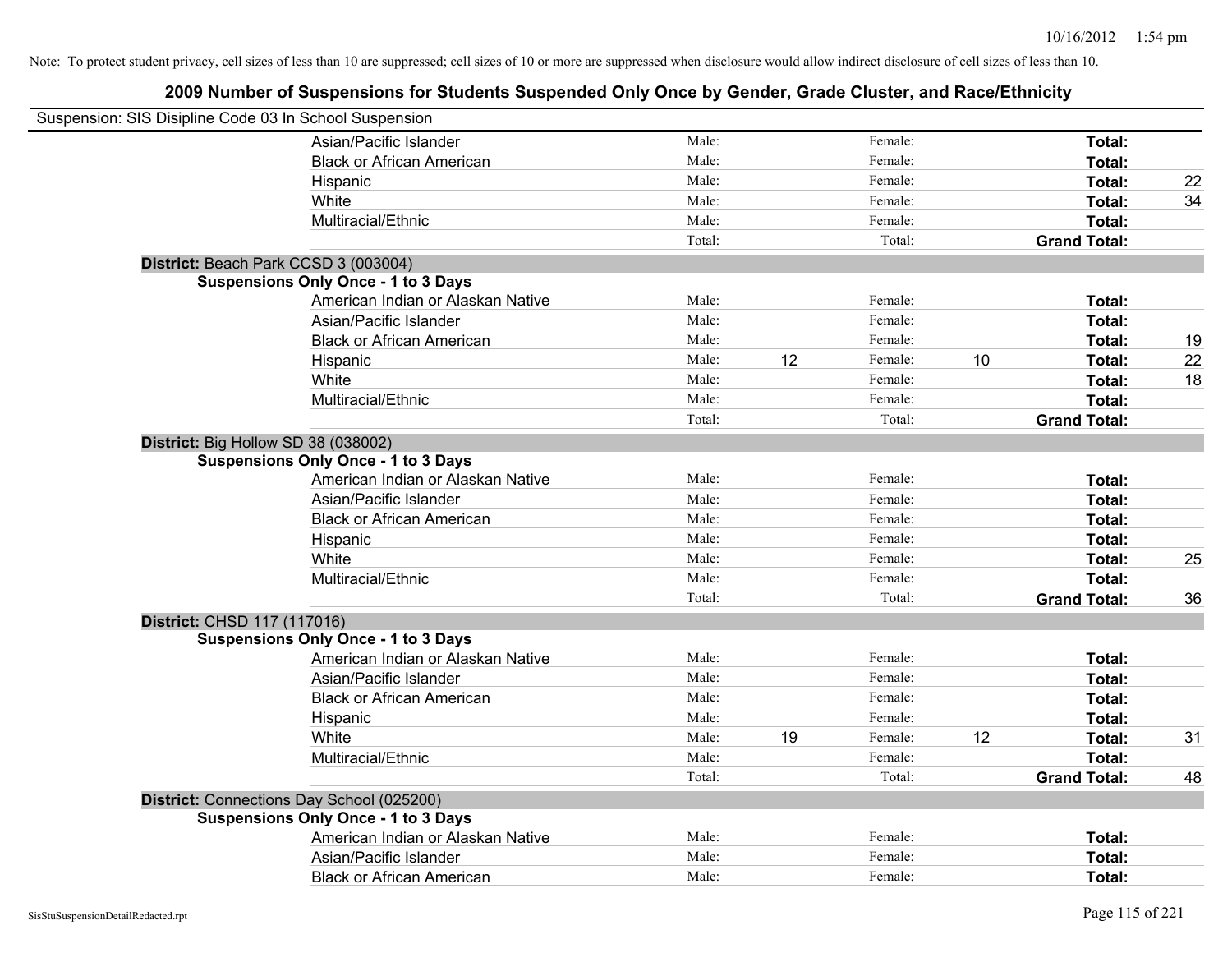| Suspension: SIS Disipline Code 03 In School Suspension |                                            |        |    |         |    |                     |    |
|--------------------------------------------------------|--------------------------------------------|--------|----|---------|----|---------------------|----|
|                                                        | Asian/Pacific Islander                     | Male:  |    | Female: |    | Total:              |    |
|                                                        | <b>Black or African American</b>           | Male:  |    | Female: |    | Total:              |    |
|                                                        | Hispanic                                   | Male:  |    | Female: |    | Total:              | 22 |
|                                                        | White                                      | Male:  |    | Female: |    | Total:              | 34 |
|                                                        | Multiracial/Ethnic                         | Male:  |    | Female: |    | Total:              |    |
|                                                        |                                            | Total: |    | Total:  |    | <b>Grand Total:</b> |    |
| District: Beach Park CCSD 3 (003004)                   |                                            |        |    |         |    |                     |    |
|                                                        | <b>Suspensions Only Once - 1 to 3 Days</b> |        |    |         |    |                     |    |
|                                                        | American Indian or Alaskan Native          | Male:  |    | Female: |    | Total:              |    |
|                                                        | Asian/Pacific Islander                     | Male:  |    | Female: |    | Total:              |    |
|                                                        | <b>Black or African American</b>           | Male:  |    | Female: |    | Total:              | 19 |
|                                                        | Hispanic                                   | Male:  | 12 | Female: | 10 | <b>Total:</b>       | 22 |
|                                                        | White                                      | Male:  |    | Female: |    | Total:              | 18 |
|                                                        | Multiracial/Ethnic                         | Male:  |    | Female: |    | Total:              |    |
|                                                        |                                            | Total: |    | Total:  |    | <b>Grand Total:</b> |    |
| District: Big Hollow SD 38 (038002)                    |                                            |        |    |         |    |                     |    |
|                                                        | <b>Suspensions Only Once - 1 to 3 Days</b> |        |    |         |    |                     |    |
|                                                        | American Indian or Alaskan Native          | Male:  |    | Female: |    | Total:              |    |
|                                                        | Asian/Pacific Islander                     | Male:  |    | Female: |    | Total:              |    |
|                                                        | <b>Black or African American</b>           | Male:  |    | Female: |    | Total:              |    |
|                                                        | Hispanic                                   | Male:  |    | Female: |    | Total:              |    |
|                                                        | White                                      | Male:  |    | Female: |    | Total:              | 25 |
|                                                        | Multiracial/Ethnic                         | Male:  |    | Female: |    | Total:              |    |
|                                                        |                                            | Total: |    | Total:  |    | <b>Grand Total:</b> | 36 |
| District: CHSD 117 (117016)                            |                                            |        |    |         |    |                     |    |
|                                                        | <b>Suspensions Only Once - 1 to 3 Days</b> |        |    |         |    |                     |    |
|                                                        | American Indian or Alaskan Native          | Male:  |    | Female: |    | Total:              |    |
|                                                        | Asian/Pacific Islander                     | Male:  |    | Female: |    | Total:              |    |
|                                                        | <b>Black or African American</b>           | Male:  |    | Female: |    | Total:              |    |
|                                                        | Hispanic                                   | Male:  |    | Female: |    | Total:              |    |
|                                                        | White                                      | Male:  | 19 | Female: | 12 | Total:              | 31 |
|                                                        | Multiracial/Ethnic                         | Male:  |    | Female: |    | Total:              |    |
|                                                        |                                            | Total: |    | Total:  |    | <b>Grand Total:</b> | 48 |
|                                                        | District: Connections Day School (025200)  |        |    |         |    |                     |    |
|                                                        | <b>Suspensions Only Once - 1 to 3 Days</b> |        |    |         |    |                     |    |
|                                                        | American Indian or Alaskan Native          | Male:  |    | Female: |    | Total:              |    |
|                                                        | Asian/Pacific Islander                     | Male:  |    | Female: |    | <b>Total:</b>       |    |
|                                                        | <b>Black or African American</b>           | Male:  |    | Female: |    | Total:              |    |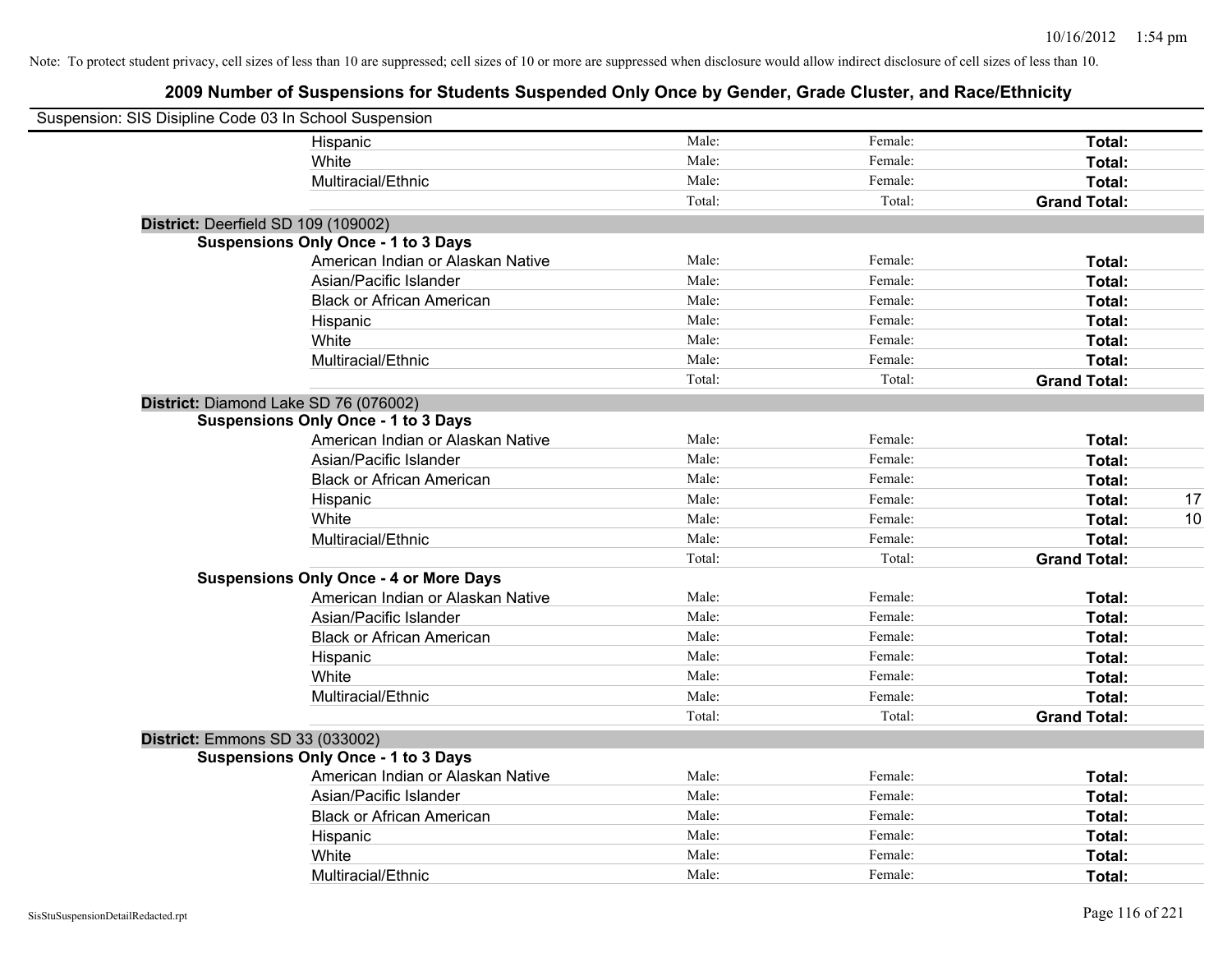| Suspension: SIS Disipline Code 03 In School Suspension |                                               |        |         |                     |    |
|--------------------------------------------------------|-----------------------------------------------|--------|---------|---------------------|----|
|                                                        | Hispanic                                      | Male:  | Female: | Total:              |    |
|                                                        | White                                         | Male:  | Female: | Total:              |    |
|                                                        | Multiracial/Ethnic                            | Male:  | Female: | Total:              |    |
|                                                        |                                               | Total: | Total:  | <b>Grand Total:</b> |    |
| District: Deerfield SD 109 (109002)                    |                                               |        |         |                     |    |
|                                                        | <b>Suspensions Only Once - 1 to 3 Days</b>    |        |         |                     |    |
|                                                        | American Indian or Alaskan Native             | Male:  | Female: | Total:              |    |
|                                                        | Asian/Pacific Islander                        | Male:  | Female: | Total:              |    |
|                                                        | <b>Black or African American</b>              | Male:  | Female: | Total:              |    |
|                                                        | Hispanic                                      | Male:  | Female: | Total:              |    |
|                                                        | White                                         | Male:  | Female: | Total:              |    |
|                                                        | Multiracial/Ethnic                            | Male:  | Female: | Total:              |    |
|                                                        |                                               | Total: | Total:  | <b>Grand Total:</b> |    |
| District: Diamond Lake SD 76 (076002)                  |                                               |        |         |                     |    |
|                                                        | <b>Suspensions Only Once - 1 to 3 Days</b>    |        |         |                     |    |
|                                                        | American Indian or Alaskan Native             | Male:  | Female: | Total:              |    |
|                                                        | Asian/Pacific Islander                        | Male:  | Female: | Total:              |    |
|                                                        | <b>Black or African American</b>              | Male:  | Female: | Total:              |    |
|                                                        | Hispanic                                      | Male:  | Female: | Total:              | 17 |
|                                                        | White                                         | Male:  | Female: | Total:              | 10 |
|                                                        | Multiracial/Ethnic                            | Male:  | Female: | Total:              |    |
|                                                        |                                               | Total: | Total:  | <b>Grand Total:</b> |    |
|                                                        | <b>Suspensions Only Once - 4 or More Days</b> |        |         |                     |    |
|                                                        | American Indian or Alaskan Native             | Male:  | Female: | Total:              |    |
|                                                        | Asian/Pacific Islander                        | Male:  | Female: | Total:              |    |
|                                                        | <b>Black or African American</b>              | Male:  | Female: | Total:              |    |
|                                                        | Hispanic                                      | Male:  | Female: | Total:              |    |
|                                                        | White                                         | Male:  | Female: | Total:              |    |
|                                                        | Multiracial/Ethnic                            | Male:  | Female: | Total:              |    |
|                                                        |                                               | Total: | Total:  | <b>Grand Total:</b> |    |
| <b>District: Emmons SD 33 (033002)</b>                 |                                               |        |         |                     |    |
|                                                        | <b>Suspensions Only Once - 1 to 3 Days</b>    |        |         |                     |    |
|                                                        | American Indian or Alaskan Native             | Male:  | Female: | Total:              |    |
|                                                        | Asian/Pacific Islander                        | Male:  | Female: | Total:              |    |
|                                                        | <b>Black or African American</b>              | Male:  | Female: | Total:              |    |
|                                                        | Hispanic                                      | Male:  | Female: | Total:              |    |
|                                                        | White                                         | Male:  | Female: | Total:              |    |
|                                                        | Multiracial/Ethnic                            | Male:  | Female: | Total:              |    |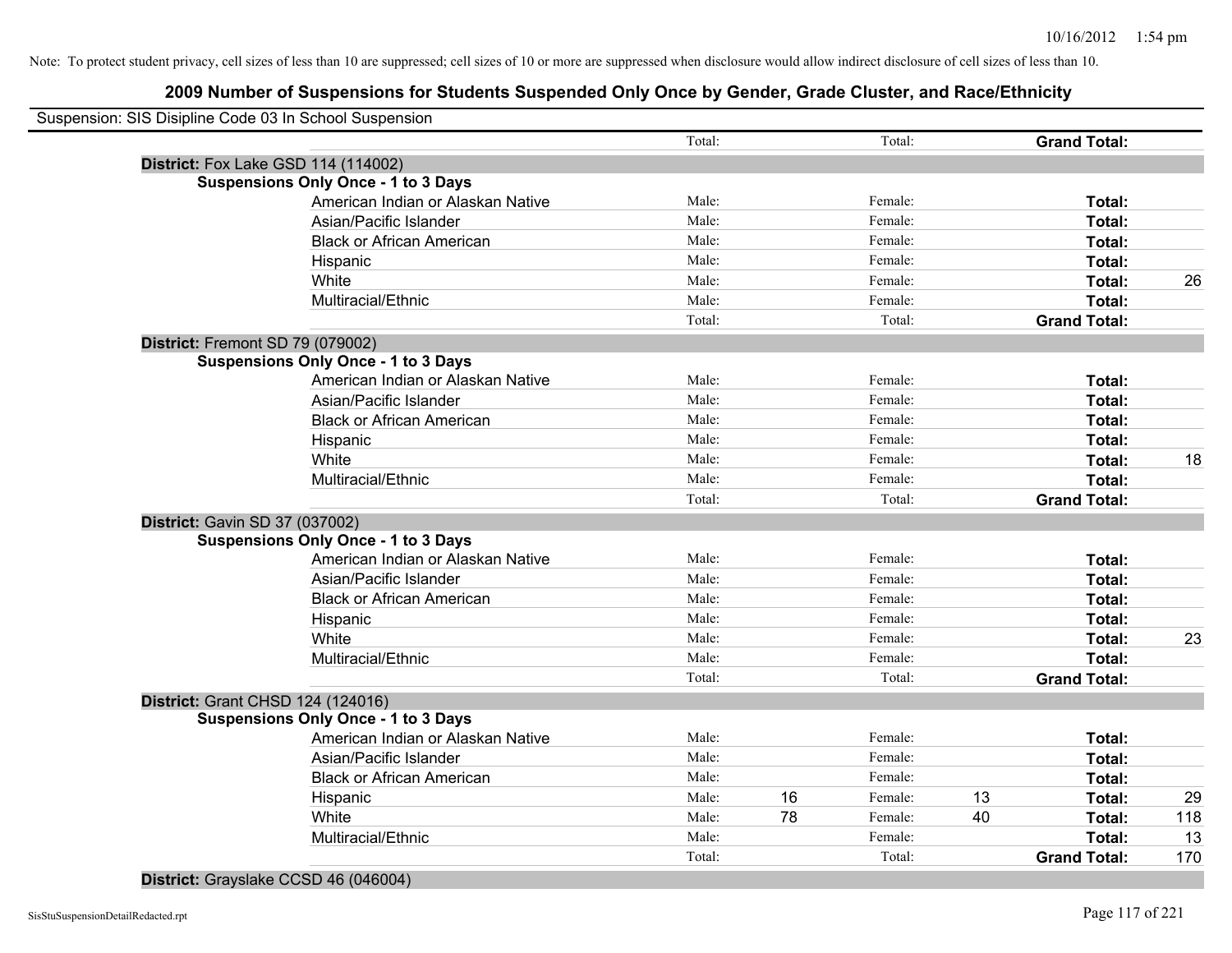| Suspension: SIS Disipline Code 03 In School Suspension |        |    |         |    |                     |     |
|--------------------------------------------------------|--------|----|---------|----|---------------------|-----|
|                                                        | Total: |    | Total:  |    | <b>Grand Total:</b> |     |
| <b>District:</b> Fox Lake GSD 114 (114002)             |        |    |         |    |                     |     |
| <b>Suspensions Only Once - 1 to 3 Days</b>             |        |    |         |    |                     |     |
| American Indian or Alaskan Native                      | Male:  |    | Female: |    | Total:              |     |
| Asian/Pacific Islander                                 | Male:  |    | Female: |    | Total:              |     |
| <b>Black or African American</b>                       | Male:  |    | Female: |    | Total:              |     |
| Hispanic                                               | Male:  |    | Female: |    | Total:              |     |
| White                                                  | Male:  |    | Female: |    | Total:              | 26  |
| Multiracial/Ethnic                                     | Male:  |    | Female: |    | Total:              |     |
|                                                        | Total: |    | Total:  |    | <b>Grand Total:</b> |     |
| District: Fremont SD 79 (079002)                       |        |    |         |    |                     |     |
| <b>Suspensions Only Once - 1 to 3 Days</b>             |        |    |         |    |                     |     |
| American Indian or Alaskan Native                      | Male:  |    | Female: |    | Total:              |     |
| Asian/Pacific Islander                                 | Male:  |    | Female: |    | Total:              |     |
| <b>Black or African American</b>                       | Male:  |    | Female: |    | Total:              |     |
| Hispanic                                               | Male:  |    | Female: |    | Total:              |     |
| White                                                  | Male:  |    | Female: |    | Total:              | 18  |
| Multiracial/Ethnic                                     | Male:  |    | Female: |    | Total:              |     |
|                                                        | Total: |    | Total:  |    | <b>Grand Total:</b> |     |
| District: Gavin SD 37 (037002)                         |        |    |         |    |                     |     |
| <b>Suspensions Only Once - 1 to 3 Days</b>             |        |    |         |    |                     |     |
| American Indian or Alaskan Native                      | Male:  |    | Female: |    | Total:              |     |
| Asian/Pacific Islander                                 | Male:  |    | Female: |    | Total:              |     |
| <b>Black or African American</b>                       | Male:  |    | Female: |    | Total:              |     |
| Hispanic                                               | Male:  |    | Female: |    | Total:              |     |
| White                                                  | Male:  |    | Female: |    | Total:              | 23  |
| Multiracial/Ethnic                                     | Male:  |    | Female: |    | Total:              |     |
|                                                        | Total: |    | Total:  |    | <b>Grand Total:</b> |     |
| <b>District: Grant CHSD 124 (124016)</b>               |        |    |         |    |                     |     |
| <b>Suspensions Only Once - 1 to 3 Days</b>             |        |    |         |    |                     |     |
| American Indian or Alaskan Native                      | Male:  |    | Female: |    | Total:              |     |
| Asian/Pacific Islander                                 | Male:  |    | Female: |    | Total:              |     |
| <b>Black or African American</b>                       | Male:  |    | Female: |    | Total:              |     |
| Hispanic                                               | Male:  | 16 | Female: | 13 | Total:              | 29  |
| White                                                  | Male:  | 78 | Female: | 40 | Total:              | 118 |
| Multiracial/Ethnic                                     | Male:  |    | Female: |    | Total:              | 13  |
|                                                        | Total: |    | Total:  |    | <b>Grand Total:</b> | 170 |

**District:** Grayslake CCSD 46 (046004)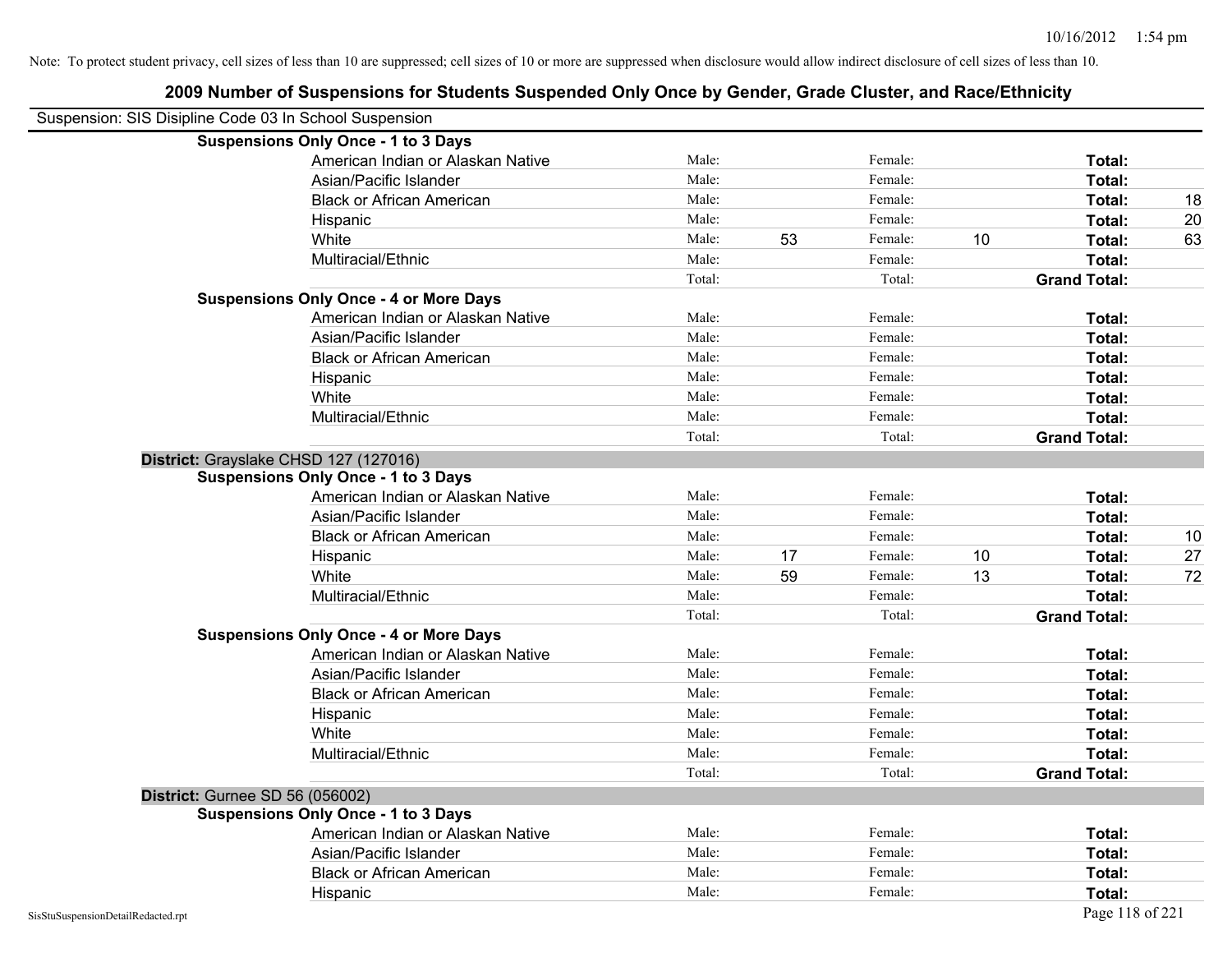|                                                        | 2009 Number of Suspensions for Students Suspended Only Once by Gender, Grade Cluster, and Race/Ethnicity |        |    |         |    |                     |    |
|--------------------------------------------------------|----------------------------------------------------------------------------------------------------------|--------|----|---------|----|---------------------|----|
| Suspension: SIS Disipline Code 03 In School Suspension |                                                                                                          |        |    |         |    |                     |    |
|                                                        | <b>Suspensions Only Once - 1 to 3 Days</b>                                                               |        |    |         |    |                     |    |
|                                                        | American Indian or Alaskan Native                                                                        | Male:  |    | Female: |    | Total:              |    |
|                                                        | Asian/Pacific Islander                                                                                   | Male:  |    | Female: |    | Total:              |    |
|                                                        | <b>Black or African American</b>                                                                         | Male:  |    | Female: |    | Total:              | 18 |
|                                                        | Hispanic                                                                                                 | Male:  |    | Female: |    | Total:              | 20 |
|                                                        | White                                                                                                    | Male:  | 53 | Female: | 10 | Total:              | 63 |
|                                                        | Multiracial/Ethnic                                                                                       | Male:  |    | Female: |    | Total:              |    |
|                                                        |                                                                                                          | Total: |    | Total:  |    | <b>Grand Total:</b> |    |
|                                                        | <b>Suspensions Only Once - 4 or More Days</b>                                                            |        |    |         |    |                     |    |
|                                                        | American Indian or Alaskan Native                                                                        | Male:  |    | Female: |    | Total:              |    |
|                                                        | Asian/Pacific Islander                                                                                   | Male:  |    | Female: |    | Total:              |    |
|                                                        | <b>Black or African American</b>                                                                         | Male:  |    | Female: |    | Total:              |    |
|                                                        | Hispanic                                                                                                 | Male:  |    | Female: |    | Total:              |    |
|                                                        | White                                                                                                    | Male:  |    | Female: |    | Total:              |    |
|                                                        | Multiracial/Ethnic                                                                                       | Male:  |    | Female: |    | Total:              |    |
|                                                        |                                                                                                          | Total: |    | Total:  |    | <b>Grand Total:</b> |    |
|                                                        | District: Grayslake CHSD 127 (127016)                                                                    |        |    |         |    |                     |    |
|                                                        | <b>Suspensions Only Once - 1 to 3 Days</b>                                                               |        |    |         |    |                     |    |
|                                                        | American Indian or Alaskan Native                                                                        | Male:  |    | Female: |    | Total:              |    |
|                                                        | Asian/Pacific Islander                                                                                   | Male:  |    | Female: |    | Total:              |    |
|                                                        | <b>Black or African American</b>                                                                         | Male:  |    | Female: |    | Total:              | 10 |
|                                                        | Hispanic                                                                                                 | Male:  | 17 | Female: | 10 | Total:              | 27 |
|                                                        | White                                                                                                    | Male:  | 59 | Female: | 13 | Total:              | 72 |
|                                                        | Multiracial/Ethnic                                                                                       | Male:  |    | Female: |    | Total:              |    |
|                                                        |                                                                                                          | Total: |    | Total:  |    | <b>Grand Total:</b> |    |
|                                                        | <b>Suspensions Only Once - 4 or More Days</b>                                                            |        |    |         |    |                     |    |
|                                                        | American Indian or Alaskan Native                                                                        | Male:  |    | Female: |    | Total:              |    |
|                                                        | Asian/Pacific Islander                                                                                   | Male:  |    | Female: |    | Total:              |    |
|                                                        | <b>Black or African American</b>                                                                         | Male:  |    | Female: |    | Total:              |    |
|                                                        | Hispanic                                                                                                 | Male:  |    | Female: |    | Total:              |    |
|                                                        | White                                                                                                    | Male:  |    | Female: |    | Total:              |    |
|                                                        | Multiracial/Ethnic                                                                                       | Male:  |    | Female: |    | Total:              |    |
|                                                        |                                                                                                          | Total: |    | Total:  |    | <b>Grand Total:</b> |    |
|                                                        | <b>District: Gurnee SD 56 (056002)</b>                                                                   |        |    |         |    |                     |    |
|                                                        | <b>Suspensions Only Once - 1 to 3 Days</b>                                                               |        |    |         |    |                     |    |
|                                                        | American Indian or Alaskan Native                                                                        | Male:  |    | Female: |    | Total:              |    |
|                                                        | Asian/Pacific Islander                                                                                   | Male:  |    | Female: |    | Total:              |    |
|                                                        | <b>Black or African American</b>                                                                         | Male:  |    | Female: |    | Total:              |    |
|                                                        | Hispanic                                                                                                 | Male:  |    | Female: |    | Total:              |    |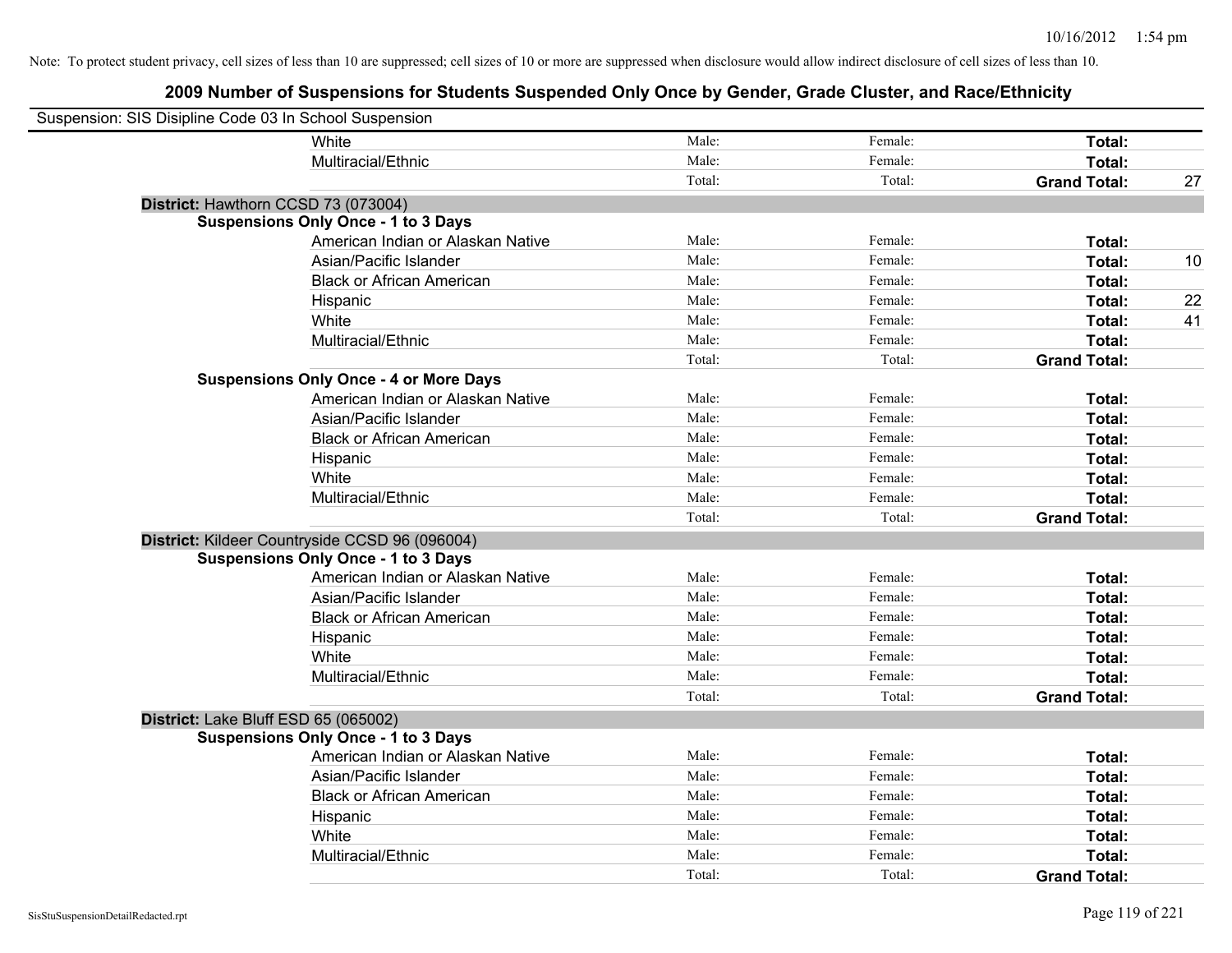| Suspension: SIS Disipline Code 03 In School Suspension |                                                |        |         |                     |    |
|--------------------------------------------------------|------------------------------------------------|--------|---------|---------------------|----|
|                                                        | White                                          | Male:  | Female: | Total:              |    |
|                                                        | Multiracial/Ethnic                             | Male:  | Female: | Total:              |    |
|                                                        |                                                | Total: | Total:  | <b>Grand Total:</b> | 27 |
| District: Hawthorn CCSD 73 (073004)                    |                                                |        |         |                     |    |
|                                                        | <b>Suspensions Only Once - 1 to 3 Days</b>     |        |         |                     |    |
|                                                        | American Indian or Alaskan Native              | Male:  | Female: | Total:              |    |
|                                                        | Asian/Pacific Islander                         | Male:  | Female: | Total:              | 10 |
|                                                        | <b>Black or African American</b>               | Male:  | Female: | Total:              |    |
|                                                        | Hispanic                                       | Male:  | Female: | Total:              | 22 |
|                                                        | White                                          | Male:  | Female: | Total:              | 41 |
|                                                        | Multiracial/Ethnic                             | Male:  | Female: | Total:              |    |
|                                                        |                                                | Total: | Total:  | <b>Grand Total:</b> |    |
|                                                        | <b>Suspensions Only Once - 4 or More Days</b>  |        |         |                     |    |
|                                                        | American Indian or Alaskan Native              | Male:  | Female: | Total:              |    |
|                                                        | Asian/Pacific Islander                         | Male:  | Female: | Total:              |    |
|                                                        | <b>Black or African American</b>               | Male:  | Female: | Total:              |    |
|                                                        | Hispanic                                       | Male:  | Female: | Total:              |    |
|                                                        | White                                          | Male:  | Female: | Total:              |    |
|                                                        | Multiracial/Ethnic                             | Male:  | Female: | Total:              |    |
|                                                        |                                                | Total: | Total:  | <b>Grand Total:</b> |    |
|                                                        | District: Kildeer Countryside CCSD 96 (096004) |        |         |                     |    |
|                                                        | <b>Suspensions Only Once - 1 to 3 Days</b>     |        |         |                     |    |
|                                                        | American Indian or Alaskan Native              | Male:  | Female: | Total:              |    |
|                                                        | Asian/Pacific Islander                         | Male:  | Female: | Total:              |    |
|                                                        | <b>Black or African American</b>               | Male:  | Female: | Total:              |    |
|                                                        | Hispanic                                       | Male:  | Female: | Total:              |    |
|                                                        | White                                          | Male:  | Female: | Total:              |    |
|                                                        | Multiracial/Ethnic                             | Male:  | Female: | Total:              |    |
|                                                        |                                                | Total: | Total:  | <b>Grand Total:</b> |    |
| District: Lake Bluff ESD 65 (065002)                   |                                                |        |         |                     |    |
|                                                        | <b>Suspensions Only Once - 1 to 3 Days</b>     |        |         |                     |    |
|                                                        | American Indian or Alaskan Native              | Male:  | Female: | Total:              |    |
|                                                        | Asian/Pacific Islander                         | Male:  | Female: | Total:              |    |
|                                                        | <b>Black or African American</b>               | Male:  | Female: | Total:              |    |
|                                                        | Hispanic                                       | Male:  | Female: | Total:              |    |
|                                                        | White                                          | Male:  | Female: | Total:              |    |
|                                                        | Multiracial/Ethnic                             | Male:  | Female: | Total:              |    |
|                                                        |                                                | Total: | Total:  | <b>Grand Total:</b> |    |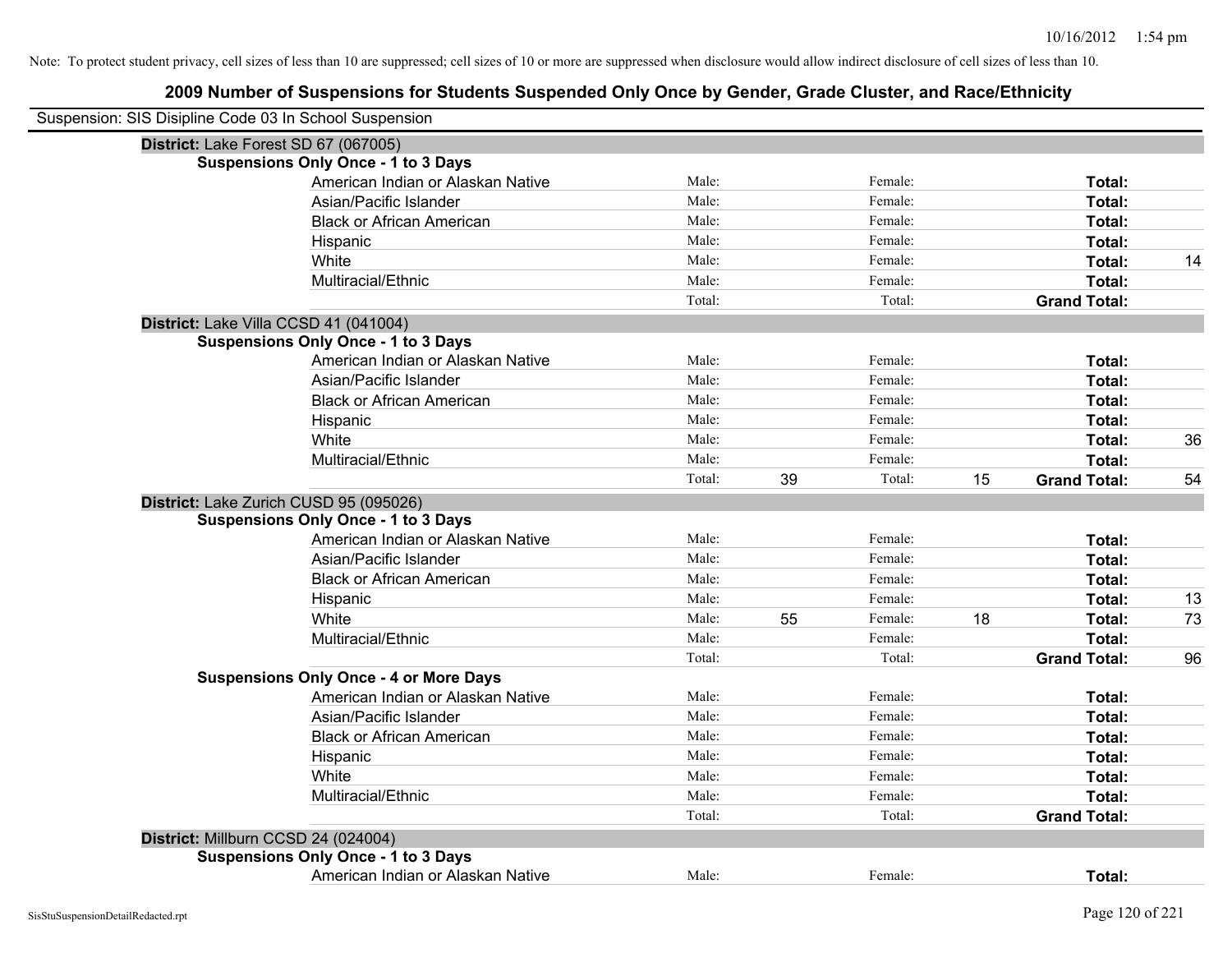| Suspension: SIS Disipline Code 03 In School Suspension |        |    |         |    |                     |    |
|--------------------------------------------------------|--------|----|---------|----|---------------------|----|
| District: Lake Forest SD 67 (067005)                   |        |    |         |    |                     |    |
| <b>Suspensions Only Once - 1 to 3 Days</b>             |        |    |         |    |                     |    |
| American Indian or Alaskan Native                      | Male:  |    | Female: |    | Total:              |    |
| Asian/Pacific Islander                                 | Male:  |    | Female: |    | Total:              |    |
| <b>Black or African American</b>                       | Male:  |    | Female: |    | Total:              |    |
| Hispanic                                               | Male:  |    | Female: |    | <b>Total:</b>       |    |
| White                                                  | Male:  |    | Female: |    | Total:              | 14 |
| Multiracial/Ethnic                                     | Male:  |    | Female: |    | Total:              |    |
|                                                        | Total: |    | Total:  |    | <b>Grand Total:</b> |    |
| District: Lake Villa CCSD 41 (041004)                  |        |    |         |    |                     |    |
| <b>Suspensions Only Once - 1 to 3 Days</b>             |        |    |         |    |                     |    |
| American Indian or Alaskan Native                      | Male:  |    | Female: |    | Total:              |    |
| Asian/Pacific Islander                                 | Male:  |    | Female: |    | Total:              |    |
| <b>Black or African American</b>                       | Male:  |    | Female: |    | Total:              |    |
| Hispanic                                               | Male:  |    | Female: |    | Total:              |    |
| White                                                  | Male:  |    | Female: |    | Total:              | 36 |
| Multiracial/Ethnic                                     | Male:  |    | Female: |    | Total:              |    |
|                                                        | Total: | 39 | Total:  | 15 | <b>Grand Total:</b> | 54 |
| District: Lake Zurich CUSD 95 (095026)                 |        |    |         |    |                     |    |
| <b>Suspensions Only Once - 1 to 3 Days</b>             |        |    |         |    |                     |    |
| American Indian or Alaskan Native                      | Male:  |    | Female: |    | Total:              |    |
| Asian/Pacific Islander                                 | Male:  |    | Female: |    | Total:              |    |
| <b>Black or African American</b>                       | Male:  |    | Female: |    | Total:              |    |
| Hispanic                                               | Male:  |    | Female: |    | Total:              | 13 |
| White                                                  | Male:  | 55 | Female: | 18 | Total:              | 73 |
| Multiracial/Ethnic                                     | Male:  |    | Female: |    | Total:              |    |
|                                                        | Total: |    | Total:  |    | <b>Grand Total:</b> | 96 |
| <b>Suspensions Only Once - 4 or More Days</b>          |        |    |         |    |                     |    |
| American Indian or Alaskan Native                      | Male:  |    | Female: |    | Total:              |    |
| Asian/Pacific Islander                                 | Male:  |    | Female: |    | Total:              |    |
| <b>Black or African American</b>                       | Male:  |    | Female: |    | Total:              |    |
| Hispanic                                               | Male:  |    | Female: |    | Total:              |    |
| White                                                  | Male:  |    | Female: |    | Total:              |    |
| Multiracial/Ethnic                                     | Male:  |    | Female: |    | Total:              |    |
|                                                        | Total: |    | Total:  |    | <b>Grand Total:</b> |    |
| District: Millburn CCSD 24 (024004)                    |        |    |         |    |                     |    |
| <b>Suspensions Only Once - 1 to 3 Days</b>             |        |    |         |    |                     |    |
| American Indian or Alaskan Native                      | Male:  |    | Female: |    | Total:              |    |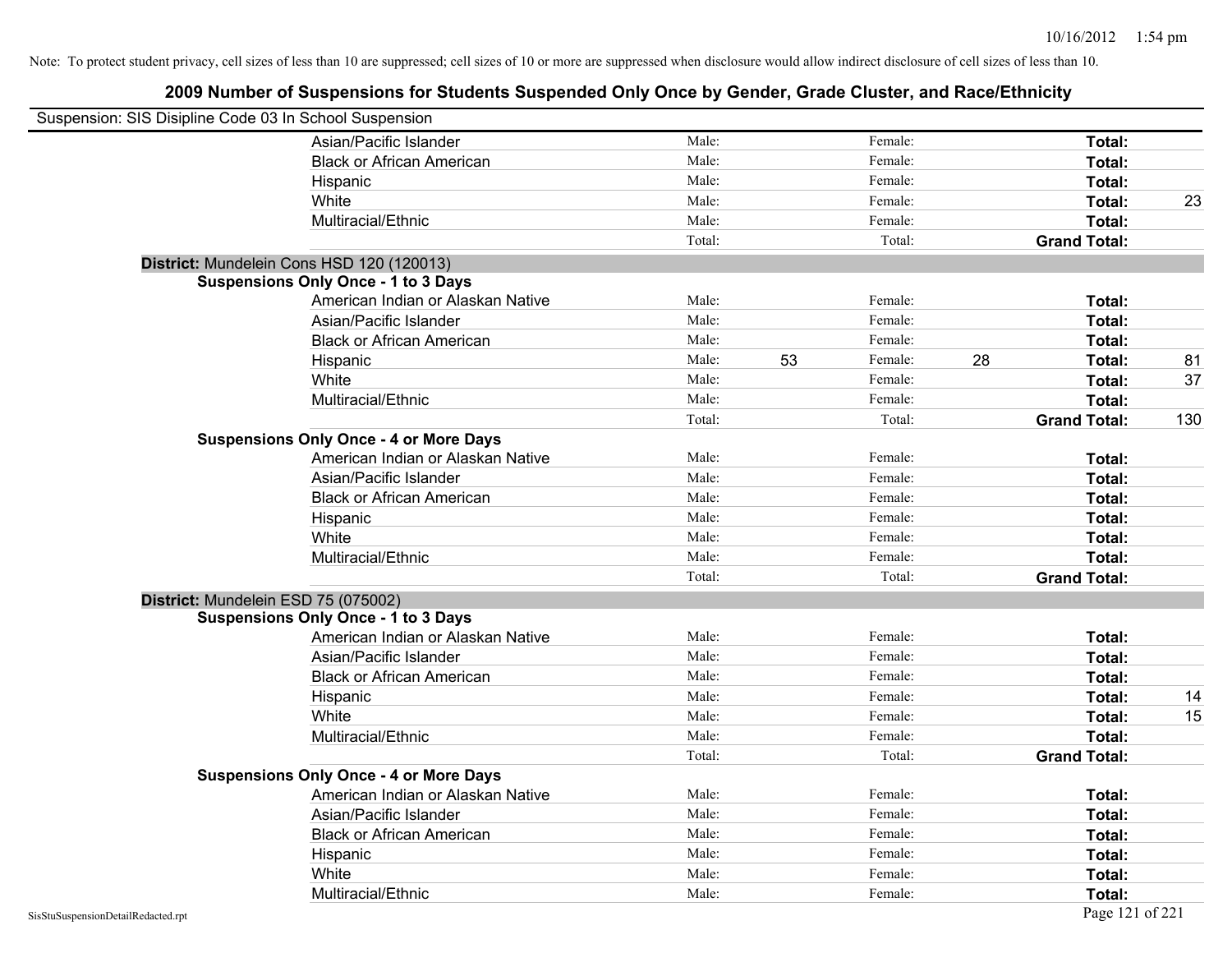| Suspension: SIS Disipline Code 03 In School Suspension |                                               |        |               |    |                     |     |
|--------------------------------------------------------|-----------------------------------------------|--------|---------------|----|---------------------|-----|
|                                                        | Asian/Pacific Islander                        | Male:  | Female:       |    | Total:              |     |
|                                                        | <b>Black or African American</b>              | Male:  | Female:       |    | Total:              |     |
|                                                        | Hispanic                                      | Male:  | Female:       |    | Total:              |     |
|                                                        | White                                         | Male:  | Female:       |    | Total:              | 23  |
|                                                        | Multiracial/Ethnic                            | Male:  | Female:       |    | Total:              |     |
|                                                        |                                               | Total: | Total:        |    | <b>Grand Total:</b> |     |
|                                                        | District: Mundelein Cons HSD 120 (120013)     |        |               |    |                     |     |
|                                                        | <b>Suspensions Only Once - 1 to 3 Days</b>    |        |               |    |                     |     |
|                                                        | American Indian or Alaskan Native             | Male:  | Female:       |    | Total:              |     |
|                                                        | Asian/Pacific Islander                        | Male:  | Female:       |    | Total:              |     |
|                                                        | <b>Black or African American</b>              | Male:  | Female:       |    | Total:              |     |
|                                                        | Hispanic                                      | Male:  | 53<br>Female: | 28 | Total:              | 81  |
|                                                        | White                                         | Male:  | Female:       |    | Total:              | 37  |
|                                                        | Multiracial/Ethnic                            | Male:  | Female:       |    | Total:              |     |
|                                                        |                                               | Total: | Total:        |    | <b>Grand Total:</b> | 130 |
|                                                        | <b>Suspensions Only Once - 4 or More Days</b> |        |               |    |                     |     |
|                                                        | American Indian or Alaskan Native             | Male:  | Female:       |    | Total:              |     |
|                                                        | Asian/Pacific Islander                        | Male:  | Female:       |    | Total:              |     |
|                                                        | <b>Black or African American</b>              | Male:  | Female:       |    | Total:              |     |
|                                                        | Hispanic                                      | Male:  | Female:       |    | Total:              |     |
|                                                        | White                                         | Male:  | Female:       |    | Total:              |     |
|                                                        | Multiracial/Ethnic                            | Male:  | Female:       |    | Total:              |     |
|                                                        |                                               | Total: | Total:        |    | <b>Grand Total:</b> |     |
| District: Mundelein ESD 75 (075002)                    |                                               |        |               |    |                     |     |
|                                                        | <b>Suspensions Only Once - 1 to 3 Days</b>    |        |               |    |                     |     |
|                                                        | American Indian or Alaskan Native             | Male:  | Female:       |    | Total:              |     |
|                                                        | Asian/Pacific Islander                        | Male:  | Female:       |    | Total:              |     |
|                                                        | <b>Black or African American</b>              | Male:  | Female:       |    | Total:              |     |
|                                                        | Hispanic                                      | Male:  | Female:       |    | Total:              | 14  |
|                                                        | White                                         | Male:  | Female:       |    | Total:              | 15  |
|                                                        | Multiracial/Ethnic                            | Male:  | Female:       |    | Total:              |     |
|                                                        |                                               | Total: | Total:        |    | <b>Grand Total:</b> |     |
|                                                        | <b>Suspensions Only Once - 4 or More Days</b> |        |               |    |                     |     |
|                                                        | American Indian or Alaskan Native             | Male:  | Female:       |    | Total:              |     |
|                                                        | Asian/Pacific Islander                        | Male:  | Female:       |    | Total:              |     |
|                                                        | <b>Black or African American</b>              | Male:  | Female:       |    | Total:              |     |
|                                                        | Hispanic                                      | Male:  | Female:       |    | Total:              |     |
|                                                        | White                                         | Male:  | Female:       |    | Total:              |     |
|                                                        | Multiracial/Ethnic                            | Male:  | Female:       |    | Total:              |     |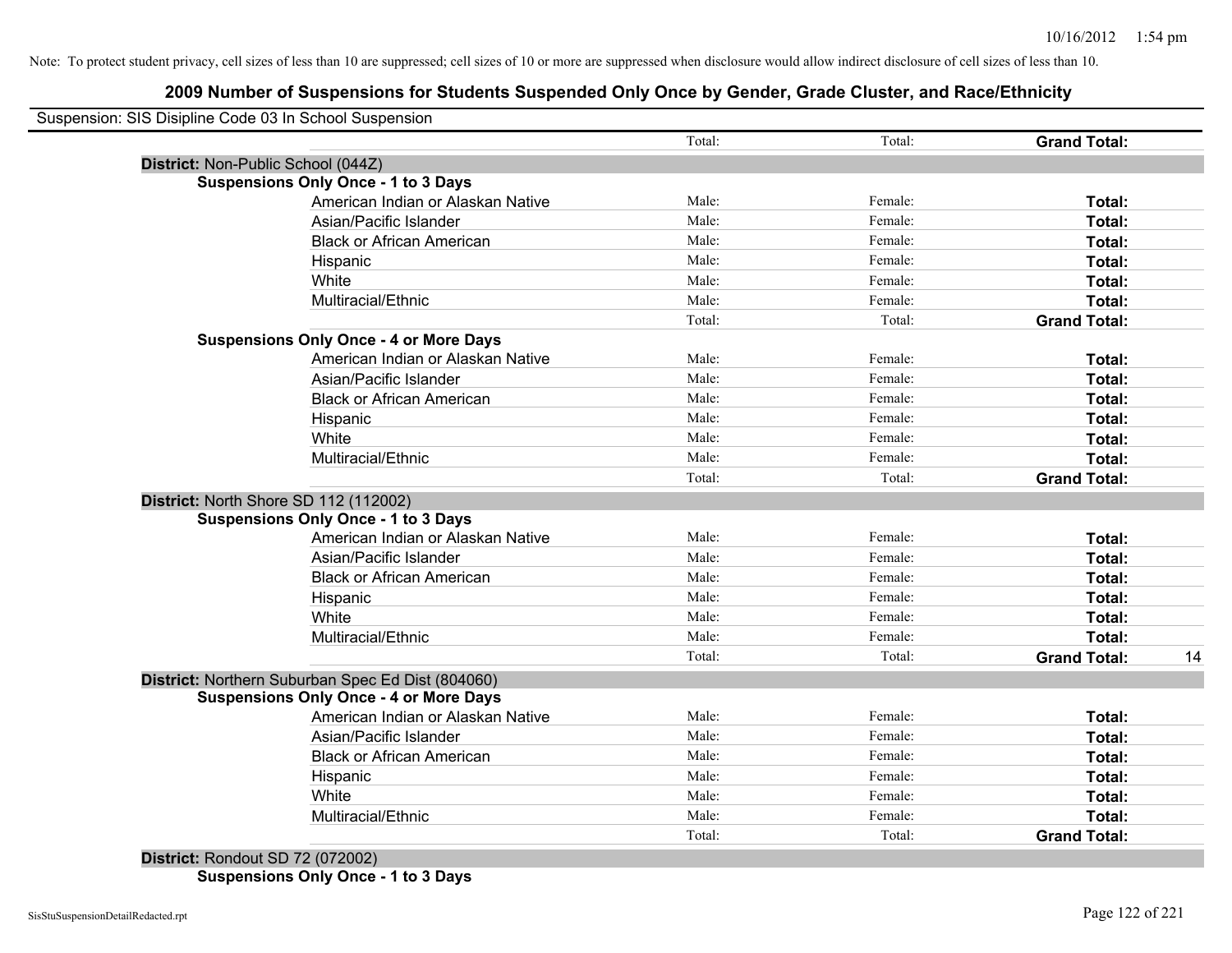| Suspension: SIS Disipline Code 03 In School Suspension |        |         |                     |  |
|--------------------------------------------------------|--------|---------|---------------------|--|
|                                                        | Total: | Total:  | <b>Grand Total:</b> |  |
| District: Non-Public School (044Z)                     |        |         |                     |  |
| <b>Suspensions Only Once - 1 to 3 Days</b>             |        |         |                     |  |
| American Indian or Alaskan Native                      | Male:  | Female: | Total:              |  |
| Asian/Pacific Islander                                 | Male:  | Female: | Total:              |  |
| <b>Black or African American</b>                       | Male:  | Female: | Total:              |  |
| Hispanic                                               | Male:  | Female: | Total:              |  |
| White                                                  | Male:  | Female: | Total:              |  |
| Multiracial/Ethnic                                     | Male:  | Female: | Total:              |  |
|                                                        | Total: | Total:  | <b>Grand Total:</b> |  |
| <b>Suspensions Only Once - 4 or More Days</b>          |        |         |                     |  |
| American Indian or Alaskan Native                      | Male:  | Female: | Total:              |  |
| Asian/Pacific Islander                                 | Male:  | Female: | Total:              |  |
| <b>Black or African American</b>                       | Male:  | Female: | Total:              |  |
| Hispanic                                               | Male:  | Female: | Total:              |  |
| White                                                  | Male:  | Female: | Total:              |  |
| Multiracial/Ethnic                                     | Male:  | Female: | Total:              |  |
|                                                        | Total: | Total:  | <b>Grand Total:</b> |  |
| District: North Shore SD 112 (112002)                  |        |         |                     |  |
| <b>Suspensions Only Once - 1 to 3 Days</b>             |        |         |                     |  |
| American Indian or Alaskan Native                      | Male:  | Female: | Total:              |  |
| Asian/Pacific Islander                                 | Male:  | Female: | Total:              |  |
| <b>Black or African American</b>                       | Male:  | Female: | Total:              |  |
| Hispanic                                               | Male:  | Female: | Total:              |  |
| White                                                  | Male:  | Female: | Total:              |  |
| Multiracial/Ethnic                                     | Male:  | Female: | Total:              |  |
|                                                        | Total: | Total:  | <b>Grand Total:</b> |  |
| District: Northern Suburban Spec Ed Dist (804060)      |        |         |                     |  |
| <b>Suspensions Only Once - 4 or More Days</b>          |        |         |                     |  |
| American Indian or Alaskan Native                      | Male:  | Female: | Total:              |  |
| Asian/Pacific Islander                                 | Male:  | Female: | Total:              |  |
| <b>Black or African American</b>                       | Male:  | Female: | Total:              |  |
| Hispanic                                               | Male:  | Female: | Total:              |  |
| White                                                  | Male:  | Female: | Total:              |  |
| Multiracial/Ethnic                                     | Male:  | Female: | Total:              |  |
|                                                        | Total: | Total:  | <b>Grand Total:</b> |  |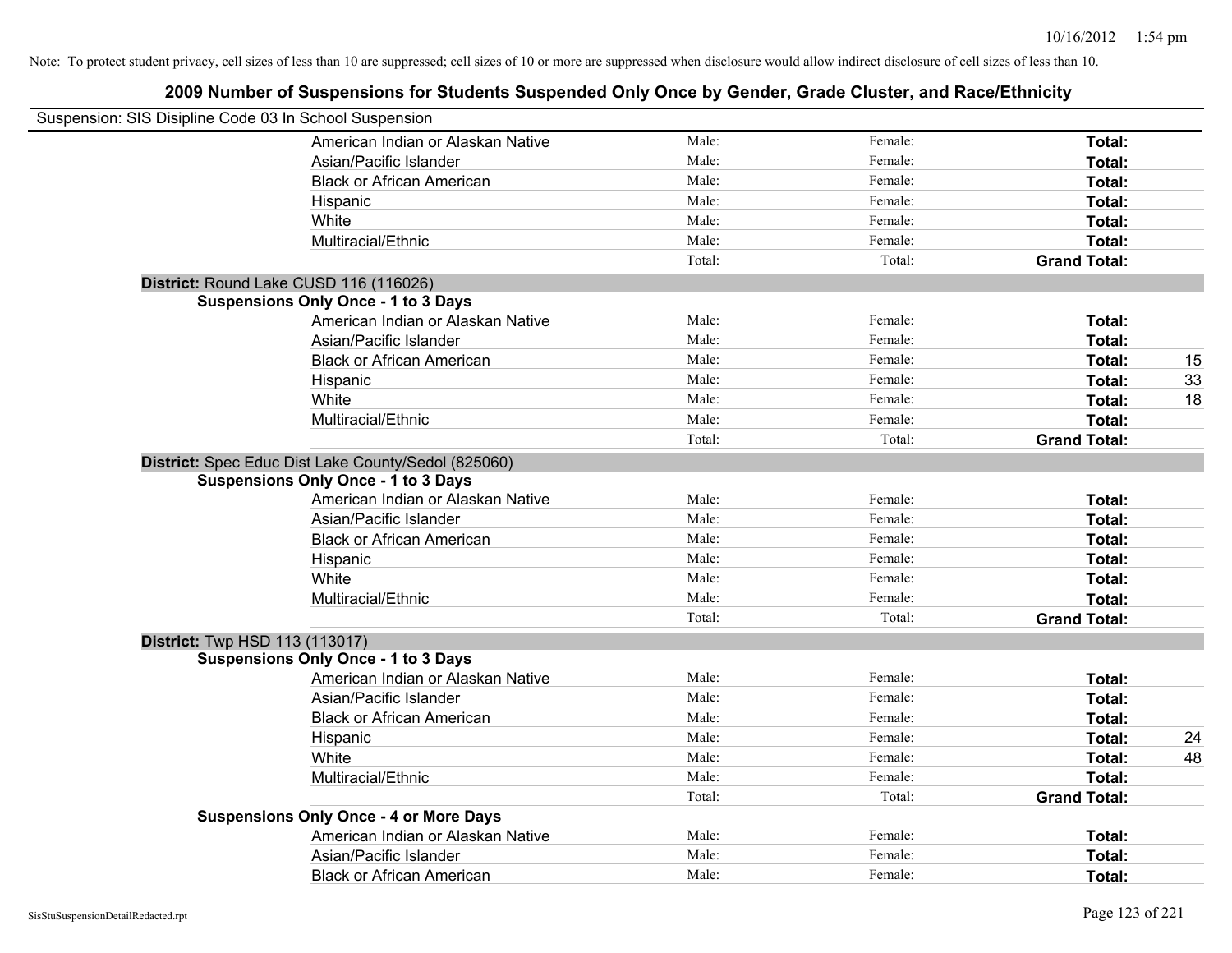| Suspension: SIS Disipline Code 03 In School Suspension |        |         |                     |    |
|--------------------------------------------------------|--------|---------|---------------------|----|
| American Indian or Alaskan Native                      | Male:  | Female: | Total:              |    |
| Asian/Pacific Islander                                 | Male:  | Female: | Total:              |    |
| <b>Black or African American</b>                       | Male:  | Female: | Total:              |    |
| Hispanic                                               | Male:  | Female: | Total:              |    |
| White                                                  | Male:  | Female: | Total:              |    |
| Multiracial/Ethnic                                     | Male:  | Female: | Total:              |    |
|                                                        | Total: | Total:  | <b>Grand Total:</b> |    |
| District: Round Lake CUSD 116 (116026)                 |        |         |                     |    |
| <b>Suspensions Only Once - 1 to 3 Days</b>             |        |         |                     |    |
| American Indian or Alaskan Native                      | Male:  | Female: | Total:              |    |
| Asian/Pacific Islander                                 | Male:  | Female: | Total:              |    |
| <b>Black or African American</b>                       | Male:  | Female: | Total:              | 15 |
| Hispanic                                               | Male:  | Female: | Total:              | 33 |
| White                                                  | Male:  | Female: | Total:              | 18 |
| Multiracial/Ethnic                                     | Male:  | Female: | Total:              |    |
|                                                        | Total: | Total:  | <b>Grand Total:</b> |    |
| District: Spec Educ Dist Lake County/Sedol (825060)    |        |         |                     |    |
| <b>Suspensions Only Once - 1 to 3 Days</b>             |        |         |                     |    |
| American Indian or Alaskan Native                      | Male:  | Female: | Total:              |    |
| Asian/Pacific Islander                                 | Male:  | Female: | Total:              |    |
| <b>Black or African American</b>                       | Male:  | Female: | Total:              |    |
| Hispanic                                               | Male:  | Female: | Total:              |    |
| White                                                  | Male:  | Female: | Total:              |    |
| Multiracial/Ethnic                                     | Male:  | Female: | Total:              |    |
|                                                        | Total: | Total:  | <b>Grand Total:</b> |    |
| <b>District:</b> Twp HSD 113 (113017)                  |        |         |                     |    |
| <b>Suspensions Only Once - 1 to 3 Days</b>             |        |         |                     |    |
| American Indian or Alaskan Native                      | Male:  | Female: | Total:              |    |
| Asian/Pacific Islander                                 | Male:  | Female: | Total:              |    |
| <b>Black or African American</b>                       | Male:  | Female: | Total:              |    |
| Hispanic                                               | Male:  | Female: | Total:              | 24 |
| White                                                  | Male:  | Female: | Total:              | 48 |
| Multiracial/Ethnic                                     | Male:  | Female: | Total:              |    |
|                                                        | Total: | Total:  | <b>Grand Total:</b> |    |
| <b>Suspensions Only Once - 4 or More Days</b>          |        |         |                     |    |
| American Indian or Alaskan Native                      | Male:  | Female: | Total:              |    |
| Asian/Pacific Islander                                 | Male:  | Female: | Total:              |    |
| <b>Black or African American</b>                       | Male:  | Female: | Total:              |    |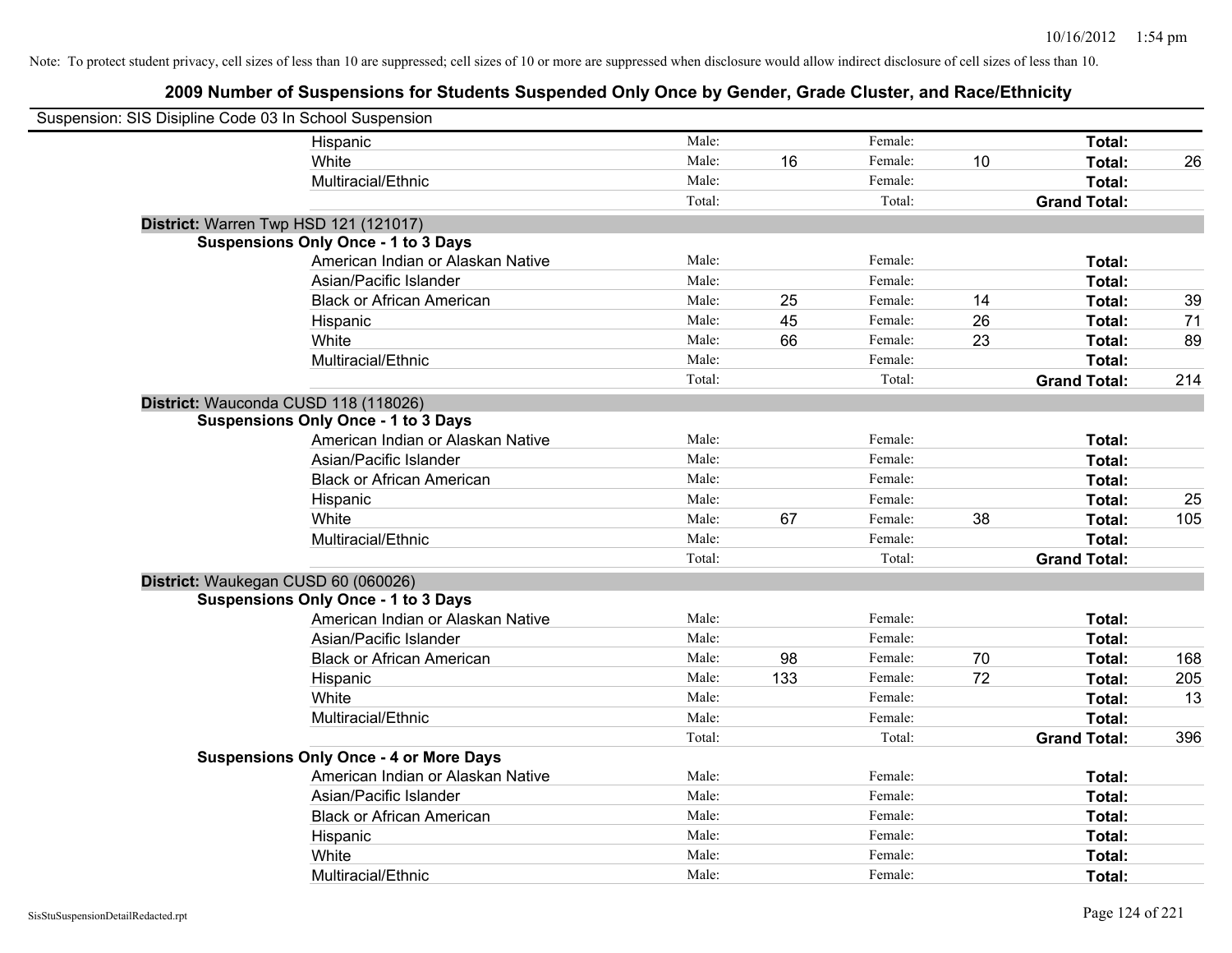| Suspension: SIS Disipline Code 03 In School Suspension |                                               |        |     |         |    |                     |     |
|--------------------------------------------------------|-----------------------------------------------|--------|-----|---------|----|---------------------|-----|
|                                                        | Hispanic                                      | Male:  |     | Female: |    | Total:              |     |
|                                                        | White                                         | Male:  | 16  | Female: | 10 | Total:              | 26  |
|                                                        | Multiracial/Ethnic                            | Male:  |     | Female: |    | Total:              |     |
|                                                        |                                               | Total: |     | Total:  |    | <b>Grand Total:</b> |     |
|                                                        | District: Warren Twp HSD 121 (121017)         |        |     |         |    |                     |     |
|                                                        | <b>Suspensions Only Once - 1 to 3 Days</b>    |        |     |         |    |                     |     |
|                                                        | American Indian or Alaskan Native             | Male:  |     | Female: |    | Total:              |     |
|                                                        | Asian/Pacific Islander                        | Male:  |     | Female: |    | Total:              |     |
|                                                        | <b>Black or African American</b>              | Male:  | 25  | Female: | 14 | Total:              | 39  |
|                                                        | Hispanic                                      | Male:  | 45  | Female: | 26 | Total:              | 71  |
|                                                        | White                                         | Male:  | 66  | Female: | 23 | Total:              | 89  |
|                                                        | Multiracial/Ethnic                            | Male:  |     | Female: |    | Total:              |     |
|                                                        |                                               | Total: |     | Total:  |    | <b>Grand Total:</b> | 214 |
|                                                        | District: Wauconda CUSD 118 (118026)          |        |     |         |    |                     |     |
|                                                        | <b>Suspensions Only Once - 1 to 3 Days</b>    |        |     |         |    |                     |     |
|                                                        | American Indian or Alaskan Native             | Male:  |     | Female: |    | Total:              |     |
|                                                        | Asian/Pacific Islander                        | Male:  |     | Female: |    | Total:              |     |
|                                                        | <b>Black or African American</b>              | Male:  |     | Female: |    | Total:              |     |
|                                                        | Hispanic                                      | Male:  |     | Female: |    | Total:              | 25  |
|                                                        | White                                         | Male:  | 67  | Female: | 38 | Total:              | 105 |
|                                                        | Multiracial/Ethnic                            | Male:  |     | Female: |    | Total:              |     |
|                                                        |                                               | Total: |     | Total:  |    | <b>Grand Total:</b> |     |
|                                                        | District: Waukegan CUSD 60 (060026)           |        |     |         |    |                     |     |
|                                                        | <b>Suspensions Only Once - 1 to 3 Days</b>    |        |     |         |    |                     |     |
|                                                        | American Indian or Alaskan Native             | Male:  |     | Female: |    | Total:              |     |
|                                                        | Asian/Pacific Islander                        | Male:  |     | Female: |    | Total:              |     |
|                                                        | <b>Black or African American</b>              | Male:  | 98  | Female: | 70 | Total:              | 168 |
|                                                        | Hispanic                                      | Male:  | 133 | Female: | 72 | Total:              | 205 |
|                                                        | White                                         | Male:  |     | Female: |    | Total:              | 13  |
|                                                        | Multiracial/Ethnic                            | Male:  |     | Female: |    | Total:              |     |
|                                                        |                                               | Total: |     | Total:  |    | <b>Grand Total:</b> | 396 |
|                                                        | <b>Suspensions Only Once - 4 or More Days</b> |        |     |         |    |                     |     |
|                                                        | American Indian or Alaskan Native             | Male:  |     | Female: |    | Total:              |     |
|                                                        | Asian/Pacific Islander                        | Male:  |     | Female: |    | Total:              |     |
|                                                        | <b>Black or African American</b>              | Male:  |     | Female: |    | Total:              |     |
|                                                        | Hispanic                                      | Male:  |     | Female: |    | Total:              |     |
|                                                        | White                                         | Male:  |     | Female: |    | Total:              |     |
|                                                        | Multiracial/Ethnic                            | Male:  |     | Female: |    | Total:              |     |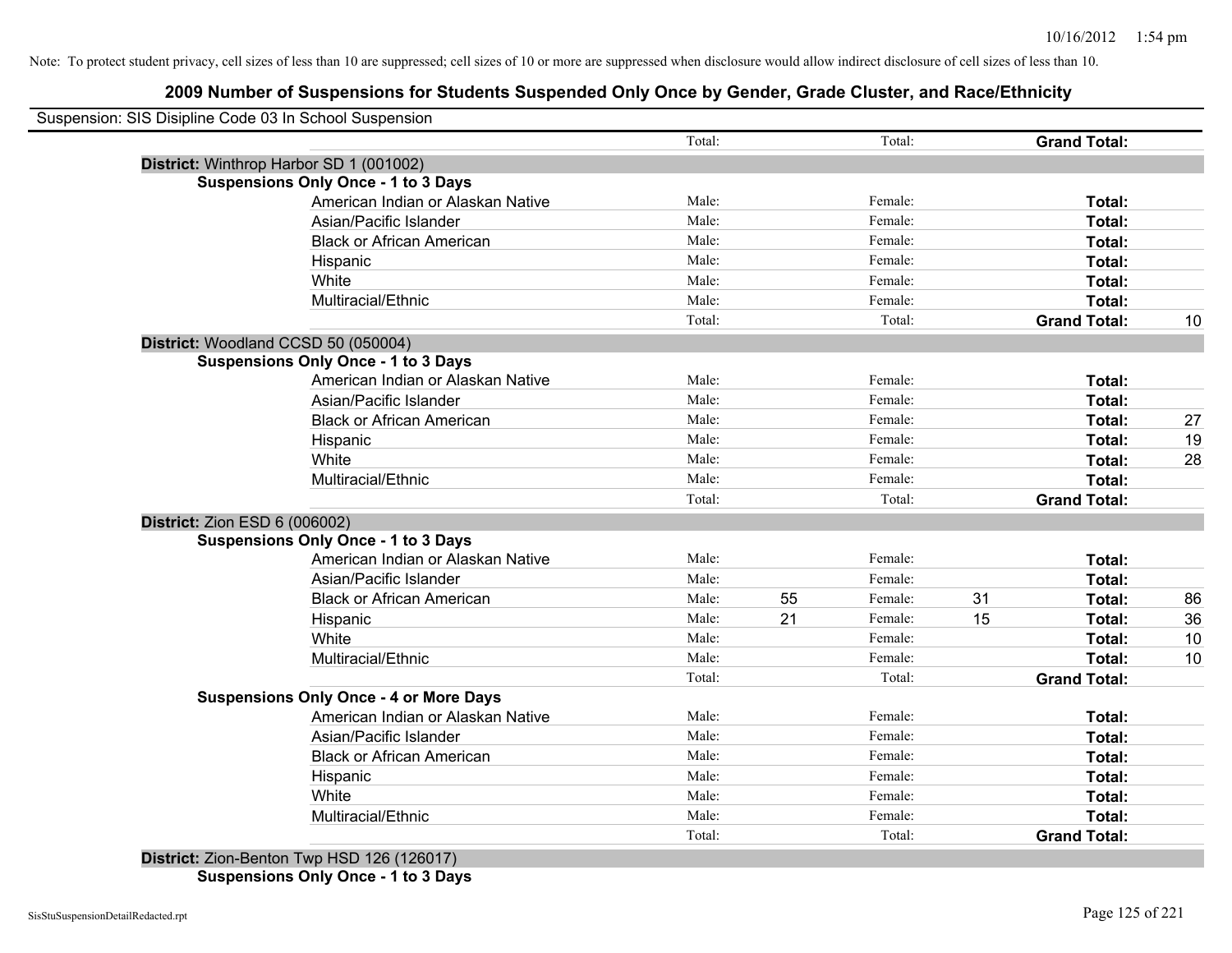### **2009 Number of Suspensions for Students Suspended Only Once by Gender, Grade Cluster, and Race/Ethnicity**

| Suspension: SIS Disipline Code 03 In School Suspension |                                               |                 |    |                   |    |                               |    |
|--------------------------------------------------------|-----------------------------------------------|-----------------|----|-------------------|----|-------------------------------|----|
|                                                        |                                               | Total:          |    | Total:            |    | <b>Grand Total:</b>           |    |
| District: Winthrop Harbor SD 1 (001002)                |                                               |                 |    |                   |    |                               |    |
|                                                        | <b>Suspensions Only Once - 1 to 3 Days</b>    |                 |    |                   |    |                               |    |
|                                                        | American Indian or Alaskan Native             | Male:           |    | Female:           |    | Total:                        |    |
|                                                        | Asian/Pacific Islander                        | Male:           |    | Female:           |    | Total:                        |    |
|                                                        | <b>Black or African American</b>              | Male:           |    | Female:           |    | Total:                        |    |
|                                                        | Hispanic                                      | Male:           |    | Female:           |    | Total:                        |    |
|                                                        | White                                         | Male:           |    | Female:           |    | Total:                        |    |
|                                                        | Multiracial/Ethnic                            | Male:           |    | Female:           |    | Total:                        |    |
|                                                        |                                               | Total:          |    | Total:            |    | <b>Grand Total:</b>           | 10 |
| District: Woodland CCSD 50 (050004)                    |                                               |                 |    |                   |    |                               |    |
|                                                        | <b>Suspensions Only Once - 1 to 3 Days</b>    |                 |    |                   |    |                               |    |
|                                                        | American Indian or Alaskan Native             | Male:           |    | Female:           |    | Total:                        |    |
|                                                        | Asian/Pacific Islander                        | Male:           |    | Female:           |    | Total:                        |    |
|                                                        | <b>Black or African American</b>              | Male:           |    | Female:           |    | Total:                        | 27 |
|                                                        | Hispanic                                      | Male:           |    | Female:           |    | Total:                        | 19 |
|                                                        | White                                         | Male:           |    | Female:           |    | Total:                        | 28 |
|                                                        | Multiracial/Ethnic                            | Male:           |    | Female:           |    | Total:                        |    |
|                                                        |                                               | Total:          |    | Total:            |    | <b>Grand Total:</b>           |    |
| <b>District: Zion ESD 6 (006002)</b>                   |                                               |                 |    |                   |    |                               |    |
|                                                        | <b>Suspensions Only Once - 1 to 3 Days</b>    |                 |    |                   |    |                               |    |
|                                                        | American Indian or Alaskan Native             | Male:           |    | Female:           |    | Total:                        |    |
|                                                        | Asian/Pacific Islander                        | Male:           |    | Female:           |    | Total:                        |    |
|                                                        | <b>Black or African American</b>              | Male:           | 55 | Female:           | 31 | Total:                        | 86 |
|                                                        | Hispanic                                      | Male:           | 21 | Female:           | 15 | Total:                        | 36 |
|                                                        | White                                         | Male:           |    | Female:           |    | Total:                        | 10 |
|                                                        | Multiracial/Ethnic                            | Male:           |    | Female:           |    | Total:                        | 10 |
|                                                        |                                               | Total:          |    | Total:            |    | <b>Grand Total:</b>           |    |
|                                                        | <b>Suspensions Only Once - 4 or More Days</b> |                 |    |                   |    |                               |    |
|                                                        | American Indian or Alaskan Native             | Male:           |    | Female:           |    | Total:                        |    |
|                                                        | Asian/Pacific Islander                        | Male:           |    | Female:           |    | Total:                        |    |
|                                                        | <b>Black or African American</b>              | Male:           |    | Female:           |    | Total:                        |    |
|                                                        | Hispanic                                      | Male:           |    | Female:           |    | Total:                        |    |
|                                                        |                                               |                 |    |                   |    |                               |    |
|                                                        | White                                         | Male:           |    | Female:           |    | Total:                        |    |
|                                                        | Multiracial/Ethnic                            | Male:<br>Total: |    | Female:<br>Total: |    | Total:<br><b>Grand Total:</b> |    |

**Suspensions Only Once - 1 to 3 Days**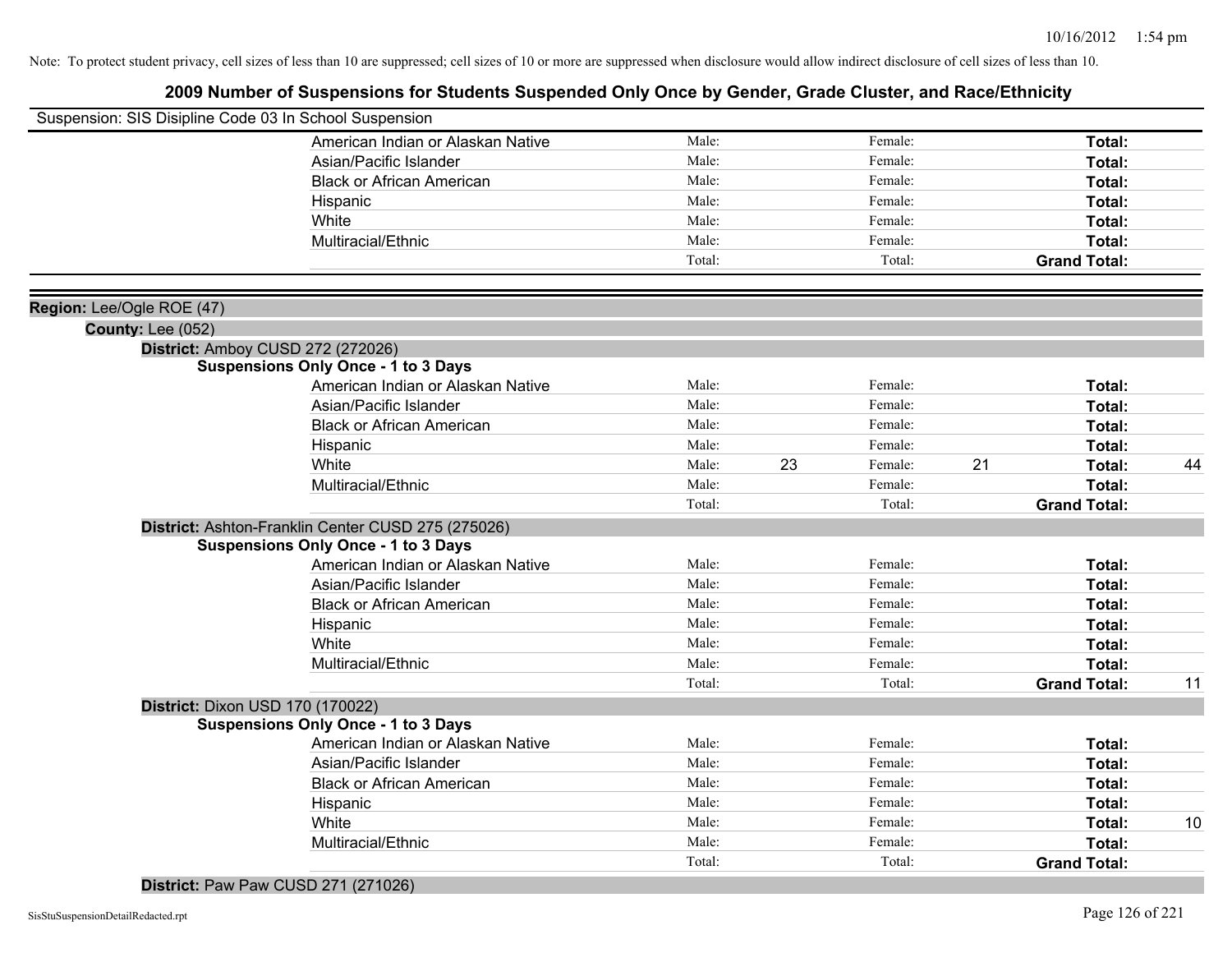### **2009 Number of Suspensions for Students Suspended Only Once by Gender, Grade Cluster, and Race/Ethnicity**

| American Indian or Alaskan Native<br>Male:<br>Female:<br>Total:<br>Male:<br>Female:<br>Asian/Pacific Islander<br>Total:<br>Male:<br>Female:<br><b>Black or African American</b><br>Total:<br>Male:<br>Female:<br>Total:<br>Hispanic<br>Male:<br>Female:<br>White<br>Total:<br>Male:<br>Female:<br><b>Total:</b><br>Multiracial/Ethnic<br>Total:<br>Total:<br><b>Grand Total:</b><br>Region: Lee/Ogle ROE (47)<br>County: Lee (052)<br>District: Amboy CUSD 272 (272026)<br><b>Suspensions Only Once - 1 to 3 Days</b><br>Male:<br>Female:<br>American Indian or Alaskan Native<br>Total:<br>Male:<br>Female:<br>Asian/Pacific Islander<br>Total:<br>Male:<br>Female:<br><b>Black or African American</b><br>Total:<br>Male:<br>Female:<br>Total:<br>Hispanic<br>White<br>Male:<br>23<br>Female:<br>21<br>Total:<br>44<br>Multiracial/Ethnic<br>Male:<br>Female:<br>Total:<br>Total:<br>Total:<br><b>Grand Total:</b><br>District: Ashton-Franklin Center CUSD 275 (275026)<br><b>Suspensions Only Once - 1 to 3 Days</b><br>American Indian or Alaskan Native<br>Male:<br>Female:<br>Total:<br>Asian/Pacific Islander<br>Male:<br>Female:<br>Total:<br>Male:<br>Female:<br><b>Black or African American</b><br>Total:<br>Male:<br>Female:<br>Hispanic<br>Total:<br>Male:<br>White<br>Female:<br>Total:<br>Male:<br>Multiracial/Ethnic<br>Female:<br><b>Total:</b><br>Total:<br>Total:<br><b>Grand Total:</b><br>11<br>District: Dixon USD 170 (170022)<br><b>Suspensions Only Once - 1 to 3 Days</b><br>American Indian or Alaskan Native<br>Male:<br>Female:<br>Total:<br>Male:<br>Female:<br>Asian/Pacific Islander<br>Total:<br>Male:<br><b>Black or African American</b><br>Female:<br>Total:<br>Male:<br>Female:<br>Hispanic<br>Total:<br>Male:<br>White<br>Female:<br>10<br>Total:<br>Male:<br>Multiracial/Ethnic<br>Female:<br>Total: | Suspension: SIS Disipline Code 03 In School Suspension |  |  |  |  |
|----------------------------------------------------------------------------------------------------------------------------------------------------------------------------------------------------------------------------------------------------------------------------------------------------------------------------------------------------------------------------------------------------------------------------------------------------------------------------------------------------------------------------------------------------------------------------------------------------------------------------------------------------------------------------------------------------------------------------------------------------------------------------------------------------------------------------------------------------------------------------------------------------------------------------------------------------------------------------------------------------------------------------------------------------------------------------------------------------------------------------------------------------------------------------------------------------------------------------------------------------------------------------------------------------------------------------------------------------------------------------------------------------------------------------------------------------------------------------------------------------------------------------------------------------------------------------------------------------------------------------------------------------------------------------------------------------------------------------------------------------------------------------------------------------------------------------------------------|--------------------------------------------------------|--|--|--|--|
|                                                                                                                                                                                                                                                                                                                                                                                                                                                                                                                                                                                                                                                                                                                                                                                                                                                                                                                                                                                                                                                                                                                                                                                                                                                                                                                                                                                                                                                                                                                                                                                                                                                                                                                                                                                                                                              |                                                        |  |  |  |  |
|                                                                                                                                                                                                                                                                                                                                                                                                                                                                                                                                                                                                                                                                                                                                                                                                                                                                                                                                                                                                                                                                                                                                                                                                                                                                                                                                                                                                                                                                                                                                                                                                                                                                                                                                                                                                                                              |                                                        |  |  |  |  |
|                                                                                                                                                                                                                                                                                                                                                                                                                                                                                                                                                                                                                                                                                                                                                                                                                                                                                                                                                                                                                                                                                                                                                                                                                                                                                                                                                                                                                                                                                                                                                                                                                                                                                                                                                                                                                                              |                                                        |  |  |  |  |
|                                                                                                                                                                                                                                                                                                                                                                                                                                                                                                                                                                                                                                                                                                                                                                                                                                                                                                                                                                                                                                                                                                                                                                                                                                                                                                                                                                                                                                                                                                                                                                                                                                                                                                                                                                                                                                              |                                                        |  |  |  |  |
|                                                                                                                                                                                                                                                                                                                                                                                                                                                                                                                                                                                                                                                                                                                                                                                                                                                                                                                                                                                                                                                                                                                                                                                                                                                                                                                                                                                                                                                                                                                                                                                                                                                                                                                                                                                                                                              |                                                        |  |  |  |  |
|                                                                                                                                                                                                                                                                                                                                                                                                                                                                                                                                                                                                                                                                                                                                                                                                                                                                                                                                                                                                                                                                                                                                                                                                                                                                                                                                                                                                                                                                                                                                                                                                                                                                                                                                                                                                                                              |                                                        |  |  |  |  |
|                                                                                                                                                                                                                                                                                                                                                                                                                                                                                                                                                                                                                                                                                                                                                                                                                                                                                                                                                                                                                                                                                                                                                                                                                                                                                                                                                                                                                                                                                                                                                                                                                                                                                                                                                                                                                                              |                                                        |  |  |  |  |
|                                                                                                                                                                                                                                                                                                                                                                                                                                                                                                                                                                                                                                                                                                                                                                                                                                                                                                                                                                                                                                                                                                                                                                                                                                                                                                                                                                                                                                                                                                                                                                                                                                                                                                                                                                                                                                              |                                                        |  |  |  |  |
|                                                                                                                                                                                                                                                                                                                                                                                                                                                                                                                                                                                                                                                                                                                                                                                                                                                                                                                                                                                                                                                                                                                                                                                                                                                                                                                                                                                                                                                                                                                                                                                                                                                                                                                                                                                                                                              |                                                        |  |  |  |  |
|                                                                                                                                                                                                                                                                                                                                                                                                                                                                                                                                                                                                                                                                                                                                                                                                                                                                                                                                                                                                                                                                                                                                                                                                                                                                                                                                                                                                                                                                                                                                                                                                                                                                                                                                                                                                                                              |                                                        |  |  |  |  |
|                                                                                                                                                                                                                                                                                                                                                                                                                                                                                                                                                                                                                                                                                                                                                                                                                                                                                                                                                                                                                                                                                                                                                                                                                                                                                                                                                                                                                                                                                                                                                                                                                                                                                                                                                                                                                                              |                                                        |  |  |  |  |
|                                                                                                                                                                                                                                                                                                                                                                                                                                                                                                                                                                                                                                                                                                                                                                                                                                                                                                                                                                                                                                                                                                                                                                                                                                                                                                                                                                                                                                                                                                                                                                                                                                                                                                                                                                                                                                              |                                                        |  |  |  |  |
|                                                                                                                                                                                                                                                                                                                                                                                                                                                                                                                                                                                                                                                                                                                                                                                                                                                                                                                                                                                                                                                                                                                                                                                                                                                                                                                                                                                                                                                                                                                                                                                                                                                                                                                                                                                                                                              |                                                        |  |  |  |  |
|                                                                                                                                                                                                                                                                                                                                                                                                                                                                                                                                                                                                                                                                                                                                                                                                                                                                                                                                                                                                                                                                                                                                                                                                                                                                                                                                                                                                                                                                                                                                                                                                                                                                                                                                                                                                                                              |                                                        |  |  |  |  |
|                                                                                                                                                                                                                                                                                                                                                                                                                                                                                                                                                                                                                                                                                                                                                                                                                                                                                                                                                                                                                                                                                                                                                                                                                                                                                                                                                                                                                                                                                                                                                                                                                                                                                                                                                                                                                                              |                                                        |  |  |  |  |
|                                                                                                                                                                                                                                                                                                                                                                                                                                                                                                                                                                                                                                                                                                                                                                                                                                                                                                                                                                                                                                                                                                                                                                                                                                                                                                                                                                                                                                                                                                                                                                                                                                                                                                                                                                                                                                              |                                                        |  |  |  |  |
|                                                                                                                                                                                                                                                                                                                                                                                                                                                                                                                                                                                                                                                                                                                                                                                                                                                                                                                                                                                                                                                                                                                                                                                                                                                                                                                                                                                                                                                                                                                                                                                                                                                                                                                                                                                                                                              |                                                        |  |  |  |  |
|                                                                                                                                                                                                                                                                                                                                                                                                                                                                                                                                                                                                                                                                                                                                                                                                                                                                                                                                                                                                                                                                                                                                                                                                                                                                                                                                                                                                                                                                                                                                                                                                                                                                                                                                                                                                                                              |                                                        |  |  |  |  |
|                                                                                                                                                                                                                                                                                                                                                                                                                                                                                                                                                                                                                                                                                                                                                                                                                                                                                                                                                                                                                                                                                                                                                                                                                                                                                                                                                                                                                                                                                                                                                                                                                                                                                                                                                                                                                                              |                                                        |  |  |  |  |
|                                                                                                                                                                                                                                                                                                                                                                                                                                                                                                                                                                                                                                                                                                                                                                                                                                                                                                                                                                                                                                                                                                                                                                                                                                                                                                                                                                                                                                                                                                                                                                                                                                                                                                                                                                                                                                              |                                                        |  |  |  |  |
|                                                                                                                                                                                                                                                                                                                                                                                                                                                                                                                                                                                                                                                                                                                                                                                                                                                                                                                                                                                                                                                                                                                                                                                                                                                                                                                                                                                                                                                                                                                                                                                                                                                                                                                                                                                                                                              |                                                        |  |  |  |  |
|                                                                                                                                                                                                                                                                                                                                                                                                                                                                                                                                                                                                                                                                                                                                                                                                                                                                                                                                                                                                                                                                                                                                                                                                                                                                                                                                                                                                                                                                                                                                                                                                                                                                                                                                                                                                                                              |                                                        |  |  |  |  |
|                                                                                                                                                                                                                                                                                                                                                                                                                                                                                                                                                                                                                                                                                                                                                                                                                                                                                                                                                                                                                                                                                                                                                                                                                                                                                                                                                                                                                                                                                                                                                                                                                                                                                                                                                                                                                                              |                                                        |  |  |  |  |
|                                                                                                                                                                                                                                                                                                                                                                                                                                                                                                                                                                                                                                                                                                                                                                                                                                                                                                                                                                                                                                                                                                                                                                                                                                                                                                                                                                                                                                                                                                                                                                                                                                                                                                                                                                                                                                              |                                                        |  |  |  |  |
|                                                                                                                                                                                                                                                                                                                                                                                                                                                                                                                                                                                                                                                                                                                                                                                                                                                                                                                                                                                                                                                                                                                                                                                                                                                                                                                                                                                                                                                                                                                                                                                                                                                                                                                                                                                                                                              |                                                        |  |  |  |  |
|                                                                                                                                                                                                                                                                                                                                                                                                                                                                                                                                                                                                                                                                                                                                                                                                                                                                                                                                                                                                                                                                                                                                                                                                                                                                                                                                                                                                                                                                                                                                                                                                                                                                                                                                                                                                                                              |                                                        |  |  |  |  |
|                                                                                                                                                                                                                                                                                                                                                                                                                                                                                                                                                                                                                                                                                                                                                                                                                                                                                                                                                                                                                                                                                                                                                                                                                                                                                                                                                                                                                                                                                                                                                                                                                                                                                                                                                                                                                                              |                                                        |  |  |  |  |
|                                                                                                                                                                                                                                                                                                                                                                                                                                                                                                                                                                                                                                                                                                                                                                                                                                                                                                                                                                                                                                                                                                                                                                                                                                                                                                                                                                                                                                                                                                                                                                                                                                                                                                                                                                                                                                              |                                                        |  |  |  |  |
|                                                                                                                                                                                                                                                                                                                                                                                                                                                                                                                                                                                                                                                                                                                                                                                                                                                                                                                                                                                                                                                                                                                                                                                                                                                                                                                                                                                                                                                                                                                                                                                                                                                                                                                                                                                                                                              |                                                        |  |  |  |  |
|                                                                                                                                                                                                                                                                                                                                                                                                                                                                                                                                                                                                                                                                                                                                                                                                                                                                                                                                                                                                                                                                                                                                                                                                                                                                                                                                                                                                                                                                                                                                                                                                                                                                                                                                                                                                                                              |                                                        |  |  |  |  |
|                                                                                                                                                                                                                                                                                                                                                                                                                                                                                                                                                                                                                                                                                                                                                                                                                                                                                                                                                                                                                                                                                                                                                                                                                                                                                                                                                                                                                                                                                                                                                                                                                                                                                                                                                                                                                                              |                                                        |  |  |  |  |
|                                                                                                                                                                                                                                                                                                                                                                                                                                                                                                                                                                                                                                                                                                                                                                                                                                                                                                                                                                                                                                                                                                                                                                                                                                                                                                                                                                                                                                                                                                                                                                                                                                                                                                                                                                                                                                              |                                                        |  |  |  |  |
|                                                                                                                                                                                                                                                                                                                                                                                                                                                                                                                                                                                                                                                                                                                                                                                                                                                                                                                                                                                                                                                                                                                                                                                                                                                                                                                                                                                                                                                                                                                                                                                                                                                                                                                                                                                                                                              |                                                        |  |  |  |  |
|                                                                                                                                                                                                                                                                                                                                                                                                                                                                                                                                                                                                                                                                                                                                                                                                                                                                                                                                                                                                                                                                                                                                                                                                                                                                                                                                                                                                                                                                                                                                                                                                                                                                                                                                                                                                                                              |                                                        |  |  |  |  |
|                                                                                                                                                                                                                                                                                                                                                                                                                                                                                                                                                                                                                                                                                                                                                                                                                                                                                                                                                                                                                                                                                                                                                                                                                                                                                                                                                                                                                                                                                                                                                                                                                                                                                                                                                                                                                                              |                                                        |  |  |  |  |
| Total:<br>Total:<br><b>Grand Total:</b>                                                                                                                                                                                                                                                                                                                                                                                                                                                                                                                                                                                                                                                                                                                                                                                                                                                                                                                                                                                                                                                                                                                                                                                                                                                                                                                                                                                                                                                                                                                                                                                                                                                                                                                                                                                                      |                                                        |  |  |  |  |

#### **District:** Paw Paw CUSD 271 (271026)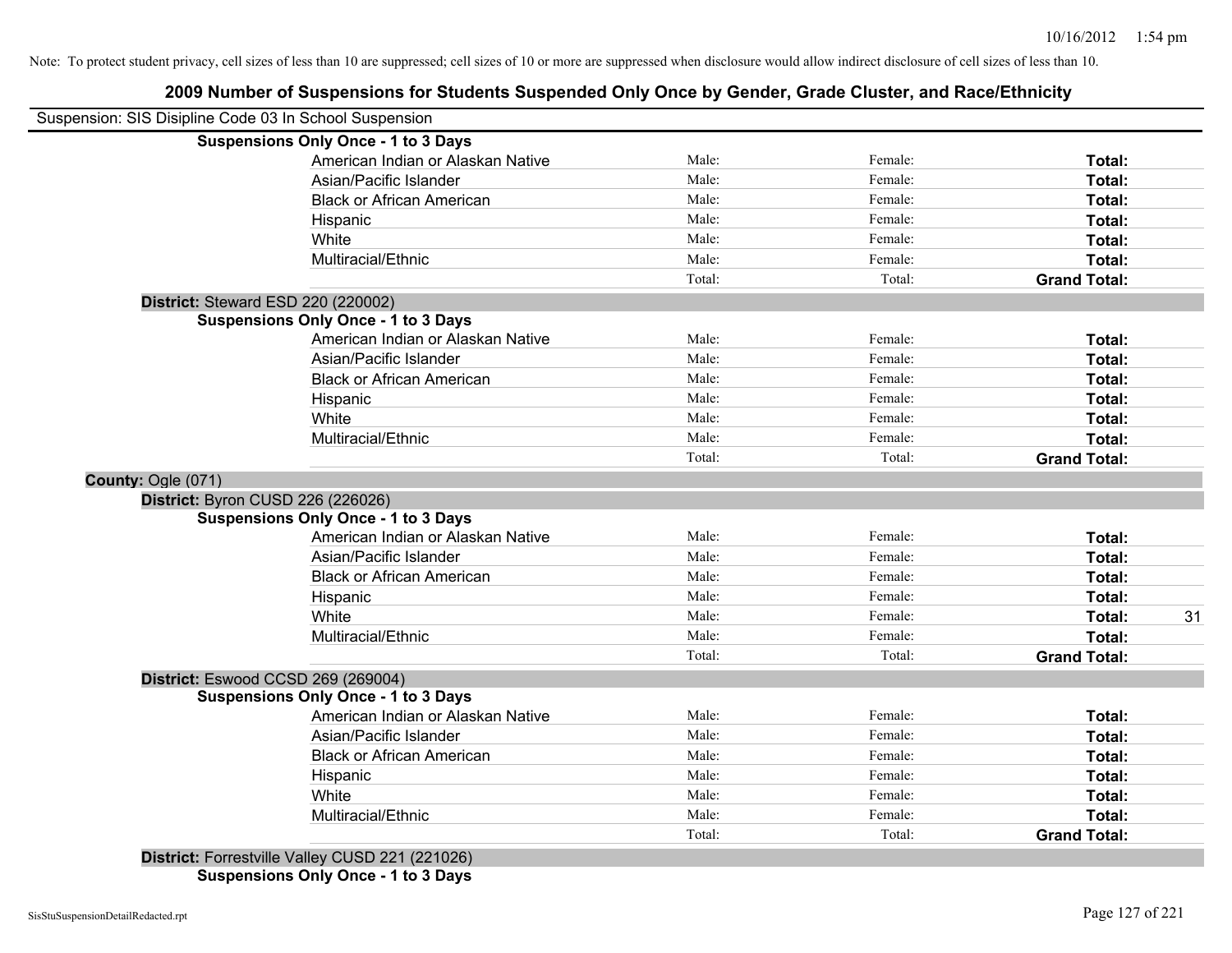## **2009 Number of Suspensions for Students Suspended Only Once by Gender, Grade Cluster, and Race/Ethnicity**

| Suspension: SIS Disipline Code 03 In School Suspension |                                                 |        |         |                     |    |
|--------------------------------------------------------|-------------------------------------------------|--------|---------|---------------------|----|
|                                                        | <b>Suspensions Only Once - 1 to 3 Days</b>      |        |         |                     |    |
|                                                        | American Indian or Alaskan Native               | Male:  | Female: | Total:              |    |
|                                                        | Asian/Pacific Islander                          | Male:  | Female: | Total:              |    |
|                                                        | <b>Black or African American</b>                | Male:  | Female: | Total:              |    |
|                                                        | Hispanic                                        | Male:  | Female: | Total:              |    |
|                                                        | White                                           | Male:  | Female: | Total:              |    |
|                                                        | Multiracial/Ethnic                              | Male:  | Female: | Total:              |    |
|                                                        |                                                 | Total: | Total:  | <b>Grand Total:</b> |    |
|                                                        | District: Steward ESD 220 (220002)              |        |         |                     |    |
|                                                        | <b>Suspensions Only Once - 1 to 3 Days</b>      |        |         |                     |    |
|                                                        | American Indian or Alaskan Native               | Male:  | Female: | Total:              |    |
|                                                        | Asian/Pacific Islander                          | Male:  | Female: | Total:              |    |
|                                                        | <b>Black or African American</b>                | Male:  | Female: | Total:              |    |
|                                                        | Hispanic                                        | Male:  | Female: | Total:              |    |
|                                                        | White                                           | Male:  | Female: | Total:              |    |
|                                                        | Multiracial/Ethnic                              | Male:  | Female: | Total:              |    |
|                                                        |                                                 | Total: | Total:  | <b>Grand Total:</b> |    |
| County: Ogle (071)                                     |                                                 |        |         |                     |    |
|                                                        | District: Byron CUSD 226 (226026)               |        |         |                     |    |
|                                                        | <b>Suspensions Only Once - 1 to 3 Days</b>      |        |         |                     |    |
|                                                        | American Indian or Alaskan Native               | Male:  | Female: | Total:              |    |
|                                                        | Asian/Pacific Islander                          | Male:  | Female: | Total:              |    |
|                                                        | <b>Black or African American</b>                | Male:  | Female: | Total:              |    |
|                                                        | Hispanic                                        | Male:  | Female: | Total:              |    |
|                                                        | White                                           | Male:  | Female: | Total:              | 31 |
|                                                        | Multiracial/Ethnic                              | Male:  | Female: | Total:              |    |
|                                                        |                                                 | Total: | Total:  | <b>Grand Total:</b> |    |
|                                                        | District: Eswood CCSD 269 (269004)              |        |         |                     |    |
|                                                        | <b>Suspensions Only Once - 1 to 3 Days</b>      |        |         |                     |    |
|                                                        | American Indian or Alaskan Native               | Male:  | Female: | Total:              |    |
|                                                        | Asian/Pacific Islander                          | Male:  | Female: | Total:              |    |
|                                                        | <b>Black or African American</b>                | Male:  | Female: | Total:              |    |
|                                                        | Hispanic                                        | Male:  | Female: | Total:              |    |
|                                                        | White                                           | Male:  | Female: | Total:              |    |
|                                                        | Multiracial/Ethnic                              | Male:  | Female: | Total:              |    |
|                                                        |                                                 | Total: | Total:  | <b>Grand Total:</b> |    |
|                                                        | District: Forrestville Valley CUSD 221 (221026) |        |         |                     |    |

**Suspensions Only Once - 1 to 3 Days**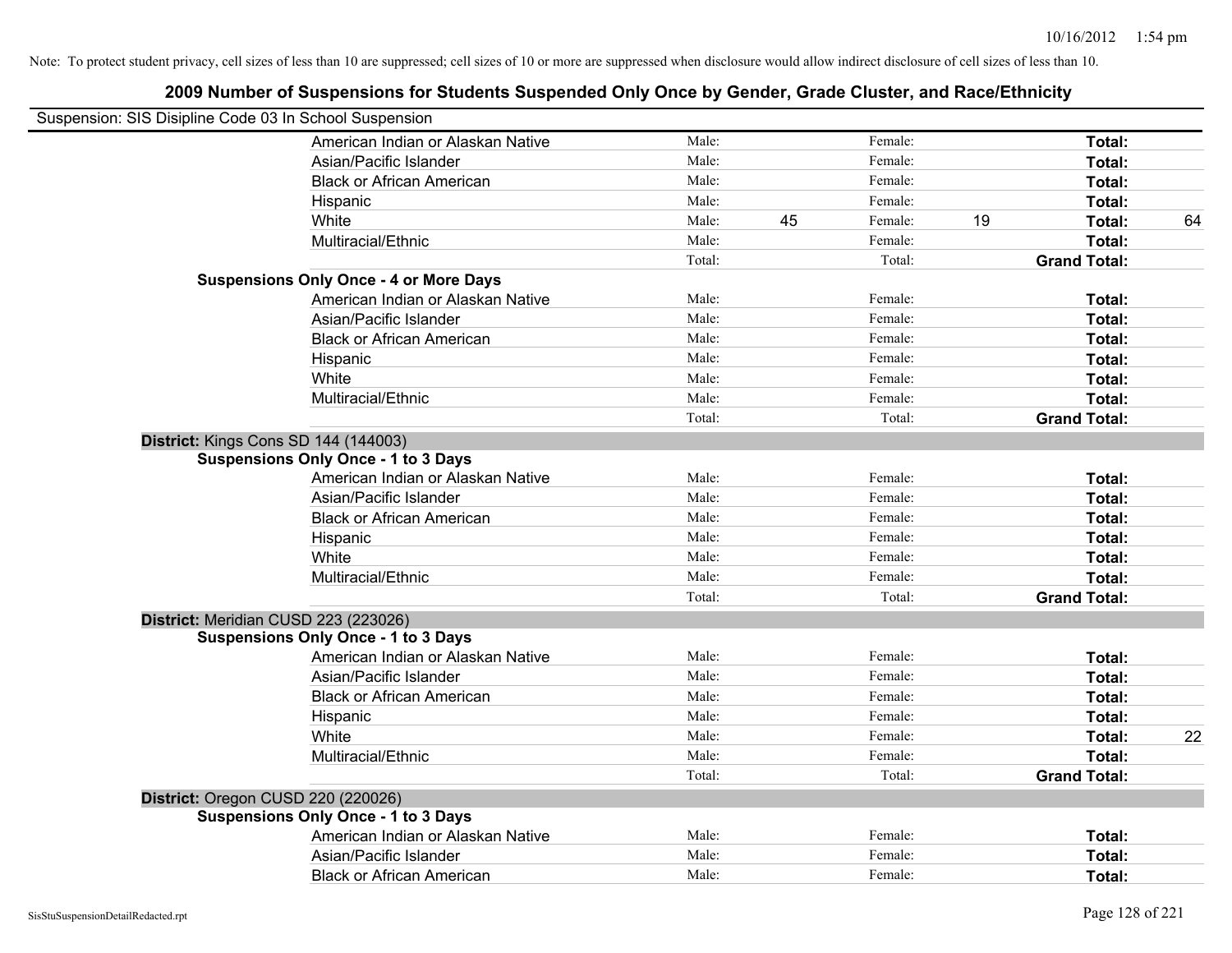| 2009 Number of Suspensions for Students Suspended Only Once by Gender, Grade Cluster, and Race/Ethnicity |        |    |         |    |                     |    |
|----------------------------------------------------------------------------------------------------------|--------|----|---------|----|---------------------|----|
| Suspension: SIS Disipline Code 03 In School Suspension                                                   |        |    |         |    |                     |    |
| American Indian or Alaskan Native                                                                        | Male:  |    | Female: |    | Total:              |    |
| Asian/Pacific Islander                                                                                   | Male:  |    | Female: |    | Total:              |    |
| <b>Black or African American</b>                                                                         | Male:  |    | Female: |    | Total:              |    |
| Hispanic                                                                                                 | Male:  |    | Female: |    | Total:              |    |
| White                                                                                                    | Male:  | 45 | Female: | 19 | Total:              | 64 |
| Multiracial/Ethnic                                                                                       | Male:  |    | Female: |    | Total:              |    |
|                                                                                                          | Total: |    | Total:  |    | <b>Grand Total:</b> |    |
| <b>Suspensions Only Once - 4 or More Days</b>                                                            |        |    |         |    |                     |    |
| American Indian or Alaskan Native                                                                        | Male:  |    | Female: |    | Total:              |    |
| Asian/Pacific Islander                                                                                   | Male:  |    | Female: |    | Total:              |    |
| <b>Black or African American</b>                                                                         | Male:  |    | Female: |    | Total:              |    |
| Hispanic                                                                                                 | Male:  |    | Female: |    | Total:              |    |
| White                                                                                                    | Male:  |    | Female: |    | Total:              |    |
| Multiracial/Ethnic                                                                                       | Male:  |    | Female: |    | Total:              |    |
|                                                                                                          | Total: |    | Total:  |    | <b>Grand Total:</b> |    |
| District: Kings Cons SD 144 (144003)                                                                     |        |    |         |    |                     |    |
| <b>Suspensions Only Once - 1 to 3 Days</b>                                                               |        |    |         |    |                     |    |
| American Indian or Alaskan Native                                                                        | Male:  |    | Female: |    | Total:              |    |
| Asian/Pacific Islander                                                                                   | Male:  |    | Female: |    | Total:              |    |
| <b>Black or African American</b>                                                                         | Male:  |    | Female: |    | Total:              |    |
| Hispanic                                                                                                 | Male:  |    | Female: |    | Total:              |    |
| White                                                                                                    | Male:  |    | Female: |    | Total:              |    |
| Multiracial/Ethnic                                                                                       | Male:  |    | Female: |    | Total:              |    |
|                                                                                                          | Total: |    | Total:  |    | <b>Grand Total:</b> |    |
| District: Meridian CUSD 223 (223026)                                                                     |        |    |         |    |                     |    |
| <b>Suspensions Only Once - 1 to 3 Days</b>                                                               |        |    |         |    |                     |    |
| American Indian or Alaskan Native                                                                        | Male:  |    | Female: |    | Total:              |    |
| Asian/Pacific Islander                                                                                   | Male:  |    | Female: |    | Total:              |    |
| <b>Black or African American</b>                                                                         | Male:  |    | Female: |    | Total:              |    |
| Hispanic                                                                                                 | Male:  |    | Female: |    | Total:              |    |
| White                                                                                                    | Male:  |    | Female: |    | Total:              | 22 |
| Multiracial/Ethnic                                                                                       | Male:  |    | Female: |    | Total:              |    |
|                                                                                                          | Total: |    | Total:  |    | <b>Grand Total:</b> |    |
| District: Oregon CUSD 220 (220026)                                                                       |        |    |         |    |                     |    |
| <b>Suspensions Only Once - 1 to 3 Days</b>                                                               |        |    |         |    |                     |    |
| American Indian or Alaskan Native                                                                        | Male:  |    | Female: |    | Total:              |    |
| Asian/Pacific Islander                                                                                   | Male:  |    | Female: |    | Total:              |    |
| Black or African American                                                                                | Male:  |    | Female: |    | Total:              |    |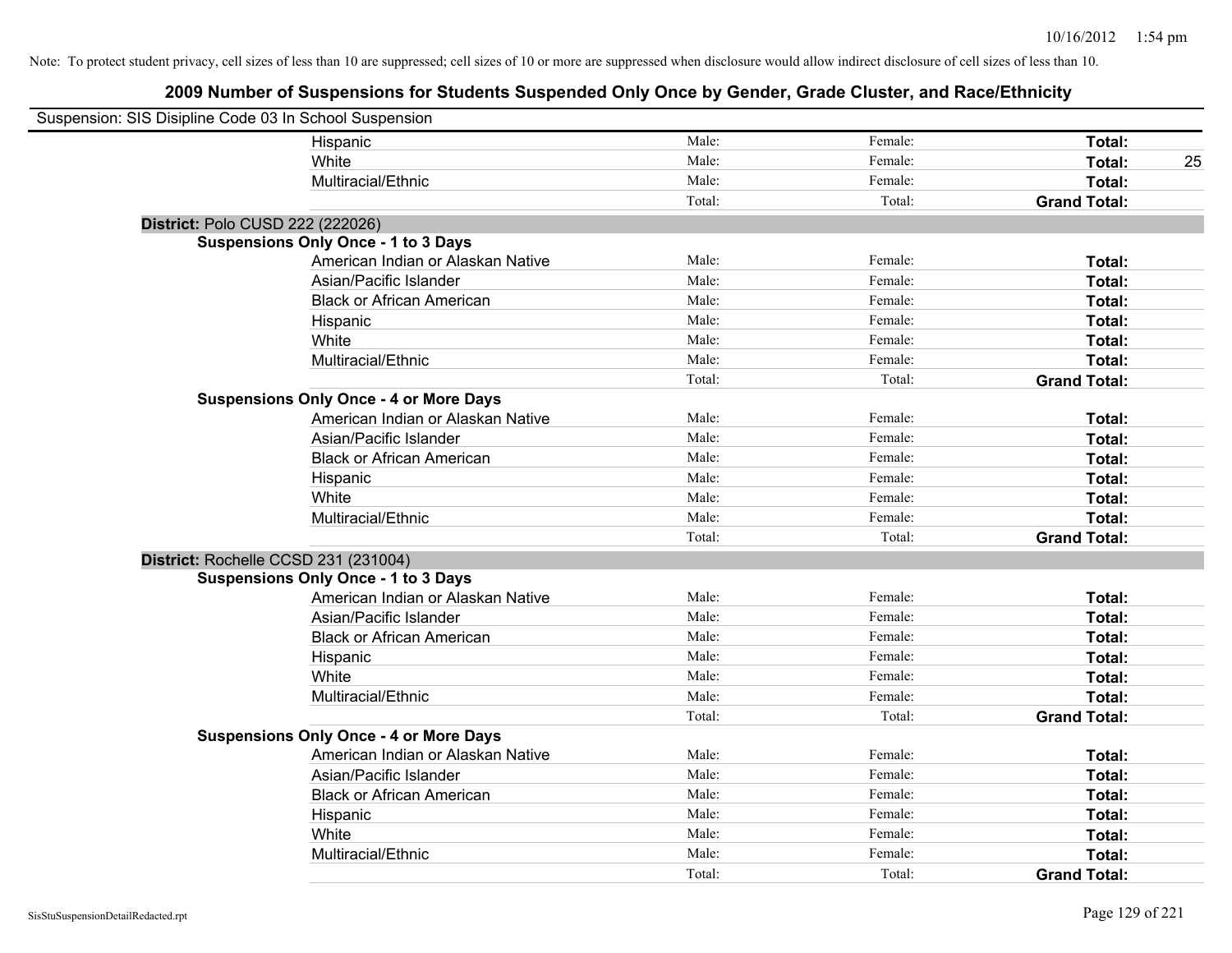| Suspension: SIS Disipline Code 03 In School Suspension |                                               |        |         |                     |    |
|--------------------------------------------------------|-----------------------------------------------|--------|---------|---------------------|----|
|                                                        | Hispanic                                      | Male:  | Female: | Total:              |    |
|                                                        | White                                         | Male:  | Female: | Total:              | 25 |
|                                                        | Multiracial/Ethnic                            | Male:  | Female: | Total:              |    |
|                                                        |                                               | Total: | Total:  | <b>Grand Total:</b> |    |
| District: Polo CUSD 222 (222026)                       |                                               |        |         |                     |    |
|                                                        | <b>Suspensions Only Once - 1 to 3 Days</b>    |        |         |                     |    |
|                                                        | American Indian or Alaskan Native             | Male:  | Female: | Total:              |    |
|                                                        | Asian/Pacific Islander                        | Male:  | Female: | Total:              |    |
|                                                        | <b>Black or African American</b>              | Male:  | Female: | Total:              |    |
|                                                        | Hispanic                                      | Male:  | Female: | Total:              |    |
|                                                        | White                                         | Male:  | Female: | Total:              |    |
|                                                        | Multiracial/Ethnic                            | Male:  | Female: | Total:              |    |
|                                                        |                                               | Total: | Total:  | <b>Grand Total:</b> |    |
|                                                        | <b>Suspensions Only Once - 4 or More Days</b> |        |         |                     |    |
|                                                        | American Indian or Alaskan Native             | Male:  | Female: | Total:              |    |
|                                                        | Asian/Pacific Islander                        | Male:  | Female: | Total:              |    |
|                                                        | <b>Black or African American</b>              | Male:  | Female: | Total:              |    |
|                                                        | Hispanic                                      | Male:  | Female: | Total:              |    |
|                                                        | White                                         | Male:  | Female: | Total:              |    |
|                                                        | Multiracial/Ethnic                            | Male:  | Female: | Total:              |    |
|                                                        |                                               | Total: | Total:  | <b>Grand Total:</b> |    |
| District: Rochelle CCSD 231 (231004)                   |                                               |        |         |                     |    |
|                                                        | <b>Suspensions Only Once - 1 to 3 Days</b>    |        |         |                     |    |
|                                                        | American Indian or Alaskan Native             | Male:  | Female: | Total:              |    |
|                                                        | Asian/Pacific Islander                        | Male:  | Female: | Total:              |    |
|                                                        | <b>Black or African American</b>              | Male:  | Female: | Total:              |    |
|                                                        | Hispanic                                      | Male:  | Female: | Total:              |    |
|                                                        | White                                         | Male:  | Female: | Total:              |    |
|                                                        | Multiracial/Ethnic                            | Male:  | Female: | Total:              |    |
|                                                        |                                               | Total: | Total:  | <b>Grand Total:</b> |    |
|                                                        | <b>Suspensions Only Once - 4 or More Days</b> |        |         |                     |    |
|                                                        | American Indian or Alaskan Native             | Male:  | Female: | Total:              |    |
|                                                        | Asian/Pacific Islander                        | Male:  | Female: | Total:              |    |
|                                                        | <b>Black or African American</b>              | Male:  | Female: | Total:              |    |
|                                                        | Hispanic                                      | Male:  | Female: | Total:              |    |
|                                                        | White                                         | Male:  | Female: | Total:              |    |
|                                                        | Multiracial/Ethnic                            | Male:  | Female: | Total:              |    |
|                                                        |                                               | Total: | Total:  | <b>Grand Total:</b> |    |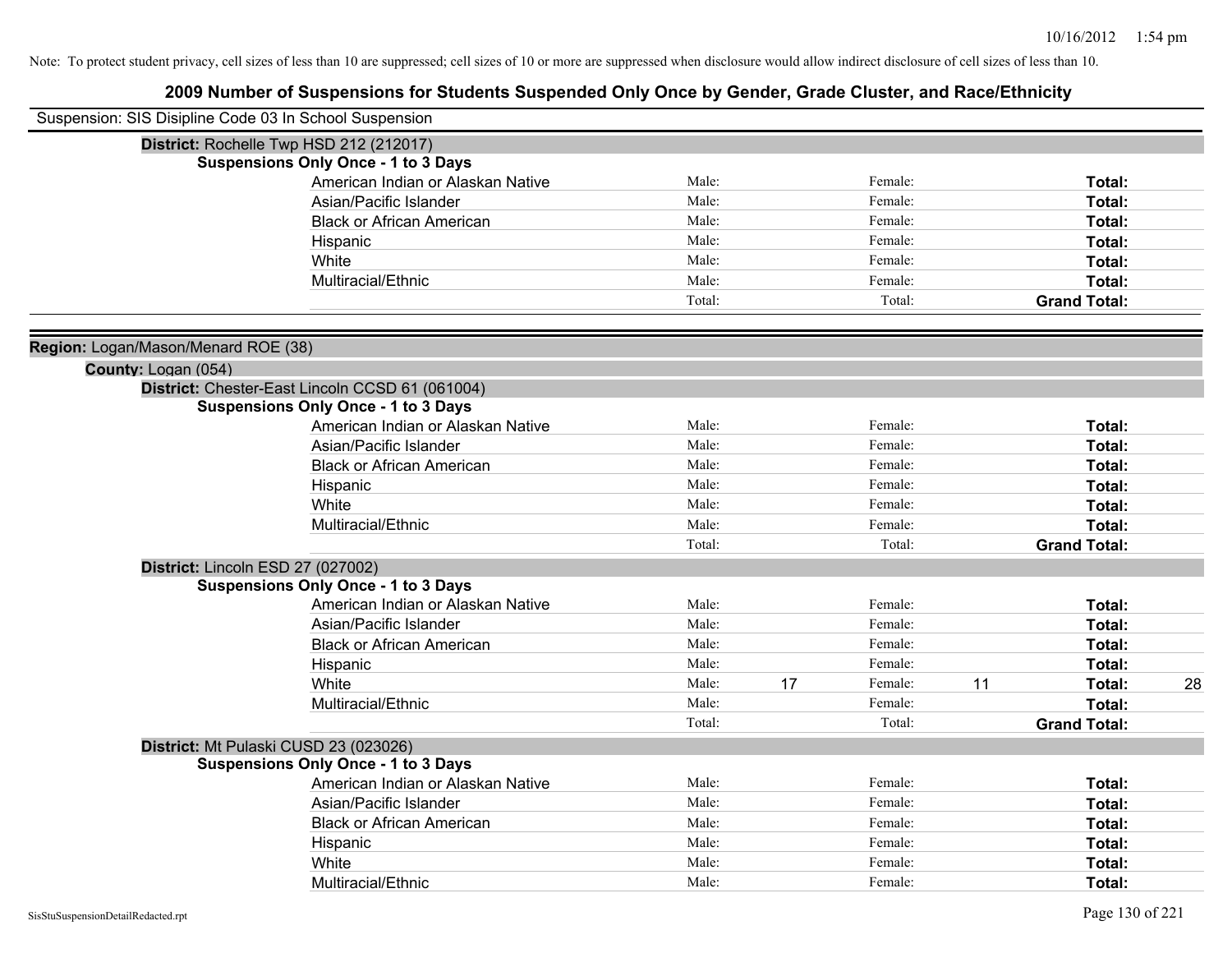| Suspension: SIS Disipline Code 03 In School Suspension     |                                                 |        |    |         |    |                     |    |
|------------------------------------------------------------|-------------------------------------------------|--------|----|---------|----|---------------------|----|
|                                                            | District: Rochelle Twp HSD 212 (212017)         |        |    |         |    |                     |    |
|                                                            | <b>Suspensions Only Once - 1 to 3 Days</b>      |        |    |         |    |                     |    |
|                                                            | American Indian or Alaskan Native               | Male:  |    | Female: |    | Total:              |    |
|                                                            | Asian/Pacific Islander                          | Male:  |    | Female: |    | Total:              |    |
|                                                            | <b>Black or African American</b>                | Male:  |    | Female: |    | Total:              |    |
|                                                            | Hispanic                                        | Male:  |    | Female: |    | Total:              |    |
|                                                            | White                                           | Male:  |    | Female: |    | Total:              |    |
|                                                            | Multiracial/Ethnic                              | Male:  |    | Female: |    | Total:              |    |
|                                                            |                                                 | Total: |    | Total:  |    | <b>Grand Total:</b> |    |
|                                                            |                                                 |        |    |         |    |                     |    |
| Region: Logan/Mason/Menard ROE (38)<br>County: Logan (054) |                                                 |        |    |         |    |                     |    |
|                                                            | District: Chester-East Lincoln CCSD 61 (061004) |        |    |         |    |                     |    |
|                                                            | <b>Suspensions Only Once - 1 to 3 Days</b>      |        |    |         |    |                     |    |
|                                                            | American Indian or Alaskan Native               | Male:  |    | Female: |    | Total:              |    |
|                                                            | Asian/Pacific Islander                          | Male:  |    | Female: |    | Total:              |    |
|                                                            | <b>Black or African American</b>                | Male:  |    | Female: |    | Total:              |    |
|                                                            | Hispanic                                        | Male:  |    | Female: |    | Total:              |    |
|                                                            | White                                           | Male:  |    | Female: |    | Total:              |    |
|                                                            | Multiracial/Ethnic                              | Male:  |    | Female: |    | Total:              |    |
|                                                            |                                                 | Total: |    | Total:  |    | <b>Grand Total:</b> |    |
|                                                            | District: Lincoln ESD 27 (027002)               |        |    |         |    |                     |    |
|                                                            | <b>Suspensions Only Once - 1 to 3 Days</b>      |        |    |         |    |                     |    |
|                                                            | American Indian or Alaskan Native               | Male:  |    | Female: |    | Total:              |    |
|                                                            | Asian/Pacific Islander                          | Male:  |    | Female: |    | Total:              |    |
|                                                            | <b>Black or African American</b>                | Male:  |    | Female: |    | Total:              |    |
|                                                            | Hispanic                                        | Male:  |    | Female: |    | Total:              |    |
|                                                            | White                                           | Male:  | 17 | Female: | 11 | Total:              | 28 |
|                                                            | Multiracial/Ethnic                              | Male:  |    | Female: |    | Total:              |    |
|                                                            |                                                 | Total: |    | Total:  |    | <b>Grand Total:</b> |    |
|                                                            | District: Mt Pulaski CUSD 23 (023026)           |        |    |         |    |                     |    |
|                                                            | <b>Suspensions Only Once - 1 to 3 Days</b>      |        |    |         |    |                     |    |
|                                                            | American Indian or Alaskan Native               | Male:  |    | Female: |    | Total:              |    |
|                                                            | Asian/Pacific Islander                          | Male:  |    | Female: |    | Total:              |    |
|                                                            | <b>Black or African American</b>                | Male:  |    | Female: |    | Total:              |    |
|                                                            | Hispanic                                        | Male:  |    | Female: |    | Total:              |    |
|                                                            | White                                           | Male:  |    | Female: |    | Total:              |    |
|                                                            | Multiracial/Ethnic                              | Male:  |    | Female: |    | Total:              |    |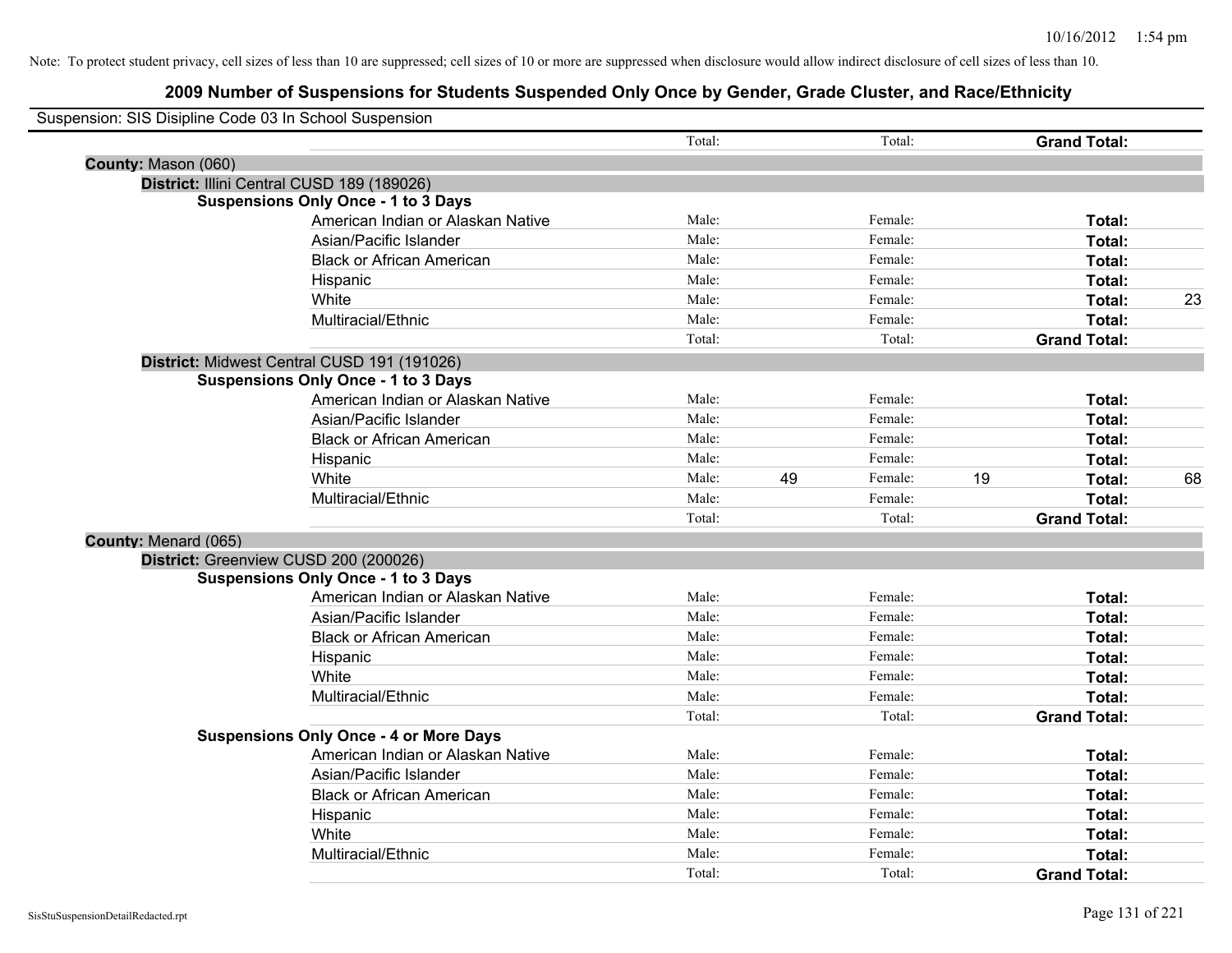| Suspension: SIS Disipline Code 03 In School Suspension |                                               |        |    |         |    |                     |    |
|--------------------------------------------------------|-----------------------------------------------|--------|----|---------|----|---------------------|----|
|                                                        |                                               | Total: |    | Total:  |    | <b>Grand Total:</b> |    |
| County: Mason (060)                                    |                                               |        |    |         |    |                     |    |
|                                                        | District: Illini Central CUSD 189 (189026)    |        |    |         |    |                     |    |
|                                                        | <b>Suspensions Only Once - 1 to 3 Days</b>    |        |    |         |    |                     |    |
|                                                        | American Indian or Alaskan Native             | Male:  |    | Female: |    | Total:              |    |
|                                                        | Asian/Pacific Islander                        | Male:  |    | Female: |    | Total:              |    |
|                                                        | <b>Black or African American</b>              | Male:  |    | Female: |    | Total:              |    |
|                                                        | Hispanic                                      | Male:  |    | Female: |    | Total:              |    |
|                                                        | White                                         | Male:  |    | Female: |    | Total:              | 23 |
|                                                        | Multiracial/Ethnic                            | Male:  |    | Female: |    | <b>Total:</b>       |    |
|                                                        |                                               | Total: |    | Total:  |    | <b>Grand Total:</b> |    |
|                                                        | District: Midwest Central CUSD 191 (191026)   |        |    |         |    |                     |    |
|                                                        | <b>Suspensions Only Once - 1 to 3 Days</b>    |        |    |         |    |                     |    |
|                                                        | American Indian or Alaskan Native             | Male:  |    | Female: |    | Total:              |    |
|                                                        | Asian/Pacific Islander                        | Male:  |    | Female: |    | Total:              |    |
|                                                        | <b>Black or African American</b>              | Male:  |    | Female: |    | Total:              |    |
|                                                        | Hispanic                                      | Male:  |    | Female: |    | Total:              |    |
|                                                        | White                                         | Male:  | 49 | Female: | 19 | Total:              | 68 |
|                                                        | Multiracial/Ethnic                            | Male:  |    | Female: |    | Total:              |    |
|                                                        |                                               | Total: |    | Total:  |    | <b>Grand Total:</b> |    |
| County: Menard (065)                                   |                                               |        |    |         |    |                     |    |
|                                                        | District: Greenview CUSD 200 (200026)         |        |    |         |    |                     |    |
|                                                        | <b>Suspensions Only Once - 1 to 3 Days</b>    |        |    |         |    |                     |    |
|                                                        | American Indian or Alaskan Native             | Male:  |    | Female: |    | Total:              |    |
|                                                        | Asian/Pacific Islander                        | Male:  |    | Female: |    | Total:              |    |
|                                                        | <b>Black or African American</b>              | Male:  |    | Female: |    | Total:              |    |
|                                                        | Hispanic                                      | Male:  |    | Female: |    | Total:              |    |
|                                                        | White                                         | Male:  |    | Female: |    | Total:              |    |
|                                                        | Multiracial/Ethnic                            | Male:  |    | Female: |    | Total:              |    |
|                                                        |                                               | Total: |    | Total:  |    | <b>Grand Total:</b> |    |
|                                                        | <b>Suspensions Only Once - 4 or More Days</b> |        |    |         |    |                     |    |
|                                                        | American Indian or Alaskan Native             | Male:  |    | Female: |    | Total:              |    |
|                                                        | Asian/Pacific Islander                        | Male:  |    | Female: |    | Total:              |    |
|                                                        | <b>Black or African American</b>              | Male:  |    | Female: |    | Total:              |    |
|                                                        | Hispanic                                      | Male:  |    | Female: |    | Total:              |    |
|                                                        | White                                         | Male:  |    | Female: |    | Total:              |    |
|                                                        | Multiracial/Ethnic                            | Male:  |    | Female: |    | Total:              |    |
|                                                        |                                               | Total: |    | Total:  |    | <b>Grand Total:</b> |    |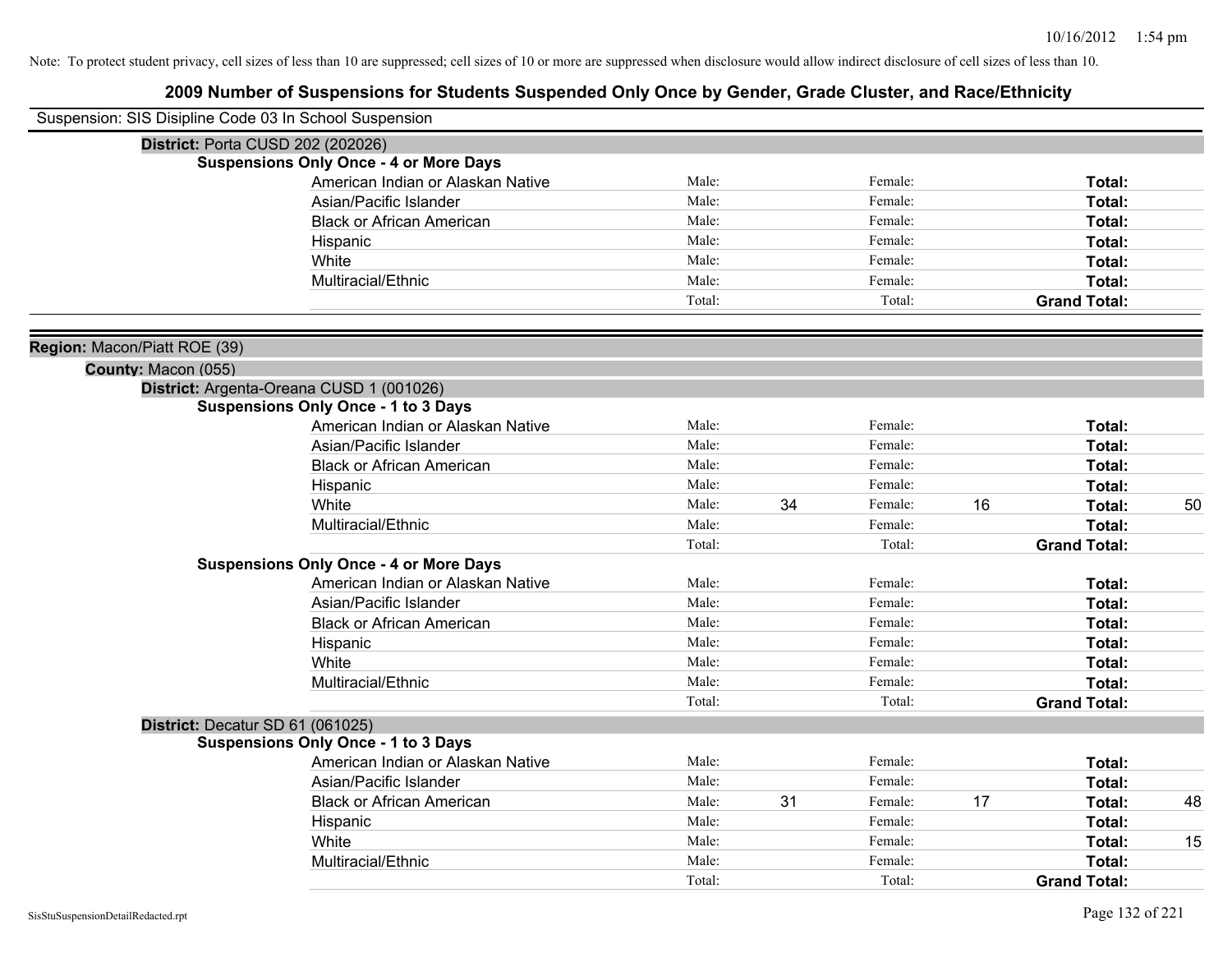| Suspension: SIS Disipline Code 03 In School Suspension |                                               |        |    |         |    |                     |    |
|--------------------------------------------------------|-----------------------------------------------|--------|----|---------|----|---------------------|----|
| <b>District: Porta CUSD 202 (202026)</b>               |                                               |        |    |         |    |                     |    |
|                                                        | <b>Suspensions Only Once - 4 or More Days</b> |        |    |         |    |                     |    |
|                                                        | American Indian or Alaskan Native             | Male:  |    | Female: |    | Total:              |    |
|                                                        | Asian/Pacific Islander                        | Male:  |    | Female: |    | Total:              |    |
|                                                        | <b>Black or African American</b>              | Male:  |    | Female: |    | Total:              |    |
|                                                        | Hispanic                                      | Male:  |    | Female: |    | Total:              |    |
|                                                        | White                                         | Male:  |    | Female: |    | Total:              |    |
|                                                        | Multiracial/Ethnic                            | Male:  |    | Female: |    | Total:              |    |
|                                                        |                                               | Total: |    | Total:  |    | <b>Grand Total:</b> |    |
| Region: Macon/Piatt ROE (39)                           |                                               |        |    |         |    |                     |    |
| County: Macon (055)                                    |                                               |        |    |         |    |                     |    |
|                                                        | District: Argenta-Oreana CUSD 1 (001026)      |        |    |         |    |                     |    |
|                                                        | <b>Suspensions Only Once - 1 to 3 Days</b>    |        |    |         |    |                     |    |
|                                                        | American Indian or Alaskan Native             | Male:  |    | Female: |    | Total:              |    |
|                                                        | Asian/Pacific Islander                        | Male:  |    | Female: |    | Total:              |    |
|                                                        | <b>Black or African American</b>              | Male:  |    | Female: |    | Total:              |    |
|                                                        | Hispanic                                      | Male:  |    | Female: |    | Total:              |    |
|                                                        | White                                         | Male:  | 34 | Female: | 16 | Total:              | 50 |
|                                                        | Multiracial/Ethnic                            | Male:  |    | Female: |    | Total:              |    |
|                                                        |                                               | Total: |    | Total:  |    | <b>Grand Total:</b> |    |
|                                                        | <b>Suspensions Only Once - 4 or More Days</b> |        |    |         |    |                     |    |
|                                                        | American Indian or Alaskan Native             | Male:  |    | Female: |    | Total:              |    |
|                                                        | Asian/Pacific Islander                        | Male:  |    | Female: |    | Total:              |    |
|                                                        | <b>Black or African American</b>              | Male:  |    | Female: |    | Total:              |    |
|                                                        | Hispanic                                      | Male:  |    | Female: |    | Total:              |    |
|                                                        | White                                         | Male:  |    | Female: |    | Total:              |    |
|                                                        | Multiracial/Ethnic                            | Male:  |    | Female: |    | Total:              |    |
|                                                        |                                               | Total: |    | Total:  |    | <b>Grand Total:</b> |    |
| District: Decatur SD 61 (061025)                       |                                               |        |    |         |    |                     |    |
|                                                        | <b>Suspensions Only Once - 1 to 3 Days</b>    |        |    |         |    |                     |    |
|                                                        | American Indian or Alaskan Native             | Male:  |    | Female: |    | Total:              |    |
|                                                        | Asian/Pacific Islander                        | Male:  |    | Female: |    | Total:              |    |
|                                                        | <b>Black or African American</b>              | Male:  | 31 | Female: | 17 | Total:              | 48 |
|                                                        | Hispanic                                      | Male:  |    | Female: |    | Total:              |    |
|                                                        | White                                         | Male:  |    | Female: |    | Total:              | 15 |
|                                                        | Multiracial/Ethnic                            | Male:  |    | Female: |    | Total:              |    |
|                                                        |                                               | Total: |    | Total:  |    | <b>Grand Total:</b> |    |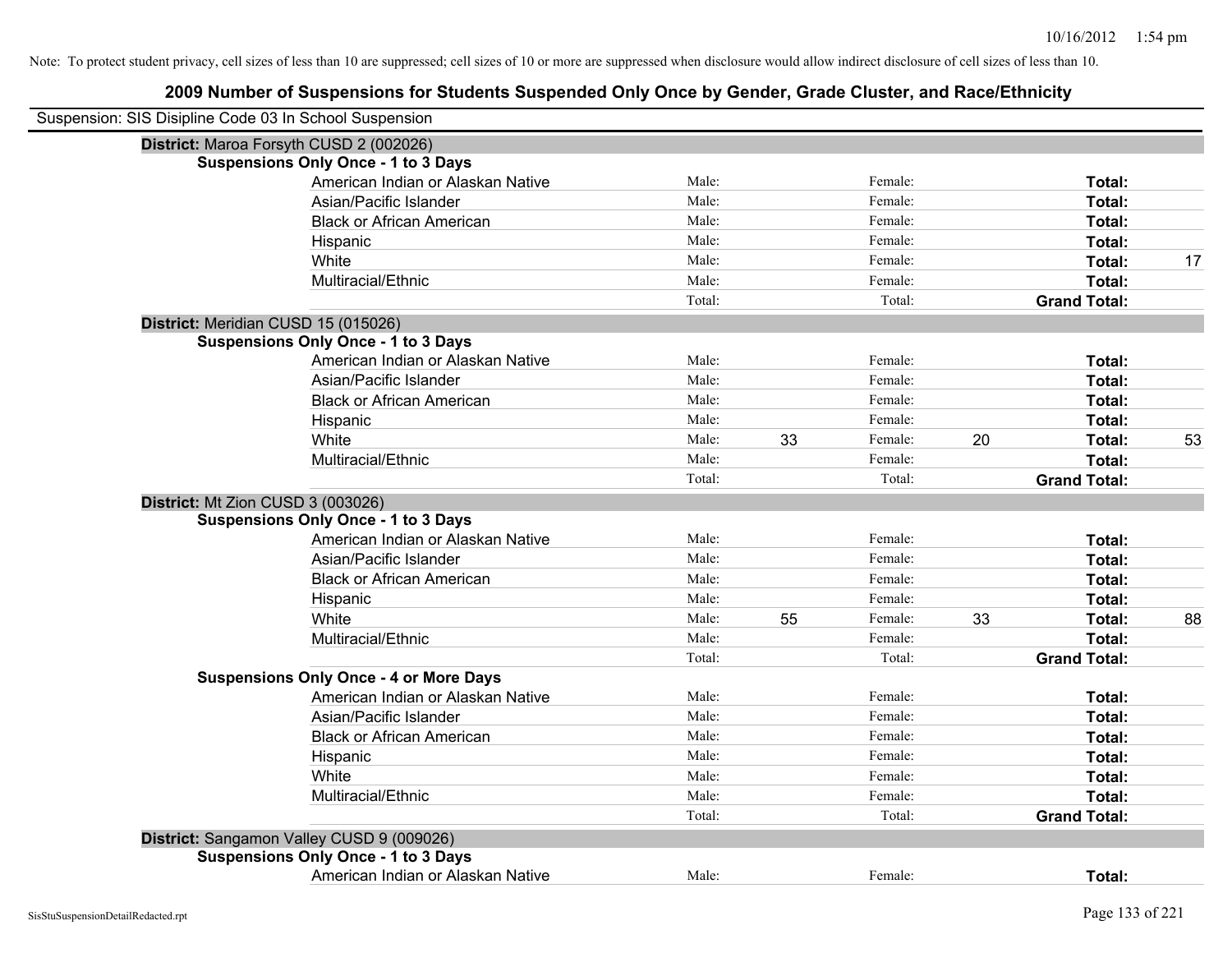| Suspension: SIS Disipline Code 03 In School Suspension |        |    |         |    |                     |    |
|--------------------------------------------------------|--------|----|---------|----|---------------------|----|
| District: Maroa Forsyth CUSD 2 (002026)                |        |    |         |    |                     |    |
| <b>Suspensions Only Once - 1 to 3 Days</b>             |        |    |         |    |                     |    |
| American Indian or Alaskan Native                      | Male:  |    | Female: |    | Total:              |    |
| Asian/Pacific Islander                                 | Male:  |    | Female: |    | Total:              |    |
| <b>Black or African American</b>                       | Male:  |    | Female: |    | <b>Total:</b>       |    |
| Hispanic                                               | Male:  |    | Female: |    | Total:              |    |
| White                                                  | Male:  |    | Female: |    | Total:              | 17 |
| Multiracial/Ethnic                                     | Male:  |    | Female: |    | Total:              |    |
|                                                        | Total: |    | Total:  |    | <b>Grand Total:</b> |    |
| District: Meridian CUSD 15 (015026)                    |        |    |         |    |                     |    |
| <b>Suspensions Only Once - 1 to 3 Days</b>             |        |    |         |    |                     |    |
| American Indian or Alaskan Native                      | Male:  |    | Female: |    | Total:              |    |
| Asian/Pacific Islander                                 | Male:  |    | Female: |    | Total:              |    |
| <b>Black or African American</b>                       | Male:  |    | Female: |    | Total:              |    |
| Hispanic                                               | Male:  |    | Female: |    | Total:              |    |
| White                                                  | Male:  | 33 | Female: | 20 | Total:              | 53 |
| Multiracial/Ethnic                                     | Male:  |    | Female: |    | Total:              |    |
|                                                        | Total: |    | Total:  |    | <b>Grand Total:</b> |    |
| District: Mt Zion CUSD 3 (003026)                      |        |    |         |    |                     |    |
| <b>Suspensions Only Once - 1 to 3 Days</b>             |        |    |         |    |                     |    |
| American Indian or Alaskan Native                      | Male:  |    | Female: |    | Total:              |    |
| Asian/Pacific Islander                                 | Male:  |    | Female: |    | Total:              |    |
| <b>Black or African American</b>                       | Male:  |    | Female: |    | Total:              |    |
| Hispanic                                               | Male:  |    | Female: |    | Total:              |    |
| White                                                  | Male:  | 55 | Female: | 33 | Total:              | 88 |
| Multiracial/Ethnic                                     | Male:  |    | Female: |    | Total:              |    |
|                                                        | Total: |    | Total:  |    | <b>Grand Total:</b> |    |
| <b>Suspensions Only Once - 4 or More Days</b>          |        |    |         |    |                     |    |
| American Indian or Alaskan Native                      | Male:  |    | Female: |    | Total:              |    |
| Asian/Pacific Islander                                 | Male:  |    | Female: |    | Total:              |    |
| <b>Black or African American</b>                       | Male:  |    | Female: |    | Total:              |    |
| Hispanic                                               | Male:  |    | Female: |    | Total:              |    |
| White                                                  | Male:  |    | Female: |    | Total:              |    |
| Multiracial/Ethnic                                     | Male:  |    | Female: |    | Total:              |    |
|                                                        | Total: |    | Total:  |    | <b>Grand Total:</b> |    |
| District: Sangamon Valley CUSD 9 (009026)              |        |    |         |    |                     |    |
| <b>Suspensions Only Once - 1 to 3 Days</b>             |        |    |         |    |                     |    |
| American Indian or Alaskan Native                      | Male:  |    | Female: |    | Total:              |    |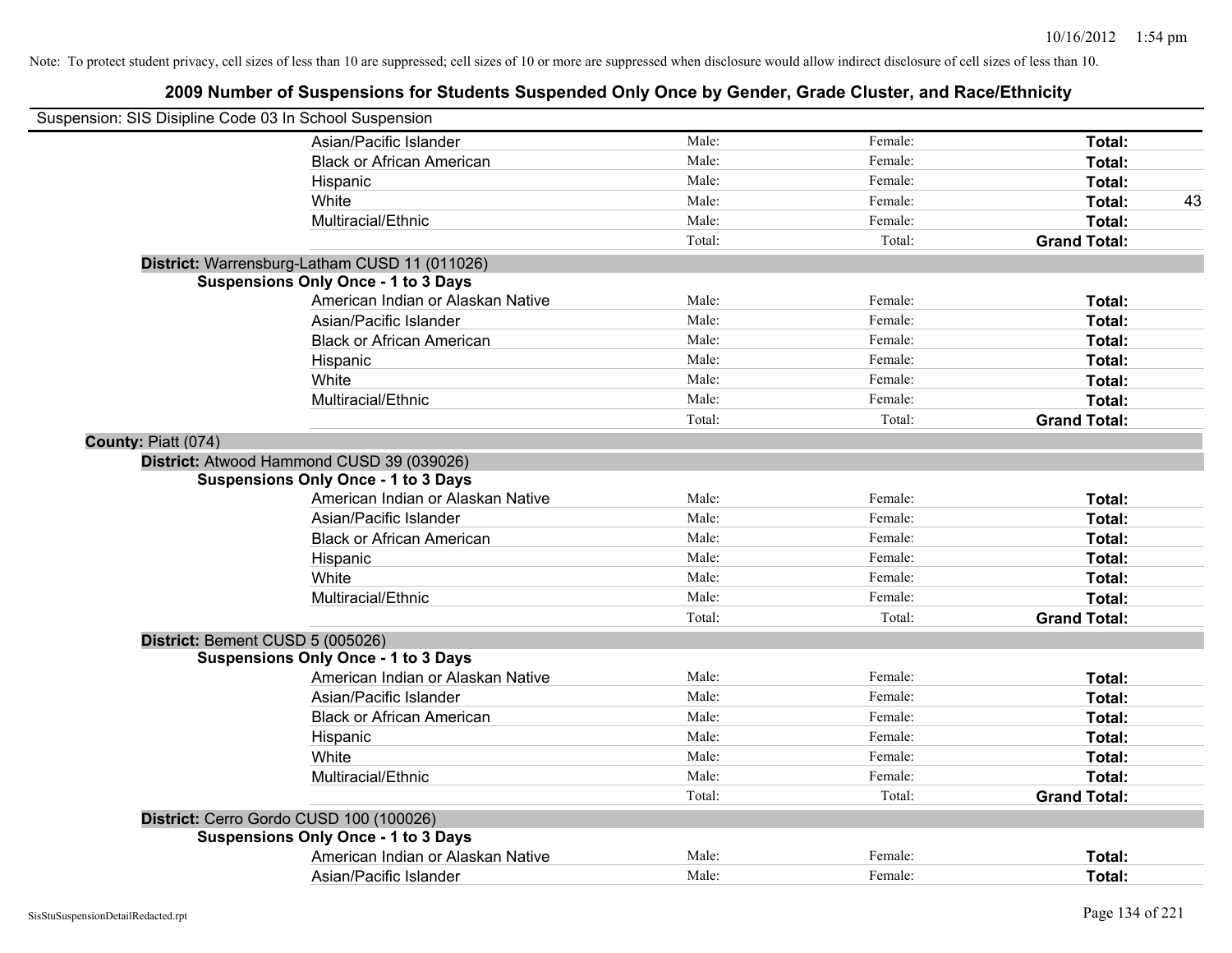| Suspension: SIS Disipline Code 03 In School Suspension |                                               |        |         |                     |
|--------------------------------------------------------|-----------------------------------------------|--------|---------|---------------------|
|                                                        | Asian/Pacific Islander                        | Male:  | Female: | Total:              |
|                                                        | <b>Black or African American</b>              | Male:  | Female: | Total:              |
|                                                        | Hispanic                                      | Male:  | Female: | Total:              |
|                                                        | White                                         | Male:  | Female: | Total:<br>43        |
|                                                        | Multiracial/Ethnic                            | Male:  | Female: | Total:              |
|                                                        |                                               | Total: | Total:  | <b>Grand Total:</b> |
|                                                        | District: Warrensburg-Latham CUSD 11 (011026) |        |         |                     |
|                                                        | <b>Suspensions Only Once - 1 to 3 Days</b>    |        |         |                     |
|                                                        | American Indian or Alaskan Native             | Male:  | Female: | Total:              |
|                                                        | Asian/Pacific Islander                        | Male:  | Female: | Total:              |
|                                                        | <b>Black or African American</b>              | Male:  | Female: | Total:              |
|                                                        | Hispanic                                      | Male:  | Female: | Total:              |
|                                                        | White                                         | Male:  | Female: | Total:              |
|                                                        | Multiracial/Ethnic                            | Male:  | Female: | Total:              |
|                                                        |                                               | Total: | Total:  | <b>Grand Total:</b> |
| County: Piatt (074)                                    |                                               |        |         |                     |
|                                                        | District: Atwood Hammond CUSD 39 (039026)     |        |         |                     |
|                                                        | <b>Suspensions Only Once - 1 to 3 Days</b>    |        |         |                     |
|                                                        | American Indian or Alaskan Native             | Male:  | Female: | Total:              |
|                                                        | Asian/Pacific Islander                        | Male:  | Female: | Total:              |
|                                                        | <b>Black or African American</b>              | Male:  | Female: | Total:              |
|                                                        | Hispanic                                      | Male:  | Female: | Total:              |
|                                                        | White                                         | Male:  | Female: | Total:              |
|                                                        | Multiracial/Ethnic                            | Male:  | Female: | Total:              |
|                                                        |                                               | Total: | Total:  | <b>Grand Total:</b> |
| District: Bement CUSD 5 (005026)                       |                                               |        |         |                     |
|                                                        | <b>Suspensions Only Once - 1 to 3 Days</b>    |        |         |                     |
|                                                        | American Indian or Alaskan Native             | Male:  | Female: | Total:              |
|                                                        | Asian/Pacific Islander                        | Male:  | Female: | Total:              |
|                                                        | <b>Black or African American</b>              | Male:  | Female: | Total:              |
|                                                        | Hispanic                                      | Male:  | Female: | Total:              |
|                                                        | White                                         | Male:  | Female: | Total:              |
|                                                        | Multiracial/Ethnic                            | Male:  | Female: | Total:              |
|                                                        |                                               | Total: | Total:  | <b>Grand Total:</b> |
| District: Cerro Gordo CUSD 100 (100026)                |                                               |        |         |                     |
|                                                        | <b>Suspensions Only Once - 1 to 3 Days</b>    |        |         |                     |
|                                                        | American Indian or Alaskan Native             | Male:  | Female: | Total:              |
|                                                        | Asian/Pacific Islander                        | Male:  | Female: | Total:              |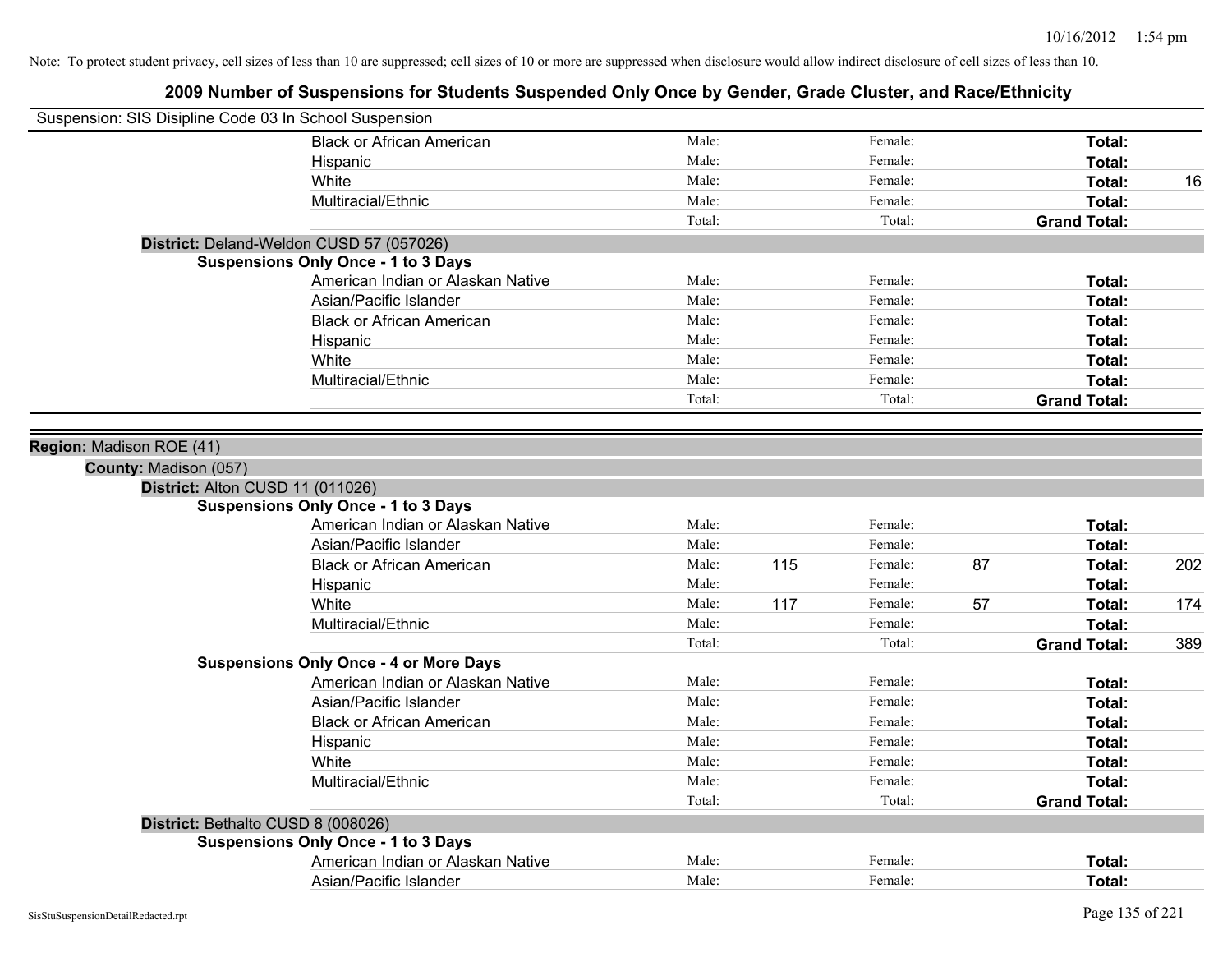| Suspension: SIS Disipline Code 03 In School Suspension |                                               |        |     |         |    |                     |     |
|--------------------------------------------------------|-----------------------------------------------|--------|-----|---------|----|---------------------|-----|
|                                                        | <b>Black or African American</b>              | Male:  |     | Female: |    | Total:              |     |
|                                                        | Hispanic                                      | Male:  |     | Female: |    | Total:              |     |
|                                                        | White                                         | Male:  |     | Female: |    | Total:              | 16  |
|                                                        | Multiracial/Ethnic                            | Male:  |     | Female: |    | Total:              |     |
|                                                        |                                               | Total: |     | Total:  |    | <b>Grand Total:</b> |     |
|                                                        | District: Deland-Weldon CUSD 57 (057026)      |        |     |         |    |                     |     |
|                                                        | <b>Suspensions Only Once - 1 to 3 Days</b>    |        |     |         |    |                     |     |
|                                                        | American Indian or Alaskan Native             | Male:  |     | Female: |    | Total:              |     |
|                                                        | Asian/Pacific Islander                        | Male:  |     | Female: |    | Total:              |     |
|                                                        | <b>Black or African American</b>              | Male:  |     | Female: |    | Total:              |     |
|                                                        | Hispanic                                      | Male:  |     | Female: |    | Total:              |     |
|                                                        | White                                         | Male:  |     | Female: |    | Total:              |     |
|                                                        | Multiracial/Ethnic                            | Male:  |     | Female: |    | Total:              |     |
|                                                        |                                               | Total: |     | Total:  |    | <b>Grand Total:</b> |     |
|                                                        |                                               |        |     |         |    |                     |     |
| Region: Madison ROE (41)                               |                                               |        |     |         |    |                     |     |
| County: Madison (057)                                  |                                               |        |     |         |    |                     |     |
| District: Alton CUSD 11 (011026)                       |                                               |        |     |         |    |                     |     |
|                                                        | <b>Suspensions Only Once - 1 to 3 Days</b>    |        |     |         |    |                     |     |
|                                                        | American Indian or Alaskan Native             | Male:  |     | Female: |    | Total:              |     |
|                                                        | Asian/Pacific Islander                        | Male:  |     | Female: |    | Total:              |     |
|                                                        | <b>Black or African American</b>              | Male:  | 115 | Female: | 87 | Total:              | 202 |
|                                                        | Hispanic                                      | Male:  |     | Female: |    | Total:              |     |
|                                                        | White                                         | Male:  | 117 | Female: | 57 | Total:              | 174 |
|                                                        | Multiracial/Ethnic                            | Male:  |     | Female: |    | Total:              |     |
|                                                        |                                               | Total: |     | Total:  |    | <b>Grand Total:</b> | 389 |
|                                                        | <b>Suspensions Only Once - 4 or More Days</b> |        |     |         |    |                     |     |
|                                                        | American Indian or Alaskan Native             | Male:  |     | Female: |    | Total:              |     |
|                                                        | Asian/Pacific Islander                        | Male:  |     | Female: |    | Total:              |     |
|                                                        | <b>Black or African American</b>              | Male:  |     | Female: |    | Total:              |     |
|                                                        | Hispanic                                      | Male:  |     | Female: |    | Total:              |     |
|                                                        | White                                         | Male:  |     | Female: |    | Total:              |     |
|                                                        | Multiracial/Ethnic                            | Male:  |     | Female: |    | Total:              |     |
|                                                        |                                               | Total: |     | Total:  |    | <b>Grand Total:</b> |     |
| District: Bethalto CUSD 8 (008026)                     |                                               |        |     |         |    |                     |     |
|                                                        | <b>Suspensions Only Once - 1 to 3 Days</b>    |        |     |         |    |                     |     |
|                                                        | American Indian or Alaskan Native             | Male:  |     | Female: |    | Total:              |     |
|                                                        | Asian/Pacific Islander                        | Male:  |     | Female: |    | Total:              |     |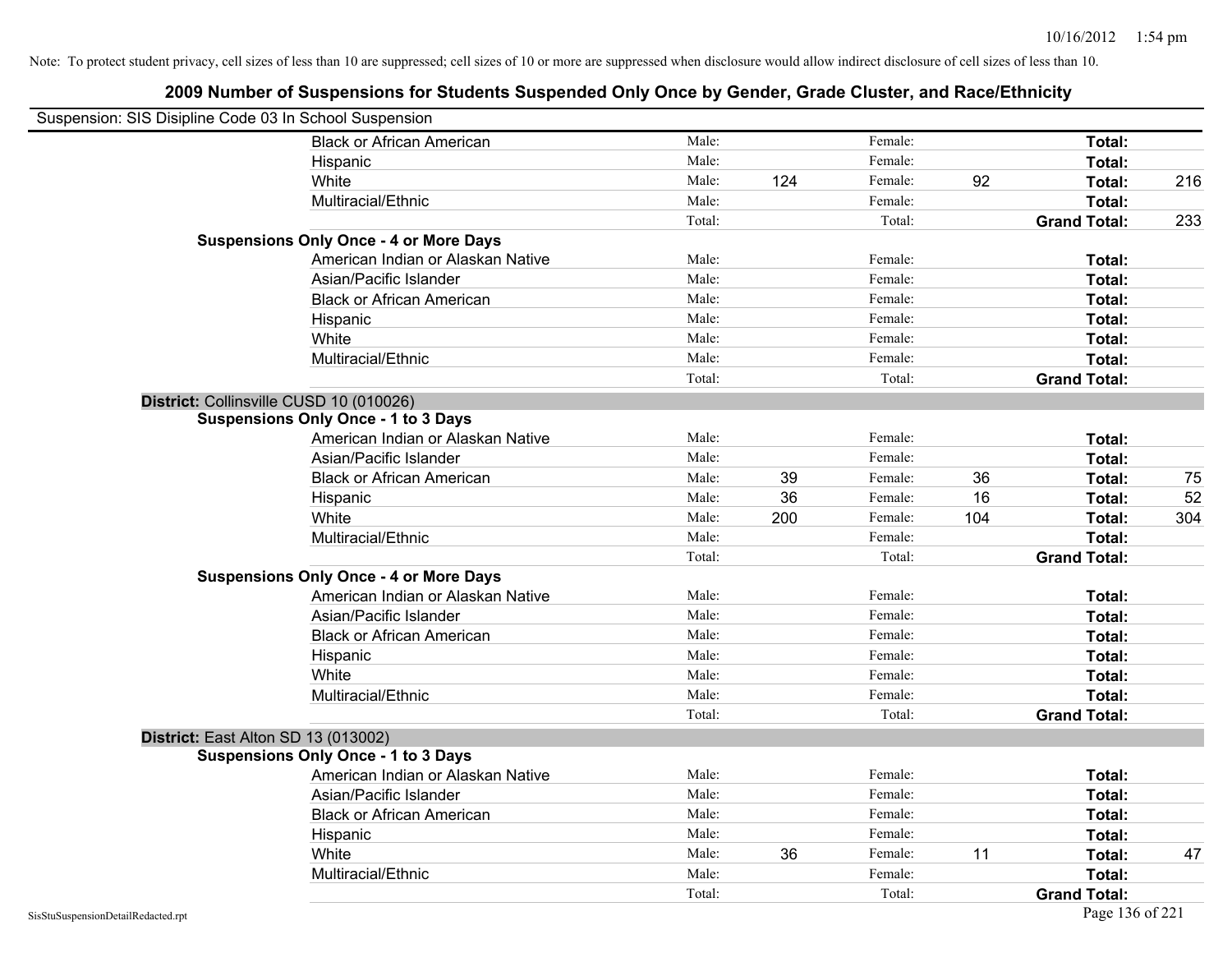| Suspension: SIS Disipline Code 03 In School Suspension |                                               |        |     |         |     |                     |     |
|--------------------------------------------------------|-----------------------------------------------|--------|-----|---------|-----|---------------------|-----|
|                                                        | <b>Black or African American</b>              | Male:  |     | Female: |     | Total:              |     |
|                                                        | Hispanic                                      | Male:  |     | Female: |     | Total:              |     |
|                                                        | White                                         | Male:  | 124 | Female: | 92  | Total:              | 216 |
|                                                        | Multiracial/Ethnic                            | Male:  |     | Female: |     | Total:              |     |
|                                                        |                                               | Total: |     | Total:  |     | <b>Grand Total:</b> | 233 |
|                                                        | <b>Suspensions Only Once - 4 or More Days</b> |        |     |         |     |                     |     |
|                                                        | American Indian or Alaskan Native             | Male:  |     | Female: |     | Total:              |     |
|                                                        | Asian/Pacific Islander                        | Male:  |     | Female: |     | Total:              |     |
|                                                        | <b>Black or African American</b>              | Male:  |     | Female: |     | Total:              |     |
|                                                        | Hispanic                                      | Male:  |     | Female: |     | Total:              |     |
|                                                        | White                                         | Male:  |     | Female: |     | Total:              |     |
|                                                        | Multiracial/Ethnic                            | Male:  |     | Female: |     | Total:              |     |
|                                                        |                                               | Total: |     | Total:  |     | <b>Grand Total:</b> |     |
| District: Collinsville CUSD 10 (010026)                |                                               |        |     |         |     |                     |     |
|                                                        | <b>Suspensions Only Once - 1 to 3 Days</b>    |        |     |         |     |                     |     |
|                                                        | American Indian or Alaskan Native             | Male:  |     | Female: |     | Total:              |     |
|                                                        | Asian/Pacific Islander                        | Male:  |     | Female: |     | Total:              |     |
|                                                        | <b>Black or African American</b>              | Male:  | 39  | Female: | 36  | Total:              | 75  |
|                                                        | Hispanic                                      | Male:  | 36  | Female: | 16  | Total:              | 52  |
|                                                        | White                                         | Male:  | 200 | Female: | 104 | Total:              | 304 |
|                                                        | Multiracial/Ethnic                            | Male:  |     | Female: |     | Total:              |     |
|                                                        |                                               | Total: |     | Total:  |     | <b>Grand Total:</b> |     |
|                                                        | <b>Suspensions Only Once - 4 or More Days</b> |        |     |         |     |                     |     |
|                                                        | American Indian or Alaskan Native             | Male:  |     | Female: |     | Total:              |     |
|                                                        | Asian/Pacific Islander                        | Male:  |     | Female: |     | Total:              |     |
|                                                        | <b>Black or African American</b>              | Male:  |     | Female: |     | Total:              |     |
|                                                        | Hispanic                                      | Male:  |     | Female: |     | Total:              |     |
|                                                        | White                                         | Male:  |     | Female: |     | Total:              |     |
|                                                        | Multiracial/Ethnic                            | Male:  |     | Female: |     | Total:              |     |
|                                                        |                                               | Total: |     | Total:  |     | <b>Grand Total:</b> |     |
| District: East Alton SD 13 (013002)                    |                                               |        |     |         |     |                     |     |
|                                                        | <b>Suspensions Only Once - 1 to 3 Days</b>    |        |     |         |     |                     |     |
|                                                        | American Indian or Alaskan Native             | Male:  |     | Female: |     | Total:              |     |
|                                                        | Asian/Pacific Islander                        | Male:  |     | Female: |     | Total:              |     |
|                                                        | <b>Black or African American</b>              | Male:  |     | Female: |     | Total:              |     |
|                                                        | Hispanic                                      | Male:  |     | Female: |     | Total:              |     |
|                                                        | White                                         | Male:  | 36  | Female: | 11  | Total:              | 47  |
|                                                        | Multiracial/Ethnic                            | Male:  |     | Female: |     | Total:              |     |
|                                                        |                                               | Total: |     | Total:  |     | <b>Grand Total:</b> |     |
| SisStuSuspensionDetailRedacted.rpt                     |                                               |        |     |         |     | Page 136 of 221     |     |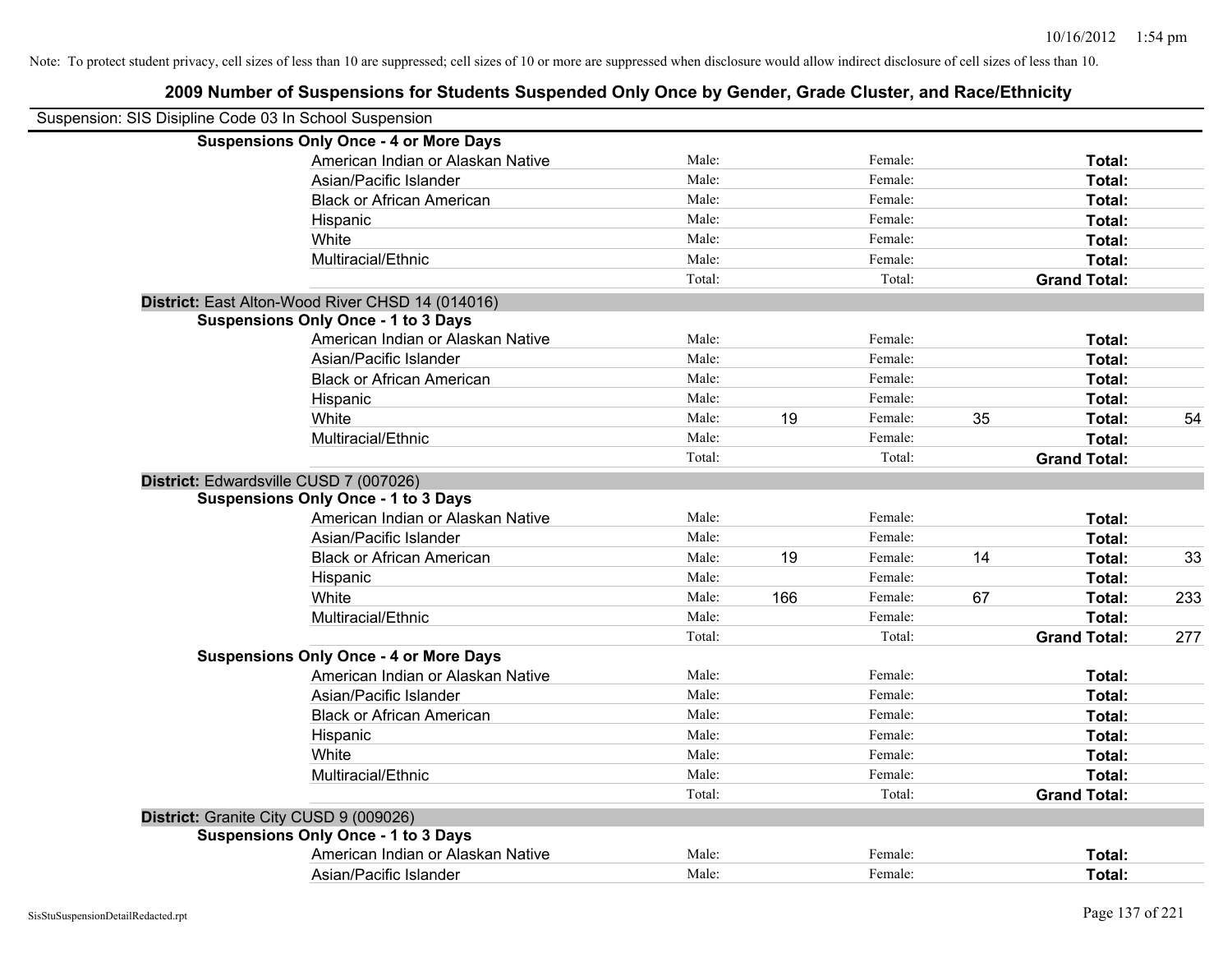| Suspension: SIS Disipline Code 03 In School Suspension |                                                  |        |     |         |    |                     |     |
|--------------------------------------------------------|--------------------------------------------------|--------|-----|---------|----|---------------------|-----|
|                                                        | <b>Suspensions Only Once - 4 or More Days</b>    |        |     |         |    |                     |     |
|                                                        | American Indian or Alaskan Native                | Male:  |     | Female: |    | Total:              |     |
|                                                        | Asian/Pacific Islander                           | Male:  |     | Female: |    | Total:              |     |
|                                                        | <b>Black or African American</b>                 | Male:  |     | Female: |    | Total:              |     |
|                                                        | Hispanic                                         | Male:  |     | Female: |    | Total:              |     |
|                                                        | White                                            | Male:  |     | Female: |    | Total:              |     |
|                                                        | Multiracial/Ethnic                               | Male:  |     | Female: |    | Total:              |     |
|                                                        |                                                  | Total: |     | Total:  |    | <b>Grand Total:</b> |     |
|                                                        | District: East Alton-Wood River CHSD 14 (014016) |        |     |         |    |                     |     |
|                                                        | <b>Suspensions Only Once - 1 to 3 Days</b>       |        |     |         |    |                     |     |
|                                                        | American Indian or Alaskan Native                | Male:  |     | Female: |    | Total:              |     |
|                                                        | Asian/Pacific Islander                           | Male:  |     | Female: |    | Total:              |     |
|                                                        | <b>Black or African American</b>                 | Male:  |     | Female: |    | Total:              |     |
|                                                        | Hispanic                                         | Male:  |     | Female: |    | Total:              |     |
|                                                        | White                                            | Male:  | 19  | Female: | 35 | Total:              | 54  |
|                                                        | Multiracial/Ethnic                               | Male:  |     | Female: |    | Total:              |     |
|                                                        |                                                  | Total: |     | Total:  |    | <b>Grand Total:</b> |     |
|                                                        | District: Edwardsville CUSD 7 (007026)           |        |     |         |    |                     |     |
|                                                        | <b>Suspensions Only Once - 1 to 3 Days</b>       |        |     |         |    |                     |     |
|                                                        | American Indian or Alaskan Native                | Male:  |     | Female: |    | Total:              |     |
|                                                        | Asian/Pacific Islander                           | Male:  |     | Female: |    | Total:              |     |
|                                                        | <b>Black or African American</b>                 | Male:  | 19  | Female: | 14 | Total:              | 33  |
|                                                        | Hispanic                                         | Male:  |     | Female: |    | Total:              |     |
|                                                        | White                                            | Male:  | 166 | Female: | 67 | Total:              | 233 |
|                                                        | Multiracial/Ethnic                               | Male:  |     | Female: |    | Total:              |     |
|                                                        |                                                  | Total: |     | Total:  |    | <b>Grand Total:</b> | 277 |
|                                                        | <b>Suspensions Only Once - 4 or More Days</b>    |        |     |         |    |                     |     |
|                                                        | American Indian or Alaskan Native                | Male:  |     | Female: |    | Total:              |     |
|                                                        | Asian/Pacific Islander                           | Male:  |     | Female: |    | Total:              |     |
|                                                        | <b>Black or African American</b>                 | Male:  |     | Female: |    | Total:              |     |
|                                                        | Hispanic                                         | Male:  |     | Female: |    | Total:              |     |
|                                                        | White                                            | Male:  |     | Female: |    | Total:              |     |
|                                                        | Multiracial/Ethnic                               | Male:  |     | Female: |    | Total:              |     |
|                                                        |                                                  | Total: |     | Total:  |    | <b>Grand Total:</b> |     |
|                                                        | District: Granite City CUSD 9 (009026)           |        |     |         |    |                     |     |
|                                                        | <b>Suspensions Only Once - 1 to 3 Days</b>       |        |     |         |    |                     |     |
|                                                        | American Indian or Alaskan Native                | Male:  |     | Female: |    | Total:              |     |
|                                                        | Asian/Pacific Islander                           | Male:  |     | Female: |    | Total:              |     |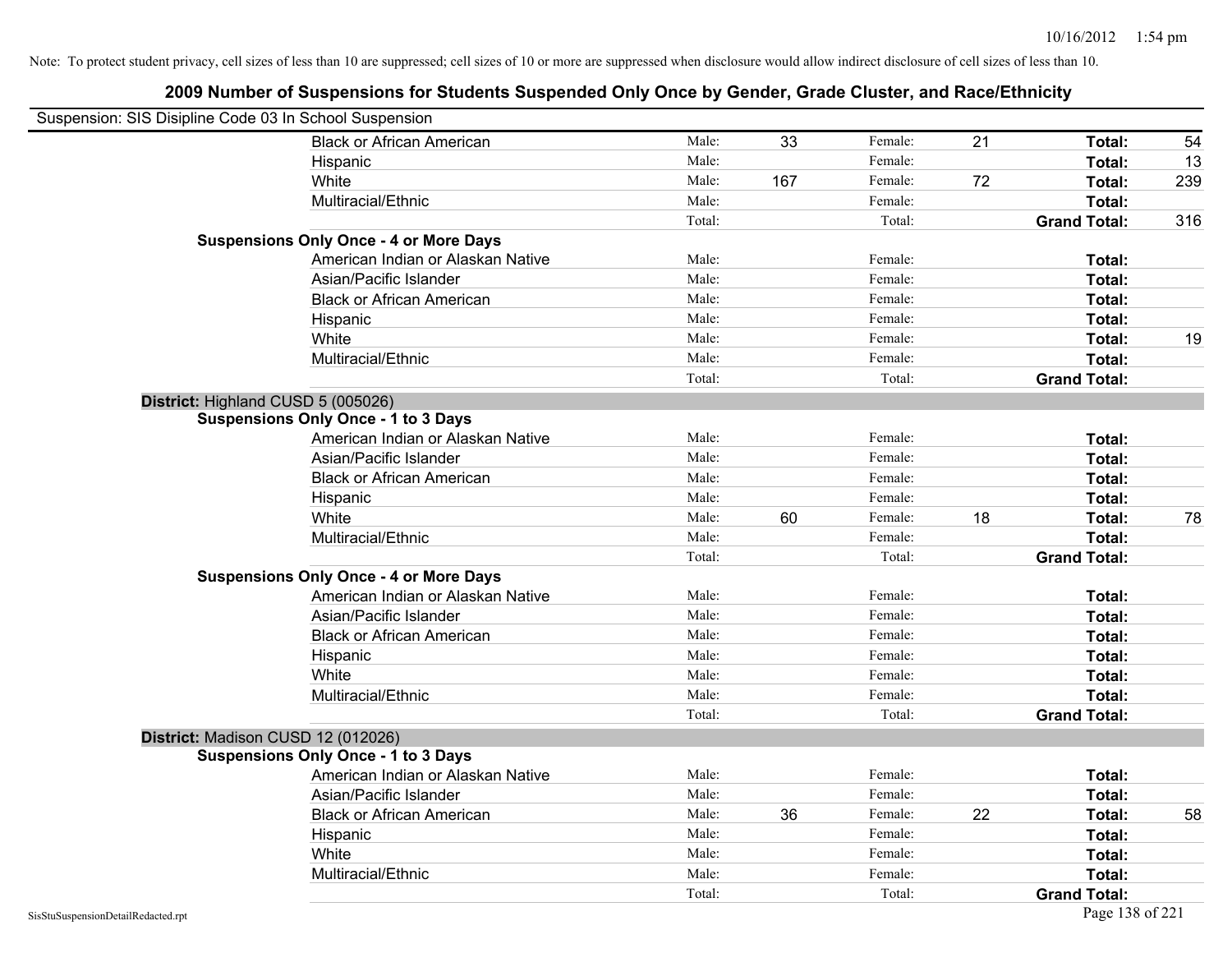| Suspension: SIS Disipline Code 03 In School Suspension |                                               |        |     |         |    |                     |     |
|--------------------------------------------------------|-----------------------------------------------|--------|-----|---------|----|---------------------|-----|
|                                                        | <b>Black or African American</b>              | Male:  | 33  | Female: | 21 | Total:              | 54  |
|                                                        | Hispanic                                      | Male:  |     | Female: |    | Total:              | 13  |
|                                                        | White                                         | Male:  | 167 | Female: | 72 | Total:              | 239 |
|                                                        | Multiracial/Ethnic                            | Male:  |     | Female: |    | Total:              |     |
|                                                        |                                               | Total: |     | Total:  |    | <b>Grand Total:</b> | 316 |
|                                                        | <b>Suspensions Only Once - 4 or More Days</b> |        |     |         |    |                     |     |
|                                                        | American Indian or Alaskan Native             | Male:  |     | Female: |    | Total:              |     |
|                                                        | Asian/Pacific Islander                        | Male:  |     | Female: |    | Total:              |     |
|                                                        | <b>Black or African American</b>              | Male:  |     | Female: |    | Total:              |     |
|                                                        | Hispanic                                      | Male:  |     | Female: |    | Total:              |     |
|                                                        | White                                         | Male:  |     | Female: |    | Total:              | 19  |
|                                                        | Multiracial/Ethnic                            | Male:  |     | Female: |    | Total:              |     |
|                                                        |                                               | Total: |     | Total:  |    | <b>Grand Total:</b> |     |
|                                                        | District: Highland CUSD 5 (005026)            |        |     |         |    |                     |     |
|                                                        | <b>Suspensions Only Once - 1 to 3 Days</b>    |        |     |         |    |                     |     |
|                                                        | American Indian or Alaskan Native             | Male:  |     | Female: |    | Total:              |     |
|                                                        | Asian/Pacific Islander                        | Male:  |     | Female: |    | Total:              |     |
|                                                        | <b>Black or African American</b>              | Male:  |     | Female: |    | Total:              |     |
|                                                        | Hispanic                                      | Male:  |     | Female: |    | Total:              |     |
|                                                        | White                                         | Male:  | 60  | Female: | 18 | Total:              | 78  |
|                                                        | Multiracial/Ethnic                            | Male:  |     | Female: |    | Total:              |     |
|                                                        |                                               | Total: |     | Total:  |    | <b>Grand Total:</b> |     |
|                                                        | <b>Suspensions Only Once - 4 or More Days</b> |        |     |         |    |                     |     |
|                                                        | American Indian or Alaskan Native             | Male:  |     | Female: |    | Total:              |     |
|                                                        | Asian/Pacific Islander                        | Male:  |     | Female: |    | Total:              |     |
|                                                        | <b>Black or African American</b>              | Male:  |     | Female: |    | Total:              |     |
|                                                        | Hispanic                                      | Male:  |     | Female: |    | Total:              |     |
|                                                        | White                                         | Male:  |     | Female: |    | Total:              |     |
|                                                        | Multiracial/Ethnic                            | Male:  |     | Female: |    | Total:              |     |
|                                                        |                                               | Total: |     | Total:  |    | <b>Grand Total:</b> |     |
|                                                        | District: Madison CUSD 12 (012026)            |        |     |         |    |                     |     |
|                                                        | <b>Suspensions Only Once - 1 to 3 Days</b>    |        |     |         |    |                     |     |
|                                                        | American Indian or Alaskan Native             | Male:  |     | Female: |    | Total:              |     |
|                                                        | Asian/Pacific Islander                        | Male:  |     | Female: |    | Total:              |     |
|                                                        | <b>Black or African American</b>              | Male:  | 36  | Female: | 22 | Total:              | 58  |
|                                                        | Hispanic                                      | Male:  |     | Female: |    | Total:              |     |
|                                                        | White                                         | Male:  |     | Female: |    | Total:              |     |
|                                                        | Multiracial/Ethnic                            | Male:  |     | Female: |    | Total:              |     |
|                                                        |                                               | Total: |     | Total:  |    | <b>Grand Total:</b> |     |
| SisStuSuspensionDetailRedacted.rpt                     |                                               |        |     |         |    | Page 138 of 221     |     |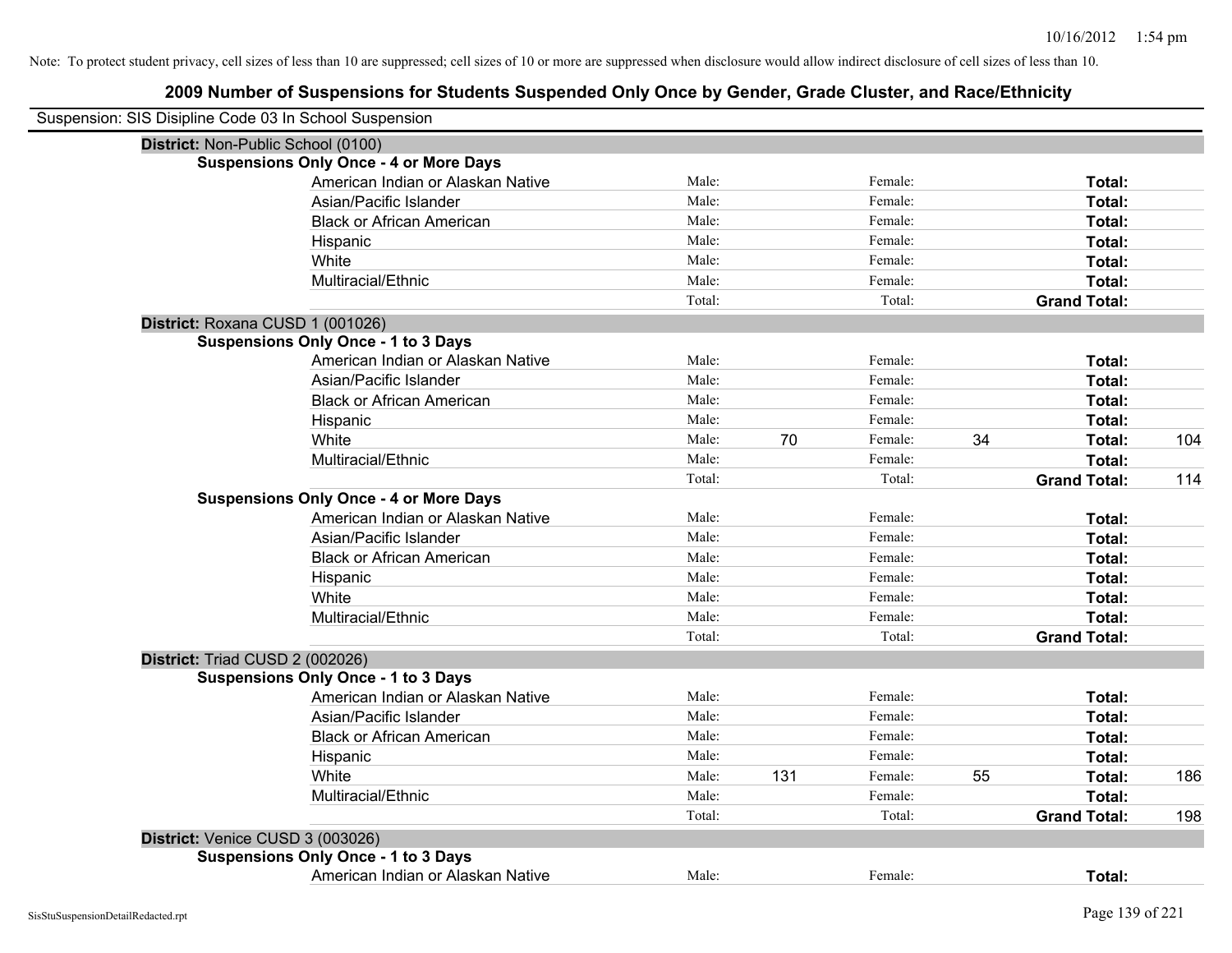| Suspension: SIS Disipline Code 03 In School Suspension |        |     |         |    |                     |     |
|--------------------------------------------------------|--------|-----|---------|----|---------------------|-----|
| District: Non-Public School (0100)                     |        |     |         |    |                     |     |
| <b>Suspensions Only Once - 4 or More Days</b>          |        |     |         |    |                     |     |
| American Indian or Alaskan Native                      | Male:  |     | Female: |    | Total:              |     |
| Asian/Pacific Islander                                 | Male:  |     | Female: |    | Total:              |     |
| <b>Black or African American</b>                       | Male:  |     | Female: |    | Total:              |     |
| Hispanic                                               | Male:  |     | Female: |    | Total:              |     |
| White                                                  | Male:  |     | Female: |    | Total:              |     |
| Multiracial/Ethnic                                     | Male:  |     | Female: |    | Total:              |     |
|                                                        | Total: |     | Total:  |    | <b>Grand Total:</b> |     |
| District: Roxana CUSD 1 (001026)                       |        |     |         |    |                     |     |
| <b>Suspensions Only Once - 1 to 3 Days</b>             |        |     |         |    |                     |     |
| American Indian or Alaskan Native                      | Male:  |     | Female: |    | Total:              |     |
| Asian/Pacific Islander                                 | Male:  |     | Female: |    | Total:              |     |
| <b>Black or African American</b>                       | Male:  |     | Female: |    | Total:              |     |
| Hispanic                                               | Male:  |     | Female: |    | Total:              |     |
| White                                                  | Male:  | 70  | Female: | 34 | Total:              | 104 |
| Multiracial/Ethnic                                     | Male:  |     | Female: |    | Total:              |     |
|                                                        | Total: |     | Total:  |    | <b>Grand Total:</b> | 114 |
| <b>Suspensions Only Once - 4 or More Days</b>          |        |     |         |    |                     |     |
| American Indian or Alaskan Native                      | Male:  |     | Female: |    | Total:              |     |
| Asian/Pacific Islander                                 | Male:  |     | Female: |    | Total:              |     |
| <b>Black or African American</b>                       | Male:  |     | Female: |    | Total:              |     |
| Hispanic                                               | Male:  |     | Female: |    | Total:              |     |
| White                                                  | Male:  |     | Female: |    | Total:              |     |
| Multiracial/Ethnic                                     | Male:  |     | Female: |    | Total:              |     |
|                                                        | Total: |     | Total:  |    | <b>Grand Total:</b> |     |
| District: Triad CUSD 2 (002026)                        |        |     |         |    |                     |     |
| <b>Suspensions Only Once - 1 to 3 Days</b>             |        |     |         |    |                     |     |
| American Indian or Alaskan Native                      | Male:  |     | Female: |    | Total:              |     |
| Asian/Pacific Islander                                 | Male:  |     | Female: |    | Total:              |     |
| <b>Black or African American</b>                       | Male:  |     | Female: |    | Total:              |     |
| Hispanic                                               | Male:  |     | Female: |    | Total:              |     |
| White                                                  | Male:  | 131 | Female: | 55 | Total:              | 186 |
| Multiracial/Ethnic                                     | Male:  |     | Female: |    | <b>Total:</b>       |     |
|                                                        | Total: |     | Total:  |    | <b>Grand Total:</b> | 198 |
| District: Venice CUSD 3 (003026)                       |        |     |         |    |                     |     |
| <b>Suspensions Only Once - 1 to 3 Days</b>             |        |     |         |    |                     |     |
| American Indian or Alaskan Native                      | Male:  |     | Female: |    | Total:              |     |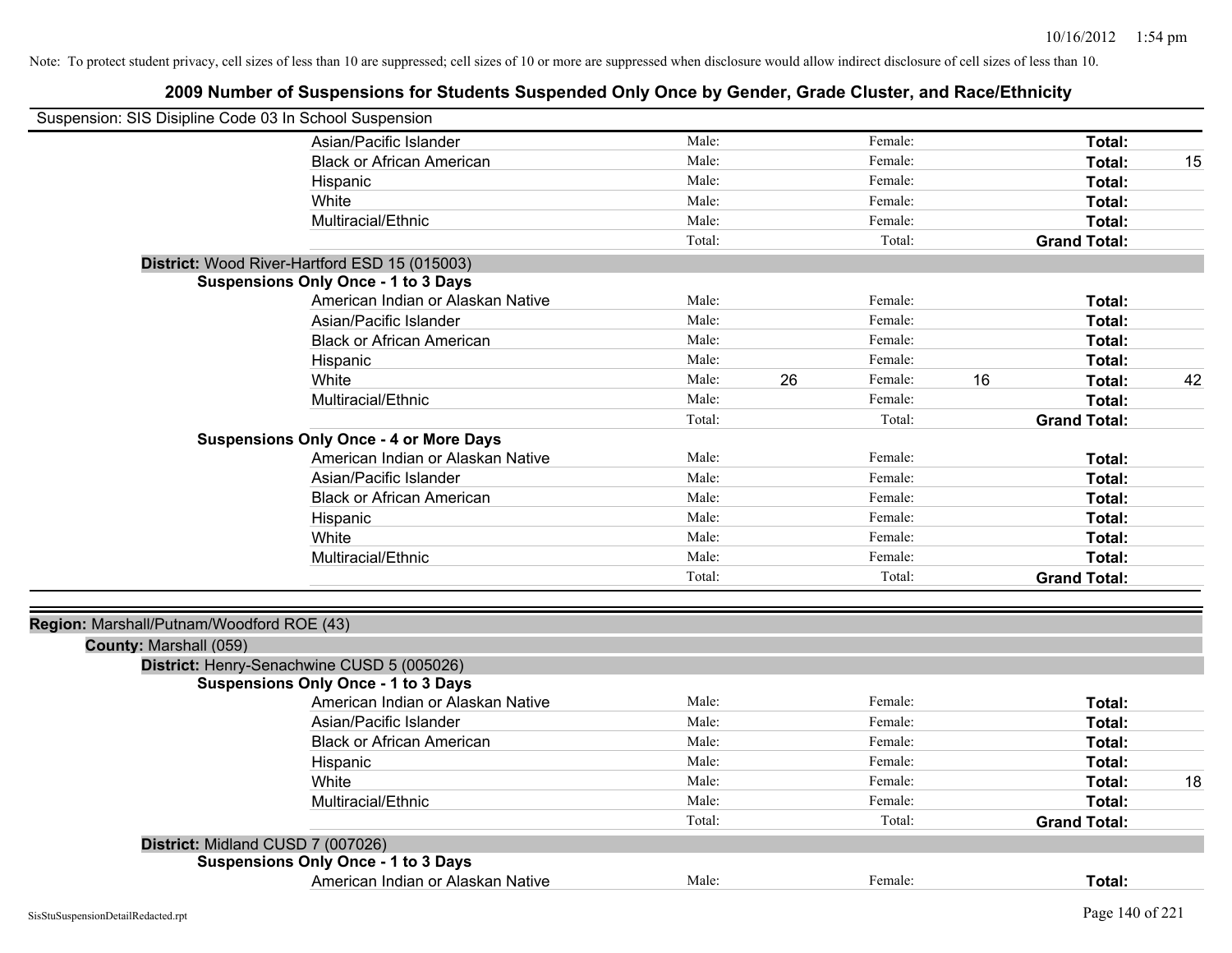| Suspension: SIS Disipline Code 03 In School Suspension |                                               |        |    |         |                     |    |
|--------------------------------------------------------|-----------------------------------------------|--------|----|---------|---------------------|----|
|                                                        | Asian/Pacific Islander                        | Male:  |    | Female: | Total:              |    |
|                                                        | <b>Black or African American</b>              | Male:  |    | Female: | Total:              | 15 |
|                                                        | Hispanic                                      | Male:  |    | Female: | Total:              |    |
|                                                        | White                                         | Male:  |    | Female: | Total:              |    |
|                                                        | Multiracial/Ethnic                            | Male:  |    | Female: | Total:              |    |
|                                                        |                                               | Total: |    | Total:  | <b>Grand Total:</b> |    |
|                                                        | District: Wood River-Hartford ESD 15 (015003) |        |    |         |                     |    |
|                                                        | <b>Suspensions Only Once - 1 to 3 Days</b>    |        |    |         |                     |    |
|                                                        | American Indian or Alaskan Native             | Male:  |    | Female: | Total:              |    |
|                                                        | Asian/Pacific Islander                        | Male:  |    | Female: | Total:              |    |
|                                                        | <b>Black or African American</b>              | Male:  |    | Female: | Total:              |    |
|                                                        | Hispanic                                      | Male:  |    | Female: | Total:              |    |
|                                                        | White                                         | Male:  | 26 | Female: | 16<br>Total:        | 42 |
|                                                        | Multiracial/Ethnic                            | Male:  |    | Female: | Total:              |    |
|                                                        |                                               | Total: |    | Total:  | <b>Grand Total:</b> |    |
|                                                        | <b>Suspensions Only Once - 4 or More Days</b> |        |    |         |                     |    |
|                                                        | American Indian or Alaskan Native             | Male:  |    | Female: | Total:              |    |
|                                                        | Asian/Pacific Islander                        | Male:  |    | Female: | Total:              |    |
|                                                        | <b>Black or African American</b>              | Male:  |    | Female: | Total:              |    |
|                                                        | Hispanic                                      | Male:  |    | Female: | Total:              |    |
|                                                        | White                                         | Male:  |    | Female: | Total:              |    |
|                                                        | Multiracial/Ethnic                            | Male:  |    | Female: | Total:              |    |
|                                                        |                                               | Total: |    | Total:  | <b>Grand Total:</b> |    |
| Region: Marshall/Putnam/Woodford ROE (43)              |                                               |        |    |         |                     |    |
| County: Marshall (059)                                 |                                               |        |    |         |                     |    |
|                                                        | District: Henry-Senachwine CUSD 5 (005026)    |        |    |         |                     |    |
|                                                        | <b>Suspensions Only Once - 1 to 3 Days</b>    |        |    |         |                     |    |
|                                                        | American Indian or Alaskan Native             | Male:  |    | Female: | Total:              |    |
|                                                        | Asian/Pacific Islander                        | Male:  |    | Female: | Total:              |    |
|                                                        | <b>Black or African American</b>              | Male:  |    | Female: | Total:              |    |
|                                                        | Hispanic                                      | Male:  |    | Female: | Total:              |    |
|                                                        | White                                         | Male:  |    | Female: | Total:              | 18 |
|                                                        | Multiracial/Ethnic                            | Male:  |    | Female: | Total:              |    |
|                                                        |                                               | Total: |    | Total:  | <b>Grand Total:</b> |    |
|                                                        | District: Midland CUSD 7 (007026)             |        |    |         |                     |    |
|                                                        | <b>Suspensions Only Once - 1 to 3 Days</b>    |        |    |         |                     |    |
|                                                        | American Indian or Alaskan Native             | Male:  |    | Female: | Total:              |    |
|                                                        |                                               |        |    |         |                     |    |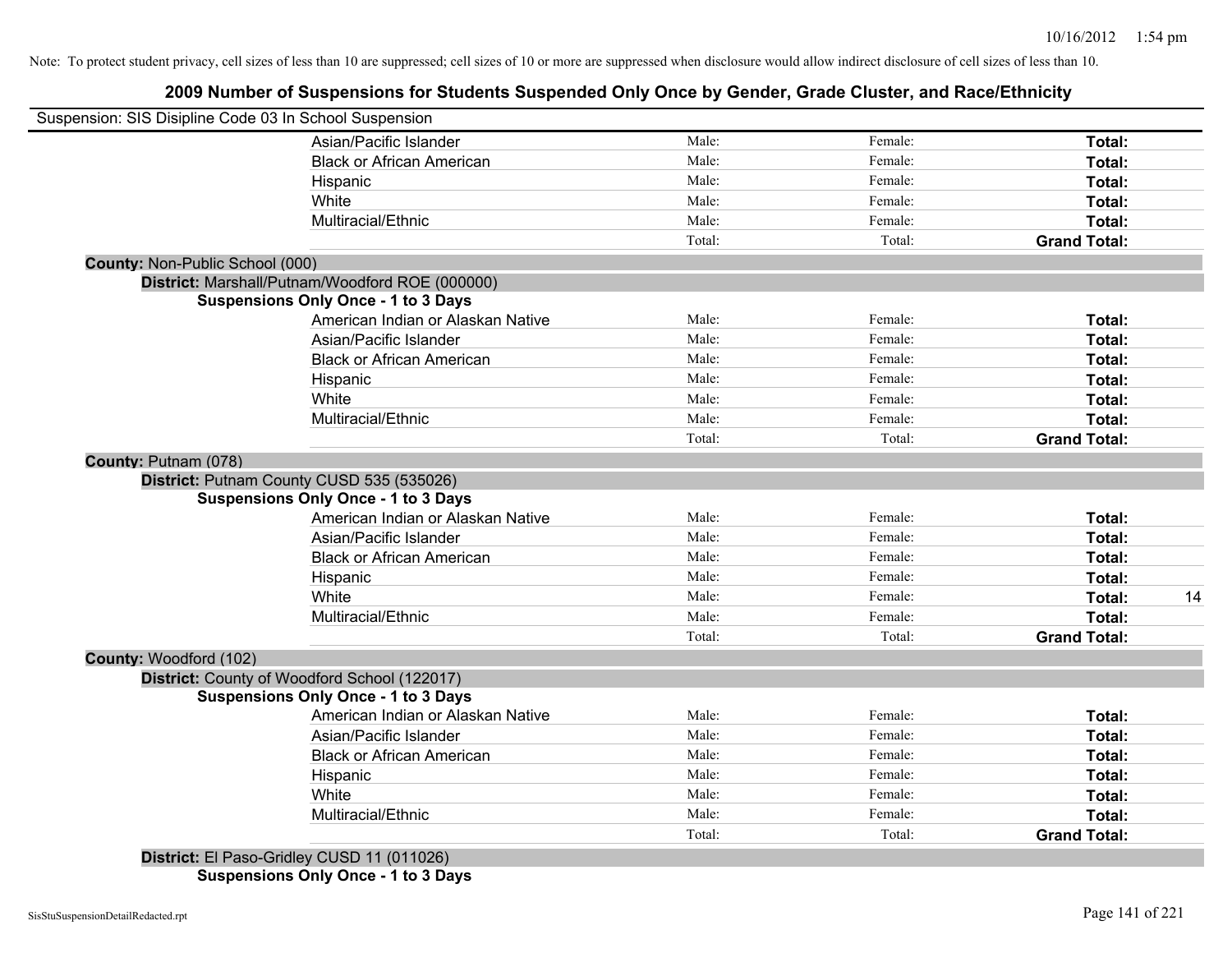### **2009 Number of Suspensions for Students Suspended Only Once by Gender, Grade Cluster, and Race/Ethnicity**

| Suspension: SIS Disipline Code 03 In School Suspension |        |         |                     |    |
|--------------------------------------------------------|--------|---------|---------------------|----|
| Asian/Pacific Islander                                 | Male:  | Female: | Total:              |    |
| <b>Black or African American</b>                       | Male:  | Female: | Total:              |    |
| Hispanic                                               | Male:  | Female: | <b>Total:</b>       |    |
| White                                                  | Male:  | Female: | Total:              |    |
| Multiracial/Ethnic                                     | Male:  | Female: | <b>Total:</b>       |    |
|                                                        | Total: | Total:  | <b>Grand Total:</b> |    |
| <b>County: Non-Public School (000)</b>                 |        |         |                     |    |
| District: Marshall/Putnam/Woodford ROE (000000)        |        |         |                     |    |
| <b>Suspensions Only Once - 1 to 3 Days</b>             |        |         |                     |    |
| American Indian or Alaskan Native                      | Male:  | Female: | Total:              |    |
| Asian/Pacific Islander                                 | Male:  | Female: | Total:              |    |
| <b>Black or African American</b>                       | Male:  | Female: | Total:              |    |
| Hispanic                                               | Male:  | Female: | <b>Total:</b>       |    |
| White                                                  | Male:  | Female: | <b>Total:</b>       |    |
| Multiracial/Ethnic                                     | Male:  | Female: | Total:              |    |
|                                                        | Total: | Total:  | <b>Grand Total:</b> |    |
| County: Putnam (078)                                   |        |         |                     |    |
| District: Putnam County CUSD 535 (535026)              |        |         |                     |    |
| <b>Suspensions Only Once - 1 to 3 Days</b>             |        |         |                     |    |
| American Indian or Alaskan Native                      | Male:  | Female: | Total:              |    |
| Asian/Pacific Islander                                 | Male:  | Female: | Total:              |    |
| <b>Black or African American</b>                       | Male:  | Female: | Total:              |    |
| Hispanic                                               | Male:  | Female: | Total:              |    |
| White                                                  | Male:  | Female: | Total:              | 14 |
| Multiracial/Ethnic                                     | Male:  | Female: | Total:              |    |
|                                                        | Total: | Total:  | <b>Grand Total:</b> |    |
| County: Woodford (102)                                 |        |         |                     |    |
| District: County of Woodford School (122017)           |        |         |                     |    |
| <b>Suspensions Only Once - 1 to 3 Days</b>             |        |         |                     |    |
| American Indian or Alaskan Native                      | Male:  | Female: | Total:              |    |
| Asian/Pacific Islander                                 | Male:  | Female: | Total:              |    |
| <b>Black or African American</b>                       | Male:  | Female: | Total:              |    |
| Hispanic                                               | Male:  | Female: | Total:              |    |
| White                                                  | Male:  | Female: | <b>Total:</b>       |    |
| Multiracial/Ethnic                                     | Male:  | Female: | Total:              |    |
|                                                        | Total: | Total:  | <b>Grand Total:</b> |    |
| District: El Paso-Gridley CUSD 11 (011026)             |        |         |                     |    |

**Suspensions Only Once - 1 to 3 Days**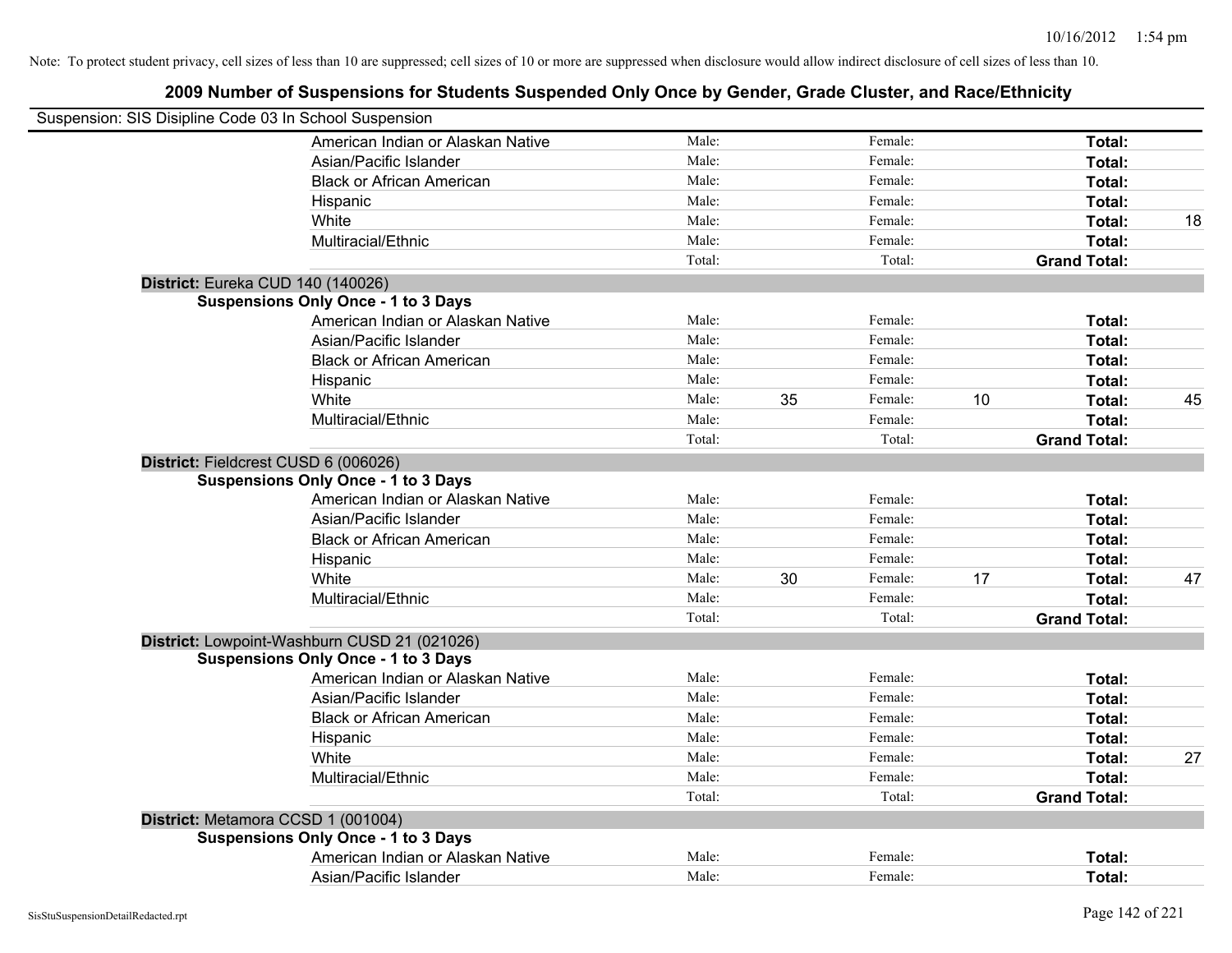| Suspension: SIS Disipline Code 03 In School Suspension |        |    |         |    |                     |    |
|--------------------------------------------------------|--------|----|---------|----|---------------------|----|
| American Indian or Alaskan Native                      | Male:  |    | Female: |    | Total:              |    |
| Asian/Pacific Islander                                 | Male:  |    | Female: |    | Total:              |    |
| <b>Black or African American</b>                       | Male:  |    | Female: |    | Total:              |    |
| Hispanic                                               | Male:  |    | Female: |    | Total:              |    |
| White                                                  | Male:  |    | Female: |    | Total:              | 18 |
| Multiracial/Ethnic                                     | Male:  |    | Female: |    | Total:              |    |
|                                                        | Total: |    | Total:  |    | <b>Grand Total:</b> |    |
| District: Eureka CUD 140 (140026)                      |        |    |         |    |                     |    |
| <b>Suspensions Only Once - 1 to 3 Days</b>             |        |    |         |    |                     |    |
| American Indian or Alaskan Native                      | Male:  |    | Female: |    | Total:              |    |
| Asian/Pacific Islander                                 | Male:  |    | Female: |    | Total:              |    |
| <b>Black or African American</b>                       | Male:  |    | Female: |    | Total:              |    |
| Hispanic                                               | Male:  |    | Female: |    | Total:              |    |
| White                                                  | Male:  | 35 | Female: | 10 | Total:              | 45 |
| Multiracial/Ethnic                                     | Male:  |    | Female: |    | Total:              |    |
|                                                        | Total: |    | Total:  |    | <b>Grand Total:</b> |    |
| District: Fieldcrest CUSD 6 (006026)                   |        |    |         |    |                     |    |
| <b>Suspensions Only Once - 1 to 3 Days</b>             |        |    |         |    |                     |    |
| American Indian or Alaskan Native                      | Male:  |    | Female: |    | Total:              |    |
| Asian/Pacific Islander                                 | Male:  |    | Female: |    | Total:              |    |
| <b>Black or African American</b>                       | Male:  |    | Female: |    | Total:              |    |
| Hispanic                                               | Male:  |    | Female: |    | Total:              |    |
| White                                                  | Male:  | 30 | Female: | 17 | Total:              | 47 |
| Multiracial/Ethnic                                     | Male:  |    | Female: |    | Total:              |    |
|                                                        | Total: |    | Total:  |    | <b>Grand Total:</b> |    |
| District: Lowpoint-Washburn CUSD 21 (021026)           |        |    |         |    |                     |    |
| <b>Suspensions Only Once - 1 to 3 Days</b>             |        |    |         |    |                     |    |
| American Indian or Alaskan Native                      | Male:  |    | Female: |    | Total:              |    |
| Asian/Pacific Islander                                 | Male:  |    | Female: |    | Total:              |    |
| <b>Black or African American</b>                       | Male:  |    | Female: |    | Total:              |    |
| Hispanic                                               | Male:  |    | Female: |    | Total:              |    |
| White                                                  | Male:  |    | Female: |    | Total:              | 27 |
| Multiracial/Ethnic                                     | Male:  |    | Female: |    | Total:              |    |
|                                                        | Total: |    | Total:  |    | <b>Grand Total:</b> |    |
| District: Metamora CCSD 1 (001004)                     |        |    |         |    |                     |    |
| <b>Suspensions Only Once - 1 to 3 Days</b>             |        |    |         |    |                     |    |
| American Indian or Alaskan Native                      | Male:  |    | Female: |    | Total:              |    |
| Asian/Pacific Islander                                 | Male:  |    | Female: |    | Total:              |    |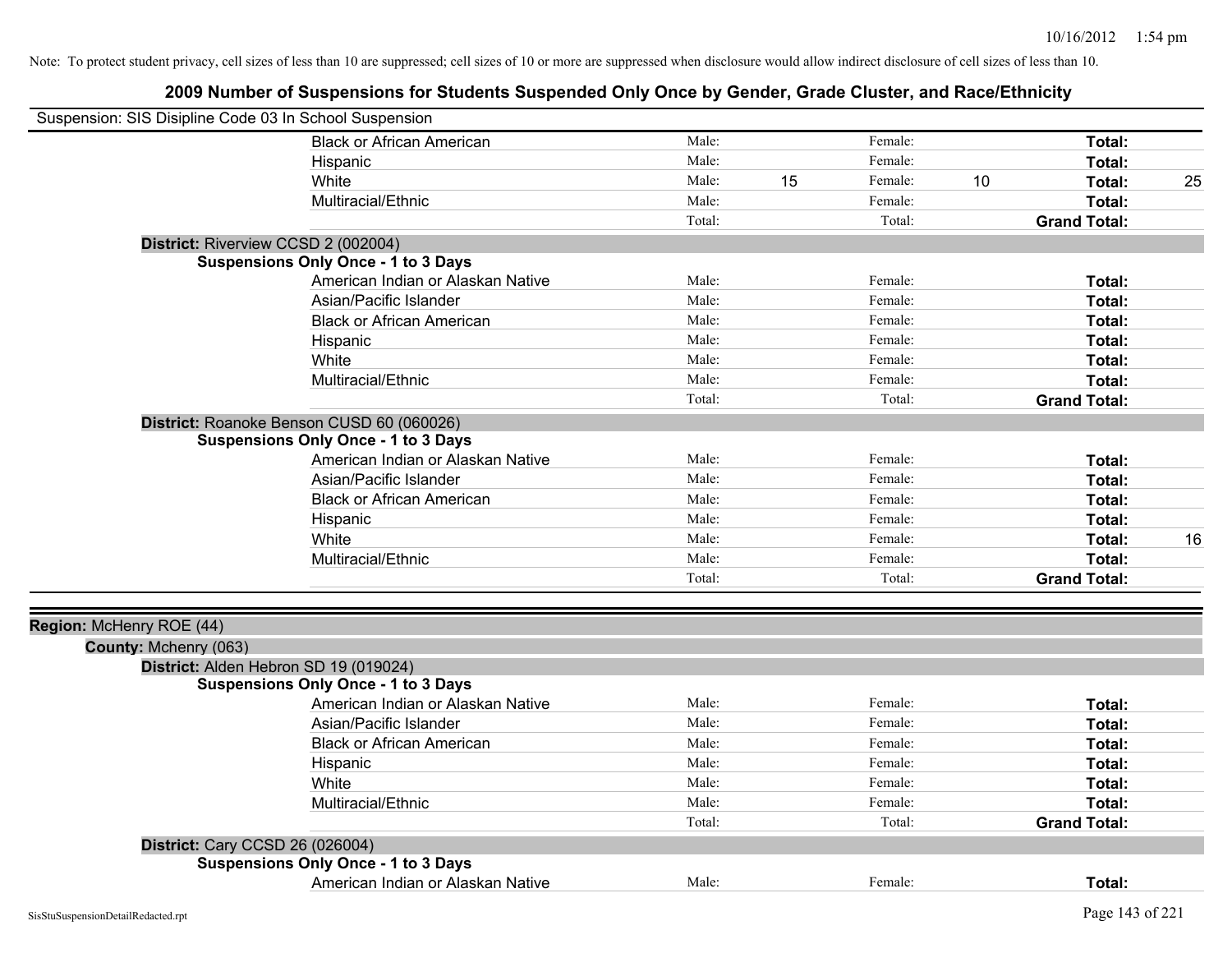| Suspension: SIS Disipline Code 03 In School Suspension |                                            |                |    |                    |    |                     |    |
|--------------------------------------------------------|--------------------------------------------|----------------|----|--------------------|----|---------------------|----|
|                                                        | <b>Black or African American</b>           | Male:          |    | Female:            |    | Total:              |    |
|                                                        | Hispanic                                   | Male:          |    | Female:            |    | Total:              |    |
|                                                        | White                                      | Male:          | 15 | Female:            | 10 | Total:              | 25 |
|                                                        | Multiracial/Ethnic                         | Male:          |    | Female:            |    | Total:              |    |
|                                                        |                                            | Total:         |    | Total:             |    | <b>Grand Total:</b> |    |
|                                                        | District: Riverview CCSD 2 (002004)        |                |    |                    |    |                     |    |
|                                                        | <b>Suspensions Only Once - 1 to 3 Days</b> |                |    |                    |    |                     |    |
|                                                        | American Indian or Alaskan Native          | Male:          |    | Female:            |    | Total:              |    |
|                                                        | Asian/Pacific Islander                     | Male:          |    | Female:            |    | Total:              |    |
|                                                        | <b>Black or African American</b>           | Male:          |    | Female:            |    | Total:              |    |
|                                                        | Hispanic                                   | Male:          |    | Female:            |    | Total:              |    |
|                                                        | White                                      | Male:          |    | Female:            |    | Total:              |    |
|                                                        | Multiracial/Ethnic                         | Male:          |    | Female:            |    | Total:              |    |
|                                                        |                                            | Total:         |    | Total:             |    | <b>Grand Total:</b> |    |
|                                                        | District: Roanoke Benson CUSD 60 (060026)  |                |    |                    |    |                     |    |
|                                                        | <b>Suspensions Only Once - 1 to 3 Days</b> |                |    |                    |    |                     |    |
|                                                        | American Indian or Alaskan Native          | Male:          |    | Female:            |    | Total:              |    |
|                                                        | Asian/Pacific Islander                     | Male:          |    | Female:            |    | Total:              |    |
|                                                        | <b>Black or African American</b>           | Male:          |    | Female:            |    | Total:              |    |
|                                                        | Hispanic                                   | Male:          |    | Female:            |    | Total:              |    |
|                                                        | White                                      | Male:          |    | Female:            |    | Total:              | 16 |
|                                                        | Multiracial/Ethnic                         | Male:          |    | Female:            |    | Total:              |    |
|                                                        |                                            | Total:         |    | Total:             |    | <b>Grand Total:</b> |    |
|                                                        |                                            |                |    |                    |    |                     |    |
| Region: McHenry ROE (44)                               |                                            |                |    |                    |    |                     |    |
| County: Mchenry (063)                                  |                                            |                |    |                    |    |                     |    |
|                                                        | District: Alden Hebron SD 19 (019024)      |                |    |                    |    |                     |    |
|                                                        | <b>Suspensions Only Once - 1 to 3 Days</b> |                |    |                    |    |                     |    |
|                                                        | American Indian or Alaskan Native          | Male:<br>Male: |    | Female:<br>Female: |    | Total:              |    |
|                                                        | Asian/Pacific Islander                     |                |    |                    |    | Total:              |    |
|                                                        | <b>Black or African American</b>           | Male:          |    | Female:            |    | Total:              |    |
|                                                        | Hispanic                                   | Male:          |    | Female:            |    | Total:              |    |
|                                                        | White                                      | Male:          |    | Female:            |    | Total:              |    |
|                                                        | Multiracial/Ethnic                         | Male:          |    | Female:            |    | Total:              |    |
|                                                        |                                            | Total:         |    | Total:             |    | <b>Grand Total:</b> |    |
|                                                        | <b>District: Cary CCSD 26 (026004)</b>     |                |    |                    |    |                     |    |
|                                                        | <b>Suspensions Only Once - 1 to 3 Days</b> |                |    |                    |    |                     |    |
|                                                        | American Indian or Alaskan Native          | Male:          |    | Female:            |    | Total:              |    |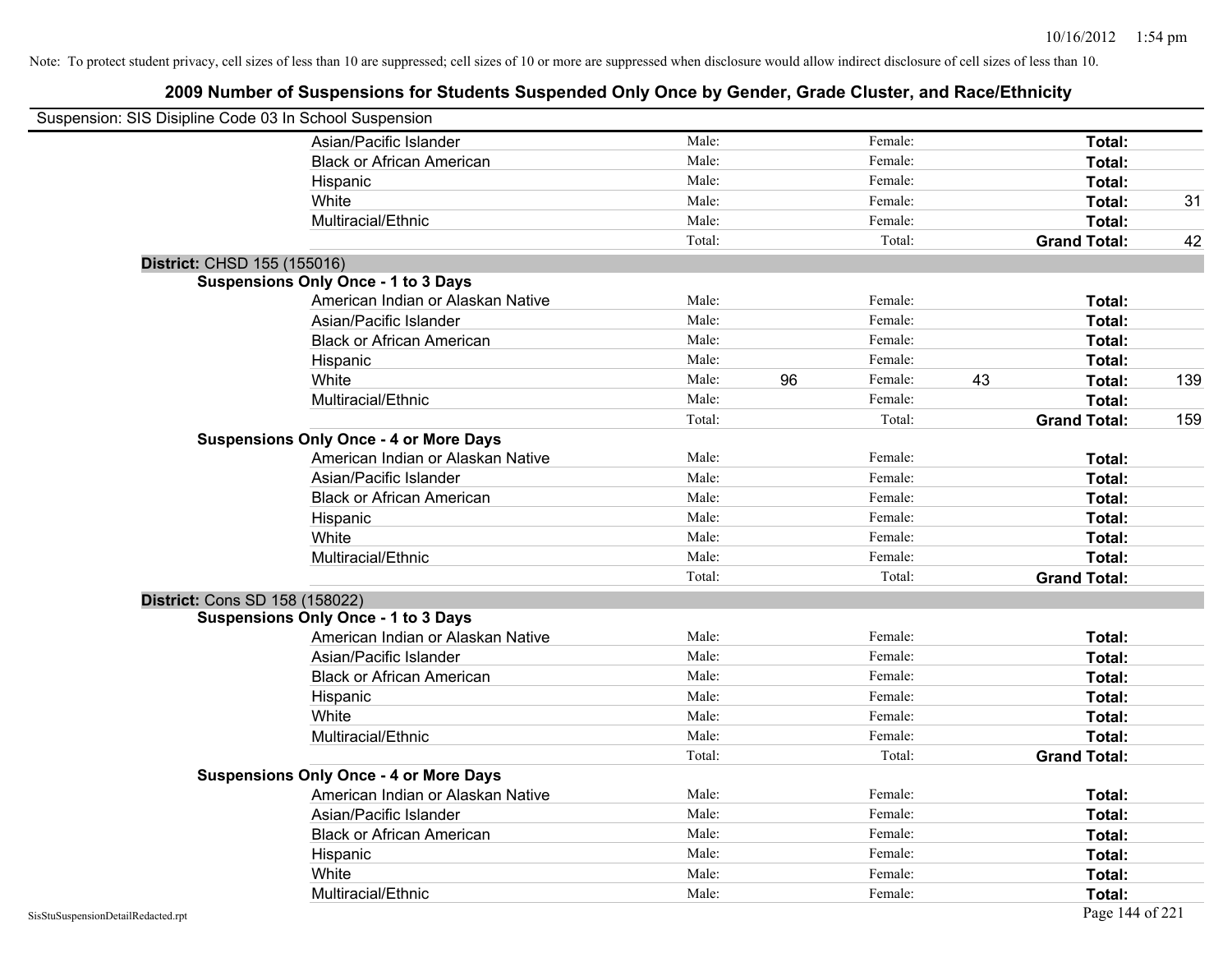| Suspension: SIS Disipline Code 03 In School Suspension |                                               |        |    |         |    |                     |     |
|--------------------------------------------------------|-----------------------------------------------|--------|----|---------|----|---------------------|-----|
|                                                        | Asian/Pacific Islander                        | Male:  |    | Female: |    | Total:              |     |
|                                                        | <b>Black or African American</b>              | Male:  |    | Female: |    | Total:              |     |
|                                                        | Hispanic                                      | Male:  |    | Female: |    | Total:              |     |
|                                                        | White                                         | Male:  |    | Female: |    | Total:              | 31  |
|                                                        | Multiracial/Ethnic                            | Male:  |    | Female: |    | Total:              |     |
|                                                        |                                               | Total: |    | Total:  |    | <b>Grand Total:</b> | 42  |
| District: CHSD 155 (155016)                            |                                               |        |    |         |    |                     |     |
|                                                        | <b>Suspensions Only Once - 1 to 3 Days</b>    |        |    |         |    |                     |     |
|                                                        | American Indian or Alaskan Native             | Male:  |    | Female: |    | Total:              |     |
|                                                        | Asian/Pacific Islander                        | Male:  |    | Female: |    | Total:              |     |
|                                                        | <b>Black or African American</b>              | Male:  |    | Female: |    | Total:              |     |
|                                                        | Hispanic                                      | Male:  |    | Female: |    | Total:              |     |
|                                                        | White                                         | Male:  | 96 | Female: | 43 | Total:              | 139 |
|                                                        | Multiracial/Ethnic                            | Male:  |    | Female: |    | Total:              |     |
|                                                        |                                               | Total: |    | Total:  |    | <b>Grand Total:</b> | 159 |
|                                                        | <b>Suspensions Only Once - 4 or More Days</b> |        |    |         |    |                     |     |
|                                                        | American Indian or Alaskan Native             | Male:  |    | Female: |    | Total:              |     |
|                                                        | Asian/Pacific Islander                        | Male:  |    | Female: |    | Total:              |     |
|                                                        | <b>Black or African American</b>              | Male:  |    | Female: |    | Total:              |     |
|                                                        | Hispanic                                      | Male:  |    | Female: |    | Total:              |     |
|                                                        | White                                         | Male:  |    | Female: |    | Total:              |     |
|                                                        | Multiracial/Ethnic                            | Male:  |    | Female: |    | Total:              |     |
|                                                        |                                               | Total: |    | Total:  |    | <b>Grand Total:</b> |     |
| <b>District: Cons SD 158 (158022)</b>                  |                                               |        |    |         |    |                     |     |
|                                                        | <b>Suspensions Only Once - 1 to 3 Days</b>    |        |    |         |    |                     |     |
|                                                        | American Indian or Alaskan Native             | Male:  |    | Female: |    | Total:              |     |
|                                                        | Asian/Pacific Islander                        | Male:  |    | Female: |    | Total:              |     |
|                                                        | <b>Black or African American</b>              | Male:  |    | Female: |    | Total:              |     |
|                                                        | Hispanic                                      | Male:  |    | Female: |    | Total:              |     |
|                                                        | White                                         | Male:  |    | Female: |    | Total:              |     |
|                                                        | Multiracial/Ethnic                            | Male:  |    | Female: |    | Total:              |     |
|                                                        |                                               | Total: |    | Total:  |    | <b>Grand Total:</b> |     |
|                                                        | <b>Suspensions Only Once - 4 or More Days</b> |        |    |         |    |                     |     |
|                                                        | American Indian or Alaskan Native             | Male:  |    | Female: |    | Total:              |     |
|                                                        | Asian/Pacific Islander                        | Male:  |    | Female: |    | Total:              |     |
|                                                        | <b>Black or African American</b>              | Male:  |    | Female: |    | Total:              |     |
|                                                        | Hispanic                                      | Male:  |    | Female: |    | Total:              |     |
|                                                        | White                                         | Male:  |    | Female: |    | Total:              |     |
|                                                        | Multiracial/Ethnic                            | Male:  |    | Female: |    | Total:              |     |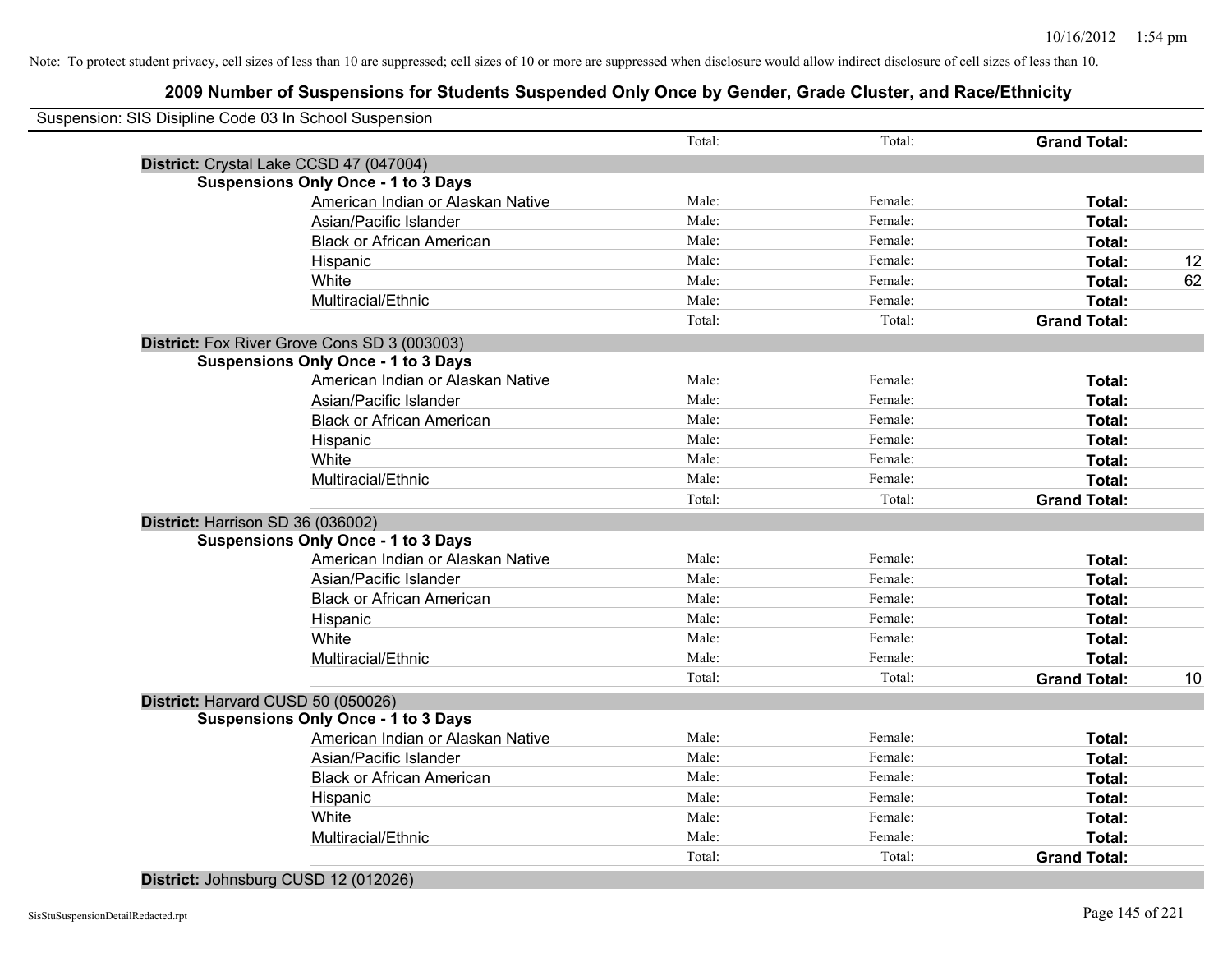# **2009 Number of Suspensions for Students Suspended Only Once by Gender, Grade Cluster, and Race/Ethnicity**

| Suspension: SIS Disipline Code 03 In School Suspension |        |         |                     |  |
|--------------------------------------------------------|--------|---------|---------------------|--|
|                                                        | Total: | Total:  | <b>Grand Total:</b> |  |
| District: Crystal Lake CCSD 47 (047004)                |        |         |                     |  |
| <b>Suspensions Only Once - 1 to 3 Days</b>             |        |         |                     |  |
| American Indian or Alaskan Native                      | Male:  | Female: | Total:              |  |
| Asian/Pacific Islander                                 | Male:  | Female: | Total:              |  |
| <b>Black or African American</b>                       | Male:  | Female: | Total:              |  |
| Hispanic                                               | Male:  | Female: | Total:              |  |
| White                                                  | Male:  | Female: | Total:              |  |
| Multiracial/Ethnic                                     | Male:  | Female: | Total:              |  |
|                                                        | Total: | Total:  | <b>Grand Total:</b> |  |
| District: Fox River Grove Cons SD 3 (003003)           |        |         |                     |  |
| <b>Suspensions Only Once - 1 to 3 Days</b>             |        |         |                     |  |
| American Indian or Alaskan Native                      | Male:  | Female: | Total:              |  |
| Asian/Pacific Islander                                 | Male:  | Female: | Total:              |  |
| <b>Black or African American</b>                       | Male:  | Female: | Total:              |  |
| Hispanic                                               | Male:  | Female: | Total:              |  |
| White                                                  | Male:  | Female: | Total:              |  |
| Multiracial/Ethnic                                     | Male:  | Female: | Total:              |  |
|                                                        | Total: | Total:  | <b>Grand Total:</b> |  |
| District: Harrison SD 36 (036002)                      |        |         |                     |  |
| <b>Suspensions Only Once - 1 to 3 Days</b>             |        |         |                     |  |
| American Indian or Alaskan Native                      | Male:  | Female: | Total:              |  |
| Asian/Pacific Islander                                 | Male:  | Female: | Total:              |  |
| <b>Black or African American</b>                       | Male:  | Female: | Total:              |  |
| Hispanic                                               | Male:  | Female: | Total:              |  |
| White                                                  | Male:  | Female: | Total:              |  |
| Multiracial/Ethnic                                     | Male:  | Female: | Total:              |  |
|                                                        | Total: | Total:  | <b>Grand Total:</b> |  |
| District: Harvard CUSD 50 (050026)                     |        |         |                     |  |
| <b>Suspensions Only Once - 1 to 3 Days</b>             |        |         |                     |  |
| American Indian or Alaskan Native                      | Male:  | Female: | Total:              |  |
| Asian/Pacific Islander                                 | Male:  | Female: | Total:              |  |
| <b>Black or African American</b>                       | Male:  | Female: | Total:              |  |
| Hispanic                                               | Male:  | Female: | Total:              |  |
| White                                                  | Male:  | Female: | Total:              |  |
| Multiracial/Ethnic                                     | Male:  | Female: | Total:              |  |
|                                                        | Total: | Total:  | <b>Grand Total:</b> |  |

## **District:** Johnsburg CUSD 12 (012026)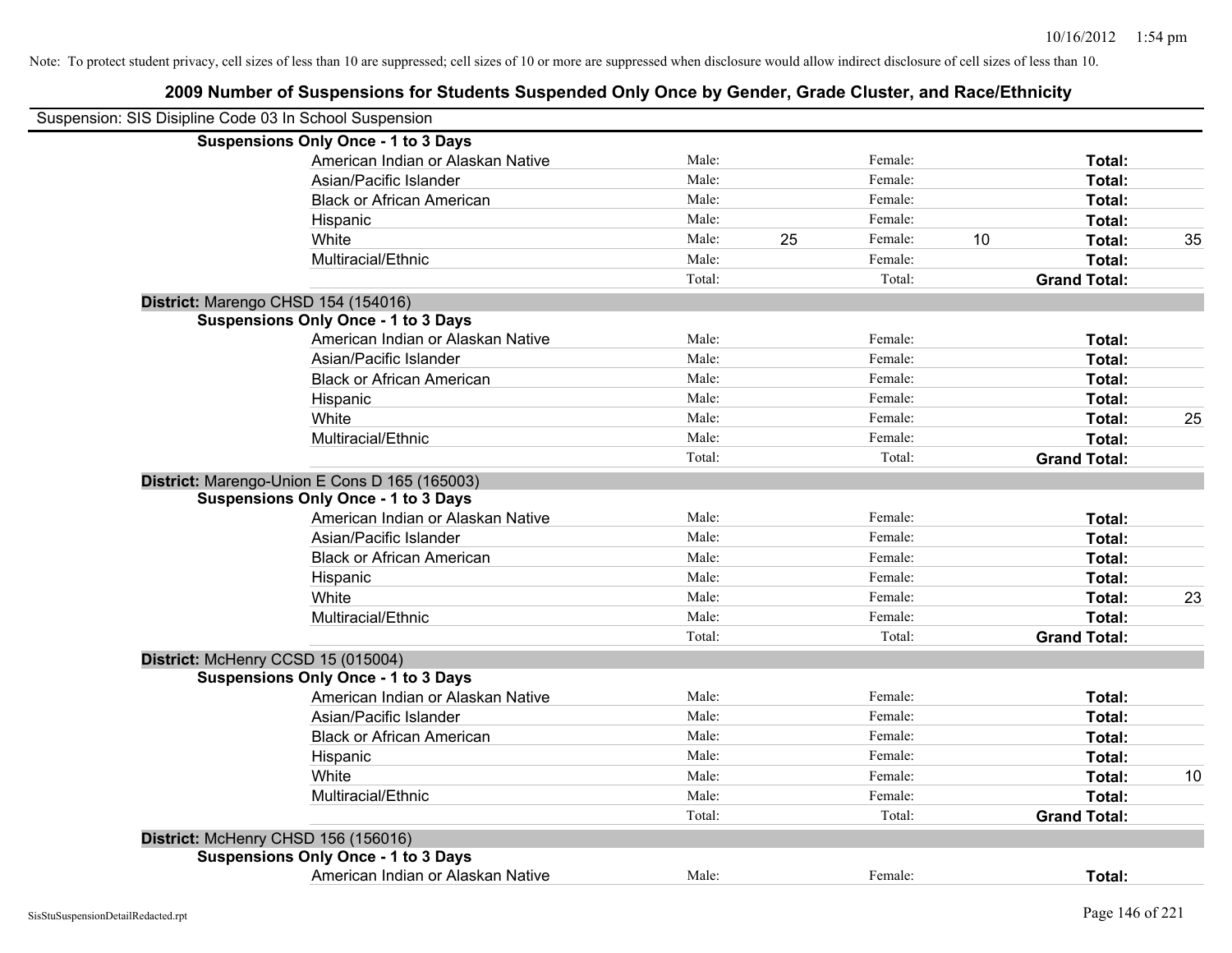| Suspension: SIS Disipline Code 03 In School Suspension |                                               |        |               |    |                     |    |
|--------------------------------------------------------|-----------------------------------------------|--------|---------------|----|---------------------|----|
|                                                        | <b>Suspensions Only Once - 1 to 3 Days</b>    |        |               |    |                     |    |
|                                                        | American Indian or Alaskan Native             | Male:  | Female:       |    | Total:              |    |
|                                                        | Asian/Pacific Islander                        | Male:  | Female:       |    | Total:              |    |
|                                                        | <b>Black or African American</b>              | Male:  | Female:       |    | Total:              |    |
|                                                        | Hispanic                                      | Male:  | Female:       |    | Total:              |    |
|                                                        | White                                         | Male:  | 25<br>Female: | 10 | Total:              | 35 |
|                                                        | Multiracial/Ethnic                            | Male:  | Female:       |    | Total:              |    |
|                                                        |                                               | Total: | Total:        |    | <b>Grand Total:</b> |    |
| District: Marengo CHSD 154 (154016)                    |                                               |        |               |    |                     |    |
|                                                        | <b>Suspensions Only Once - 1 to 3 Days</b>    |        |               |    |                     |    |
|                                                        | American Indian or Alaskan Native             | Male:  | Female:       |    | Total:              |    |
|                                                        | Asian/Pacific Islander                        | Male:  | Female:       |    | Total:              |    |
|                                                        | <b>Black or African American</b>              | Male:  | Female:       |    | Total:              |    |
|                                                        | Hispanic                                      | Male:  | Female:       |    | Total:              |    |
|                                                        | White                                         | Male:  | Female:       |    | Total:              | 25 |
|                                                        | Multiracial/Ethnic                            | Male:  | Female:       |    | Total:              |    |
|                                                        |                                               | Total: | Total:        |    | <b>Grand Total:</b> |    |
|                                                        | District: Marengo-Union E Cons D 165 (165003) |        |               |    |                     |    |
|                                                        | <b>Suspensions Only Once - 1 to 3 Days</b>    |        |               |    |                     |    |
|                                                        | American Indian or Alaskan Native             | Male:  | Female:       |    | Total:              |    |
|                                                        | Asian/Pacific Islander                        | Male:  | Female:       |    | Total:              |    |
|                                                        | <b>Black or African American</b>              | Male:  | Female:       |    | Total:              |    |
|                                                        | Hispanic                                      | Male:  | Female:       |    | Total:              |    |
|                                                        | White                                         | Male:  | Female:       |    | Total:              | 23 |
|                                                        | Multiracial/Ethnic                            | Male:  | Female:       |    | Total:              |    |
|                                                        |                                               | Total: | Total:        |    | <b>Grand Total:</b> |    |
| District: McHenry CCSD 15 (015004)                     |                                               |        |               |    |                     |    |
|                                                        | <b>Suspensions Only Once - 1 to 3 Days</b>    |        |               |    |                     |    |
|                                                        | American Indian or Alaskan Native             | Male:  | Female:       |    | Total:              |    |
|                                                        | Asian/Pacific Islander                        | Male:  | Female:       |    | Total:              |    |
|                                                        | <b>Black or African American</b>              | Male:  | Female:       |    | Total:              |    |
|                                                        | Hispanic                                      | Male:  | Female:       |    | Total:              |    |
|                                                        | White                                         | Male:  | Female:       |    | Total:              | 10 |
|                                                        | Multiracial/Ethnic                            | Male:  | Female:       |    | Total:              |    |
|                                                        |                                               | Total: | Total:        |    | <b>Grand Total:</b> |    |
| District: McHenry CHSD 156 (156016)                    |                                               |        |               |    |                     |    |
|                                                        | <b>Suspensions Only Once - 1 to 3 Days</b>    |        |               |    |                     |    |
|                                                        | American Indian or Alaskan Native             | Male:  | Female:       |    | Total:              |    |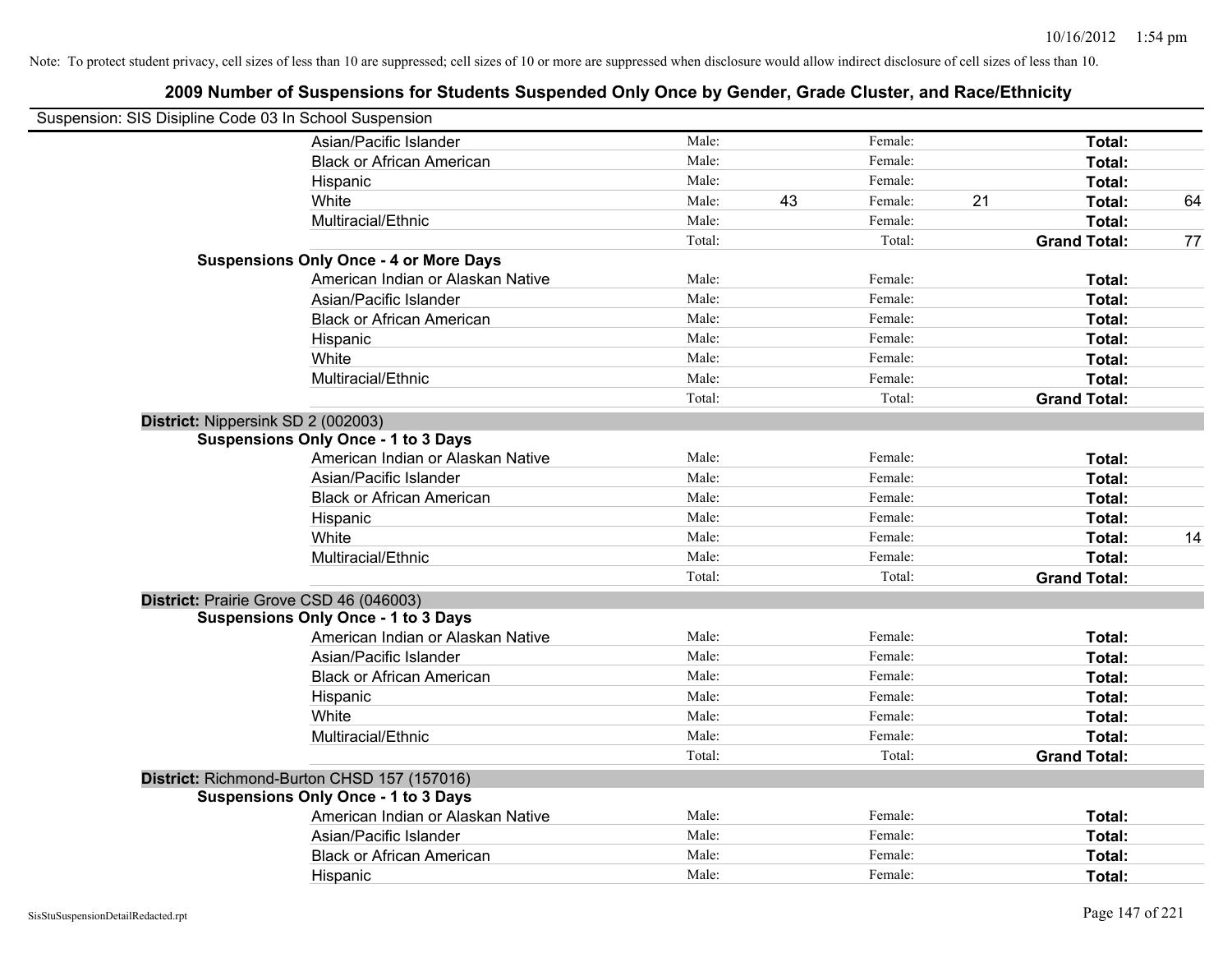| Suspension: SIS Disipline Code 03 In School Suspension |                                               |        |    |         |    |                     |    |
|--------------------------------------------------------|-----------------------------------------------|--------|----|---------|----|---------------------|----|
|                                                        | Asian/Pacific Islander                        | Male:  |    | Female: |    | Total:              |    |
|                                                        | <b>Black or African American</b>              | Male:  |    | Female: |    | Total:              |    |
|                                                        | Hispanic                                      | Male:  |    | Female: |    | Total:              |    |
|                                                        | White                                         | Male:  | 43 | Female: | 21 | Total:              | 64 |
|                                                        | Multiracial/Ethnic                            | Male:  |    | Female: |    | Total:              |    |
|                                                        |                                               | Total: |    | Total:  |    | <b>Grand Total:</b> | 77 |
|                                                        | <b>Suspensions Only Once - 4 or More Days</b> |        |    |         |    |                     |    |
|                                                        | American Indian or Alaskan Native             | Male:  |    | Female: |    | Total:              |    |
|                                                        | Asian/Pacific Islander                        | Male:  |    | Female: |    | Total:              |    |
|                                                        | <b>Black or African American</b>              | Male:  |    | Female: |    | Total:              |    |
|                                                        | Hispanic                                      | Male:  |    | Female: |    | Total:              |    |
|                                                        | White                                         | Male:  |    | Female: |    | Total:              |    |
|                                                        | Multiracial/Ethnic                            | Male:  |    | Female: |    | Total:              |    |
|                                                        |                                               | Total: |    | Total:  |    | <b>Grand Total:</b> |    |
| District: Nippersink SD 2 (002003)                     |                                               |        |    |         |    |                     |    |
|                                                        | <b>Suspensions Only Once - 1 to 3 Days</b>    |        |    |         |    |                     |    |
|                                                        | American Indian or Alaskan Native             | Male:  |    | Female: |    | Total:              |    |
|                                                        | Asian/Pacific Islander                        | Male:  |    | Female: |    | Total:              |    |
|                                                        | <b>Black or African American</b>              | Male:  |    | Female: |    | Total:              |    |
|                                                        | Hispanic                                      | Male:  |    | Female: |    | Total:              |    |
|                                                        | White                                         | Male:  |    | Female: |    | Total:              | 14 |
|                                                        | Multiracial/Ethnic                            | Male:  |    | Female: |    | Total:              |    |
|                                                        |                                               | Total: |    | Total:  |    | <b>Grand Total:</b> |    |
| District: Prairie Grove CSD 46 (046003)                |                                               |        |    |         |    |                     |    |
|                                                        | <b>Suspensions Only Once - 1 to 3 Days</b>    |        |    |         |    |                     |    |
|                                                        | American Indian or Alaskan Native             | Male:  |    | Female: |    | Total:              |    |
|                                                        | Asian/Pacific Islander                        | Male:  |    | Female: |    | Total:              |    |
|                                                        | <b>Black or African American</b>              | Male:  |    | Female: |    | Total:              |    |
|                                                        | Hispanic                                      | Male:  |    | Female: |    | Total:              |    |
|                                                        | White                                         | Male:  |    | Female: |    | Total:              |    |
|                                                        | Multiracial/Ethnic                            | Male:  |    | Female: |    | Total:              |    |
|                                                        |                                               | Total: |    | Total:  |    | <b>Grand Total:</b> |    |
|                                                        | District: Richmond-Burton CHSD 157 (157016)   |        |    |         |    |                     |    |
|                                                        | <b>Suspensions Only Once - 1 to 3 Days</b>    |        |    |         |    |                     |    |
|                                                        | American Indian or Alaskan Native             | Male:  |    | Female: |    | Total:              |    |
|                                                        | Asian/Pacific Islander                        | Male:  |    | Female: |    | Total:              |    |
|                                                        | <b>Black or African American</b>              | Male:  |    | Female: |    | Total:              |    |
|                                                        | Hispanic                                      | Male:  |    | Female: |    | Total:              |    |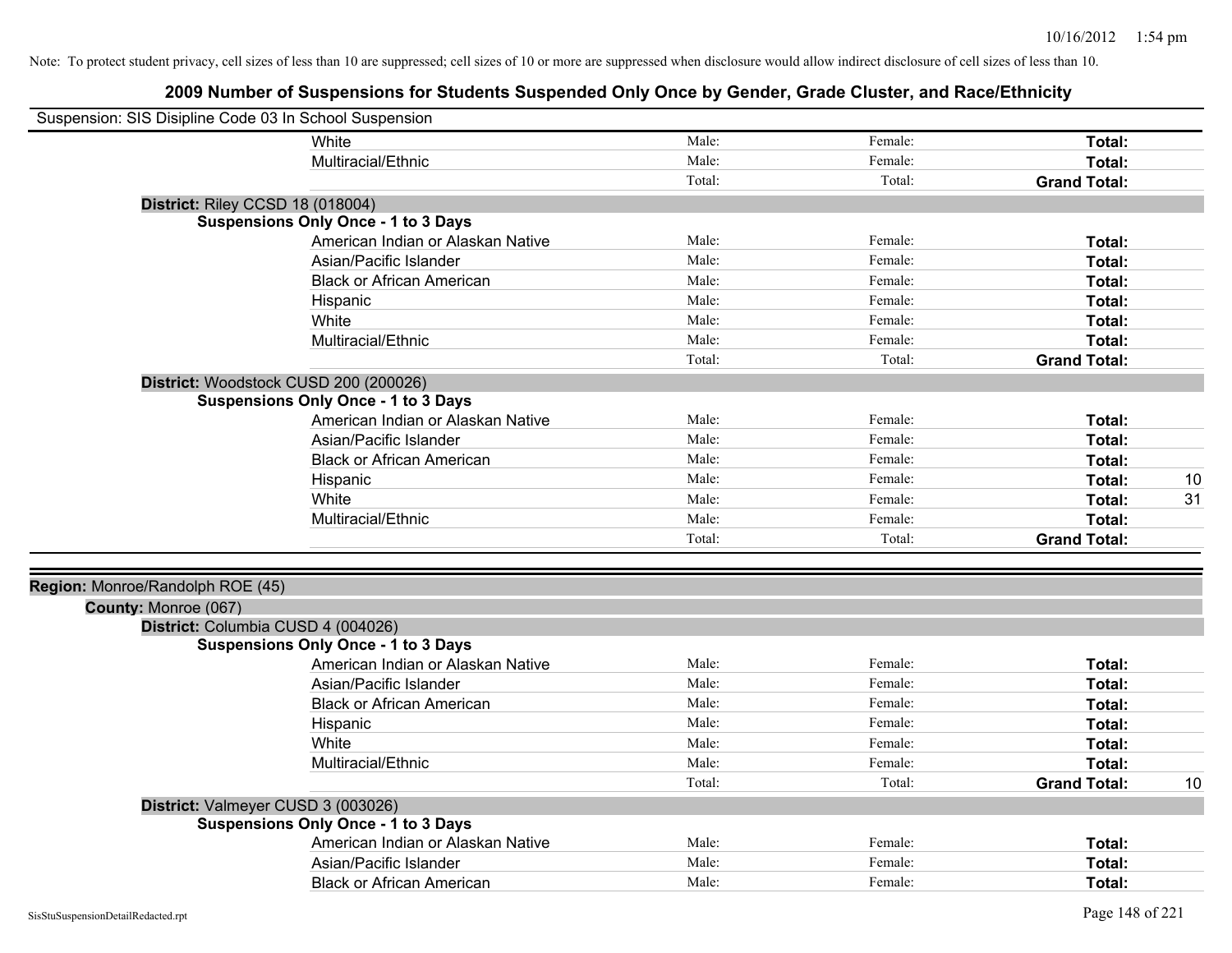|                                  | Suspension: SIS Disipline Code 03 In School Suspension                           |        |         |                     |    |
|----------------------------------|----------------------------------------------------------------------------------|--------|---------|---------------------|----|
|                                  | <b>White</b>                                                                     | Male:  | Female: | Total:              |    |
|                                  | Multiracial/Ethnic                                                               | Male:  | Female: | Total:              |    |
|                                  |                                                                                  | Total: | Total:  | <b>Grand Total:</b> |    |
|                                  | District: Riley CCSD 18 (018004)                                                 |        |         |                     |    |
|                                  | <b>Suspensions Only Once - 1 to 3 Days</b>                                       |        |         |                     |    |
|                                  | American Indian or Alaskan Native                                                | Male:  | Female: | Total:              |    |
|                                  | Asian/Pacific Islander                                                           | Male:  | Female: | Total:              |    |
|                                  | <b>Black or African American</b>                                                 | Male:  | Female: | Total:              |    |
|                                  | Hispanic                                                                         | Male:  | Female: | Total:              |    |
|                                  | White                                                                            | Male:  | Female: | Total:              |    |
|                                  | Multiracial/Ethnic                                                               | Male:  | Female: | Total:              |    |
|                                  |                                                                                  | Total: | Total:  | <b>Grand Total:</b> |    |
|                                  | District: Woodstock CUSD 200 (200026)                                            |        |         |                     |    |
|                                  | <b>Suspensions Only Once - 1 to 3 Days</b>                                       |        |         |                     |    |
|                                  | American Indian or Alaskan Native                                                | Male:  | Female: | Total:              |    |
|                                  | Asian/Pacific Islander                                                           | Male:  | Female: | Total:              |    |
|                                  | <b>Black or African American</b>                                                 | Male:  | Female: | Total:              |    |
|                                  | Hispanic                                                                         | Male:  | Female: | Total:              | 10 |
|                                  | White                                                                            | Male:  | Female: | Total:              | 31 |
|                                  | Multiracial/Ethnic                                                               | Male:  | Female: | Total:              |    |
|                                  |                                                                                  | Total: | Total:  | <b>Grand Total:</b> |    |
|                                  |                                                                                  |        |         |                     |    |
| Region: Monroe/Randolph ROE (45) |                                                                                  |        |         |                     |    |
| County: Monroe (067)             |                                                                                  |        |         |                     |    |
|                                  | District: Columbia CUSD 4 (004026)<br><b>Suspensions Only Once - 1 to 3 Days</b> |        |         |                     |    |
|                                  | American Indian or Alaskan Native                                                | Male:  | Female: | Total:              |    |
|                                  | Asian/Pacific Islander                                                           | Male:  | Female: | Total:              |    |
|                                  | <b>Black or African American</b>                                                 | Male:  | Female: | Total:              |    |
|                                  | Hispanic                                                                         | Male:  | Female: | Total:              |    |
|                                  | White                                                                            | Male:  | Female: | Total:              |    |
|                                  | Multiracial/Ethnic                                                               | Male:  | Female: | Total:              |    |
|                                  |                                                                                  | Total: | Total:  | <b>Grand Total:</b> | 10 |
|                                  |                                                                                  |        |         |                     |    |
|                                  | District: Valmeyer CUSD 3 (003026)<br><b>Suspensions Only Once - 1 to 3 Days</b> |        |         |                     |    |
|                                  | American Indian or Alaskan Native                                                | Male:  | Female: | Total:              |    |
|                                  | Asian/Pacific Islander                                                           | Male:  | Female: | Total:              |    |
|                                  | <b>Black or African American</b>                                                 | Male:  | Female: | Total:              |    |
|                                  |                                                                                  |        |         |                     |    |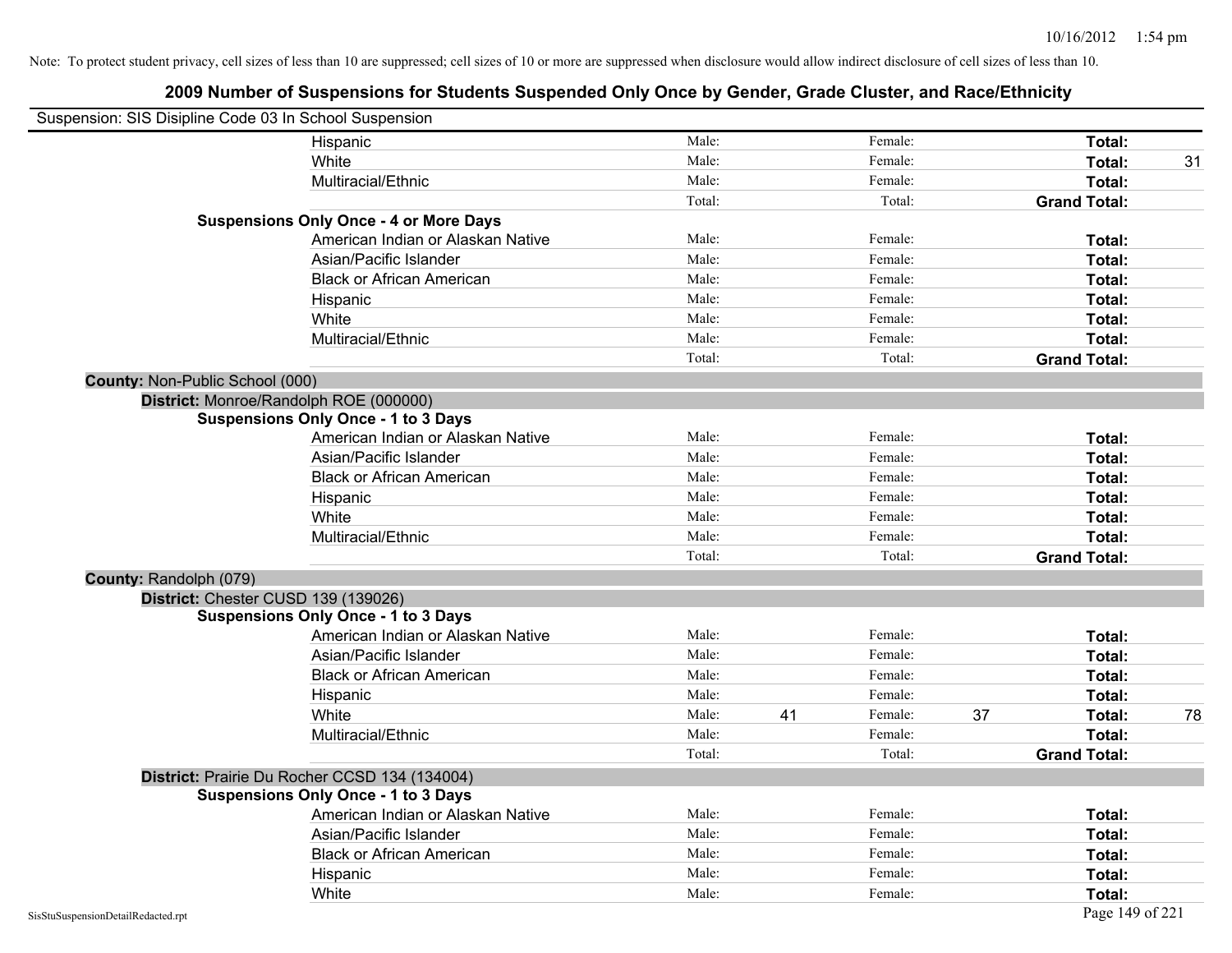| Suspension: SIS Disipline Code 03 In School Suspension |                                               |        |    |         |    |                     |    |
|--------------------------------------------------------|-----------------------------------------------|--------|----|---------|----|---------------------|----|
|                                                        | Hispanic                                      | Male:  |    | Female: |    | Total:              |    |
|                                                        | White                                         | Male:  |    | Female: |    | Total:              | 31 |
|                                                        | Multiracial/Ethnic                            | Male:  |    | Female: |    | Total:              |    |
|                                                        |                                               | Total: |    | Total:  |    | <b>Grand Total:</b> |    |
|                                                        | <b>Suspensions Only Once - 4 or More Days</b> |        |    |         |    |                     |    |
|                                                        | American Indian or Alaskan Native             | Male:  |    | Female: |    | Total:              |    |
|                                                        | Asian/Pacific Islander                        | Male:  |    | Female: |    | Total:              |    |
|                                                        | <b>Black or African American</b>              | Male:  |    | Female: |    | Total:              |    |
|                                                        | Hispanic                                      | Male:  |    | Female: |    | Total:              |    |
|                                                        | White                                         | Male:  |    | Female: |    | Total:              |    |
|                                                        | Multiracial/Ethnic                            | Male:  |    | Female: |    | Total:              |    |
|                                                        |                                               | Total: |    | Total:  |    | <b>Grand Total:</b> |    |
| County: Non-Public School (000)                        |                                               |        |    |         |    |                     |    |
|                                                        | District: Monroe/Randolph ROE (000000)        |        |    |         |    |                     |    |
|                                                        | <b>Suspensions Only Once - 1 to 3 Days</b>    |        |    |         |    |                     |    |
|                                                        | American Indian or Alaskan Native             | Male:  |    | Female: |    | Total:              |    |
|                                                        | Asian/Pacific Islander                        | Male:  |    | Female: |    | Total:              |    |
|                                                        | <b>Black or African American</b>              | Male:  |    | Female: |    | Total:              |    |
|                                                        | Hispanic                                      | Male:  |    | Female: |    | Total:              |    |
|                                                        | White                                         | Male:  |    | Female: |    | Total:              |    |
|                                                        | Multiracial/Ethnic                            | Male:  |    | Female: |    | Total:              |    |
|                                                        |                                               | Total: |    | Total:  |    | <b>Grand Total:</b> |    |
| County: Randolph (079)                                 |                                               |        |    |         |    |                     |    |
|                                                        | District: Chester CUSD 139 (139026)           |        |    |         |    |                     |    |
|                                                        | <b>Suspensions Only Once - 1 to 3 Days</b>    |        |    |         |    |                     |    |
|                                                        | American Indian or Alaskan Native             | Male:  |    | Female: |    | Total:              |    |
|                                                        | Asian/Pacific Islander                        | Male:  |    | Female: |    | Total:              |    |
|                                                        | <b>Black or African American</b>              | Male:  |    | Female: |    | Total:              |    |
|                                                        | Hispanic                                      | Male:  |    | Female: |    | Total:              |    |
|                                                        | White                                         | Male:  | 41 | Female: | 37 | Total:              | 78 |
|                                                        | Multiracial/Ethnic                            | Male:  |    | Female: |    | Total:              |    |
|                                                        |                                               | Total: |    | Total:  |    | <b>Grand Total:</b> |    |
|                                                        | District: Prairie Du Rocher CCSD 134 (134004) |        |    |         |    |                     |    |
|                                                        | <b>Suspensions Only Once - 1 to 3 Days</b>    |        |    |         |    |                     |    |
|                                                        | American Indian or Alaskan Native             | Male:  |    | Female: |    | Total:              |    |
|                                                        | Asian/Pacific Islander                        | Male:  |    | Female: |    | Total:              |    |
|                                                        | <b>Black or African American</b>              | Male:  |    | Female: |    | Total:              |    |
|                                                        | Hispanic                                      | Male:  |    | Female: |    | Total:              |    |
|                                                        | White                                         | Male:  |    | Female: |    | Total:              |    |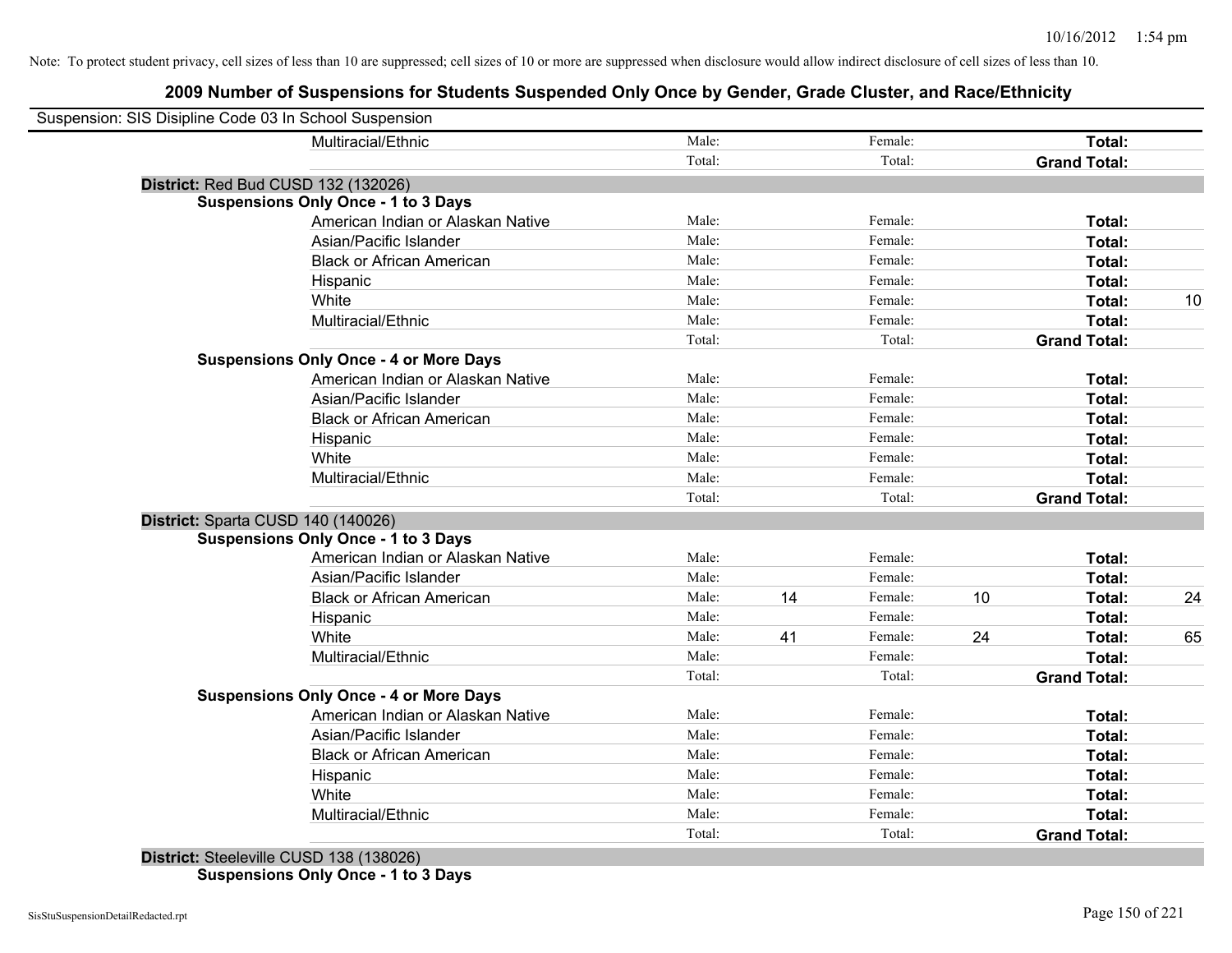# **2009 Number of Suspensions for Students Suspended Only Once by Gender, Grade Cluster, and Race/Ethnicity**

| Suspension: SIS Disipline Code 03 In School Suspension |        |    |         |    |                     |    |
|--------------------------------------------------------|--------|----|---------|----|---------------------|----|
| Multiracial/Ethnic                                     | Male:  |    | Female: |    | Total:              |    |
|                                                        | Total: |    | Total:  |    | <b>Grand Total:</b> |    |
| District: Red Bud CUSD 132 (132026)                    |        |    |         |    |                     |    |
| <b>Suspensions Only Once - 1 to 3 Days</b>             |        |    |         |    |                     |    |
| American Indian or Alaskan Native                      | Male:  |    | Female: |    | Total:              |    |
| Asian/Pacific Islander                                 | Male:  |    | Female: |    | Total:              |    |
| <b>Black or African American</b>                       | Male:  |    | Female: |    | Total:              |    |
| Hispanic                                               | Male:  |    | Female: |    | Total:              |    |
| White                                                  | Male:  |    | Female: |    | Total:              | 10 |
| Multiracial/Ethnic                                     | Male:  |    | Female: |    | Total:              |    |
|                                                        | Total: |    | Total:  |    | <b>Grand Total:</b> |    |
| <b>Suspensions Only Once - 4 or More Days</b>          |        |    |         |    |                     |    |
| American Indian or Alaskan Native                      | Male:  |    | Female: |    | Total:              |    |
| Asian/Pacific Islander                                 | Male:  |    | Female: |    | Total:              |    |
| <b>Black or African American</b>                       | Male:  |    | Female: |    | Total:              |    |
| Hispanic                                               | Male:  |    | Female: |    | Total:              |    |
| White                                                  | Male:  |    | Female: |    | Total:              |    |
| Multiracial/Ethnic                                     | Male:  |    | Female: |    | Total:              |    |
|                                                        | Total: |    | Total:  |    | <b>Grand Total:</b> |    |
| District: Sparta CUSD 140 (140026)                     |        |    |         |    |                     |    |
| <b>Suspensions Only Once - 1 to 3 Days</b>             |        |    |         |    |                     |    |
| American Indian or Alaskan Native                      | Male:  |    | Female: |    | Total:              |    |
| Asian/Pacific Islander                                 | Male:  |    | Female: |    | Total:              |    |
| <b>Black or African American</b>                       | Male:  | 14 | Female: | 10 | Total:              | 24 |
| Hispanic                                               | Male:  |    | Female: |    | Total:              |    |
| White                                                  | Male:  | 41 | Female: | 24 | Total:              | 65 |
| Multiracial/Ethnic                                     | Male:  |    | Female: |    | Total:              |    |
|                                                        | Total: |    | Total:  |    | <b>Grand Total:</b> |    |
| <b>Suspensions Only Once - 4 or More Days</b>          |        |    |         |    |                     |    |
| American Indian or Alaskan Native                      | Male:  |    | Female: |    | Total:              |    |
| Asian/Pacific Islander                                 | Male:  |    | Female: |    | Total:              |    |
| <b>Black or African American</b>                       | Male:  |    | Female: |    | Total:              |    |
| Hispanic                                               | Male:  |    | Female: |    | Total:              |    |
| White                                                  | Male:  |    | Female: |    | Total:              |    |
| Multiracial/Ethnic                                     | Male:  |    | Female: |    | Total:              |    |
|                                                        | Total: |    | Total:  |    | <b>Grand Total:</b> |    |

**District:** Steeleville CUSD 138 (138026) **Suspensions Only Once - 1 to 3 Days**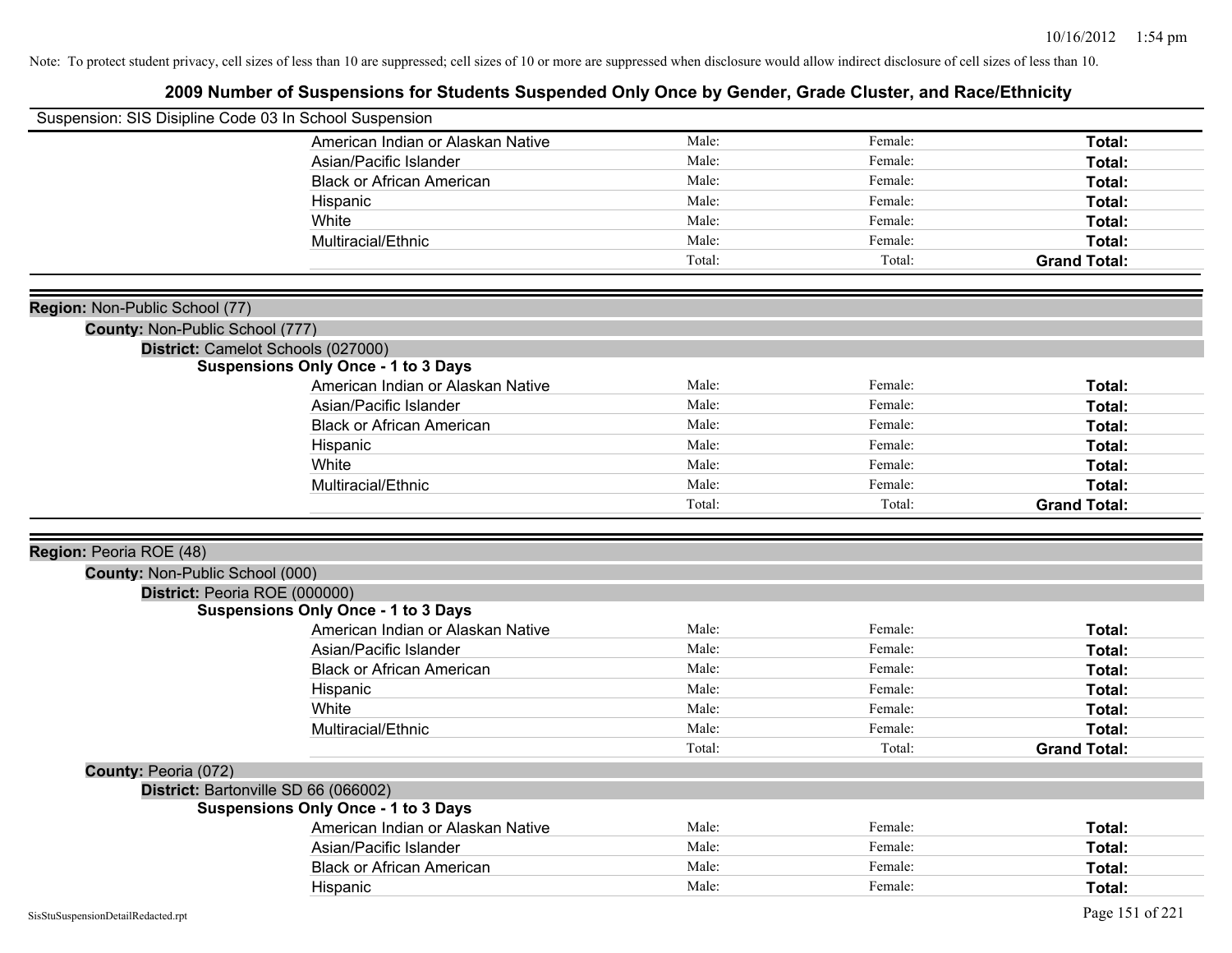| Suspension: SIS Disipline Code 03 In School Suspension |                                            |        |         |                     |
|--------------------------------------------------------|--------------------------------------------|--------|---------|---------------------|
|                                                        | American Indian or Alaskan Native          | Male:  | Female: | Total:              |
|                                                        | Asian/Pacific Islander                     | Male:  | Female: | Total:              |
|                                                        | <b>Black or African American</b>           | Male:  | Female: | Total:              |
|                                                        | Hispanic                                   | Male:  | Female: | Total:              |
|                                                        | White                                      | Male:  | Female: | Total:              |
|                                                        | Multiracial/Ethnic                         | Male:  | Female: | Total:              |
|                                                        |                                            | Total: | Total:  | <b>Grand Total:</b> |
|                                                        |                                            |        |         |                     |
| Region: Non-Public School (77)                         |                                            |        |         |                     |
| County: Non-Public School (777)                        |                                            |        |         |                     |
|                                                        | District: Camelot Schools (027000)         |        |         |                     |
|                                                        | <b>Suspensions Only Once - 1 to 3 Days</b> |        |         |                     |
|                                                        | American Indian or Alaskan Native          | Male:  | Female: | Total:              |
|                                                        | Asian/Pacific Islander                     | Male:  | Female: | Total:              |
|                                                        | <b>Black or African American</b>           | Male:  | Female: | Total:              |
|                                                        | Hispanic                                   | Male:  | Female: | Total:              |
|                                                        | White                                      | Male:  | Female: | Total:              |
|                                                        | Multiracial/Ethnic                         | Male:  | Female: | Total:              |
|                                                        |                                            | Total: | Total:  | <b>Grand Total:</b> |
|                                                        |                                            |        |         |                     |
| Region: Peoria ROE (48)                                |                                            |        |         |                     |
| County: Non-Public School (000)                        |                                            |        |         |                     |
| District: Peoria ROE (000000)                          |                                            |        |         |                     |
|                                                        | <b>Suspensions Only Once - 1 to 3 Days</b> |        |         |                     |
|                                                        | American Indian or Alaskan Native          | Male:  | Female: | Total:              |
|                                                        | Asian/Pacific Islander                     | Male:  | Female: | Total:              |
|                                                        | <b>Black or African American</b>           | Male:  | Female: | Total:              |
|                                                        | Hispanic                                   | Male:  | Female: | Total:              |
|                                                        | White                                      | Male:  | Female: | Total:              |
|                                                        | Multiracial/Ethnic                         | Male:  | Female: | Total:              |
|                                                        |                                            | Total: | Total:  | <b>Grand Total:</b> |
| County: Peoria (072)                                   |                                            |        |         |                     |
|                                                        | District: Bartonville SD 66 (066002)       |        |         |                     |
|                                                        | <b>Suspensions Only Once - 1 to 3 Days</b> |        |         |                     |
|                                                        | American Indian or Alaskan Native          | Male:  | Female: | Total:              |
|                                                        | Asian/Pacific Islander                     | Male:  | Female: | Total:              |
|                                                        | <b>Black or African American</b>           | Male:  | Female: | Total:              |
|                                                        | Hispanic                                   | Male:  | Female: |                     |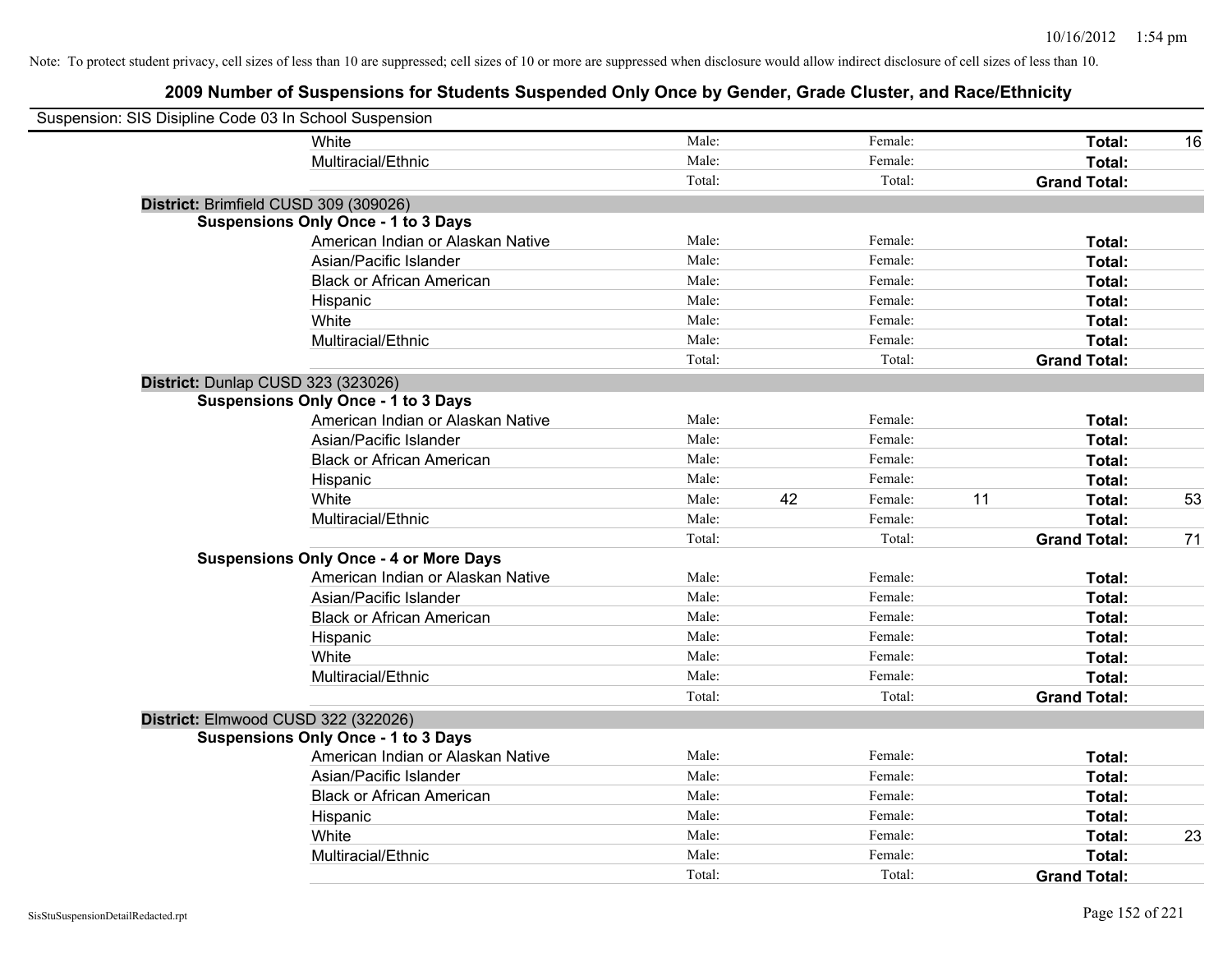| Suspension: SIS Disipline Code 03 In School Suspension |                                               |        |    |         |    |                     |    |
|--------------------------------------------------------|-----------------------------------------------|--------|----|---------|----|---------------------|----|
|                                                        | White                                         | Male:  |    | Female: |    | Total:              | 16 |
|                                                        | Multiracial/Ethnic                            | Male:  |    | Female: |    | Total:              |    |
|                                                        |                                               | Total: |    | Total:  |    | <b>Grand Total:</b> |    |
| District: Brimfield CUSD 309 (309026)                  |                                               |        |    |         |    |                     |    |
|                                                        | <b>Suspensions Only Once - 1 to 3 Days</b>    |        |    |         |    |                     |    |
|                                                        | American Indian or Alaskan Native             | Male:  |    | Female: |    | Total:              |    |
|                                                        | Asian/Pacific Islander                        | Male:  |    | Female: |    | Total:              |    |
|                                                        | <b>Black or African American</b>              | Male:  |    | Female: |    | Total:              |    |
|                                                        | Hispanic                                      | Male:  |    | Female: |    | Total:              |    |
|                                                        | White                                         | Male:  |    | Female: |    | Total:              |    |
|                                                        | Multiracial/Ethnic                            | Male:  |    | Female: |    | Total:              |    |
|                                                        |                                               | Total: |    | Total:  |    | <b>Grand Total:</b> |    |
| District: Dunlap CUSD 323 (323026)                     |                                               |        |    |         |    |                     |    |
|                                                        | <b>Suspensions Only Once - 1 to 3 Days</b>    |        |    |         |    |                     |    |
|                                                        | American Indian or Alaskan Native             | Male:  |    | Female: |    | Total:              |    |
|                                                        | Asian/Pacific Islander                        | Male:  |    | Female: |    | Total:              |    |
|                                                        | <b>Black or African American</b>              | Male:  |    | Female: |    | Total:              |    |
|                                                        | Hispanic                                      | Male:  |    | Female: |    | Total:              |    |
|                                                        | White                                         | Male:  | 42 | Female: | 11 | Total:              | 53 |
|                                                        | Multiracial/Ethnic                            | Male:  |    | Female: |    | Total:              |    |
|                                                        |                                               | Total: |    | Total:  |    | <b>Grand Total:</b> | 71 |
|                                                        | <b>Suspensions Only Once - 4 or More Days</b> |        |    |         |    |                     |    |
|                                                        | American Indian or Alaskan Native             | Male:  |    | Female: |    | Total:              |    |
|                                                        | Asian/Pacific Islander                        | Male:  |    | Female: |    | Total:              |    |
|                                                        | <b>Black or African American</b>              | Male:  |    | Female: |    | Total:              |    |
|                                                        | Hispanic                                      | Male:  |    | Female: |    | Total:              |    |
|                                                        | White                                         | Male:  |    | Female: |    | Total:              |    |
|                                                        | Multiracial/Ethnic                            | Male:  |    | Female: |    | Total:              |    |
|                                                        |                                               | Total: |    | Total:  |    | <b>Grand Total:</b> |    |
| District: Elmwood CUSD 322 (322026)                    |                                               |        |    |         |    |                     |    |
|                                                        | <b>Suspensions Only Once - 1 to 3 Days</b>    |        |    |         |    |                     |    |
|                                                        | American Indian or Alaskan Native             | Male:  |    | Female: |    | Total:              |    |
|                                                        | Asian/Pacific Islander                        | Male:  |    | Female: |    | Total:              |    |
|                                                        | <b>Black or African American</b>              | Male:  |    | Female: |    | Total:              |    |
|                                                        | Hispanic                                      | Male:  |    | Female: |    | Total:              |    |
|                                                        | White                                         | Male:  |    | Female: |    | Total:              | 23 |
|                                                        | Multiracial/Ethnic                            | Male:  |    | Female: |    | Total:              |    |
|                                                        |                                               | Total: |    | Total:  |    | <b>Grand Total:</b> |    |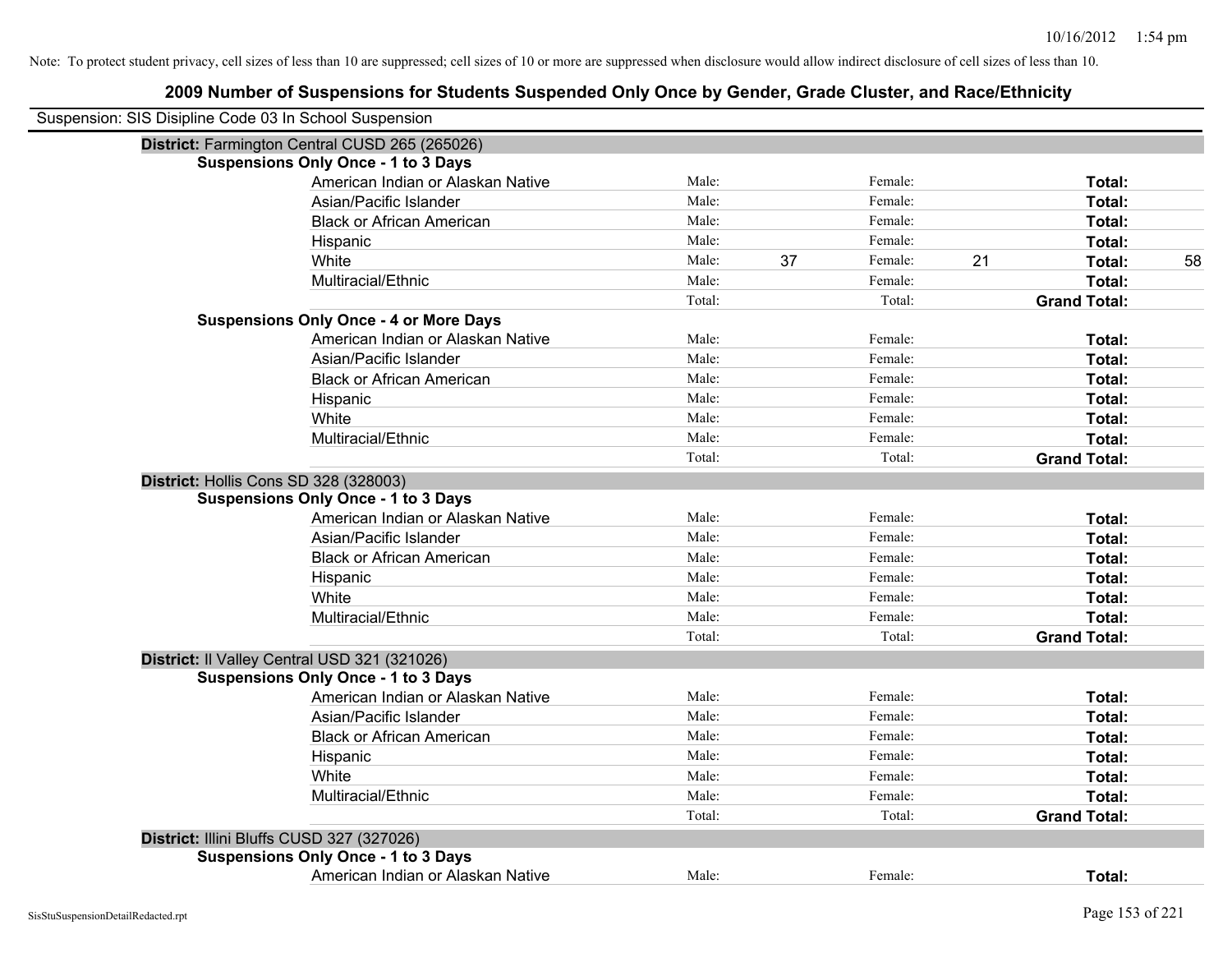| Suspension: SIS Disipline Code 03 In School Suspension |                                                |        |    |         |    |                     |    |
|--------------------------------------------------------|------------------------------------------------|--------|----|---------|----|---------------------|----|
|                                                        | District: Farmington Central CUSD 265 (265026) |        |    |         |    |                     |    |
|                                                        | <b>Suspensions Only Once - 1 to 3 Days</b>     |        |    |         |    |                     |    |
|                                                        | American Indian or Alaskan Native              | Male:  |    | Female: |    | Total:              |    |
|                                                        | Asian/Pacific Islander                         | Male:  |    | Female: |    | Total:              |    |
|                                                        | <b>Black or African American</b>               | Male:  |    | Female: |    | Total:              |    |
|                                                        | Hispanic                                       | Male:  |    | Female: |    | Total:              |    |
|                                                        | White                                          | Male:  | 37 | Female: | 21 | Total:              | 58 |
|                                                        | Multiracial/Ethnic                             | Male:  |    | Female: |    | Total:              |    |
|                                                        |                                                | Total: |    | Total:  |    | <b>Grand Total:</b> |    |
|                                                        | <b>Suspensions Only Once - 4 or More Days</b>  |        |    |         |    |                     |    |
|                                                        | American Indian or Alaskan Native              | Male:  |    | Female: |    | Total:              |    |
|                                                        | Asian/Pacific Islander                         | Male:  |    | Female: |    | Total:              |    |
|                                                        | <b>Black or African American</b>               | Male:  |    | Female: |    | Total:              |    |
|                                                        | Hispanic                                       | Male:  |    | Female: |    | Total:              |    |
|                                                        | White                                          | Male:  |    | Female: |    | Total:              |    |
|                                                        | Multiracial/Ethnic                             | Male:  |    | Female: |    | Total:              |    |
|                                                        |                                                | Total: |    | Total:  |    | <b>Grand Total:</b> |    |
|                                                        | District: Hollis Cons SD 328 (328003)          |        |    |         |    |                     |    |
|                                                        | <b>Suspensions Only Once - 1 to 3 Days</b>     |        |    |         |    |                     |    |
|                                                        | American Indian or Alaskan Native              | Male:  |    | Female: |    | Total:              |    |
|                                                        | Asian/Pacific Islander                         | Male:  |    | Female: |    | Total:              |    |
|                                                        | <b>Black or African American</b>               | Male:  |    | Female: |    | Total:              |    |
|                                                        | Hispanic                                       | Male:  |    | Female: |    | Total:              |    |
|                                                        | White                                          | Male:  |    | Female: |    | Total:              |    |
|                                                        | Multiracial/Ethnic                             | Male:  |    | Female: |    | Total:              |    |
|                                                        |                                                | Total: |    | Total:  |    | <b>Grand Total:</b> |    |
|                                                        | District: Il Valley Central USD 321 (321026)   |        |    |         |    |                     |    |
|                                                        | <b>Suspensions Only Once - 1 to 3 Days</b>     |        |    |         |    |                     |    |
|                                                        | American Indian or Alaskan Native              | Male:  |    | Female: |    | Total:              |    |
|                                                        | Asian/Pacific Islander                         | Male:  |    | Female: |    | Total:              |    |
|                                                        | <b>Black or African American</b>               | Male:  |    | Female: |    | Total:              |    |
|                                                        | Hispanic                                       | Male:  |    | Female: |    | Total:              |    |
|                                                        | White                                          | Male:  |    | Female: |    | Total:              |    |
|                                                        | Multiracial/Ethnic                             | Male:  |    | Female: |    | Total:              |    |
|                                                        |                                                | Total: |    | Total:  |    | <b>Grand Total:</b> |    |
|                                                        | District: Illini Bluffs CUSD 327 (327026)      |        |    |         |    |                     |    |
|                                                        | <b>Suspensions Only Once - 1 to 3 Days</b>     |        |    |         |    |                     |    |
|                                                        | American Indian or Alaskan Native              | Male:  |    | Female: |    | Total:              |    |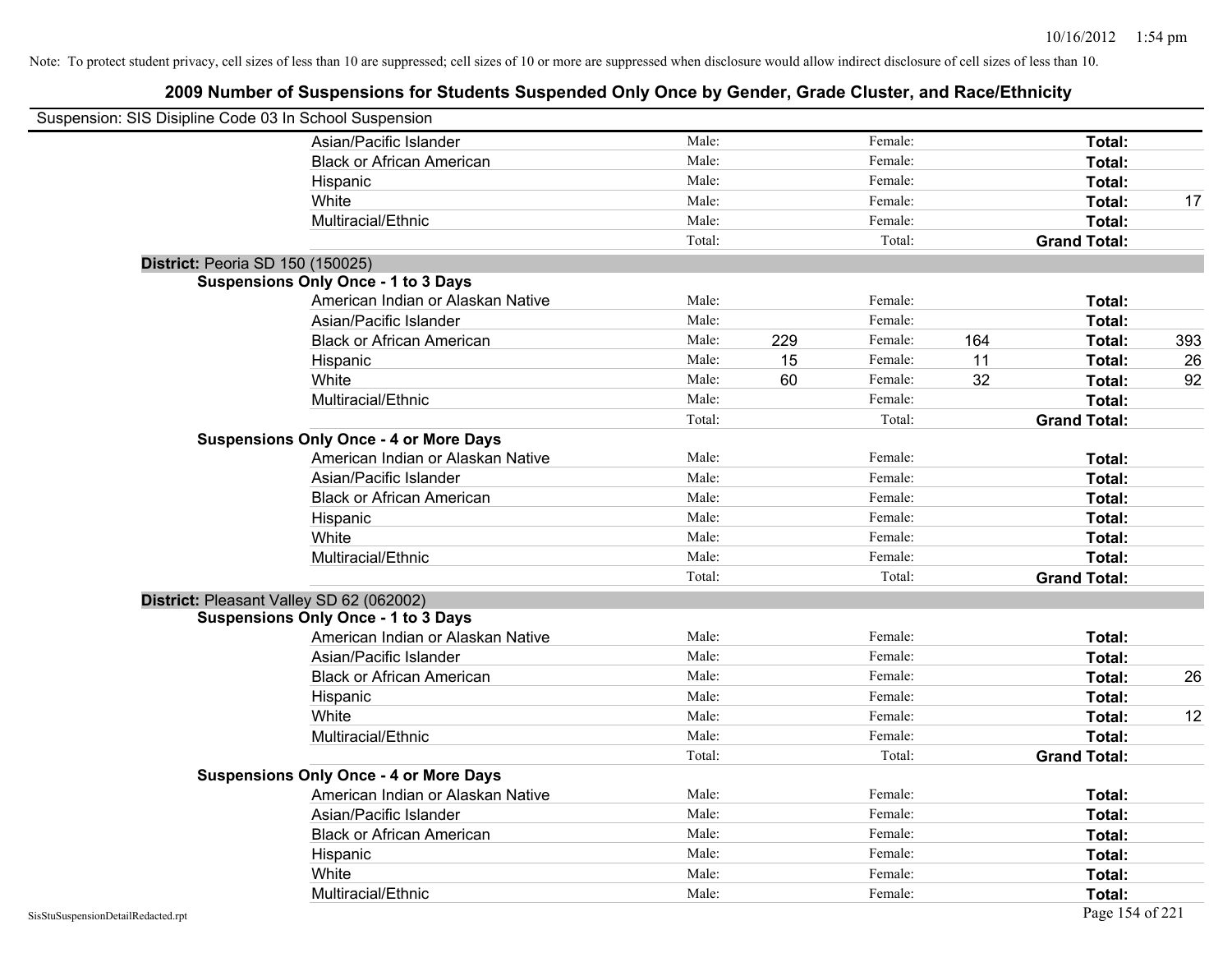| Suspension: SIS Disipline Code 03 In School Suspension |                                               |        |     |         |     |                     |     |
|--------------------------------------------------------|-----------------------------------------------|--------|-----|---------|-----|---------------------|-----|
|                                                        | Asian/Pacific Islander                        | Male:  |     | Female: |     | Total:              |     |
|                                                        | <b>Black or African American</b>              | Male:  |     | Female: |     | Total:              |     |
|                                                        | Hispanic                                      | Male:  |     | Female: |     | Total:              |     |
|                                                        | White                                         | Male:  |     | Female: |     | Total:              | 17  |
|                                                        | Multiracial/Ethnic                            | Male:  |     | Female: |     | Total:              |     |
|                                                        |                                               | Total: |     | Total:  |     | <b>Grand Total:</b> |     |
| District: Peoria SD 150 (150025)                       |                                               |        |     |         |     |                     |     |
|                                                        | <b>Suspensions Only Once - 1 to 3 Days</b>    |        |     |         |     |                     |     |
|                                                        | American Indian or Alaskan Native             | Male:  |     | Female: |     | Total:              |     |
|                                                        | Asian/Pacific Islander                        | Male:  |     | Female: |     | Total:              |     |
|                                                        | <b>Black or African American</b>              | Male:  | 229 | Female: | 164 | Total:              | 393 |
|                                                        | Hispanic                                      | Male:  | 15  | Female: | 11  | Total:              | 26  |
|                                                        | White                                         | Male:  | 60  | Female: | 32  | Total:              | 92  |
|                                                        | Multiracial/Ethnic                            | Male:  |     | Female: |     | Total:              |     |
|                                                        |                                               | Total: |     | Total:  |     | <b>Grand Total:</b> |     |
|                                                        | <b>Suspensions Only Once - 4 or More Days</b> |        |     |         |     |                     |     |
|                                                        | American Indian or Alaskan Native             | Male:  |     | Female: |     | Total:              |     |
|                                                        | Asian/Pacific Islander                        | Male:  |     | Female: |     | Total:              |     |
|                                                        | <b>Black or African American</b>              | Male:  |     | Female: |     | Total:              |     |
|                                                        | Hispanic                                      | Male:  |     | Female: |     | Total:              |     |
|                                                        | White                                         | Male:  |     | Female: |     | Total:              |     |
|                                                        | Multiracial/Ethnic                            | Male:  |     | Female: |     | Total:              |     |
|                                                        |                                               | Total: |     | Total:  |     | <b>Grand Total:</b> |     |
| District: Pleasant Valley SD 62 (062002)               |                                               |        |     |         |     |                     |     |
|                                                        | <b>Suspensions Only Once - 1 to 3 Days</b>    |        |     |         |     |                     |     |
|                                                        | American Indian or Alaskan Native             | Male:  |     | Female: |     | Total:              |     |
|                                                        | Asian/Pacific Islander                        | Male:  |     | Female: |     | Total:              |     |
|                                                        | <b>Black or African American</b>              | Male:  |     | Female: |     | Total:              | 26  |
|                                                        | Hispanic                                      | Male:  |     | Female: |     | Total:              |     |
|                                                        | White                                         | Male:  |     | Female: |     | Total:              | 12  |
|                                                        | Multiracial/Ethnic                            | Male:  |     | Female: |     | Total:              |     |
|                                                        |                                               | Total: |     | Total:  |     | <b>Grand Total:</b> |     |
|                                                        | <b>Suspensions Only Once - 4 or More Days</b> |        |     |         |     |                     |     |
|                                                        | American Indian or Alaskan Native             | Male:  |     | Female: |     | Total:              |     |
|                                                        | Asian/Pacific Islander                        | Male:  |     | Female: |     | Total:              |     |
|                                                        | <b>Black or African American</b>              | Male:  |     | Female: |     | Total:              |     |
|                                                        | Hispanic                                      | Male:  |     | Female: |     | Total:              |     |
|                                                        | White                                         | Male:  |     | Female: |     | Total:              |     |
|                                                        | Multiracial/Ethnic                            | Male:  |     | Female: |     | Total:              |     |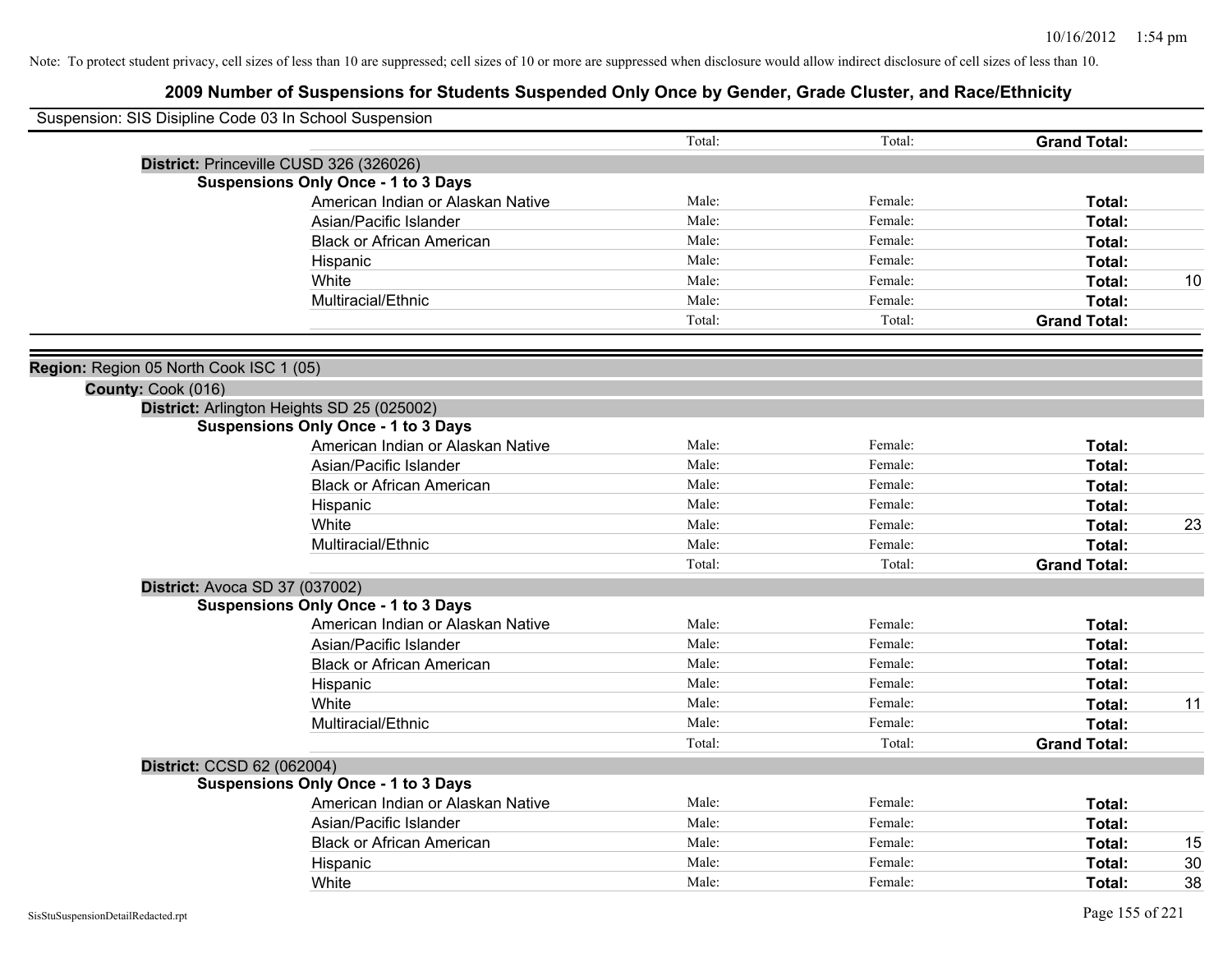| Suspension: SIS Disipline Code 03 In School Suspension |                                            |        |         |                     |    |
|--------------------------------------------------------|--------------------------------------------|--------|---------|---------------------|----|
|                                                        |                                            | Total: | Total:  | <b>Grand Total:</b> |    |
|                                                        | District: Princeville CUSD 326 (326026)    |        |         |                     |    |
|                                                        | <b>Suspensions Only Once - 1 to 3 Days</b> |        |         |                     |    |
|                                                        | American Indian or Alaskan Native          | Male:  | Female: | Total:              |    |
|                                                        | Asian/Pacific Islander                     | Male:  | Female: | Total:              |    |
|                                                        | <b>Black or African American</b>           | Male:  | Female: | Total:              |    |
|                                                        | Hispanic                                   | Male:  | Female: | Total:              |    |
|                                                        | White                                      | Male:  | Female: | Total:              | 10 |
|                                                        | Multiracial/Ethnic                         | Male:  | Female: | Total:              |    |
|                                                        |                                            | Total: | Total:  | <b>Grand Total:</b> |    |
| Region: Region 05 North Cook ISC 1 (05)                |                                            |        |         |                     |    |
| County: Cook (016)                                     |                                            |        |         |                     |    |
|                                                        | District: Arlington Heights SD 25 (025002) |        |         |                     |    |
|                                                        | <b>Suspensions Only Once - 1 to 3 Days</b> |        |         |                     |    |
|                                                        | American Indian or Alaskan Native          | Male:  | Female: | Total:              |    |
|                                                        | Asian/Pacific Islander                     | Male:  | Female: | Total:              |    |
|                                                        | <b>Black or African American</b>           | Male:  | Female: | Total:              |    |
|                                                        | Hispanic                                   | Male:  | Female: | Total:              |    |
|                                                        | White                                      | Male:  | Female: | Total:              | 23 |
|                                                        | Multiracial/Ethnic                         | Male:  | Female: | Total:              |    |
|                                                        |                                            | Total: | Total:  | <b>Grand Total:</b> |    |
|                                                        | <b>District: Avoca SD 37 (037002)</b>      |        |         |                     |    |
|                                                        | <b>Suspensions Only Once - 1 to 3 Days</b> |        |         |                     |    |
|                                                        | American Indian or Alaskan Native          | Male:  | Female: | Total:              |    |
|                                                        | Asian/Pacific Islander                     | Male:  | Female: | Total:              |    |
|                                                        | <b>Black or African American</b>           | Male:  | Female: | Total:              |    |
|                                                        | Hispanic                                   | Male:  | Female: | Total:              |    |
|                                                        | White                                      | Male:  | Female: | Total:              | 11 |
|                                                        | Multiracial/Ethnic                         | Male:  | Female: | Total:              |    |
|                                                        |                                            | Total: | Total:  | <b>Grand Total:</b> |    |
| District: CCSD 62 (062004)                             |                                            |        |         |                     |    |
|                                                        | <b>Suspensions Only Once - 1 to 3 Days</b> |        |         |                     |    |
|                                                        | American Indian or Alaskan Native          | Male:  | Female: | Total:              |    |
|                                                        | Asian/Pacific Islander                     | Male:  | Female: | Total:              |    |
|                                                        | <b>Black or African American</b>           | Male:  | Female: | Total:              | 15 |
|                                                        | Hispanic                                   | Male:  | Female: | <b>Total:</b>       | 30 |
|                                                        | White                                      | Male:  | Female: | Total:              | 38 |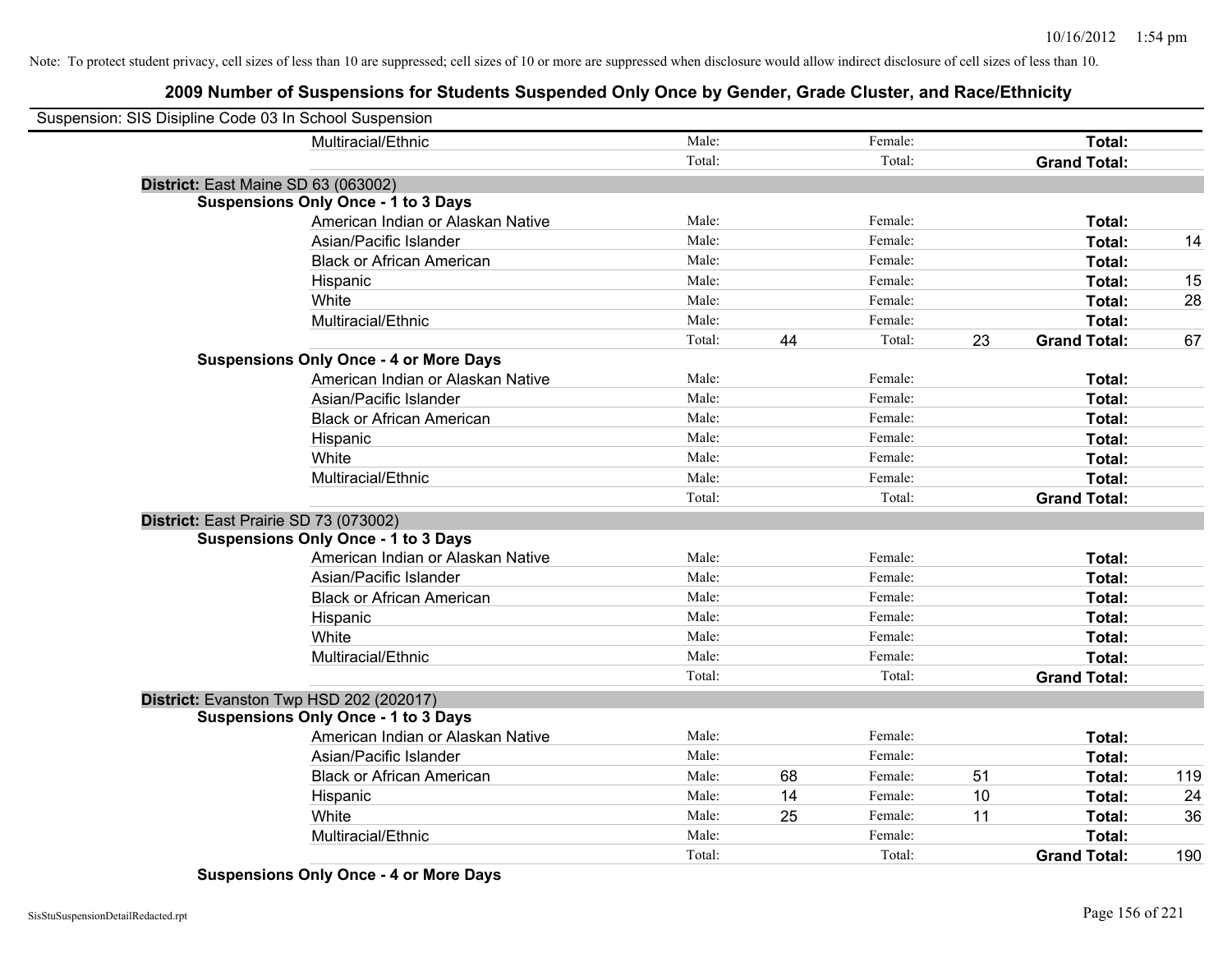# **2009 Number of Suspensions for Students Suspended Only Once by Gender, Grade Cluster, and Race/Ethnicity**

| Suspension: SIS Disipline Code 03 In School Suspension |                                               |        |    |         |    |                     |     |
|--------------------------------------------------------|-----------------------------------------------|--------|----|---------|----|---------------------|-----|
|                                                        | Multiracial/Ethnic                            | Male:  |    | Female: |    | Total:              |     |
|                                                        |                                               | Total: |    | Total:  |    | <b>Grand Total:</b> |     |
| District: East Maine SD 63 (063002)                    |                                               |        |    |         |    |                     |     |
|                                                        | <b>Suspensions Only Once - 1 to 3 Days</b>    |        |    |         |    |                     |     |
|                                                        | American Indian or Alaskan Native             | Male:  |    | Female: |    | Total:              |     |
|                                                        | Asian/Pacific Islander                        | Male:  |    | Female: |    | Total:              | 14  |
|                                                        | <b>Black or African American</b>              | Male:  |    | Female: |    | Total:              |     |
|                                                        | Hispanic                                      | Male:  |    | Female: |    | Total:              | 15  |
|                                                        | White                                         | Male:  |    | Female: |    | Total:              | 28  |
|                                                        | Multiracial/Ethnic                            | Male:  |    | Female: |    | Total:              |     |
|                                                        |                                               | Total: | 44 | Total:  | 23 | <b>Grand Total:</b> | 67  |
|                                                        | <b>Suspensions Only Once - 4 or More Days</b> |        |    |         |    |                     |     |
|                                                        | American Indian or Alaskan Native             | Male:  |    | Female: |    | Total:              |     |
|                                                        | Asian/Pacific Islander                        | Male:  |    | Female: |    | Total:              |     |
|                                                        | <b>Black or African American</b>              | Male:  |    | Female: |    | Total:              |     |
|                                                        | Hispanic                                      | Male:  |    | Female: |    | Total:              |     |
|                                                        | White                                         | Male:  |    | Female: |    | Total:              |     |
|                                                        | Multiracial/Ethnic                            | Male:  |    | Female: |    | Total:              |     |
|                                                        |                                               | Total: |    | Total:  |    | <b>Grand Total:</b> |     |
| District: East Prairie SD 73 (073002)                  |                                               |        |    |         |    |                     |     |
|                                                        | <b>Suspensions Only Once - 1 to 3 Days</b>    |        |    |         |    |                     |     |
|                                                        | American Indian or Alaskan Native             | Male:  |    | Female: |    | Total:              |     |
|                                                        | Asian/Pacific Islander                        | Male:  |    | Female: |    | Total:              |     |
|                                                        | <b>Black or African American</b>              | Male:  |    | Female: |    | Total:              |     |
|                                                        | Hispanic                                      | Male:  |    | Female: |    | Total:              |     |
|                                                        | White                                         | Male:  |    | Female: |    | Total:              |     |
|                                                        | Multiracial/Ethnic                            | Male:  |    | Female: |    | Total:              |     |
|                                                        |                                               | Total: |    | Total:  |    | <b>Grand Total:</b> |     |
| District: Evanston Twp HSD 202 (202017)                |                                               |        |    |         |    |                     |     |
|                                                        | <b>Suspensions Only Once - 1 to 3 Days</b>    |        |    |         |    |                     |     |
|                                                        | American Indian or Alaskan Native             | Male:  |    | Female: |    | Total:              |     |
|                                                        | Asian/Pacific Islander                        | Male:  |    | Female: |    | Total:              |     |
|                                                        | <b>Black or African American</b>              | Male:  | 68 | Female: | 51 | Total:              | 119 |
|                                                        | Hispanic                                      | Male:  | 14 | Female: | 10 | Total:              | 24  |
|                                                        | White                                         | Male:  | 25 | Female: | 11 | Total:              | 36  |
|                                                        | Multiracial/Ethnic                            | Male:  |    | Female: |    | Total:              |     |
|                                                        |                                               | Total: |    | Total:  |    | <b>Grand Total:</b> | 190 |

**Suspensions Only Once - 4 or More Days**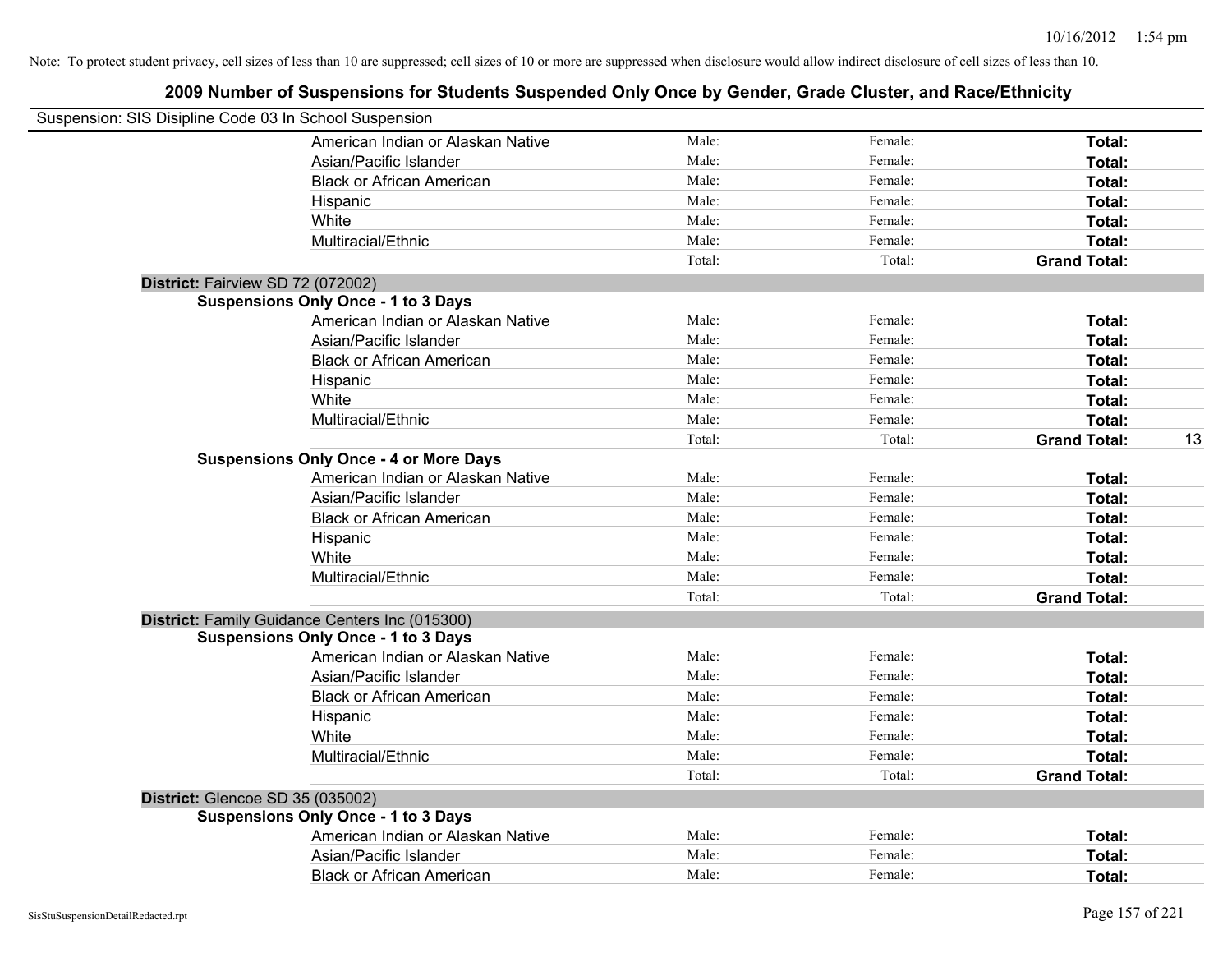| Suspension: SIS Disipline Code 03 In School Suspension |        |         |                     |    |
|--------------------------------------------------------|--------|---------|---------------------|----|
| American Indian or Alaskan Native                      | Male:  | Female: | Total:              |    |
| Asian/Pacific Islander                                 | Male:  | Female: | Total:              |    |
| <b>Black or African American</b>                       | Male:  | Female: | Total:              |    |
| Hispanic                                               | Male:  | Female: | Total:              |    |
| White                                                  | Male:  | Female: | Total:              |    |
| Multiracial/Ethnic                                     | Male:  | Female: | Total:              |    |
|                                                        | Total: | Total:  | <b>Grand Total:</b> |    |
| District: Fairview SD 72 (072002)                      |        |         |                     |    |
| <b>Suspensions Only Once - 1 to 3 Days</b>             |        |         |                     |    |
| American Indian or Alaskan Native                      | Male:  | Female: | Total:              |    |
| Asian/Pacific Islander                                 | Male:  | Female: | Total:              |    |
| <b>Black or African American</b>                       | Male:  | Female: | Total:              |    |
| Hispanic                                               | Male:  | Female: | Total:              |    |
| White                                                  | Male:  | Female: | Total:              |    |
| Multiracial/Ethnic                                     | Male:  | Female: | Total:              |    |
|                                                        | Total: | Total:  | <b>Grand Total:</b> | 13 |
| <b>Suspensions Only Once - 4 or More Days</b>          |        |         |                     |    |
| American Indian or Alaskan Native                      | Male:  | Female: | Total:              |    |
| Asian/Pacific Islander                                 | Male:  | Female: | Total:              |    |
| <b>Black or African American</b>                       | Male:  | Female: | Total:              |    |
| Hispanic                                               | Male:  | Female: | Total:              |    |
| White                                                  | Male:  | Female: | Total:              |    |
| Multiracial/Ethnic                                     | Male:  | Female: | Total:              |    |
|                                                        | Total: | Total:  | <b>Grand Total:</b> |    |
| District: Family Guidance Centers Inc (015300)         |        |         |                     |    |
| <b>Suspensions Only Once - 1 to 3 Days</b>             |        |         |                     |    |
| American Indian or Alaskan Native                      | Male:  | Female: | Total:              |    |
| Asian/Pacific Islander                                 | Male:  | Female: | Total:              |    |
| <b>Black or African American</b>                       | Male:  | Female: | Total:              |    |
| Hispanic                                               | Male:  | Female: | Total:              |    |
| White                                                  | Male:  | Female: | Total:              |    |
| Multiracial/Ethnic                                     | Male:  | Female: | Total:              |    |
|                                                        | Total: | Total:  | <b>Grand Total:</b> |    |
| District: Glencoe SD 35 (035002)                       |        |         |                     |    |
| <b>Suspensions Only Once - 1 to 3 Days</b>             |        |         |                     |    |
| American Indian or Alaskan Native                      | Male:  | Female: | Total:              |    |
| Asian/Pacific Islander                                 | Male:  | Female: | <b>Total:</b>       |    |
| <b>Black or African American</b>                       | Male:  | Female: | Total:              |    |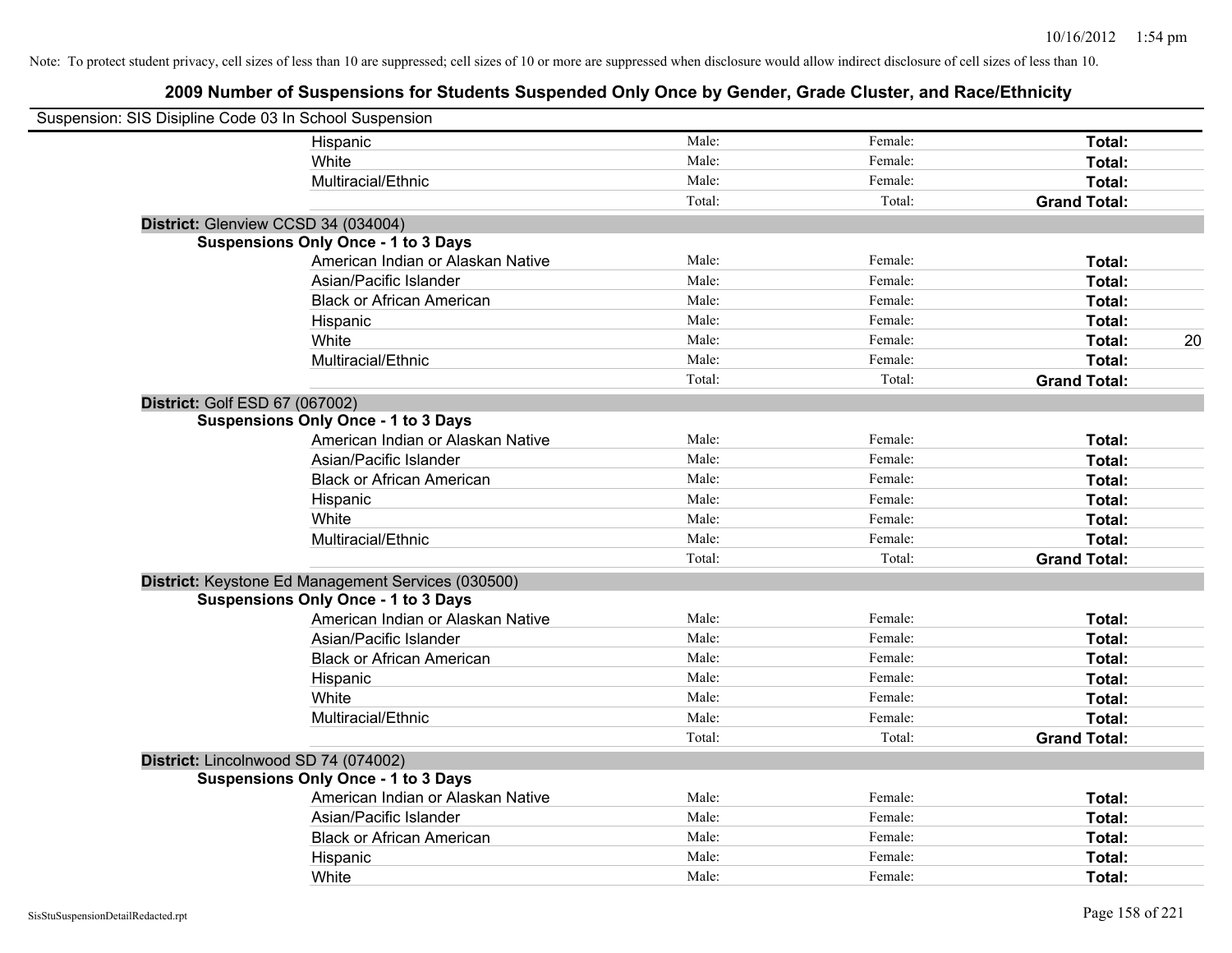| Suspension: SIS Disipline Code 03 In School Suspension |                                                    |        |         |                     |
|--------------------------------------------------------|----------------------------------------------------|--------|---------|---------------------|
|                                                        | Hispanic                                           | Male:  | Female: | Total:              |
|                                                        | White                                              | Male:  | Female: | Total:              |
|                                                        | Multiracial/Ethnic                                 | Male:  | Female: | Total:              |
|                                                        |                                                    | Total: | Total:  | <b>Grand Total:</b> |
| District: Glenview CCSD 34 (034004)                    |                                                    |        |         |                     |
|                                                        | <b>Suspensions Only Once - 1 to 3 Days</b>         |        |         |                     |
|                                                        | American Indian or Alaskan Native                  | Male:  | Female: | Total:              |
|                                                        | Asian/Pacific Islander                             | Male:  | Female: | Total:              |
|                                                        | <b>Black or African American</b>                   | Male:  | Female: | Total:              |
|                                                        | Hispanic                                           | Male:  | Female: | Total:              |
|                                                        | White                                              | Male:  | Female: | 20<br>Total:        |
|                                                        | Multiracial/Ethnic                                 | Male:  | Female: | Total:              |
|                                                        |                                                    | Total: | Total:  | <b>Grand Total:</b> |
| District: Golf ESD 67 (067002)                         |                                                    |        |         |                     |
|                                                        | <b>Suspensions Only Once - 1 to 3 Days</b>         |        |         |                     |
|                                                        | American Indian or Alaskan Native                  | Male:  | Female: | Total:              |
|                                                        | Asian/Pacific Islander                             | Male:  | Female: | Total:              |
|                                                        | <b>Black or African American</b>                   | Male:  | Female: | Total:              |
|                                                        | Hispanic                                           | Male:  | Female: | Total:              |
|                                                        | White                                              | Male:  | Female: | Total:              |
|                                                        | Multiracial/Ethnic                                 | Male:  | Female: | Total:              |
|                                                        |                                                    | Total: | Total:  | <b>Grand Total:</b> |
|                                                        | District: Keystone Ed Management Services (030500) |        |         |                     |
|                                                        | <b>Suspensions Only Once - 1 to 3 Days</b>         |        |         |                     |
|                                                        | American Indian or Alaskan Native                  | Male:  | Female: | Total:              |
|                                                        | Asian/Pacific Islander                             | Male:  | Female: | Total:              |
|                                                        | <b>Black or African American</b>                   | Male:  | Female: | Total:              |
|                                                        | Hispanic                                           | Male:  | Female: | Total:              |
|                                                        | White                                              | Male:  | Female: | Total:              |
|                                                        | Multiracial/Ethnic                                 | Male:  | Female: | Total:              |
|                                                        |                                                    | Total: | Total:  | <b>Grand Total:</b> |
| District: Lincolnwood SD 74 (074002)                   |                                                    |        |         |                     |
|                                                        | <b>Suspensions Only Once - 1 to 3 Days</b>         |        |         |                     |
|                                                        | American Indian or Alaskan Native                  | Male:  | Female: | Total:              |
|                                                        | Asian/Pacific Islander                             | Male:  | Female: | Total:              |
|                                                        | <b>Black or African American</b>                   | Male:  | Female: | Total:              |
|                                                        | Hispanic                                           | Male:  | Female: | Total:              |
|                                                        | White                                              | Male:  | Female: | Total:              |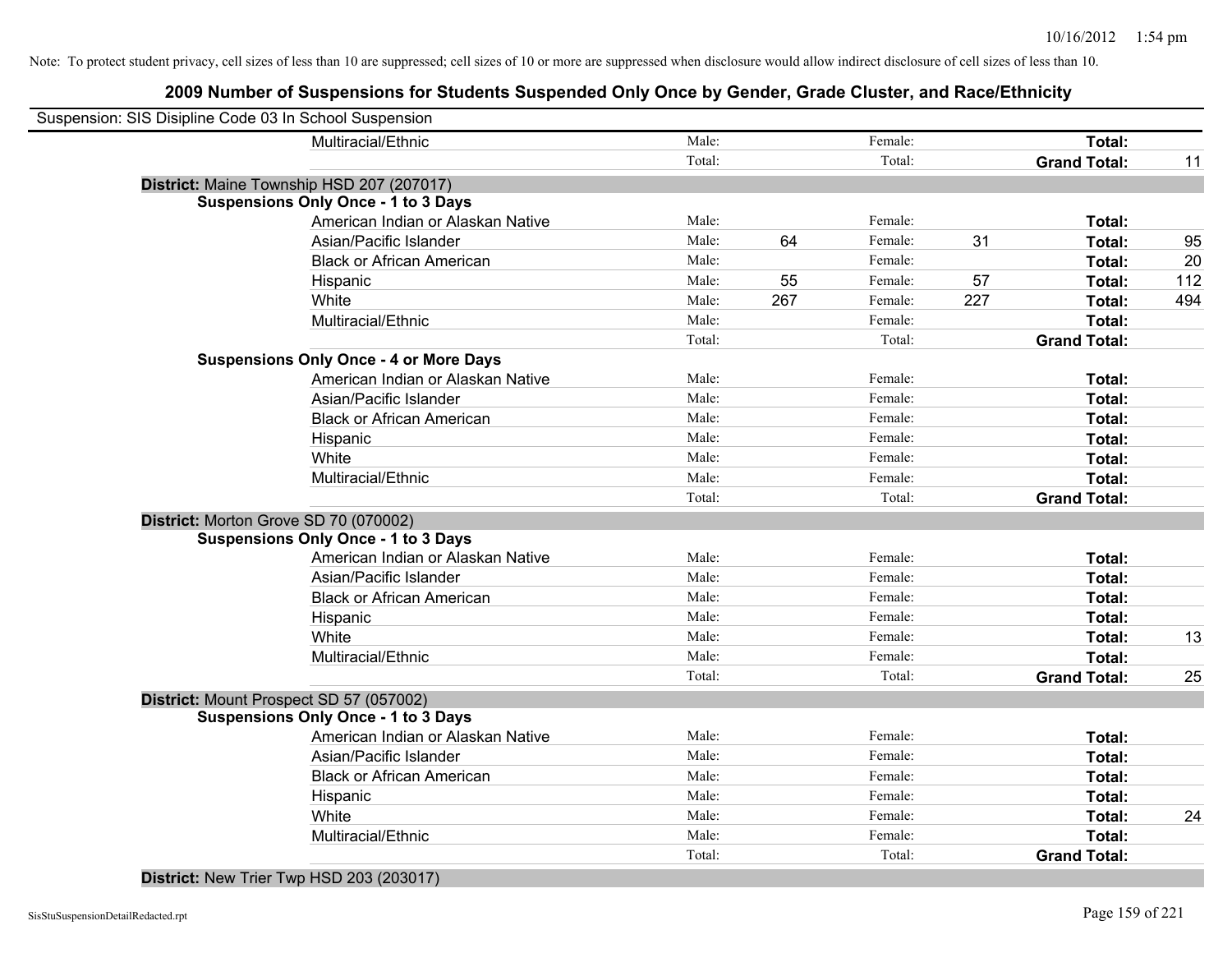# **2009 Number of Suspensions for Students Suspended Only Once by Gender, Grade Cluster, and Race/Ethnicity**

| Suspension: SIS Disipline Code 03 In School Suspension |        |     |         |     |                     |     |
|--------------------------------------------------------|--------|-----|---------|-----|---------------------|-----|
| Multiracial/Ethnic                                     | Male:  |     | Female: |     | Total:              |     |
|                                                        | Total: |     | Total:  |     | <b>Grand Total:</b> | 11  |
| District: Maine Township HSD 207 (207017)              |        |     |         |     |                     |     |
| <b>Suspensions Only Once - 1 to 3 Days</b>             |        |     |         |     |                     |     |
| American Indian or Alaskan Native                      | Male:  |     | Female: |     | Total:              |     |
| Asian/Pacific Islander                                 | Male:  | 64  | Female: | 31  | Total:              | 95  |
| <b>Black or African American</b>                       | Male:  |     | Female: |     | Total:              | 20  |
| Hispanic                                               | Male:  | 55  | Female: | 57  | Total:              | 112 |
| White                                                  | Male:  | 267 | Female: | 227 | Total:              | 494 |
| Multiracial/Ethnic                                     | Male:  |     | Female: |     | Total:              |     |
|                                                        | Total: |     | Total:  |     | <b>Grand Total:</b> |     |
| <b>Suspensions Only Once - 4 or More Days</b>          |        |     |         |     |                     |     |
| American Indian or Alaskan Native                      | Male:  |     | Female: |     | Total:              |     |
| Asian/Pacific Islander                                 | Male:  |     | Female: |     | Total:              |     |
| <b>Black or African American</b>                       | Male:  |     | Female: |     | Total:              |     |
| Hispanic                                               | Male:  |     | Female: |     | Total:              |     |
| White                                                  | Male:  |     | Female: |     | Total:              |     |
| Multiracial/Ethnic                                     | Male:  |     | Female: |     | Total:              |     |
|                                                        | Total: |     | Total:  |     | <b>Grand Total:</b> |     |
| District: Morton Grove SD 70 (070002)                  |        |     |         |     |                     |     |
| <b>Suspensions Only Once - 1 to 3 Days</b>             |        |     |         |     |                     |     |
| American Indian or Alaskan Native                      | Male:  |     | Female: |     | Total:              |     |
| Asian/Pacific Islander                                 | Male:  |     | Female: |     | Total:              |     |
| <b>Black or African American</b>                       | Male:  |     | Female: |     | Total:              |     |
| Hispanic                                               | Male:  |     | Female: |     | Total:              |     |
| White                                                  | Male:  |     | Female: |     | Total:              | 13  |
| Multiracial/Ethnic                                     | Male:  |     | Female: |     | <b>Total:</b>       |     |
|                                                        | Total: |     | Total:  |     | <b>Grand Total:</b> | 25  |
| District: Mount Prospect SD 57 (057002)                |        |     |         |     |                     |     |
| <b>Suspensions Only Once - 1 to 3 Days</b>             |        |     |         |     |                     |     |
| American Indian or Alaskan Native                      | Male:  |     | Female: |     | Total:              |     |
| Asian/Pacific Islander                                 | Male:  |     | Female: |     | Total:              |     |
| <b>Black or African American</b>                       | Male:  |     | Female: |     | Total:              |     |
| Hispanic                                               | Male:  |     | Female: |     | Total:              |     |
| White                                                  | Male:  |     | Female: |     | Total:              | 24  |
| Multiracial/Ethnic                                     | Male:  |     | Female: |     | Total:              |     |
|                                                        | Total: |     | Total:  |     | <b>Grand Total:</b> |     |
|                                                        |        |     |         |     |                     |     |

**District:** New Trier Twp HSD 203 (203017)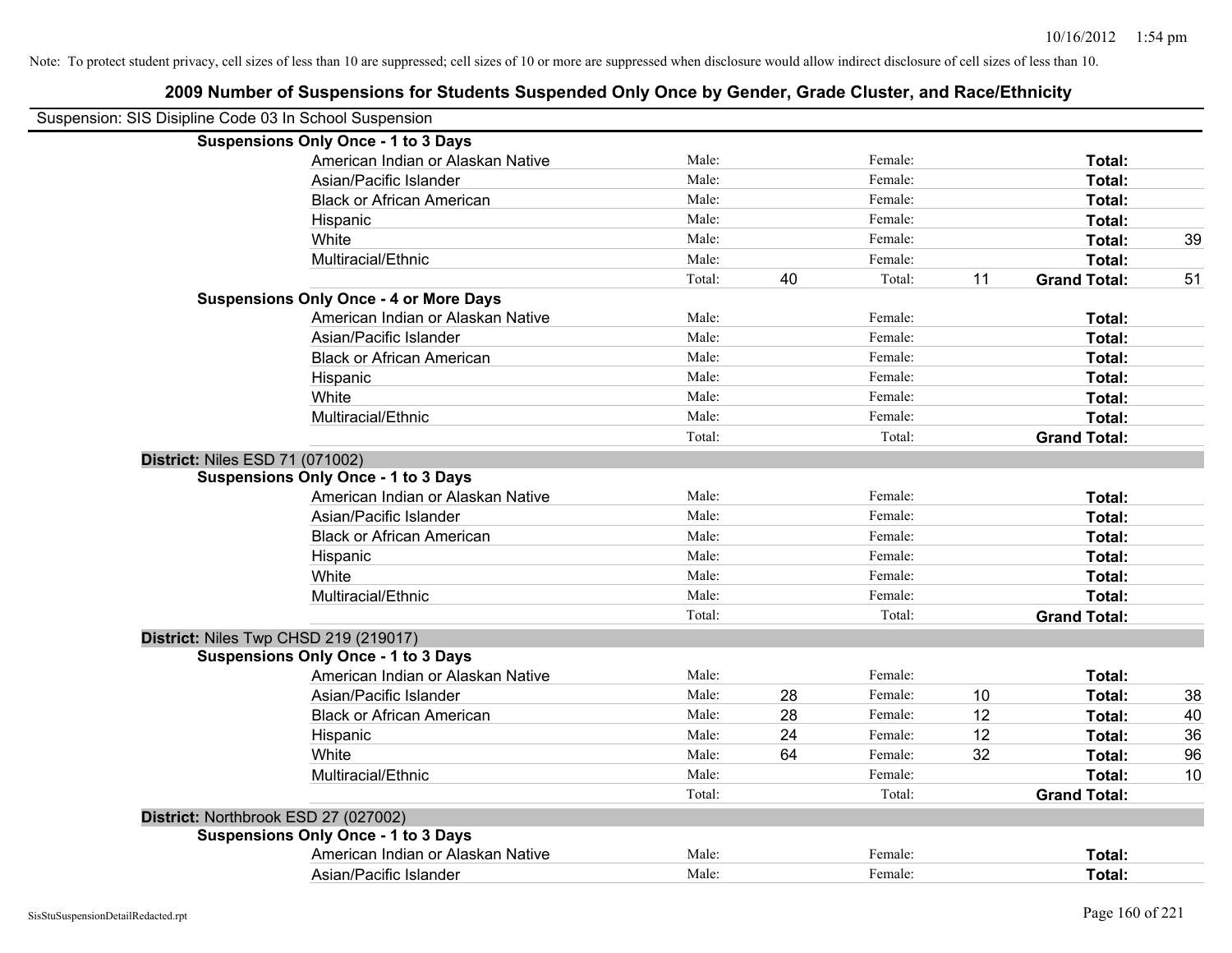| Suspension: SIS Disipline Code 03 In School Suspension |        |    |         |    |                     |    |
|--------------------------------------------------------|--------|----|---------|----|---------------------|----|
| <b>Suspensions Only Once - 1 to 3 Days</b>             |        |    |         |    |                     |    |
| American Indian or Alaskan Native                      | Male:  |    | Female: |    | Total:              |    |
| Asian/Pacific Islander                                 | Male:  |    | Female: |    | Total:              |    |
| <b>Black or African American</b>                       | Male:  |    | Female: |    | Total:              |    |
| Hispanic                                               | Male:  |    | Female: |    | Total:              |    |
| White                                                  | Male:  |    | Female: |    | Total:              | 39 |
| Multiracial/Ethnic                                     | Male:  |    | Female: |    | Total:              |    |
|                                                        | Total: | 40 | Total:  | 11 | <b>Grand Total:</b> | 51 |
| <b>Suspensions Only Once - 4 or More Days</b>          |        |    |         |    |                     |    |
| American Indian or Alaskan Native                      | Male:  |    | Female: |    | Total:              |    |
| Asian/Pacific Islander                                 | Male:  |    | Female: |    | Total:              |    |
| <b>Black or African American</b>                       | Male:  |    | Female: |    | Total:              |    |
| Hispanic                                               | Male:  |    | Female: |    | Total:              |    |
| White                                                  | Male:  |    | Female: |    | Total:              |    |
| Multiracial/Ethnic                                     | Male:  |    | Female: |    | Total:              |    |
|                                                        | Total: |    | Total:  |    | <b>Grand Total:</b> |    |
| <b>District: Niles ESD 71 (071002)</b>                 |        |    |         |    |                     |    |
| <b>Suspensions Only Once - 1 to 3 Days</b>             |        |    |         |    |                     |    |
| American Indian or Alaskan Native                      | Male:  |    | Female: |    | Total:              |    |
| Asian/Pacific Islander                                 | Male:  |    | Female: |    | Total:              |    |
| <b>Black or African American</b>                       | Male:  |    | Female: |    | Total:              |    |
| Hispanic                                               | Male:  |    | Female: |    | Total:              |    |
| White                                                  | Male:  |    | Female: |    | Total:              |    |
| Multiracial/Ethnic                                     | Male:  |    | Female: |    | Total:              |    |
|                                                        | Total: |    | Total:  |    | <b>Grand Total:</b> |    |
| District: Niles Twp CHSD 219 (219017)                  |        |    |         |    |                     |    |
| <b>Suspensions Only Once - 1 to 3 Days</b>             |        |    |         |    |                     |    |
| American Indian or Alaskan Native                      | Male:  |    | Female: |    | Total:              |    |
| Asian/Pacific Islander                                 | Male:  | 28 | Female: | 10 | Total:              | 38 |
| <b>Black or African American</b>                       | Male:  | 28 | Female: | 12 | Total:              | 40 |
| Hispanic                                               | Male:  | 24 | Female: | 12 | Total:              | 36 |
| White                                                  | Male:  | 64 | Female: | 32 | Total:              | 96 |
| Multiracial/Ethnic                                     | Male:  |    | Female: |    | Total:              | 10 |
|                                                        | Total: |    | Total:  |    | <b>Grand Total:</b> |    |
| District: Northbrook ESD 27 (027002)                   |        |    |         |    |                     |    |
| <b>Suspensions Only Once - 1 to 3 Days</b>             |        |    |         |    |                     |    |
| American Indian or Alaskan Native                      | Male:  |    | Female: |    | Total:              |    |
| Asian/Pacific Islander                                 | Male:  |    | Female: |    | Total:              |    |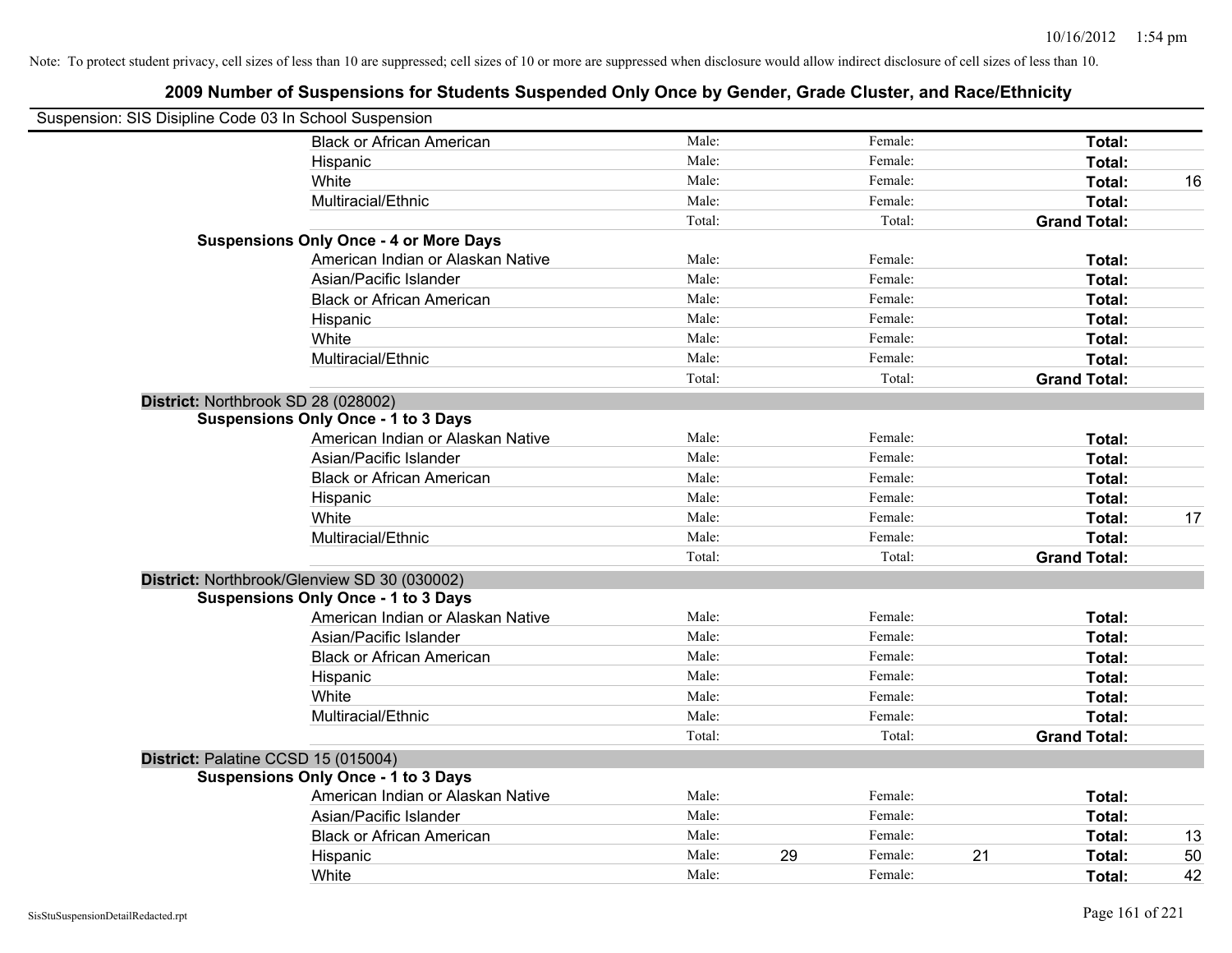| Suspension: SIS Disipline Code 03 In School Suspension |                                               |        |    |         |    |                     |    |
|--------------------------------------------------------|-----------------------------------------------|--------|----|---------|----|---------------------|----|
|                                                        | <b>Black or African American</b>              | Male:  |    | Female: |    | Total:              |    |
|                                                        | Hispanic                                      | Male:  |    | Female: |    | Total:              |    |
|                                                        | White                                         | Male:  |    | Female: |    | Total:              | 16 |
|                                                        | Multiracial/Ethnic                            | Male:  |    | Female: |    | Total:              |    |
|                                                        |                                               | Total: |    | Total:  |    | <b>Grand Total:</b> |    |
|                                                        | <b>Suspensions Only Once - 4 or More Days</b> |        |    |         |    |                     |    |
|                                                        | American Indian or Alaskan Native             | Male:  |    | Female: |    | Total:              |    |
|                                                        | Asian/Pacific Islander                        | Male:  |    | Female: |    | Total:              |    |
|                                                        | <b>Black or African American</b>              | Male:  |    | Female: |    | Total:              |    |
|                                                        | Hispanic                                      | Male:  |    | Female: |    | Total:              |    |
|                                                        | White                                         | Male:  |    | Female: |    | Total:              |    |
|                                                        | Multiracial/Ethnic                            | Male:  |    | Female: |    | Total:              |    |
|                                                        |                                               | Total: |    | Total:  |    | <b>Grand Total:</b> |    |
| District: Northbrook SD 28 (028002)                    |                                               |        |    |         |    |                     |    |
|                                                        | <b>Suspensions Only Once - 1 to 3 Days</b>    |        |    |         |    |                     |    |
|                                                        | American Indian or Alaskan Native             | Male:  |    | Female: |    | Total:              |    |
|                                                        | Asian/Pacific Islander                        | Male:  |    | Female: |    | Total:              |    |
|                                                        | <b>Black or African American</b>              | Male:  |    | Female: |    | Total:              |    |
|                                                        | Hispanic                                      | Male:  |    | Female: |    | Total:              |    |
|                                                        | White                                         | Male:  |    | Female: |    | Total:              | 17 |
|                                                        | Multiracial/Ethnic                            | Male:  |    | Female: |    | Total:              |    |
|                                                        |                                               | Total: |    | Total:  |    | <b>Grand Total:</b> |    |
|                                                        | District: Northbrook/Glenview SD 30 (030002)  |        |    |         |    |                     |    |
|                                                        | <b>Suspensions Only Once - 1 to 3 Days</b>    |        |    |         |    |                     |    |
|                                                        | American Indian or Alaskan Native             | Male:  |    | Female: |    | Total:              |    |
|                                                        | Asian/Pacific Islander                        | Male:  |    | Female: |    | Total:              |    |
|                                                        | <b>Black or African American</b>              | Male:  |    | Female: |    | Total:              |    |
|                                                        | Hispanic                                      | Male:  |    | Female: |    | Total:              |    |
|                                                        | White                                         | Male:  |    | Female: |    | Total:              |    |
|                                                        | Multiracial/Ethnic                            | Male:  |    | Female: |    | Total:              |    |
|                                                        |                                               | Total: |    | Total:  |    | <b>Grand Total:</b> |    |
| District: Palatine CCSD 15 (015004)                    |                                               |        |    |         |    |                     |    |
|                                                        | <b>Suspensions Only Once - 1 to 3 Days</b>    |        |    |         |    |                     |    |
|                                                        | American Indian or Alaskan Native             | Male:  |    | Female: |    | Total:              |    |
|                                                        | Asian/Pacific Islander                        | Male:  |    | Female: |    | Total:              |    |
|                                                        | <b>Black or African American</b>              | Male:  |    | Female: |    | Total:              | 13 |
|                                                        | Hispanic                                      | Male:  | 29 | Female: | 21 | <b>Total:</b>       | 50 |
|                                                        | White                                         | Male:  |    | Female: |    | Total:              | 42 |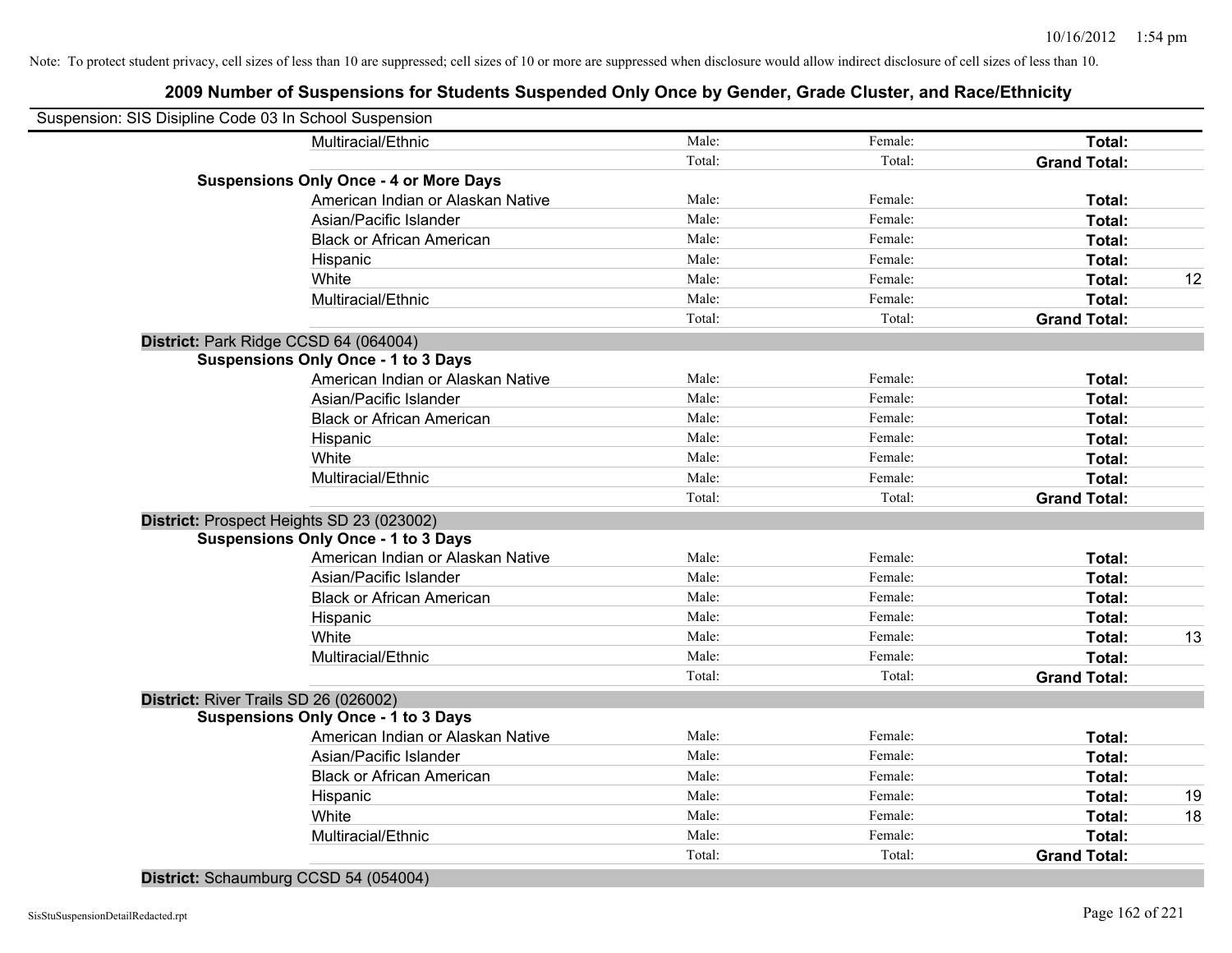# **2009 Number of Suspensions for Students Suspended Only Once by Gender, Grade Cluster, and Race/Ethnicity**

| Suspension: SIS Disipline Code 03 In School Suspension |        |         |                     |    |
|--------------------------------------------------------|--------|---------|---------------------|----|
| Multiracial/Ethnic                                     | Male:  | Female: | Total:              |    |
|                                                        | Total: | Total:  | <b>Grand Total:</b> |    |
| <b>Suspensions Only Once - 4 or More Days</b>          |        |         |                     |    |
| American Indian or Alaskan Native                      | Male:  | Female: | Total:              |    |
| Asian/Pacific Islander                                 | Male:  | Female: | Total:              |    |
| <b>Black or African American</b>                       | Male:  | Female: | Total:              |    |
| Hispanic                                               | Male:  | Female: | Total:              |    |
| White                                                  | Male:  | Female: | Total:              | 12 |
| Multiracial/Ethnic                                     | Male:  | Female: | Total:              |    |
|                                                        | Total: | Total:  | <b>Grand Total:</b> |    |
| District: Park Ridge CCSD 64 (064004)                  |        |         |                     |    |
| <b>Suspensions Only Once - 1 to 3 Days</b>             |        |         |                     |    |
| American Indian or Alaskan Native                      | Male:  | Female: | Total:              |    |
| Asian/Pacific Islander                                 | Male:  | Female: | Total:              |    |
| <b>Black or African American</b>                       | Male:  | Female: | Total:              |    |
| Hispanic                                               | Male:  | Female: | Total:              |    |
| White                                                  | Male:  | Female: | Total:              |    |
| Multiracial/Ethnic                                     | Male:  | Female: | Total:              |    |
|                                                        | Total: | Total:  | <b>Grand Total:</b> |    |
| District: Prospect Heights SD 23 (023002)              |        |         |                     |    |
| <b>Suspensions Only Once - 1 to 3 Days</b>             |        |         |                     |    |
| American Indian or Alaskan Native                      | Male:  | Female: | Total:              |    |
| Asian/Pacific Islander                                 | Male:  | Female: | Total:              |    |
| <b>Black or African American</b>                       | Male:  | Female: | Total:              |    |
| Hispanic                                               | Male:  | Female: | Total:              |    |
| White                                                  | Male:  | Female: | Total:              | 13 |
| Multiracial/Ethnic                                     | Male:  | Female: | Total:              |    |
|                                                        | Total: | Total:  | <b>Grand Total:</b> |    |
| District: River Trails SD 26 (026002)                  |        |         |                     |    |
| <b>Suspensions Only Once - 1 to 3 Days</b>             |        |         |                     |    |
| American Indian or Alaskan Native                      | Male:  | Female: | Total:              |    |
| Asian/Pacific Islander                                 | Male:  | Female: | Total:              |    |
| <b>Black or African American</b>                       | Male:  | Female: | Total:              |    |
| Hispanic                                               | Male:  | Female: | Total:              | 19 |
| White                                                  | Male:  | Female: | Total:              | 18 |
| Multiracial/Ethnic                                     | Male:  | Female: | Total:              |    |
|                                                        | Total: | Total:  | <b>Grand Total:</b> |    |
|                                                        |        |         |                     |    |

**District:** Schaumburg CCSD 54 (054004)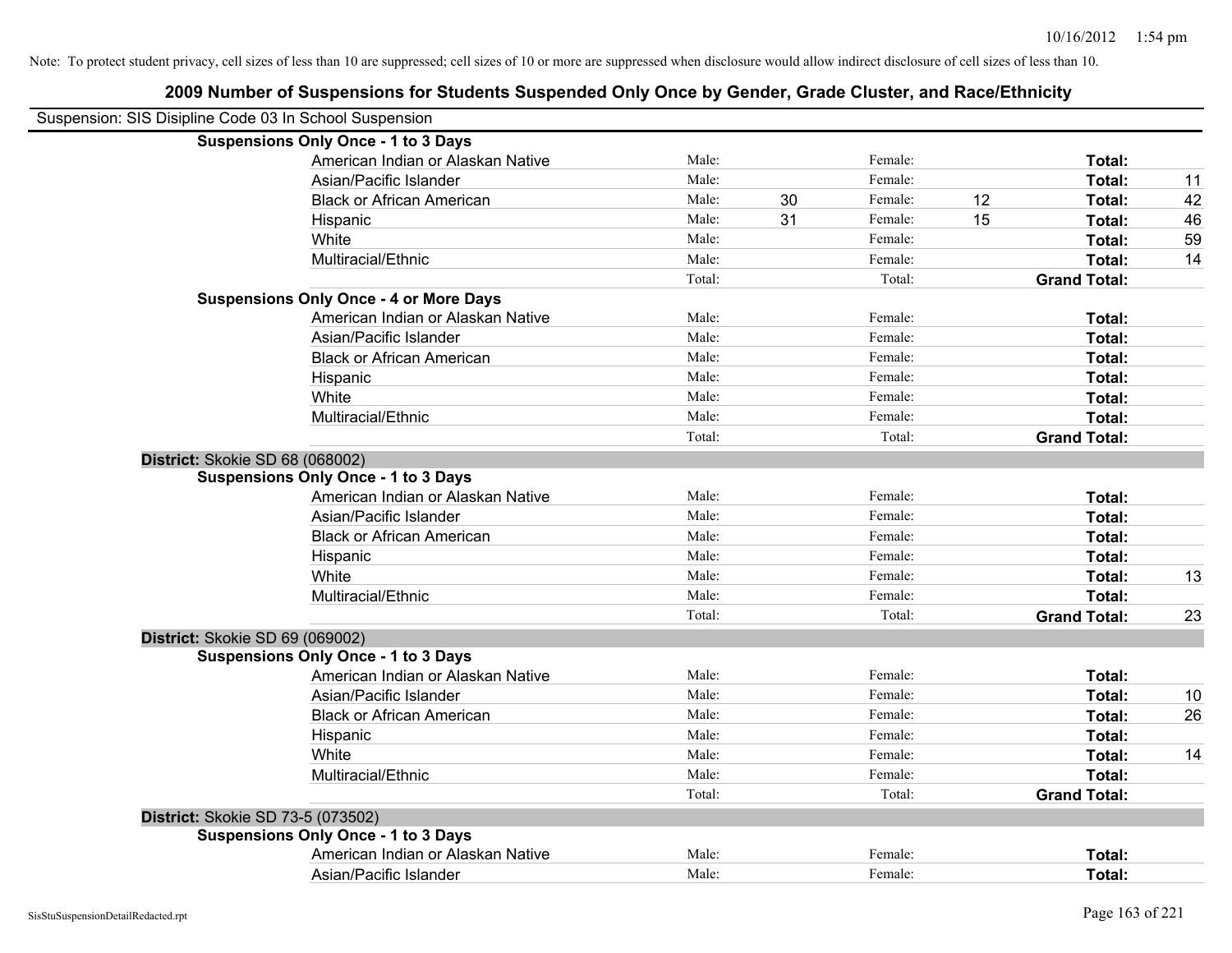| Suspension: SIS Disipline Code 03 In School Suspension |        |    |         |    |                     |    |
|--------------------------------------------------------|--------|----|---------|----|---------------------|----|
| <b>Suspensions Only Once - 1 to 3 Days</b>             |        |    |         |    |                     |    |
| American Indian or Alaskan Native                      | Male:  |    | Female: |    | Total:              |    |
| Asian/Pacific Islander                                 | Male:  |    | Female: |    | Total:              | 11 |
| <b>Black or African American</b>                       | Male:  | 30 | Female: | 12 | Total:              | 42 |
| Hispanic                                               | Male:  | 31 | Female: | 15 | Total:              | 46 |
| White                                                  | Male:  |    | Female: |    | Total:              | 59 |
| Multiracial/Ethnic                                     | Male:  |    | Female: |    | Total:              | 14 |
|                                                        | Total: |    | Total:  |    | <b>Grand Total:</b> |    |
| <b>Suspensions Only Once - 4 or More Days</b>          |        |    |         |    |                     |    |
| American Indian or Alaskan Native                      | Male:  |    | Female: |    | Total:              |    |
| Asian/Pacific Islander                                 | Male:  |    | Female: |    | Total:              |    |
| <b>Black or African American</b>                       | Male:  |    | Female: |    | Total:              |    |
| Hispanic                                               | Male:  |    | Female: |    | Total:              |    |
| White                                                  | Male:  |    | Female: |    | Total:              |    |
| Multiracial/Ethnic                                     | Male:  |    | Female: |    | Total:              |    |
|                                                        | Total: |    | Total:  |    | <b>Grand Total:</b> |    |
| District: Skokie SD 68 (068002)                        |        |    |         |    |                     |    |
| <b>Suspensions Only Once - 1 to 3 Days</b>             |        |    |         |    |                     |    |
| American Indian or Alaskan Native                      | Male:  |    | Female: |    | Total:              |    |
| Asian/Pacific Islander                                 | Male:  |    | Female: |    | Total:              |    |
| <b>Black or African American</b>                       | Male:  |    | Female: |    | Total:              |    |
| Hispanic                                               | Male:  |    | Female: |    | Total:              |    |
| White                                                  | Male:  |    | Female: |    | Total:              | 13 |
| Multiracial/Ethnic                                     | Male:  |    | Female: |    | Total:              |    |
|                                                        | Total: |    | Total:  |    | <b>Grand Total:</b> | 23 |
| District: Skokie SD 69 (069002)                        |        |    |         |    |                     |    |
| <b>Suspensions Only Once - 1 to 3 Days</b>             |        |    |         |    |                     |    |
| American Indian or Alaskan Native                      | Male:  |    | Female: |    | Total:              |    |
| Asian/Pacific Islander                                 | Male:  |    | Female: |    | Total:              | 10 |
| <b>Black or African American</b>                       | Male:  |    | Female: |    | Total:              | 26 |
| Hispanic                                               | Male:  |    | Female: |    | Total:              |    |
| White                                                  | Male:  |    | Female: |    | Total:              | 14 |
| Multiracial/Ethnic                                     | Male:  |    | Female: |    | Total:              |    |
|                                                        | Total: |    | Total:  |    | <b>Grand Total:</b> |    |
| District: Skokie SD 73-5 (073502)                      |        |    |         |    |                     |    |
| <b>Suspensions Only Once - 1 to 3 Days</b>             |        |    |         |    |                     |    |
| American Indian or Alaskan Native                      | Male:  |    | Female: |    | <b>Total:</b>       |    |
| Asian/Pacific Islander                                 | Male:  |    | Female: |    | Total:              |    |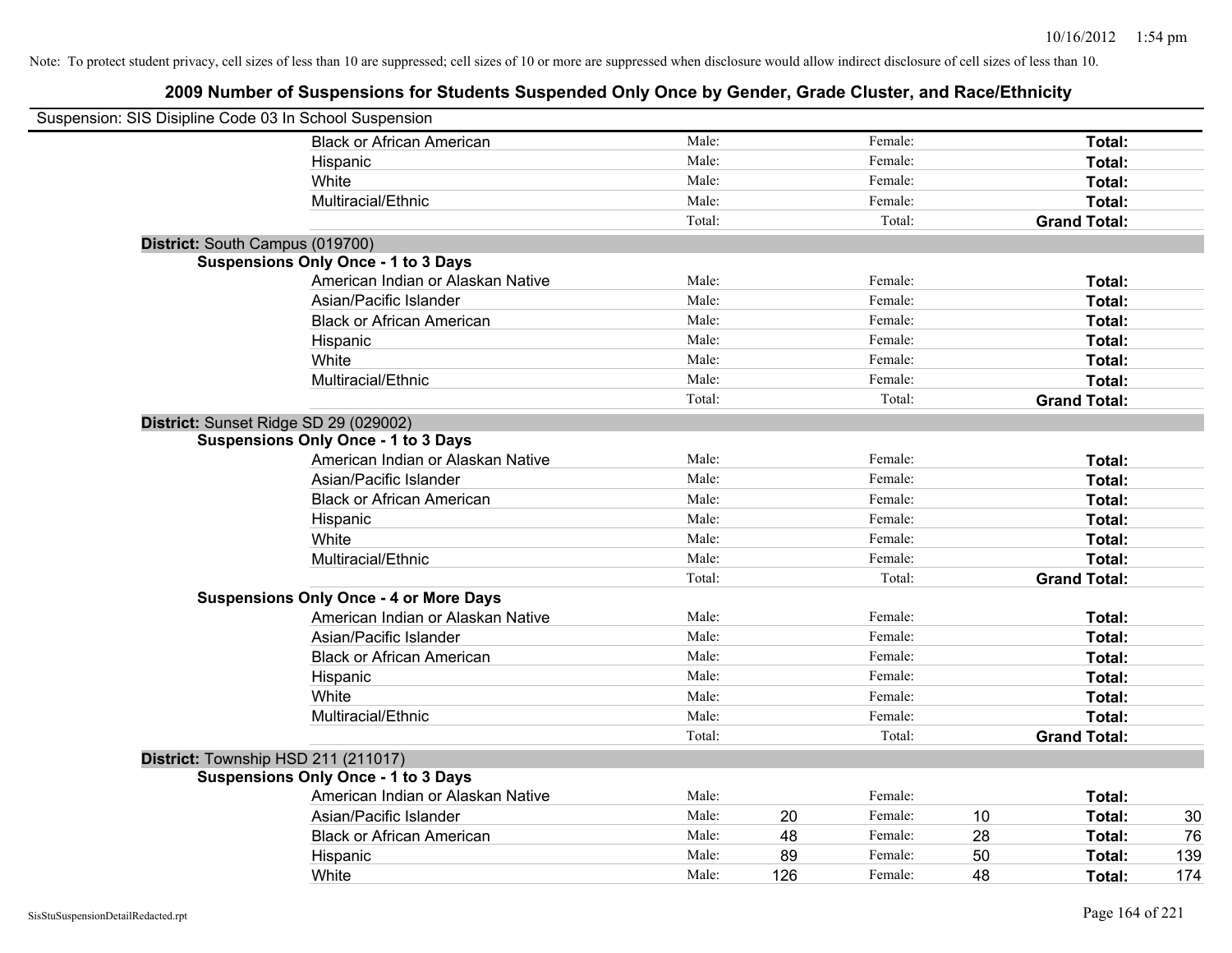| Suspension: SIS Disipline Code 03 In School Suspension |                                               |        |     |         |    |                     |     |
|--------------------------------------------------------|-----------------------------------------------|--------|-----|---------|----|---------------------|-----|
|                                                        | <b>Black or African American</b>              | Male:  |     | Female: |    | Total:              |     |
|                                                        | Hispanic                                      | Male:  |     | Female: |    | Total:              |     |
|                                                        | White                                         | Male:  |     | Female: |    | Total:              |     |
|                                                        | Multiracial/Ethnic                            | Male:  |     | Female: |    | Total:              |     |
|                                                        |                                               | Total: |     | Total:  |    | <b>Grand Total:</b> |     |
| District: South Campus (019700)                        |                                               |        |     |         |    |                     |     |
|                                                        | <b>Suspensions Only Once - 1 to 3 Days</b>    |        |     |         |    |                     |     |
|                                                        | American Indian or Alaskan Native             | Male:  |     | Female: |    | Total:              |     |
|                                                        | Asian/Pacific Islander                        | Male:  |     | Female: |    | Total:              |     |
|                                                        | <b>Black or African American</b>              | Male:  |     | Female: |    | Total:              |     |
|                                                        | Hispanic                                      | Male:  |     | Female: |    | Total:              |     |
|                                                        | White                                         | Male:  |     | Female: |    | Total:              |     |
|                                                        | Multiracial/Ethnic                            | Male:  |     | Female: |    | Total:              |     |
|                                                        |                                               | Total: |     | Total:  |    | <b>Grand Total:</b> |     |
| District: Sunset Ridge SD 29 (029002)                  |                                               |        |     |         |    |                     |     |
|                                                        | <b>Suspensions Only Once - 1 to 3 Days</b>    |        |     |         |    |                     |     |
|                                                        | American Indian or Alaskan Native             | Male:  |     | Female: |    | Total:              |     |
|                                                        | Asian/Pacific Islander                        | Male:  |     | Female: |    | Total:              |     |
|                                                        | <b>Black or African American</b>              | Male:  |     | Female: |    | Total:              |     |
|                                                        | Hispanic                                      | Male:  |     | Female: |    | Total:              |     |
|                                                        | White                                         | Male:  |     | Female: |    | Total:              |     |
|                                                        | Multiracial/Ethnic                            | Male:  |     | Female: |    | Total:              |     |
|                                                        |                                               | Total: |     | Total:  |    | <b>Grand Total:</b> |     |
|                                                        | <b>Suspensions Only Once - 4 or More Days</b> |        |     |         |    |                     |     |
|                                                        | American Indian or Alaskan Native             | Male:  |     | Female: |    | Total:              |     |
|                                                        | Asian/Pacific Islander                        | Male:  |     | Female: |    | Total:              |     |
|                                                        | <b>Black or African American</b>              | Male:  |     | Female: |    | Total:              |     |
|                                                        | Hispanic                                      | Male:  |     | Female: |    | Total:              |     |
|                                                        | White                                         | Male:  |     | Female: |    | Total:              |     |
|                                                        | Multiracial/Ethnic                            | Male:  |     | Female: |    | Total:              |     |
|                                                        |                                               | Total: |     | Total:  |    | <b>Grand Total:</b> |     |
| District: Township HSD 211 (211017)                    |                                               |        |     |         |    |                     |     |
|                                                        | <b>Suspensions Only Once - 1 to 3 Days</b>    |        |     |         |    |                     |     |
|                                                        | American Indian or Alaskan Native             | Male:  |     | Female: |    | Total:              |     |
|                                                        | Asian/Pacific Islander                        | Male:  | 20  | Female: | 10 | Total:              | 30  |
|                                                        | <b>Black or African American</b>              | Male:  | 48  | Female: | 28 | Total:              | 76  |
|                                                        | Hispanic                                      | Male:  | 89  | Female: | 50 | Total:              | 139 |
|                                                        | White                                         | Male:  | 126 | Female: | 48 | Total:              | 174 |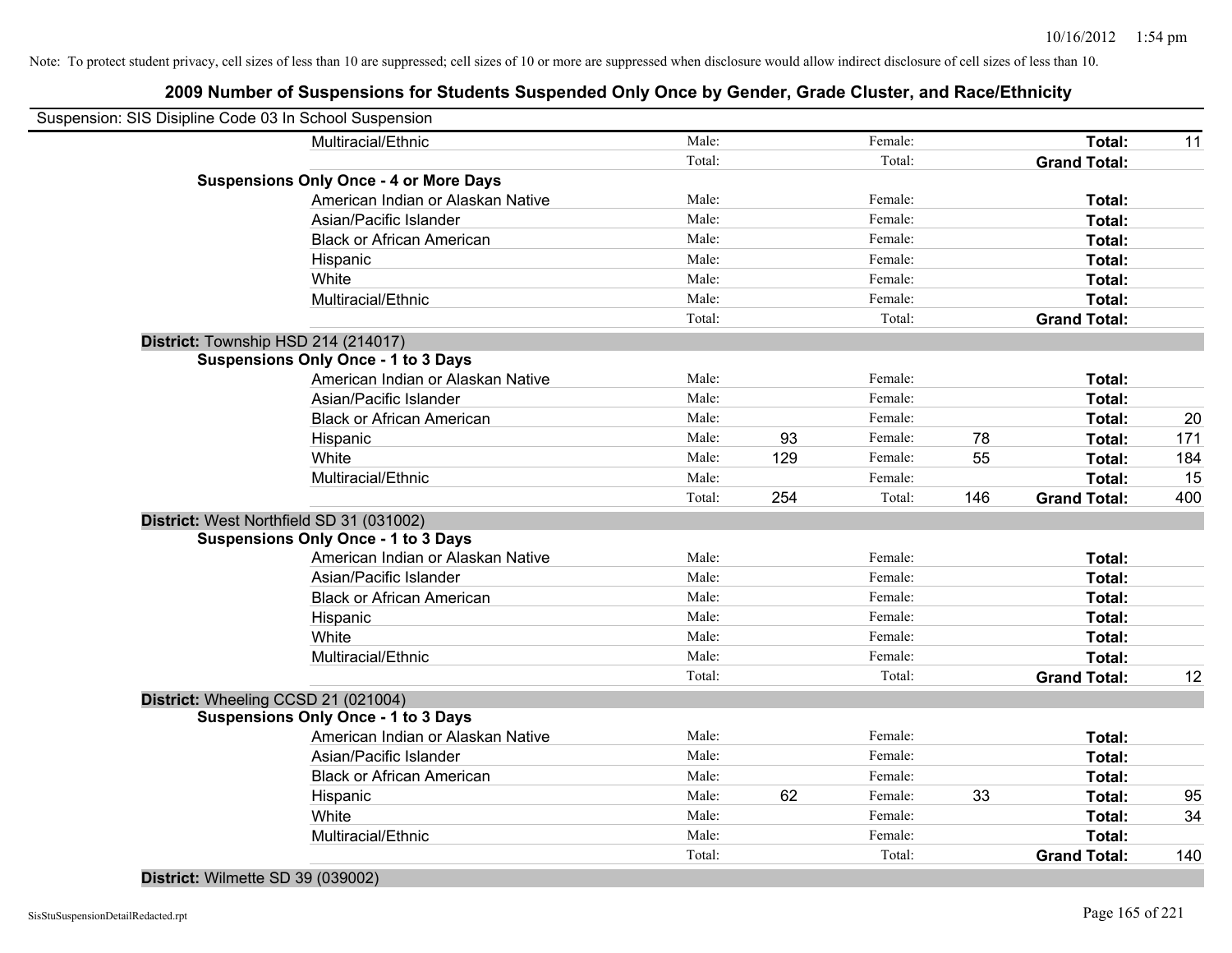| Total:<br>11<br><b>Grand Total:</b>         |
|---------------------------------------------|
|                                             |
|                                             |
|                                             |
| Total:                                      |
| Total:                                      |
| Total:                                      |
| Total:                                      |
| Total:                                      |
| Total:                                      |
| <b>Grand Total:</b>                         |
|                                             |
|                                             |
| Total:                                      |
| Total:                                      |
| 20<br>Total:                                |
| 171<br>Total:                               |
| <b>Total:</b><br>184                        |
| Total:<br>15                                |
| <b>Grand Total:</b><br>400                  |
|                                             |
|                                             |
| Total:                                      |
| Total:                                      |
| Total:                                      |
| Total:                                      |
| Total:                                      |
| Total:                                      |
| <b>Grand Total:</b><br>12                   |
|                                             |
|                                             |
| Total:                                      |
| Total:                                      |
| Total:                                      |
|                                             |
| 95<br>Total:                                |
| 34<br>Total:                                |
| <b>Total:</b><br>140<br><b>Grand Total:</b> |
|                                             |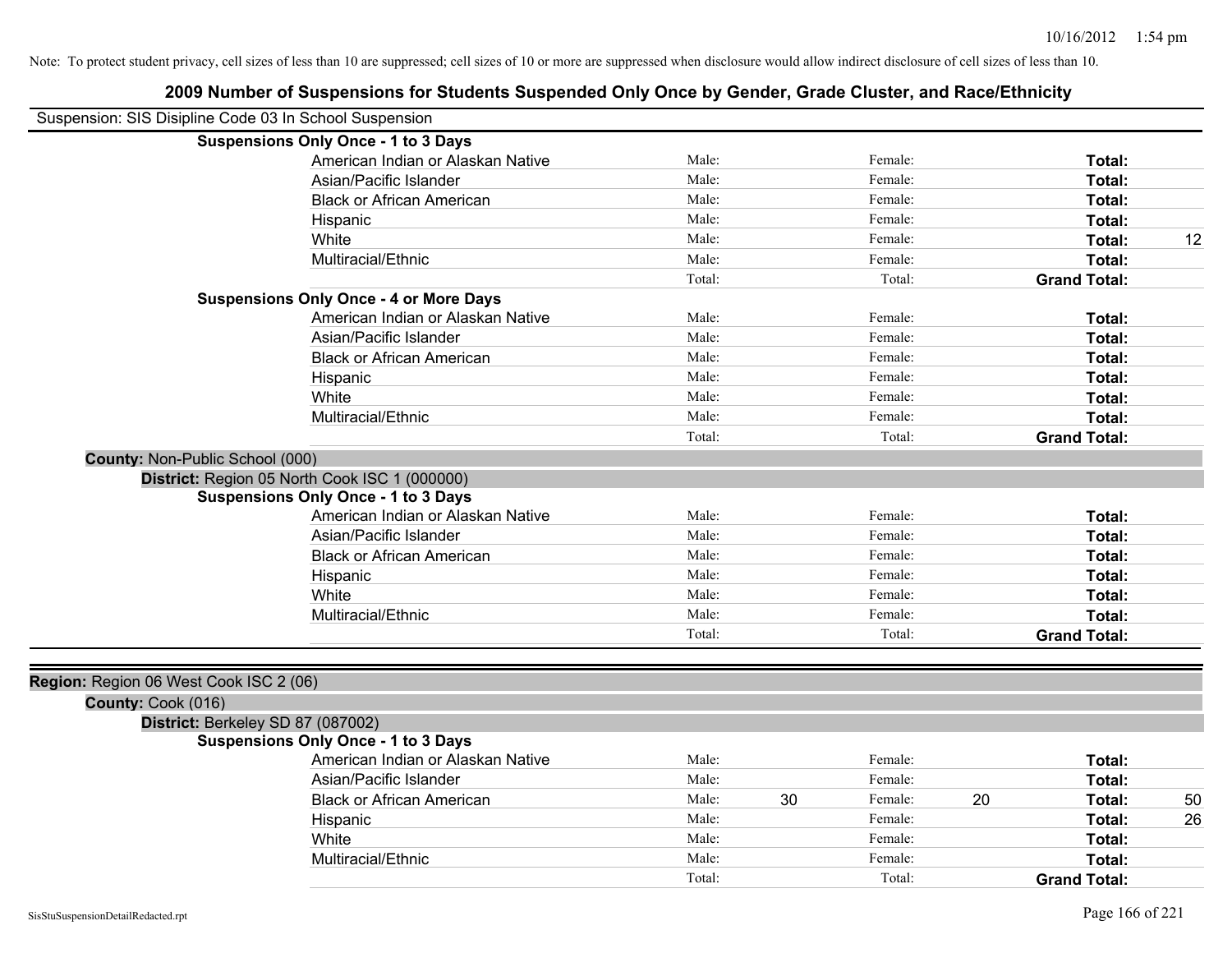|                                                        | 2009 Number of Suspensions for Students Suspended Only Once by Gender, Grade Cluster, and Race/Ethnicity |        |    |         |    |                     |    |
|--------------------------------------------------------|----------------------------------------------------------------------------------------------------------|--------|----|---------|----|---------------------|----|
| Suspension: SIS Disipline Code 03 In School Suspension |                                                                                                          |        |    |         |    |                     |    |
|                                                        | <b>Suspensions Only Once - 1 to 3 Days</b>                                                               |        |    |         |    |                     |    |
|                                                        | American Indian or Alaskan Native                                                                        | Male:  |    | Female: |    | Total:              |    |
|                                                        | Asian/Pacific Islander                                                                                   | Male:  |    | Female: |    | Total:              |    |
|                                                        | <b>Black or African American</b>                                                                         | Male:  |    | Female: |    | Total:              |    |
|                                                        | Hispanic                                                                                                 | Male:  |    | Female: |    | Total:              |    |
|                                                        | White                                                                                                    | Male:  |    | Female: |    | Total:              | 12 |
|                                                        | Multiracial/Ethnic                                                                                       | Male:  |    | Female: |    | Total:              |    |
|                                                        |                                                                                                          | Total: |    | Total:  |    | <b>Grand Total:</b> |    |
|                                                        | <b>Suspensions Only Once - 4 or More Days</b>                                                            |        |    |         |    |                     |    |
|                                                        | American Indian or Alaskan Native                                                                        | Male:  |    | Female: |    | Total:              |    |
|                                                        | Asian/Pacific Islander                                                                                   | Male:  |    | Female: |    | Total:              |    |
|                                                        | <b>Black or African American</b>                                                                         | Male:  |    | Female: |    | Total:              |    |
|                                                        | Hispanic                                                                                                 | Male:  |    | Female: |    | Total:              |    |
|                                                        | White                                                                                                    | Male:  |    | Female: |    | Total:              |    |
|                                                        | Multiracial/Ethnic                                                                                       | Male:  |    | Female: |    | Total:              |    |
|                                                        |                                                                                                          | Total: |    | Total:  |    | <b>Grand Total:</b> |    |
| County: Non-Public School (000)                        |                                                                                                          |        |    |         |    |                     |    |
|                                                        | District: Region 05 North Cook ISC 1 (000000)                                                            |        |    |         |    |                     |    |
|                                                        | <b>Suspensions Only Once - 1 to 3 Days</b>                                                               |        |    |         |    |                     |    |
|                                                        | American Indian or Alaskan Native                                                                        | Male:  |    | Female: |    | Total:              |    |
|                                                        | Asian/Pacific Islander                                                                                   | Male:  |    | Female: |    | Total:              |    |
|                                                        | <b>Black or African American</b>                                                                         | Male:  |    | Female: |    | Total:              |    |
|                                                        | Hispanic                                                                                                 | Male:  |    | Female: |    | Total:              |    |
|                                                        | White                                                                                                    | Male:  |    | Female: |    | Total:              |    |
|                                                        | Multiracial/Ethnic                                                                                       | Male:  |    | Female: |    | Total:              |    |
|                                                        |                                                                                                          | Total: |    | Total:  |    | <b>Grand Total:</b> |    |
|                                                        |                                                                                                          |        |    |         |    |                     |    |
| Region: Region 06 West Cook ISC 2 (06)                 |                                                                                                          |        |    |         |    |                     |    |
| County: Cook (016)                                     |                                                                                                          |        |    |         |    |                     |    |
| District: Berkeley SD 87 (087002)                      |                                                                                                          |        |    |         |    |                     |    |
|                                                        | <b>Suspensions Only Once - 1 to 3 Days</b>                                                               |        |    |         |    |                     |    |
|                                                        | American Indian or Alaskan Native                                                                        | Male:  |    | Female: |    | Total:              |    |
|                                                        | Asian/Pacific Islander                                                                                   | Male:  |    | Female: |    | Total:              |    |
|                                                        | <b>Black or African American</b>                                                                         | Male:  | 30 | Female: | 20 | Total:              | 50 |
|                                                        | Hispanic                                                                                                 | Male:  |    | Female: |    | Total:              | 26 |
|                                                        | White                                                                                                    | Male:  |    | Female: |    | Total:              |    |
|                                                        | Multiracial/Ethnic                                                                                       | Male:  |    | Female: |    | Total:              |    |
|                                                        |                                                                                                          | Total: |    | Total:  |    | <b>Grand Total:</b> |    |
|                                                        |                                                                                                          |        |    |         |    |                     |    |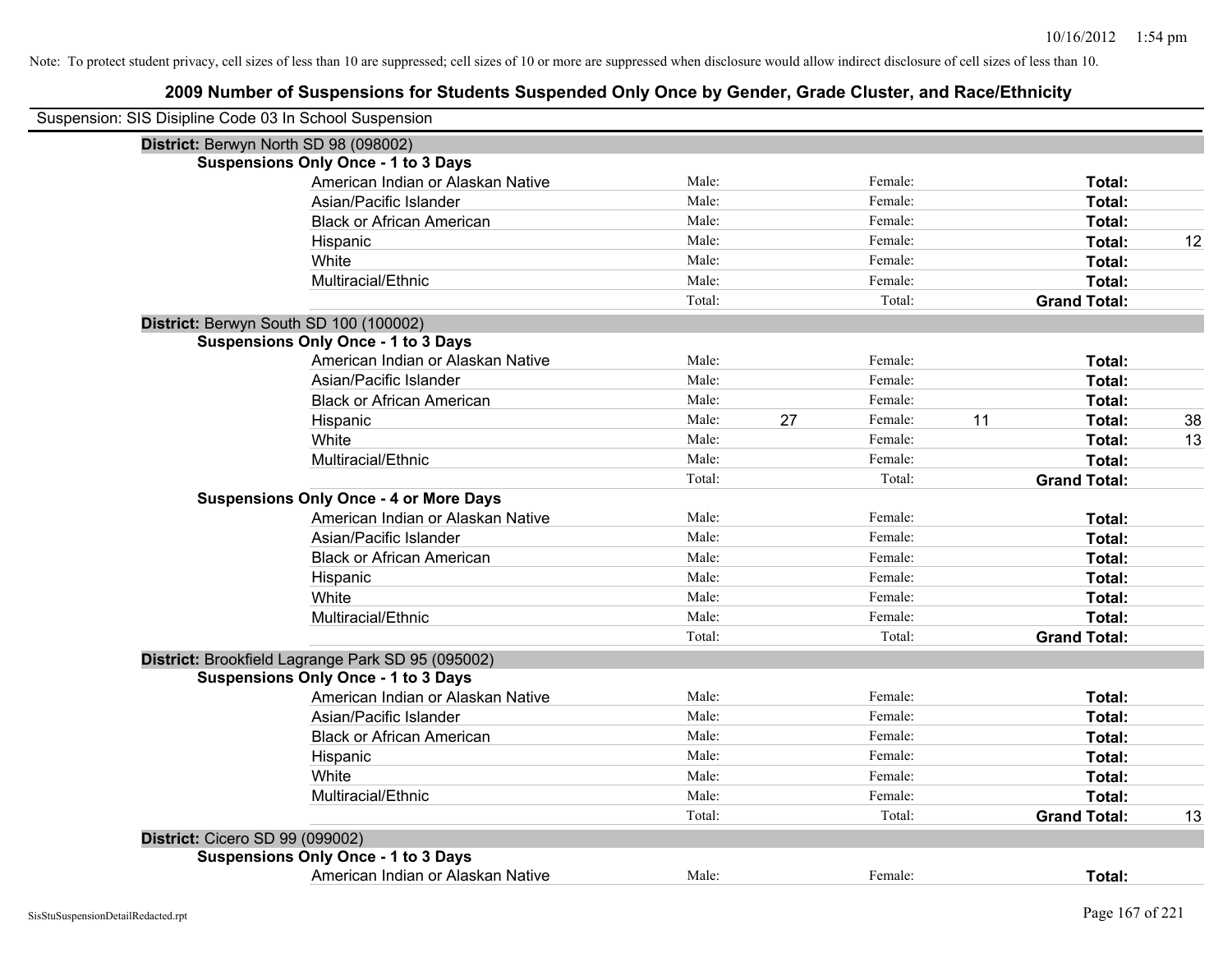| Suspension: SIS Disipline Code 03 In School Suspension |                                                   |        |    |         |                     |    |
|--------------------------------------------------------|---------------------------------------------------|--------|----|---------|---------------------|----|
| District: Berwyn North SD 98 (098002)                  |                                                   |        |    |         |                     |    |
|                                                        | <b>Suspensions Only Once - 1 to 3 Days</b>        |        |    |         |                     |    |
|                                                        | American Indian or Alaskan Native                 | Male:  |    | Female: | Total:              |    |
|                                                        | Asian/Pacific Islander                            | Male:  |    | Female: | Total:              |    |
|                                                        | <b>Black or African American</b>                  | Male:  |    | Female: | Total:              |    |
|                                                        | Hispanic                                          | Male:  |    | Female: | Total:              | 12 |
|                                                        | White                                             | Male:  |    | Female: | Total:              |    |
|                                                        | Multiracial/Ethnic                                | Male:  |    | Female: | Total:              |    |
|                                                        |                                                   | Total: |    | Total:  | <b>Grand Total:</b> |    |
| District: Berwyn South SD 100 (100002)                 |                                                   |        |    |         |                     |    |
|                                                        | <b>Suspensions Only Once - 1 to 3 Days</b>        |        |    |         |                     |    |
|                                                        | American Indian or Alaskan Native                 | Male:  |    | Female: | Total:              |    |
|                                                        | Asian/Pacific Islander                            | Male:  |    | Female: | Total:              |    |
|                                                        | <b>Black or African American</b>                  | Male:  |    | Female: | Total:              |    |
|                                                        | Hispanic                                          | Male:  | 27 | Female: | 11<br>Total:        | 38 |
|                                                        | White                                             | Male:  |    | Female: | Total:              | 13 |
|                                                        | Multiracial/Ethnic                                | Male:  |    | Female: | Total:              |    |
|                                                        |                                                   | Total: |    | Total:  | <b>Grand Total:</b> |    |
|                                                        | <b>Suspensions Only Once - 4 or More Days</b>     |        |    |         |                     |    |
|                                                        | American Indian or Alaskan Native                 | Male:  |    | Female: | Total:              |    |
|                                                        | Asian/Pacific Islander                            | Male:  |    | Female: | Total:              |    |
|                                                        | <b>Black or African American</b>                  | Male:  |    | Female: | Total:              |    |
|                                                        | Hispanic                                          | Male:  |    | Female: | Total:              |    |
|                                                        | White                                             | Male:  |    | Female: | Total:              |    |
|                                                        | Multiracial/Ethnic                                | Male:  |    | Female: | Total:              |    |
|                                                        |                                                   | Total: |    | Total:  | <b>Grand Total:</b> |    |
|                                                        | District: Brookfield Lagrange Park SD 95 (095002) |        |    |         |                     |    |
|                                                        | <b>Suspensions Only Once - 1 to 3 Days</b>        |        |    |         |                     |    |
|                                                        | American Indian or Alaskan Native                 | Male:  |    | Female: | Total:              |    |
|                                                        | Asian/Pacific Islander                            | Male:  |    | Female: | Total:              |    |
|                                                        | <b>Black or African American</b>                  | Male:  |    | Female: | Total:              |    |
|                                                        | Hispanic                                          | Male:  |    | Female: | Total:              |    |
|                                                        | White                                             | Male:  |    | Female: | Total:              |    |
|                                                        | Multiracial/Ethnic                                | Male:  |    | Female: | Total:              |    |
|                                                        |                                                   | Total: |    | Total:  | <b>Grand Total:</b> | 13 |
| <b>District: Cicero SD 99 (099002)</b>                 |                                                   |        |    |         |                     |    |
|                                                        | <b>Suspensions Only Once - 1 to 3 Days</b>        |        |    |         |                     |    |
|                                                        | American Indian or Alaskan Native                 | Male:  |    | Female: | Total:              |    |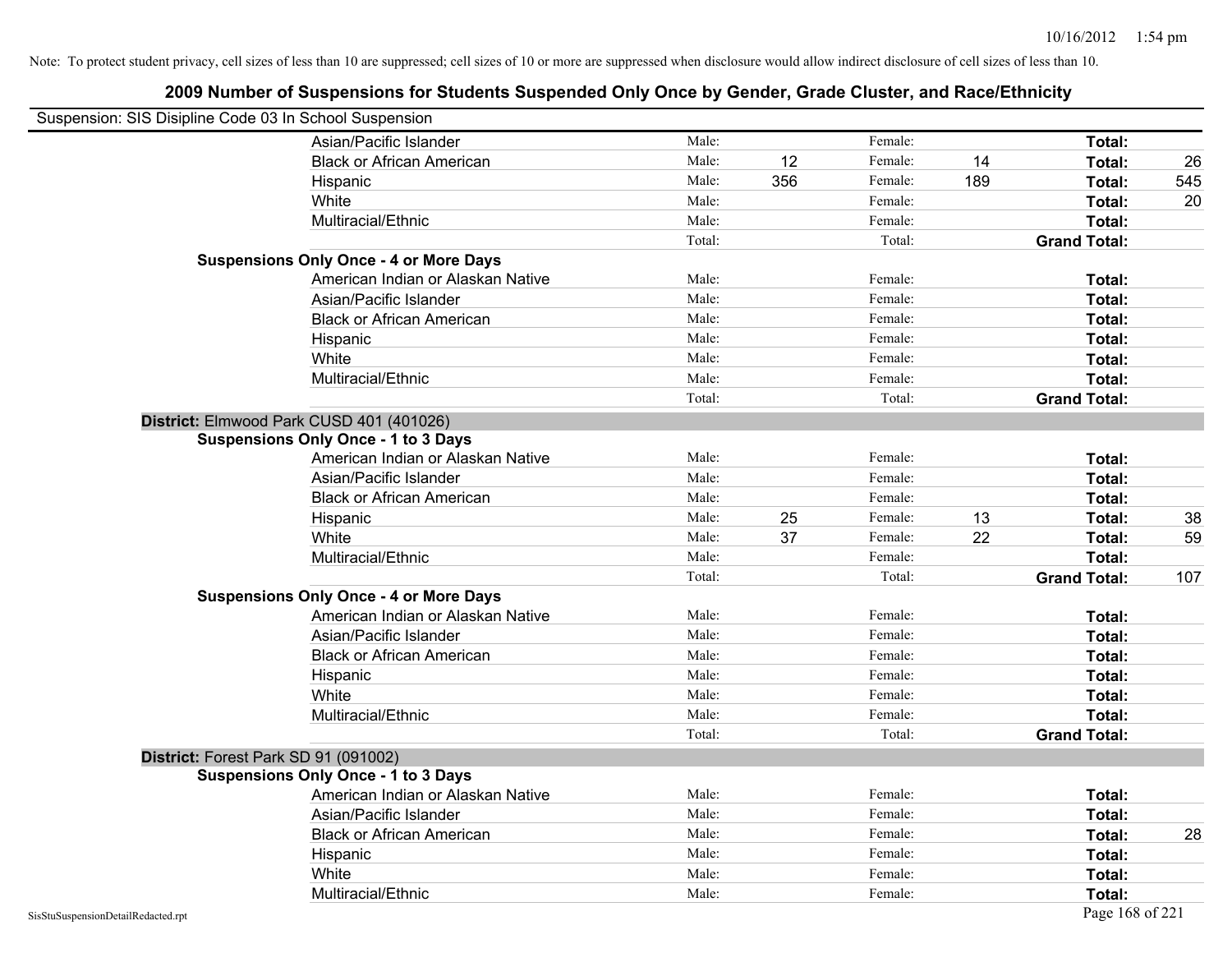| Suspension: SIS Disipline Code 03 In School Suspension |                                               |        |     |         |     |                     |     |
|--------------------------------------------------------|-----------------------------------------------|--------|-----|---------|-----|---------------------|-----|
|                                                        | Asian/Pacific Islander                        | Male:  |     | Female: |     | Total:              |     |
|                                                        | <b>Black or African American</b>              | Male:  | 12  | Female: | 14  | Total:              | 26  |
|                                                        | Hispanic                                      | Male:  | 356 | Female: | 189 | Total:              | 545 |
|                                                        | White                                         | Male:  |     | Female: |     | Total:              | 20  |
|                                                        | Multiracial/Ethnic                            | Male:  |     | Female: |     | Total:              |     |
|                                                        |                                               | Total: |     | Total:  |     | <b>Grand Total:</b> |     |
|                                                        | <b>Suspensions Only Once - 4 or More Days</b> |        |     |         |     |                     |     |
|                                                        | American Indian or Alaskan Native             | Male:  |     | Female: |     | Total:              |     |
|                                                        | Asian/Pacific Islander                        | Male:  |     | Female: |     | Total:              |     |
|                                                        | <b>Black or African American</b>              | Male:  |     | Female: |     | Total:              |     |
|                                                        | Hispanic                                      | Male:  |     | Female: |     | Total:              |     |
|                                                        | White                                         | Male:  |     | Female: |     | Total:              |     |
|                                                        | Multiracial/Ethnic                            | Male:  |     | Female: |     | Total:              |     |
|                                                        |                                               | Total: |     | Total:  |     | <b>Grand Total:</b> |     |
|                                                        | District: Elmwood Park CUSD 401 (401026)      |        |     |         |     |                     |     |
|                                                        | <b>Suspensions Only Once - 1 to 3 Days</b>    |        |     |         |     |                     |     |
|                                                        | American Indian or Alaskan Native             | Male:  |     | Female: |     | Total:              |     |
|                                                        | Asian/Pacific Islander                        | Male:  |     | Female: |     | Total:              |     |
|                                                        | <b>Black or African American</b>              | Male:  |     | Female: |     | Total:              |     |
|                                                        | Hispanic                                      | Male:  | 25  | Female: | 13  | Total:              | 38  |
|                                                        | White                                         | Male:  | 37  | Female: | 22  | Total:              | 59  |
|                                                        | Multiracial/Ethnic                            | Male:  |     | Female: |     | Total:              |     |
|                                                        |                                               | Total: |     | Total:  |     | <b>Grand Total:</b> | 107 |
|                                                        | <b>Suspensions Only Once - 4 or More Days</b> |        |     |         |     |                     |     |
|                                                        | American Indian or Alaskan Native             | Male:  |     | Female: |     | Total:              |     |
|                                                        | Asian/Pacific Islander                        | Male:  |     | Female: |     | Total:              |     |
|                                                        | <b>Black or African American</b>              | Male:  |     | Female: |     | Total:              |     |
|                                                        | Hispanic                                      | Male:  |     | Female: |     | Total:              |     |
|                                                        | White                                         | Male:  |     | Female: |     | Total:              |     |
|                                                        | Multiracial/Ethnic                            | Male:  |     | Female: |     | Total:              |     |
|                                                        |                                               | Total: |     | Total:  |     | <b>Grand Total:</b> |     |
|                                                        | District: Forest Park SD 91 (091002)          |        |     |         |     |                     |     |
|                                                        | <b>Suspensions Only Once - 1 to 3 Days</b>    |        |     |         |     |                     |     |
|                                                        | American Indian or Alaskan Native             | Male:  |     | Female: |     | Total:              |     |
|                                                        | Asian/Pacific Islander                        | Male:  |     | Female: |     | Total:              |     |
|                                                        | <b>Black or African American</b>              | Male:  |     | Female: |     | Total:              | 28  |
|                                                        | Hispanic                                      | Male:  |     | Female: |     | Total:              |     |
|                                                        | White                                         | Male:  |     | Female: |     | Total:              |     |
|                                                        | Multiracial/Ethnic                            | Male:  |     | Female: |     | Total:              |     |
| SisStuSuspensionDetailRedacted.rpt                     |                                               |        |     |         |     | Page 168 of 221     |     |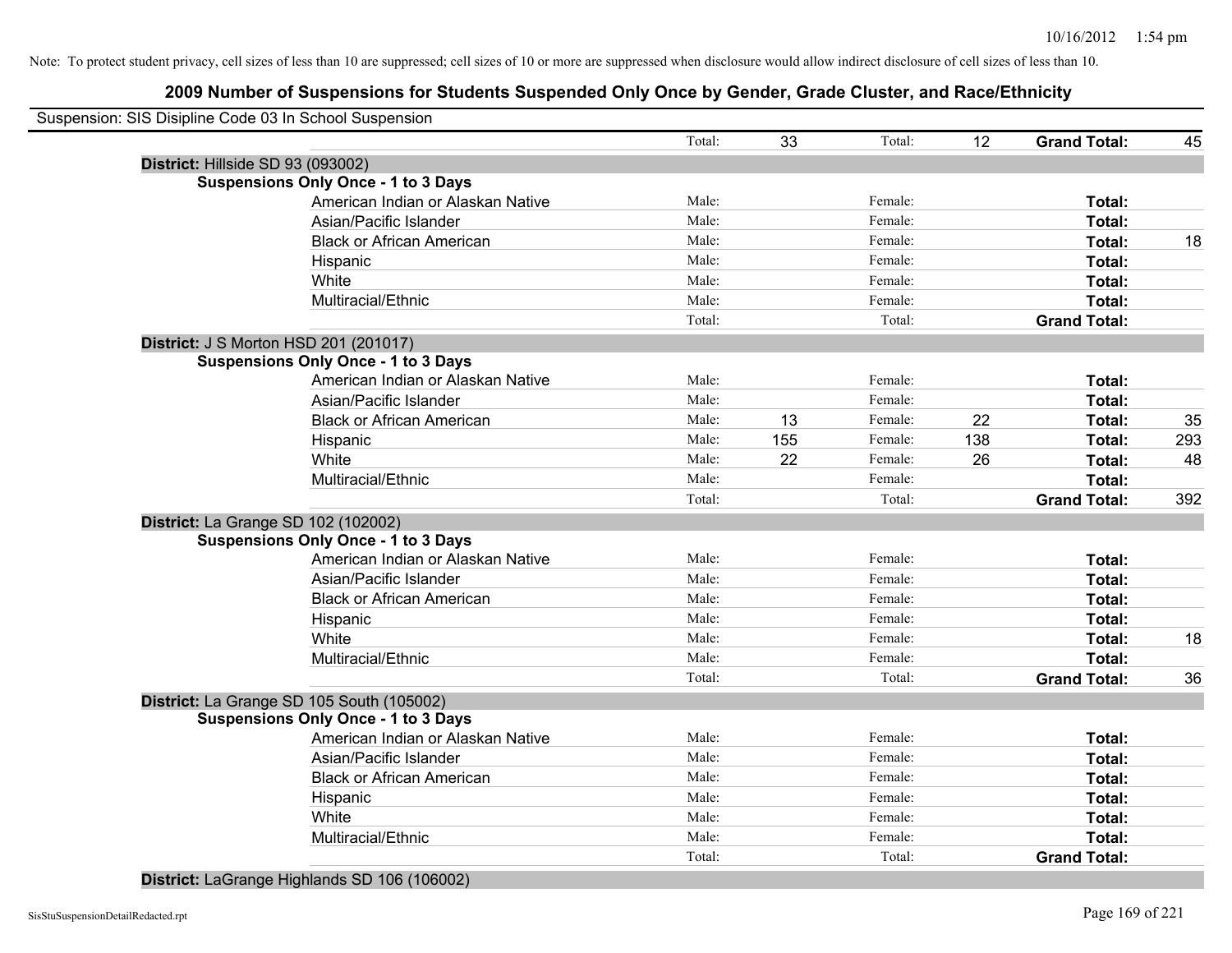# **2009 Number of Suspensions for Students Suspended Only Once by Gender, Grade Cluster, and Race/Ethnicity**

|                                     | Suspension: SIS Disipline Code 03 In School Suspension |        |     |         |     |                     |     |
|-------------------------------------|--------------------------------------------------------|--------|-----|---------|-----|---------------------|-----|
|                                     |                                                        | Total: | 33  | Total:  | 12  | <b>Grand Total:</b> | 45  |
| District: Hillside SD 93 (093002)   |                                                        |        |     |         |     |                     |     |
|                                     | <b>Suspensions Only Once - 1 to 3 Days</b>             |        |     |         |     |                     |     |
|                                     | American Indian or Alaskan Native                      | Male:  |     | Female: |     | Total:              |     |
|                                     | Asian/Pacific Islander                                 | Male:  |     | Female: |     | Total:              |     |
|                                     | <b>Black or African American</b>                       | Male:  |     | Female: |     | Total:              | 18  |
|                                     | Hispanic                                               | Male:  |     | Female: |     | Total:              |     |
|                                     | White                                                  | Male:  |     | Female: |     | Total:              |     |
|                                     | Multiracial/Ethnic                                     | Male:  |     | Female: |     | Total:              |     |
|                                     |                                                        | Total: |     | Total:  |     | <b>Grand Total:</b> |     |
|                                     | <b>District: J S Morton HSD 201 (201017)</b>           |        |     |         |     |                     |     |
|                                     | <b>Suspensions Only Once - 1 to 3 Days</b>             |        |     |         |     |                     |     |
|                                     | American Indian or Alaskan Native                      | Male:  |     | Female: |     | Total:              |     |
|                                     | Asian/Pacific Islander                                 | Male:  |     | Female: |     | Total:              |     |
|                                     | <b>Black or African American</b>                       | Male:  | 13  | Female: | 22  | Total:              | 35  |
|                                     | Hispanic                                               | Male:  | 155 | Female: | 138 | Total:              | 293 |
|                                     | White                                                  | Male:  | 22  | Female: | 26  | Total:              | 48  |
|                                     | Multiracial/Ethnic                                     | Male:  |     | Female: |     | Total:              |     |
|                                     |                                                        | Total: |     | Total:  |     | <b>Grand Total:</b> | 392 |
| District: La Grange SD 102 (102002) |                                                        |        |     |         |     |                     |     |
|                                     | <b>Suspensions Only Once - 1 to 3 Days</b>             |        |     |         |     |                     |     |
|                                     | American Indian or Alaskan Native                      | Male:  |     | Female: |     | Total:              |     |
|                                     | Asian/Pacific Islander                                 | Male:  |     | Female: |     | Total:              |     |
|                                     | <b>Black or African American</b>                       | Male:  |     | Female: |     | Total:              |     |
|                                     | Hispanic                                               | Male:  |     | Female: |     | Total:              |     |
|                                     | White                                                  | Male:  |     | Female: |     | Total:              | 18  |
|                                     | Multiracial/Ethnic                                     | Male:  |     | Female: |     | Total:              |     |
|                                     |                                                        | Total: |     | Total:  |     | <b>Grand Total:</b> | 36  |
|                                     | District: La Grange SD 105 South (105002)              |        |     |         |     |                     |     |
|                                     | <b>Suspensions Only Once - 1 to 3 Days</b>             |        |     |         |     |                     |     |
|                                     | American Indian or Alaskan Native                      | Male:  |     | Female: |     | Total:              |     |
|                                     | Asian/Pacific Islander                                 | Male:  |     | Female: |     | Total:              |     |
|                                     | <b>Black or African American</b>                       | Male:  |     | Female: |     | Total:              |     |
|                                     | Hispanic                                               | Male:  |     | Female: |     | Total:              |     |
|                                     | White                                                  | Male:  |     | Female: |     | <b>Total:</b>       |     |
|                                     | Multiracial/Ethnic                                     | Male:  |     | Female: |     | Total:              |     |
|                                     |                                                        | Total: |     | Total:  |     | <b>Grand Total:</b> |     |
|                                     |                                                        |        |     |         |     |                     |     |

**District:** LaGrange Highlands SD 106 (106002)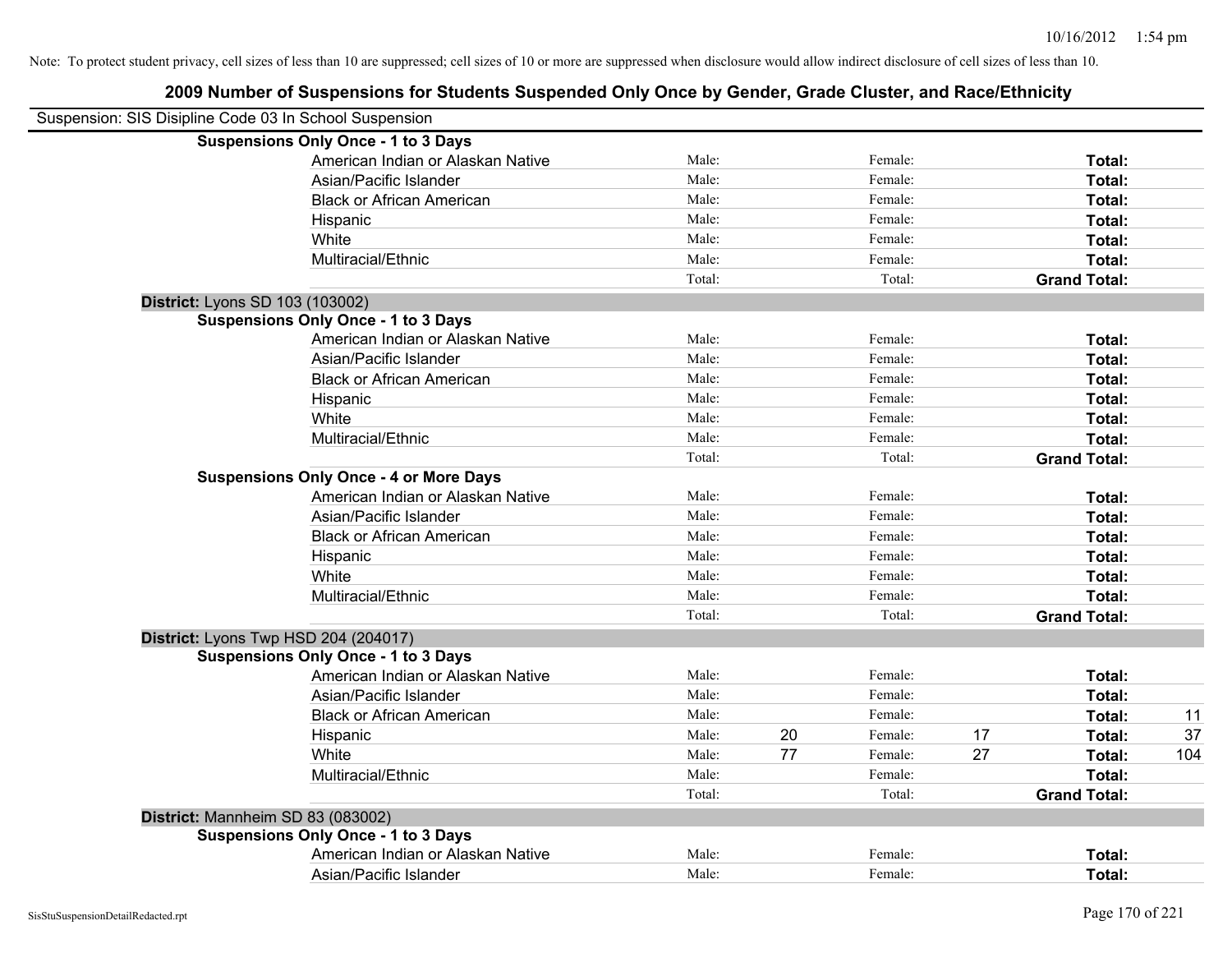| Suspension: SIS Disipline Code 03 In School Suspension |                                               |        |    |         |    |                     |     |
|--------------------------------------------------------|-----------------------------------------------|--------|----|---------|----|---------------------|-----|
|                                                        | <b>Suspensions Only Once - 1 to 3 Days</b>    |        |    |         |    |                     |     |
|                                                        | American Indian or Alaskan Native             | Male:  |    | Female: |    | Total:              |     |
|                                                        | Asian/Pacific Islander                        | Male:  |    | Female: |    | Total:              |     |
|                                                        | <b>Black or African American</b>              | Male:  |    | Female: |    | Total:              |     |
|                                                        | Hispanic                                      | Male:  |    | Female: |    | Total:              |     |
|                                                        | White                                         | Male:  |    | Female: |    | Total:              |     |
|                                                        | Multiracial/Ethnic                            | Male:  |    | Female: |    | Total:              |     |
|                                                        |                                               | Total: |    | Total:  |    | <b>Grand Total:</b> |     |
| District: Lyons SD 103 (103002)                        |                                               |        |    |         |    |                     |     |
|                                                        | <b>Suspensions Only Once - 1 to 3 Days</b>    |        |    |         |    |                     |     |
|                                                        | American Indian or Alaskan Native             | Male:  |    | Female: |    | Total:              |     |
|                                                        | Asian/Pacific Islander                        | Male:  |    | Female: |    | Total:              |     |
|                                                        | <b>Black or African American</b>              | Male:  |    | Female: |    | Total:              |     |
|                                                        | Hispanic                                      | Male:  |    | Female: |    | Total:              |     |
|                                                        | White                                         | Male:  |    | Female: |    | Total:              |     |
|                                                        | Multiracial/Ethnic                            | Male:  |    | Female: |    | Total:              |     |
|                                                        |                                               | Total: |    | Total:  |    | <b>Grand Total:</b> |     |
|                                                        | <b>Suspensions Only Once - 4 or More Days</b> |        |    |         |    |                     |     |
|                                                        | American Indian or Alaskan Native             | Male:  |    | Female: |    | Total:              |     |
|                                                        | Asian/Pacific Islander                        | Male:  |    | Female: |    | Total:              |     |
|                                                        | <b>Black or African American</b>              | Male:  |    | Female: |    | Total:              |     |
|                                                        | Hispanic                                      | Male:  |    | Female: |    | Total:              |     |
|                                                        | White                                         | Male:  |    | Female: |    | Total:              |     |
|                                                        | Multiracial/Ethnic                            | Male:  |    | Female: |    | Total:              |     |
|                                                        |                                               | Total: |    | Total:  |    | <b>Grand Total:</b> |     |
|                                                        | District: Lyons Twp HSD 204 (204017)          |        |    |         |    |                     |     |
|                                                        | <b>Suspensions Only Once - 1 to 3 Days</b>    |        |    |         |    |                     |     |
|                                                        | American Indian or Alaskan Native             | Male:  |    | Female: |    | Total:              |     |
|                                                        | Asian/Pacific Islander                        | Male:  |    | Female: |    | Total:              |     |
|                                                        | <b>Black or African American</b>              | Male:  |    | Female: |    | Total:              | 11  |
|                                                        | Hispanic                                      | Male:  | 20 | Female: | 17 | Total:              | 37  |
|                                                        | White                                         | Male:  | 77 | Female: | 27 | Total:              | 104 |
|                                                        | Multiracial/Ethnic                            | Male:  |    | Female: |    | Total:              |     |
|                                                        |                                               | Total: |    | Total:  |    | <b>Grand Total:</b> |     |
| District: Mannheim SD 83 (083002)                      |                                               |        |    |         |    |                     |     |
|                                                        | <b>Suspensions Only Once - 1 to 3 Days</b>    |        |    |         |    |                     |     |
|                                                        | American Indian or Alaskan Native             | Male:  |    | Female: |    | Total:              |     |
|                                                        | Asian/Pacific Islander                        | Male:  |    | Female: |    | Total:              |     |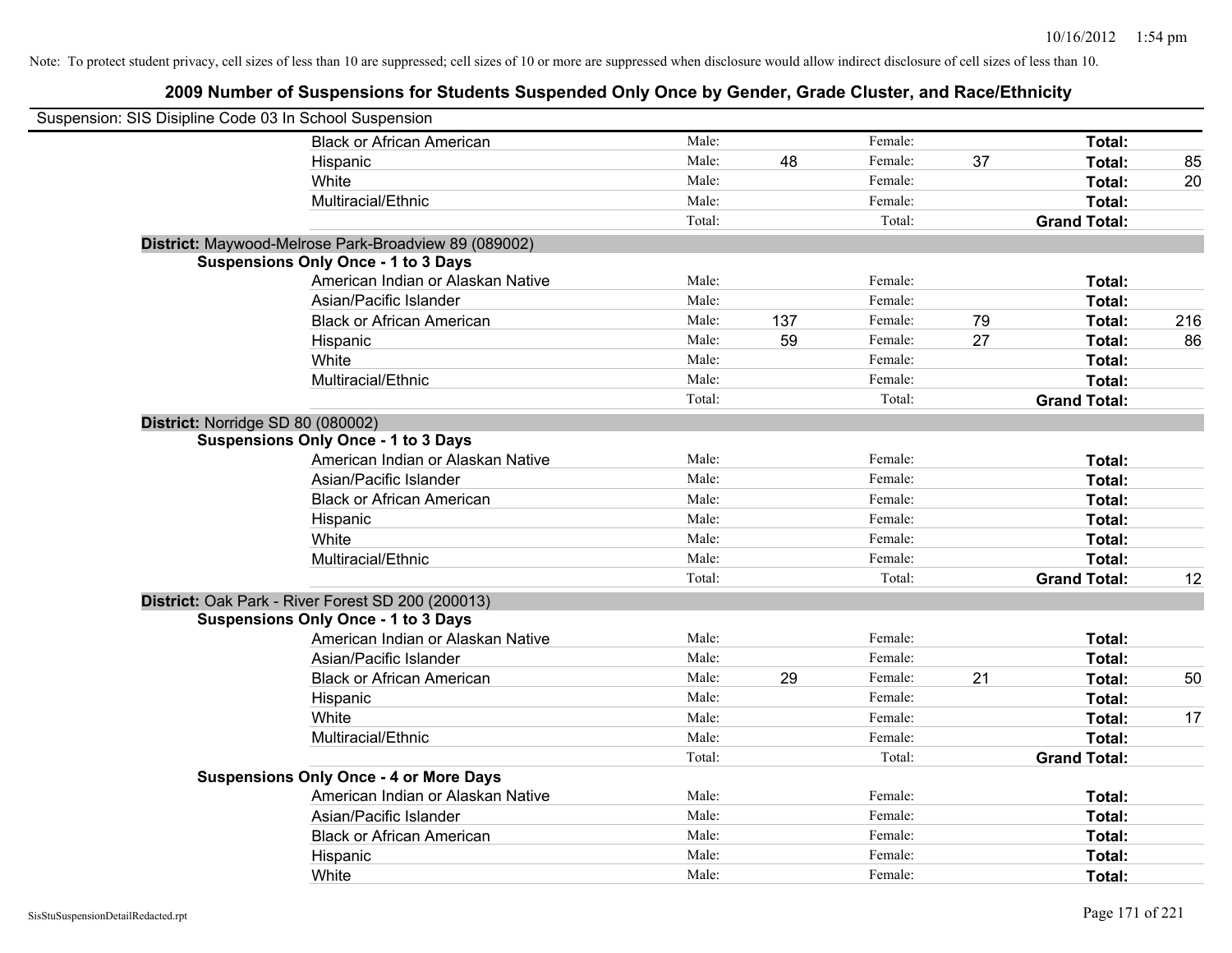| Suspension: SIS Disipline Code 03 In School Suspension |                                                      |        |     |         |    |                     |     |
|--------------------------------------------------------|------------------------------------------------------|--------|-----|---------|----|---------------------|-----|
|                                                        | <b>Black or African American</b>                     | Male:  |     | Female: |    | Total:              |     |
|                                                        | Hispanic                                             | Male:  | 48  | Female: | 37 | Total:              | 85  |
|                                                        | White                                                | Male:  |     | Female: |    | Total:              | 20  |
|                                                        | Multiracial/Ethnic                                   | Male:  |     | Female: |    | Total:              |     |
|                                                        |                                                      | Total: |     | Total:  |    | <b>Grand Total:</b> |     |
|                                                        | District: Maywood-Melrose Park-Broadview 89 (089002) |        |     |         |    |                     |     |
|                                                        | <b>Suspensions Only Once - 1 to 3 Days</b>           |        |     |         |    |                     |     |
|                                                        | American Indian or Alaskan Native                    | Male:  |     | Female: |    | Total:              |     |
|                                                        | Asian/Pacific Islander                               | Male:  |     | Female: |    | Total:              |     |
|                                                        | <b>Black or African American</b>                     | Male:  | 137 | Female: | 79 | Total:              | 216 |
|                                                        | Hispanic                                             | Male:  | 59  | Female: | 27 | Total:              | 86  |
|                                                        | White                                                | Male:  |     | Female: |    | Total:              |     |
|                                                        | Multiracial/Ethnic                                   | Male:  |     | Female: |    | Total:              |     |
|                                                        |                                                      | Total: |     | Total:  |    | <b>Grand Total:</b> |     |
| District: Norridge SD 80 (080002)                      |                                                      |        |     |         |    |                     |     |
|                                                        | <b>Suspensions Only Once - 1 to 3 Days</b>           |        |     |         |    |                     |     |
|                                                        | American Indian or Alaskan Native                    | Male:  |     | Female: |    | Total:              |     |
|                                                        | Asian/Pacific Islander                               | Male:  |     | Female: |    | Total:              |     |
|                                                        | <b>Black or African American</b>                     | Male:  |     | Female: |    | Total:              |     |
|                                                        | Hispanic                                             | Male:  |     | Female: |    | Total:              |     |
|                                                        | White                                                | Male:  |     | Female: |    | Total:              |     |
|                                                        | Multiracial/Ethnic                                   | Male:  |     | Female: |    | Total:              |     |
|                                                        |                                                      | Total: |     | Total:  |    | <b>Grand Total:</b> | 12  |
|                                                        | District: Oak Park - River Forest SD 200 (200013)    |        |     |         |    |                     |     |
|                                                        | <b>Suspensions Only Once - 1 to 3 Days</b>           |        |     |         |    |                     |     |
|                                                        | American Indian or Alaskan Native                    | Male:  |     | Female: |    | Total:              |     |
|                                                        | Asian/Pacific Islander                               | Male:  |     | Female: |    | Total:              |     |
|                                                        | <b>Black or African American</b>                     | Male:  | 29  | Female: | 21 | Total:              | 50  |
|                                                        | Hispanic                                             | Male:  |     | Female: |    | Total:              |     |
|                                                        | White                                                | Male:  |     | Female: |    | Total:              | 17  |
|                                                        | Multiracial/Ethnic                                   | Male:  |     | Female: |    | Total:              |     |
|                                                        |                                                      | Total: |     | Total:  |    | <b>Grand Total:</b> |     |
|                                                        | <b>Suspensions Only Once - 4 or More Days</b>        |        |     |         |    |                     |     |
|                                                        | American Indian or Alaskan Native                    | Male:  |     | Female: |    | Total:              |     |
|                                                        | Asian/Pacific Islander                               | Male:  |     | Female: |    | Total:              |     |
|                                                        | <b>Black or African American</b>                     | Male:  |     | Female: |    | Total:              |     |
|                                                        | Hispanic                                             | Male:  |     | Female: |    | Total:              |     |
|                                                        | White                                                | Male:  |     | Female: |    | Total:              |     |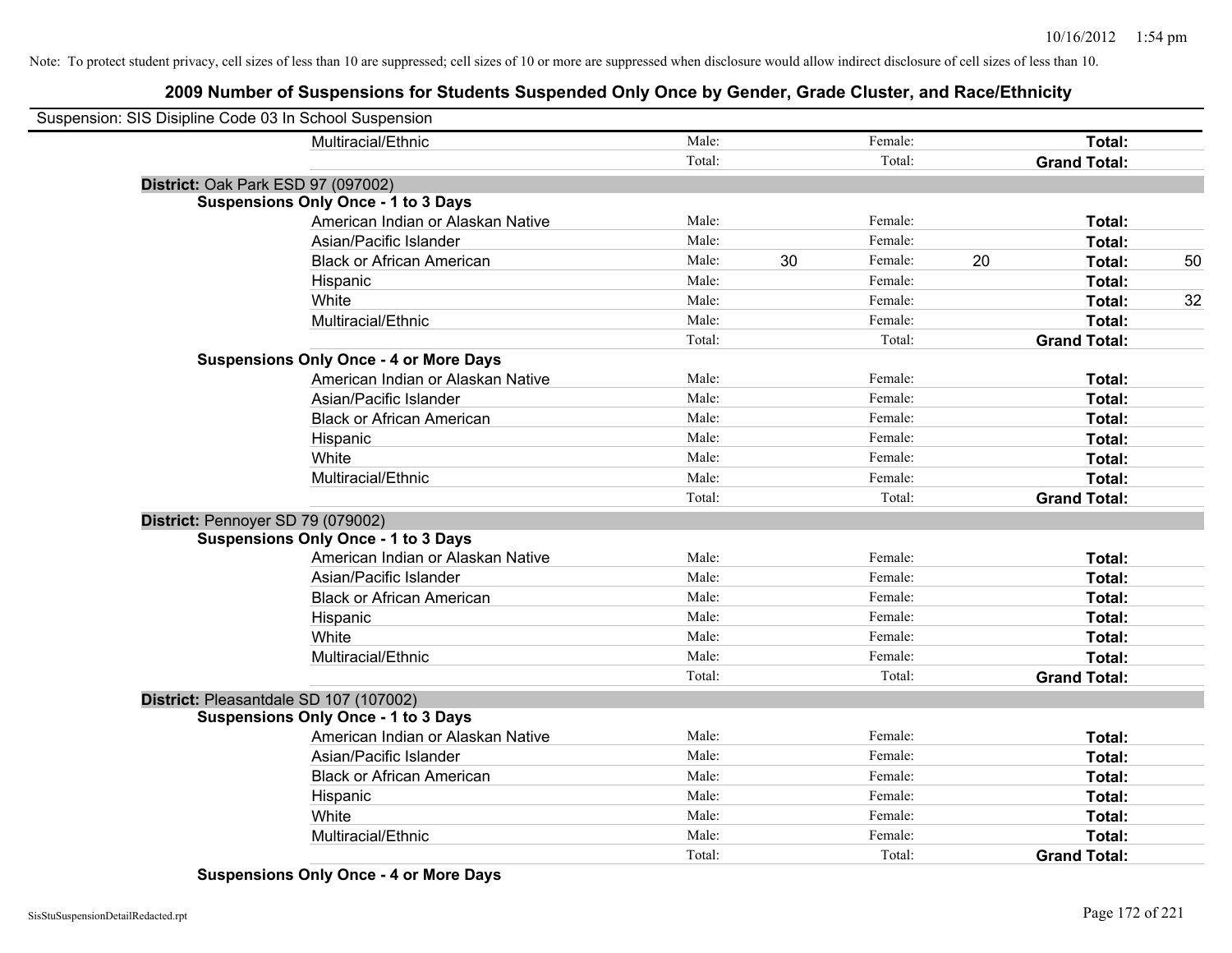| Suspension: SIS Disipline Code 03 In School Suspension |                                               |        |    |         |    |                     |    |
|--------------------------------------------------------|-----------------------------------------------|--------|----|---------|----|---------------------|----|
|                                                        | Multiracial/Ethnic                            | Male:  |    | Female: |    | Total:              |    |
|                                                        |                                               | Total: |    | Total:  |    | <b>Grand Total:</b> |    |
|                                                        | District: Oak Park ESD 97 (097002)            |        |    |         |    |                     |    |
|                                                        | <b>Suspensions Only Once - 1 to 3 Days</b>    |        |    |         |    |                     |    |
|                                                        | American Indian or Alaskan Native             | Male:  |    | Female: |    | Total:              |    |
|                                                        | Asian/Pacific Islander                        | Male:  |    | Female: |    | Total:              |    |
|                                                        | <b>Black or African American</b>              | Male:  | 30 | Female: | 20 | Total:              | 50 |
|                                                        | Hispanic                                      | Male:  |    | Female: |    | Total:              |    |
|                                                        | White                                         | Male:  |    | Female: |    | Total:              | 32 |
|                                                        | Multiracial/Ethnic                            | Male:  |    | Female: |    | Total:              |    |
|                                                        |                                               | Total: |    | Total:  |    | <b>Grand Total:</b> |    |
|                                                        | <b>Suspensions Only Once - 4 or More Days</b> |        |    |         |    |                     |    |
|                                                        | American Indian or Alaskan Native             | Male:  |    | Female: |    | Total:              |    |
|                                                        | Asian/Pacific Islander                        | Male:  |    | Female: |    | Total:              |    |
|                                                        | <b>Black or African American</b>              | Male:  |    | Female: |    | Total:              |    |
|                                                        | Hispanic                                      | Male:  |    | Female: |    | Total:              |    |
|                                                        | White                                         | Male:  |    | Female: |    | Total:              |    |
|                                                        | Multiracial/Ethnic                            | Male:  |    | Female: |    | Total:              |    |
|                                                        |                                               | Total: |    | Total:  |    | <b>Grand Total:</b> |    |
|                                                        | District: Pennoyer SD 79 (079002)             |        |    |         |    |                     |    |
|                                                        | <b>Suspensions Only Once - 1 to 3 Days</b>    |        |    |         |    |                     |    |
|                                                        | American Indian or Alaskan Native             | Male:  |    | Female: |    | Total:              |    |
|                                                        | Asian/Pacific Islander                        | Male:  |    | Female: |    | Total:              |    |
|                                                        | <b>Black or African American</b>              | Male:  |    | Female: |    | Total:              |    |
|                                                        | Hispanic                                      | Male:  |    | Female: |    | Total:              |    |
|                                                        | White                                         | Male:  |    | Female: |    | Total:              |    |
|                                                        | Multiracial/Ethnic                            | Male:  |    | Female: |    | Total:              |    |
|                                                        |                                               | Total: |    | Total:  |    | <b>Grand Total:</b> |    |
|                                                        | District: Pleasantdale SD 107 (107002)        |        |    |         |    |                     |    |
|                                                        | <b>Suspensions Only Once - 1 to 3 Days</b>    |        |    |         |    |                     |    |
|                                                        | American Indian or Alaskan Native             | Male:  |    | Female: |    | Total:              |    |
|                                                        | Asian/Pacific Islander                        | Male:  |    | Female: |    | Total:              |    |
|                                                        | <b>Black or African American</b>              | Male:  |    | Female: |    | Total:              |    |
|                                                        | Hispanic                                      | Male:  |    | Female: |    | Total:              |    |
|                                                        | White                                         | Male:  |    | Female: |    | Total:              |    |
|                                                        | Multiracial/Ethnic                            | Male:  |    | Female: |    | Total:              |    |
|                                                        |                                               | Total: |    | Total:  |    | <b>Grand Total:</b> |    |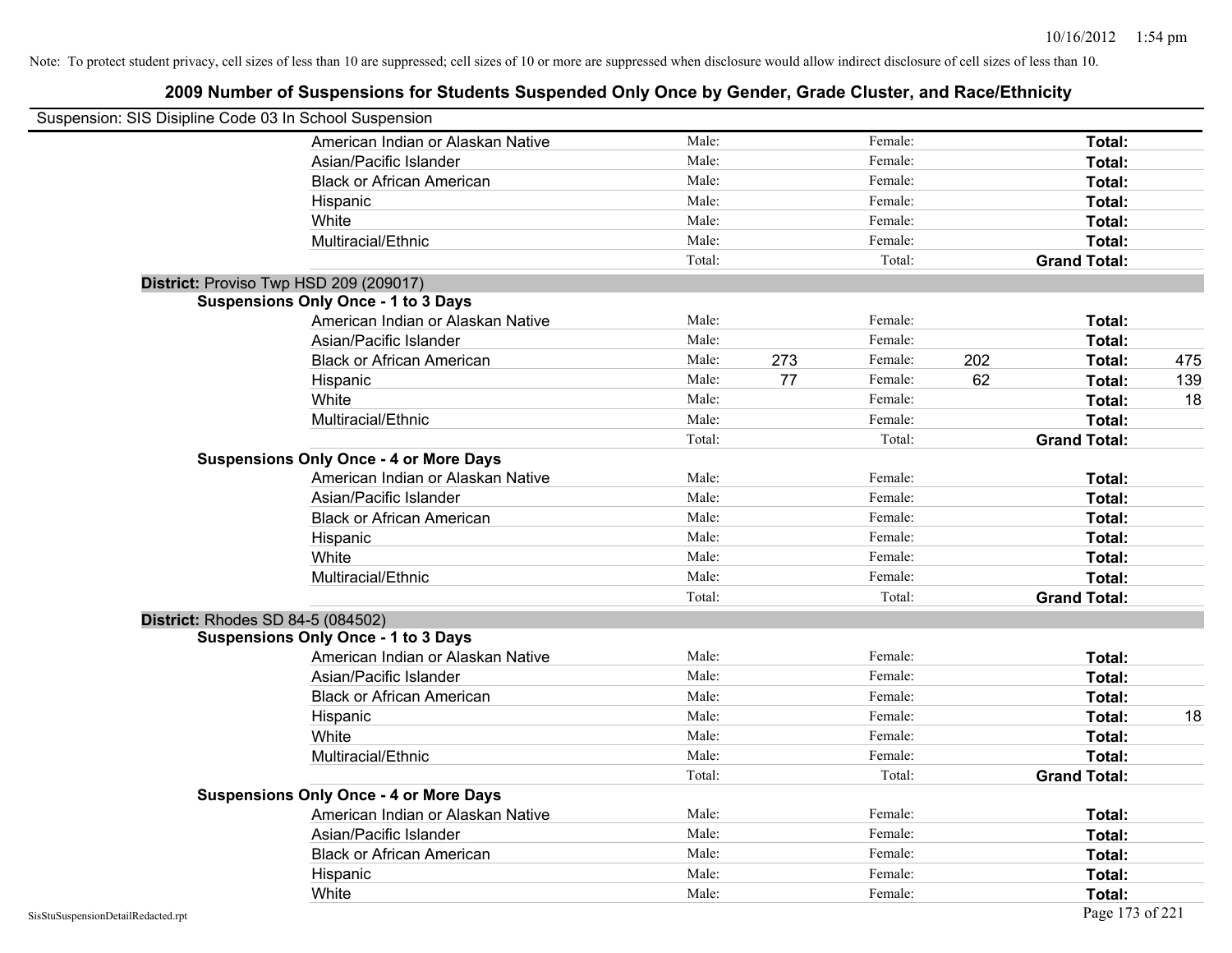| Suspension: SIS Disipline Code 03 In School Suspension |        |     |         |     |                     |     |
|--------------------------------------------------------|--------|-----|---------|-----|---------------------|-----|
| American Indian or Alaskan Native                      | Male:  |     | Female: |     | Total:              |     |
| Asian/Pacific Islander                                 | Male:  |     | Female: |     | Total:              |     |
| <b>Black or African American</b>                       | Male:  |     | Female: |     | Total:              |     |
| Hispanic                                               | Male:  |     | Female: |     | Total:              |     |
| White                                                  | Male:  |     | Female: |     | Total:              |     |
| Multiracial/Ethnic                                     | Male:  |     | Female: |     | Total:              |     |
|                                                        | Total: |     | Total:  |     | <b>Grand Total:</b> |     |
| District: Proviso Twp HSD 209 (209017)                 |        |     |         |     |                     |     |
| <b>Suspensions Only Once - 1 to 3 Days</b>             |        |     |         |     |                     |     |
| American Indian or Alaskan Native                      | Male:  |     | Female: |     | Total:              |     |
| Asian/Pacific Islander                                 | Male:  |     | Female: |     | Total:              |     |
| <b>Black or African American</b>                       | Male:  | 273 | Female: | 202 | Total:              | 475 |
| Hispanic                                               | Male:  | 77  | Female: | 62  | Total:              | 139 |
| White                                                  | Male:  |     | Female: |     | Total:              | 18  |
| Multiracial/Ethnic                                     | Male:  |     | Female: |     | Total:              |     |
|                                                        | Total: |     | Total:  |     | <b>Grand Total:</b> |     |
| <b>Suspensions Only Once - 4 or More Days</b>          |        |     |         |     |                     |     |
| American Indian or Alaskan Native                      | Male:  |     | Female: |     | Total:              |     |
| Asian/Pacific Islander                                 | Male:  |     | Female: |     | Total:              |     |
| <b>Black or African American</b>                       | Male:  |     | Female: |     | Total:              |     |
| Hispanic                                               | Male:  |     | Female: |     | Total:              |     |
| White                                                  | Male:  |     | Female: |     | Total:              |     |
| Multiracial/Ethnic                                     | Male:  |     | Female: |     | Total:              |     |
|                                                        | Total: |     | Total:  |     | <b>Grand Total:</b> |     |
| <b>District: Rhodes SD 84-5 (084502)</b>               |        |     |         |     |                     |     |
| <b>Suspensions Only Once - 1 to 3 Days</b>             |        |     |         |     |                     |     |
| American Indian or Alaskan Native                      | Male:  |     | Female: |     | Total:              |     |
| Asian/Pacific Islander                                 | Male:  |     | Female: |     | Total:              |     |
| <b>Black or African American</b>                       | Male:  |     | Female: |     | Total:              |     |
| Hispanic                                               | Male:  |     | Female: |     | Total:              | 18  |
| White                                                  | Male:  |     | Female: |     | Total:              |     |
| Multiracial/Ethnic                                     | Male:  |     | Female: |     | Total:              |     |
|                                                        | Total: |     | Total:  |     | <b>Grand Total:</b> |     |
| <b>Suspensions Only Once - 4 or More Days</b>          |        |     |         |     |                     |     |
| American Indian or Alaskan Native                      | Male:  |     | Female: |     | Total:              |     |
| Asian/Pacific Islander                                 | Male:  |     | Female: |     | Total:              |     |
| <b>Black or African American</b>                       | Male:  |     | Female: |     | Total:              |     |
| Hispanic                                               | Male:  |     | Female: |     | Total:              |     |
| White                                                  | Male:  |     | Female: |     | Total:              |     |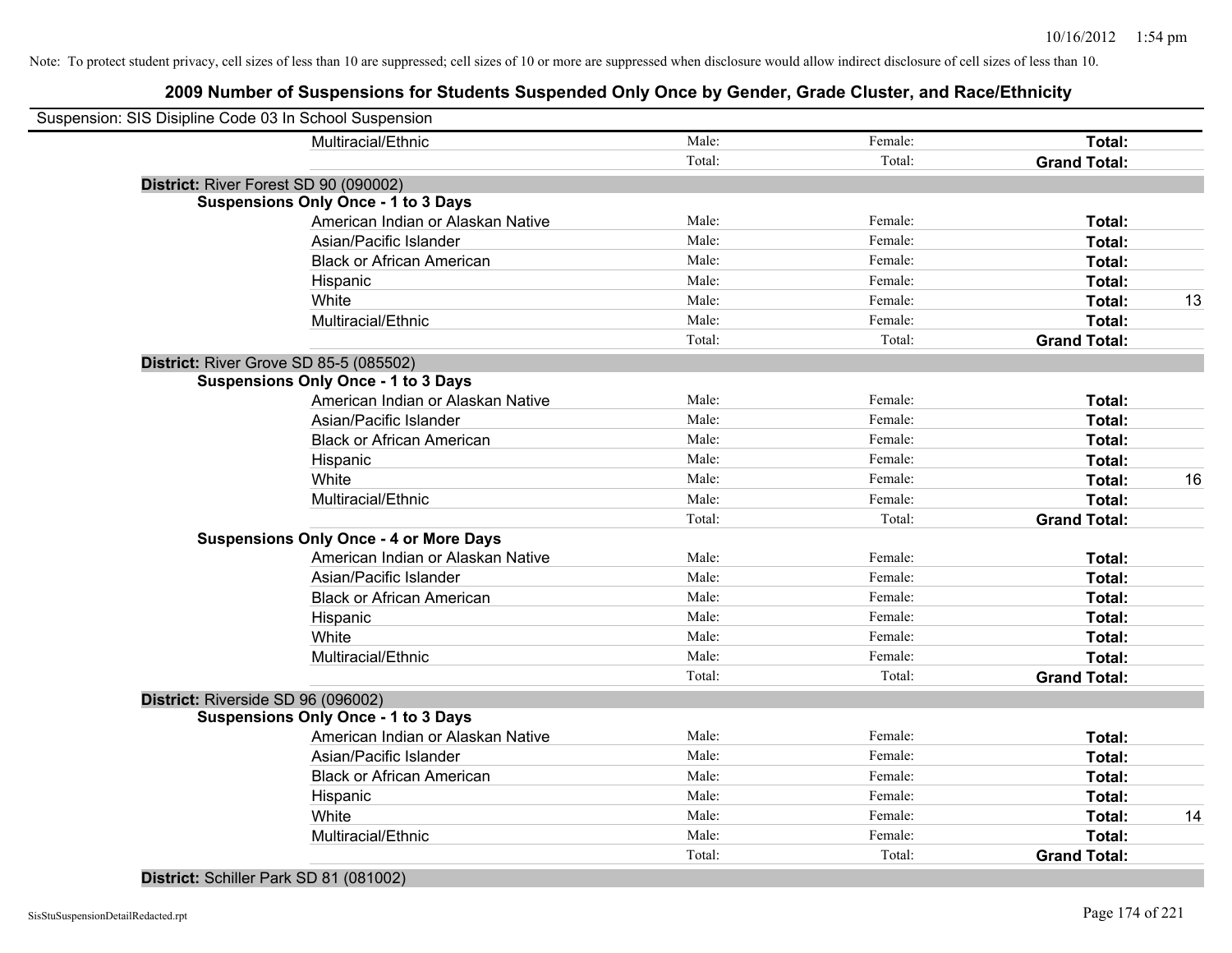# **2009 Number of Suspensions for Students Suspended Only Once by Gender, Grade Cluster, and Race/Ethnicity**

| Suspension: SIS Disipline Code 03 In School Suspension |        |         |                     |    |
|--------------------------------------------------------|--------|---------|---------------------|----|
| Multiracial/Ethnic                                     | Male:  | Female: | Total:              |    |
|                                                        | Total: | Total:  | <b>Grand Total:</b> |    |
| District: River Forest SD 90 (090002)                  |        |         |                     |    |
| <b>Suspensions Only Once - 1 to 3 Days</b>             |        |         |                     |    |
| American Indian or Alaskan Native                      | Male:  | Female: | Total:              |    |
| Asian/Pacific Islander                                 | Male:  | Female: | <b>Total:</b>       |    |
| <b>Black or African American</b>                       | Male:  | Female: | Total:              |    |
| Hispanic                                               | Male:  | Female: | Total:              |    |
| White                                                  | Male:  | Female: | Total:              | 13 |
| Multiracial/Ethnic                                     | Male:  | Female: | Total:              |    |
|                                                        | Total: | Total:  | <b>Grand Total:</b> |    |
| District: River Grove SD 85-5 (085502)                 |        |         |                     |    |
| <b>Suspensions Only Once - 1 to 3 Days</b>             |        |         |                     |    |
| American Indian or Alaskan Native                      | Male:  | Female: | Total:              |    |
| Asian/Pacific Islander                                 | Male:  | Female: | Total:              |    |
| <b>Black or African American</b>                       | Male:  | Female: | Total:              |    |
| Hispanic                                               | Male:  | Female: | Total:              |    |
| White                                                  | Male:  | Female: | Total:              | 16 |
| Multiracial/Ethnic                                     | Male:  | Female: | Total:              |    |
|                                                        | Total: | Total:  | <b>Grand Total:</b> |    |
| <b>Suspensions Only Once - 4 or More Days</b>          |        |         |                     |    |
| American Indian or Alaskan Native                      | Male:  | Female: | Total:              |    |
| Asian/Pacific Islander                                 | Male:  | Female: | Total:              |    |
| <b>Black or African American</b>                       | Male:  | Female: | Total:              |    |
| Hispanic                                               | Male:  | Female: | Total:              |    |
| White                                                  | Male:  | Female: | Total:              |    |
| Multiracial/Ethnic                                     | Male:  | Female: | Total:              |    |
|                                                        | Total: | Total:  | <b>Grand Total:</b> |    |
| District: Riverside SD 96 (096002)                     |        |         |                     |    |
| <b>Suspensions Only Once - 1 to 3 Days</b>             |        |         |                     |    |
| American Indian or Alaskan Native                      | Male:  | Female: | Total:              |    |
| Asian/Pacific Islander                                 | Male:  | Female: | Total:              |    |
| <b>Black or African American</b>                       | Male:  | Female: | Total:              |    |
| Hispanic                                               | Male:  | Female: | Total:              |    |
| White                                                  | Male:  | Female: | Total:              | 14 |
| Multiracial/Ethnic                                     | Male:  | Female: | Total:              |    |
|                                                        | Total: | Total:  | <b>Grand Total:</b> |    |
|                                                        |        |         |                     |    |

**District:** Schiller Park SD 81 (081002)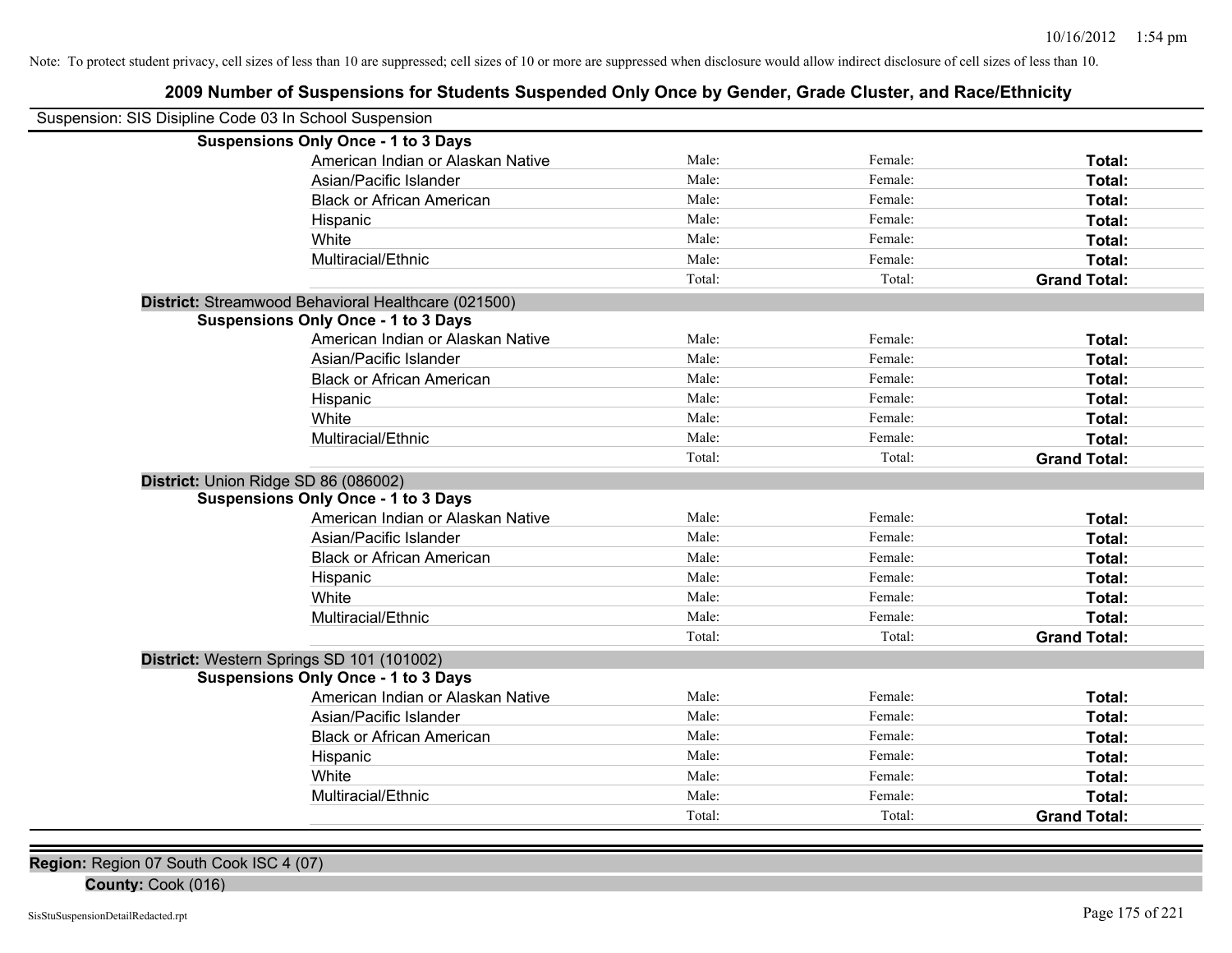# **2009 Number of Suspensions for Students Suspended Only Once by Gender, Grade Cluster, and Race/Ethnicity**

| Suspension: SIS Disipline Code 03 In School Suspension |                                                     |        |         |                     |
|--------------------------------------------------------|-----------------------------------------------------|--------|---------|---------------------|
|                                                        | <b>Suspensions Only Once - 1 to 3 Days</b>          |        |         |                     |
|                                                        | American Indian or Alaskan Native                   | Male:  | Female: | Total:              |
|                                                        | Asian/Pacific Islander                              | Male:  | Female: | Total:              |
|                                                        | <b>Black or African American</b>                    | Male:  | Female: | Total:              |
|                                                        | Hispanic                                            | Male:  | Female: | Total:              |
|                                                        | White                                               | Male:  | Female: | Total:              |
|                                                        | Multiracial/Ethnic                                  | Male:  | Female: | <b>Total:</b>       |
|                                                        |                                                     | Total: | Total:  | <b>Grand Total:</b> |
|                                                        | District: Streamwood Behavioral Healthcare (021500) |        |         |                     |
|                                                        | <b>Suspensions Only Once - 1 to 3 Days</b>          |        |         |                     |
|                                                        | American Indian or Alaskan Native                   | Male:  | Female: | Total:              |
|                                                        | Asian/Pacific Islander                              | Male:  | Female: | Total:              |
|                                                        | <b>Black or African American</b>                    | Male:  | Female: | Total:              |
|                                                        | Hispanic                                            | Male:  | Female: | Total:              |
|                                                        | White                                               | Male:  | Female: | Total:              |
|                                                        | Multiracial/Ethnic                                  | Male:  | Female: | Total:              |
|                                                        |                                                     | Total: | Total:  | <b>Grand Total:</b> |
| District: Union Ridge SD 86 (086002)                   |                                                     |        |         |                     |
|                                                        | <b>Suspensions Only Once - 1 to 3 Days</b>          |        |         |                     |
|                                                        | American Indian or Alaskan Native                   | Male:  | Female: | Total:              |
|                                                        | Asian/Pacific Islander                              | Male:  | Female: | Total:              |
|                                                        | <b>Black or African American</b>                    | Male:  | Female: | Total:              |
|                                                        | Hispanic                                            | Male:  | Female: | Total:              |
|                                                        | White                                               | Male:  | Female: | Total:              |
|                                                        | Multiracial/Ethnic                                  | Male:  | Female: | Total:              |
|                                                        |                                                     | Total: | Total:  | <b>Grand Total:</b> |
| District: Western Springs SD 101 (101002)              |                                                     |        |         |                     |
|                                                        | <b>Suspensions Only Once - 1 to 3 Days</b>          |        |         |                     |
|                                                        | American Indian or Alaskan Native                   | Male:  | Female: | Total:              |
|                                                        | Asian/Pacific Islander                              | Male:  | Female: | Total:              |
|                                                        | <b>Black or African American</b>                    | Male:  | Female: | Total:              |
|                                                        | Hispanic                                            | Male:  | Female: | Total:              |
|                                                        | White                                               | Male:  | Female: | Total:              |
|                                                        | Multiracial/Ethnic                                  | Male:  | Female: | Total:              |
|                                                        |                                                     | Total: | Total:  | <b>Grand Total:</b> |

**Region:** Region 07 South Cook ISC 4 (07)

**County:** Cook (016)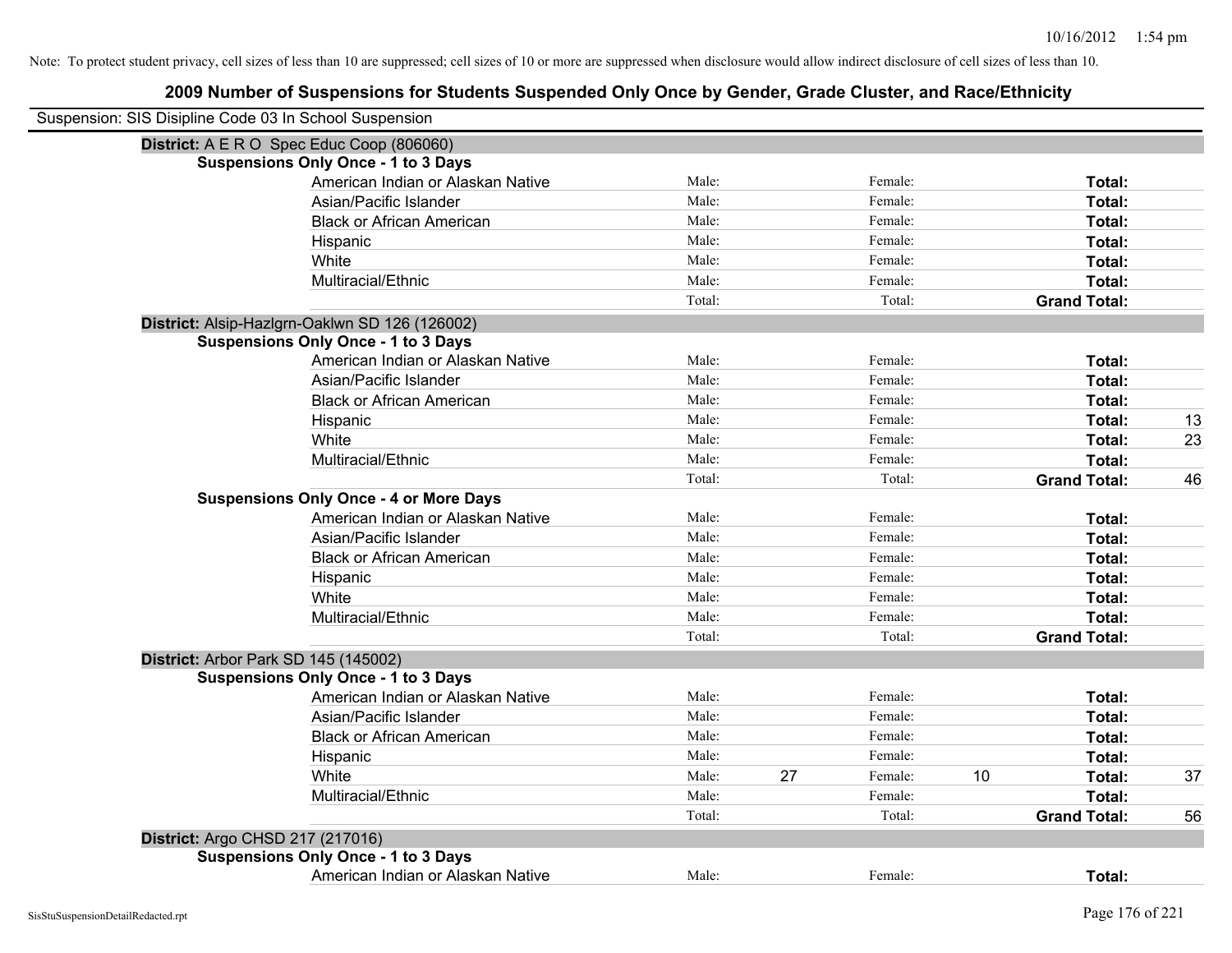| Suspension: SIS Disipline Code 03 In School Suspension |                                                |        |    |         |    |                     |    |
|--------------------------------------------------------|------------------------------------------------|--------|----|---------|----|---------------------|----|
|                                                        | District: A E R O Spec Educ Coop (806060)      |        |    |         |    |                     |    |
|                                                        | <b>Suspensions Only Once - 1 to 3 Days</b>     |        |    |         |    |                     |    |
|                                                        | American Indian or Alaskan Native              | Male:  |    | Female: |    | Total:              |    |
|                                                        | Asian/Pacific Islander                         | Male:  |    | Female: |    | Total:              |    |
|                                                        | <b>Black or African American</b>               | Male:  |    | Female: |    | Total:              |    |
|                                                        | Hispanic                                       | Male:  |    | Female: |    | Total:              |    |
|                                                        | White                                          | Male:  |    | Female: |    | Total:              |    |
|                                                        | Multiracial/Ethnic                             | Male:  |    | Female: |    | Total:              |    |
|                                                        |                                                | Total: |    | Total:  |    | <b>Grand Total:</b> |    |
|                                                        | District: Alsip-Hazlgrn-Oaklwn SD 126 (126002) |        |    |         |    |                     |    |
|                                                        | <b>Suspensions Only Once - 1 to 3 Days</b>     |        |    |         |    |                     |    |
|                                                        | American Indian or Alaskan Native              | Male:  |    | Female: |    | Total:              |    |
|                                                        | Asian/Pacific Islander                         | Male:  |    | Female: |    | Total:              |    |
|                                                        | <b>Black or African American</b>               | Male:  |    | Female: |    | Total:              |    |
|                                                        | Hispanic                                       | Male:  |    | Female: |    | Total:              | 13 |
|                                                        | White                                          | Male:  |    | Female: |    | Total:              | 23 |
|                                                        | Multiracial/Ethnic                             | Male:  |    | Female: |    | Total:              |    |
|                                                        |                                                | Total: |    | Total:  |    | <b>Grand Total:</b> | 46 |
|                                                        | <b>Suspensions Only Once - 4 or More Days</b>  |        |    |         |    |                     |    |
|                                                        | American Indian or Alaskan Native              | Male:  |    | Female: |    | Total:              |    |
|                                                        | Asian/Pacific Islander                         | Male:  |    | Female: |    | Total:              |    |
|                                                        | <b>Black or African American</b>               | Male:  |    | Female: |    | Total:              |    |
|                                                        | Hispanic                                       | Male:  |    | Female: |    | Total:              |    |
|                                                        | White                                          | Male:  |    | Female: |    | Total:              |    |
|                                                        | Multiracial/Ethnic                             | Male:  |    | Female: |    | Total:              |    |
|                                                        |                                                | Total: |    | Total:  |    | <b>Grand Total:</b> |    |
|                                                        | District: Arbor Park SD 145 (145002)           |        |    |         |    |                     |    |
|                                                        | <b>Suspensions Only Once - 1 to 3 Days</b>     |        |    |         |    |                     |    |
|                                                        | American Indian or Alaskan Native              | Male:  |    | Female: |    | Total:              |    |
|                                                        | Asian/Pacific Islander                         | Male:  |    | Female: |    | Total:              |    |
|                                                        | <b>Black or African American</b>               | Male:  |    | Female: |    | Total:              |    |
|                                                        | Hispanic                                       | Male:  |    | Female: |    | Total:              |    |
|                                                        | White                                          | Male:  | 27 | Female: | 10 | Total:              | 37 |
|                                                        | Multiracial/Ethnic                             | Male:  |    | Female: |    | Total:              |    |
|                                                        |                                                | Total: |    | Total:  |    | <b>Grand Total:</b> | 56 |
| District: Argo CHSD 217 (217016)                       |                                                |        |    |         |    |                     |    |
|                                                        | <b>Suspensions Only Once - 1 to 3 Days</b>     |        |    |         |    |                     |    |
|                                                        | American Indian or Alaskan Native              | Male:  |    | Female: |    | Total:              |    |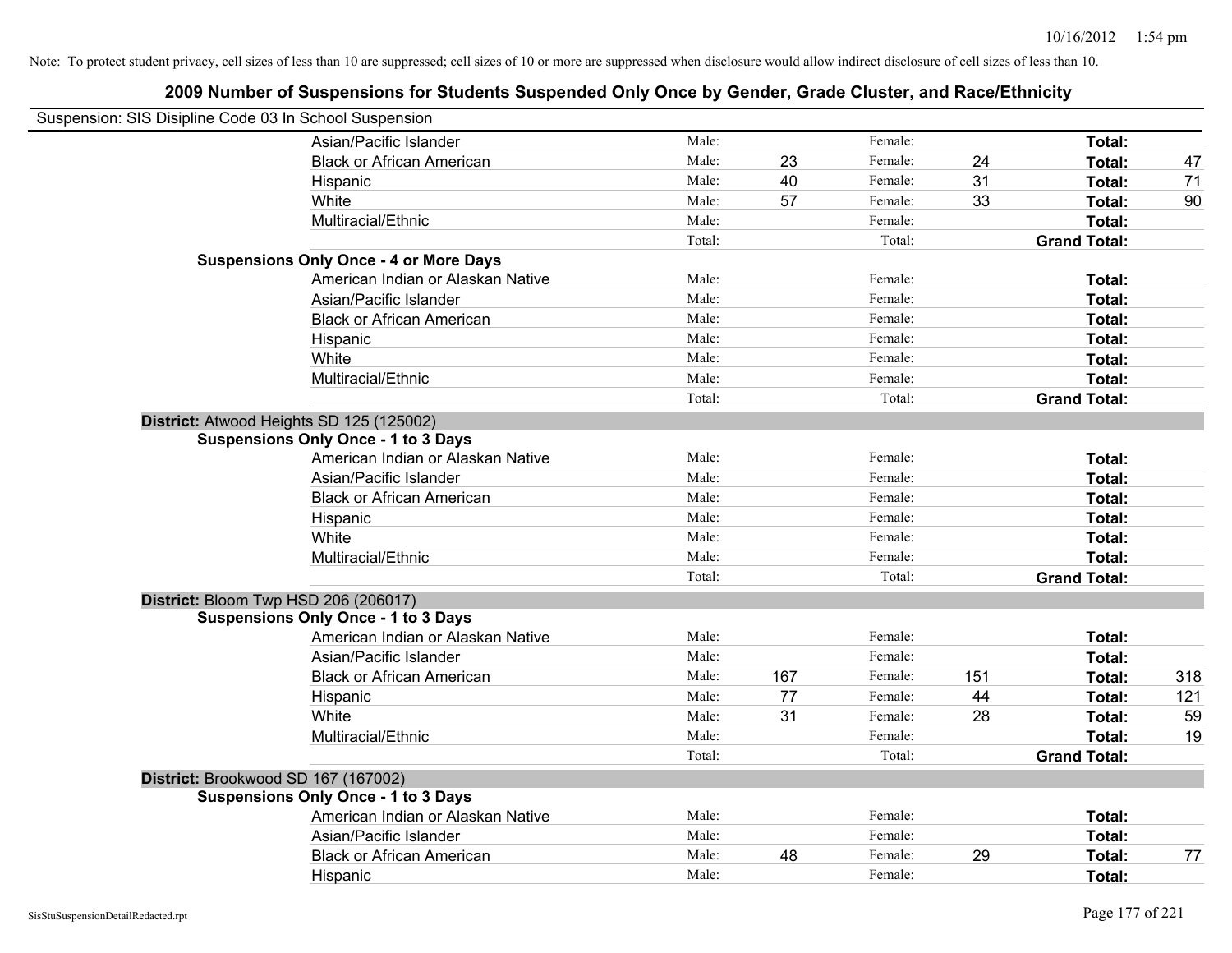| Suspension: SIS Disipline Code 03 In School Suspension |                                               |        |     |         |     |                     |     |
|--------------------------------------------------------|-----------------------------------------------|--------|-----|---------|-----|---------------------|-----|
|                                                        | Asian/Pacific Islander                        | Male:  |     | Female: |     | Total:              |     |
|                                                        | <b>Black or African American</b>              | Male:  | 23  | Female: | 24  | Total:              | 47  |
|                                                        | Hispanic                                      | Male:  | 40  | Female: | 31  | <b>Total:</b>       | 71  |
|                                                        | White                                         | Male:  | 57  | Female: | 33  | <b>Total:</b>       | 90  |
|                                                        | Multiracial/Ethnic                            | Male:  |     | Female: |     | Total:              |     |
|                                                        |                                               | Total: |     | Total:  |     | <b>Grand Total:</b> |     |
|                                                        | <b>Suspensions Only Once - 4 or More Days</b> |        |     |         |     |                     |     |
|                                                        | American Indian or Alaskan Native             | Male:  |     | Female: |     | Total:              |     |
|                                                        | Asian/Pacific Islander                        | Male:  |     | Female: |     | Total:              |     |
|                                                        | <b>Black or African American</b>              | Male:  |     | Female: |     | Total:              |     |
|                                                        | Hispanic                                      | Male:  |     | Female: |     | Total:              |     |
|                                                        | White                                         | Male:  |     | Female: |     | Total:              |     |
|                                                        | Multiracial/Ethnic                            | Male:  |     | Female: |     | Total:              |     |
|                                                        |                                               | Total: |     | Total:  |     | <b>Grand Total:</b> |     |
|                                                        | District: Atwood Heights SD 125 (125002)      |        |     |         |     |                     |     |
|                                                        | <b>Suspensions Only Once - 1 to 3 Days</b>    |        |     |         |     |                     |     |
|                                                        | American Indian or Alaskan Native             | Male:  |     | Female: |     | Total:              |     |
|                                                        | Asian/Pacific Islander                        | Male:  |     | Female: |     | Total:              |     |
|                                                        | <b>Black or African American</b>              | Male:  |     | Female: |     | Total:              |     |
|                                                        | Hispanic                                      | Male:  |     | Female: |     | Total:              |     |
|                                                        | White                                         | Male:  |     | Female: |     | Total:              |     |
|                                                        | Multiracial/Ethnic                            | Male:  |     | Female: |     | Total:              |     |
|                                                        |                                               | Total: |     | Total:  |     | <b>Grand Total:</b> |     |
|                                                        | District: Bloom Twp HSD 206 (206017)          |        |     |         |     |                     |     |
|                                                        | <b>Suspensions Only Once - 1 to 3 Days</b>    |        |     |         |     |                     |     |
|                                                        | American Indian or Alaskan Native             | Male:  |     | Female: |     | Total:              |     |
|                                                        | Asian/Pacific Islander                        | Male:  |     | Female: |     | Total:              |     |
|                                                        | <b>Black or African American</b>              | Male:  | 167 | Female: | 151 | Total:              | 318 |
|                                                        | Hispanic                                      | Male:  | 77  | Female: | 44  | Total:              | 121 |
|                                                        | White                                         | Male:  | 31  | Female: | 28  | Total:              | 59  |
|                                                        | Multiracial/Ethnic                            | Male:  |     | Female: |     | Total:              | 19  |
|                                                        |                                               | Total: |     | Total:  |     | <b>Grand Total:</b> |     |
|                                                        | District: Brookwood SD 167 (167002)           |        |     |         |     |                     |     |
|                                                        | <b>Suspensions Only Once - 1 to 3 Days</b>    |        |     |         |     |                     |     |
|                                                        | American Indian or Alaskan Native             | Male:  |     | Female: |     | Total:              |     |
|                                                        | Asian/Pacific Islander                        | Male:  |     | Female: |     | Total:              |     |
|                                                        | <b>Black or African American</b>              | Male:  | 48  | Female: | 29  | Total:              | 77  |
|                                                        | Hispanic                                      | Male:  |     | Female: |     | Total:              |     |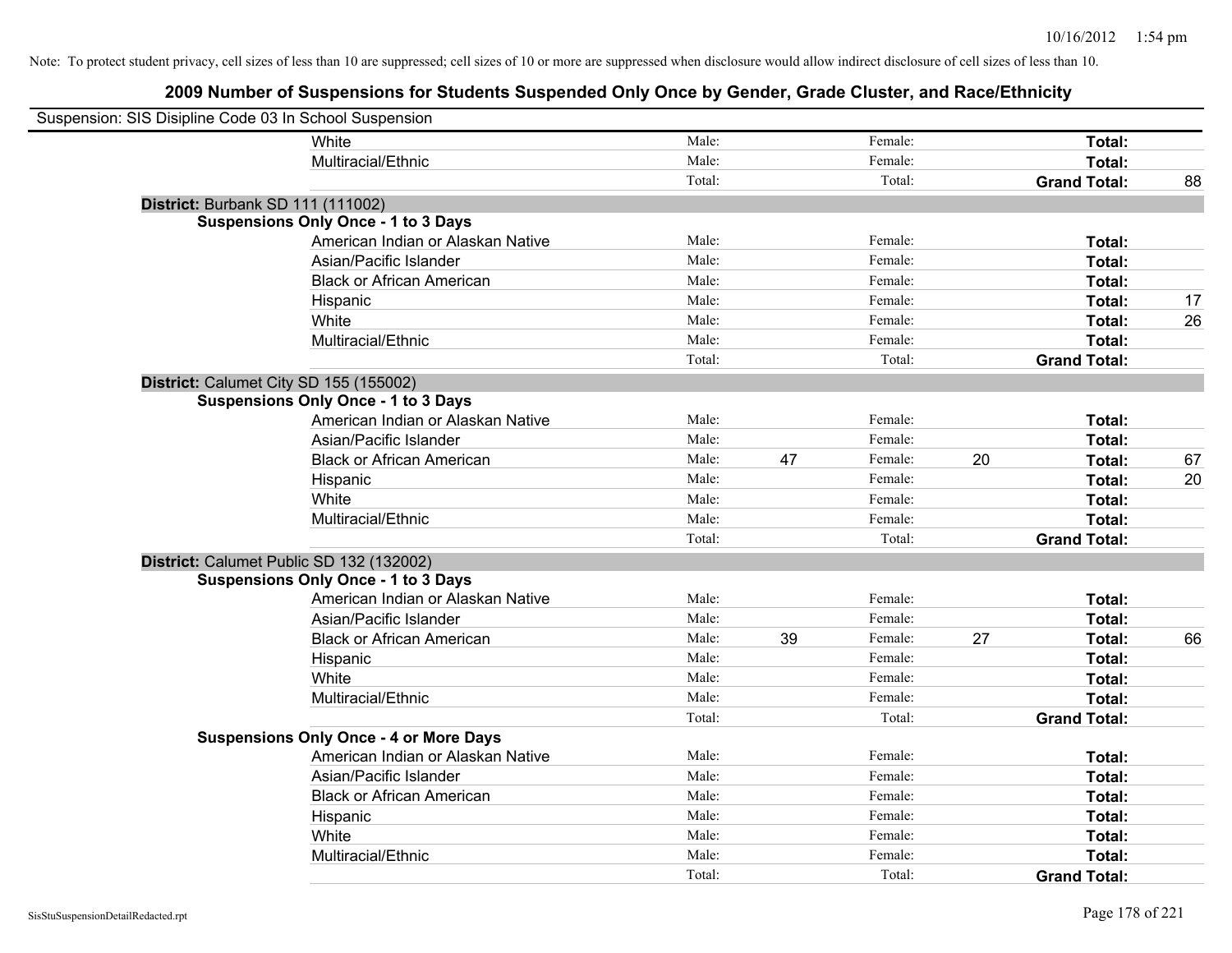| Suspension: SIS Disipline Code 03 In School Suspension |                                               |        |    |         |    |                     |    |
|--------------------------------------------------------|-----------------------------------------------|--------|----|---------|----|---------------------|----|
|                                                        | White                                         | Male:  |    | Female: |    | Total:              |    |
|                                                        | Multiracial/Ethnic                            | Male:  |    | Female: |    | Total:              |    |
|                                                        |                                               | Total: |    | Total:  |    | <b>Grand Total:</b> | 88 |
| District: Burbank SD 111 (111002)                      |                                               |        |    |         |    |                     |    |
|                                                        | <b>Suspensions Only Once - 1 to 3 Days</b>    |        |    |         |    |                     |    |
|                                                        | American Indian or Alaskan Native             | Male:  |    | Female: |    | Total:              |    |
|                                                        | Asian/Pacific Islander                        | Male:  |    | Female: |    | Total:              |    |
|                                                        | <b>Black or African American</b>              | Male:  |    | Female: |    | Total:              |    |
|                                                        | Hispanic                                      | Male:  |    | Female: |    | Total:              | 17 |
|                                                        | White                                         | Male:  |    | Female: |    | Total:              | 26 |
|                                                        | Multiracial/Ethnic                            | Male:  |    | Female: |    | Total:              |    |
|                                                        |                                               | Total: |    | Total:  |    | <b>Grand Total:</b> |    |
| District: Calumet City SD 155 (155002)                 |                                               |        |    |         |    |                     |    |
|                                                        | <b>Suspensions Only Once - 1 to 3 Days</b>    |        |    |         |    |                     |    |
|                                                        | American Indian or Alaskan Native             | Male:  |    | Female: |    | Total:              |    |
|                                                        | Asian/Pacific Islander                        | Male:  |    | Female: |    | Total:              |    |
|                                                        | <b>Black or African American</b>              | Male:  | 47 | Female: | 20 | Total:              | 67 |
|                                                        | Hispanic                                      | Male:  |    | Female: |    | Total:              | 20 |
|                                                        | White                                         | Male:  |    | Female: |    | Total:              |    |
|                                                        | Multiracial/Ethnic                            | Male:  |    | Female: |    | Total:              |    |
|                                                        |                                               | Total: |    | Total:  |    | <b>Grand Total:</b> |    |
| District: Calumet Public SD 132 (132002)               |                                               |        |    |         |    |                     |    |
|                                                        | <b>Suspensions Only Once - 1 to 3 Days</b>    |        |    |         |    |                     |    |
|                                                        | American Indian or Alaskan Native             | Male:  |    | Female: |    | Total:              |    |
|                                                        | Asian/Pacific Islander                        | Male:  |    | Female: |    | Total:              |    |
|                                                        | <b>Black or African American</b>              | Male:  | 39 | Female: | 27 | Total:              | 66 |
|                                                        | Hispanic                                      | Male:  |    | Female: |    | Total:              |    |
|                                                        | White                                         | Male:  |    | Female: |    | Total:              |    |
|                                                        | Multiracial/Ethnic                            | Male:  |    | Female: |    | Total:              |    |
|                                                        |                                               | Total: |    | Total:  |    | <b>Grand Total:</b> |    |
|                                                        | <b>Suspensions Only Once - 4 or More Days</b> |        |    |         |    |                     |    |
|                                                        | American Indian or Alaskan Native             | Male:  |    | Female: |    | Total:              |    |
|                                                        | Asian/Pacific Islander                        | Male:  |    | Female: |    | Total:              |    |
|                                                        | <b>Black or African American</b>              | Male:  |    | Female: |    | Total:              |    |
|                                                        | Hispanic                                      | Male:  |    | Female: |    | Total:              |    |
|                                                        | White                                         | Male:  |    | Female: |    | Total:              |    |
|                                                        | Multiracial/Ethnic                            | Male:  |    | Female: |    | Total:              |    |
|                                                        |                                               | Total: |    | Total:  |    | <b>Grand Total:</b> |    |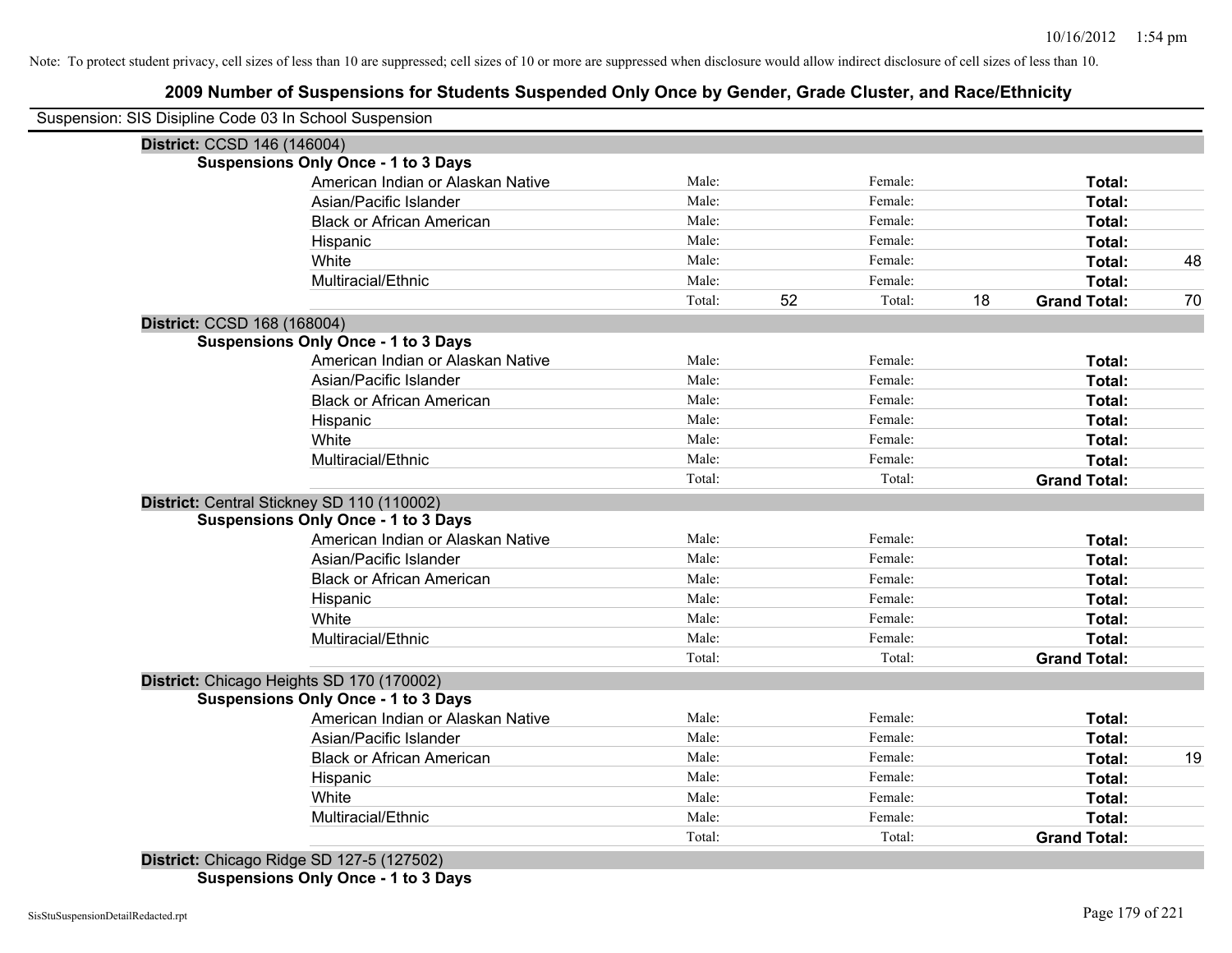# **2009 Number of Suspensions for Students Suspended Only Once by Gender, Grade Cluster, and Race/Ethnicity**

|                             | Suspension: SIS Disipline Code 03 In School Suspension |        |    |         |    |                     |    |
|-----------------------------|--------------------------------------------------------|--------|----|---------|----|---------------------|----|
| District: CCSD 146 (146004) |                                                        |        |    |         |    |                     |    |
|                             | <b>Suspensions Only Once - 1 to 3 Days</b>             |        |    |         |    |                     |    |
|                             | American Indian or Alaskan Native                      | Male:  |    | Female: |    | Total:              |    |
|                             | Asian/Pacific Islander                                 | Male:  |    | Female: |    | Total:              |    |
|                             | <b>Black or African American</b>                       | Male:  |    | Female: |    | Total:              |    |
|                             | Hispanic                                               | Male:  |    | Female: |    | Total:              |    |
|                             | White                                                  | Male:  |    | Female: |    | Total:              | 48 |
|                             | Multiracial/Ethnic                                     | Male:  |    | Female: |    | Total:              |    |
|                             |                                                        | Total: | 52 | Total:  | 18 | <b>Grand Total:</b> | 70 |
| District: CCSD 168 (168004) |                                                        |        |    |         |    |                     |    |
|                             | <b>Suspensions Only Once - 1 to 3 Days</b>             |        |    |         |    |                     |    |
|                             | American Indian or Alaskan Native                      | Male:  |    | Female: |    | Total:              |    |
|                             | Asian/Pacific Islander                                 | Male:  |    | Female: |    | <b>Total:</b>       |    |
|                             | <b>Black or African American</b>                       | Male:  |    | Female: |    | <b>Total:</b>       |    |
|                             | Hispanic                                               | Male:  |    | Female: |    | Total:              |    |
|                             | White                                                  | Male:  |    | Female: |    | Total:              |    |
|                             | Multiracial/Ethnic                                     | Male:  |    | Female: |    | Total:              |    |
|                             |                                                        | Total: |    | Total:  |    | <b>Grand Total:</b> |    |
|                             | District: Central Stickney SD 110 (110002)             |        |    |         |    |                     |    |
|                             | <b>Suspensions Only Once - 1 to 3 Days</b>             |        |    |         |    |                     |    |
|                             | American Indian or Alaskan Native                      | Male:  |    | Female: |    | Total:              |    |
|                             | Asian/Pacific Islander                                 | Male:  |    | Female: |    | Total:              |    |
|                             | <b>Black or African American</b>                       | Male:  |    | Female: |    | Total:              |    |
|                             | Hispanic                                               | Male:  |    | Female: |    | Total:              |    |
|                             | White                                                  | Male:  |    | Female: |    | Total:              |    |
|                             | Multiracial/Ethnic                                     | Male:  |    | Female: |    | Total:              |    |
|                             |                                                        | Total: |    | Total:  |    | <b>Grand Total:</b> |    |
|                             | District: Chicago Heights SD 170 (170002)              |        |    |         |    |                     |    |
|                             | <b>Suspensions Only Once - 1 to 3 Days</b>             |        |    |         |    |                     |    |
|                             | American Indian or Alaskan Native                      | Male:  |    | Female: |    | Total:              |    |
|                             | Asian/Pacific Islander                                 | Male:  |    | Female: |    | Total:              |    |
|                             | <b>Black or African American</b>                       | Male:  |    | Female: |    | Total:              | 19 |
|                             | Hispanic                                               | Male:  |    | Female: |    | Total:              |    |
|                             | White                                                  | Male:  |    | Female: |    | Total:              |    |
|                             | Multiracial/Ethnic                                     | Male:  |    | Female: |    | Total:              |    |
|                             |                                                        | Total: |    | Total:  |    | <b>Grand Total:</b> |    |

**Suspensions Only Once - 1 to 3 Days**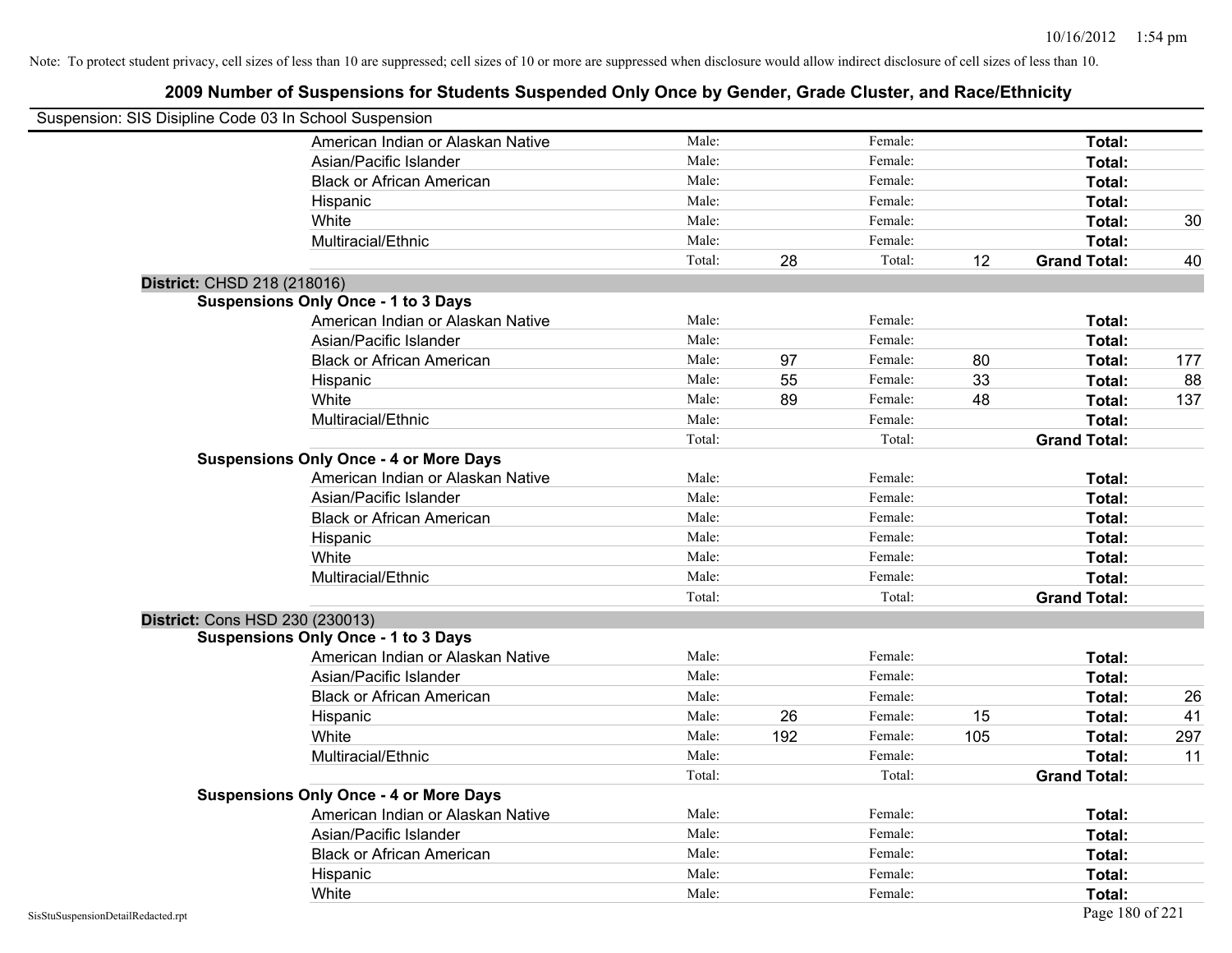| Suspension: SIS Disipline Code 03 In School Suspension |                                               |        |     |         |     |                     |     |
|--------------------------------------------------------|-----------------------------------------------|--------|-----|---------|-----|---------------------|-----|
|                                                        | American Indian or Alaskan Native             | Male:  |     | Female: |     | Total:              |     |
|                                                        | Asian/Pacific Islander                        | Male:  |     | Female: |     | Total:              |     |
|                                                        | <b>Black or African American</b>              | Male:  |     | Female: |     | Total:              |     |
|                                                        | Hispanic                                      | Male:  |     | Female: |     | Total:              |     |
|                                                        | White                                         | Male:  |     | Female: |     | Total:              | 30  |
|                                                        | Multiracial/Ethnic                            | Male:  |     | Female: |     | Total:              |     |
|                                                        |                                               | Total: | 28  | Total:  | 12  | <b>Grand Total:</b> | 40  |
| District: CHSD 218 (218016)                            |                                               |        |     |         |     |                     |     |
|                                                        | <b>Suspensions Only Once - 1 to 3 Days</b>    |        |     |         |     |                     |     |
|                                                        | American Indian or Alaskan Native             | Male:  |     | Female: |     | Total:              |     |
|                                                        | Asian/Pacific Islander                        | Male:  |     | Female: |     | Total:              |     |
|                                                        | <b>Black or African American</b>              | Male:  | 97  | Female: | 80  | Total:              | 177 |
|                                                        | Hispanic                                      | Male:  | 55  | Female: | 33  | Total:              | 88  |
|                                                        | White                                         | Male:  | 89  | Female: | 48  | Total:              | 137 |
|                                                        | Multiracial/Ethnic                            | Male:  |     | Female: |     | Total:              |     |
|                                                        |                                               | Total: |     | Total:  |     | <b>Grand Total:</b> |     |
|                                                        | <b>Suspensions Only Once - 4 or More Days</b> |        |     |         |     |                     |     |
|                                                        | American Indian or Alaskan Native             | Male:  |     | Female: |     | Total:              |     |
|                                                        | Asian/Pacific Islander                        | Male:  |     | Female: |     | Total:              |     |
|                                                        | <b>Black or African American</b>              | Male:  |     | Female: |     | Total:              |     |
|                                                        | Hispanic                                      | Male:  |     | Female: |     | Total:              |     |
|                                                        | White                                         | Male:  |     | Female: |     | Total:              |     |
|                                                        | Multiracial/Ethnic                            | Male:  |     | Female: |     | Total:              |     |
|                                                        |                                               | Total: |     | Total:  |     | <b>Grand Total:</b> |     |
|                                                        | District: Cons HSD 230 (230013)               |        |     |         |     |                     |     |
|                                                        | <b>Suspensions Only Once - 1 to 3 Days</b>    |        |     |         |     |                     |     |
|                                                        | American Indian or Alaskan Native             | Male:  |     | Female: |     | Total:              |     |
|                                                        | Asian/Pacific Islander                        | Male:  |     | Female: |     | Total:              |     |
|                                                        | <b>Black or African American</b>              | Male:  |     | Female: |     | Total:              | 26  |
|                                                        | Hispanic                                      | Male:  | 26  | Female: | 15  | Total:              | 41  |
|                                                        | White                                         | Male:  | 192 | Female: | 105 | Total:              | 297 |
|                                                        | Multiracial/Ethnic                            | Male:  |     | Female: |     | Total:              | 11  |
|                                                        |                                               | Total: |     | Total:  |     | <b>Grand Total:</b> |     |
|                                                        | <b>Suspensions Only Once - 4 or More Days</b> |        |     |         |     |                     |     |
|                                                        | American Indian or Alaskan Native             | Male:  |     | Female: |     | Total:              |     |
|                                                        | Asian/Pacific Islander                        | Male:  |     | Female: |     | Total:              |     |
|                                                        | <b>Black or African American</b>              | Male:  |     | Female: |     | Total:              |     |
|                                                        | Hispanic                                      | Male:  |     | Female: |     | Total:              |     |
|                                                        | White                                         | Male:  |     | Female: |     | Total:              |     |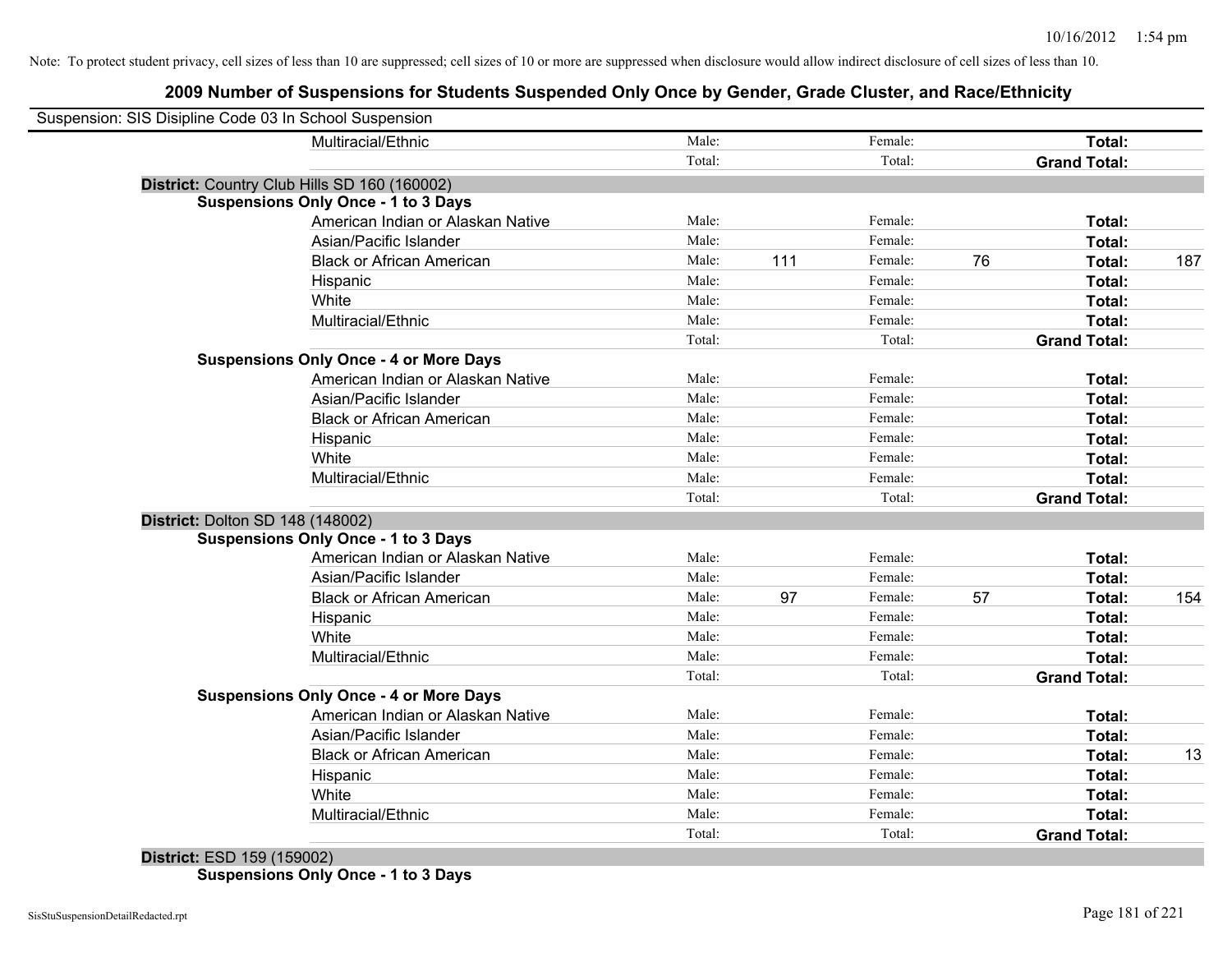# **2009 Number of Suspensions for Students Suspended Only Once by Gender, Grade Cluster, and Race/Ethnicity**

| Suspension: SIS Disipline Code 03 In School Suspension |                                   |        |     |         |    |                     |     |
|--------------------------------------------------------|-----------------------------------|--------|-----|---------|----|---------------------|-----|
|                                                        | Multiracial/Ethnic                | Male:  |     | Female: |    | <b>Total:</b>       |     |
|                                                        |                                   | Total: |     | Total:  |    | <b>Grand Total:</b> |     |
| District: Country Club Hills SD 160 (160002)           |                                   |        |     |         |    |                     |     |
| <b>Suspensions Only Once - 1 to 3 Days</b>             |                                   |        |     |         |    |                     |     |
|                                                        | American Indian or Alaskan Native | Male:  |     | Female: |    | Total:              |     |
|                                                        | Asian/Pacific Islander            | Male:  |     | Female: |    | Total:              |     |
|                                                        | <b>Black or African American</b>  | Male:  | 111 | Female: | 76 | Total:              | 187 |
| Hispanic                                               |                                   | Male:  |     | Female: |    | Total:              |     |
| White                                                  |                                   | Male:  |     | Female: |    | Total:              |     |
|                                                        | Multiracial/Ethnic                | Male:  |     | Female: |    | Total:              |     |
|                                                        |                                   | Total: |     | Total:  |    | <b>Grand Total:</b> |     |
| <b>Suspensions Only Once - 4 or More Days</b>          |                                   |        |     |         |    |                     |     |
|                                                        | American Indian or Alaskan Native | Male:  |     | Female: |    | Total:              |     |
|                                                        | Asian/Pacific Islander            | Male:  |     | Female: |    | Total:              |     |
|                                                        | <b>Black or African American</b>  | Male:  |     | Female: |    | Total:              |     |
| Hispanic                                               |                                   | Male:  |     | Female: |    | Total:              |     |
| White                                                  |                                   | Male:  |     | Female: |    | Total:              |     |
|                                                        | Multiracial/Ethnic                | Male:  |     | Female: |    | Total:              |     |
|                                                        |                                   | Total: |     | Total:  |    | <b>Grand Total:</b> |     |
| District: Dolton SD 148 (148002)                       |                                   |        |     |         |    |                     |     |
| <b>Suspensions Only Once - 1 to 3 Days</b>             |                                   |        |     |         |    |                     |     |
|                                                        | American Indian or Alaskan Native | Male:  |     | Female: |    | Total:              |     |
|                                                        | Asian/Pacific Islander            | Male:  |     | Female: |    | Total:              |     |
|                                                        | <b>Black or African American</b>  | Male:  | 97  | Female: | 57 | Total:              | 154 |
| Hispanic                                               |                                   | Male:  |     | Female: |    | Total:              |     |
| White                                                  |                                   | Male:  |     | Female: |    | Total:              |     |
|                                                        | Multiracial/Ethnic                | Male:  |     | Female: |    | Total:              |     |
|                                                        |                                   | Total: |     | Total:  |    | <b>Grand Total:</b> |     |
| <b>Suspensions Only Once - 4 or More Days</b>          |                                   |        |     |         |    |                     |     |
|                                                        | American Indian or Alaskan Native | Male:  |     | Female: |    | Total:              |     |
|                                                        | Asian/Pacific Islander            | Male:  |     | Female: |    | Total:              |     |
|                                                        | <b>Black or African American</b>  | Male:  |     | Female: |    | Total:              | 13  |
| Hispanic                                               |                                   | Male:  |     | Female: |    | Total:              |     |
| White                                                  |                                   | Male:  |     | Female: |    | Total:              |     |
|                                                        | Multiracial/Ethnic                | Male:  |     | Female: |    | Total:              |     |
|                                                        |                                   | Total: |     | Total:  |    | <b>Grand Total:</b> |     |

# **District:** ESD 159 (159002)

**Suspensions Only Once - 1 to 3 Days**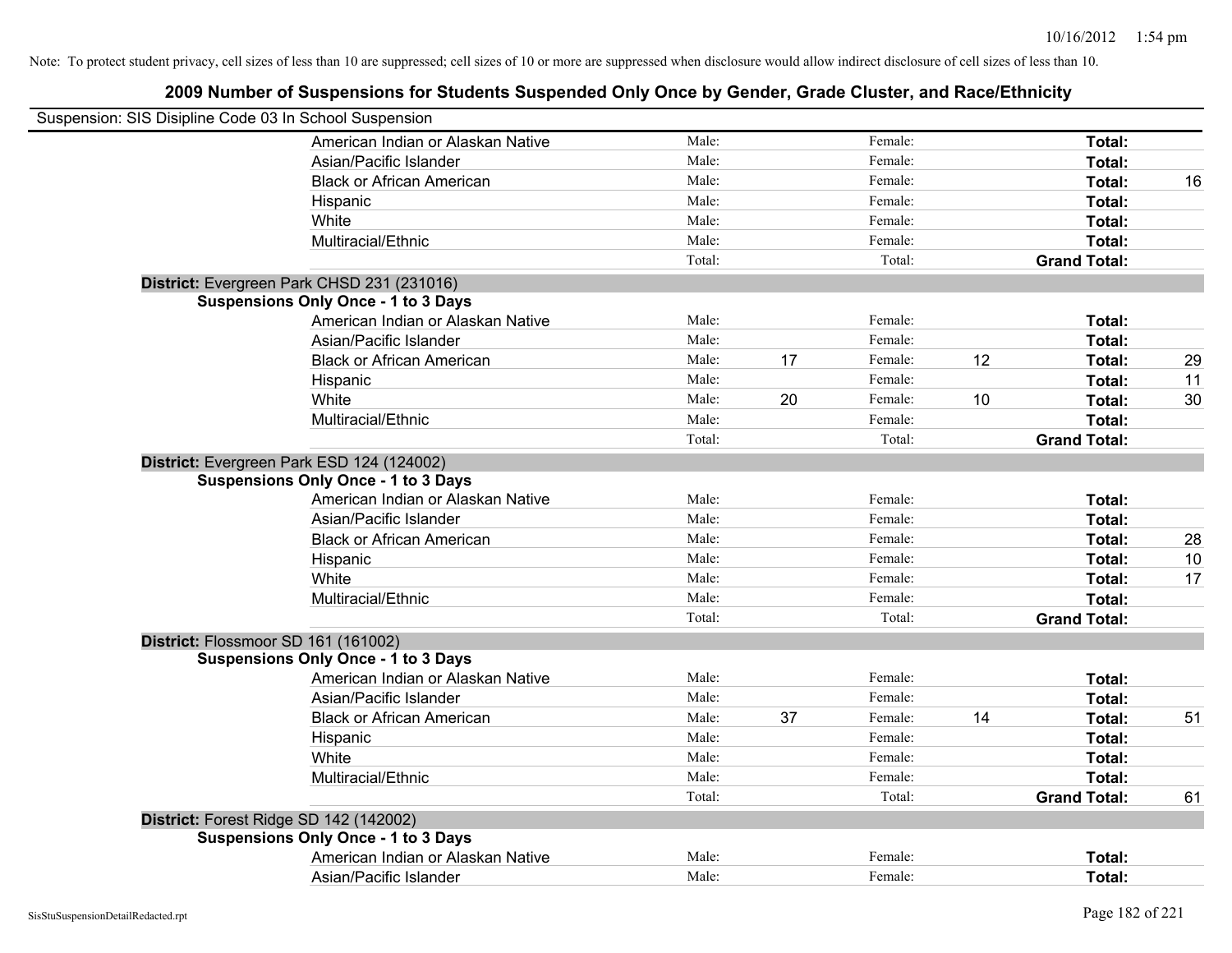| Suspension: SIS Disipline Code 03 In School Suspension |        |    |         |    |                     |    |
|--------------------------------------------------------|--------|----|---------|----|---------------------|----|
| American Indian or Alaskan Native                      | Male:  |    | Female: |    | Total:              |    |
| Asian/Pacific Islander                                 | Male:  |    | Female: |    | Total:              |    |
| <b>Black or African American</b>                       | Male:  |    | Female: |    | Total:              | 16 |
| Hispanic                                               | Male:  |    | Female: |    | Total:              |    |
| White                                                  | Male:  |    | Female: |    | Total:              |    |
| Multiracial/Ethnic                                     | Male:  |    | Female: |    | Total:              |    |
|                                                        | Total: |    | Total:  |    | <b>Grand Total:</b> |    |
| District: Evergreen Park CHSD 231 (231016)             |        |    |         |    |                     |    |
| <b>Suspensions Only Once - 1 to 3 Days</b>             |        |    |         |    |                     |    |
| American Indian or Alaskan Native                      | Male:  |    | Female: |    | Total:              |    |
| Asian/Pacific Islander                                 | Male:  |    | Female: |    | Total:              |    |
| <b>Black or African American</b>                       | Male:  | 17 | Female: | 12 | Total:              | 29 |
| Hispanic                                               | Male:  |    | Female: |    | Total:              | 11 |
| White                                                  | Male:  | 20 | Female: | 10 | Total:              | 30 |
| Multiracial/Ethnic                                     | Male:  |    | Female: |    | Total:              |    |
|                                                        | Total: |    | Total:  |    | <b>Grand Total:</b> |    |
| District: Evergreen Park ESD 124 (124002)              |        |    |         |    |                     |    |
| <b>Suspensions Only Once - 1 to 3 Days</b>             |        |    |         |    |                     |    |
| American Indian or Alaskan Native                      | Male:  |    | Female: |    | Total:              |    |
| Asian/Pacific Islander                                 | Male:  |    | Female: |    | Total:              |    |
| <b>Black or African American</b>                       | Male:  |    | Female: |    | Total:              | 28 |
| Hispanic                                               | Male:  |    | Female: |    | Total:              | 10 |
| White                                                  | Male:  |    | Female: |    | Total:              | 17 |
| Multiracial/Ethnic                                     | Male:  |    | Female: |    | Total:              |    |
|                                                        | Total: |    | Total:  |    | <b>Grand Total:</b> |    |
| District: Flossmoor SD 161 (161002)                    |        |    |         |    |                     |    |
| <b>Suspensions Only Once - 1 to 3 Days</b>             |        |    |         |    |                     |    |
| American Indian or Alaskan Native                      | Male:  |    | Female: |    | Total:              |    |
| Asian/Pacific Islander                                 | Male:  |    | Female: |    | Total:              |    |
| <b>Black or African American</b>                       | Male:  | 37 | Female: | 14 | Total:              | 51 |
| Hispanic                                               | Male:  |    | Female: |    | Total:              |    |
| White                                                  | Male:  |    | Female: |    | Total:              |    |
| Multiracial/Ethnic                                     | Male:  |    | Female: |    | Total:              |    |
|                                                        | Total: |    | Total:  |    | <b>Grand Total:</b> | 61 |
| District: Forest Ridge SD 142 (142002)                 |        |    |         |    |                     |    |
| <b>Suspensions Only Once - 1 to 3 Days</b>             |        |    |         |    |                     |    |
| American Indian or Alaskan Native                      | Male:  |    | Female: |    | Total:              |    |
| Asian/Pacific Islander                                 | Male:  |    | Female: |    | Total:              |    |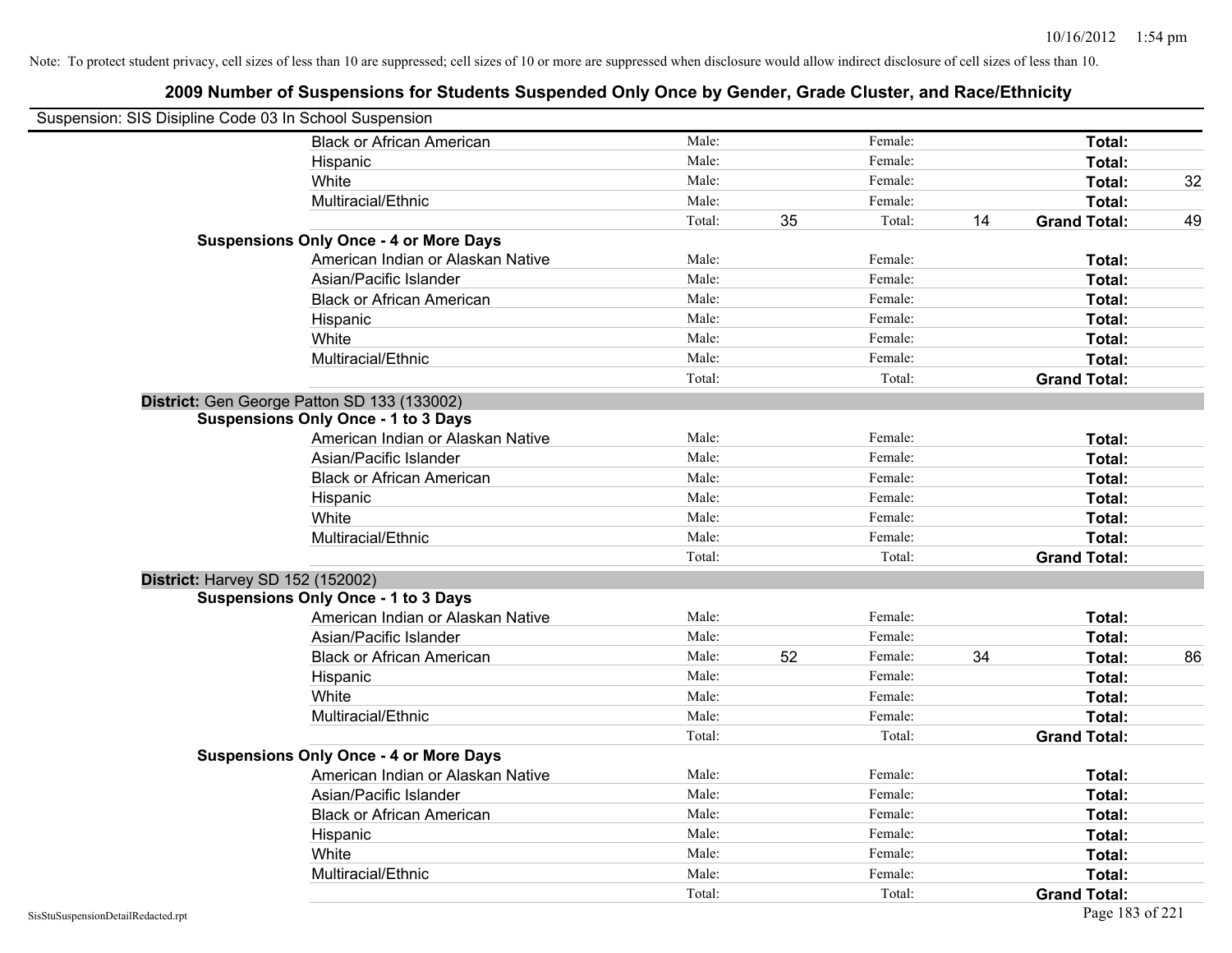| Suspension: SIS Disipline Code 03 In School Suspension |                                               |        |    |         |    |                     |    |
|--------------------------------------------------------|-----------------------------------------------|--------|----|---------|----|---------------------|----|
|                                                        | <b>Black or African American</b>              | Male:  |    | Female: |    | Total:              |    |
|                                                        | Hispanic                                      | Male:  |    | Female: |    | Total:              |    |
|                                                        | White                                         | Male:  |    | Female: |    | Total:              | 32 |
|                                                        | Multiracial/Ethnic                            | Male:  |    | Female: |    | Total:              |    |
|                                                        |                                               | Total: | 35 | Total:  | 14 | <b>Grand Total:</b> | 49 |
|                                                        | <b>Suspensions Only Once - 4 or More Days</b> |        |    |         |    |                     |    |
|                                                        | American Indian or Alaskan Native             | Male:  |    | Female: |    | Total:              |    |
|                                                        | Asian/Pacific Islander                        | Male:  |    | Female: |    | Total:              |    |
|                                                        | <b>Black or African American</b>              | Male:  |    | Female: |    | Total:              |    |
|                                                        | Hispanic                                      | Male:  |    | Female: |    | Total:              |    |
|                                                        | White                                         | Male:  |    | Female: |    | Total:              |    |
|                                                        | Multiracial/Ethnic                            | Male:  |    | Female: |    | Total:              |    |
|                                                        |                                               | Total: |    | Total:  |    | <b>Grand Total:</b> |    |
|                                                        | District: Gen George Patton SD 133 (133002)   |        |    |         |    |                     |    |
|                                                        | <b>Suspensions Only Once - 1 to 3 Days</b>    |        |    |         |    |                     |    |
|                                                        | American Indian or Alaskan Native             | Male:  |    | Female: |    | Total:              |    |
|                                                        | Asian/Pacific Islander                        | Male:  |    | Female: |    | Total:              |    |
|                                                        | <b>Black or African American</b>              | Male:  |    | Female: |    | Total:              |    |
|                                                        | Hispanic                                      | Male:  |    | Female: |    | Total:              |    |
|                                                        | White                                         | Male:  |    | Female: |    | Total:              |    |
|                                                        | Multiracial/Ethnic                            | Male:  |    | Female: |    | Total:              |    |
|                                                        |                                               | Total: |    | Total:  |    | <b>Grand Total:</b> |    |
| District: Harvey SD 152 (152002)                       |                                               |        |    |         |    |                     |    |
|                                                        | <b>Suspensions Only Once - 1 to 3 Days</b>    |        |    |         |    |                     |    |
|                                                        | American Indian or Alaskan Native             | Male:  |    | Female: |    | Total:              |    |
|                                                        | Asian/Pacific Islander                        | Male:  |    | Female: |    | Total:              |    |
|                                                        | <b>Black or African American</b>              | Male:  | 52 | Female: | 34 | Total:              | 86 |
|                                                        | Hispanic                                      | Male:  |    | Female: |    | Total:              |    |
|                                                        | White                                         | Male:  |    | Female: |    | Total:              |    |
|                                                        | Multiracial/Ethnic                            | Male:  |    | Female: |    | Total:              |    |
|                                                        |                                               | Total: |    | Total:  |    | <b>Grand Total:</b> |    |
|                                                        | <b>Suspensions Only Once - 4 or More Days</b> |        |    |         |    |                     |    |
|                                                        | American Indian or Alaskan Native             | Male:  |    | Female: |    | Total:              |    |
|                                                        | Asian/Pacific Islander                        | Male:  |    | Female: |    | Total:              |    |
|                                                        | <b>Black or African American</b>              | Male:  |    | Female: |    | Total:              |    |
|                                                        | Hispanic                                      | Male:  |    | Female: |    | Total:              |    |
|                                                        | White                                         | Male:  |    | Female: |    | Total:              |    |
|                                                        | Multiracial/Ethnic                            | Male:  |    | Female: |    | Total:              |    |
|                                                        |                                               | Total: |    | Total:  |    | <b>Grand Total:</b> |    |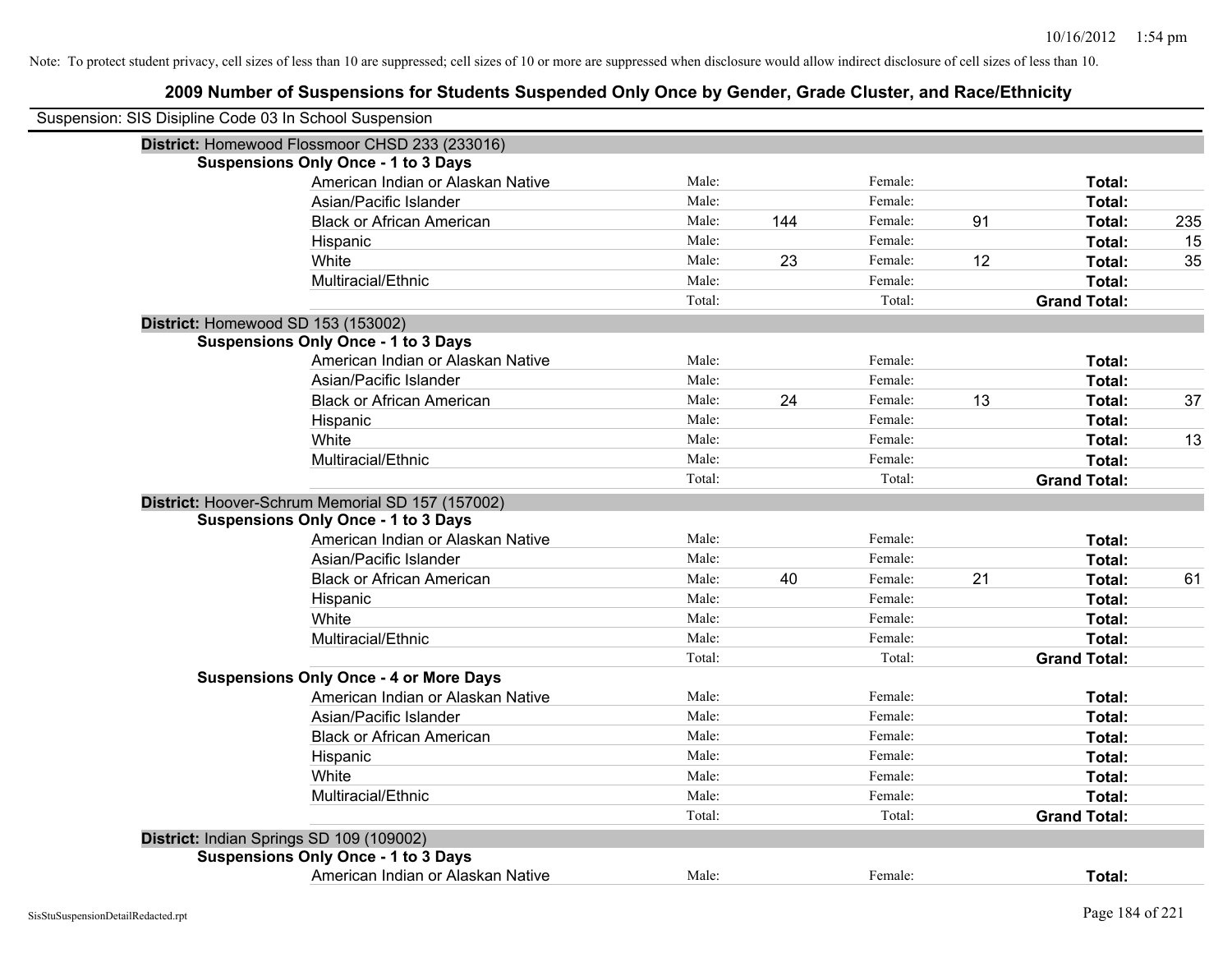| Suspension: SIS Disipline Code 03 In School Suspension |                                                  |        |     |         |    |                     |     |
|--------------------------------------------------------|--------------------------------------------------|--------|-----|---------|----|---------------------|-----|
|                                                        | District: Homewood Flossmoor CHSD 233 (233016)   |        |     |         |    |                     |     |
|                                                        | <b>Suspensions Only Once - 1 to 3 Days</b>       |        |     |         |    |                     |     |
|                                                        | American Indian or Alaskan Native                | Male:  |     | Female: |    | Total:              |     |
|                                                        | Asian/Pacific Islander                           | Male:  |     | Female: |    | Total:              |     |
|                                                        | <b>Black or African American</b>                 | Male:  | 144 | Female: | 91 | Total:              | 235 |
|                                                        | Hispanic                                         | Male:  |     | Female: |    | Total:              | 15  |
|                                                        | White                                            | Male:  | 23  | Female: | 12 | Total:              | 35  |
|                                                        | Multiracial/Ethnic                               | Male:  |     | Female: |    | Total:              |     |
|                                                        |                                                  | Total: |     | Total:  |    | <b>Grand Total:</b> |     |
| District: Homewood SD 153 (153002)                     |                                                  |        |     |         |    |                     |     |
|                                                        | <b>Suspensions Only Once - 1 to 3 Days</b>       |        |     |         |    |                     |     |
|                                                        | American Indian or Alaskan Native                | Male:  |     | Female: |    | Total:              |     |
|                                                        | Asian/Pacific Islander                           | Male:  |     | Female: |    | Total:              |     |
|                                                        | <b>Black or African American</b>                 | Male:  | 24  | Female: | 13 | Total:              | 37  |
|                                                        | Hispanic                                         | Male:  |     | Female: |    | Total:              |     |
|                                                        | White                                            | Male:  |     | Female: |    | Total:              | 13  |
|                                                        | Multiracial/Ethnic                               | Male:  |     | Female: |    | Total:              |     |
|                                                        |                                                  | Total: |     | Total:  |    | <b>Grand Total:</b> |     |
|                                                        | District: Hoover-Schrum Memorial SD 157 (157002) |        |     |         |    |                     |     |
|                                                        | <b>Suspensions Only Once - 1 to 3 Days</b>       |        |     |         |    |                     |     |
|                                                        | American Indian or Alaskan Native                | Male:  |     | Female: |    | Total:              |     |
|                                                        | Asian/Pacific Islander                           | Male:  |     | Female: |    | Total:              |     |
|                                                        | <b>Black or African American</b>                 | Male:  | 40  | Female: | 21 | Total:              | 61  |
|                                                        | Hispanic                                         | Male:  |     | Female: |    | Total:              |     |
|                                                        | White                                            | Male:  |     | Female: |    | Total:              |     |
|                                                        | Multiracial/Ethnic                               | Male:  |     | Female: |    | Total:              |     |
|                                                        |                                                  | Total: |     | Total:  |    | <b>Grand Total:</b> |     |
|                                                        | <b>Suspensions Only Once - 4 or More Days</b>    |        |     |         |    |                     |     |
|                                                        | American Indian or Alaskan Native                | Male:  |     | Female: |    | Total:              |     |
|                                                        | Asian/Pacific Islander                           | Male:  |     | Female: |    | Total:              |     |
|                                                        | <b>Black or African American</b>                 | Male:  |     | Female: |    | Total:              |     |
|                                                        | Hispanic                                         | Male:  |     | Female: |    | Total:              |     |
|                                                        | White                                            | Male:  |     | Female: |    | Total:              |     |
|                                                        | Multiracial/Ethnic                               | Male:  |     | Female: |    | Total:              |     |
|                                                        |                                                  | Total: |     | Total:  |    | <b>Grand Total:</b> |     |
|                                                        | District: Indian Springs SD 109 (109002)         |        |     |         |    |                     |     |
|                                                        | <b>Suspensions Only Once - 1 to 3 Days</b>       |        |     |         |    |                     |     |
|                                                        | American Indian or Alaskan Native                | Male:  |     | Female: |    | Total:              |     |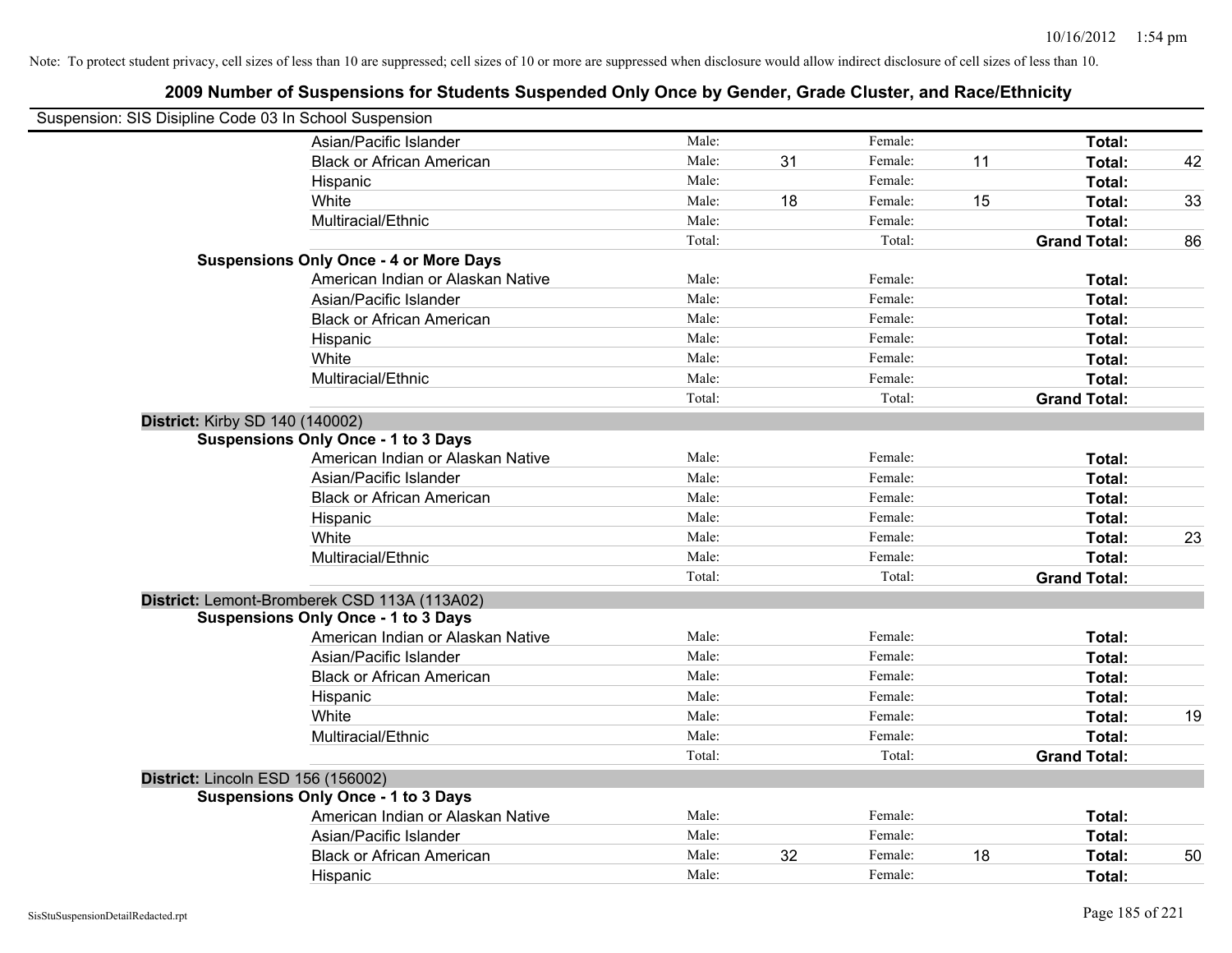| Suspension: SIS Disipline Code 03 In School Suspension |                                               |        |    |         |    |                     |    |
|--------------------------------------------------------|-----------------------------------------------|--------|----|---------|----|---------------------|----|
|                                                        | Asian/Pacific Islander                        | Male:  |    | Female: |    | Total:              |    |
|                                                        | <b>Black or African American</b>              | Male:  | 31 | Female: | 11 | Total:              | 42 |
|                                                        | Hispanic                                      | Male:  |    | Female: |    | Total:              |    |
|                                                        | White                                         | Male:  | 18 | Female: | 15 | Total:              | 33 |
|                                                        | Multiracial/Ethnic                            | Male:  |    | Female: |    | Total:              |    |
|                                                        |                                               | Total: |    | Total:  |    | <b>Grand Total:</b> | 86 |
|                                                        | <b>Suspensions Only Once - 4 or More Days</b> |        |    |         |    |                     |    |
|                                                        | American Indian or Alaskan Native             | Male:  |    | Female: |    | Total:              |    |
|                                                        | Asian/Pacific Islander                        | Male:  |    | Female: |    | Total:              |    |
|                                                        | <b>Black or African American</b>              | Male:  |    | Female: |    | Total:              |    |
|                                                        | Hispanic                                      | Male:  |    | Female: |    | Total:              |    |
|                                                        | White                                         | Male:  |    | Female: |    | Total:              |    |
|                                                        | Multiracial/Ethnic                            | Male:  |    | Female: |    | Total:              |    |
|                                                        |                                               | Total: |    | Total:  |    | <b>Grand Total:</b> |    |
| <b>District: Kirby SD 140 (140002)</b>                 |                                               |        |    |         |    |                     |    |
|                                                        | <b>Suspensions Only Once - 1 to 3 Days</b>    |        |    |         |    |                     |    |
|                                                        | American Indian or Alaskan Native             | Male:  |    | Female: |    | Total:              |    |
|                                                        | Asian/Pacific Islander                        | Male:  |    | Female: |    | Total:              |    |
|                                                        | <b>Black or African American</b>              | Male:  |    | Female: |    | Total:              |    |
|                                                        | Hispanic                                      | Male:  |    | Female: |    | Total:              |    |
|                                                        | White                                         | Male:  |    | Female: |    | Total:              | 23 |
|                                                        | Multiracial/Ethnic                            | Male:  |    | Female: |    | Total:              |    |
|                                                        |                                               | Total: |    | Total:  |    | <b>Grand Total:</b> |    |
|                                                        | District: Lemont-Bromberek CSD 113A (113A02)  |        |    |         |    |                     |    |
|                                                        | <b>Suspensions Only Once - 1 to 3 Days</b>    |        |    |         |    |                     |    |
|                                                        | American Indian or Alaskan Native             | Male:  |    | Female: |    | Total:              |    |
|                                                        | Asian/Pacific Islander                        | Male:  |    | Female: |    | Total:              |    |
|                                                        | <b>Black or African American</b>              | Male:  |    | Female: |    | Total:              |    |
|                                                        | Hispanic                                      | Male:  |    | Female: |    | Total:              |    |
|                                                        | White                                         | Male:  |    | Female: |    | Total:              | 19 |
|                                                        | Multiracial/Ethnic                            | Male:  |    | Female: |    | Total:              |    |
|                                                        |                                               | Total: |    | Total:  |    | <b>Grand Total:</b> |    |
|                                                        | District: Lincoln ESD 156 (156002)            |        |    |         |    |                     |    |
|                                                        | <b>Suspensions Only Once - 1 to 3 Days</b>    |        |    |         |    |                     |    |
|                                                        | American Indian or Alaskan Native             | Male:  |    | Female: |    | Total:              |    |
|                                                        | Asian/Pacific Islander                        | Male:  |    | Female: |    | Total:              |    |
|                                                        | <b>Black or African American</b>              | Male:  | 32 | Female: | 18 | Total:              | 50 |
|                                                        | Hispanic                                      | Male:  |    | Female: |    | Total:              |    |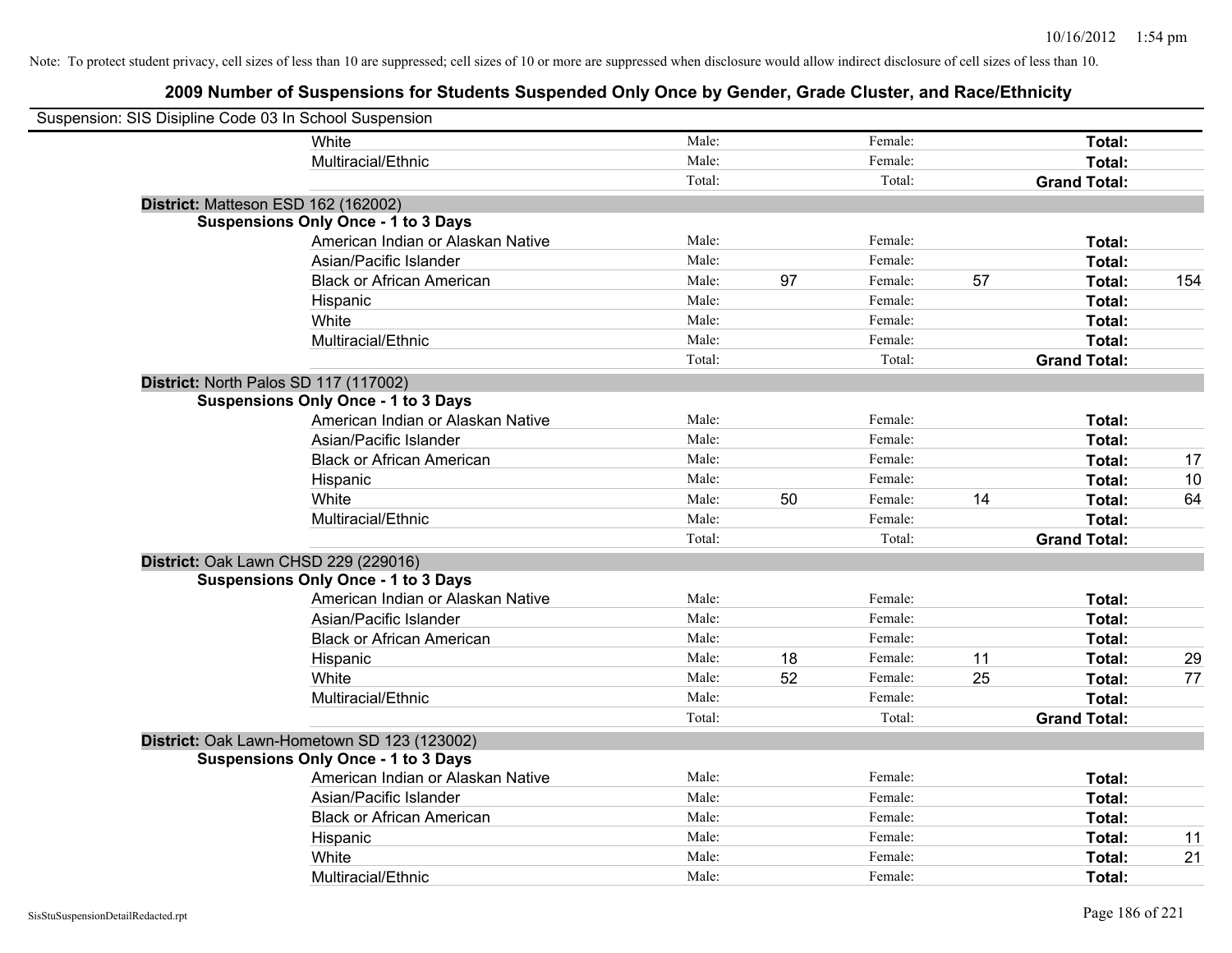| Suspension: SIS Disipline Code 03 In School Suspension |                                             |        |    |         |    |                     |     |
|--------------------------------------------------------|---------------------------------------------|--------|----|---------|----|---------------------|-----|
|                                                        | White                                       | Male:  |    | Female: |    | Total:              |     |
|                                                        | Multiracial/Ethnic                          | Male:  |    | Female: |    | Total:              |     |
|                                                        |                                             | Total: |    | Total:  |    | <b>Grand Total:</b> |     |
| District: Matteson ESD 162 (162002)                    |                                             |        |    |         |    |                     |     |
|                                                        | <b>Suspensions Only Once - 1 to 3 Days</b>  |        |    |         |    |                     |     |
|                                                        | American Indian or Alaskan Native           | Male:  |    | Female: |    | Total:              |     |
|                                                        | Asian/Pacific Islander                      | Male:  |    | Female: |    | Total:              |     |
|                                                        | <b>Black or African American</b>            | Male:  | 97 | Female: | 57 | Total:              | 154 |
|                                                        | Hispanic                                    | Male:  |    | Female: |    | Total:              |     |
|                                                        | White                                       | Male:  |    | Female: |    | Total:              |     |
|                                                        | Multiracial/Ethnic                          | Male:  |    | Female: |    | Total:              |     |
|                                                        |                                             | Total: |    | Total:  |    | <b>Grand Total:</b> |     |
| District: North Palos SD 117 (117002)                  |                                             |        |    |         |    |                     |     |
|                                                        | <b>Suspensions Only Once - 1 to 3 Days</b>  |        |    |         |    |                     |     |
|                                                        | American Indian or Alaskan Native           | Male:  |    | Female: |    | Total:              |     |
|                                                        | Asian/Pacific Islander                      | Male:  |    | Female: |    | Total:              |     |
|                                                        | <b>Black or African American</b>            | Male:  |    | Female: |    | Total:              | 17  |
|                                                        | Hispanic                                    | Male:  |    | Female: |    | Total:              | 10  |
|                                                        | White                                       | Male:  | 50 | Female: | 14 | Total:              | 64  |
|                                                        | Multiracial/Ethnic                          | Male:  |    | Female: |    | Total:              |     |
|                                                        |                                             | Total: |    | Total:  |    | <b>Grand Total:</b> |     |
| District: Oak Lawn CHSD 229 (229016)                   |                                             |        |    |         |    |                     |     |
|                                                        | <b>Suspensions Only Once - 1 to 3 Days</b>  |        |    |         |    |                     |     |
|                                                        | American Indian or Alaskan Native           | Male:  |    | Female: |    | Total:              |     |
|                                                        | Asian/Pacific Islander                      | Male:  |    | Female: |    | Total:              |     |
|                                                        | <b>Black or African American</b>            | Male:  |    | Female: |    | Total:              |     |
|                                                        | Hispanic                                    | Male:  | 18 | Female: | 11 | Total:              | 29  |
|                                                        | White                                       | Male:  | 52 | Female: | 25 | Total:              | 77  |
|                                                        | Multiracial/Ethnic                          | Male:  |    | Female: |    | Total:              |     |
|                                                        |                                             | Total: |    | Total:  |    | <b>Grand Total:</b> |     |
|                                                        | District: Oak Lawn-Hometown SD 123 (123002) |        |    |         |    |                     |     |
|                                                        | <b>Suspensions Only Once - 1 to 3 Days</b>  |        |    |         |    |                     |     |
|                                                        | American Indian or Alaskan Native           | Male:  |    | Female: |    | Total:              |     |
|                                                        | Asian/Pacific Islander                      | Male:  |    | Female: |    | Total:              |     |
|                                                        | <b>Black or African American</b>            | Male:  |    | Female: |    | Total:              |     |
|                                                        | Hispanic                                    | Male:  |    | Female: |    | Total:              | 11  |
|                                                        | White                                       | Male:  |    | Female: |    | Total:              | 21  |
|                                                        | Multiracial/Ethnic                          | Male:  |    | Female: |    | Total:              |     |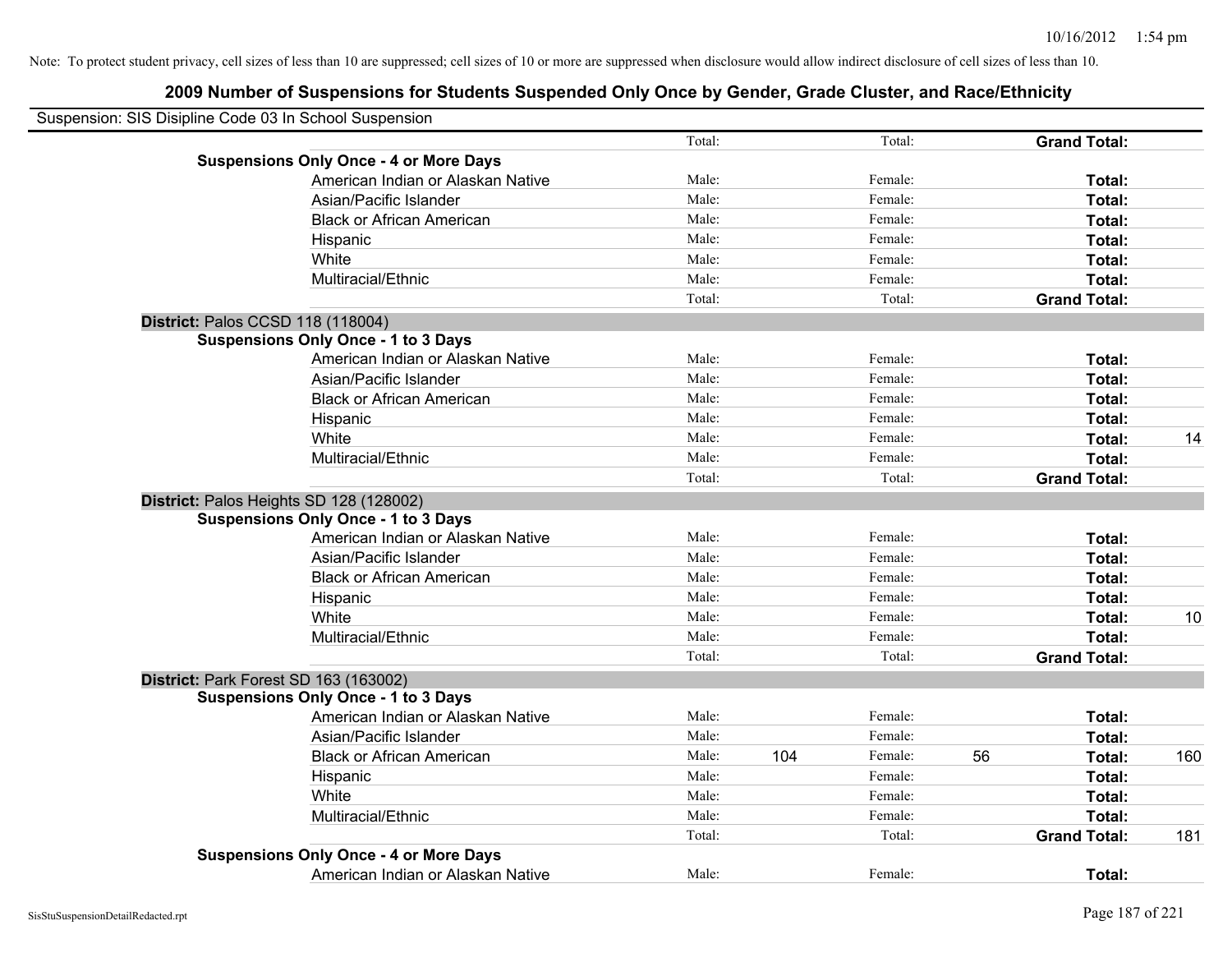| Suspension: SIS Disipline Code 03 In School Suspension |                                               |        |     |         |    |                     |     |
|--------------------------------------------------------|-----------------------------------------------|--------|-----|---------|----|---------------------|-----|
|                                                        |                                               | Total: |     | Total:  |    | <b>Grand Total:</b> |     |
|                                                        | <b>Suspensions Only Once - 4 or More Days</b> |        |     |         |    |                     |     |
|                                                        | American Indian or Alaskan Native             | Male:  |     | Female: |    | Total:              |     |
|                                                        | Asian/Pacific Islander                        | Male:  |     | Female: |    | Total:              |     |
|                                                        | <b>Black or African American</b>              | Male:  |     | Female: |    | Total:              |     |
|                                                        | Hispanic                                      | Male:  |     | Female: |    | Total:              |     |
|                                                        | White                                         | Male:  |     | Female: |    | Total:              |     |
|                                                        | Multiracial/Ethnic                            | Male:  |     | Female: |    | Total:              |     |
|                                                        |                                               | Total: |     | Total:  |    | <b>Grand Total:</b> |     |
|                                                        | District: Palos CCSD 118 (118004)             |        |     |         |    |                     |     |
|                                                        | <b>Suspensions Only Once - 1 to 3 Days</b>    |        |     |         |    |                     |     |
|                                                        | American Indian or Alaskan Native             | Male:  |     | Female: |    | Total:              |     |
|                                                        | Asian/Pacific Islander                        | Male:  |     | Female: |    | Total:              |     |
|                                                        | <b>Black or African American</b>              | Male:  |     | Female: |    | Total:              |     |
|                                                        | Hispanic                                      | Male:  |     | Female: |    | Total:              |     |
|                                                        | White                                         | Male:  |     | Female: |    | Total:              | 14  |
|                                                        | Multiracial/Ethnic                            | Male:  |     | Female: |    | Total:              |     |
|                                                        |                                               | Total: |     | Total:  |    | <b>Grand Total:</b> |     |
|                                                        | District: Palos Heights SD 128 (128002)       |        |     |         |    |                     |     |
|                                                        | <b>Suspensions Only Once - 1 to 3 Days</b>    |        |     |         |    |                     |     |
|                                                        | American Indian or Alaskan Native             | Male:  |     | Female: |    | Total:              |     |
|                                                        | Asian/Pacific Islander                        | Male:  |     | Female: |    | Total:              |     |
|                                                        | <b>Black or African American</b>              | Male:  |     | Female: |    | Total:              |     |
|                                                        | Hispanic                                      | Male:  |     | Female: |    | Total:              |     |
|                                                        | White                                         | Male:  |     | Female: |    | Total:              | 10  |
|                                                        | Multiracial/Ethnic                            | Male:  |     | Female: |    | Total:              |     |
|                                                        |                                               | Total: |     | Total:  |    | <b>Grand Total:</b> |     |
|                                                        | District: Park Forest SD 163 (163002)         |        |     |         |    |                     |     |
|                                                        | <b>Suspensions Only Once - 1 to 3 Days</b>    |        |     |         |    |                     |     |
|                                                        | American Indian or Alaskan Native             | Male:  |     | Female: |    | Total:              |     |
|                                                        | Asian/Pacific Islander                        | Male:  |     | Female: |    | Total:              |     |
|                                                        | <b>Black or African American</b>              | Male:  | 104 | Female: | 56 | Total:              | 160 |
|                                                        | Hispanic                                      | Male:  |     | Female: |    | Total:              |     |
|                                                        | White                                         | Male:  |     | Female: |    | Total:              |     |
|                                                        | Multiracial/Ethnic                            | Male:  |     | Female: |    | Total:              |     |
|                                                        |                                               | Total: |     | Total:  |    | <b>Grand Total:</b> | 181 |
|                                                        | <b>Suspensions Only Once - 4 or More Days</b> |        |     |         |    |                     |     |
|                                                        | American Indian or Alaskan Native             | Male:  |     | Female: |    | Total:              |     |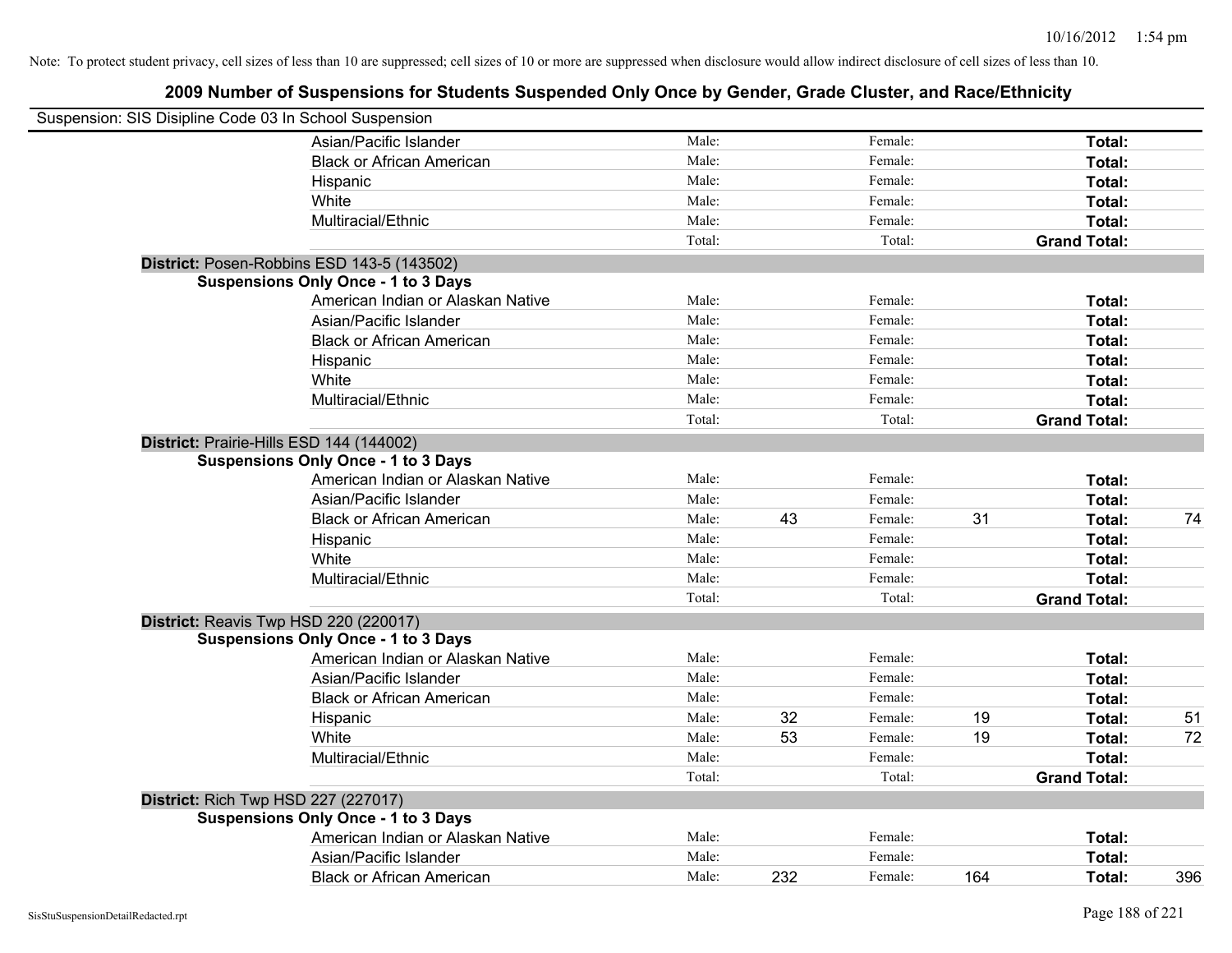| Suspension: SIS Disipline Code 03 In School Suspension |                                            |        |     |         |     |                     |     |
|--------------------------------------------------------|--------------------------------------------|--------|-----|---------|-----|---------------------|-----|
|                                                        |                                            |        |     |         |     |                     |     |
|                                                        | Asian/Pacific Islander                     | Male:  |     | Female: |     | Total:              |     |
|                                                        | <b>Black or African American</b>           | Male:  |     | Female: |     | Total:              |     |
|                                                        | Hispanic                                   | Male:  |     | Female: |     | Total:              |     |
|                                                        | White                                      | Male:  |     | Female: |     | Total:              |     |
|                                                        | Multiracial/Ethnic                         | Male:  |     | Female: |     | Total:              |     |
|                                                        |                                            | Total: |     | Total:  |     | <b>Grand Total:</b> |     |
|                                                        | District: Posen-Robbins ESD 143-5 (143502) |        |     |         |     |                     |     |
|                                                        | <b>Suspensions Only Once - 1 to 3 Days</b> |        |     |         |     |                     |     |
|                                                        | American Indian or Alaskan Native          | Male:  |     | Female: |     | Total:              |     |
|                                                        | Asian/Pacific Islander                     | Male:  |     | Female: |     | Total:              |     |
|                                                        | <b>Black or African American</b>           | Male:  |     | Female: |     | Total:              |     |
|                                                        | Hispanic                                   | Male:  |     | Female: |     | Total:              |     |
|                                                        | White                                      | Male:  |     | Female: |     | Total:              |     |
|                                                        | Multiracial/Ethnic                         | Male:  |     | Female: |     | Total:              |     |
|                                                        |                                            | Total: |     | Total:  |     | <b>Grand Total:</b> |     |
| District: Prairie-Hills ESD 144 (144002)               |                                            |        |     |         |     |                     |     |
|                                                        | <b>Suspensions Only Once - 1 to 3 Days</b> |        |     |         |     |                     |     |
|                                                        | American Indian or Alaskan Native          | Male:  |     | Female: |     | Total:              |     |
|                                                        | Asian/Pacific Islander                     | Male:  |     | Female: |     | Total:              |     |
|                                                        | <b>Black or African American</b>           | Male:  | 43  | Female: | 31  | Total:              | 74  |
|                                                        | Hispanic                                   | Male:  |     | Female: |     | Total:              |     |
|                                                        | White                                      | Male:  |     | Female: |     | Total:              |     |
|                                                        | Multiracial/Ethnic                         | Male:  |     | Female: |     | Total:              |     |
|                                                        |                                            | Total: |     | Total:  |     | <b>Grand Total:</b> |     |
| District: Reavis Twp HSD 220 (220017)                  |                                            |        |     |         |     |                     |     |
|                                                        | <b>Suspensions Only Once - 1 to 3 Days</b> |        |     |         |     |                     |     |
|                                                        | American Indian or Alaskan Native          | Male:  |     | Female: |     | Total:              |     |
|                                                        | Asian/Pacific Islander                     | Male:  |     | Female: |     | Total:              |     |
|                                                        | <b>Black or African American</b>           | Male:  |     | Female: |     | Total:              |     |
|                                                        | Hispanic                                   | Male:  | 32  | Female: | 19  | Total:              | 51  |
|                                                        | White                                      | Male:  | 53  | Female: | 19  | Total:              | 72  |
|                                                        | Multiracial/Ethnic                         | Male:  |     | Female: |     | Total:              |     |
|                                                        |                                            | Total: |     | Total:  |     | <b>Grand Total:</b> |     |
| District: Rich Twp HSD 227 (227017)                    |                                            |        |     |         |     |                     |     |
|                                                        | <b>Suspensions Only Once - 1 to 3 Days</b> |        |     |         |     |                     |     |
|                                                        | American Indian or Alaskan Native          | Male:  |     | Female: |     | Total:              |     |
|                                                        | Asian/Pacific Islander                     | Male:  |     | Female: |     | Total:              |     |
|                                                        | <b>Black or African American</b>           | Male:  | 232 | Female: | 164 | Total:              | 396 |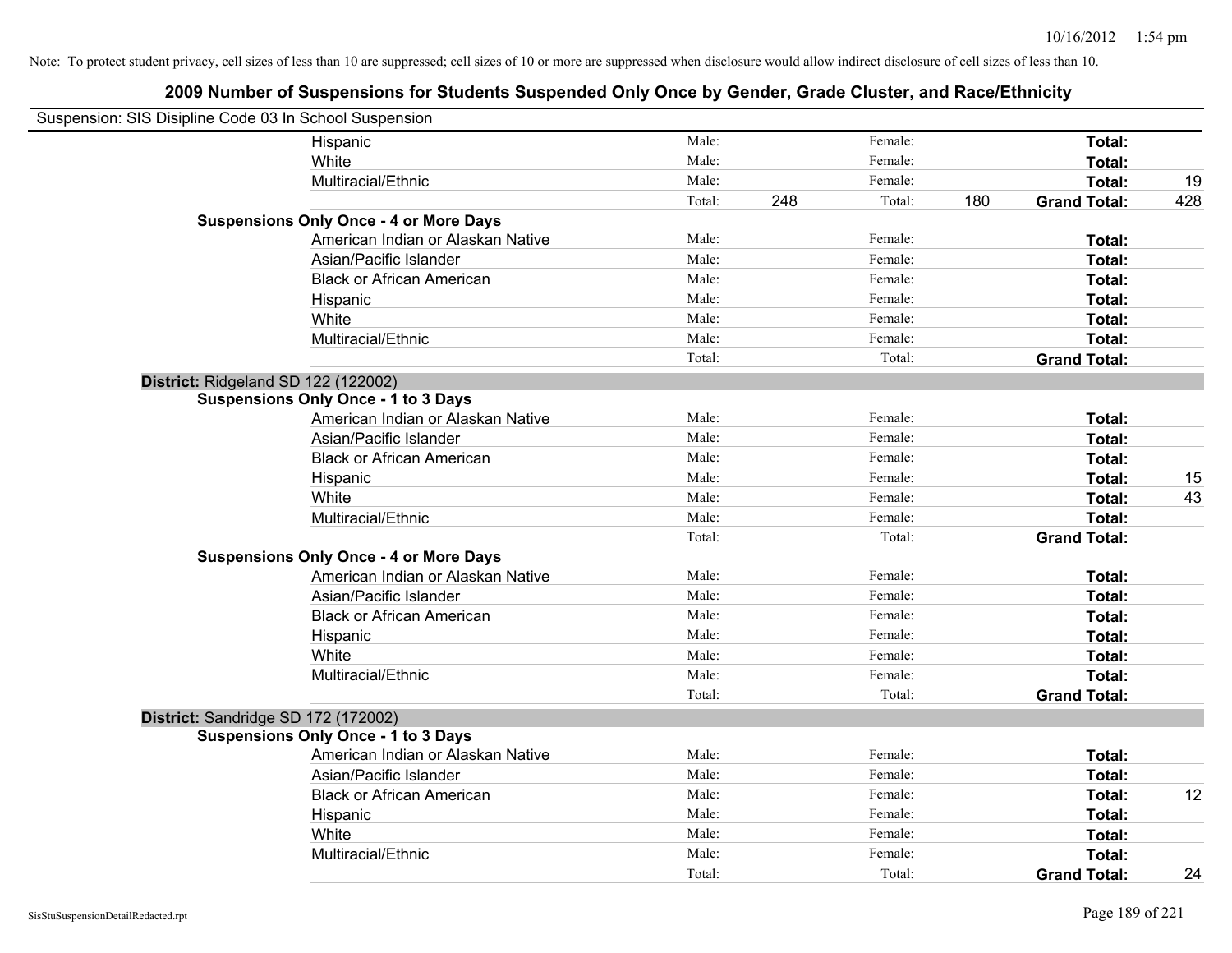| Suspension: SIS Disipline Code 03 In School Suspension |                                               |        |     |         |     |                     |     |
|--------------------------------------------------------|-----------------------------------------------|--------|-----|---------|-----|---------------------|-----|
|                                                        | Hispanic                                      | Male:  |     | Female: |     | Total:              |     |
|                                                        | White                                         | Male:  |     | Female: |     | Total:              |     |
|                                                        | Multiracial/Ethnic                            | Male:  |     | Female: |     | Total:              | 19  |
|                                                        |                                               | Total: | 248 | Total:  | 180 | <b>Grand Total:</b> | 428 |
|                                                        | <b>Suspensions Only Once - 4 or More Days</b> |        |     |         |     |                     |     |
|                                                        | American Indian or Alaskan Native             | Male:  |     | Female: |     | Total:              |     |
|                                                        | Asian/Pacific Islander                        | Male:  |     | Female: |     | Total:              |     |
|                                                        | <b>Black or African American</b>              | Male:  |     | Female: |     | Total:              |     |
|                                                        | Hispanic                                      | Male:  |     | Female: |     | Total:              |     |
|                                                        | White                                         | Male:  |     | Female: |     | Total:              |     |
|                                                        | Multiracial/Ethnic                            | Male:  |     | Female: |     | Total:              |     |
|                                                        |                                               | Total: |     | Total:  |     | <b>Grand Total:</b> |     |
| District: Ridgeland SD 122 (122002)                    |                                               |        |     |         |     |                     |     |
|                                                        | <b>Suspensions Only Once - 1 to 3 Days</b>    |        |     |         |     |                     |     |
|                                                        | American Indian or Alaskan Native             | Male:  |     | Female: |     | Total:              |     |
|                                                        | Asian/Pacific Islander                        | Male:  |     | Female: |     | Total:              |     |
|                                                        | <b>Black or African American</b>              | Male:  |     | Female: |     | Total:              |     |
|                                                        | Hispanic                                      | Male:  |     | Female: |     | Total:              | 15  |
|                                                        | White                                         | Male:  |     | Female: |     | Total:              | 43  |
|                                                        | Multiracial/Ethnic                            | Male:  |     | Female: |     | Total:              |     |
|                                                        |                                               | Total: |     | Total:  |     | <b>Grand Total:</b> |     |
|                                                        | <b>Suspensions Only Once - 4 or More Days</b> |        |     |         |     |                     |     |
|                                                        | American Indian or Alaskan Native             | Male:  |     | Female: |     | Total:              |     |
|                                                        | Asian/Pacific Islander                        | Male:  |     | Female: |     | Total:              |     |
|                                                        | <b>Black or African American</b>              | Male:  |     | Female: |     | Total:              |     |
|                                                        | Hispanic                                      | Male:  |     | Female: |     | Total:              |     |
|                                                        | White                                         | Male:  |     | Female: |     | Total:              |     |
|                                                        | Multiracial/Ethnic                            | Male:  |     | Female: |     | Total:              |     |
|                                                        |                                               | Total: |     | Total:  |     | <b>Grand Total:</b> |     |
| District: Sandridge SD 172 (172002)                    |                                               |        |     |         |     |                     |     |
|                                                        | <b>Suspensions Only Once - 1 to 3 Days</b>    |        |     |         |     |                     |     |
|                                                        | American Indian or Alaskan Native             | Male:  |     | Female: |     | Total:              |     |
|                                                        | Asian/Pacific Islander                        | Male:  |     | Female: |     | Total:              |     |
|                                                        | <b>Black or African American</b>              | Male:  |     | Female: |     | Total:              | 12  |
|                                                        | Hispanic                                      | Male:  |     | Female: |     | Total:              |     |
|                                                        | White                                         | Male:  |     | Female: |     | Total:              |     |
|                                                        | Multiracial/Ethnic                            | Male:  |     | Female: |     | Total:              |     |
|                                                        |                                               | Total: |     | Total:  |     | <b>Grand Total:</b> | 24  |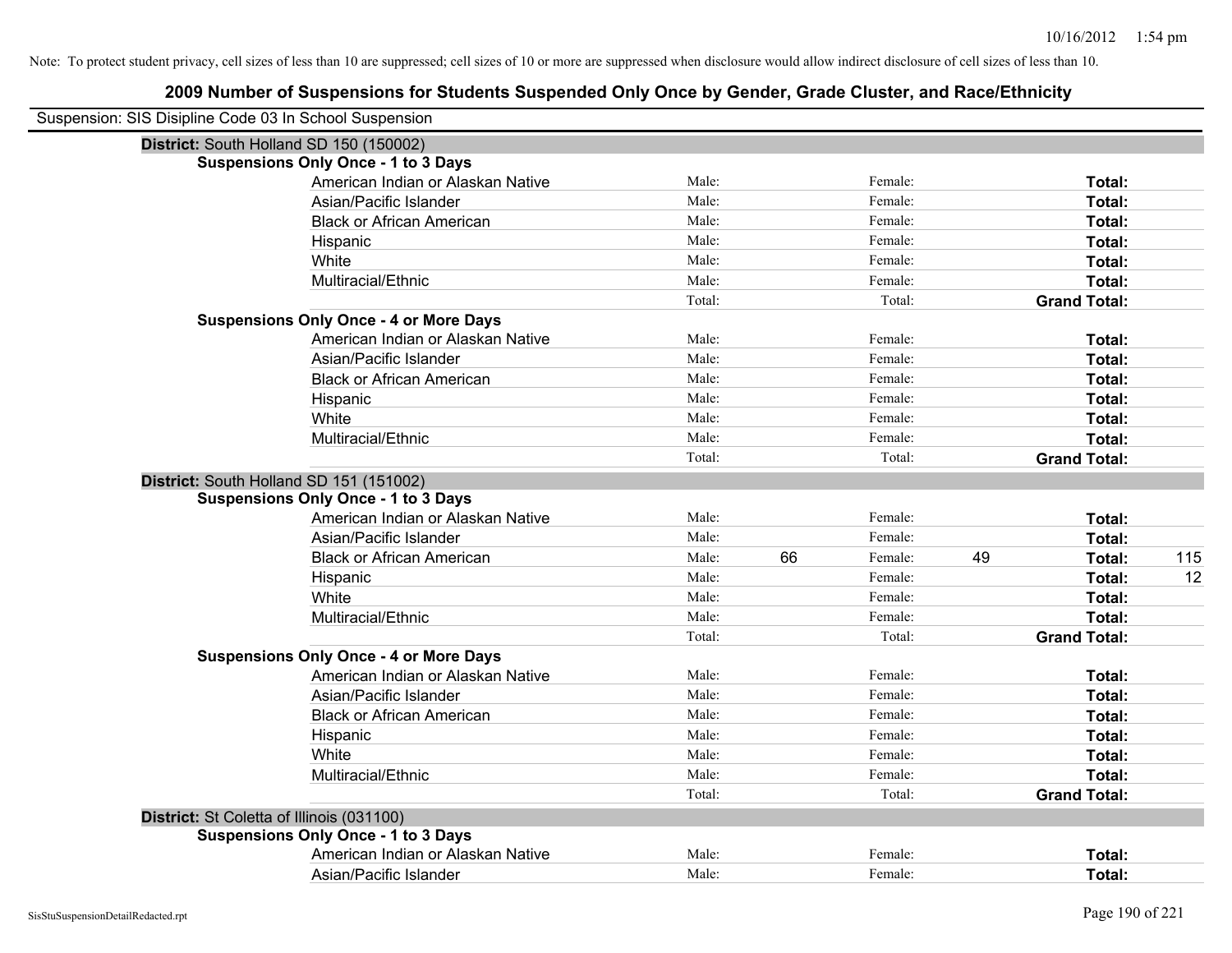| Suspension: SIS Disipline Code 03 In School Suspension |                                               |        |    |         |    |                     |     |
|--------------------------------------------------------|-----------------------------------------------|--------|----|---------|----|---------------------|-----|
|                                                        | District: South Holland SD 150 (150002)       |        |    |         |    |                     |     |
|                                                        | <b>Suspensions Only Once - 1 to 3 Days</b>    |        |    |         |    |                     |     |
|                                                        | American Indian or Alaskan Native             | Male:  |    | Female: |    | Total:              |     |
|                                                        | Asian/Pacific Islander                        | Male:  |    | Female: |    | Total:              |     |
|                                                        | <b>Black or African American</b>              | Male:  |    | Female: |    | Total:              |     |
|                                                        | Hispanic                                      | Male:  |    | Female: |    | Total:              |     |
|                                                        | White                                         | Male:  |    | Female: |    | Total:              |     |
|                                                        | Multiracial/Ethnic                            | Male:  |    | Female: |    | Total:              |     |
|                                                        |                                               | Total: |    | Total:  |    | <b>Grand Total:</b> |     |
|                                                        | <b>Suspensions Only Once - 4 or More Days</b> |        |    |         |    |                     |     |
|                                                        | American Indian or Alaskan Native             | Male:  |    | Female: |    | Total:              |     |
|                                                        | Asian/Pacific Islander                        | Male:  |    | Female: |    | Total:              |     |
|                                                        | <b>Black or African American</b>              | Male:  |    | Female: |    | Total:              |     |
|                                                        | Hispanic                                      | Male:  |    | Female: |    | Total:              |     |
|                                                        | White                                         | Male:  |    | Female: |    | Total:              |     |
|                                                        | Multiracial/Ethnic                            | Male:  |    | Female: |    | Total:              |     |
|                                                        |                                               | Total: |    | Total:  |    | <b>Grand Total:</b> |     |
|                                                        | District: South Holland SD 151 (151002)       |        |    |         |    |                     |     |
|                                                        | <b>Suspensions Only Once - 1 to 3 Days</b>    |        |    |         |    |                     |     |
|                                                        | American Indian or Alaskan Native             | Male:  |    | Female: |    | Total:              |     |
|                                                        | Asian/Pacific Islander                        | Male:  |    | Female: |    | Total:              |     |
|                                                        | <b>Black or African American</b>              | Male:  | 66 | Female: | 49 | Total:              | 115 |
|                                                        | Hispanic                                      | Male:  |    | Female: |    | Total:              | 12  |
|                                                        | White                                         | Male:  |    | Female: |    | Total:              |     |
|                                                        | Multiracial/Ethnic                            | Male:  |    | Female: |    | Total:              |     |
|                                                        |                                               | Total: |    | Total:  |    | <b>Grand Total:</b> |     |
|                                                        | <b>Suspensions Only Once - 4 or More Days</b> |        |    |         |    |                     |     |
|                                                        | American Indian or Alaskan Native             | Male:  |    | Female: |    | Total:              |     |
|                                                        | Asian/Pacific Islander                        | Male:  |    | Female: |    | Total:              |     |
|                                                        | <b>Black or African American</b>              | Male:  |    | Female: |    | Total:              |     |
|                                                        | Hispanic                                      | Male:  |    | Female: |    | Total:              |     |
|                                                        | White                                         | Male:  |    | Female: |    | Total:              |     |
|                                                        | Multiracial/Ethnic                            | Male:  |    | Female: |    | Total:              |     |
|                                                        |                                               | Total: |    | Total:  |    | <b>Grand Total:</b> |     |
| District: St Coletta of Illinois (031100)              |                                               |        |    |         |    |                     |     |
|                                                        | <b>Suspensions Only Once - 1 to 3 Days</b>    |        |    |         |    |                     |     |
|                                                        | American Indian or Alaskan Native             | Male:  |    | Female: |    | <b>Total:</b>       |     |
|                                                        | Asian/Pacific Islander                        | Male:  |    | Female: |    | Total:              |     |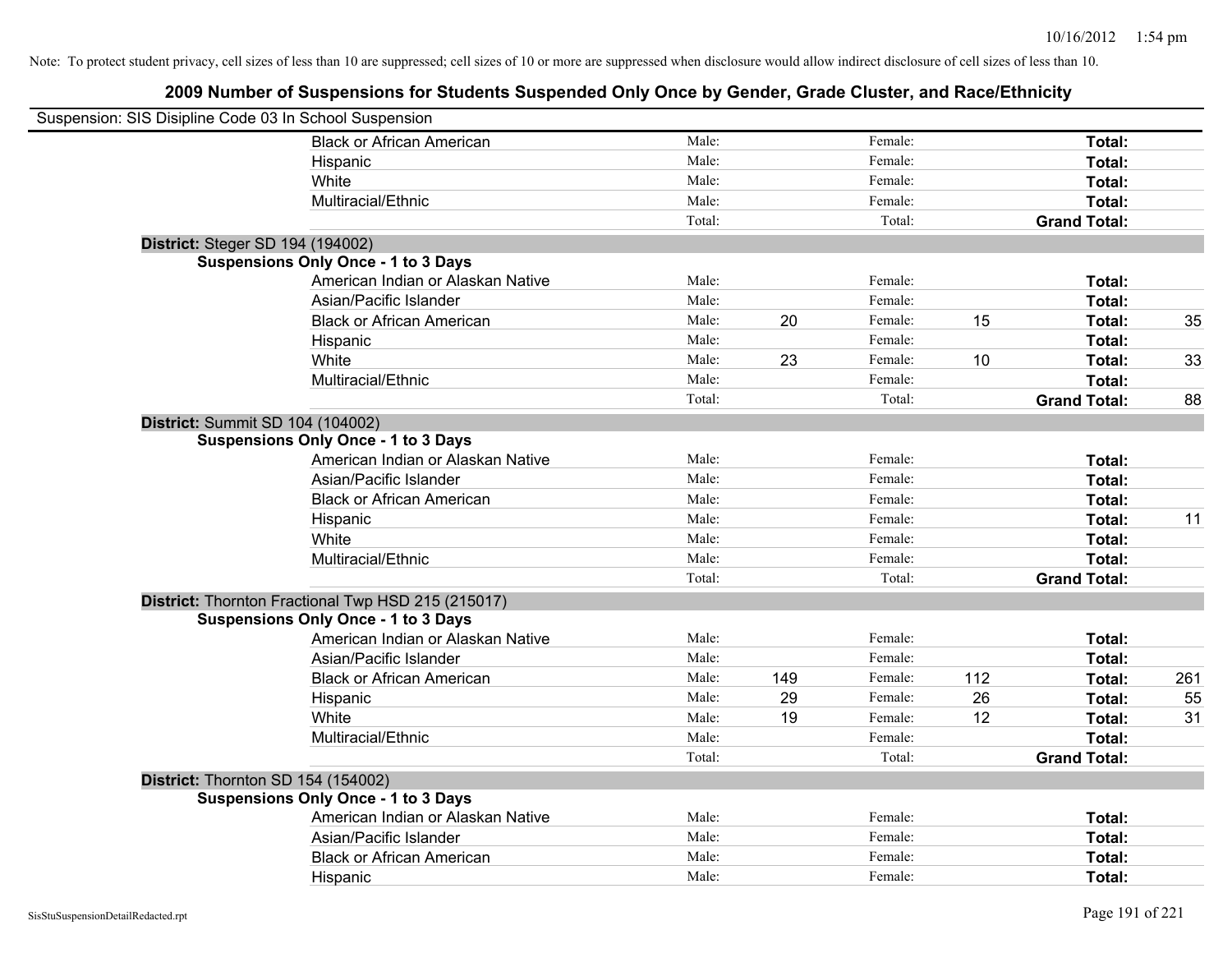| Suspension: SIS Disipline Code 03 In School Suspension |                                                    |        |     |         |     |                     |     |
|--------------------------------------------------------|----------------------------------------------------|--------|-----|---------|-----|---------------------|-----|
|                                                        | <b>Black or African American</b>                   | Male:  |     | Female: |     | Total:              |     |
|                                                        | Hispanic                                           | Male:  |     | Female: |     | Total:              |     |
|                                                        | White                                              | Male:  |     | Female: |     | Total:              |     |
|                                                        | Multiracial/Ethnic                                 | Male:  |     | Female: |     | Total:              |     |
|                                                        |                                                    | Total: |     | Total:  |     | <b>Grand Total:</b> |     |
| District: Steger SD 194 (194002)                       |                                                    |        |     |         |     |                     |     |
|                                                        | <b>Suspensions Only Once - 1 to 3 Days</b>         |        |     |         |     |                     |     |
|                                                        | American Indian or Alaskan Native                  | Male:  |     | Female: |     | Total:              |     |
|                                                        | Asian/Pacific Islander                             | Male:  |     | Female: |     | Total:              |     |
|                                                        | <b>Black or African American</b>                   | Male:  | 20  | Female: | 15  | Total:              | 35  |
|                                                        | Hispanic                                           | Male:  |     | Female: |     | Total:              |     |
|                                                        | White                                              | Male:  | 23  | Female: | 10  | Total:              | 33  |
|                                                        | Multiracial/Ethnic                                 | Male:  |     | Female: |     | Total:              |     |
|                                                        |                                                    | Total: |     | Total:  |     | <b>Grand Total:</b> | 88  |
|                                                        | District: Summit SD 104 (104002)                   |        |     |         |     |                     |     |
|                                                        | <b>Suspensions Only Once - 1 to 3 Days</b>         |        |     |         |     |                     |     |
|                                                        | American Indian or Alaskan Native                  | Male:  |     | Female: |     | Total:              |     |
|                                                        | Asian/Pacific Islander                             | Male:  |     | Female: |     | Total:              |     |
|                                                        | <b>Black or African American</b>                   | Male:  |     | Female: |     | Total:              |     |
|                                                        | Hispanic                                           | Male:  |     | Female: |     | Total:              | 11  |
|                                                        | White                                              | Male:  |     | Female: |     | Total:              |     |
|                                                        | Multiracial/Ethnic                                 | Male:  |     | Female: |     | Total:              |     |
|                                                        |                                                    | Total: |     | Total:  |     | <b>Grand Total:</b> |     |
|                                                        | District: Thornton Fractional Twp HSD 215 (215017) |        |     |         |     |                     |     |
|                                                        | <b>Suspensions Only Once - 1 to 3 Days</b>         |        |     |         |     |                     |     |
|                                                        | American Indian or Alaskan Native                  | Male:  |     | Female: |     | Total:              |     |
|                                                        | Asian/Pacific Islander                             | Male:  |     | Female: |     | Total:              |     |
|                                                        | <b>Black or African American</b>                   | Male:  | 149 | Female: | 112 | Total:              | 261 |
|                                                        | Hispanic                                           | Male:  | 29  | Female: | 26  | Total:              | 55  |
|                                                        | White                                              | Male:  | 19  | Female: | 12  | Total:              | 31  |
|                                                        | Multiracial/Ethnic                                 | Male:  |     | Female: |     | Total:              |     |
|                                                        |                                                    | Total: |     | Total:  |     | <b>Grand Total:</b> |     |
|                                                        | District: Thornton SD 154 (154002)                 |        |     |         |     |                     |     |
|                                                        | <b>Suspensions Only Once - 1 to 3 Days</b>         |        |     |         |     |                     |     |
|                                                        | American Indian or Alaskan Native                  | Male:  |     | Female: |     | Total:              |     |
|                                                        | Asian/Pacific Islander                             | Male:  |     | Female: |     | Total:              |     |
|                                                        | <b>Black or African American</b>                   | Male:  |     | Female: |     | Total:              |     |
|                                                        | Hispanic                                           | Male:  |     | Female: |     | Total:              |     |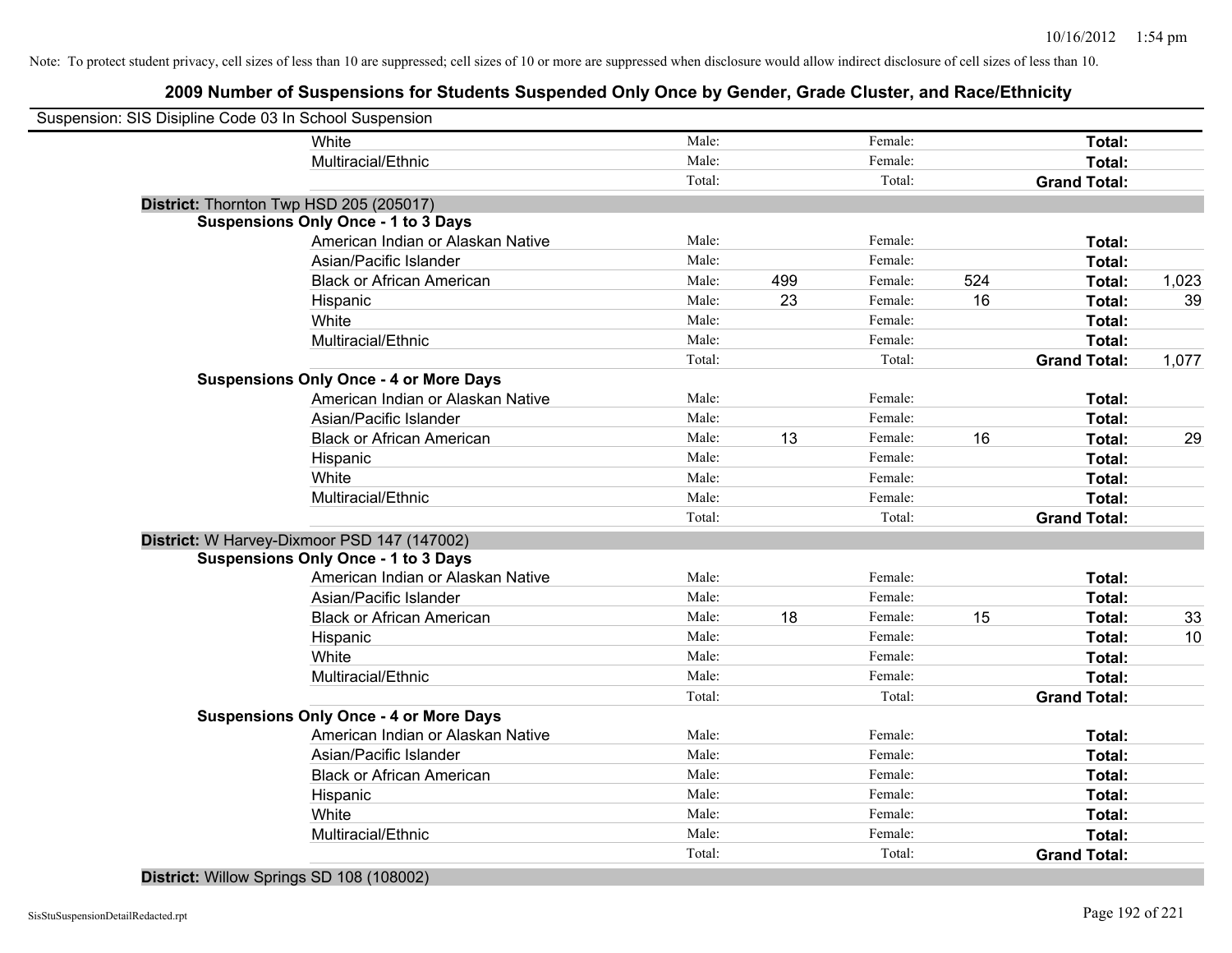# **2009 Number of Suspensions for Students Suspended Only Once by Gender, Grade Cluster, and Race/Ethnicity**

| Suspension: SIS Disipline Code 03 In School Suspension |                                               |        |     |         |     |                     |       |
|--------------------------------------------------------|-----------------------------------------------|--------|-----|---------|-----|---------------------|-------|
|                                                        | White                                         | Male:  |     | Female: |     | Total:              |       |
|                                                        | Multiracial/Ethnic                            | Male:  |     | Female: |     | Total:              |       |
|                                                        |                                               | Total: |     | Total:  |     | <b>Grand Total:</b> |       |
| District: Thornton Twp HSD 205 (205017)                |                                               |        |     |         |     |                     |       |
|                                                        | <b>Suspensions Only Once - 1 to 3 Days</b>    |        |     |         |     |                     |       |
|                                                        | American Indian or Alaskan Native             | Male:  |     | Female: |     | Total:              |       |
|                                                        | Asian/Pacific Islander                        | Male:  |     | Female: |     | Total:              |       |
|                                                        | <b>Black or African American</b>              | Male:  | 499 | Female: | 524 | Total:              | 1,023 |
|                                                        | Hispanic                                      | Male:  | 23  | Female: | 16  | Total:              | 39    |
|                                                        | White                                         | Male:  |     | Female: |     | Total:              |       |
|                                                        | Multiracial/Ethnic                            | Male:  |     | Female: |     | Total:              |       |
|                                                        |                                               | Total: |     | Total:  |     | <b>Grand Total:</b> | 1,077 |
|                                                        | <b>Suspensions Only Once - 4 or More Days</b> |        |     |         |     |                     |       |
|                                                        | American Indian or Alaskan Native             | Male:  |     | Female: |     | Total:              |       |
|                                                        | Asian/Pacific Islander                        | Male:  |     | Female: |     | Total:              |       |
|                                                        | <b>Black or African American</b>              | Male:  | 13  | Female: | 16  | Total:              | 29    |
|                                                        | Hispanic                                      | Male:  |     | Female: |     | Total:              |       |
|                                                        | White                                         | Male:  |     | Female: |     | Total:              |       |
|                                                        | Multiracial/Ethnic                            | Male:  |     | Female: |     | Total:              |       |
|                                                        |                                               | Total: |     | Total:  |     | <b>Grand Total:</b> |       |
|                                                        | District: W Harvey-Dixmoor PSD 147 (147002)   |        |     |         |     |                     |       |
|                                                        | <b>Suspensions Only Once - 1 to 3 Days</b>    |        |     |         |     |                     |       |
|                                                        | American Indian or Alaskan Native             | Male:  |     | Female: |     | Total:              |       |
|                                                        | Asian/Pacific Islander                        | Male:  |     | Female: |     | Total:              |       |
|                                                        | <b>Black or African American</b>              | Male:  | 18  | Female: | 15  | Total:              | 33    |
|                                                        | Hispanic                                      | Male:  |     | Female: |     | Total:              | 10    |
|                                                        | White                                         | Male:  |     | Female: |     | Total:              |       |
|                                                        | Multiracial/Ethnic                            | Male:  |     | Female: |     | Total:              |       |
|                                                        |                                               | Total: |     | Total:  |     | <b>Grand Total:</b> |       |
|                                                        | <b>Suspensions Only Once - 4 or More Days</b> |        |     |         |     |                     |       |
|                                                        | American Indian or Alaskan Native             | Male:  |     | Female: |     | Total:              |       |
|                                                        | Asian/Pacific Islander                        | Male:  |     | Female: |     | Total:              |       |
|                                                        | <b>Black or African American</b>              | Male:  |     | Female: |     | Total:              |       |
|                                                        | Hispanic                                      | Male:  |     | Female: |     | Total:              |       |
|                                                        | White                                         | Male:  |     | Female: |     | Total:              |       |
|                                                        | Multiracial/Ethnic                            | Male:  |     | Female: |     | Total:              |       |
|                                                        |                                               | Total: |     | Total:  |     | <b>Grand Total:</b> |       |

### **District:** Willow Springs SD 108 (108002)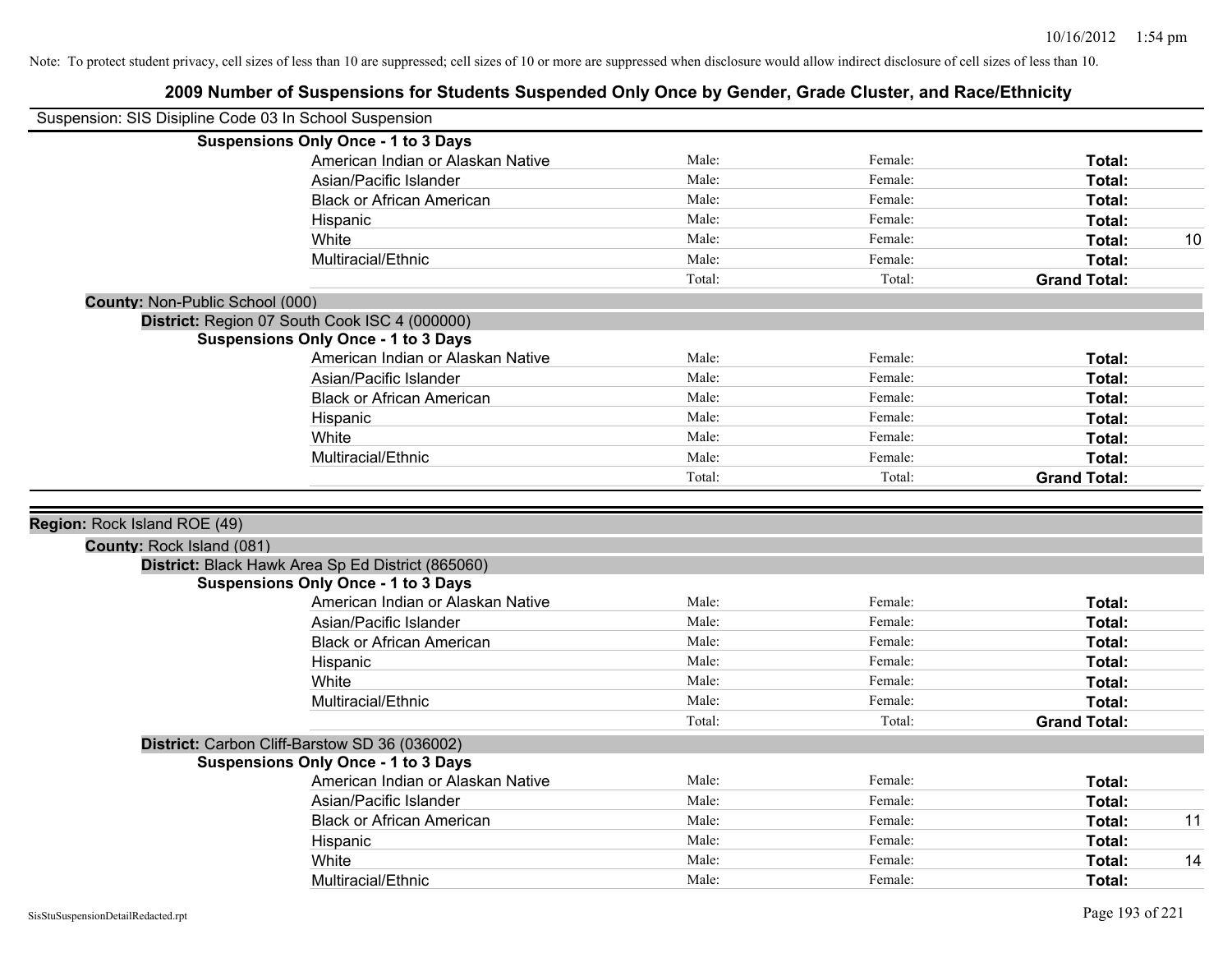|                                 | Suspension: SIS Disipline Code 03 In School Suspension |                |         |                         |    |
|---------------------------------|--------------------------------------------------------|----------------|---------|-------------------------|----|
|                                 | <b>Suspensions Only Once - 1 to 3 Days</b>             |                |         |                         |    |
|                                 | American Indian or Alaskan Native                      | Male:          | Female: | Total:                  |    |
|                                 | Asian/Pacific Islander                                 | Male:          | Female: | Total:                  |    |
|                                 | <b>Black or African American</b>                       | Male:          | Female: | Total:                  |    |
|                                 | Hispanic                                               | Male:          | Female: | Total:                  |    |
|                                 | White                                                  | Male:          | Female: | Total:                  | 10 |
|                                 | Multiracial/Ethnic                                     | Male:          | Female: | Total:                  |    |
|                                 |                                                        | Total:         | Total:  | <b>Grand Total:</b>     |    |
| County: Non-Public School (000) |                                                        |                |         |                         |    |
|                                 | District: Region 07 South Cook ISC 4 (000000)          |                |         |                         |    |
|                                 | <b>Suspensions Only Once - 1 to 3 Days</b>             |                |         |                         |    |
|                                 | American Indian or Alaskan Native                      | Male:          | Female: | Total:                  |    |
|                                 | Asian/Pacific Islander                                 | Male:          | Female: | Total:                  |    |
|                                 | <b>Black or African American</b>                       | Male:          | Female: | Total:                  |    |
|                                 | Hispanic                                               | Male:          | Female: | Total:                  |    |
|                                 | White                                                  | Male:          | Female: | Total:                  |    |
|                                 | Multiracial/Ethnic                                     | Male:          | Female: | Total:                  |    |
|                                 |                                                        | Total:         | Total:  | <b>Grand Total:</b>     |    |
|                                 |                                                        |                |         |                         |    |
| Region: Rock Island ROE (49)    |                                                        |                |         |                         |    |
| County: Rock Island (081)       |                                                        |                |         |                         |    |
|                                 | District: Black Hawk Area Sp Ed District (865060)      |                |         |                         |    |
|                                 | <b>Suspensions Only Once - 1 to 3 Days</b>             |                |         |                         |    |
|                                 | American Indian or Alaskan Native                      | Male:          | Female: | Total:                  |    |
|                                 | Asian/Pacific Islander                                 | Male:          | Female: | Total:                  |    |
|                                 | <b>Black or African American</b>                       | Male:          | Female: | Total:                  |    |
|                                 | Hispanic                                               | Male:          | Female: | Total:                  |    |
|                                 | White                                                  | Male:          | Female: | Total:                  |    |
|                                 | Multiracial/Ethnic                                     | Male:          | Female: | Total:                  |    |
|                                 |                                                        | Total:         | Total:  | <b>Grand Total:</b>     |    |
|                                 | District: Carbon Cliff-Barstow SD 36 (036002)          |                |         |                         |    |
|                                 | <b>Suspensions Only Once - 1 to 3 Days</b>             |                |         |                         |    |
|                                 | American Indian or Alaskan Native                      | Male:          | Female: | Total:                  |    |
|                                 | Asian/Pacific Islander                                 | Male:          | Female: | Total:                  |    |
|                                 | <b>Black or African American</b>                       | Male:          | Female: | Total:                  | 11 |
|                                 | Hispanic                                               | Male:          | Female: | Total:                  |    |
|                                 |                                                        |                |         |                         |    |
|                                 | White                                                  | Male:<br>Male: | Female: | <b>Total:</b><br>Total: | 14 |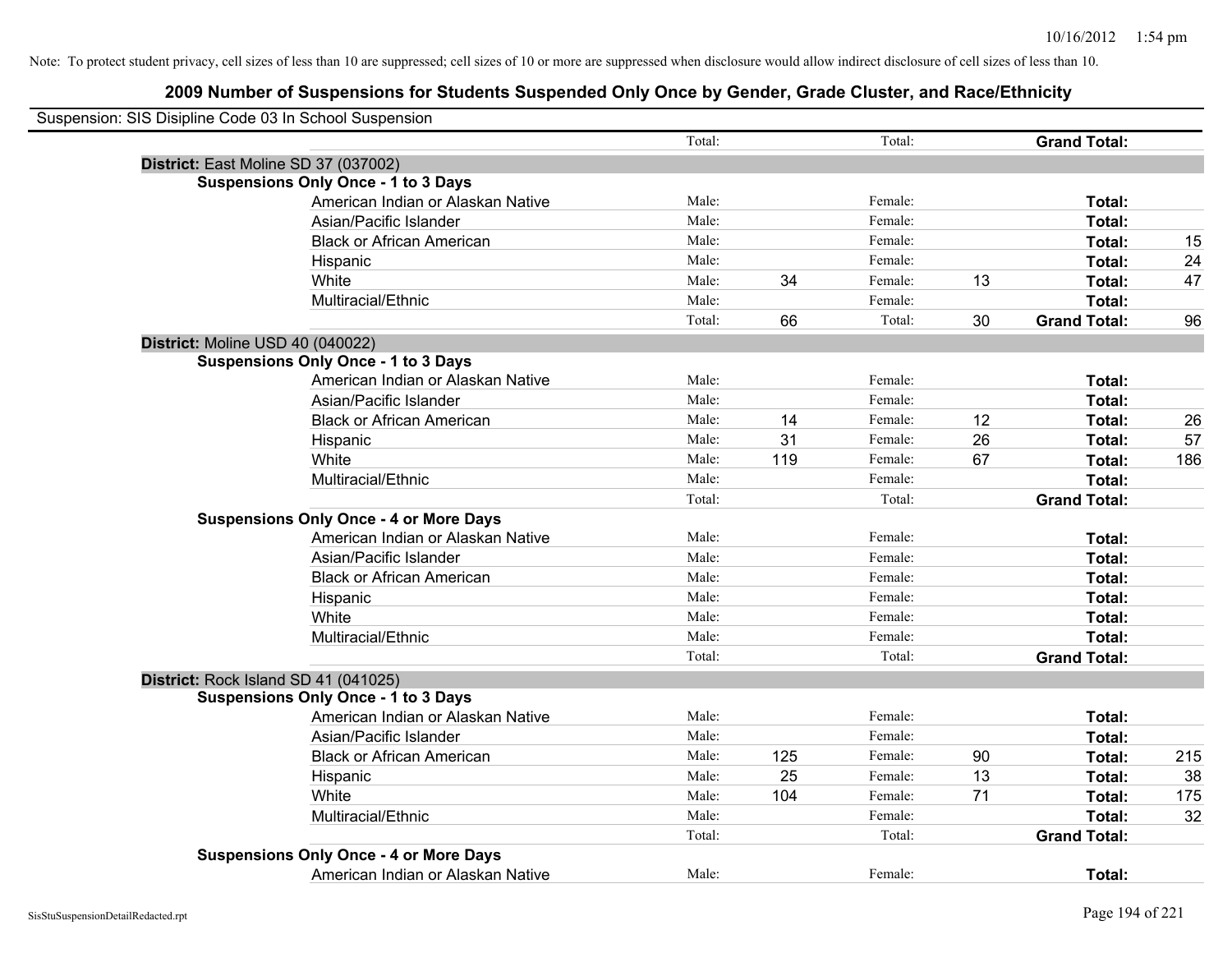| Suspension: SIS Disipline Code 03 In School Suspension |        |     |         |    |                     |     |
|--------------------------------------------------------|--------|-----|---------|----|---------------------|-----|
|                                                        | Total: |     | Total:  |    | <b>Grand Total:</b> |     |
| District: East Moline SD 37 (037002)                   |        |     |         |    |                     |     |
| <b>Suspensions Only Once - 1 to 3 Days</b>             |        |     |         |    |                     |     |
| American Indian or Alaskan Native                      | Male:  |     | Female: |    | Total:              |     |
| Asian/Pacific Islander                                 | Male:  |     | Female: |    | Total:              |     |
| <b>Black or African American</b>                       | Male:  |     | Female: |    | Total:              | 15  |
| Hispanic                                               | Male:  |     | Female: |    | Total:              | 24  |
| White                                                  | Male:  | 34  | Female: | 13 | Total:              | 47  |
| Multiracial/Ethnic                                     | Male:  |     | Female: |    | Total:              |     |
|                                                        | Total: | 66  | Total:  | 30 | <b>Grand Total:</b> | 96  |
| District: Moline USD 40 (040022)                       |        |     |         |    |                     |     |
| <b>Suspensions Only Once - 1 to 3 Days</b>             |        |     |         |    |                     |     |
| American Indian or Alaskan Native                      | Male:  |     | Female: |    | Total:              |     |
| Asian/Pacific Islander                                 | Male:  |     | Female: |    | Total:              |     |
| <b>Black or African American</b>                       | Male:  | 14  | Female: | 12 | Total:              | 26  |
| Hispanic                                               | Male:  | 31  | Female: | 26 | Total:              | 57  |
| White                                                  | Male:  | 119 | Female: | 67 | Total:              | 186 |
| Multiracial/Ethnic                                     | Male:  |     | Female: |    | Total:              |     |
|                                                        | Total: |     | Total:  |    | <b>Grand Total:</b> |     |
| <b>Suspensions Only Once - 4 or More Days</b>          |        |     |         |    |                     |     |
| American Indian or Alaskan Native                      | Male:  |     | Female: |    | Total:              |     |
| Asian/Pacific Islander                                 | Male:  |     | Female: |    | Total:              |     |
| <b>Black or African American</b>                       | Male:  |     | Female: |    | Total:              |     |
| Hispanic                                               | Male:  |     | Female: |    | Total:              |     |
| White                                                  | Male:  |     | Female: |    | Total:              |     |
| Multiracial/Ethnic                                     | Male:  |     | Female: |    | Total:              |     |
|                                                        | Total: |     | Total:  |    | <b>Grand Total:</b> |     |
| District: Rock Island SD 41 (041025)                   |        |     |         |    |                     |     |
| <b>Suspensions Only Once - 1 to 3 Days</b>             |        |     |         |    |                     |     |
| American Indian or Alaskan Native                      | Male:  |     | Female: |    | Total:              |     |
| Asian/Pacific Islander                                 | Male:  |     | Female: |    | Total:              |     |
| <b>Black or African American</b>                       | Male:  | 125 | Female: | 90 | Total:              | 215 |
| Hispanic                                               | Male:  | 25  | Female: | 13 | Total:              | 38  |
| White                                                  | Male:  | 104 | Female: | 71 | Total:              | 175 |
| Multiracial/Ethnic                                     | Male:  |     | Female: |    | Total:              | 32  |
|                                                        | Total: |     | Total:  |    | <b>Grand Total:</b> |     |
| <b>Suspensions Only Once - 4 or More Days</b>          |        |     |         |    |                     |     |
| American Indian or Alaskan Native                      | Male:  |     | Female: |    | Total:              |     |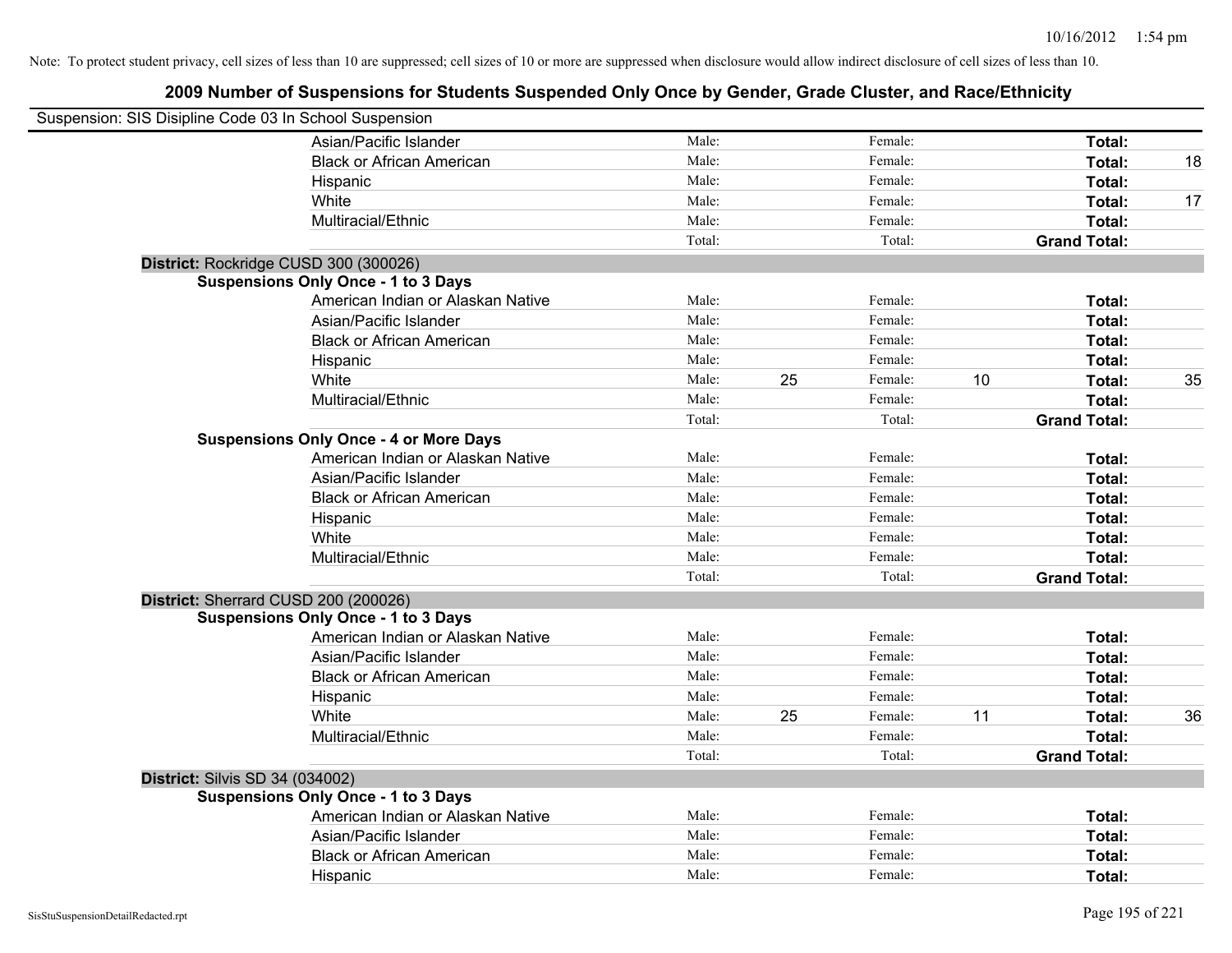| Suspension: SIS Disipline Code 03 In School Suspension |                                               |        |    |         |    |                     |    |
|--------------------------------------------------------|-----------------------------------------------|--------|----|---------|----|---------------------|----|
|                                                        | Asian/Pacific Islander                        | Male:  |    | Female: |    | Total:              |    |
|                                                        | <b>Black or African American</b>              | Male:  |    | Female: |    | Total:              | 18 |
|                                                        | Hispanic                                      | Male:  |    | Female: |    | Total:              |    |
|                                                        | White                                         | Male:  |    | Female: |    | Total:              | 17 |
|                                                        | Multiracial/Ethnic                            | Male:  |    | Female: |    | Total:              |    |
|                                                        |                                               | Total: |    | Total:  |    | <b>Grand Total:</b> |    |
| District: Rockridge CUSD 300 (300026)                  |                                               |        |    |         |    |                     |    |
|                                                        | <b>Suspensions Only Once - 1 to 3 Days</b>    |        |    |         |    |                     |    |
|                                                        | American Indian or Alaskan Native             | Male:  |    | Female: |    | Total:              |    |
|                                                        | Asian/Pacific Islander                        | Male:  |    | Female: |    | Total:              |    |
|                                                        | <b>Black or African American</b>              | Male:  |    | Female: |    | Total:              |    |
|                                                        | Hispanic                                      | Male:  |    | Female: |    | Total:              |    |
|                                                        | White                                         | Male:  | 25 | Female: | 10 | <b>Total:</b>       | 35 |
|                                                        | Multiracial/Ethnic                            | Male:  |    | Female: |    | Total:              |    |
|                                                        |                                               | Total: |    | Total:  |    | <b>Grand Total:</b> |    |
|                                                        | <b>Suspensions Only Once - 4 or More Days</b> |        |    |         |    |                     |    |
|                                                        | American Indian or Alaskan Native             | Male:  |    | Female: |    | Total:              |    |
|                                                        | Asian/Pacific Islander                        | Male:  |    | Female: |    | Total:              |    |
|                                                        | <b>Black or African American</b>              | Male:  |    | Female: |    | Total:              |    |
|                                                        | Hispanic                                      | Male:  |    | Female: |    | Total:              |    |
|                                                        | White                                         | Male:  |    | Female: |    | Total:              |    |
|                                                        | Multiracial/Ethnic                            | Male:  |    | Female: |    | Total:              |    |
|                                                        |                                               | Total: |    | Total:  |    | <b>Grand Total:</b> |    |
| District: Sherrard CUSD 200 (200026)                   |                                               |        |    |         |    |                     |    |
|                                                        | <b>Suspensions Only Once - 1 to 3 Days</b>    |        |    |         |    |                     |    |
|                                                        | American Indian or Alaskan Native             | Male:  |    | Female: |    | Total:              |    |
|                                                        | Asian/Pacific Islander                        | Male:  |    | Female: |    | Total:              |    |
|                                                        | <b>Black or African American</b>              | Male:  |    | Female: |    | Total:              |    |
|                                                        | Hispanic                                      | Male:  |    | Female: |    | Total:              |    |
|                                                        | White                                         | Male:  | 25 | Female: | 11 | Total:              | 36 |
|                                                        | Multiracial/Ethnic                            | Male:  |    | Female: |    | Total:              |    |
|                                                        |                                               | Total: |    | Total:  |    | <b>Grand Total:</b> |    |
| <b>District: Silvis SD 34 (034002)</b>                 |                                               |        |    |         |    |                     |    |
|                                                        | <b>Suspensions Only Once - 1 to 3 Days</b>    |        |    |         |    |                     |    |
|                                                        | American Indian or Alaskan Native             | Male:  |    | Female: |    | Total:              |    |
|                                                        | Asian/Pacific Islander                        | Male:  |    | Female: |    | Total:              |    |
|                                                        | <b>Black or African American</b>              | Male:  |    | Female: |    | Total:              |    |
|                                                        | Hispanic                                      | Male:  |    | Female: |    | Total:              |    |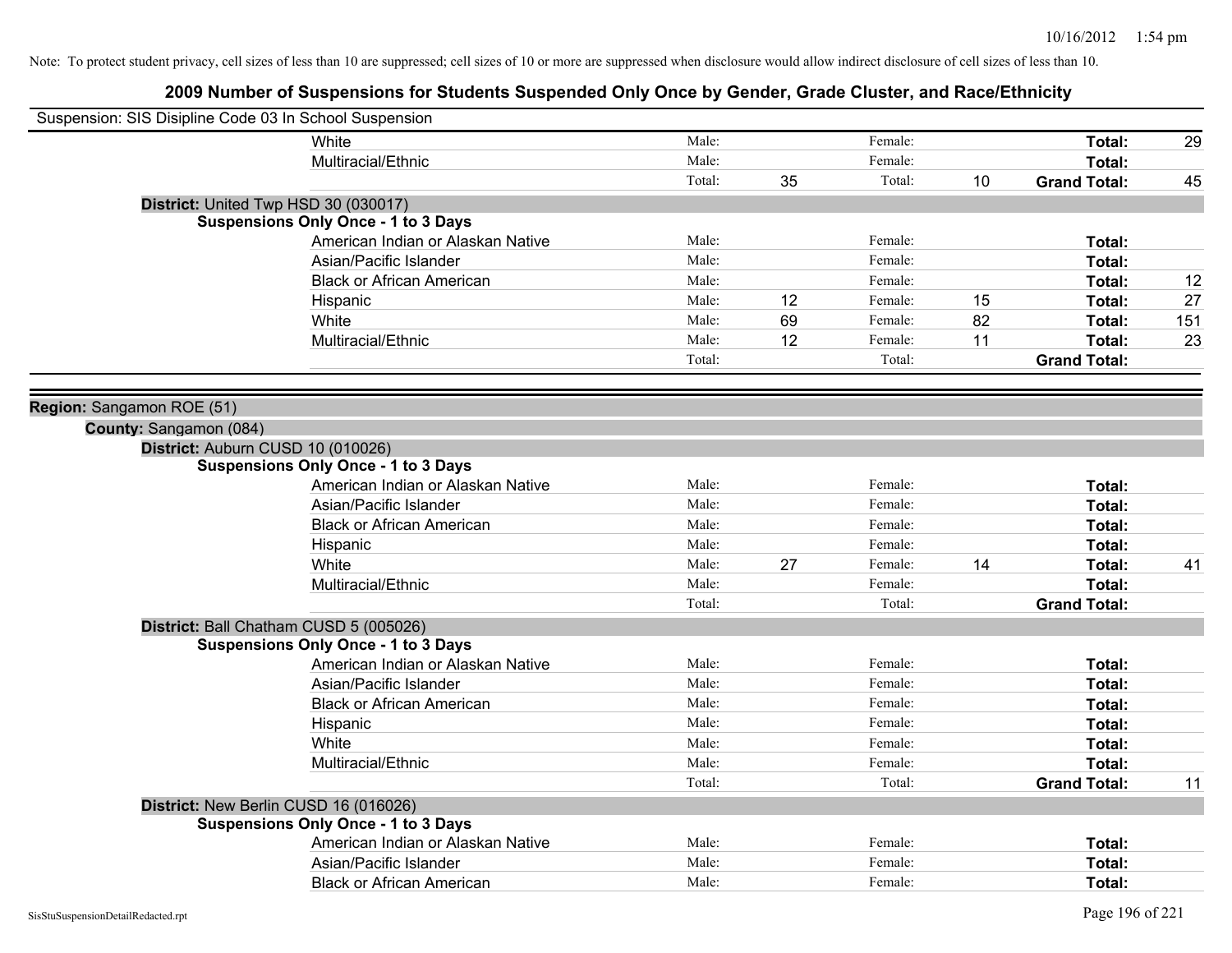|                           | Suspension: SIS Disipline Code 03 In School Suspension |        |    |         |    |                     |     |
|---------------------------|--------------------------------------------------------|--------|----|---------|----|---------------------|-----|
|                           | White                                                  | Male:  |    | Female: |    | Total:              | 29  |
|                           | Multiracial/Ethnic                                     | Male:  |    | Female: |    | <b>Total:</b>       |     |
|                           |                                                        | Total: | 35 | Total:  | 10 | <b>Grand Total:</b> | 45  |
|                           | District: United Twp HSD 30 (030017)                   |        |    |         |    |                     |     |
|                           | <b>Suspensions Only Once - 1 to 3 Days</b>             |        |    |         |    |                     |     |
|                           | American Indian or Alaskan Native                      | Male:  |    | Female: |    | Total:              |     |
|                           | Asian/Pacific Islander                                 | Male:  |    | Female: |    | Total:              |     |
|                           | <b>Black or African American</b>                       | Male:  |    | Female: |    | Total:              | 12  |
|                           | Hispanic                                               | Male:  | 12 | Female: | 15 | Total:              | 27  |
|                           | White                                                  | Male:  | 69 | Female: | 82 | Total:              | 151 |
|                           | Multiracial/Ethnic                                     | Male:  | 12 | Female: | 11 | <b>Total:</b>       | 23  |
|                           |                                                        | Total: |    | Total:  |    | <b>Grand Total:</b> |     |
|                           |                                                        |        |    |         |    |                     |     |
| Region: Sangamon ROE (51) |                                                        |        |    |         |    |                     |     |
| County: Sangamon (084)    |                                                        |        |    |         |    |                     |     |
|                           | District: Auburn CUSD 10 (010026)                      |        |    |         |    |                     |     |
|                           | <b>Suspensions Only Once - 1 to 3 Days</b>             |        |    |         |    |                     |     |
|                           | American Indian or Alaskan Native                      | Male:  |    | Female: |    | Total:              |     |
|                           | Asian/Pacific Islander                                 | Male:  |    | Female: |    | <b>Total:</b>       |     |
|                           | <b>Black or African American</b>                       | Male:  |    | Female: |    | Total:              |     |
|                           | Hispanic                                               | Male:  |    | Female: |    | Total:              |     |
|                           | White                                                  | Male:  | 27 | Female: | 14 | Total:              | 41  |
|                           | Multiracial/Ethnic                                     | Male:  |    | Female: |    | Total:              |     |
|                           |                                                        | Total: |    | Total:  |    | <b>Grand Total:</b> |     |
|                           | District: Ball Chatham CUSD 5 (005026)                 |        |    |         |    |                     |     |
|                           | <b>Suspensions Only Once - 1 to 3 Days</b>             |        |    |         |    |                     |     |
|                           | American Indian or Alaskan Native                      | Male:  |    | Female: |    | Total:              |     |
|                           | Asian/Pacific Islander                                 | Male:  |    | Female: |    | <b>Total:</b>       |     |
|                           | <b>Black or African American</b>                       | Male:  |    | Female: |    | <b>Total:</b>       |     |
|                           | Hispanic                                               | Male:  |    | Female: |    | Total:              |     |
|                           | White                                                  | Male:  |    | Female: |    | Total:              |     |
|                           | Multiracial/Ethnic                                     | Male:  |    | Female: |    | Total:              |     |
|                           |                                                        | Total: |    | Total:  |    | <b>Grand Total:</b> | 11  |
|                           | District: New Berlin CUSD 16 (016026)                  |        |    |         |    |                     |     |
|                           | <b>Suspensions Only Once - 1 to 3 Days</b>             |        |    |         |    |                     |     |
|                           | American Indian or Alaskan Native                      | Male:  |    | Female: |    | Total:              |     |
|                           | Asian/Pacific Islander                                 | Male:  |    | Female: |    | <b>Total:</b>       |     |
|                           | <b>Black or African American</b>                       | Male:  |    | Female: |    | Total:              |     |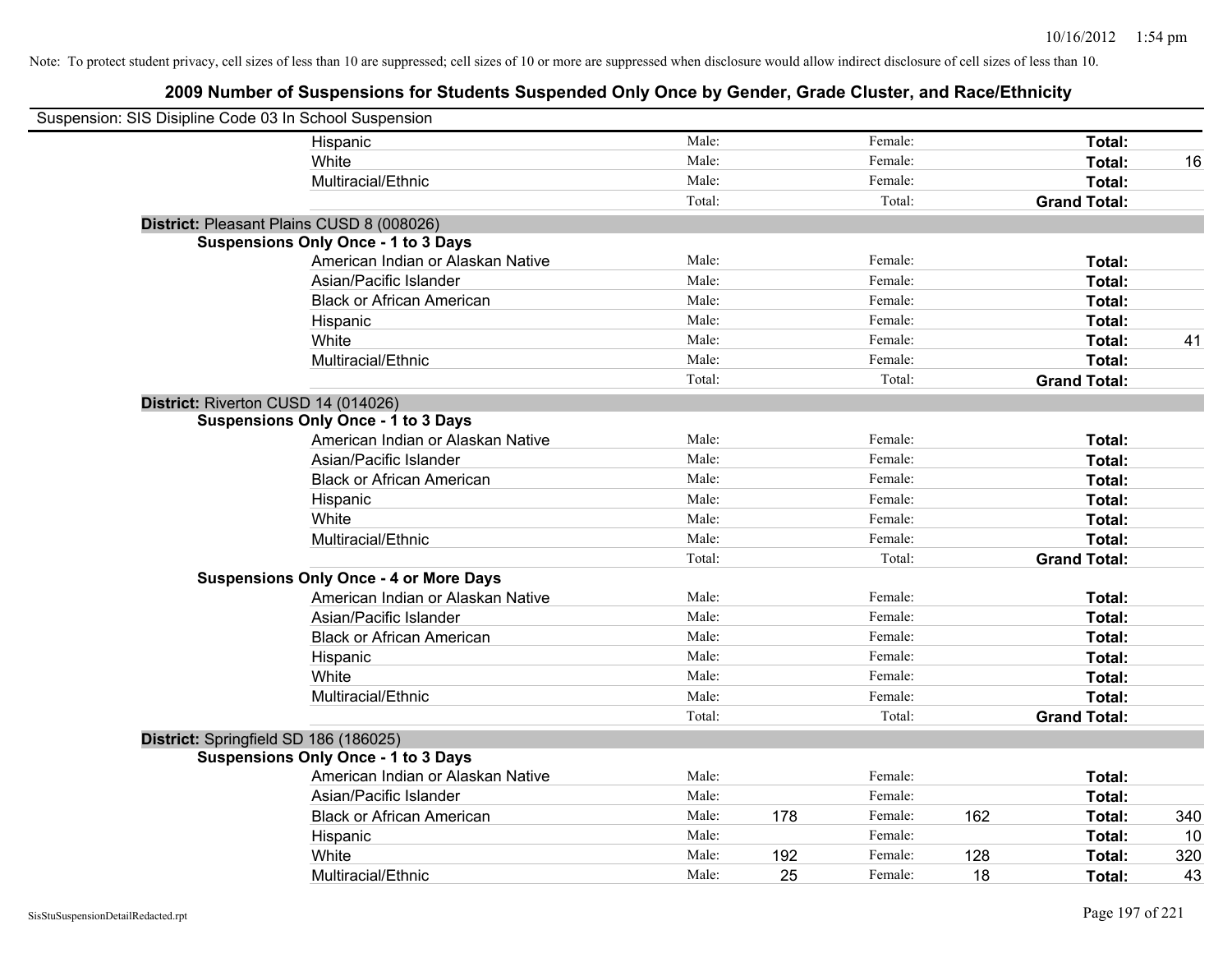| Suspension: SIS Disipline Code 03 In School Suspension |                                               |        |     |         |     |                     |     |
|--------------------------------------------------------|-----------------------------------------------|--------|-----|---------|-----|---------------------|-----|
|                                                        | Hispanic                                      | Male:  |     | Female: |     | Total:              |     |
|                                                        | White                                         | Male:  |     | Female: |     | Total:              | 16  |
|                                                        | Multiracial/Ethnic                            | Male:  |     | Female: |     | Total:              |     |
|                                                        |                                               | Total: |     | Total:  |     | <b>Grand Total:</b> |     |
|                                                        | District: Pleasant Plains CUSD 8 (008026)     |        |     |         |     |                     |     |
|                                                        | <b>Suspensions Only Once - 1 to 3 Days</b>    |        |     |         |     |                     |     |
|                                                        | American Indian or Alaskan Native             | Male:  |     | Female: |     | Total:              |     |
|                                                        | Asian/Pacific Islander                        | Male:  |     | Female: |     | Total:              |     |
|                                                        | <b>Black or African American</b>              | Male:  |     | Female: |     | Total:              |     |
|                                                        | Hispanic                                      | Male:  |     | Female: |     | Total:              |     |
|                                                        | White                                         | Male:  |     | Female: |     | Total:              | 41  |
|                                                        | Multiracial/Ethnic                            | Male:  |     | Female: |     | Total:              |     |
|                                                        |                                               | Total: |     | Total:  |     | <b>Grand Total:</b> |     |
| District: Riverton CUSD 14 (014026)                    |                                               |        |     |         |     |                     |     |
|                                                        | <b>Suspensions Only Once - 1 to 3 Days</b>    |        |     |         |     |                     |     |
|                                                        | American Indian or Alaskan Native             | Male:  |     | Female: |     | Total:              |     |
|                                                        | Asian/Pacific Islander                        | Male:  |     | Female: |     | Total:              |     |
|                                                        | <b>Black or African American</b>              | Male:  |     | Female: |     | Total:              |     |
|                                                        | Hispanic                                      | Male:  |     | Female: |     | Total:              |     |
|                                                        | White                                         | Male:  |     | Female: |     | Total:              |     |
|                                                        | Multiracial/Ethnic                            | Male:  |     | Female: |     | Total:              |     |
|                                                        |                                               | Total: |     | Total:  |     | <b>Grand Total:</b> |     |
|                                                        | <b>Suspensions Only Once - 4 or More Days</b> |        |     |         |     |                     |     |
|                                                        | American Indian or Alaskan Native             | Male:  |     | Female: |     | Total:              |     |
|                                                        | Asian/Pacific Islander                        | Male:  |     | Female: |     | Total:              |     |
|                                                        | <b>Black or African American</b>              | Male:  |     | Female: |     | Total:              |     |
|                                                        | Hispanic                                      | Male:  |     | Female: |     | Total:              |     |
|                                                        | White                                         | Male:  |     | Female: |     | Total:              |     |
|                                                        | Multiracial/Ethnic                            | Male:  |     | Female: |     | Total:              |     |
|                                                        |                                               | Total: |     | Total:  |     | <b>Grand Total:</b> |     |
| District: Springfield SD 186 (186025)                  |                                               |        |     |         |     |                     |     |
|                                                        | <b>Suspensions Only Once - 1 to 3 Days</b>    |        |     |         |     |                     |     |
|                                                        | American Indian or Alaskan Native             | Male:  |     | Female: |     | Total:              |     |
|                                                        | Asian/Pacific Islander                        | Male:  |     | Female: |     | Total:              |     |
|                                                        | <b>Black or African American</b>              | Male:  | 178 | Female: | 162 | Total:              | 340 |
|                                                        | Hispanic                                      | Male:  |     | Female: |     | Total:              | 10  |
|                                                        | White                                         | Male:  | 192 | Female: | 128 | Total:              | 320 |
|                                                        | Multiracial/Ethnic                            | Male:  | 25  | Female: | 18  | Total:              | 43  |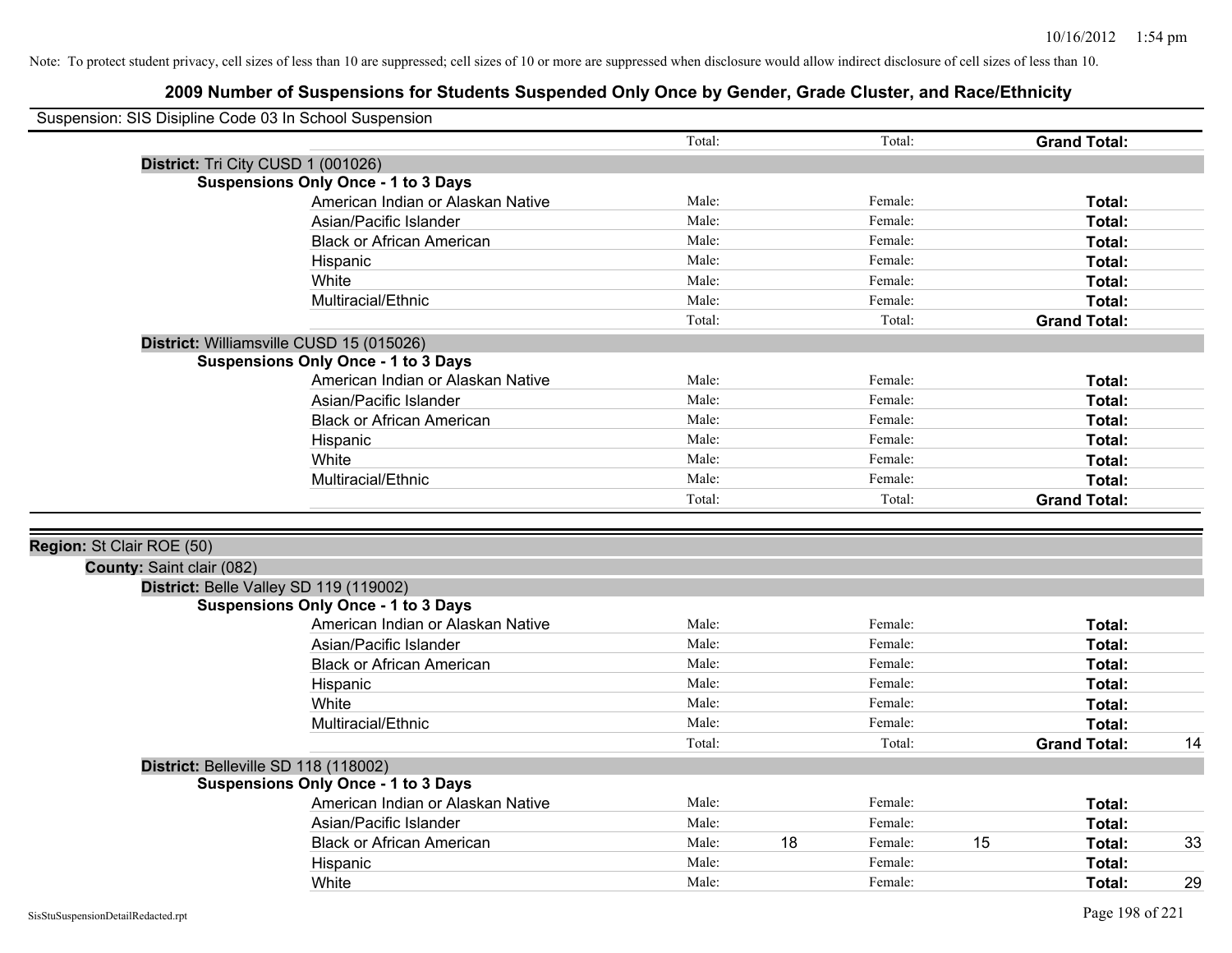| Suspension: SIS Disipline Code 03 In School Suspension |                                            |        |    |         |    |                     |    |
|--------------------------------------------------------|--------------------------------------------|--------|----|---------|----|---------------------|----|
|                                                        |                                            | Total: |    | Total:  |    | <b>Grand Total:</b> |    |
|                                                        | District: Tri City CUSD 1 (001026)         |        |    |         |    |                     |    |
|                                                        | <b>Suspensions Only Once - 1 to 3 Days</b> |        |    |         |    |                     |    |
|                                                        | American Indian or Alaskan Native          | Male:  |    | Female: |    | Total:              |    |
|                                                        | Asian/Pacific Islander                     | Male:  |    | Female: |    | Total:              |    |
|                                                        | <b>Black or African American</b>           | Male:  |    | Female: |    | Total:              |    |
|                                                        | Hispanic                                   | Male:  |    | Female: |    | Total:              |    |
|                                                        | White                                      | Male:  |    | Female: |    | Total:              |    |
|                                                        | Multiracial/Ethnic                         | Male:  |    | Female: |    | Total:              |    |
|                                                        |                                            | Total: |    | Total:  |    | <b>Grand Total:</b> |    |
|                                                        | District: Williamsville CUSD 15 (015026)   |        |    |         |    |                     |    |
|                                                        | <b>Suspensions Only Once - 1 to 3 Days</b> |        |    |         |    |                     |    |
|                                                        | American Indian or Alaskan Native          | Male:  |    | Female: |    | Total:              |    |
|                                                        | Asian/Pacific Islander                     | Male:  |    | Female: |    | Total:              |    |
|                                                        | <b>Black or African American</b>           | Male:  |    | Female: |    | Total:              |    |
|                                                        | Hispanic                                   | Male:  |    | Female: |    | Total:              |    |
|                                                        | White                                      | Male:  |    | Female: |    | Total:              |    |
|                                                        | Multiracial/Ethnic                         | Male:  |    | Female: |    | Total:              |    |
|                                                        |                                            | Total: |    | Total:  |    | <b>Grand Total:</b> |    |
|                                                        |                                            |        |    |         |    |                     |    |
| Region: St Clair ROE (50)                              |                                            |        |    |         |    |                     |    |
| <b>County: Saint clair (082)</b>                       |                                            |        |    |         |    |                     |    |
|                                                        | District: Belle Valley SD 119 (119002)     |        |    |         |    |                     |    |
|                                                        | <b>Suspensions Only Once - 1 to 3 Days</b> |        |    |         |    |                     |    |
|                                                        | American Indian or Alaskan Native          | Male:  |    | Female: |    | Total:              |    |
|                                                        | Asian/Pacific Islander                     | Male:  |    | Female: |    | Total:              |    |
|                                                        | <b>Black or African American</b>           | Male:  |    | Female: |    | Total:              |    |
|                                                        | Hispanic                                   | Male:  |    | Female: |    | Total:              |    |
|                                                        | White                                      | Male:  |    | Female: |    | Total:              |    |
|                                                        | Multiracial/Ethnic                         | Male:  |    | Female: |    | Total:              |    |
|                                                        |                                            | Total: |    | Total:  |    | <b>Grand Total:</b> | 14 |
|                                                        | District: Belleville SD 118 (118002)       |        |    |         |    |                     |    |
|                                                        | <b>Suspensions Only Once - 1 to 3 Days</b> |        |    |         |    |                     |    |
|                                                        | American Indian or Alaskan Native          | Male:  |    | Female: |    | Total:              |    |
|                                                        | Asian/Pacific Islander                     | Male:  |    | Female: |    | Total:              |    |
|                                                        | <b>Black or African American</b>           | Male:  | 18 | Female: | 15 | Total:              | 33 |
|                                                        | Hispanic                                   | Male:  |    | Female: |    | Total:              |    |
|                                                        | White                                      | Male:  |    | Female: |    | Total:              | 29 |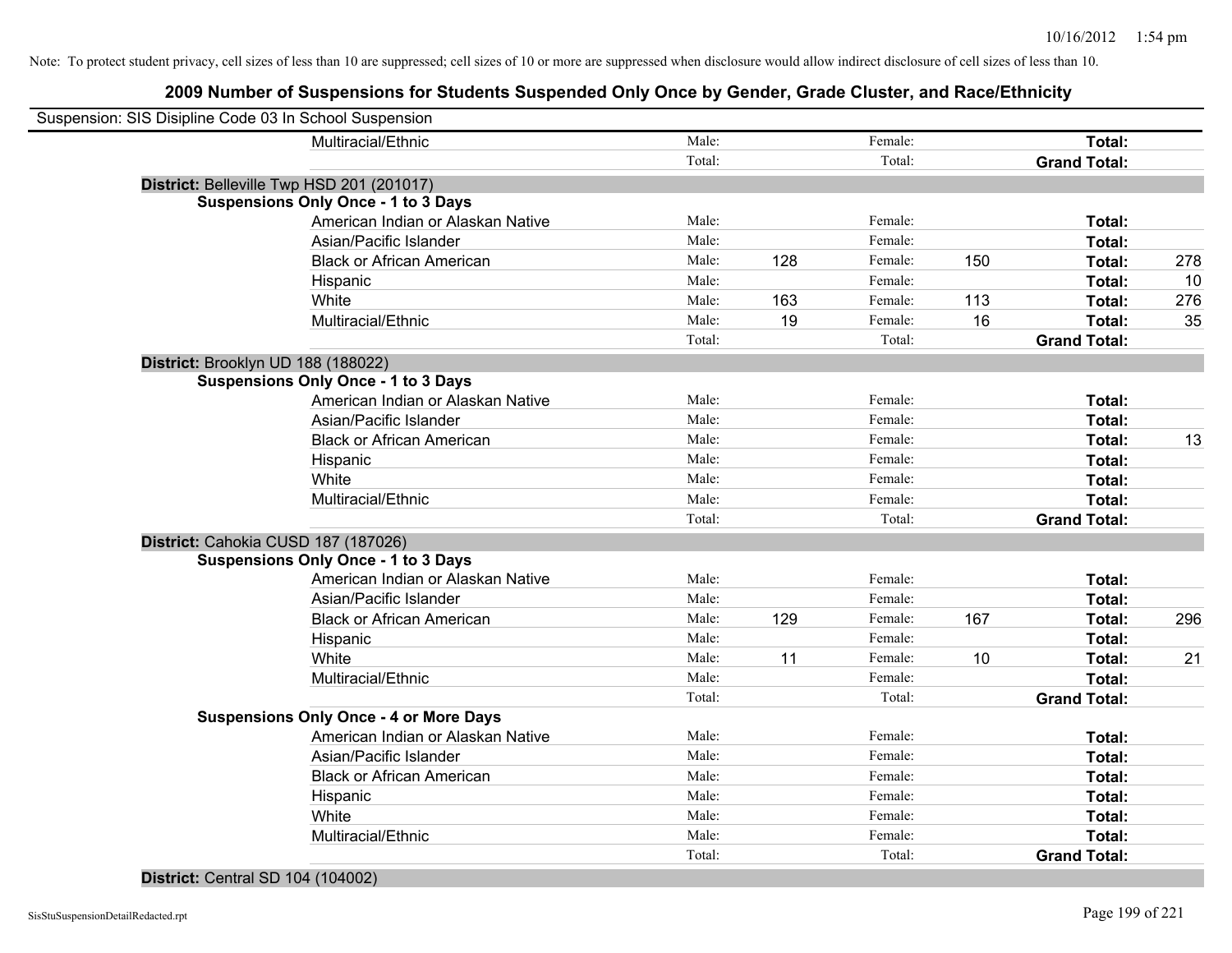# **2009 Number of Suspensions for Students Suspended Only Once by Gender, Grade Cluster, and Race/Ethnicity**

| Suspension: SIS Disipline Code 03 In School Suspension |                                               |        |     |         |     |                     |     |
|--------------------------------------------------------|-----------------------------------------------|--------|-----|---------|-----|---------------------|-----|
|                                                        | Multiracial/Ethnic                            | Male:  |     | Female: |     | Total:              |     |
|                                                        |                                               | Total: |     | Total:  |     | <b>Grand Total:</b> |     |
|                                                        | District: Belleville Twp HSD 201 (201017)     |        |     |         |     |                     |     |
|                                                        | <b>Suspensions Only Once - 1 to 3 Days</b>    |        |     |         |     |                     |     |
|                                                        | American Indian or Alaskan Native             | Male:  |     | Female: |     | Total:              |     |
|                                                        | Asian/Pacific Islander                        | Male:  |     | Female: |     | Total:              |     |
|                                                        | <b>Black or African American</b>              | Male:  | 128 | Female: | 150 | Total:              | 278 |
|                                                        | Hispanic                                      | Male:  |     | Female: |     | Total:              | 10  |
|                                                        | White                                         | Male:  | 163 | Female: | 113 | Total:              | 276 |
|                                                        | Multiracial/Ethnic                            | Male:  | 19  | Female: | 16  | Total:              | 35  |
|                                                        |                                               | Total: |     | Total:  |     | <b>Grand Total:</b> |     |
|                                                        | District: Brooklyn UD 188 (188022)            |        |     |         |     |                     |     |
|                                                        | <b>Suspensions Only Once - 1 to 3 Days</b>    |        |     |         |     |                     |     |
|                                                        | American Indian or Alaskan Native             | Male:  |     | Female: |     | Total:              |     |
|                                                        | Asian/Pacific Islander                        | Male:  |     | Female: |     | Total:              |     |
|                                                        | <b>Black or African American</b>              | Male:  |     | Female: |     | Total:              | 13  |
|                                                        | Hispanic                                      | Male:  |     | Female: |     | Total:              |     |
|                                                        | White                                         | Male:  |     | Female: |     | Total:              |     |
|                                                        | Multiracial/Ethnic                            | Male:  |     | Female: |     | Total:              |     |
|                                                        |                                               | Total: |     | Total:  |     | <b>Grand Total:</b> |     |
|                                                        | District: Cahokia CUSD 187 (187026)           |        |     |         |     |                     |     |
|                                                        | <b>Suspensions Only Once - 1 to 3 Days</b>    |        |     |         |     |                     |     |
|                                                        | American Indian or Alaskan Native             | Male:  |     | Female: |     | Total:              |     |
|                                                        | Asian/Pacific Islander                        | Male:  |     | Female: |     | Total:              |     |
|                                                        | <b>Black or African American</b>              | Male:  | 129 | Female: | 167 | Total:              | 296 |
|                                                        | Hispanic                                      | Male:  |     | Female: |     | Total:              |     |
|                                                        | White                                         | Male:  | 11  | Female: | 10  | Total:              | 21  |
|                                                        | Multiracial/Ethnic                            | Male:  |     | Female: |     | Total:              |     |
|                                                        |                                               | Total: |     | Total:  |     | <b>Grand Total:</b> |     |
|                                                        | <b>Suspensions Only Once - 4 or More Days</b> |        |     |         |     |                     |     |
|                                                        | American Indian or Alaskan Native             | Male:  |     | Female: |     | Total:              |     |
|                                                        | Asian/Pacific Islander                        | Male:  |     | Female: |     | Total:              |     |
|                                                        | <b>Black or African American</b>              | Male:  |     | Female: |     | Total:              |     |
|                                                        | Hispanic                                      | Male:  |     | Female: |     | Total:              |     |
|                                                        | White                                         | Male:  |     | Female: |     | Total:              |     |
|                                                        | Multiracial/Ethnic                            | Male:  |     | Female: |     | Total:              |     |
|                                                        |                                               | Total: |     | Total:  |     | <b>Grand Total:</b> |     |
|                                                        |                                               |        |     |         |     |                     |     |

#### **District:** Central SD 104 (104002)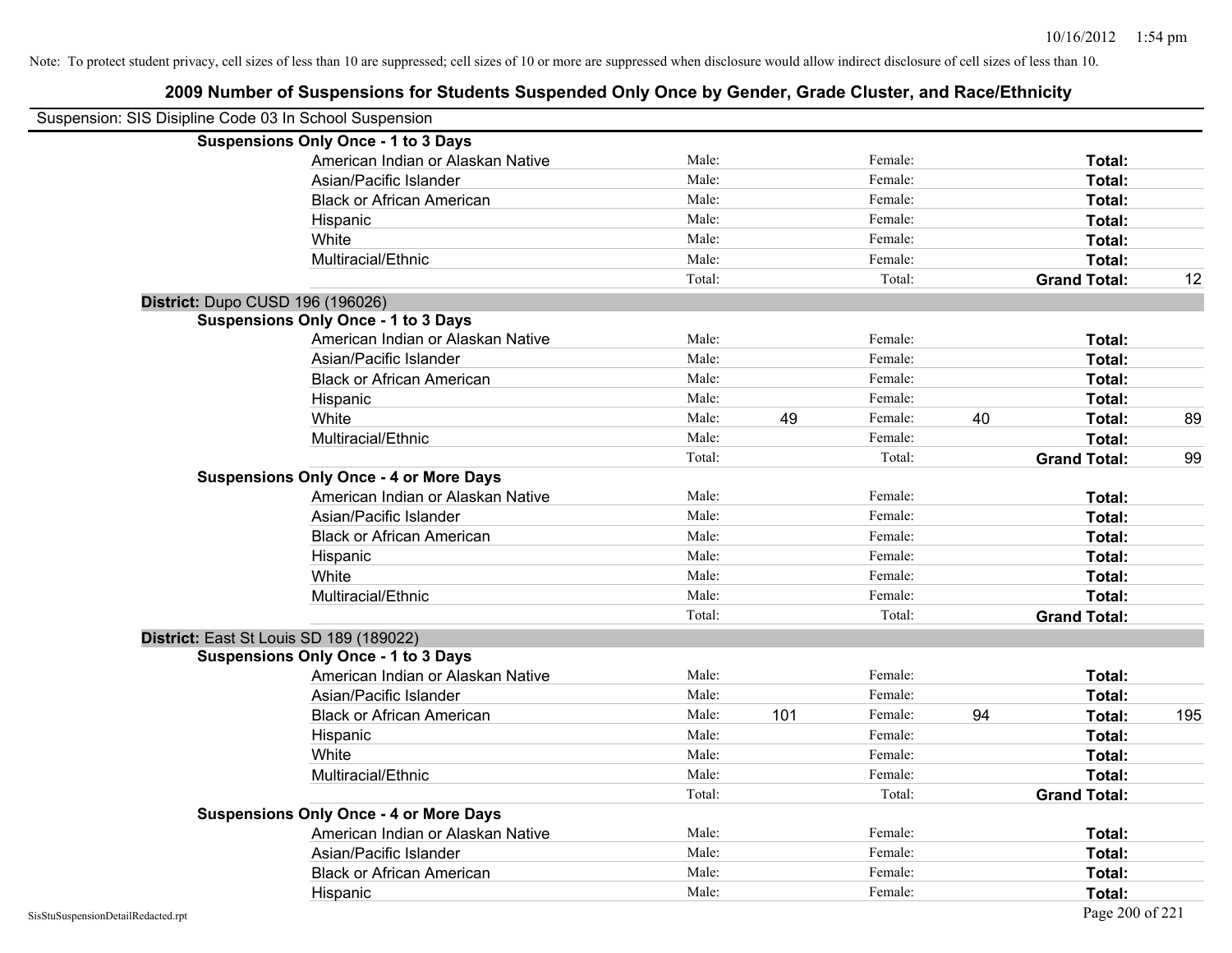| Suspension: SIS Disipline Code 03 In School Suspension |                                               |        |     |         |    |                     |     |
|--------------------------------------------------------|-----------------------------------------------|--------|-----|---------|----|---------------------|-----|
|                                                        | <b>Suspensions Only Once - 1 to 3 Days</b>    |        |     |         |    |                     |     |
|                                                        | American Indian or Alaskan Native             | Male:  |     | Female: |    | Total:              |     |
|                                                        | Asian/Pacific Islander                        | Male:  |     | Female: |    | Total:              |     |
|                                                        | <b>Black or African American</b>              | Male:  |     | Female: |    | Total:              |     |
|                                                        | Hispanic                                      | Male:  |     | Female: |    | Total:              |     |
|                                                        | White                                         | Male:  |     | Female: |    | Total:              |     |
|                                                        | Multiracial/Ethnic                            | Male:  |     | Female: |    | Total:              |     |
|                                                        |                                               | Total: |     | Total:  |    | <b>Grand Total:</b> | 12  |
| District: Dupo CUSD 196 (196026)                       |                                               |        |     |         |    |                     |     |
|                                                        | <b>Suspensions Only Once - 1 to 3 Days</b>    |        |     |         |    |                     |     |
|                                                        | American Indian or Alaskan Native             | Male:  |     | Female: |    | Total:              |     |
|                                                        | Asian/Pacific Islander                        | Male:  |     | Female: |    | Total:              |     |
|                                                        | <b>Black or African American</b>              | Male:  |     | Female: |    | Total:              |     |
|                                                        | Hispanic                                      | Male:  |     | Female: |    | Total:              |     |
|                                                        | White                                         | Male:  | 49  | Female: | 40 | Total:              | 89  |
|                                                        | Multiracial/Ethnic                            | Male:  |     | Female: |    | Total:              |     |
|                                                        |                                               | Total: |     | Total:  |    | <b>Grand Total:</b> | 99  |
|                                                        | <b>Suspensions Only Once - 4 or More Days</b> |        |     |         |    |                     |     |
|                                                        | American Indian or Alaskan Native             | Male:  |     | Female: |    | Total:              |     |
|                                                        | Asian/Pacific Islander                        | Male:  |     | Female: |    | Total:              |     |
|                                                        | <b>Black or African American</b>              | Male:  |     | Female: |    | Total:              |     |
|                                                        | Hispanic                                      | Male:  |     | Female: |    | Total:              |     |
|                                                        | White                                         | Male:  |     | Female: |    | Total:              |     |
|                                                        | Multiracial/Ethnic                            | Male:  |     | Female: |    | Total:              |     |
|                                                        |                                               | Total: |     | Total:  |    | <b>Grand Total:</b> |     |
|                                                        | District: East St Louis SD 189 (189022)       |        |     |         |    |                     |     |
|                                                        | <b>Suspensions Only Once - 1 to 3 Days</b>    |        |     |         |    |                     |     |
|                                                        | American Indian or Alaskan Native             | Male:  |     | Female: |    | Total:              |     |
|                                                        | Asian/Pacific Islander                        | Male:  |     | Female: |    | Total:              |     |
|                                                        | <b>Black or African American</b>              | Male:  | 101 | Female: | 94 | Total:              | 195 |
|                                                        | Hispanic                                      | Male:  |     | Female: |    | Total:              |     |
|                                                        | White                                         | Male:  |     | Female: |    | Total:              |     |
|                                                        | Multiracial/Ethnic                            | Male:  |     | Female: |    | Total:              |     |
|                                                        |                                               | Total: |     | Total:  |    | <b>Grand Total:</b> |     |
|                                                        | <b>Suspensions Only Once - 4 or More Days</b> |        |     |         |    |                     |     |
|                                                        | American Indian or Alaskan Native             | Male:  |     | Female: |    | Total:              |     |
|                                                        | Asian/Pacific Islander                        | Male:  |     | Female: |    | Total:              |     |
|                                                        | <b>Black or African American</b>              | Male:  |     | Female: |    | Total:              |     |
|                                                        | Hispanic                                      | Male:  |     | Female: |    | Total:              |     |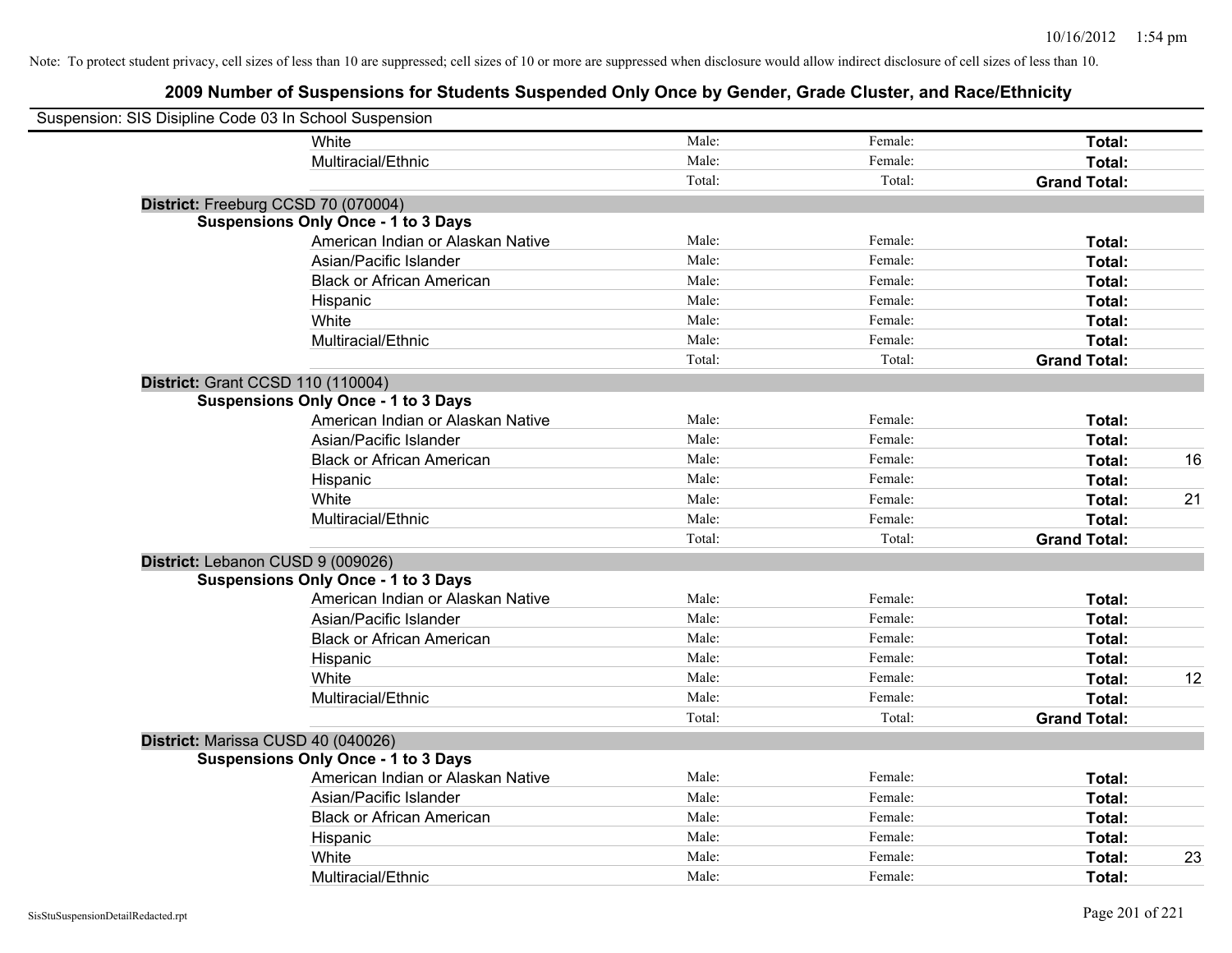| Suspension: SIS Disipline Code 03 In School Suspension |                                            |        |         |                     |    |
|--------------------------------------------------------|--------------------------------------------|--------|---------|---------------------|----|
|                                                        | White                                      | Male:  | Female: | Total:              |    |
|                                                        | Multiracial/Ethnic                         | Male:  | Female: | Total:              |    |
|                                                        |                                            | Total: | Total:  | <b>Grand Total:</b> |    |
| District: Freeburg CCSD 70 (070004)                    |                                            |        |         |                     |    |
|                                                        | <b>Suspensions Only Once - 1 to 3 Days</b> |        |         |                     |    |
|                                                        | American Indian or Alaskan Native          | Male:  | Female: | Total:              |    |
|                                                        | Asian/Pacific Islander                     | Male:  | Female: | Total:              |    |
|                                                        | <b>Black or African American</b>           | Male:  | Female: | Total:              |    |
|                                                        | Hispanic                                   | Male:  | Female: | Total:              |    |
|                                                        | White                                      | Male:  | Female: | Total:              |    |
|                                                        | Multiracial/Ethnic                         | Male:  | Female: | Total:              |    |
|                                                        |                                            | Total: | Total:  | <b>Grand Total:</b> |    |
| <b>District: Grant CCSD 110 (110004)</b>               |                                            |        |         |                     |    |
|                                                        | <b>Suspensions Only Once - 1 to 3 Days</b> |        |         |                     |    |
|                                                        | American Indian or Alaskan Native          | Male:  | Female: | Total:              |    |
|                                                        | Asian/Pacific Islander                     | Male:  | Female: | Total:              |    |
|                                                        | <b>Black or African American</b>           | Male:  | Female: | Total:              | 16 |
|                                                        | Hispanic                                   | Male:  | Female: | Total:              |    |
|                                                        | White                                      | Male:  | Female: | Total:              | 21 |
|                                                        | Multiracial/Ethnic                         | Male:  | Female: | Total:              |    |
|                                                        |                                            | Total: | Total:  | <b>Grand Total:</b> |    |
| District: Lebanon CUSD 9 (009026)                      |                                            |        |         |                     |    |
|                                                        | <b>Suspensions Only Once - 1 to 3 Days</b> |        |         |                     |    |
|                                                        | American Indian or Alaskan Native          | Male:  | Female: | Total:              |    |
|                                                        | Asian/Pacific Islander                     | Male:  | Female: | Total:              |    |
|                                                        | <b>Black or African American</b>           | Male:  | Female: | Total:              |    |
|                                                        | Hispanic                                   | Male:  | Female: | Total:              |    |
|                                                        | White                                      | Male:  | Female: | Total:              | 12 |
|                                                        | Multiracial/Ethnic                         | Male:  | Female: | Total:              |    |
|                                                        |                                            | Total: | Total:  | <b>Grand Total:</b> |    |
| District: Marissa CUSD 40 (040026)                     |                                            |        |         |                     |    |
|                                                        | <b>Suspensions Only Once - 1 to 3 Days</b> |        |         |                     |    |
|                                                        | American Indian or Alaskan Native          | Male:  | Female: | Total:              |    |
|                                                        | Asian/Pacific Islander                     | Male:  | Female: | Total:              |    |
|                                                        | <b>Black or African American</b>           | Male:  | Female: | Total:              |    |
|                                                        | Hispanic                                   | Male:  | Female: | Total:              |    |
|                                                        | White                                      | Male:  | Female: | Total:              | 23 |
|                                                        | Multiracial/Ethnic                         | Male:  | Female: | Total:              |    |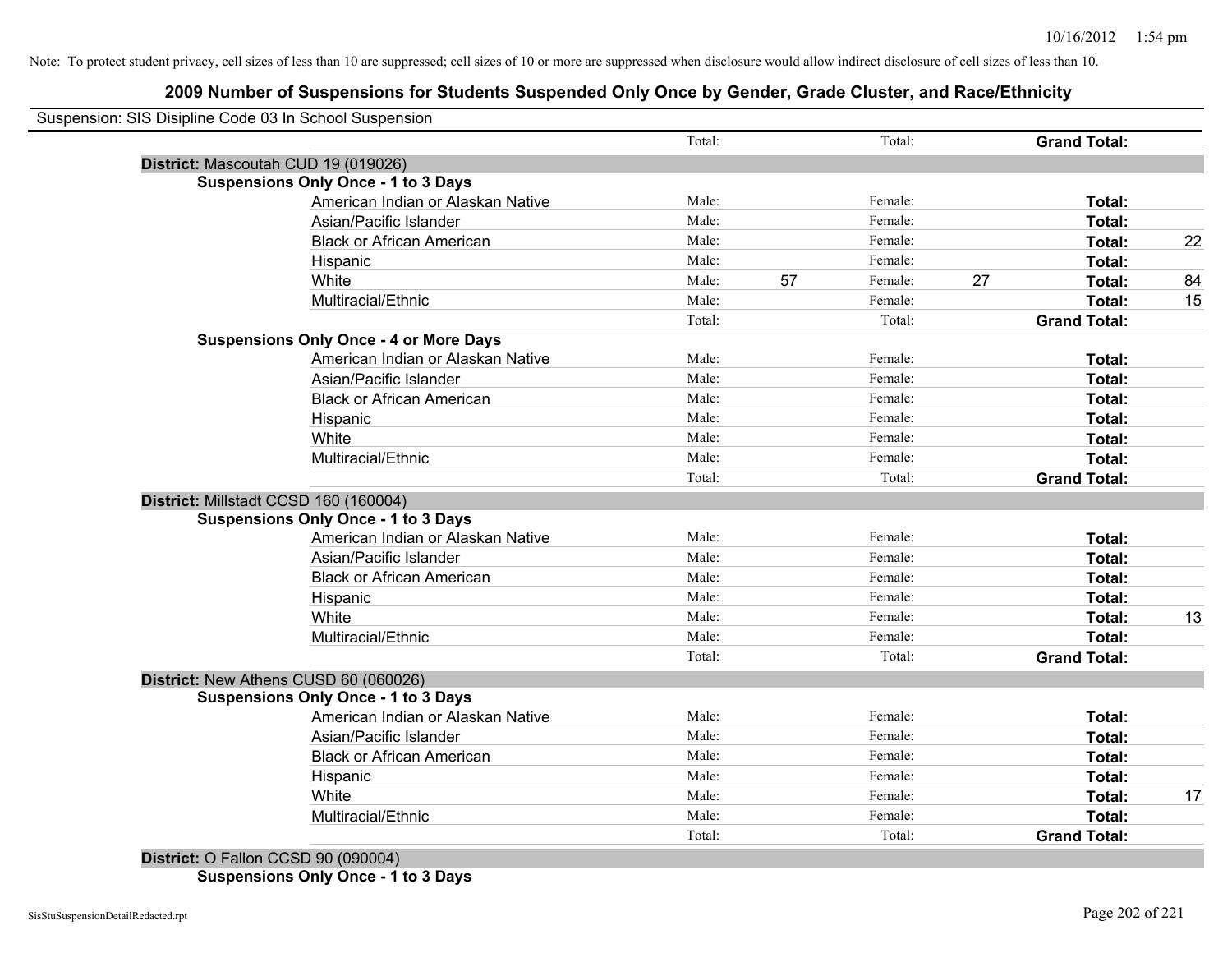# **2009 Number of Suspensions for Students Suspended Only Once by Gender, Grade Cluster, and Race/Ethnicity**

| Suspension: SIS Disipline Code 03 In School Suspension |        |    |         |                     |    |
|--------------------------------------------------------|--------|----|---------|---------------------|----|
|                                                        | Total: |    | Total:  | <b>Grand Total:</b> |    |
| District: Mascoutah CUD 19 (019026)                    |        |    |         |                     |    |
| <b>Suspensions Only Once - 1 to 3 Days</b>             |        |    |         |                     |    |
| American Indian or Alaskan Native                      | Male:  |    | Female: | Total:              |    |
| Asian/Pacific Islander                                 | Male:  |    | Female: | Total:              |    |
| <b>Black or African American</b>                       | Male:  |    | Female: | Total:              | 22 |
| Hispanic                                               | Male:  |    | Female: | Total:              |    |
| White                                                  | Male:  | 57 | Female: | 27<br>Total:        | 84 |
| Multiracial/Ethnic                                     | Male:  |    | Female: | Total:              | 15 |
|                                                        | Total: |    | Total:  | <b>Grand Total:</b> |    |
| <b>Suspensions Only Once - 4 or More Days</b>          |        |    |         |                     |    |
| American Indian or Alaskan Native                      | Male:  |    | Female: | Total:              |    |
| Asian/Pacific Islander                                 | Male:  |    | Female: | Total:              |    |
| <b>Black or African American</b>                       | Male:  |    | Female: | Total:              |    |
| Hispanic                                               | Male:  |    | Female: | Total:              |    |
| White                                                  | Male:  |    | Female: | Total:              |    |
| Multiracial/Ethnic                                     | Male:  |    | Female: | <b>Total:</b>       |    |
|                                                        | Total: |    | Total:  | <b>Grand Total:</b> |    |
| District: Millstadt CCSD 160 (160004)                  |        |    |         |                     |    |
| <b>Suspensions Only Once - 1 to 3 Days</b>             |        |    |         |                     |    |
| American Indian or Alaskan Native                      | Male:  |    | Female: | Total:              |    |
| Asian/Pacific Islander                                 | Male:  |    | Female: | Total:              |    |
| <b>Black or African American</b>                       | Male:  |    | Female: | Total:              |    |
| Hispanic                                               | Male:  |    | Female: | Total:              |    |
| White                                                  | Male:  |    | Female: | Total:              | 13 |
| Multiracial/Ethnic                                     | Male:  |    | Female: | Total:              |    |
|                                                        | Total: |    | Total:  | <b>Grand Total:</b> |    |
| District: New Athens CUSD 60 (060026)                  |        |    |         |                     |    |
| <b>Suspensions Only Once - 1 to 3 Days</b>             |        |    |         |                     |    |
| American Indian or Alaskan Native                      | Male:  |    | Female: | Total:              |    |
| Asian/Pacific Islander                                 | Male:  |    | Female: | Total:              |    |
| <b>Black or African American</b>                       | Male:  |    | Female: | Total:              |    |
| Hispanic                                               | Male:  |    | Female: | Total:              |    |
| White                                                  | Male:  |    | Female: | Total:              | 17 |
| Multiracial/Ethnic                                     | Male:  |    | Female: | <b>Total:</b>       |    |
|                                                        | Total: |    | Total:  | <b>Grand Total:</b> |    |

**Suspensions Only Once - 1 to 3 Days**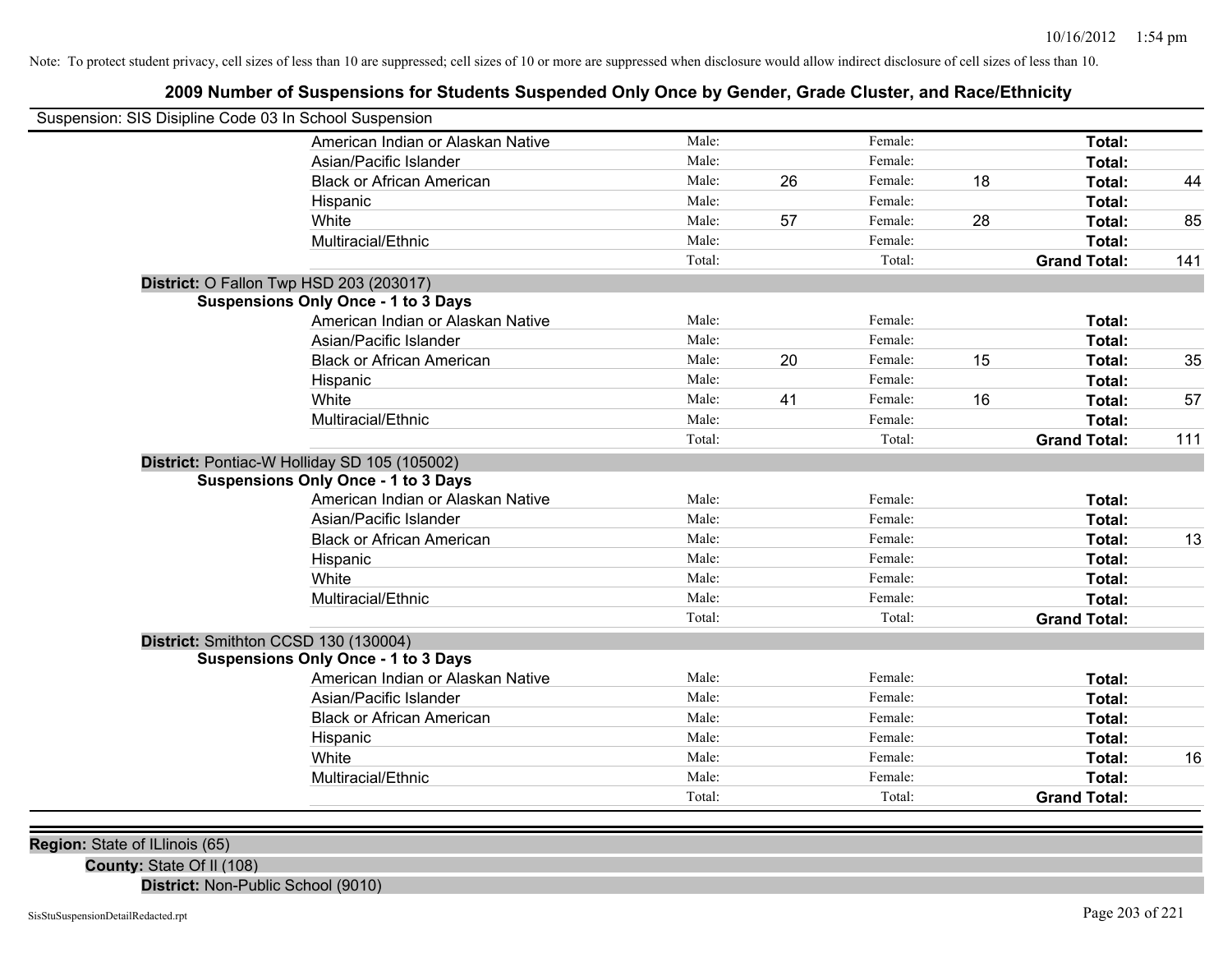# **2009 Number of Suspensions for Students Suspended Only Once by Gender, Grade Cluster, and Race/Ethnicity**

| Suspension: SIS Disipline Code 03 In School Suspension |                                              |        |    |         |    |                     |     |
|--------------------------------------------------------|----------------------------------------------|--------|----|---------|----|---------------------|-----|
|                                                        | American Indian or Alaskan Native            | Male:  |    | Female: |    | Total:              |     |
|                                                        | Asian/Pacific Islander                       | Male:  |    | Female: |    | Total:              |     |
|                                                        | <b>Black or African American</b>             | Male:  | 26 | Female: | 18 | Total:              | 44  |
|                                                        | Hispanic                                     | Male:  |    | Female: |    | Total:              |     |
|                                                        | White                                        | Male:  | 57 | Female: | 28 | Total:              | 85  |
|                                                        | Multiracial/Ethnic                           | Male:  |    | Female: |    | <b>Total:</b>       |     |
|                                                        |                                              | Total: |    | Total:  |    | <b>Grand Total:</b> | 141 |
|                                                        | District: O Fallon Twp HSD 203 (203017)      |        |    |         |    |                     |     |
|                                                        | <b>Suspensions Only Once - 1 to 3 Days</b>   |        |    |         |    |                     |     |
|                                                        | American Indian or Alaskan Native            | Male:  |    | Female: |    | Total:              |     |
|                                                        | Asian/Pacific Islander                       | Male:  |    | Female: |    | Total:              |     |
|                                                        | <b>Black or African American</b>             | Male:  | 20 | Female: | 15 | Total:              | 35  |
|                                                        | Hispanic                                     | Male:  |    | Female: |    | Total:              |     |
|                                                        | White                                        | Male:  | 41 | Female: | 16 | Total:              | 57  |
|                                                        | Multiracial/Ethnic                           | Male:  |    | Female: |    | Total:              |     |
|                                                        |                                              | Total: |    | Total:  |    | <b>Grand Total:</b> | 111 |
|                                                        | District: Pontiac-W Holliday SD 105 (105002) |        |    |         |    |                     |     |
|                                                        | <b>Suspensions Only Once - 1 to 3 Days</b>   |        |    |         |    |                     |     |
|                                                        | American Indian or Alaskan Native            | Male:  |    | Female: |    | Total:              |     |
|                                                        | Asian/Pacific Islander                       | Male:  |    | Female: |    | <b>Total:</b>       |     |
|                                                        | <b>Black or African American</b>             | Male:  |    | Female: |    | Total:              | 13  |
|                                                        | Hispanic                                     | Male:  |    | Female: |    | Total:              |     |
|                                                        | White                                        | Male:  |    | Female: |    | Total:              |     |
|                                                        | Multiracial/Ethnic                           | Male:  |    | Female: |    | Total:              |     |
|                                                        |                                              | Total: |    | Total:  |    | <b>Grand Total:</b> |     |
|                                                        | District: Smithton CCSD 130 (130004)         |        |    |         |    |                     |     |
|                                                        | <b>Suspensions Only Once - 1 to 3 Days</b>   |        |    |         |    |                     |     |
|                                                        | American Indian or Alaskan Native            | Male:  |    | Female: |    | Total:              |     |
|                                                        | Asian/Pacific Islander                       | Male:  |    | Female: |    | Total:              |     |
|                                                        | <b>Black or African American</b>             | Male:  |    | Female: |    | Total:              |     |
|                                                        | Hispanic                                     | Male:  |    | Female: |    | Total:              |     |
|                                                        | White                                        | Male:  |    | Female: |    | Total:              | 16  |
|                                                        | Multiracial/Ethnic                           | Male:  |    | Female: |    | Total:              |     |
|                                                        |                                              | Total: |    | Total:  |    | <b>Grand Total:</b> |     |

**Region:** State of ILlinois (65)

**County:** State Of Il (108)

**District:** Non-Public School (9010)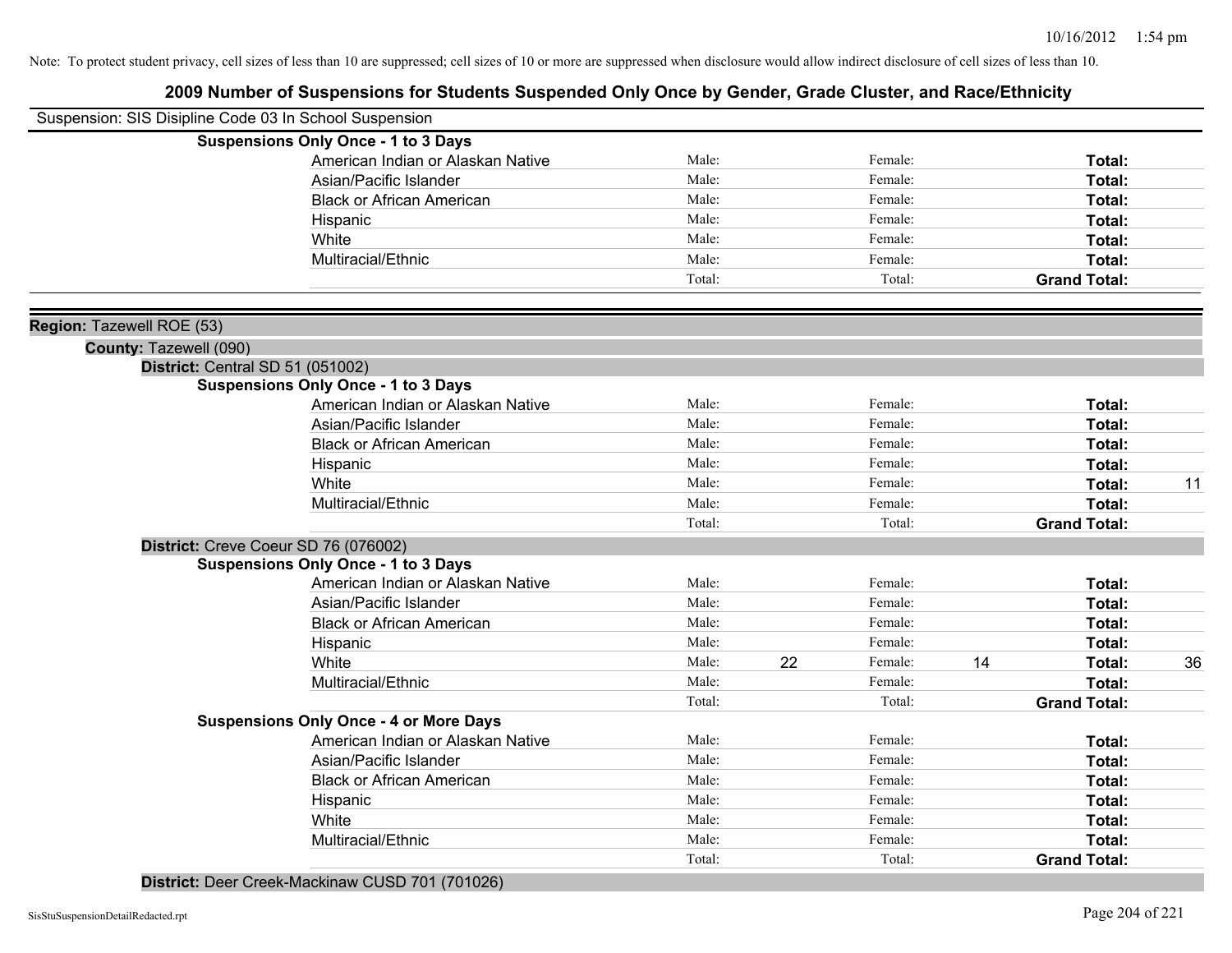# **2009 Number of Suspensions for Students Suspended Only Once by Gender, Grade Cluster, and Race/Ethnicity**

|                           | Suspension: SIS Disipline Code 03 In School Suspension |        |    |         |    |                     |    |
|---------------------------|--------------------------------------------------------|--------|----|---------|----|---------------------|----|
|                           | <b>Suspensions Only Once - 1 to 3 Days</b>             |        |    |         |    |                     |    |
|                           | American Indian or Alaskan Native                      | Male:  |    | Female: |    | Total:              |    |
|                           | Asian/Pacific Islander                                 | Male:  |    | Female: |    | Total:              |    |
|                           | <b>Black or African American</b>                       | Male:  |    | Female: |    | Total:              |    |
|                           | Hispanic                                               | Male:  |    | Female: |    | Total:              |    |
|                           | White                                                  | Male:  |    | Female: |    | Total:              |    |
|                           | Multiracial/Ethnic                                     | Male:  |    | Female: |    | Total:              |    |
|                           |                                                        | Total: |    | Total:  |    | <b>Grand Total:</b> |    |
| Region: Tazewell ROE (53) |                                                        |        |    |         |    |                     |    |
| County: Tazewell (090)    |                                                        |        |    |         |    |                     |    |
|                           | District: Central SD 51 (051002)                       |        |    |         |    |                     |    |
|                           | <b>Suspensions Only Once - 1 to 3 Days</b>             |        |    |         |    |                     |    |
|                           | American Indian or Alaskan Native                      | Male:  |    | Female: |    | Total:              |    |
|                           | Asian/Pacific Islander                                 | Male:  |    | Female: |    | Total:              |    |
|                           | <b>Black or African American</b>                       | Male:  |    | Female: |    | Total:              |    |
|                           | Hispanic                                               | Male:  |    | Female: |    | Total:              |    |
|                           | White                                                  | Male:  |    | Female: |    | Total:              | 11 |
|                           | Multiracial/Ethnic                                     | Male:  |    | Female: |    | Total:              |    |
|                           |                                                        | Total: |    | Total:  |    | <b>Grand Total:</b> |    |
|                           | District: Creve Coeur SD 76 (076002)                   |        |    |         |    |                     |    |
|                           | <b>Suspensions Only Once - 1 to 3 Days</b>             |        |    |         |    |                     |    |
|                           | American Indian or Alaskan Native                      | Male:  |    | Female: |    | Total:              |    |
|                           | Asian/Pacific Islander                                 | Male:  |    | Female: |    | Total:              |    |
|                           | <b>Black or African American</b>                       | Male:  |    | Female: |    | Total:              |    |
|                           | Hispanic                                               | Male:  |    | Female: |    | Total:              |    |
|                           | White                                                  | Male:  | 22 | Female: | 14 | <b>Total:</b>       | 36 |
|                           | Multiracial/Ethnic                                     | Male:  |    | Female: |    | Total:              |    |
|                           |                                                        | Total: |    | Total:  |    | <b>Grand Total:</b> |    |
|                           | <b>Suspensions Only Once - 4 or More Days</b>          |        |    |         |    |                     |    |
|                           | American Indian or Alaskan Native                      | Male:  |    | Female: |    | Total:              |    |
|                           | Asian/Pacific Islander                                 | Male:  |    | Female: |    | Total:              |    |
|                           | <b>Black or African American</b>                       | Male:  |    | Female: |    | Total:              |    |
|                           | Hispanic                                               | Male:  |    | Female: |    | Total:              |    |
|                           | White                                                  | Male:  |    | Female: |    | Total:              |    |
|                           | Multiracial/Ethnic                                     | Male:  |    | Female: |    | <b>Total:</b>       |    |
|                           |                                                        | Total: |    | Total:  |    | <b>Grand Total:</b> |    |

**District:** Deer Creek-Mackinaw CUSD 701 (701026)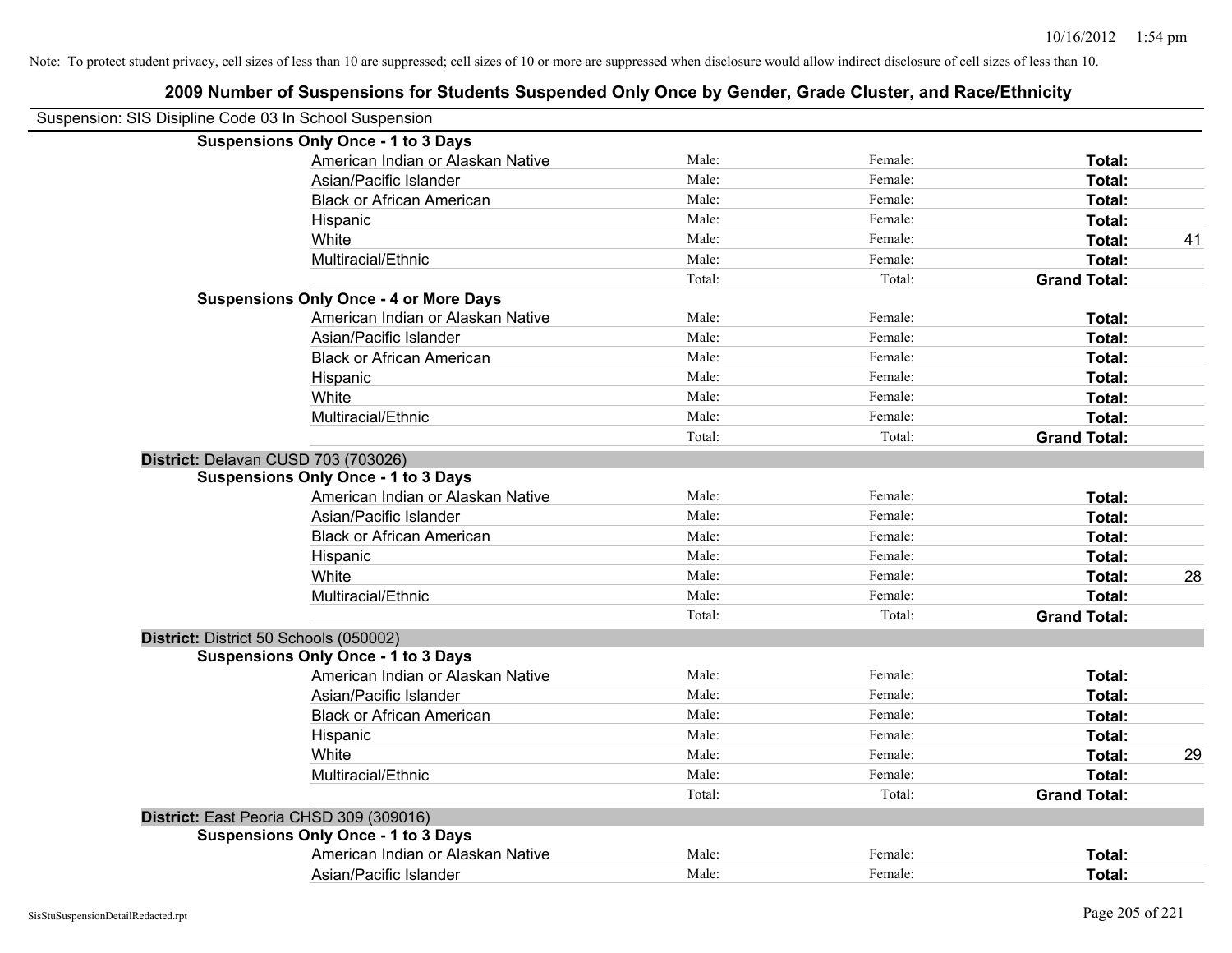| Suspension: SIS Disipline Code 03 In School Suspension |                                                                                   |        |         |                     |    |
|--------------------------------------------------------|-----------------------------------------------------------------------------------|--------|---------|---------------------|----|
|                                                        | <b>Suspensions Only Once - 1 to 3 Days</b>                                        |        |         |                     |    |
|                                                        | American Indian or Alaskan Native                                                 | Male:  | Female: | Total:              |    |
|                                                        | Asian/Pacific Islander                                                            | Male:  | Female: | Total:              |    |
|                                                        | <b>Black or African American</b>                                                  | Male:  | Female: | Total:              |    |
|                                                        | Hispanic                                                                          | Male:  | Female: | Total:              |    |
|                                                        | White                                                                             | Male:  | Female: | Total:              | 41 |
|                                                        | Multiracial/Ethnic                                                                | Male:  | Female: | Total:              |    |
|                                                        |                                                                                   | Total: | Total:  | <b>Grand Total:</b> |    |
|                                                        | <b>Suspensions Only Once - 4 or More Days</b>                                     |        |         |                     |    |
|                                                        | American Indian or Alaskan Native                                                 | Male:  | Female: | Total:              |    |
|                                                        | Asian/Pacific Islander                                                            | Male:  | Female: | Total:              |    |
|                                                        | <b>Black or African American</b>                                                  | Male:  | Female: | Total:              |    |
|                                                        | Hispanic                                                                          | Male:  | Female: | Total:              |    |
|                                                        | White                                                                             | Male:  | Female: | Total:              |    |
|                                                        | Multiracial/Ethnic                                                                | Male:  | Female: | Total:              |    |
|                                                        |                                                                                   | Total: | Total:  | <b>Grand Total:</b> |    |
|                                                        | District: Delavan CUSD 703 (703026)<br><b>Suspensions Only Once - 1 to 3 Days</b> |        |         |                     |    |
|                                                        | American Indian or Alaskan Native                                                 | Male:  | Female: | Total:              |    |
|                                                        | Asian/Pacific Islander                                                            | Male:  | Female: | Total:              |    |
|                                                        | <b>Black or African American</b>                                                  | Male:  | Female: | Total:              |    |
|                                                        | Hispanic                                                                          | Male:  | Female: | Total:              |    |
|                                                        | White                                                                             | Male:  | Female: | Total:              | 28 |
|                                                        | Multiracial/Ethnic                                                                | Male:  | Female: | Total:              |    |
|                                                        |                                                                                   | Total: | Total:  | <b>Grand Total:</b> |    |
|                                                        | District: District 50 Schools (050002)                                            |        |         |                     |    |
|                                                        | <b>Suspensions Only Once - 1 to 3 Days</b>                                        |        |         |                     |    |
|                                                        | American Indian or Alaskan Native                                                 | Male:  | Female: | Total:              |    |
|                                                        | Asian/Pacific Islander                                                            | Male:  | Female: | Total:              |    |
|                                                        | <b>Black or African American</b>                                                  | Male:  | Female: | Total:              |    |
|                                                        | Hispanic                                                                          | Male:  | Female: | Total:              |    |
|                                                        | White                                                                             | Male:  | Female: | Total:              | 29 |
|                                                        | Multiracial/Ethnic                                                                | Male:  | Female: | Total:              |    |
|                                                        |                                                                                   | Total: | Total:  | <b>Grand Total:</b> |    |
|                                                        | District: East Peoria CHSD 309 (309016)                                           |        |         |                     |    |
|                                                        | <b>Suspensions Only Once - 1 to 3 Days</b>                                        |        |         |                     |    |
|                                                        | American Indian or Alaskan Native                                                 | Male:  | Female: | <b>Total:</b>       |    |
|                                                        | Asian/Pacific Islander                                                            | Male:  | Female: | Total:              |    |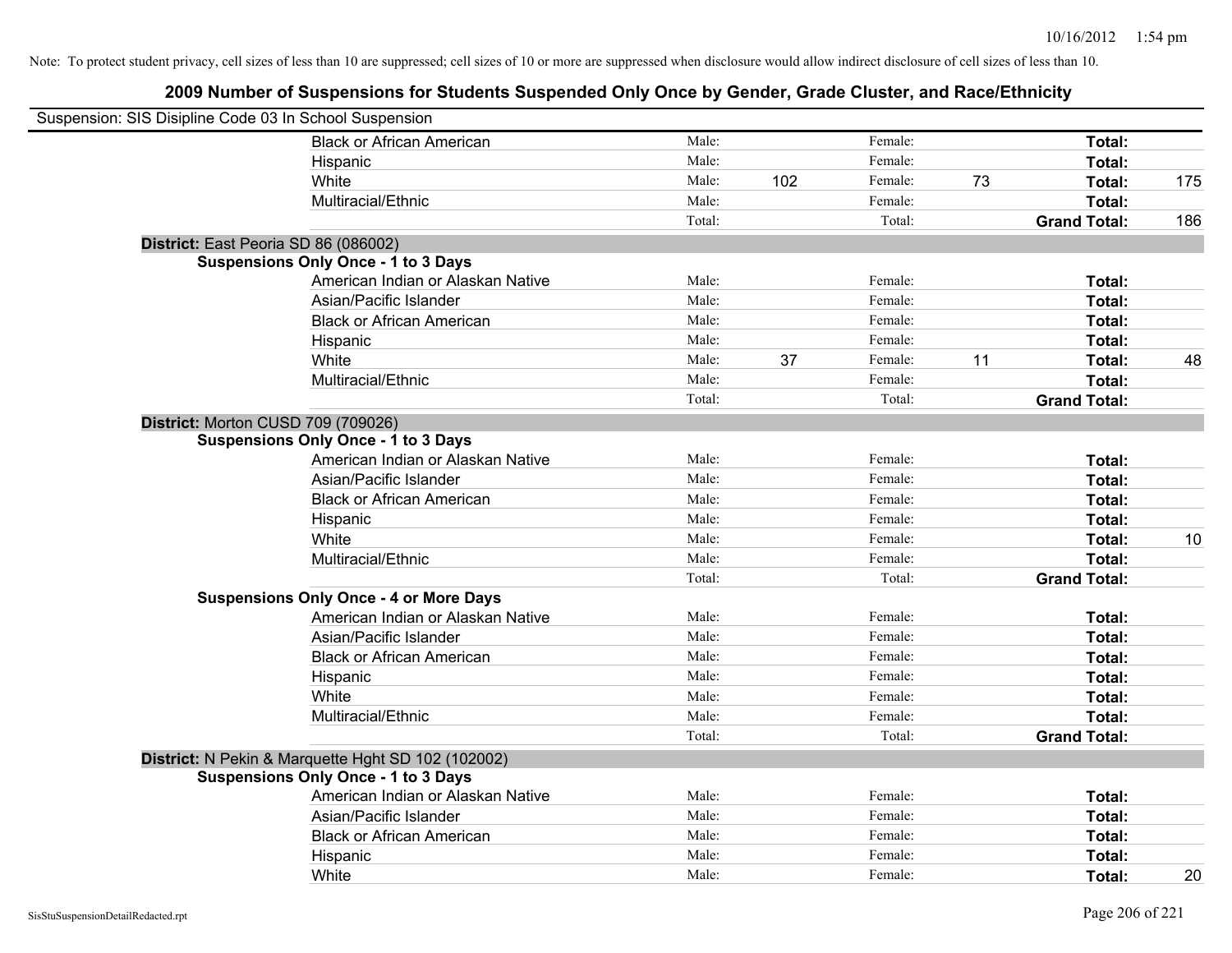| Suspension: SIS Disipline Code 03 In School Suspension |                                                    |        |     |         |    |                     |     |
|--------------------------------------------------------|----------------------------------------------------|--------|-----|---------|----|---------------------|-----|
|                                                        | <b>Black or African American</b>                   | Male:  |     | Female: |    | Total:              |     |
|                                                        | Hispanic                                           | Male:  |     | Female: |    | Total:              |     |
|                                                        | White                                              | Male:  | 102 | Female: | 73 | Total:              | 175 |
|                                                        | Multiracial/Ethnic                                 | Male:  |     | Female: |    | Total:              |     |
|                                                        |                                                    | Total: |     | Total:  |    | <b>Grand Total:</b> | 186 |
| District: East Peoria SD 86 (086002)                   |                                                    |        |     |         |    |                     |     |
|                                                        | <b>Suspensions Only Once - 1 to 3 Days</b>         |        |     |         |    |                     |     |
|                                                        | American Indian or Alaskan Native                  | Male:  |     | Female: |    | Total:              |     |
|                                                        | Asian/Pacific Islander                             | Male:  |     | Female: |    | Total:              |     |
|                                                        | <b>Black or African American</b>                   | Male:  |     | Female: |    | Total:              |     |
|                                                        | Hispanic                                           | Male:  |     | Female: |    | Total:              |     |
|                                                        | White                                              | Male:  | 37  | Female: | 11 | Total:              | 48  |
|                                                        | Multiracial/Ethnic                                 | Male:  |     | Female: |    | Total:              |     |
|                                                        |                                                    | Total: |     | Total:  |    | <b>Grand Total:</b> |     |
| District: Morton CUSD 709 (709026)                     |                                                    |        |     |         |    |                     |     |
|                                                        | <b>Suspensions Only Once - 1 to 3 Days</b>         |        |     |         |    |                     |     |
|                                                        | American Indian or Alaskan Native                  | Male:  |     | Female: |    | Total:              |     |
|                                                        | Asian/Pacific Islander                             | Male:  |     | Female: |    | Total:              |     |
|                                                        | <b>Black or African American</b>                   | Male:  |     | Female: |    | Total:              |     |
|                                                        | Hispanic                                           | Male:  |     | Female: |    | Total:              |     |
|                                                        | White                                              | Male:  |     | Female: |    | Total:              | 10  |
|                                                        | Multiracial/Ethnic                                 | Male:  |     | Female: |    | Total:              |     |
|                                                        |                                                    | Total: |     | Total:  |    | <b>Grand Total:</b> |     |
|                                                        | <b>Suspensions Only Once - 4 or More Days</b>      |        |     |         |    |                     |     |
|                                                        | American Indian or Alaskan Native                  | Male:  |     | Female: |    | Total:              |     |
|                                                        | Asian/Pacific Islander                             | Male:  |     | Female: |    | Total:              |     |
|                                                        | <b>Black or African American</b>                   | Male:  |     | Female: |    | Total:              |     |
|                                                        | Hispanic                                           | Male:  |     | Female: |    | Total:              |     |
|                                                        | White                                              | Male:  |     | Female: |    | Total:              |     |
|                                                        | Multiracial/Ethnic                                 | Male:  |     | Female: |    | Total:              |     |
|                                                        |                                                    | Total: |     | Total:  |    | <b>Grand Total:</b> |     |
|                                                        | District: N Pekin & Marquette Hght SD 102 (102002) |        |     |         |    |                     |     |
|                                                        | <b>Suspensions Only Once - 1 to 3 Days</b>         |        |     |         |    |                     |     |
|                                                        | American Indian or Alaskan Native                  | Male:  |     | Female: |    | Total:              |     |
|                                                        | Asian/Pacific Islander                             | Male:  |     | Female: |    | Total:              |     |
|                                                        | <b>Black or African American</b>                   | Male:  |     | Female: |    | Total:              |     |
|                                                        | Hispanic                                           | Male:  |     | Female: |    | Total:              |     |
|                                                        | White                                              | Male:  |     | Female: |    | Total:              | 20  |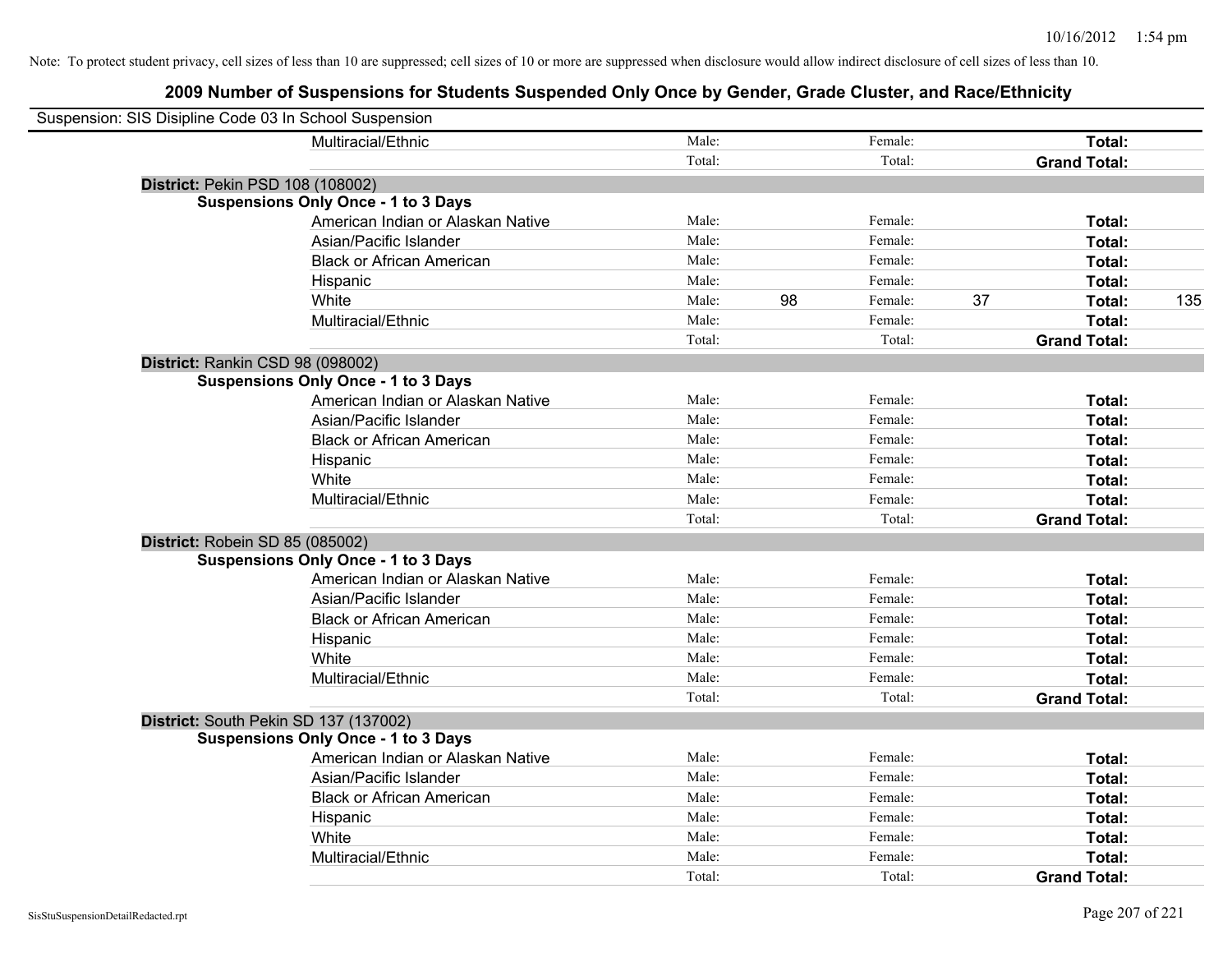| Suspension: SIS Disipline Code 03 In School Suspension |                                            |        |    |         |    |                     |     |
|--------------------------------------------------------|--------------------------------------------|--------|----|---------|----|---------------------|-----|
|                                                        | Multiracial/Ethnic                         | Male:  |    | Female: |    | Total:              |     |
|                                                        |                                            | Total: |    | Total:  |    | <b>Grand Total:</b> |     |
| District: Pekin PSD 108 (108002)                       |                                            |        |    |         |    |                     |     |
|                                                        | <b>Suspensions Only Once - 1 to 3 Days</b> |        |    |         |    |                     |     |
|                                                        | American Indian or Alaskan Native          | Male:  |    | Female: |    | Total:              |     |
|                                                        | Asian/Pacific Islander                     | Male:  |    | Female: |    | Total:              |     |
|                                                        | <b>Black or African American</b>           | Male:  |    | Female: |    | Total:              |     |
|                                                        | Hispanic                                   | Male:  |    | Female: |    | Total:              |     |
|                                                        | White                                      | Male:  | 98 | Female: | 37 | Total:              | 135 |
|                                                        | Multiracial/Ethnic                         | Male:  |    | Female: |    | Total:              |     |
|                                                        |                                            | Total: |    | Total:  |    | <b>Grand Total:</b> |     |
| District: Rankin CSD 98 (098002)                       |                                            |        |    |         |    |                     |     |
|                                                        | <b>Suspensions Only Once - 1 to 3 Days</b> |        |    |         |    |                     |     |
|                                                        | American Indian or Alaskan Native          | Male:  |    | Female: |    | Total:              |     |
|                                                        | Asian/Pacific Islander                     | Male:  |    | Female: |    | Total:              |     |
|                                                        | <b>Black or African American</b>           | Male:  |    | Female: |    | Total:              |     |
|                                                        | Hispanic                                   | Male:  |    | Female: |    | Total:              |     |
|                                                        | White                                      | Male:  |    | Female: |    | Total:              |     |
|                                                        | Multiracial/Ethnic                         | Male:  |    | Female: |    | Total:              |     |
|                                                        |                                            | Total: |    | Total:  |    | <b>Grand Total:</b> |     |
| District: Robein SD 85 (085002)                        |                                            |        |    |         |    |                     |     |
|                                                        | <b>Suspensions Only Once - 1 to 3 Days</b> |        |    |         |    |                     |     |
|                                                        | American Indian or Alaskan Native          | Male:  |    | Female: |    | Total:              |     |
|                                                        | Asian/Pacific Islander                     | Male:  |    | Female: |    | Total:              |     |
|                                                        | <b>Black or African American</b>           | Male:  |    | Female: |    | Total:              |     |
|                                                        | Hispanic                                   | Male:  |    | Female: |    | Total:              |     |
|                                                        | White                                      | Male:  |    | Female: |    | Total:              |     |
|                                                        | Multiracial/Ethnic                         | Male:  |    | Female: |    | Total:              |     |
|                                                        |                                            | Total: |    | Total:  |    | <b>Grand Total:</b> |     |
|                                                        | District: South Pekin SD 137 (137002)      |        |    |         |    |                     |     |
|                                                        | <b>Suspensions Only Once - 1 to 3 Days</b> |        |    |         |    |                     |     |
|                                                        | American Indian or Alaskan Native          | Male:  |    | Female: |    | Total:              |     |
|                                                        | Asian/Pacific Islander                     | Male:  |    | Female: |    | Total:              |     |
|                                                        | <b>Black or African American</b>           | Male:  |    | Female: |    | Total:              |     |
|                                                        | Hispanic                                   | Male:  |    | Female: |    | Total:              |     |
|                                                        | White                                      | Male:  |    | Female: |    | Total:              |     |
|                                                        | Multiracial/Ethnic                         | Male:  |    | Female: |    | Total:              |     |
|                                                        |                                            | Total: |    | Total:  |    | <b>Grand Total:</b> |     |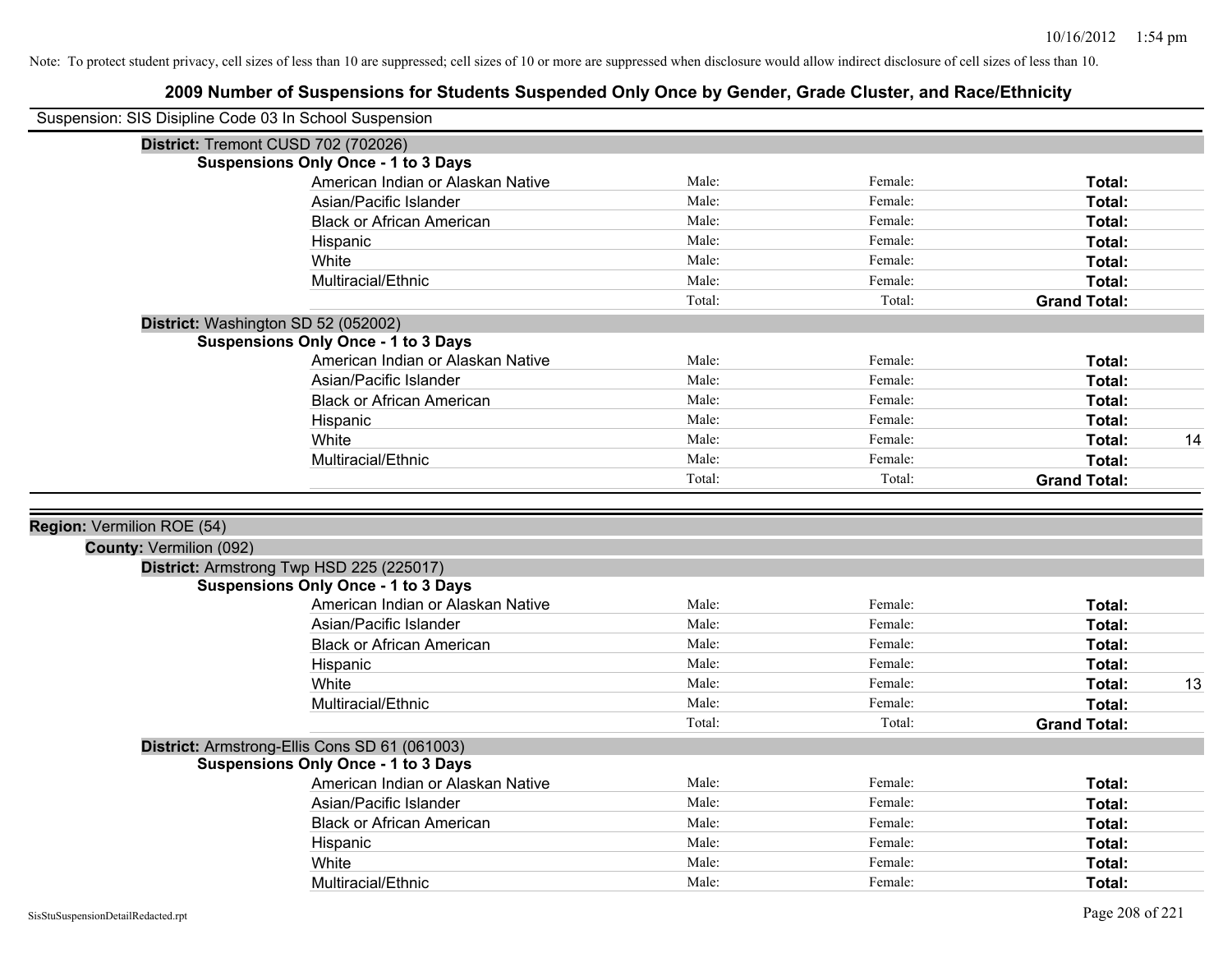|                                | Suspension: SIS Disipline Code 03 In School Suspension                                      |        |         |                     |    |
|--------------------------------|---------------------------------------------------------------------------------------------|--------|---------|---------------------|----|
|                                | District: Tremont CUSD 702 (702026)                                                         |        |         |                     |    |
|                                | <b>Suspensions Only Once - 1 to 3 Days</b>                                                  |        |         |                     |    |
|                                | American Indian or Alaskan Native                                                           | Male:  | Female: | Total:              |    |
|                                | Asian/Pacific Islander                                                                      | Male:  | Female: | Total:              |    |
|                                | <b>Black or African American</b>                                                            | Male:  | Female: | Total:              |    |
|                                | Hispanic                                                                                    | Male:  | Female: | Total:              |    |
|                                | White                                                                                       | Male:  | Female: | Total:              |    |
|                                | Multiracial/Ethnic                                                                          | Male:  | Female: | Total:              |    |
|                                |                                                                                             | Total: | Total:  | <b>Grand Total:</b> |    |
|                                | District: Washington SD 52 (052002)                                                         |        |         |                     |    |
|                                | <b>Suspensions Only Once - 1 to 3 Days</b>                                                  |        |         |                     |    |
|                                | American Indian or Alaskan Native                                                           | Male:  | Female: | Total:              |    |
|                                | Asian/Pacific Islander                                                                      | Male:  | Female: | Total:              |    |
|                                | <b>Black or African American</b>                                                            | Male:  | Female: | Total:              |    |
|                                | Hispanic                                                                                    | Male:  | Female: | Total:              |    |
|                                | White                                                                                       | Male:  | Female: | Total:              | 14 |
|                                | Multiracial/Ethnic                                                                          | Male:  | Female: | Total:              |    |
|                                |                                                                                             | Total: | Total:  | <b>Grand Total:</b> |    |
|                                |                                                                                             |        |         |                     |    |
| Region: Vermilion ROE (54)     |                                                                                             |        |         |                     |    |
| <b>County: Vermilion (092)</b> |                                                                                             |        |         |                     |    |
|                                | District: Armstrong Twp HSD 225 (225017)<br><b>Suspensions Only Once - 1 to 3 Days</b>      |        |         |                     |    |
|                                | American Indian or Alaskan Native                                                           | Male:  | Female: | Total:              |    |
|                                | Asian/Pacific Islander                                                                      | Male:  | Female: | Total:              |    |
|                                | <b>Black or African American</b>                                                            | Male:  | Female: | Total:              |    |
|                                | Hispanic                                                                                    | Male:  | Female: | Total:              |    |
|                                | White                                                                                       | Male:  | Female: | Total:              | 13 |
|                                | Multiracial/Ethnic                                                                          | Male:  | Female: | Total:              |    |
|                                |                                                                                             | Total: | Total:  | <b>Grand Total:</b> |    |
|                                |                                                                                             |        |         |                     |    |
|                                | District: Armstrong-Ellis Cons SD 61 (061003)<br><b>Suspensions Only Once - 1 to 3 Days</b> |        |         |                     |    |
|                                | American Indian or Alaskan Native                                                           | Male:  | Female: | Total:              |    |
|                                | Asian/Pacific Islander                                                                      | Male:  | Female: | Total:              |    |
|                                |                                                                                             | Male:  | Female: |                     |    |
|                                | <b>Black or African American</b>                                                            | Male:  | Female: | Total:              |    |
|                                | Hispanic<br>White                                                                           | Male:  |         | Total:              |    |
|                                |                                                                                             |        | Female: | <b>Total:</b>       |    |
|                                | Multiracial/Ethnic                                                                          | Male:  | Female: | Total:              |    |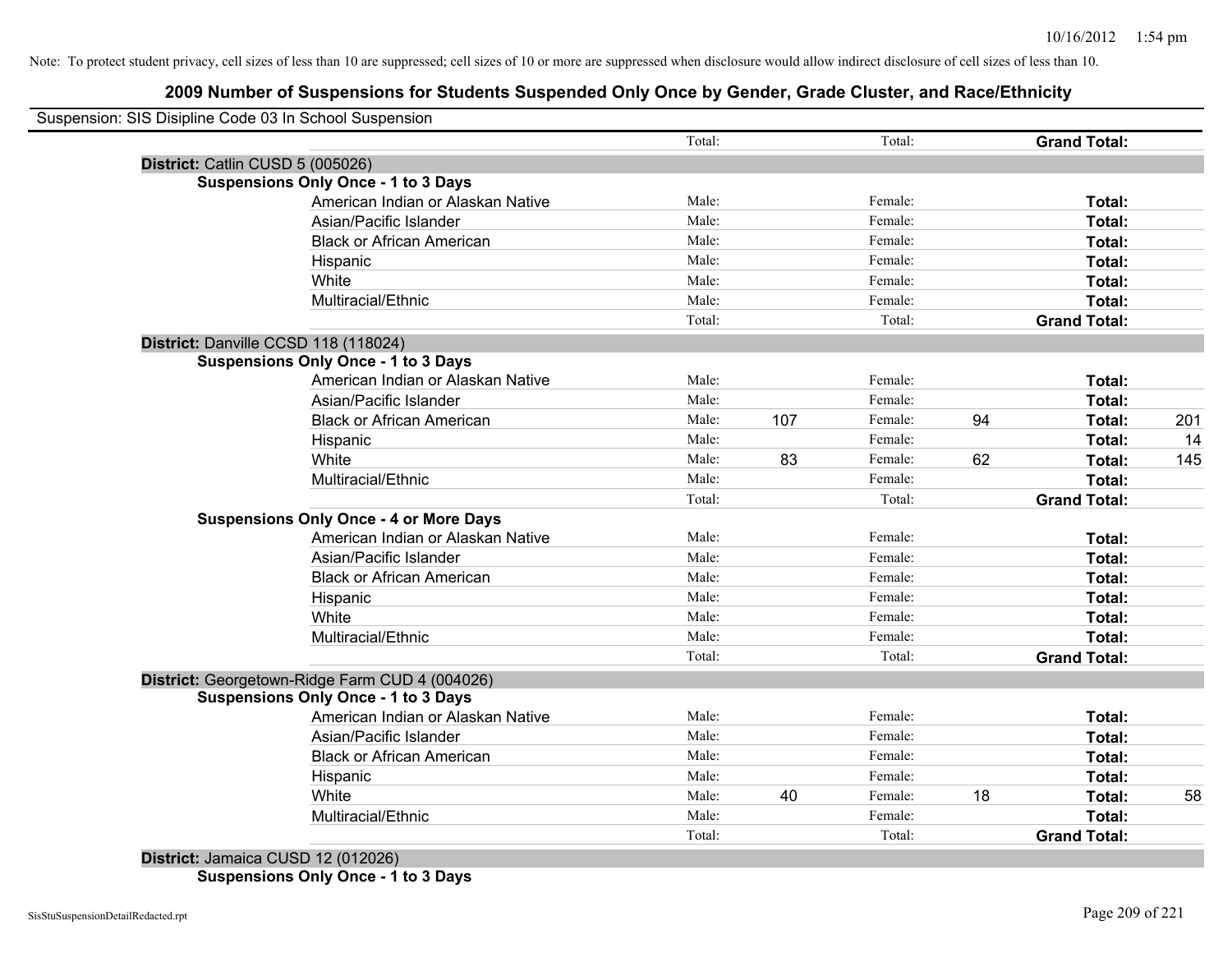# **2009 Number of Suspensions for Students Suspended Only Once by Gender, Grade Cluster, and Race/Ethnicity**

|                                  | Suspension: SIS Disipline Code 03 In School Suspension |        |     |         |    |                     |     |
|----------------------------------|--------------------------------------------------------|--------|-----|---------|----|---------------------|-----|
|                                  |                                                        | Total: |     | Total:  |    | <b>Grand Total:</b> |     |
| District: Catlin CUSD 5 (005026) |                                                        |        |     |         |    |                     |     |
|                                  | <b>Suspensions Only Once - 1 to 3 Days</b>             |        |     |         |    |                     |     |
|                                  | American Indian or Alaskan Native                      | Male:  |     | Female: |    | Total:              |     |
|                                  | Asian/Pacific Islander                                 | Male:  |     | Female: |    | Total:              |     |
|                                  | <b>Black or African American</b>                       | Male:  |     | Female: |    | Total:              |     |
|                                  | Hispanic                                               | Male:  |     | Female: |    | Total:              |     |
|                                  | White                                                  | Male:  |     | Female: |    | Total:              |     |
|                                  | Multiracial/Ethnic                                     | Male:  |     | Female: |    | Total:              |     |
|                                  |                                                        | Total: |     | Total:  |    | <b>Grand Total:</b> |     |
|                                  | District: Danville CCSD 118 (118024)                   |        |     |         |    |                     |     |
|                                  | <b>Suspensions Only Once - 1 to 3 Days</b>             |        |     |         |    |                     |     |
|                                  | American Indian or Alaskan Native                      | Male:  |     | Female: |    | Total:              |     |
|                                  | Asian/Pacific Islander                                 | Male:  |     | Female: |    | Total:              |     |
|                                  | <b>Black or African American</b>                       | Male:  | 107 | Female: | 94 | Total:              | 201 |
|                                  | Hispanic                                               | Male:  |     | Female: |    | Total:              | 14  |
|                                  | White                                                  | Male:  | 83  | Female: | 62 | <b>Total:</b>       | 145 |
|                                  | Multiracial/Ethnic                                     | Male:  |     | Female: |    | Total:              |     |
|                                  |                                                        | Total: |     | Total:  |    | <b>Grand Total:</b> |     |
|                                  | <b>Suspensions Only Once - 4 or More Days</b>          |        |     |         |    |                     |     |
|                                  | American Indian or Alaskan Native                      | Male:  |     | Female: |    | Total:              |     |
|                                  | Asian/Pacific Islander                                 | Male:  |     | Female: |    | Total:              |     |
|                                  | <b>Black or African American</b>                       | Male:  |     | Female: |    | Total:              |     |
|                                  | Hispanic                                               | Male:  |     | Female: |    | Total:              |     |
|                                  | White                                                  | Male:  |     | Female: |    | Total:              |     |
|                                  | Multiracial/Ethnic                                     | Male:  |     | Female: |    | Total:              |     |
|                                  |                                                        | Total: |     | Total:  |    | <b>Grand Total:</b> |     |
|                                  | District: Georgetown-Ridge Farm CUD 4 (004026)         |        |     |         |    |                     |     |
|                                  | <b>Suspensions Only Once - 1 to 3 Days</b>             |        |     |         |    |                     |     |
|                                  | American Indian or Alaskan Native                      | Male:  |     | Female: |    | Total:              |     |
|                                  | Asian/Pacific Islander                                 | Male:  |     | Female: |    | <b>Total:</b>       |     |
|                                  | <b>Black or African American</b>                       | Male:  |     | Female: |    | Total:              |     |
|                                  | Hispanic                                               | Male:  |     | Female: |    | Total:              |     |
|                                  | White                                                  | Male:  | 40  | Female: | 18 | Total:              | 58  |
|                                  | Multiracial/Ethnic                                     | Male:  |     | Female: |    | Total:              |     |
|                                  |                                                        | Total: |     | Total:  |    | <b>Grand Total:</b> |     |

**Suspensions Only Once - 1 to 3 Days**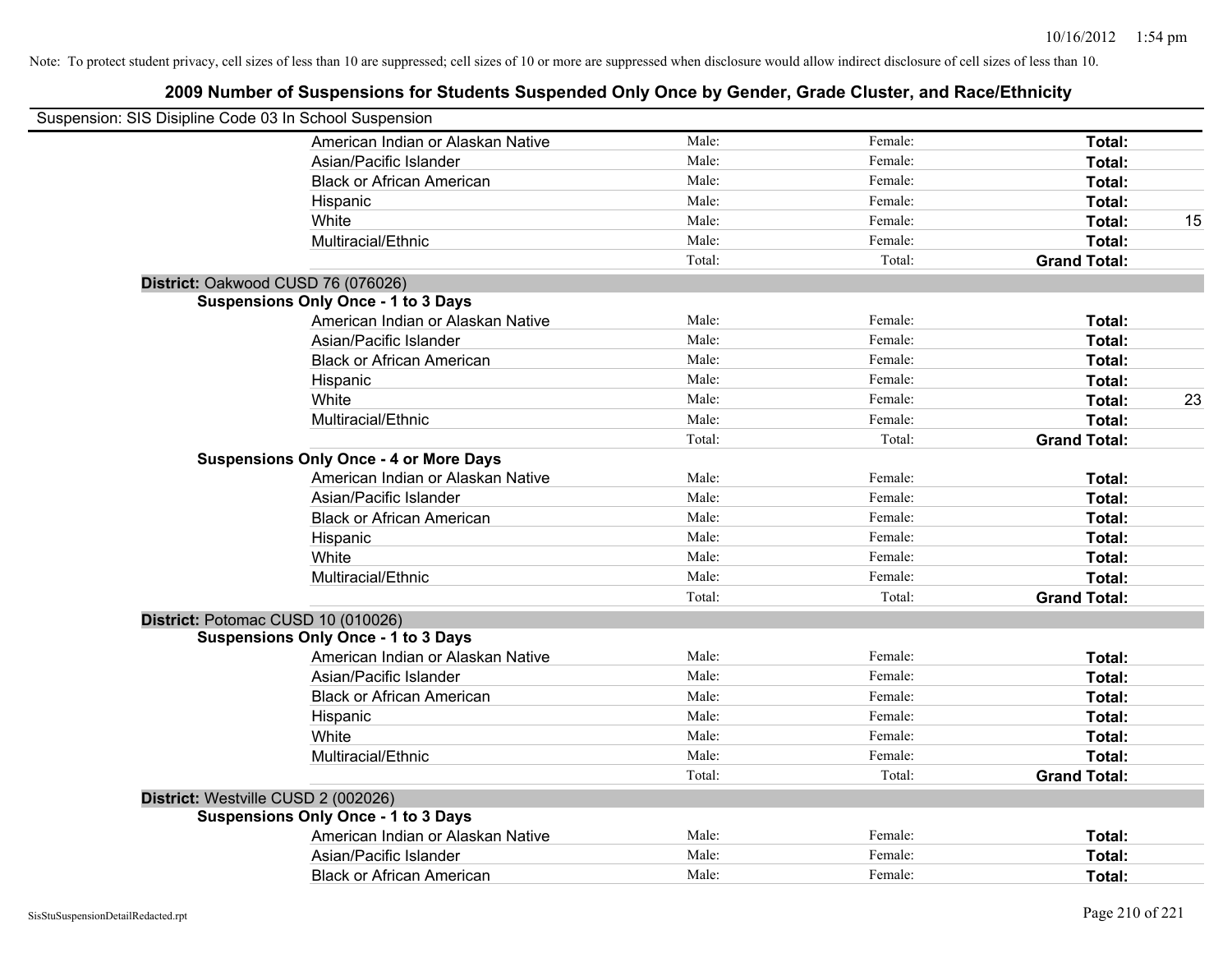| Suspension: SIS Disipline Code 03 In School Suspension |                                               |        |         |                     |    |
|--------------------------------------------------------|-----------------------------------------------|--------|---------|---------------------|----|
|                                                        | American Indian or Alaskan Native             | Male:  | Female: | Total:              |    |
|                                                        | Asian/Pacific Islander                        | Male:  | Female: | Total:              |    |
|                                                        | <b>Black or African American</b>              | Male:  | Female: | Total:              |    |
|                                                        | Hispanic                                      | Male:  | Female: | Total:              |    |
|                                                        | White                                         | Male:  | Female: | Total:              | 15 |
|                                                        | Multiracial/Ethnic                            | Male:  | Female: | Total:              |    |
|                                                        |                                               | Total: | Total:  | <b>Grand Total:</b> |    |
|                                                        | District: Oakwood CUSD 76 (076026)            |        |         |                     |    |
|                                                        | <b>Suspensions Only Once - 1 to 3 Days</b>    |        |         |                     |    |
|                                                        | American Indian or Alaskan Native             | Male:  | Female: | Total:              |    |
|                                                        | Asian/Pacific Islander                        | Male:  | Female: | Total:              |    |
|                                                        | <b>Black or African American</b>              | Male:  | Female: | Total:              |    |
|                                                        | Hispanic                                      | Male:  | Female: | Total:              |    |
|                                                        | White                                         | Male:  | Female: | Total:              | 23 |
|                                                        | Multiracial/Ethnic                            | Male:  | Female: | Total:              |    |
|                                                        |                                               | Total: | Total:  | <b>Grand Total:</b> |    |
|                                                        | <b>Suspensions Only Once - 4 or More Days</b> |        |         |                     |    |
|                                                        | American Indian or Alaskan Native             | Male:  | Female: | Total:              |    |
|                                                        | Asian/Pacific Islander                        | Male:  | Female: | Total:              |    |
|                                                        | <b>Black or African American</b>              | Male:  | Female: | Total:              |    |
|                                                        | Hispanic                                      | Male:  | Female: | Total:              |    |
|                                                        | White                                         | Male:  | Female: | Total:              |    |
|                                                        | Multiracial/Ethnic                            | Male:  | Female: | Total:              |    |
|                                                        |                                               | Total: | Total:  | <b>Grand Total:</b> |    |
|                                                        | District: Potomac CUSD 10 (010026)            |        |         |                     |    |
|                                                        | <b>Suspensions Only Once - 1 to 3 Days</b>    |        |         |                     |    |
|                                                        | American Indian or Alaskan Native             | Male:  | Female: | Total:              |    |
|                                                        | Asian/Pacific Islander                        | Male:  | Female: | Total:              |    |
|                                                        | <b>Black or African American</b>              | Male:  | Female: | Total:              |    |
|                                                        | Hispanic                                      | Male:  | Female: | Total:              |    |
|                                                        | White                                         | Male:  | Female: | Total:              |    |
|                                                        | Multiracial/Ethnic                            | Male:  | Female: | Total:              |    |
|                                                        |                                               | Total: | Total:  | <b>Grand Total:</b> |    |
|                                                        | District: Westville CUSD 2 (002026)           |        |         |                     |    |
|                                                        | <b>Suspensions Only Once - 1 to 3 Days</b>    |        |         |                     |    |
|                                                        | American Indian or Alaskan Native             | Male:  | Female: | Total:              |    |
|                                                        | Asian/Pacific Islander                        | Male:  | Female: | Total:              |    |
|                                                        | <b>Black or African American</b>              | Male:  | Female: | Total:              |    |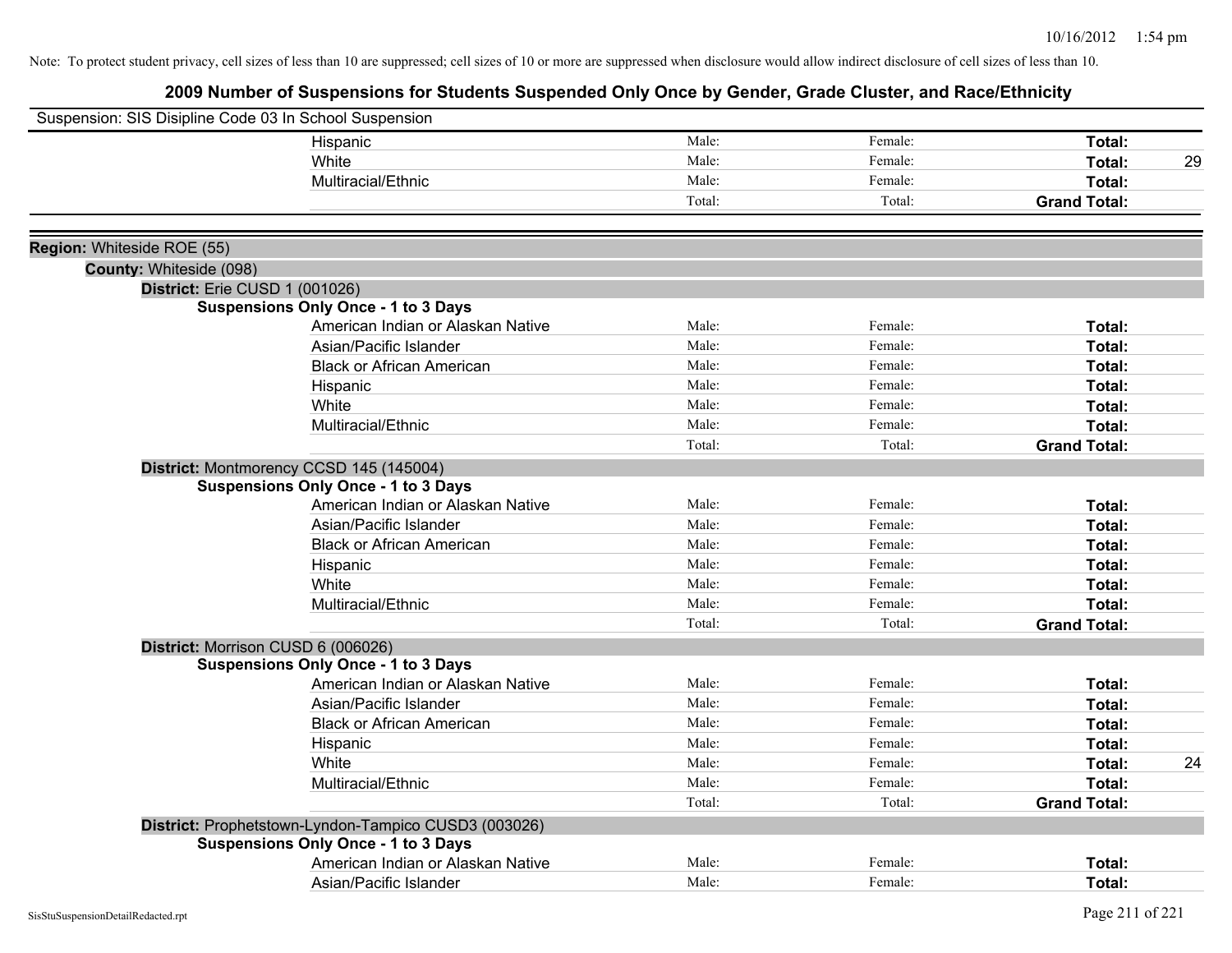| Suspension: SIS Disipline Code 03 In School Suspension |                                                      |        |         |                     |    |
|--------------------------------------------------------|------------------------------------------------------|--------|---------|---------------------|----|
|                                                        | Hispanic                                             | Male:  | Female: | Total:              |    |
|                                                        | White                                                | Male:  | Female: | Total:              | 29 |
|                                                        | Multiracial/Ethnic                                   | Male:  | Female: | Total:              |    |
|                                                        |                                                      | Total: | Total:  | <b>Grand Total:</b> |    |
|                                                        |                                                      |        |         |                     |    |
| Region: Whiteside ROE (55)                             |                                                      |        |         |                     |    |
| County: Whiteside (098)                                |                                                      |        |         |                     |    |
|                                                        | District: Erie CUSD 1 (001026)                       |        |         |                     |    |
|                                                        | <b>Suspensions Only Once - 1 to 3 Days</b>           |        |         |                     |    |
|                                                        | American Indian or Alaskan Native                    | Male:  | Female: | Total:              |    |
|                                                        | Asian/Pacific Islander                               | Male:  | Female: | Total:              |    |
|                                                        | <b>Black or African American</b>                     | Male:  | Female: | Total:              |    |
|                                                        | Hispanic                                             | Male:  | Female: | Total:              |    |
|                                                        | White                                                | Male:  | Female: | Total:              |    |
|                                                        | Multiracial/Ethnic                                   | Male:  | Female: | Total:              |    |
|                                                        |                                                      | Total: | Total:  | <b>Grand Total:</b> |    |
|                                                        | District: Montmorency CCSD 145 (145004)              |        |         |                     |    |
|                                                        | <b>Suspensions Only Once - 1 to 3 Days</b>           |        |         |                     |    |
|                                                        | American Indian or Alaskan Native                    | Male:  | Female: | Total:              |    |
|                                                        | Asian/Pacific Islander                               | Male:  | Female: | Total:              |    |
|                                                        | <b>Black or African American</b>                     | Male:  | Female: | Total:              |    |
|                                                        | Hispanic                                             | Male:  | Female: | Total:              |    |
|                                                        | White                                                | Male:  | Female: | Total:              |    |
|                                                        | Multiracial/Ethnic                                   | Male:  | Female: | Total:              |    |
|                                                        |                                                      | Total: | Total:  | <b>Grand Total:</b> |    |
|                                                        | District: Morrison CUSD 6 (006026)                   |        |         |                     |    |
|                                                        | <b>Suspensions Only Once - 1 to 3 Days</b>           |        |         |                     |    |
|                                                        | American Indian or Alaskan Native                    | Male:  | Female: | Total:              |    |
|                                                        | Asian/Pacific Islander                               | Male:  | Female: | Total:              |    |
|                                                        | <b>Black or African American</b>                     | Male:  | Female: | Total:              |    |
|                                                        | Hispanic                                             | Male:  | Female: | Total:              |    |
|                                                        | White                                                | Male:  | Female: | Total:              | 24 |
|                                                        | Multiracial/Ethnic                                   | Male:  | Female: | Total:              |    |
|                                                        |                                                      | Total: | Total:  | <b>Grand Total:</b> |    |
|                                                        | District: Prophetstown-Lyndon-Tampico CUSD3 (003026) |        |         |                     |    |
|                                                        | <b>Suspensions Only Once - 1 to 3 Days</b>           |        |         |                     |    |
|                                                        | American Indian or Alaskan Native                    | Male:  | Female: | Total:              |    |
|                                                        | Asian/Pacific Islander                               | Male:  | Female: | Total:              |    |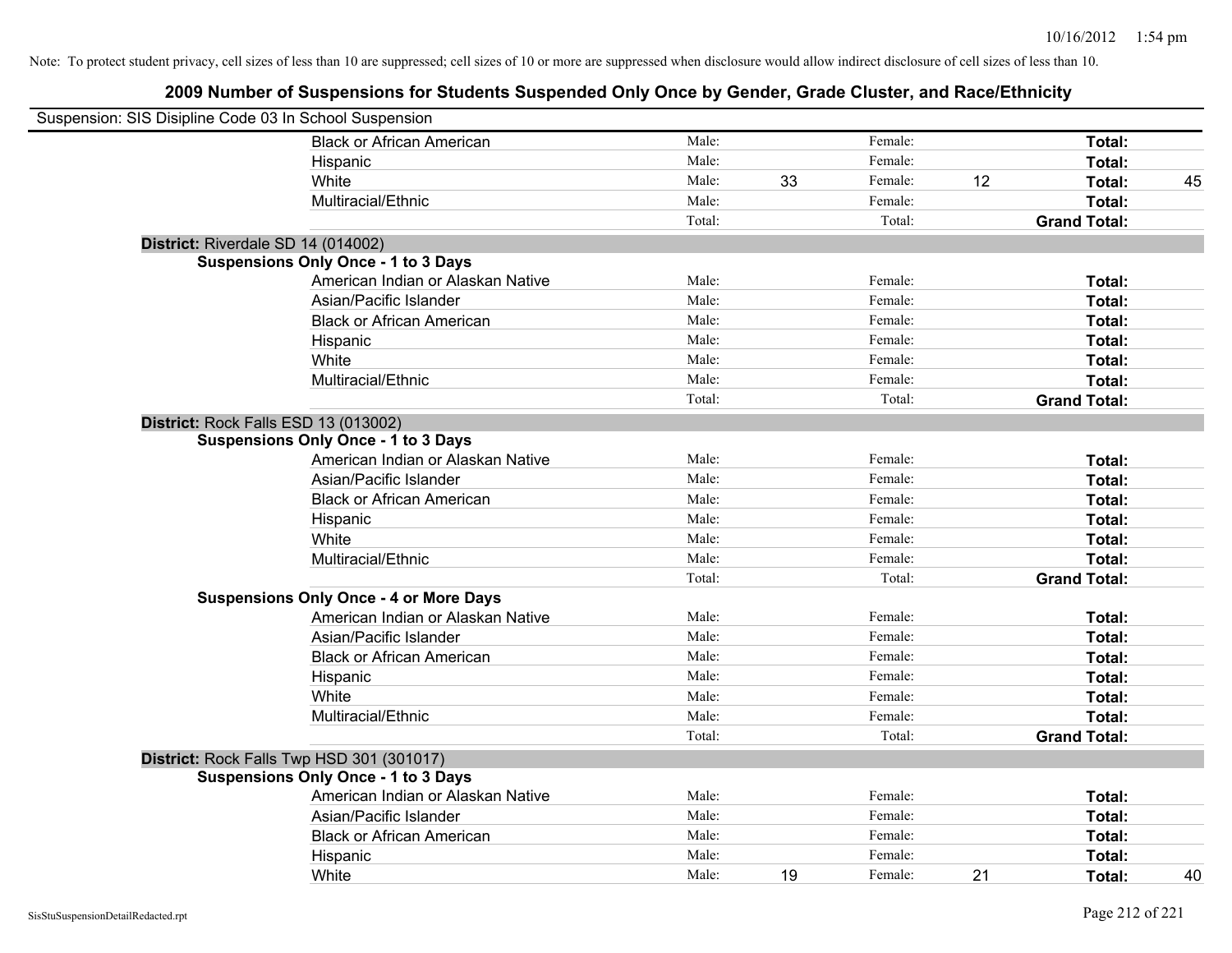| Suspension: SIS Disipline Code 03 In School Suspension |                                               |        |    |         |    |                     |    |
|--------------------------------------------------------|-----------------------------------------------|--------|----|---------|----|---------------------|----|
|                                                        | <b>Black or African American</b>              | Male:  |    | Female: |    | Total:              |    |
|                                                        | Hispanic                                      | Male:  |    | Female: |    | Total:              |    |
|                                                        | White                                         | Male:  | 33 | Female: | 12 | Total:              | 45 |
|                                                        | Multiracial/Ethnic                            | Male:  |    | Female: |    | Total:              |    |
|                                                        |                                               | Total: |    | Total:  |    | <b>Grand Total:</b> |    |
| District: Riverdale SD 14 (014002)                     |                                               |        |    |         |    |                     |    |
|                                                        | <b>Suspensions Only Once - 1 to 3 Days</b>    |        |    |         |    |                     |    |
|                                                        | American Indian or Alaskan Native             | Male:  |    | Female: |    | Total:              |    |
|                                                        | Asian/Pacific Islander                        | Male:  |    | Female: |    | Total:              |    |
|                                                        | <b>Black or African American</b>              | Male:  |    | Female: |    | Total:              |    |
|                                                        | Hispanic                                      | Male:  |    | Female: |    | Total:              |    |
|                                                        | White                                         | Male:  |    | Female: |    | Total:              |    |
|                                                        | Multiracial/Ethnic                            | Male:  |    | Female: |    | Total:              |    |
|                                                        |                                               | Total: |    | Total:  |    | <b>Grand Total:</b> |    |
| District: Rock Falls ESD 13 (013002)                   |                                               |        |    |         |    |                     |    |
|                                                        | <b>Suspensions Only Once - 1 to 3 Days</b>    |        |    |         |    |                     |    |
|                                                        | American Indian or Alaskan Native             | Male:  |    | Female: |    | Total:              |    |
|                                                        | Asian/Pacific Islander                        | Male:  |    | Female: |    | Total:              |    |
|                                                        | <b>Black or African American</b>              | Male:  |    | Female: |    | Total:              |    |
|                                                        | Hispanic                                      | Male:  |    | Female: |    | Total:              |    |
|                                                        | White                                         | Male:  |    | Female: |    | Total:              |    |
|                                                        | Multiracial/Ethnic                            | Male:  |    | Female: |    | Total:              |    |
|                                                        |                                               | Total: |    | Total:  |    | <b>Grand Total:</b> |    |
|                                                        | <b>Suspensions Only Once - 4 or More Days</b> |        |    |         |    |                     |    |
|                                                        | American Indian or Alaskan Native             | Male:  |    | Female: |    | Total:              |    |
|                                                        | Asian/Pacific Islander                        | Male:  |    | Female: |    | Total:              |    |
|                                                        | <b>Black or African American</b>              | Male:  |    | Female: |    | Total:              |    |
|                                                        | Hispanic                                      | Male:  |    | Female: |    | Total:              |    |
|                                                        | White                                         | Male:  |    | Female: |    | Total:              |    |
|                                                        | Multiracial/Ethnic                            | Male:  |    | Female: |    | Total:              |    |
|                                                        |                                               | Total: |    | Total:  |    | <b>Grand Total:</b> |    |
|                                                        | District: Rock Falls Twp HSD 301 (301017)     |        |    |         |    |                     |    |
|                                                        | <b>Suspensions Only Once - 1 to 3 Days</b>    |        |    |         |    |                     |    |
|                                                        | American Indian or Alaskan Native             | Male:  |    | Female: |    | Total:              |    |
|                                                        | Asian/Pacific Islander                        | Male:  |    | Female: |    | Total:              |    |
|                                                        | <b>Black or African American</b>              | Male:  |    | Female: |    | Total:              |    |
|                                                        | Hispanic                                      | Male:  |    | Female: |    | Total:              |    |
|                                                        | White                                         | Male:  | 19 | Female: | 21 | Total:              | 40 |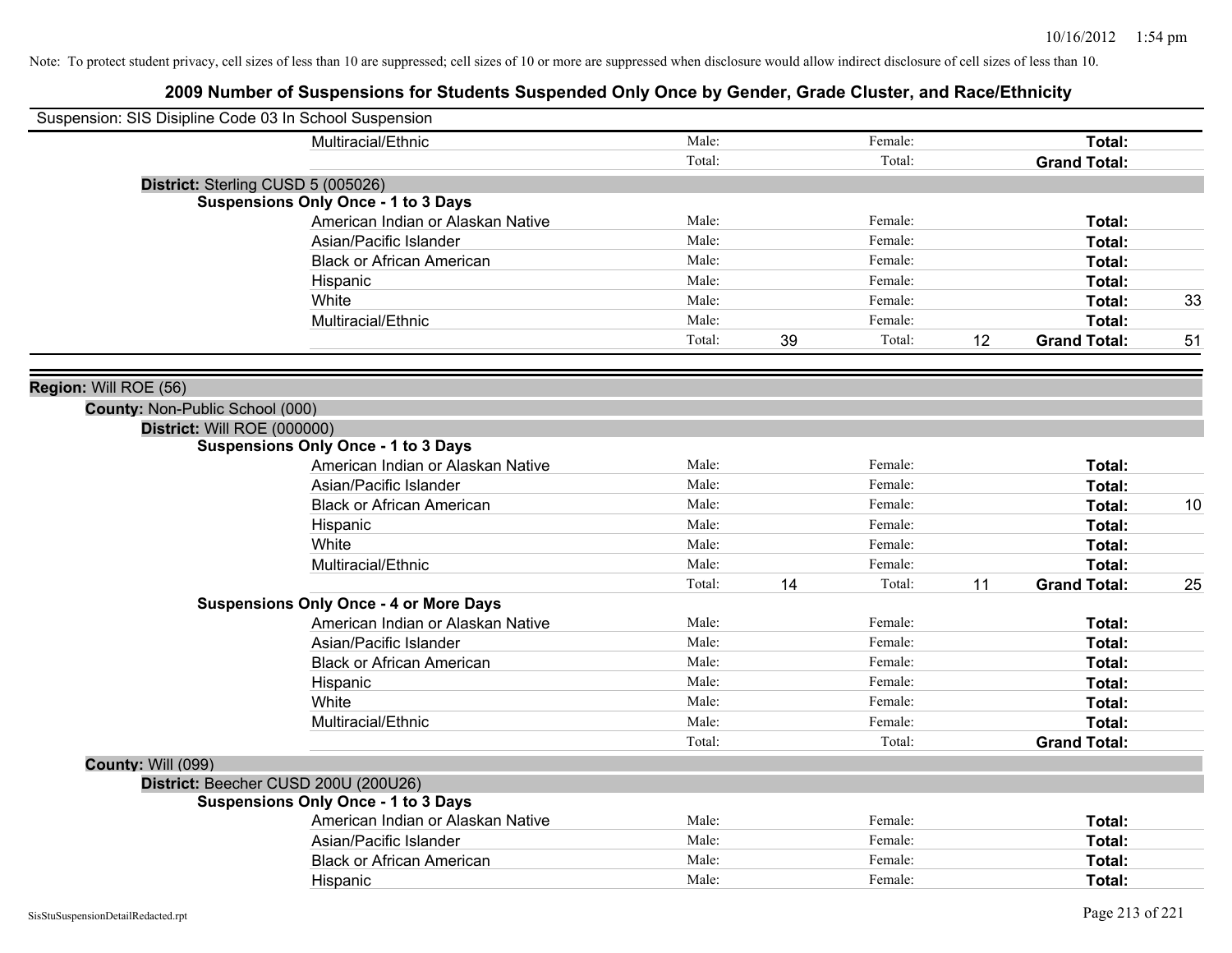| Suspension: SIS Disipline Code 03 In School Suspension |                                               |        |    |         |    |                     |    |
|--------------------------------------------------------|-----------------------------------------------|--------|----|---------|----|---------------------|----|
|                                                        | Multiracial/Ethnic                            | Male:  |    | Female: |    | Total:              |    |
|                                                        |                                               | Total: |    | Total:  |    | <b>Grand Total:</b> |    |
|                                                        | District: Sterling CUSD 5 (005026)            |        |    |         |    |                     |    |
|                                                        | <b>Suspensions Only Once - 1 to 3 Days</b>    |        |    |         |    |                     |    |
|                                                        | American Indian or Alaskan Native             | Male:  |    | Female: |    | Total:              |    |
|                                                        | Asian/Pacific Islander                        | Male:  |    | Female: |    | Total:              |    |
|                                                        | <b>Black or African American</b>              | Male:  |    | Female: |    | Total:              |    |
|                                                        | Hispanic                                      | Male:  |    | Female: |    | Total:              |    |
|                                                        | White                                         | Male:  |    | Female: |    | Total:              | 33 |
|                                                        | Multiracial/Ethnic                            | Male:  |    | Female: |    | Total:              |    |
|                                                        |                                               | Total: | 39 | Total:  | 12 | <b>Grand Total:</b> | 51 |
| Region: Will ROE (56)                                  |                                               |        |    |         |    |                     |    |
| County: Non-Public School (000)                        |                                               |        |    |         |    |                     |    |
| District: Will ROE (000000)                            |                                               |        |    |         |    |                     |    |
|                                                        | <b>Suspensions Only Once - 1 to 3 Days</b>    |        |    |         |    |                     |    |
|                                                        | American Indian or Alaskan Native             | Male:  |    | Female: |    | Total:              |    |
|                                                        | Asian/Pacific Islander                        | Male:  |    | Female: |    | Total:              |    |
|                                                        | <b>Black or African American</b>              | Male:  |    | Female: |    | Total:              | 10 |
|                                                        | Hispanic                                      | Male:  |    | Female: |    | Total:              |    |
|                                                        | White                                         | Male:  |    | Female: |    | Total:              |    |
|                                                        | Multiracial/Ethnic                            | Male:  |    | Female: |    | Total:              |    |
|                                                        |                                               | Total: | 14 | Total:  | 11 | <b>Grand Total:</b> | 25 |
|                                                        | <b>Suspensions Only Once - 4 or More Days</b> |        |    |         |    |                     |    |
|                                                        | American Indian or Alaskan Native             | Male:  |    | Female: |    | Total:              |    |
|                                                        | Asian/Pacific Islander                        | Male:  |    | Female: |    | Total:              |    |
|                                                        | <b>Black or African American</b>              | Male:  |    | Female: |    | Total:              |    |
|                                                        | Hispanic                                      | Male:  |    | Female: |    | Total:              |    |
|                                                        | White                                         | Male:  |    | Female: |    | Total:              |    |
|                                                        | Multiracial/Ethnic                            | Male:  |    | Female: |    | Total:              |    |
|                                                        |                                               | Total: |    | Total:  |    | <b>Grand Total:</b> |    |
| <b>County: Will (099)</b>                              |                                               |        |    |         |    |                     |    |
|                                                        | District: Beecher CUSD 200U (200U26)          |        |    |         |    |                     |    |
|                                                        | <b>Suspensions Only Once - 1 to 3 Days</b>    |        |    |         |    |                     |    |
|                                                        | American Indian or Alaskan Native             | Male:  |    | Female: |    | Total:              |    |
|                                                        | Asian/Pacific Islander                        | Male:  |    | Female: |    | Total:              |    |
|                                                        | <b>Black or African American</b>              | Male:  |    | Female: |    | Total:              |    |
|                                                        | Hispanic                                      | Male:  |    | Female: |    | Total:              |    |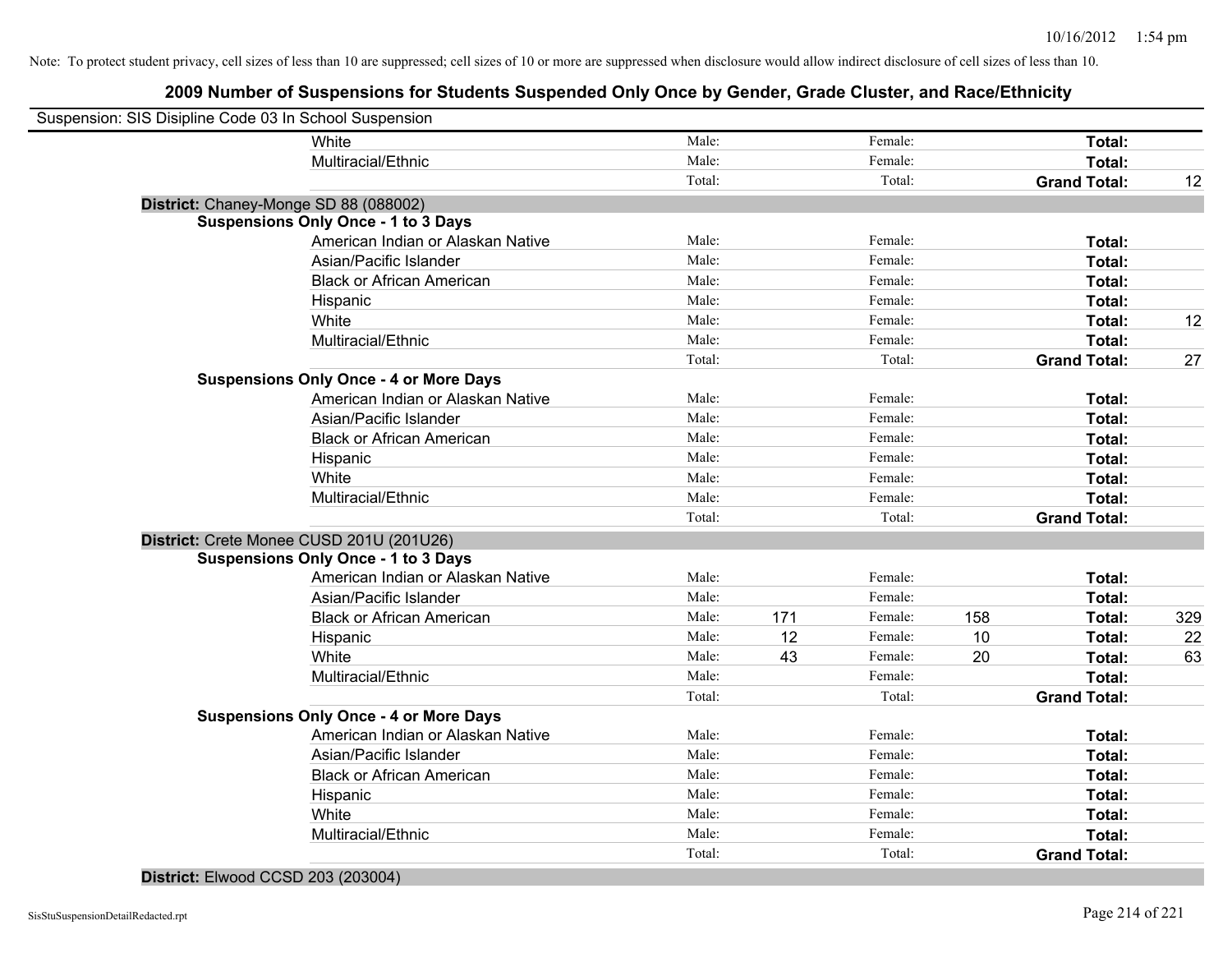# **2009 Number of Suspensions for Students Suspended Only Once by Gender, Grade Cluster, and Race/Ethnicity**

| Suspension: SIS Disipline Code 03 In School Suspension |                                               |        |     |         |     |                     |     |
|--------------------------------------------------------|-----------------------------------------------|--------|-----|---------|-----|---------------------|-----|
|                                                        | White                                         | Male:  |     | Female: |     | Total:              |     |
|                                                        | Multiracial/Ethnic                            | Male:  |     | Female: |     | Total:              |     |
|                                                        |                                               | Total: |     | Total:  |     | <b>Grand Total:</b> | 12  |
| District: Chaney-Monge SD 88 (088002)                  |                                               |        |     |         |     |                     |     |
|                                                        | <b>Suspensions Only Once - 1 to 3 Days</b>    |        |     |         |     |                     |     |
|                                                        | American Indian or Alaskan Native             | Male:  |     | Female: |     | Total:              |     |
|                                                        | Asian/Pacific Islander                        | Male:  |     | Female: |     | Total:              |     |
|                                                        | <b>Black or African American</b>              | Male:  |     | Female: |     | Total:              |     |
|                                                        | Hispanic                                      | Male:  |     | Female: |     | Total:              |     |
|                                                        | White                                         | Male:  |     | Female: |     | Total:              | 12  |
|                                                        | Multiracial/Ethnic                            | Male:  |     | Female: |     | Total:              |     |
|                                                        |                                               | Total: |     | Total:  |     | <b>Grand Total:</b> | 27  |
|                                                        | <b>Suspensions Only Once - 4 or More Days</b> |        |     |         |     |                     |     |
|                                                        | American Indian or Alaskan Native             | Male:  |     | Female: |     | Total:              |     |
|                                                        | Asian/Pacific Islander                        | Male:  |     | Female: |     | Total:              |     |
|                                                        | <b>Black or African American</b>              | Male:  |     | Female: |     | Total:              |     |
|                                                        | Hispanic                                      | Male:  |     | Female: |     | Total:              |     |
|                                                        | White                                         | Male:  |     | Female: |     | Total:              |     |
|                                                        | Multiracial/Ethnic                            | Male:  |     | Female: |     | Total:              |     |
|                                                        |                                               | Total: |     | Total:  |     | <b>Grand Total:</b> |     |
|                                                        | District: Crete Monee CUSD 201U (201U26)      |        |     |         |     |                     |     |
|                                                        | <b>Suspensions Only Once - 1 to 3 Days</b>    |        |     |         |     |                     |     |
|                                                        | American Indian or Alaskan Native             | Male:  |     | Female: |     | Total:              |     |
|                                                        | Asian/Pacific Islander                        | Male:  |     | Female: |     | Total:              |     |
|                                                        | <b>Black or African American</b>              | Male:  | 171 | Female: | 158 | Total:              | 329 |
|                                                        | Hispanic                                      | Male:  | 12  | Female: | 10  | Total:              | 22  |
|                                                        | White                                         | Male:  | 43  | Female: | 20  | Total:              | 63  |
|                                                        | Multiracial/Ethnic                            | Male:  |     | Female: |     | Total:              |     |
|                                                        |                                               | Total: |     | Total:  |     | <b>Grand Total:</b> |     |
|                                                        | <b>Suspensions Only Once - 4 or More Days</b> |        |     |         |     |                     |     |
|                                                        | American Indian or Alaskan Native             | Male:  |     | Female: |     | Total:              |     |
|                                                        | Asian/Pacific Islander                        | Male:  |     | Female: |     | Total:              |     |
|                                                        | <b>Black or African American</b>              | Male:  |     | Female: |     | Total:              |     |
|                                                        | Hispanic                                      | Male:  |     | Female: |     | Total:              |     |
|                                                        | White                                         | Male:  |     | Female: |     | Total:              |     |
|                                                        | Multiracial/Ethnic                            | Male:  |     | Female: |     | Total:              |     |
|                                                        |                                               | Total: |     | Total:  |     | <b>Grand Total:</b> |     |

### **District:** Elwood CCSD 203 (203004)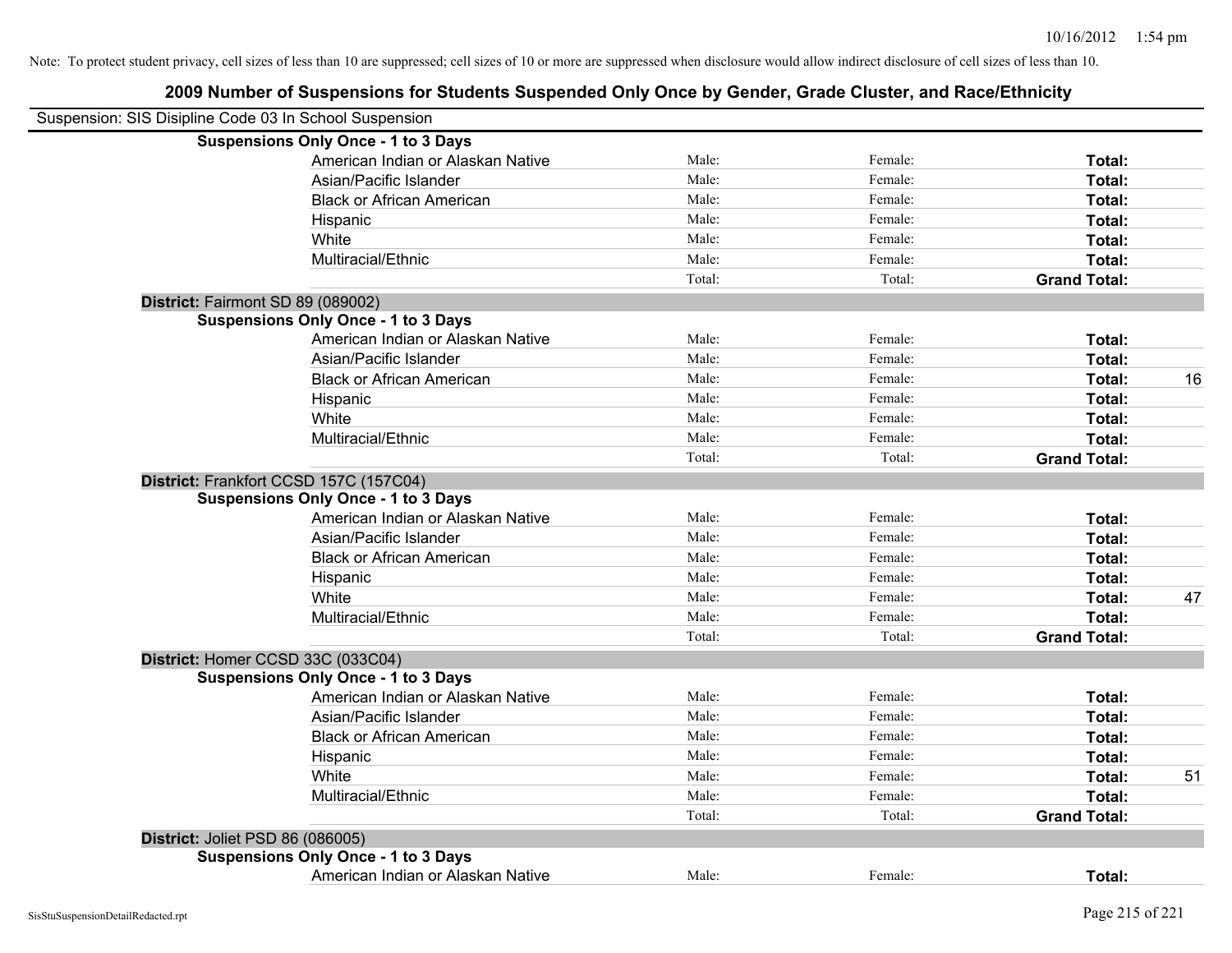| Suspension: SIS Disipline Code 03 In School Suspension |                                            |        |         |                     |    |
|--------------------------------------------------------|--------------------------------------------|--------|---------|---------------------|----|
|                                                        | <b>Suspensions Only Once - 1 to 3 Days</b> |        |         |                     |    |
|                                                        | American Indian or Alaskan Native          | Male:  | Female: | Total:              |    |
|                                                        | Asian/Pacific Islander                     | Male:  | Female: | Total:              |    |
|                                                        | <b>Black or African American</b>           | Male:  | Female: | Total:              |    |
|                                                        | Hispanic                                   | Male:  | Female: | Total:              |    |
|                                                        | White                                      | Male:  | Female: | Total:              |    |
|                                                        | Multiracial/Ethnic                         | Male:  | Female: | Total:              |    |
|                                                        |                                            | Total: | Total:  | <b>Grand Total:</b> |    |
| District: Fairmont SD 89 (089002)                      |                                            |        |         |                     |    |
|                                                        | <b>Suspensions Only Once - 1 to 3 Days</b> |        |         |                     |    |
|                                                        | American Indian or Alaskan Native          | Male:  | Female: | Total:              |    |
|                                                        | Asian/Pacific Islander                     | Male:  | Female: | Total:              |    |
|                                                        | <b>Black or African American</b>           | Male:  | Female: | Total:              | 16 |
|                                                        | Hispanic                                   | Male:  | Female: | Total:              |    |
|                                                        | White                                      | Male:  | Female: | Total:              |    |
|                                                        | Multiracial/Ethnic                         | Male:  | Female: | Total:              |    |
|                                                        |                                            | Total: | Total:  | <b>Grand Total:</b> |    |
|                                                        | District: Frankfort CCSD 157C (157C04)     |        |         |                     |    |
|                                                        | <b>Suspensions Only Once - 1 to 3 Days</b> |        |         |                     |    |
|                                                        | American Indian or Alaskan Native          | Male:  | Female: | Total:              |    |
|                                                        | Asian/Pacific Islander                     | Male:  | Female: | Total:              |    |
|                                                        | <b>Black or African American</b>           | Male:  | Female: | Total:              |    |
|                                                        | Hispanic                                   | Male:  | Female: | Total:              |    |
|                                                        | White                                      | Male:  | Female: | Total:              | 47 |
|                                                        | Multiracial/Ethnic                         | Male:  | Female: | Total:              |    |
|                                                        |                                            | Total: | Total:  | <b>Grand Total:</b> |    |
| District: Homer CCSD 33C (033C04)                      |                                            |        |         |                     |    |
|                                                        | <b>Suspensions Only Once - 1 to 3 Days</b> |        |         |                     |    |
|                                                        | American Indian or Alaskan Native          | Male:  | Female: | Total:              |    |
|                                                        | Asian/Pacific Islander                     | Male:  | Female: | Total:              |    |
|                                                        | <b>Black or African American</b>           | Male:  | Female: | Total:              |    |
|                                                        | Hispanic                                   | Male:  | Female: | Total:              |    |
|                                                        | White                                      | Male:  | Female: | Total:              | 51 |
|                                                        | Multiracial/Ethnic                         | Male:  | Female: | Total:              |    |
|                                                        |                                            | Total: | Total:  | <b>Grand Total:</b> |    |
| District: Joliet PSD 86 (086005)                       |                                            |        |         |                     |    |
|                                                        | <b>Suspensions Only Once - 1 to 3 Days</b> |        |         |                     |    |
|                                                        | American Indian or Alaskan Native          | Male:  | Female: | Total:              |    |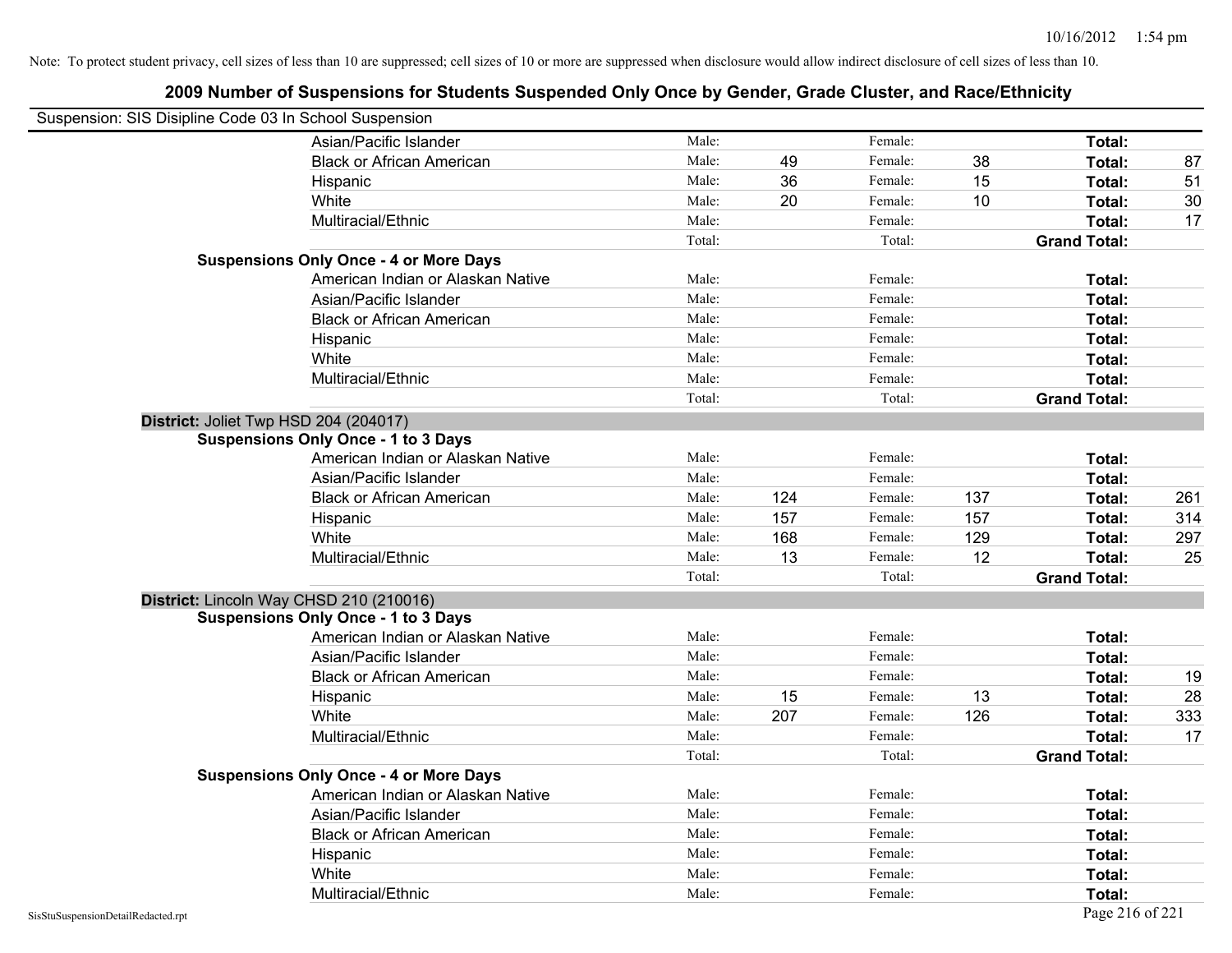| Suspension: SIS Disipline Code 03 In School Suspension |                                               |        |     |         |     |                     |     |
|--------------------------------------------------------|-----------------------------------------------|--------|-----|---------|-----|---------------------|-----|
|                                                        | Asian/Pacific Islander                        | Male:  |     | Female: |     | Total:              |     |
|                                                        | <b>Black or African American</b>              | Male:  | 49  | Female: | 38  | Total:              | 87  |
|                                                        | Hispanic                                      | Male:  | 36  | Female: | 15  | Total:              | 51  |
|                                                        | White                                         | Male:  | 20  | Female: | 10  | Total:              | 30  |
|                                                        | Multiracial/Ethnic                            | Male:  |     | Female: |     | Total:              | 17  |
|                                                        |                                               | Total: |     | Total:  |     | <b>Grand Total:</b> |     |
|                                                        | <b>Suspensions Only Once - 4 or More Days</b> |        |     |         |     |                     |     |
|                                                        | American Indian or Alaskan Native             | Male:  |     | Female: |     | Total:              |     |
|                                                        | Asian/Pacific Islander                        | Male:  |     | Female: |     | Total:              |     |
|                                                        | <b>Black or African American</b>              | Male:  |     | Female: |     | Total:              |     |
|                                                        | Hispanic                                      | Male:  |     | Female: |     | Total:              |     |
|                                                        | White                                         | Male:  |     | Female: |     | Total:              |     |
|                                                        | Multiracial/Ethnic                            | Male:  |     | Female: |     | Total:              |     |
|                                                        |                                               | Total: |     | Total:  |     | <b>Grand Total:</b> |     |
|                                                        | District: Joliet Twp HSD 204 (204017)         |        |     |         |     |                     |     |
|                                                        | <b>Suspensions Only Once - 1 to 3 Days</b>    |        |     |         |     |                     |     |
|                                                        | American Indian or Alaskan Native             | Male:  |     | Female: |     | Total:              |     |
|                                                        | Asian/Pacific Islander                        | Male:  |     | Female: |     | Total:              |     |
|                                                        | <b>Black or African American</b>              | Male:  | 124 | Female: | 137 | Total:              | 261 |
|                                                        | Hispanic                                      | Male:  | 157 | Female: | 157 | Total:              | 314 |
|                                                        | White                                         | Male:  | 168 | Female: | 129 | Total:              | 297 |
|                                                        | Multiracial/Ethnic                            | Male:  | 13  | Female: | 12  | Total:              | 25  |
|                                                        |                                               | Total: |     | Total:  |     | <b>Grand Total:</b> |     |
|                                                        | District: Lincoln Way CHSD 210 (210016)       |        |     |         |     |                     |     |
|                                                        | <b>Suspensions Only Once - 1 to 3 Days</b>    |        |     |         |     |                     |     |
|                                                        | American Indian or Alaskan Native             | Male:  |     | Female: |     | Total:              |     |
|                                                        | Asian/Pacific Islander                        | Male:  |     | Female: |     | Total:              |     |
|                                                        | <b>Black or African American</b>              | Male:  |     | Female: |     | Total:              | 19  |
|                                                        | Hispanic                                      | Male:  | 15  | Female: | 13  | Total:              | 28  |
|                                                        | White                                         | Male:  | 207 | Female: | 126 | Total:              | 333 |
|                                                        | Multiracial/Ethnic                            | Male:  |     | Female: |     | Total:              | 17  |
|                                                        |                                               | Total: |     | Total:  |     | <b>Grand Total:</b> |     |
|                                                        | <b>Suspensions Only Once - 4 or More Days</b> |        |     |         |     |                     |     |
|                                                        | American Indian or Alaskan Native             | Male:  |     | Female: |     | Total:              |     |
|                                                        | Asian/Pacific Islander                        | Male:  |     | Female: |     | Total:              |     |
|                                                        | <b>Black or African American</b>              | Male:  |     | Female: |     | Total:              |     |
|                                                        | Hispanic                                      | Male:  |     | Female: |     | Total:              |     |
|                                                        | White                                         | Male:  |     | Female: |     | Total:              |     |
|                                                        | Multiracial/Ethnic                            | Male:  |     | Female: |     | Total:              |     |
| SisStuSuspensionDetailRedacted.rpt                     |                                               |        |     |         |     | Page 216 of 221     |     |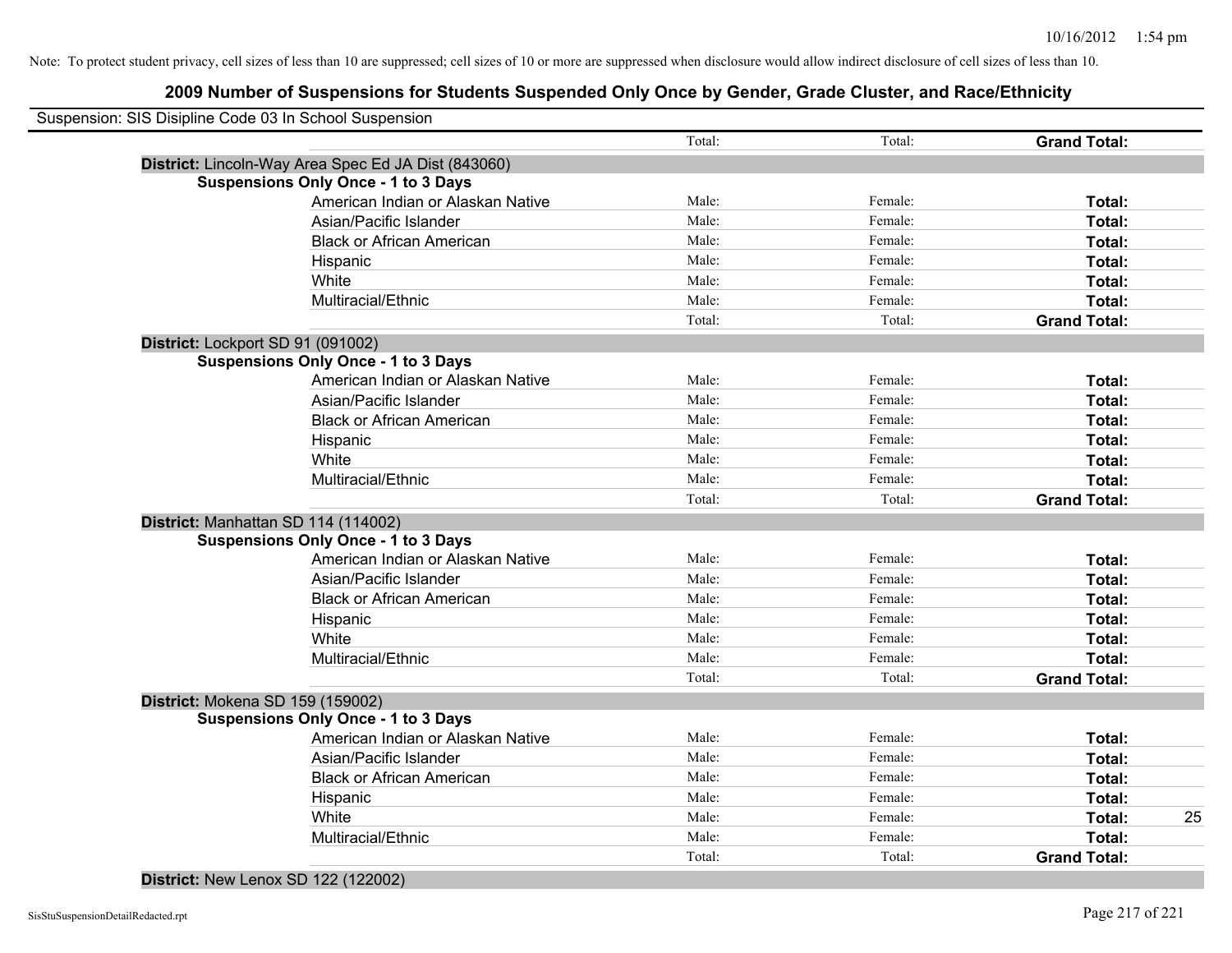| Suspension: SIS Disipline Code 03 In School Suspension | Total: | Total:  | <b>Grand Total:</b> |    |
|--------------------------------------------------------|--------|---------|---------------------|----|
| District: Lincoln-Way Area Spec Ed JA Dist (843060)    |        |         |                     |    |
| <b>Suspensions Only Once - 1 to 3 Days</b>             |        |         |                     |    |
| American Indian or Alaskan Native                      | Male:  | Female: | Total:              |    |
| Asian/Pacific Islander                                 | Male:  | Female: | Total:              |    |
| <b>Black or African American</b>                       | Male:  | Female: | Total:              |    |
| Hispanic                                               | Male:  | Female: | Total:              |    |
| White                                                  | Male:  | Female: | Total:              |    |
| Multiracial/Ethnic                                     | Male:  | Female: | Total:              |    |
|                                                        | Total: | Total:  | <b>Grand Total:</b> |    |
| District: Lockport SD 91 (091002)                      |        |         |                     |    |
| <b>Suspensions Only Once - 1 to 3 Days</b>             |        |         |                     |    |
| American Indian or Alaskan Native                      | Male:  | Female: | Total:              |    |
| Asian/Pacific Islander                                 | Male:  | Female: | Total:              |    |
| <b>Black or African American</b>                       | Male:  | Female: | Total:              |    |
| Hispanic                                               | Male:  | Female: | Total:              |    |
| White                                                  | Male:  | Female: | Total:              |    |
| Multiracial/Ethnic                                     | Male:  | Female: | Total:              |    |
|                                                        | Total: | Total:  | <b>Grand Total:</b> |    |
| District: Manhattan SD 114 (114002)                    |        |         |                     |    |
| <b>Suspensions Only Once - 1 to 3 Days</b>             |        |         |                     |    |
| American Indian or Alaskan Native                      | Male:  | Female: | Total:              |    |
| Asian/Pacific Islander                                 | Male:  | Female: | Total:              |    |
| <b>Black or African American</b>                       | Male:  | Female: | Total:              |    |
| Hispanic                                               | Male:  | Female: | Total:              |    |
| White                                                  | Male:  | Female: | Total:              |    |
| Multiracial/Ethnic                                     | Male:  | Female: | Total:              |    |
|                                                        | Total: | Total:  | <b>Grand Total:</b> |    |
| District: Mokena SD 159 (159002)                       |        |         |                     |    |
| <b>Suspensions Only Once - 1 to 3 Days</b>             |        |         |                     |    |
| American Indian or Alaskan Native                      | Male:  | Female: | Total:              |    |
| Asian/Pacific Islander                                 | Male:  | Female: | Total:              |    |
| <b>Black or African American</b>                       | Male:  | Female: | Total:              |    |
| Hispanic                                               | Male:  | Female: | Total:              |    |
| White                                                  | Male:  | Female: | Total:              | 25 |
| Multiracial/Ethnic                                     | Male:  | Female: | Total:              |    |
|                                                        | Total: | Total:  | <b>Grand Total:</b> |    |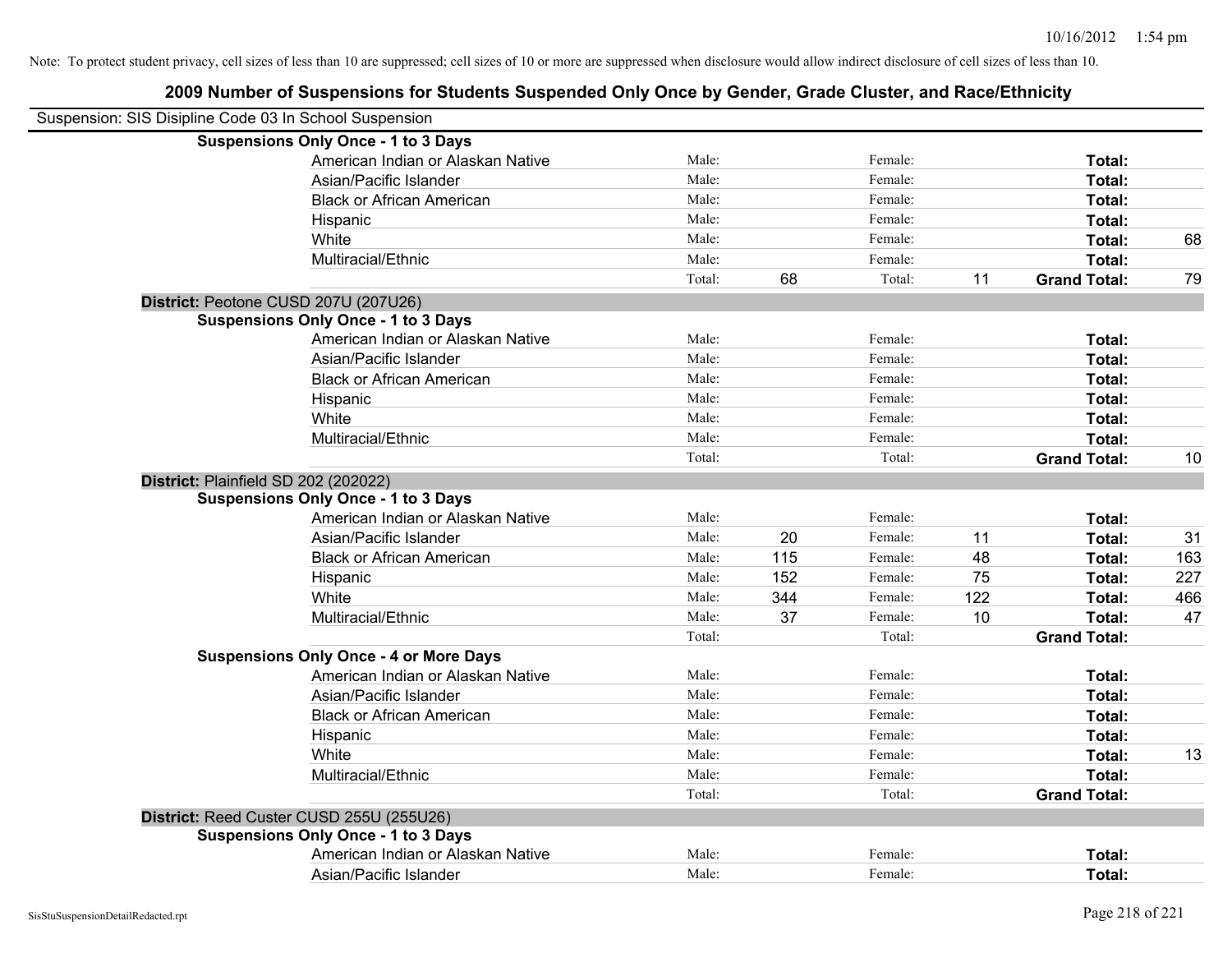| Suspension: SIS Disipline Code 03 In School Suspension |                                               |        |     |         |     |                     |     |
|--------------------------------------------------------|-----------------------------------------------|--------|-----|---------|-----|---------------------|-----|
|                                                        | <b>Suspensions Only Once - 1 to 3 Days</b>    |        |     |         |     |                     |     |
|                                                        | American Indian or Alaskan Native             | Male:  |     | Female: |     | Total:              |     |
|                                                        | Asian/Pacific Islander                        | Male:  |     | Female: |     | Total:              |     |
|                                                        | <b>Black or African American</b>              | Male:  |     | Female: |     | Total:              |     |
|                                                        | Hispanic                                      | Male:  |     | Female: |     | Total:              |     |
|                                                        | White                                         | Male:  |     | Female: |     | Total:              | 68  |
|                                                        | Multiracial/Ethnic                            | Male:  |     | Female: |     | Total:              |     |
|                                                        |                                               | Total: | 68  | Total:  | 11  | <b>Grand Total:</b> | 79  |
|                                                        | District: Peotone CUSD 207U (207U26)          |        |     |         |     |                     |     |
|                                                        | <b>Suspensions Only Once - 1 to 3 Days</b>    |        |     |         |     |                     |     |
|                                                        | American Indian or Alaskan Native             | Male:  |     | Female: |     | Total:              |     |
|                                                        | Asian/Pacific Islander                        | Male:  |     | Female: |     | Total:              |     |
|                                                        | <b>Black or African American</b>              | Male:  |     | Female: |     | Total:              |     |
|                                                        | Hispanic                                      | Male:  |     | Female: |     | Total:              |     |
|                                                        | White                                         | Male:  |     | Female: |     | Total:              |     |
|                                                        | Multiracial/Ethnic                            | Male:  |     | Female: |     | Total:              |     |
|                                                        |                                               | Total: |     | Total:  |     | <b>Grand Total:</b> | 10  |
|                                                        | District: Plainfield SD 202 (202022)          |        |     |         |     |                     |     |
|                                                        | <b>Suspensions Only Once - 1 to 3 Days</b>    |        |     |         |     |                     |     |
|                                                        | American Indian or Alaskan Native             | Male:  |     | Female: |     | Total:              |     |
|                                                        | Asian/Pacific Islander                        | Male:  | 20  | Female: | 11  | Total:              | 31  |
|                                                        | <b>Black or African American</b>              | Male:  | 115 | Female: | 48  | Total:              | 163 |
|                                                        | Hispanic                                      | Male:  | 152 | Female: | 75  | Total:              | 227 |
|                                                        | White                                         | Male:  | 344 | Female: | 122 | Total:              | 466 |
|                                                        | Multiracial/Ethnic                            | Male:  | 37  | Female: | 10  | Total:              | 47  |
|                                                        |                                               | Total: |     | Total:  |     | <b>Grand Total:</b> |     |
|                                                        | <b>Suspensions Only Once - 4 or More Days</b> |        |     |         |     |                     |     |
|                                                        | American Indian or Alaskan Native             | Male:  |     | Female: |     | Total:              |     |
|                                                        | Asian/Pacific Islander                        | Male:  |     | Female: |     | Total:              |     |
|                                                        | <b>Black or African American</b>              | Male:  |     | Female: |     | Total:              |     |
|                                                        | Hispanic                                      | Male:  |     | Female: |     | Total:              |     |
|                                                        | White                                         | Male:  |     | Female: |     | Total:              | 13  |
|                                                        | Multiracial/Ethnic                            | Male:  |     | Female: |     | Total:              |     |
|                                                        |                                               | Total: |     | Total:  |     | <b>Grand Total:</b> |     |
|                                                        | District: Reed Custer CUSD 255U (255U26)      |        |     |         |     |                     |     |
|                                                        | <b>Suspensions Only Once - 1 to 3 Days</b>    |        |     |         |     |                     |     |
|                                                        | American Indian or Alaskan Native             | Male:  |     | Female: |     | Total:              |     |
|                                                        | Asian/Pacific Islander                        | Male:  |     | Female: |     | Total:              |     |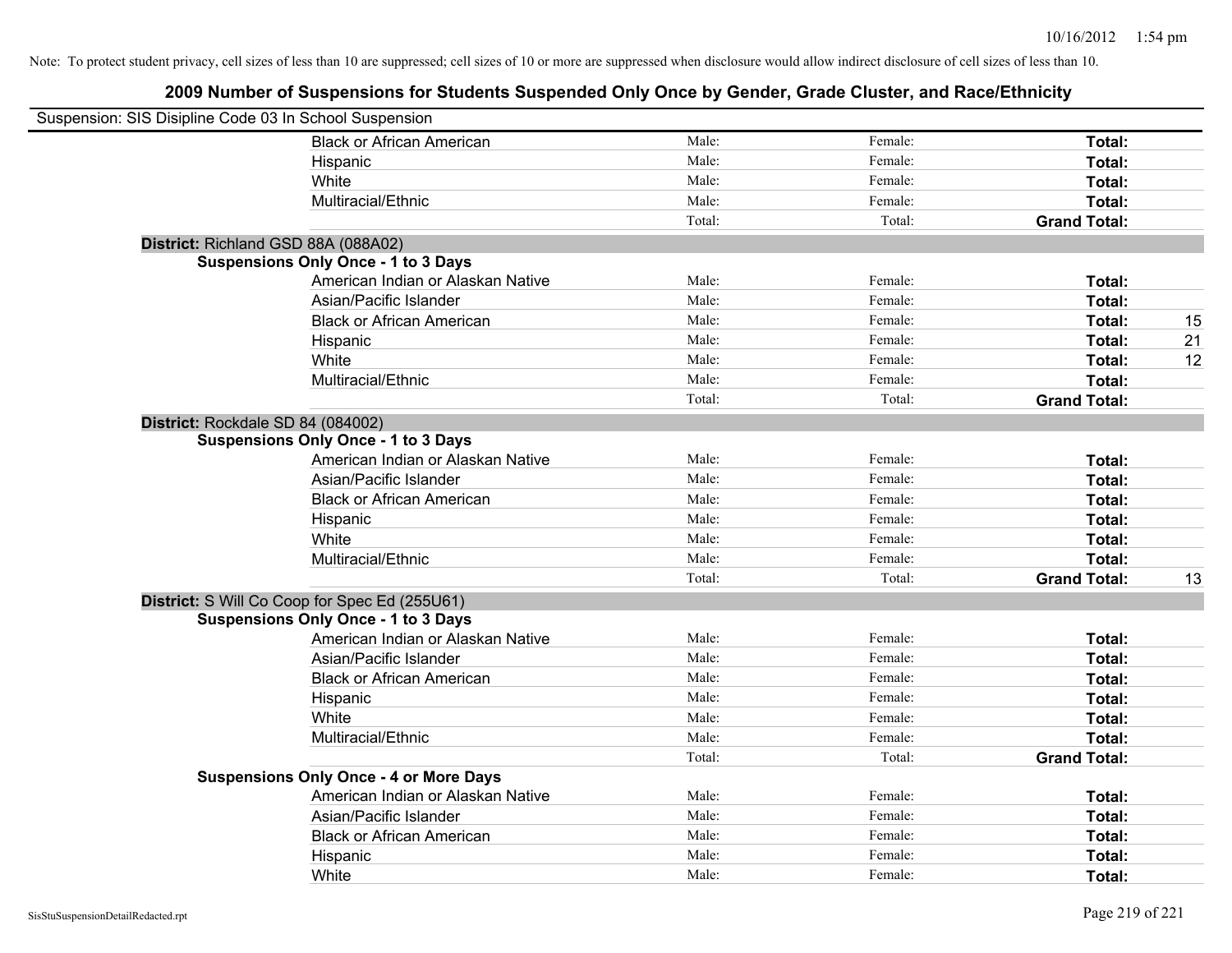| Suspension: SIS Disipline Code 03 In School Suspension |                                               |        |         |                     |    |
|--------------------------------------------------------|-----------------------------------------------|--------|---------|---------------------|----|
|                                                        | <b>Black or African American</b>              | Male:  | Female: | Total:              |    |
|                                                        | Hispanic                                      | Male:  | Female: | Total:              |    |
|                                                        | White                                         | Male:  | Female: | Total:              |    |
|                                                        | Multiracial/Ethnic                            | Male:  | Female: | Total:              |    |
|                                                        |                                               | Total: | Total:  | <b>Grand Total:</b> |    |
| District: Richland GSD 88A (088A02)                    |                                               |        |         |                     |    |
|                                                        | <b>Suspensions Only Once - 1 to 3 Days</b>    |        |         |                     |    |
|                                                        | American Indian or Alaskan Native             | Male:  | Female: | Total:              |    |
|                                                        | Asian/Pacific Islander                        | Male:  | Female: | Total:              |    |
|                                                        | <b>Black or African American</b>              | Male:  | Female: | Total:              | 15 |
|                                                        | Hispanic                                      | Male:  | Female: | Total:              | 21 |
|                                                        | White                                         | Male:  | Female: | Total:              | 12 |
|                                                        | Multiracial/Ethnic                            | Male:  | Female: | Total:              |    |
|                                                        |                                               | Total: | Total:  | <b>Grand Total:</b> |    |
| District: Rockdale SD 84 (084002)                      |                                               |        |         |                     |    |
|                                                        | <b>Suspensions Only Once - 1 to 3 Days</b>    |        |         |                     |    |
|                                                        | American Indian or Alaskan Native             | Male:  | Female: | Total:              |    |
|                                                        | Asian/Pacific Islander                        | Male:  | Female: | Total:              |    |
|                                                        | <b>Black or African American</b>              | Male:  | Female: | Total:              |    |
|                                                        | Hispanic                                      | Male:  | Female: | Total:              |    |
|                                                        | White                                         | Male:  | Female: | Total:              |    |
|                                                        | Multiracial/Ethnic                            | Male:  | Female: | Total:              |    |
|                                                        |                                               | Total: | Total:  | <b>Grand Total:</b> | 13 |
|                                                        | District: S Will Co Coop for Spec Ed (255U61) |        |         |                     |    |
|                                                        | <b>Suspensions Only Once - 1 to 3 Days</b>    |        |         |                     |    |
|                                                        | American Indian or Alaskan Native             | Male:  | Female: | Total:              |    |
|                                                        | Asian/Pacific Islander                        | Male:  | Female: | Total:              |    |
|                                                        | <b>Black or African American</b>              | Male:  | Female: | Total:              |    |
|                                                        | Hispanic                                      | Male:  | Female: | Total:              |    |
|                                                        | White                                         | Male:  | Female: | Total:              |    |
|                                                        | Multiracial/Ethnic                            | Male:  | Female: | Total:              |    |
|                                                        |                                               | Total: | Total:  | <b>Grand Total:</b> |    |
|                                                        | <b>Suspensions Only Once - 4 or More Days</b> |        |         |                     |    |
|                                                        | American Indian or Alaskan Native             | Male:  | Female: | Total:              |    |
|                                                        | Asian/Pacific Islander                        | Male:  | Female: | Total:              |    |
|                                                        | <b>Black or African American</b>              | Male:  | Female: | Total:              |    |
|                                                        | Hispanic                                      | Male:  | Female: | Total:              |    |
|                                                        | White                                         | Male:  | Female: | Total:              |    |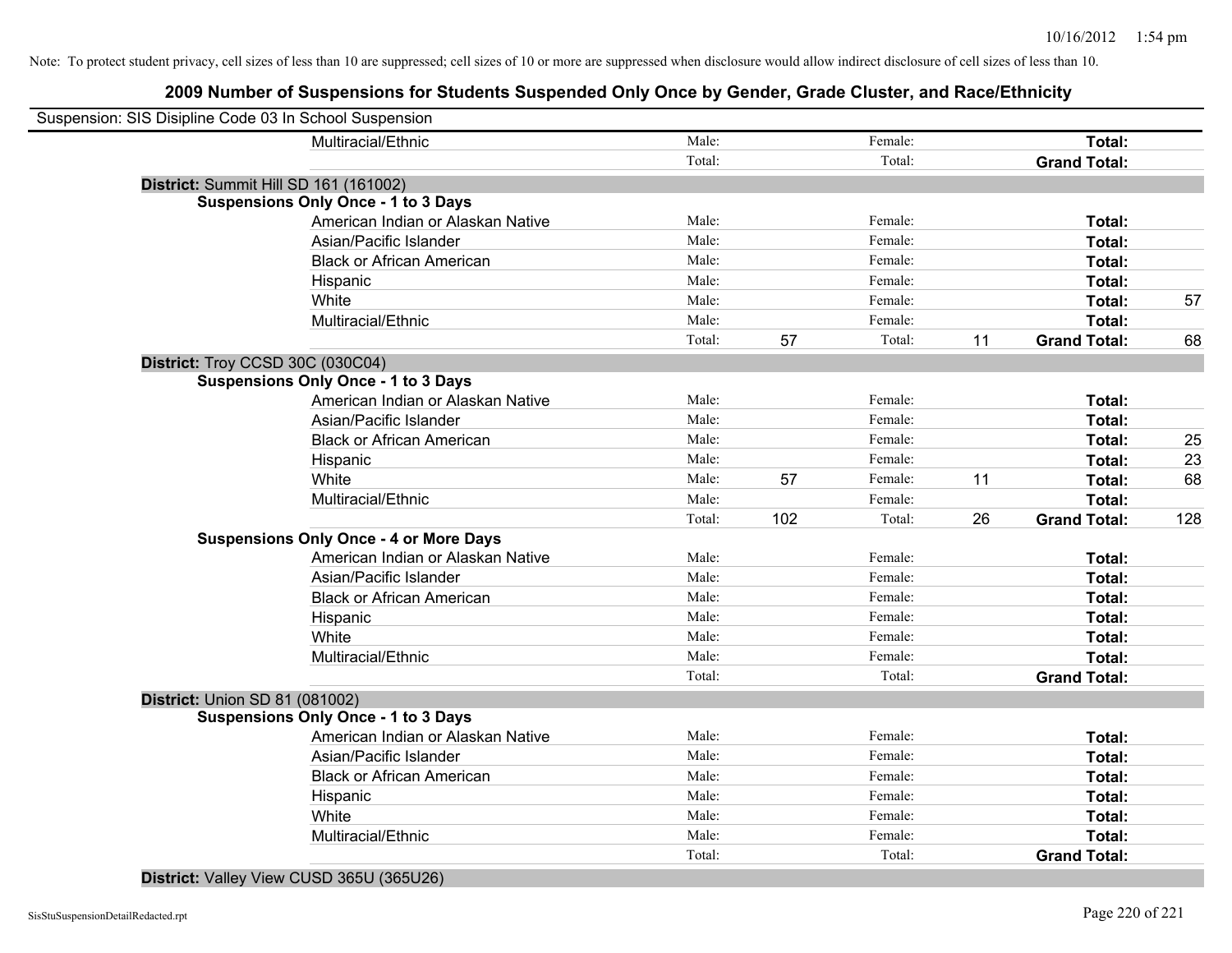## **2009 Number of Suspensions for Students Suspended Only Once by Gender, Grade Cluster, and Race/Ethnicity**

| Suspension: SIS Disipline Code 03 In School Suspension |                                               |        |     |         |    |                     |     |
|--------------------------------------------------------|-----------------------------------------------|--------|-----|---------|----|---------------------|-----|
|                                                        | Multiracial/Ethnic                            | Male:  |     | Female: |    | Total:              |     |
|                                                        |                                               | Total: |     | Total:  |    | <b>Grand Total:</b> |     |
| District: Summit Hill SD 161 (161002)                  |                                               |        |     |         |    |                     |     |
|                                                        | <b>Suspensions Only Once - 1 to 3 Days</b>    |        |     |         |    |                     |     |
|                                                        | American Indian or Alaskan Native             | Male:  |     | Female: |    | Total:              |     |
|                                                        | Asian/Pacific Islander                        | Male:  |     | Female: |    | Total:              |     |
|                                                        | <b>Black or African American</b>              | Male:  |     | Female: |    | Total:              |     |
|                                                        | Hispanic                                      | Male:  |     | Female: |    | Total:              |     |
|                                                        | White                                         | Male:  |     | Female: |    | Total:              | 57  |
|                                                        | Multiracial/Ethnic                            | Male:  |     | Female: |    | Total:              |     |
|                                                        |                                               | Total: | 57  | Total:  | 11 | <b>Grand Total:</b> | 68  |
| District: Troy CCSD 30C (030C04)                       |                                               |        |     |         |    |                     |     |
|                                                        | <b>Suspensions Only Once - 1 to 3 Days</b>    |        |     |         |    |                     |     |
|                                                        | American Indian or Alaskan Native             | Male:  |     | Female: |    | Total:              |     |
|                                                        | Asian/Pacific Islander                        | Male:  |     | Female: |    | Total:              |     |
|                                                        | <b>Black or African American</b>              | Male:  |     | Female: |    | Total:              | 25  |
|                                                        | Hispanic                                      | Male:  |     | Female: |    | Total:              | 23  |
|                                                        | White                                         | Male:  | 57  | Female: | 11 | Total:              | 68  |
|                                                        | Multiracial/Ethnic                            | Male:  |     | Female: |    | Total:              |     |
|                                                        |                                               | Total: | 102 | Total:  | 26 | <b>Grand Total:</b> | 128 |
|                                                        | <b>Suspensions Only Once - 4 or More Days</b> |        |     |         |    |                     |     |
|                                                        | American Indian or Alaskan Native             | Male:  |     | Female: |    | Total:              |     |
|                                                        | Asian/Pacific Islander                        | Male:  |     | Female: |    | Total:              |     |
|                                                        | <b>Black or African American</b>              | Male:  |     | Female: |    | Total:              |     |
|                                                        | Hispanic                                      | Male:  |     | Female: |    | Total:              |     |
|                                                        | White                                         | Male:  |     | Female: |    | Total:              |     |
|                                                        | Multiracial/Ethnic                            | Male:  |     | Female: |    | Total:              |     |
|                                                        |                                               | Total: |     | Total:  |    | <b>Grand Total:</b> |     |
| <b>District: Union SD 81 (081002)</b>                  |                                               |        |     |         |    |                     |     |
|                                                        | <b>Suspensions Only Once - 1 to 3 Days</b>    |        |     |         |    |                     |     |
|                                                        | American Indian or Alaskan Native             | Male:  |     | Female: |    | Total:              |     |
|                                                        | Asian/Pacific Islander                        | Male:  |     | Female: |    | Total:              |     |
|                                                        | <b>Black or African American</b>              | Male:  |     | Female: |    | Total:              |     |
|                                                        | Hispanic                                      | Male:  |     | Female: |    | Total:              |     |
|                                                        | White                                         | Male:  |     | Female: |    | Total:              |     |
|                                                        | Multiracial/Ethnic                            | Male:  |     | Female: |    | Total:              |     |
|                                                        |                                               | Total: |     | Total:  |    | <b>Grand Total:</b> |     |

**District:** Valley View CUSD 365U (365U26)